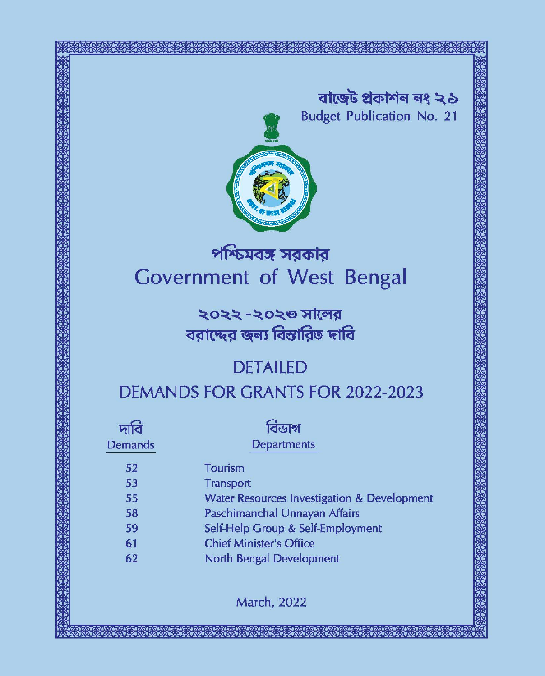বাজেট প্ৰকাশন নং ২১ **Budget Publication No. 21** 



# পশ্চিমবঙ্গ সরকার **Government of West Bengal**

২০২২ -২০২৩ সালের বরাদ্দের জন্য বিস্তারিত দাবি

# **DETAILED**

|  |  | DEMANDS FOR GRANTS FOR 2022-2023 |  |  |
|--|--|----------------------------------|--|--|
|  |  |                                  |  |  |

| দাব            | বিডাগ<br><b>Departments</b>                           |
|----------------|-------------------------------------------------------|
| <b>Demands</b> |                                                       |
| 52             | <b>Tourism</b>                                        |
| 53             | Transport                                             |
| 55             | <b>Water Resources Investigation &amp; Developmen</b> |
| 58             | Paschimanchal Unnayan Affairs                         |
| 59             | Self-Help Group & Self-Employment                     |
| 61             | <b>Chief Minister's Office</b>                        |
| 62             | <b>North Bengal Development</b>                       |
|                |                                                       |

**March, 2022**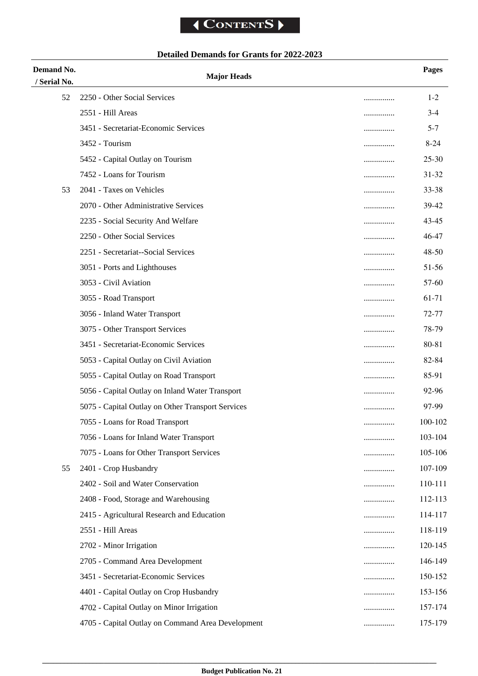## **Detailed Demands for Grants for 2022-2023**

| Demand No.   | <b>Major Heads</b>                                |   | <b>Pages</b> |
|--------------|---------------------------------------------------|---|--------------|
| / Serial No. |                                                   |   |              |
| 52           | 2250 - Other Social Services                      |   | $1 - 2$      |
|              | 2551 - Hill Areas                                 |   | $3-4$        |
|              | 3451 - Secretariat-Economic Services              |   | $5 - 7$      |
|              | 3452 - Tourism                                    |   | $8-24$       |
|              | 5452 - Capital Outlay on Tourism                  |   | 25-30        |
|              | 7452 - Loans for Tourism                          |   | 31-32        |
| 53           | 2041 - Taxes on Vehicles                          |   | 33-38        |
|              | 2070 - Other Administrative Services              | . | 39-42        |
|              | 2235 - Social Security And Welfare                |   | 43-45        |
|              | 2250 - Other Social Services                      |   | 46-47        |
|              | 2251 - Secretariat--Social Services               |   | 48-50        |
|              | 3051 - Ports and Lighthouses                      |   | 51-56        |
|              | 3053 - Civil Aviation                             | . | 57-60        |
|              | 3055 - Road Transport                             |   | 61-71        |
|              | 3056 - Inland Water Transport                     | . | 72-77        |
|              | 3075 - Other Transport Services                   |   | 78-79        |
|              | 3451 - Secretariat-Economic Services              |   | 80-81        |
|              | 5053 - Capital Outlay on Civil Aviation           |   | 82-84        |
|              | 5055 - Capital Outlay on Road Transport           |   | 85-91        |
|              | 5056 - Capital Outlay on Inland Water Transport   | . | 92-96        |
|              | 5075 - Capital Outlay on Other Transport Services |   | 97-99        |
|              | 7055 - Loans for Road Transport                   |   | 100-102      |
|              | 7056 - Loans for Inland Water Transport           |   | 103-104      |
|              | 7075 - Loans for Other Transport Services         | . | 105-106      |
| 55           | 2401 - Crop Husbandry                             |   | 107-109      |
|              | 2402 - Soil and Water Conservation                |   | 110-111      |
|              | 2408 - Food, Storage and Warehousing              |   | 112-113      |
|              | 2415 - Agricultural Research and Education        | . | 114-117      |
|              | 2551 - Hill Areas                                 | . | 118-119      |
|              | 2702 - Minor Irrigation                           |   | 120-145      |
|              | 2705 - Command Area Development                   |   | 146-149      |
|              | 3451 - Secretariat-Economic Services              |   | 150-152      |
|              |                                                   |   | 153-156      |
|              | 4401 - Capital Outlay on Crop Husbandry           |   |              |
|              | 4702 - Capital Outlay on Minor Irrigation         |   | 157-174      |
|              | 4705 - Capital Outlay on Command Area Development |   | 175-179      |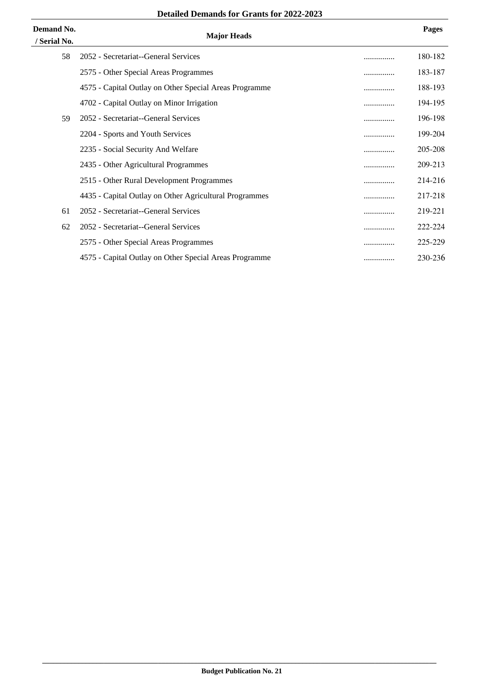| Demand No.<br>/ Serial No. | <b>Major Heads</b>                                     |   | <b>Pages</b> |
|----------------------------|--------------------------------------------------------|---|--------------|
| 58                         | 2052 - Secretariat--General Services                   | . | 180-182      |
|                            | 2575 - Other Special Areas Programmes                  |   | 183-187      |
|                            | 4575 - Capital Outlay on Other Special Areas Programme | . | 188-193      |
|                            | 4702 - Capital Outlay on Minor Irrigation              |   | 194-195      |
| 59                         | 2052 - Secretariat--General Services                   |   | 196-198      |
|                            | 2204 - Sports and Youth Services                       | . | 199-204      |
|                            | 2235 - Social Security And Welfare                     |   | 205-208      |
|                            | 2435 - Other Agricultural Programmes                   |   | 209-213      |
|                            | 2515 - Other Rural Development Programmes              | . | 214-216      |
|                            | 4435 - Capital Outlay on Other Agricultural Programmes |   | 217-218      |
| 61                         | 2052 - Secretariat--General Services                   |   | 219-221      |
| 62                         | 2052 - Secretariat--General Services                   |   | 222-224      |
|                            | 2575 - Other Special Areas Programmes                  | . | 225-229      |
|                            | 4575 - Capital Outlay on Other Special Areas Programme |   | 230-236      |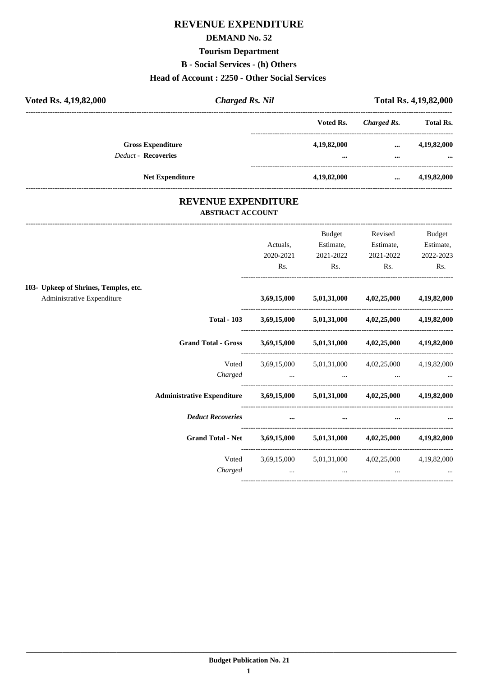#### **REVENUE EXPENDITURE**

#### **DEMAND No. 52**

#### **Tourism Department**

**B** - Social Services - (h) Others

#### Head of Account: 2250 - Other Social Services

| Voted Rs. 4,19,82,000      | <b>Charged Rs. Nil</b>   |             |             | <b>Total Rs. 4,19,82,000</b> |
|----------------------------|--------------------------|-------------|-------------|------------------------------|
|                            |                          | Voted Rs.   | Charged Rs. | <b>Total Rs.</b>             |
| <b>Deduct - Recoveries</b> | <b>Gross Expenditure</b> | 4,19,82,000 | $\cdots$    | 4,19,82,000                  |
|                            |                          |             | $\cdots$    | $\ddot{\phantom{a}}$         |
|                            | <b>Net Expenditure</b>   | 4,19,82,000 | $\cdots$    | 4,19,82,000                  |

#### REVENUE EXPENDITURE **ABSTRACT ACCOUNT**

|                                       |                                                                     |             | Budget                                                                                                          | Revised                                   | Budget      |
|---------------------------------------|---------------------------------------------------------------------|-------------|-----------------------------------------------------------------------------------------------------------------|-------------------------------------------|-------------|
|                                       |                                                                     | Actuals,    | Estimate,                                                                                                       | Estimate,                                 | Estimate,   |
|                                       |                                                                     | 2020-2021   | 2021-2022                                                                                                       | 2021-2022                                 | 2022-2023   |
|                                       |                                                                     | Rs.         | Rs.                                                                                                             | Rs.                                       | Rs.         |
| 103- Upkeep of Shrines, Temples, etc. |                                                                     |             |                                                                                                                 |                                           |             |
| Administrative Expenditure            |                                                                     | 3,69,15,000 |                                                                                                                 | $5,01,31,000$ $4,02,25,000$ $4,19,82,000$ |             |
|                                       | <b>Total - 103</b>                                                  |             | 3,69,15,000 5,01,31,000 4,02,25,000 4,19,82,000                                                                 |                                           |             |
|                                       | Grand Total - Gross 3,69,15,000 5,01,31,000 4,02,25,000 4,19,82,000 |             |                                                                                                                 |                                           |             |
|                                       | Voted                                                               |             | 3,69,15,000 5,01,31,000 4,02,25,000 4,19,82,000                                                                 |                                           |             |
|                                       | Charged                                                             |             | المساوي المساوي المساوي المساوي المساوي المساوي المساوي المساوي المساوي المساوي المساوي المساوي المساوي المساوي |                                           |             |
|                                       | Administrative Expenditure 3,69,15,000 5,01,31,000 4,02,25,000      |             |                                                                                                                 |                                           | 4,19,82,000 |
|                                       | <b>Deduct Recoveries</b>                                            |             | $\cdots$<br>$\cdots$                                                                                            | $\cdots$                                  |             |
|                                       | Grand Total - Net 3,69,15,000 5,01,31,000 4,02,25,000 4,19,82,000   |             |                                                                                                                 |                                           |             |
|                                       | Voted                                                               |             | 3,69,15,000 5,01,31,000 4,02,25,000 4,19,82,000                                                                 |                                           |             |
|                                       | Charged                                                             | $\cdots$    | $\cdots$                                                                                                        | $\cdots$                                  | $\cdots$    |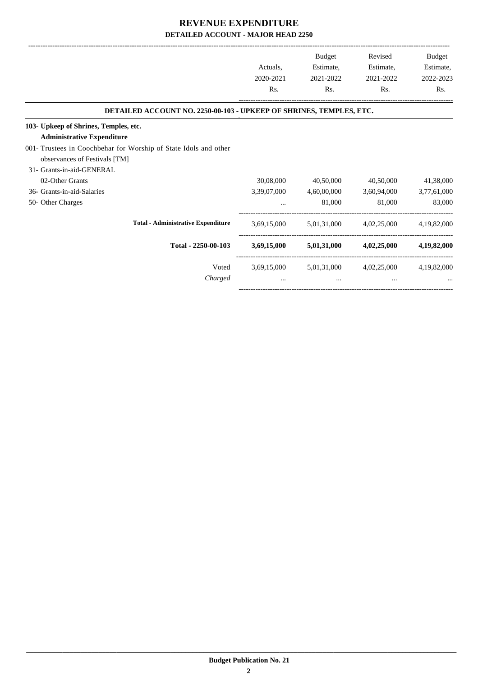|                                                                            |             | <b>Budget</b> | Revised                 | Budget      |
|----------------------------------------------------------------------------|-------------|---------------|-------------------------|-------------|
|                                                                            | Actuals,    | Estimate,     | Estimate,               | Estimate,   |
|                                                                            | 2020-2021   | 2021-2022     | 2021-2022               | 2022-2023   |
|                                                                            | Rs.         | Rs.           | Rs.                     | Rs.         |
| <b>DETAILED ACCOUNT NO. 2250-00-103 - UPKEEP OF SHRINES, TEMPLES, ETC.</b> |             |               |                         |             |
| 103- Upkeep of Shrines, Temples, etc.                                      |             |               |                         |             |
| <b>Administrative Expenditure</b>                                          |             |               |                         |             |
| 001- Trustees in Coochbehar for Worship of State Idols and other           |             |               |                         |             |
| observances of Festivals [TM]                                              |             |               |                         |             |
| 31- Grants-in-aid-GENERAL                                                  |             |               |                         |             |
| 02-Other Grants                                                            | 30,08,000   | 40,50,000     | 40,50,000               | 41,38,000   |
| 36- Grants-in-aid-Salaries                                                 | 3,39,07,000 | 4,60,00,000   | 3,60,94,000             | 3,77,61,000 |
| 50- Other Charges                                                          | $\cdots$    | 81,000        | 81,000                  | 83,000      |
| <b>Total - Administrative Expenditure</b>                                  | 3,69,15,000 |               | 5,01,31,000 4,02,25,000 | 4,19,82,000 |
| Total - 2250-00-103                                                        | 3,69,15,000 | 5,01,31,000   | 4,02,25,000             | 4,19,82,000 |
| Voted                                                                      | 3,69,15,000 |               | 5,01,31,000 4,02,25,000 | 4,19,82,000 |
| Charged                                                                    | $\cdots$    | $\cdots$      | $\cdots$                |             |

-----------------------------------------------------------------------------------------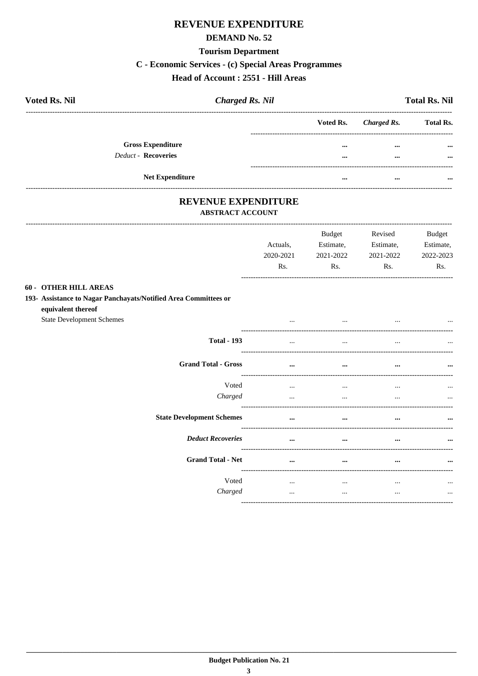## **REVENUE EXPENDITURE**

#### **DEMAND No. 52**

#### **Tourism Department**

#### C - Economic Services - (c) Special Areas Programmes

#### Head of Account : 2551 - Hill Areas

| <b>Voted Rs. Nil</b>     | <b>Charged Rs. Nil</b> |                       | <b>Total Rs. Nil</b> |
|--------------------------|------------------------|-----------------------|----------------------|
|                          |                        | Voted Rs. Charged Rs. | <b>Total Rs.</b>     |
| <b>Gross Expenditure</b> |                        | <br>$\cdots$          | $\cdots$             |
| Deduct - Recoveries      |                        | <br>$\cdots$          | $\cdots$             |
| <b>Net Expenditure</b>   |                        | <br>$\cdots$          |                      |

## REVENUE EXPENDITURE

#### **ABSTRACT ACCOUNT**

--------------------------------------

|                                                                                       | Actuals,<br>2020-2021<br>Rs. | <b>Budget</b><br>Estimate,<br>2021-2022<br>Rs. | Revised<br>Estimate,<br>2021-2022<br>Rs. | <b>Budget</b><br>Estimate,<br>2022-2023<br>Rs. |
|---------------------------------------------------------------------------------------|------------------------------|------------------------------------------------|------------------------------------------|------------------------------------------------|
| <b>60 - OTHER HILL AREAS</b>                                                          |                              |                                                |                                          |                                                |
| 193- Assistance to Nagar Panchayats/Notified Area Committees or<br>equivalent thereof |                              |                                                |                                          |                                                |
| <b>State Development Schemes</b>                                                      |                              |                                                |                                          |                                                |
| <b>Total - 193</b>                                                                    | $\ddotsc$                    | $\cdots$                                       |                                          |                                                |
| <b>Grand Total - Gross</b>                                                            | $\ddotsc$                    | $\cdots$                                       | $\cdots$                                 |                                                |
| Voted                                                                                 | $\cdots$                     | $\cdots$                                       | $\cdots$                                 | $\cdots$                                       |
| Charged                                                                               | $\cdots$                     | $\ddotsc$                                      | $\cdots$                                 | $\cdots$                                       |
| <b>State Development Schemes</b>                                                      | $\cdots$                     | $\cdots$                                       |                                          |                                                |
| <b>Deduct Recoveries</b>                                                              | $\cdots$                     | $\cdots$                                       |                                          |                                                |
| <b>Grand Total - Net</b>                                                              | $\cdots$                     | $\cdots$                                       |                                          |                                                |
| Voted<br>Charged                                                                      | $\cdots$<br>$\cdots$         | $\cdots$<br>$\ddotsc$                          | $\cdots$<br>$\cdots$                     | $\cdots$<br>$\cdots$                           |
|                                                                                       |                              |                                                |                                          |                                                |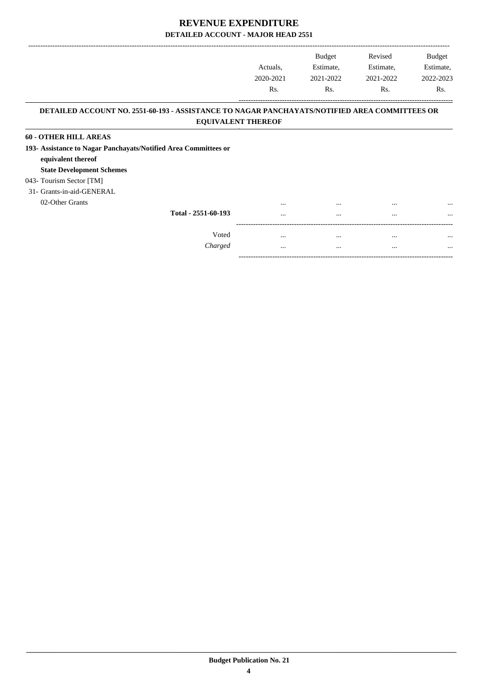|                                                                                               | Actuals,                        | <b>Budget</b><br>Estimate, | Revised<br>Estimate, | <b>Budget</b><br>Estimate, |
|-----------------------------------------------------------------------------------------------|---------------------------------|----------------------------|----------------------|----------------------------|
|                                                                                               | 2020-2021                       | 2021-2022                  | 2021-2022            | 2022-2023                  |
|                                                                                               | R <sub>s</sub> .                | Rs.                        | Rs.                  | Rs.                        |
| DETAILED ACCOUNT NO. 2551-60-193 - ASSISTANCE TO NAGAR PANCHAYATS/NOTIFIED AREA COMMITTEES OR |                                 |                            |                      |                            |
|                                                                                               | <b>EQUIVALENT THEREOF</b>       |                            |                      |                            |
| <b>60 - OTHER HILL AREAS</b>                                                                  |                                 |                            |                      |                            |
| 193- Assistance to Nagar Panchayats/Notified Area Committees or                               |                                 |                            |                      |                            |
| equivalent thereof                                                                            |                                 |                            |                      |                            |
| <b>State Development Schemes</b>                                                              |                                 |                            |                      |                            |
| 043- Tourism Sector [TM]                                                                      |                                 |                            |                      |                            |
| 31- Grants-in-aid-GENERAL                                                                     |                                 |                            |                      |                            |
| 02-Other Grants                                                                               | $\cdots$                        | $\cdots$                   | $\cdots$             |                            |
|                                                                                               | Total - 2551-60-193<br>$\cdots$ | $\cdots$                   | $\cdots$             | $\cdots$                   |
|                                                                                               |                                 |                            |                      |                            |

Voted ... ... ... ... *Charged* ... ... ... ...

-----------------------------------------------------------------------------------------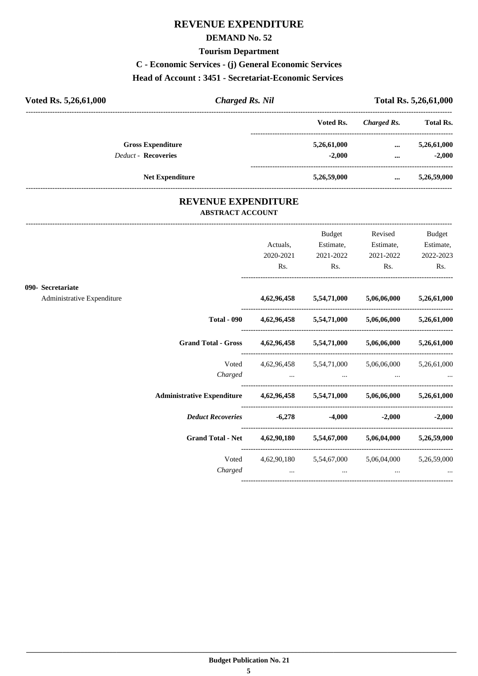### **REVENUE EXPENDITURE**

#### **DEMAND No. 52**

#### **Tourism Department**

#### **C - Economic Services - (j) General Economic Services**

#### **Head of Account : 3451 - Secretariat-Economic Services**

| Voted Rs. 5,26,61,000      | <b>Charged Rs. Nil</b> |             |             | Total Rs. 5,26,61,000 |
|----------------------------|------------------------|-------------|-------------|-----------------------|
|                            |                        | Voted Rs.   | Charged Rs. | <b>Total Rs.</b>      |
| <b>Gross Expenditure</b>   |                        | 5,26,61,000 | $\cdots$    | 5,26,61,000           |
| <b>Deduct - Recoveries</b> |                        | $-2.000$    | $\cdots$    | $-2.000$              |
| <b>Net Expenditure</b>     |                        | 5,26,59,000 | $\cdots$    | 5,26,59,000           |

#### **REVENUE EXPENDITURE ABSTRACT ACCOUNT**

---------------------------------------------------------------------------------------------------------------------------------------------------------------------------------

|                            |                                                                            | Actuals,<br>2020-2021<br>Rs. | <b>Budget</b><br>Estimate,<br>2021-2022<br>$\mathbf{Rs.}$ | Revised<br>Estimate,<br>2021-2022<br>$\mathbf{Rs.}$                 | <b>Budget</b><br>Estimate,<br>2022-2023<br>Rs. |
|----------------------------|----------------------------------------------------------------------------|------------------------------|-----------------------------------------------------------|---------------------------------------------------------------------|------------------------------------------------|
| 090- Secretariate          |                                                                            |                              |                                                           |                                                                     |                                                |
| Administrative Expenditure |                                                                            |                              |                                                           | $4,62,96,458$ $5,54,71,000$ $5,06,06,000$ $5,26,61,000$             |                                                |
|                            |                                                                            |                              |                                                           | Total - 090 $4,62,96,458$ $5,54,71,000$ $5,06,06,000$ $5,26,61,000$ |                                                |
|                            | Grand Total - Gross 4,62,96,458 5,54,71,000 5,06,06,000 5,26,61,000        |                              |                                                           |                                                                     |                                                |
|                            | Voted                                                                      |                              |                                                           | 4,62,96,458 5,54,71,000 5,06,06,000 5,26,61,000                     |                                                |
|                            | Administrative Expenditure 4,62,96,458 5,54,71,000 5,06,06,000 5,26,61,000 |                              |                                                           |                                                                     |                                                |
|                            | <b>Deduct Recoveries</b>                                                   |                              | $-6,278$ $-4,000$                                         |                                                                     | $-2,000$ $-2,000$                              |
|                            | Grand Total - Net 4,62,90,180 5,54,67,000 5,06,04,000 5,26,59,000          |                              |                                                           |                                                                     |                                                |
|                            | Charged                                                                    |                              | $\cdots$                                                  | Voted 4,62,90,180 5,54,67,000 5,06,04,000 5,26,59,000               |                                                |
|                            |                                                                            |                              |                                                           |                                                                     |                                                |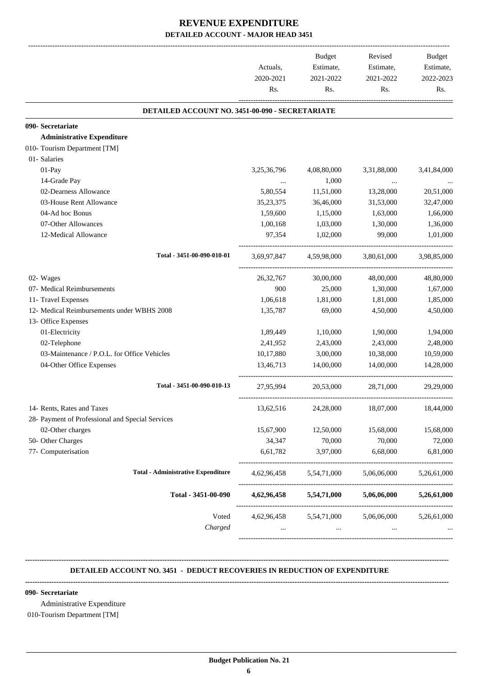|                                                  |                  | <b>Budget</b> | Revised                                         | <b>Budget</b>          |                        |
|--------------------------------------------------|------------------|---------------|-------------------------------------------------|------------------------|------------------------|
|                                                  | 2020-2021<br>Rs. |               | Estimate,<br>Actuals,<br>2021-2022              | Estimate,<br>2021-2022 | Estimate,<br>2022-2023 |
|                                                  |                  | Rs.           | Rs.                                             | Rs.                    |                        |
| DETAILED ACCOUNT NO. 3451-00-090 - SECRETARIATE  |                  |               |                                                 |                        |                        |
| 090- Secretariate                                |                  |               |                                                 |                        |                        |
| <b>Administrative Expenditure</b>                |                  |               |                                                 |                        |                        |
| 010- Tourism Department [TM]                     |                  |               |                                                 |                        |                        |
| 01- Salaries                                     |                  |               |                                                 |                        |                        |
| 01-Pay                                           | 3,25,36,796      | 4,08,80,000   | 3,31,88,000                                     | 3,41,84,000            |                        |
| 14-Grade Pay                                     |                  | 1,000         | $\cdots$                                        |                        |                        |
| 02-Dearness Allowance                            | 5,80,554         | 11,51,000     | 13,28,000                                       | 20,51,000              |                        |
| 03-House Rent Allowance                          | 35, 23, 375      | 36,46,000     | 31,53,000                                       | 32,47,000              |                        |
| 04-Ad hoc Bonus                                  | 1,59,600         | 1,15,000      | 1,63,000                                        | 1,66,000               |                        |
| 07-Other Allowances                              | 1,00,168         | 1,03,000      | 1,30,000                                        | 1,36,000               |                        |
| 12-Medical Allowance                             | 97,354           | 1,02,000      | 99,000                                          | 1,01,000               |                        |
| Total - 3451-00-090-010-01                       | 3,69,97,847      | 4,59,98,000   | 3,80,61,000                                     | 3,98,85,000            |                        |
| 02- Wages                                        | 26, 32, 767      | 30,00,000     | 48,00,000                                       | 48,80,000              |                        |
| 07- Medical Reimbursements                       | 900              | 25,000        | 1,30,000                                        | 1,67,000               |                        |
| 11- Travel Expenses                              | 1,06,618         | 1,81,000      | 1,81,000                                        | 1,85,000               |                        |
| 12- Medical Reimbursements under WBHS 2008       | 1,35,787         | 69,000        | 4,50,000                                        | 4,50,000               |                        |
| 13- Office Expenses                              |                  |               |                                                 |                        |                        |
| 01-Electricity                                   | 1,89,449         | 1,10,000      | 1,90,000                                        | 1,94,000               |                        |
| 02-Telephone                                     | 2,41,952         | 2,43,000      | 2,43,000                                        | 2,48,000               |                        |
| 03-Maintenance / P.O.L. for Office Vehicles      | 10,17,880        | 3,00,000      | 10,38,000                                       | 10,59,000              |                        |
| 04-Other Office Expenses                         | 13,46,713        | 14,00,000     | 14,00,000                                       | 14,28,000              |                        |
| Total - 3451-00-090-010-13                       | 27,95,994        | 20,53,000     | 28,71,000                                       | 29,29,000              |                        |
| 14- Rents, Rates and Taxes                       | 13,62,516        | 24,28,000     | 18,07,000                                       | 18,44,000              |                        |
| 28- Payment of Professional and Special Services |                  |               |                                                 |                        |                        |
| 02-Other charges                                 | 15,67,900        | 12,50,000     | 15,68,000                                       | 15,68,000              |                        |
| 50- Other Charges                                | 34,347           | 70,000        | 70,000                                          | 72,000                 |                        |
| 77- Computerisation                              | 6,61,782         | 3,97,000      | 6,68,000                                        | 6,81,000               |                        |
| <b>Total - Administrative Expenditure</b>        | 4,62,96,458      | 5,54,71,000   | 5,06,06,000                                     | 5,26,61,000            |                        |
| Total - 3451-00-090                              | 4,62,96,458      | 5,54,71,000   | 5,06,06,000                                     | 5,26,61,000            |                        |
| Voted                                            |                  |               | 4,62,96,458 5,54,71,000 5,06,06,000 5,26,61,000 |                        |                        |
| Charged                                          | $\cdots$         | $\cdots$      | $\cdots$                                        |                        |                        |

#### **-------------------------------------------------------------------------------------------------------------------------------------------------------------------------------- DETAILED ACCOUNT NO. 3451 - DEDUCT RECOVERIES IN REDUCTION OF EXPENDITURE**

**--------------------------------------------------------------------------------------------------------------------------------------------------------------------------------**

 **\_\_\_\_\_\_\_\_\_\_\_\_\_\_\_\_\_\_\_\_\_\_\_\_\_\_\_\_\_\_\_\_\_\_\_\_\_\_\_\_\_\_\_\_\_\_\_\_\_\_\_\_\_\_\_\_\_\_\_\_\_\_\_\_\_\_\_\_\_\_\_\_\_\_\_\_\_\_\_\_\_\_\_\_\_\_\_\_\_\_\_\_\_\_\_\_\_\_\_\_\_\_\_\_\_\_\_\_\_\_\_\_\_\_\_\_\_\_\_**

#### **090- Secretariate**

Administrative Expenditure

010-Tourism Department [TM]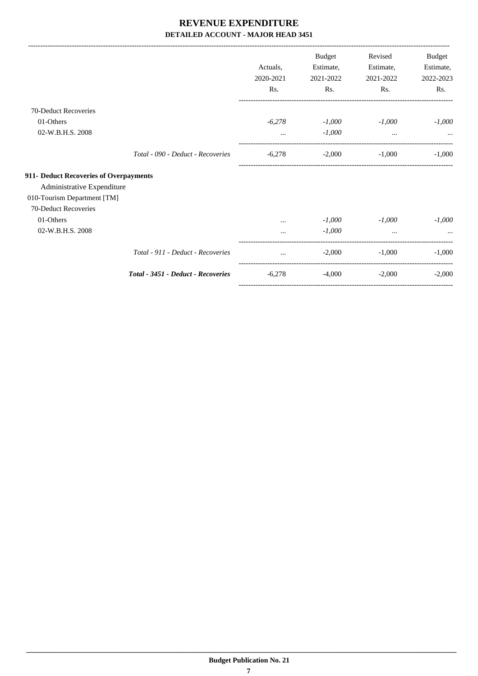|                                        |                                    |           |               | Revised   |           |
|----------------------------------------|------------------------------------|-----------|---------------|-----------|-----------|
|                                        |                                    |           | <b>Budget</b> |           | Budget    |
|                                        |                                    | Actuals.  | Estimate,     | Estimate, | Estimate, |
|                                        |                                    | 2020-2021 | 2021-2022     | 2021-2022 | 2022-2023 |
|                                        |                                    | Rs.       | Rs.           | Rs.       | Rs.       |
| 70-Deduct Recoveries                   |                                    |           |               |           |           |
| 01-Others                              |                                    | $-6,278$  | $-1,000$      | $-1,000$  | $-1,000$  |
| 02-W.B.H.S. 2008                       |                                    | $\cdots$  | $-1,000$      | $\cdots$  | $\cdots$  |
|                                        | Total - 090 - Deduct - Recoveries  | $-6,278$  | $-2,000$      | $-1,000$  | $-1,000$  |
| 911- Deduct Recoveries of Overpayments |                                    |           |               |           |           |
| Administrative Expenditure             |                                    |           |               |           |           |
| 010-Tourism Department [TM]            |                                    |           |               |           |           |
| 70-Deduct Recoveries                   |                                    |           |               |           |           |
| 01-Others                              |                                    |           | $-1,000$      | $-1,000$  | $-1,000$  |
| 02-W.B.H.S. 2008                       |                                    | $\cdots$  | $-1,000$      | $\cdots$  |           |
|                                        | Total - 911 - Deduct - Recoveries  | $\cdots$  | $-2,000$      | $-1,000$  | $-1,000$  |
|                                        | Total - 3451 - Deduct - Recoveries | $-6,278$  | $-4,000$      | $-2,000$  | $-2,000$  |
|                                        |                                    |           |               |           |           |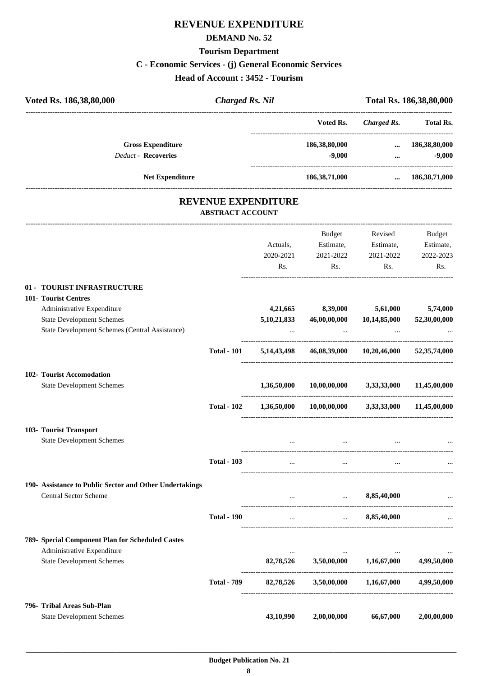## **REVENUE EXPENDITURE**

#### **DEMAND No. 52**

#### **Tourism Department**

#### **C - Economic Services - (j) General Economic Services**

**Head of Account : 3452 - Tourism**

| Voted Rs. 186,38,80,000                                 | <b>Charged Rs. Nil</b>  |                     |                                                            |                                                  | Total Rs. 186,38,80,000 |
|---------------------------------------------------------|-------------------------|---------------------|------------------------------------------------------------|--------------------------------------------------|-------------------------|
|                                                         |                         |                     | Voted Rs.                                                  | --------------------------<br><b>Charged Rs.</b> | <b>Total Rs.</b>        |
| <b>Gross Expenditure</b>                                |                         |                     | 186,38,80,000                                              | $\cdots$                                         | 186,38,80,000           |
| <b>Deduct - Recoveries</b>                              |                         |                     | $-9,000$                                                   | $\cdots$                                         | $-9,000$                |
| <b>Net Expenditure</b>                                  |                         |                     | 186,38,71,000                                              |                                                  | $\dots$ 186,38,71,000   |
|                                                         | <b>ABSTRACT ACCOUNT</b> | REVENUE EXPENDITURE |                                                            |                                                  |                         |
|                                                         |                         |                     | Budget                                                     | Revised                                          | Budget                  |
|                                                         |                         | Actuals,            | Estimate,                                                  | Estimate,                                        | Estimate,               |
|                                                         |                         | 2020-2021           | 2021-2022                                                  | 2021-2022                                        | 2022-2023               |
|                                                         |                         | Rs.                 | Rs.                                                        | Rs.                                              | Rs.                     |
| 01 - TOURIST INFRASTRUCTURE                             |                         |                     |                                                            |                                                  |                         |
| 101- Tourist Centres                                    |                         |                     |                                                            |                                                  |                         |
| Administrative Expenditure                              |                         | 4,21,665            | 8,39,000                                                   | 5,61,000                                         | 5,74,000                |
| <b>State Development Schemes</b>                        |                         | 5, 10, 21, 833      | 46,00,00,000                                               | 10,14,85,000                                     | 52,30,00,000            |
| State Development Schemes (Central Assistance)          |                         |                     | $\ddotsc$                                                  |                                                  |                         |
|                                                         | <b>Total - 101</b>      | 5, 14, 43, 498      |                                                            | 46,08,39,000 10,20,46,000 52,35,74,000           |                         |
| 102- Tourist Accomodation                               |                         |                     |                                                            |                                                  |                         |
| <b>State Development Schemes</b>                        |                         | 1,36,50,000         | 10,00,00,000                                               | 3,33,33,000                                      | 11,45,00,000            |
|                                                         | <b>Total - 102</b>      |                     | $1,36,50,000$ $10,00,00,000$ $3,33,33,000$ $11,45,00,000$  |                                                  |                         |
| 103- Tourist Transport                                  |                         |                     |                                                            |                                                  |                         |
| <b>State Development Schemes</b>                        |                         |                     |                                                            |                                                  |                         |
|                                                         | <b>Total - 103</b>      |                     |                                                            |                                                  |                         |
| 190- Assistance to Public Sector and Other Undertakings |                         |                     |                                                            |                                                  |                         |
| <b>Central Sector Scheme</b>                            |                         |                     | $\ldots$ $8,85,40,000$<br>-------------------------------- |                                                  | ----------------------  |
|                                                         | <b>Total - 190</b>      | $\cdots$            |                                                            | $\dots$ 8,85,40,000                              |                         |
| 789- Special Component Plan for Scheduled Castes        |                         |                     |                                                            |                                                  |                         |
| Administrative Expenditure                              |                         |                     | $\cdots$                                                   |                                                  | $\cdots$                |
| <b>State Development Schemes</b>                        |                         |                     | 82,78,526 3,50,00,000 1,16,67,000                          |                                                  | 4,99,50,000             |
|                                                         | <b>Total - 789</b>      |                     | 82,78,526 3,50,00,000 1,16,67,000                          |                                                  | 4,99,50,000             |
| 796- Tribal Areas Sub-Plan                              |                         |                     |                                                            |                                                  |                         |

 **\_\_\_\_\_\_\_\_\_\_\_\_\_\_\_\_\_\_\_\_\_\_\_\_\_\_\_\_\_\_\_\_\_\_\_\_\_\_\_\_\_\_\_\_\_\_\_\_\_\_\_\_\_\_\_\_\_\_\_\_\_\_\_\_\_\_\_\_\_\_\_\_\_\_\_\_\_\_\_\_\_\_\_\_\_\_\_\_\_\_\_\_\_\_\_\_\_\_\_\_\_\_\_\_\_\_\_\_\_\_\_\_\_\_\_\_\_\_\_**

State Development Schemes **43,10,990 2,00,00,000 66,67,000 2,00,00,000**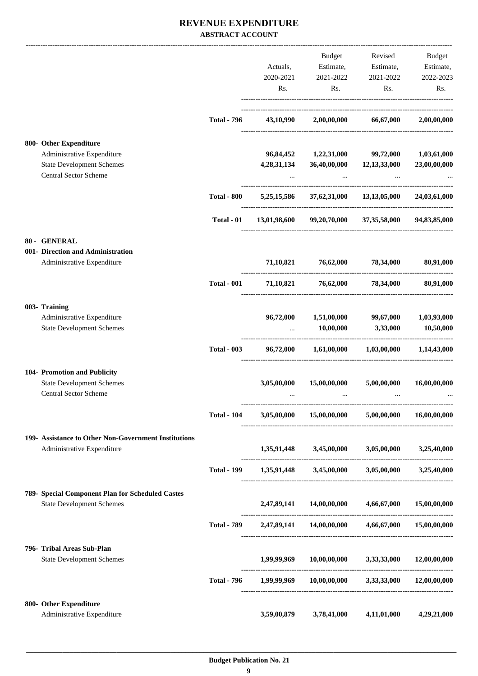#### **REVENUE EXPENDITURE ABSTRACT ACCOUNT**

|                                                           |                    |                 | Budget                            | Revised                                                               | Budget       |
|-----------------------------------------------------------|--------------------|-----------------|-----------------------------------|-----------------------------------------------------------------------|--------------|
|                                                           |                    | Actuals,        |                                   | Estimate, Estimate, Estimate,                                         |              |
|                                                           |                    | 2020-2021       | 2021-2022                         | 2021-2022                                                             | 2022-2023    |
|                                                           |                    | Rs.             | Rs.                               | Rs.                                                                   | Rs.          |
|                                                           | <b>Total - 796</b> |                 | 43,10,990 2,00,00,000 66,67,000   |                                                                       | 2,00,00,000  |
| 800- Other Expenditure                                    |                    |                 |                                   |                                                                       |              |
| Administrative Expenditure                                |                    |                 | 96,84,452 1,22,31,000 99,72,000   |                                                                       | 1,03,61,000  |
| <b>State Development Schemes</b>                          |                    | 4,28,31,134     |                                   | 36,40,00,000 12,13,33,000                                             | 23,00,00,000 |
| Central Sector Scheme                                     |                    |                 | $\cdots$                          |                                                                       |              |
|                                                           | <b>Total - 800</b> |                 |                                   | 5,25,15,586 37,62,31,000 13,13,05,000 24,03,61,000                    |              |
|                                                           | Total - 01         | 13,01,98,600    | 99,20,70,000                      | 37,35,58,000                                                          | 94,83,85,000 |
| 80 - GENERAL                                              |                    |                 |                                   |                                                                       |              |
| 001- Direction and Administration                         |                    |                 |                                   |                                                                       |              |
| Administrative Expenditure                                |                    |                 | 71,10,821 76,62,000 78,34,000     |                                                                       | 80,91,000    |
|                                                           | <b>Total - 001</b> |                 | 71,10,821 76,62,000 78,34,000     |                                                                       | 80,91,000    |
| 003- Training                                             |                    |                 |                                   |                                                                       |              |
| Administrative Expenditure                                |                    | 96,72,000       | 1,51,00,000 99,67,000             |                                                                       | 1,03,93,000  |
| <b>State Development Schemes</b>                          |                    |                 | 10,00,000                         | 3,33,000                                                              | 10,50,000    |
|                                                           | <b>Total - 003</b> |                 | 96,72,000 1,61,00,000 1,03,00,000 |                                                                       | 1,14,43,000  |
| 104- Promotion and Publicity                              |                    |                 |                                   |                                                                       |              |
| <b>State Development Schemes</b><br>Central Sector Scheme |                    | 3,05,00,000<br> | 15,00,00,000<br>$\cdots$          | 5,00,00,000<br>$\cdots$                                               | 16,00,00,000 |
|                                                           | <b>Total - 104</b> |                 |                                   | $3,05,00,000$ $15,00,00,000$ $5,00,00,000$ $16,00,00,000$             |              |
| 199- Assistance to Other Non-Government Institutions      |                    |                 |                                   |                                                                       |              |
| Administrative Expenditure                                |                    |                 |                                   | $1,35,91,448$ $3,45,00,000$ $3,05,00,000$ $3,25,40,000$               |              |
|                                                           | <b>Total - 199</b> |                 |                                   | $1,35,91,448$ $3,45,00,000$ $3,05,00,000$ $3,25,40,000$               |              |
| 789- Special Component Plan for Scheduled Castes          |                    |                 |                                   |                                                                       |              |
| <b>State Development Schemes</b>                          |                    |                 |                                   | $2,47,89,141$ $14,00,00,000$ $4,66,67,000$ $15,00,00,000$             |              |
|                                                           |                    |                 |                                   | Total - 789 2,47,89,141 14,00,00,000 4,66,67,000 15,00,00,000         |              |
| 796- Tribal Areas Sub-Plan                                |                    |                 |                                   |                                                                       |              |
| <b>State Development Schemes</b>                          |                    | 1,99,99,969     |                                   | $10,00,00,000$ $3,33,33,000$                                          | 12,00,00,000 |
|                                                           |                    |                 |                                   | Total - 796 $1,99,99,969$ $10,00,00,000$ $3,33,33,000$ $12,00,00,000$ |              |
| 800- Other Expenditure                                    |                    |                 |                                   |                                                                       |              |
| Administrative Expenditure                                |                    | 3,59,00,879     | 3,78,41,000                       | 4,11,01,000                                                           | 4,29,21,000  |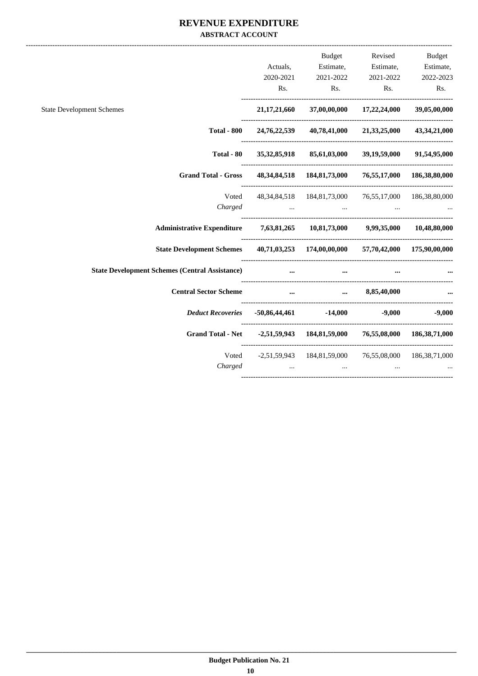#### **REVENUE EXPENDITURE ABSTRACT ACCOUNT**

|                                                                                 |                                                                              |                                                                                     | Budget Revised Budget          |                           |
|---------------------------------------------------------------------------------|------------------------------------------------------------------------------|-------------------------------------------------------------------------------------|--------------------------------|---------------------------|
|                                                                                 |                                                                              | Actuals, Estimate, Estimate, Estimate,                                              |                                |                           |
|                                                                                 |                                                                              | $2020-2021 \qquad \qquad 2021-2022 \qquad \qquad 2021-2022 \qquad \qquad 2022-2023$ |                                |                           |
|                                                                                 |                                                                              | Rs.<br>Rs.                                                                          | Rs.                            | Rs.                       |
| <b>State Development Schemes</b>                                                |                                                                              | 21,17,21,660 37,00,00,000 17,22,24,000 39,05,00,000                                 |                                |                           |
| <b>Total - 800</b>                                                              |                                                                              | 24,76,22,539 40,78,41,000 21,33,25,000 43,34,21,000                                 |                                |                           |
| Total - 80                                                                      | 35, 32, 85, 918                                                              | 85,61,03,000                                                                        |                                | 39,19,59,000 91,54,95,000 |
| Grand Total - Gross 48,34,84,518 184,81,73,000 76,55,17,000 186,38,80,000       |                                                                              |                                                                                     |                                |                           |
| Voted                                                                           |                                                                              | 48, 34, 84, 518 184, 81, 73, 000 76, 55, 17, 000 186, 38, 80, 000                   |                                |                           |
| Charged                                                                         |                                                                              | the contract of the contract of the contract of the                                 | and the company of the company |                           |
| Administrative Expenditure 7,63,81,265 10,81,73,000 9,99,35,000 10,48,80,000    |                                                                              |                                                                                     |                                |                           |
| State Development Schemes 40,71,03,253 174,00,00,000 57,70,42,000 175,90,00,000 |                                                                              |                                                                                     |                                |                           |
| <b>State Development Schemes (Central Assistance)</b>                           | $\cdots$                                                                     | $\cdots$                                                                            |                                |                           |
|                                                                                 |                                                                              |                                                                                     |                                |                           |
| Deduct Recoveries  -50,86,44,461  -14,000  -9,000  -9,000                       |                                                                              |                                                                                     |                                |                           |
| Grand Total - Net -2,51,59,943 184,81,59,000 76,55,08,000 186,38,71,000         |                                                                              |                                                                                     |                                |                           |
| Charged                                                                         | Voted -2,51,59,943 184,81,59,000 76,55,08,000 186,38,71,000<br>$\sim$ $\sim$ | $\cdots$                                                                            |                                |                           |
|                                                                                 |                                                                              |                                                                                     |                                |                           |
|                                                                                 |                                                                              |                                                                                     |                                |                           |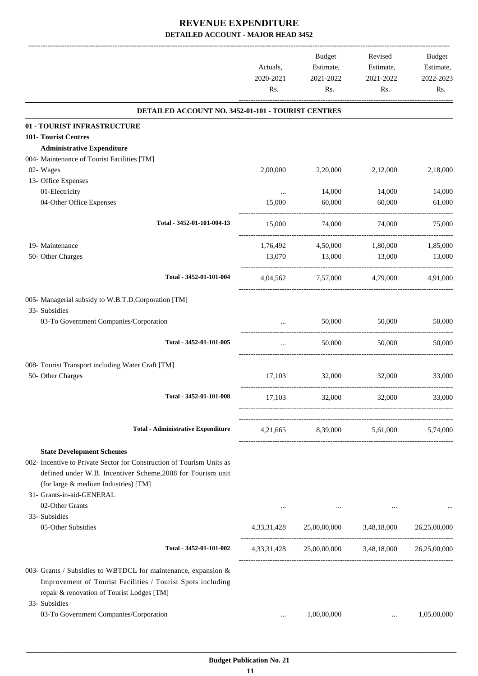|                                                                                                                                                                             | Actuals,<br>2020-2021<br>Rs. | <b>Budget</b><br>Estimate,<br>2021-2022<br>Rs.            | Revised<br>Estimate,<br>2021-2022<br>Rs. | Budget<br>Estimate,<br>2022-2023<br>Rs. |
|-----------------------------------------------------------------------------------------------------------------------------------------------------------------------------|------------------------------|-----------------------------------------------------------|------------------------------------------|-----------------------------------------|
| DETAILED ACCOUNT NO. 3452-01-101 - TOURIST CENTRES                                                                                                                          |                              |                                                           |                                          |                                         |
| 01 - TOURIST INFRASTRUCTURE                                                                                                                                                 |                              |                                                           |                                          |                                         |
| 101- Tourist Centres                                                                                                                                                        |                              |                                                           |                                          |                                         |
| <b>Administrative Expenditure</b>                                                                                                                                           |                              |                                                           |                                          |                                         |
| 004- Maintenance of Tourist Facilities [TM]                                                                                                                                 |                              |                                                           |                                          |                                         |
| 02- Wages                                                                                                                                                                   | 2,00,000                     | 2,20,000                                                  | 2,12,000                                 | 2,18,000                                |
| 13- Office Expenses                                                                                                                                                         |                              |                                                           |                                          |                                         |
| 01-Electricity                                                                                                                                                              | $\cdots$                     | 14,000                                                    | 14,000                                   | 14,000                                  |
| 04-Other Office Expenses                                                                                                                                                    | 15,000                       | 60,000                                                    | 60,000                                   | 61,000                                  |
| Total - 3452-01-101-004-13                                                                                                                                                  | 15,000                       | 74,000                                                    | 74.000                                   | 75,000                                  |
| 19- Maintenance                                                                                                                                                             | 1,76,492                     | 4,50,000                                                  | 1,80,000                                 | 1,85,000                                |
| 50- Other Charges                                                                                                                                                           | 13,070                       | 13,000                                                    | 13,000                                   | 13,000                                  |
| Total - 3452-01-101-004                                                                                                                                                     | 4,04,562                     | 7,57,000                                                  | 4,79,000                                 | 4.91.000                                |
| 005- Managerial subsidy to W.B.T.D.Corporation [TM]                                                                                                                         |                              |                                                           |                                          |                                         |
| 33- Subsidies                                                                                                                                                               |                              |                                                           |                                          |                                         |
| 03-To Government Companies/Corporation                                                                                                                                      | $\cdots$                     | 50,000                                                    | 50,000                                   | 50,000                                  |
| Total - 3452-01-101-005                                                                                                                                                     | $\cdots$                     | 50,000                                                    | 50,000                                   | 50,000                                  |
| 008- Tourist Transport including Water Craft [TM]                                                                                                                           |                              |                                                           |                                          |                                         |
| 50- Other Charges                                                                                                                                                           | 17,103                       | 32,000                                                    | 32,000                                   | 33,000                                  |
| Total - 3452-01-101-008                                                                                                                                                     | 17,103                       | 32,000                                                    | 32,000                                   | 33,000                                  |
|                                                                                                                                                                             |                              |                                                           |                                          |                                         |
| <b>Total - Administrative Expenditure</b>                                                                                                                                   |                              | 4,21,665 8,39,000 5,61,000 5,74,000                       |                                          |                                         |
| <b>State Development Schemes</b>                                                                                                                                            |                              |                                                           |                                          |                                         |
| 002- Incentive to Private Sector for Construction of Tourism Units as<br>defined under W.B. Incentiver Scheme, 2008 for Tourism unit                                        |                              |                                                           |                                          |                                         |
| (for large & medium Industries) [TM]                                                                                                                                        |                              |                                                           |                                          |                                         |
| 31- Grants-in-aid-GENERAL                                                                                                                                                   |                              |                                                           |                                          |                                         |
| 02-Other Grants                                                                                                                                                             | $\cdots$                     | $\cdots$                                                  | $\cdots$                                 | $\cdots$                                |
| 33- Subsidies<br>05-Other Subsidies                                                                                                                                         |                              | $4,33,31,428$ $25,00,00,000$ $3,48,18,000$ $26,25,00,000$ |                                          |                                         |
|                                                                                                                                                                             |                              |                                                           |                                          |                                         |
| Total - 3452-01-101-002                                                                                                                                                     |                              | 4,33,31,428 25,00,00,000 3,48,18,000 26,25,00,000         |                                          |                                         |
| 003- Grants / Subsidies to WBTDCL for maintenance, expansion &<br>Improvement of Tourist Facilities / Tourist Spots including<br>repair & renovation of Tourist Lodges [TM] |                              |                                                           |                                          |                                         |
| 33- Subsidies                                                                                                                                                               |                              |                                                           |                                          |                                         |
| 03-To Government Companies/Corporation                                                                                                                                      | $\cdots$                     | 1,00,00,000                                               | $\cdots$                                 | 1,05,00,000                             |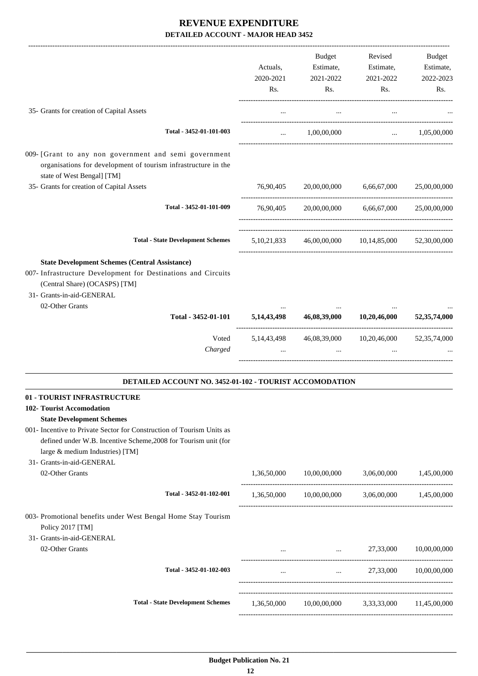|                                                                                                                                                                                                                                                                             | Actuals,<br>2020-2021<br>Rs. | Budget<br>Estimate,<br>2021-2022<br>Rs.                  | Revised<br>Estimate,<br>2021-2022<br>Rs. | <b>Budget</b><br>Estimate,<br>2022-2023<br>Rs. |
|-----------------------------------------------------------------------------------------------------------------------------------------------------------------------------------------------------------------------------------------------------------------------------|------------------------------|----------------------------------------------------------|------------------------------------------|------------------------------------------------|
| 35- Grants for creation of Capital Assets                                                                                                                                                                                                                                   | $\cdots$                     | $\cdots$                                                 |                                          |                                                |
| Total - 3452-01-101-003                                                                                                                                                                                                                                                     | $\ddotsc$                    | 1,00,00,000                                              | $\cdots$                                 | 1,05,00,000                                    |
| 009- [Grant to any non government and semi government<br>organisations for development of tourism infrastructure in the<br>state of West Bengal] [TM]<br>35- Grants for creation of Capital Assets                                                                          | 76,90,405                    | 20,00,00,000                                             | 6,66,67,000                              | 25,00,00,000                                   |
| Total - 3452-01-101-009                                                                                                                                                                                                                                                     |                              |                                                          |                                          |                                                |
|                                                                                                                                                                                                                                                                             | 76,90,405                    |                                                          | 20,00,00,000 6,66,67,000                 | 25,00,00,000                                   |
| <b>Total - State Development Schemes</b>                                                                                                                                                                                                                                    |                              | 5,10,21,833 46,00,00,000 10,14,85,000                    |                                          | 52,30,00,000                                   |
| <b>State Development Schemes (Central Assistance)</b><br>007- Infrastructure Development for Destinations and Circuits<br>(Central Share) (OCASPS) [TM]<br>31- Grants-in-aid-GENERAL<br>02-Other Grants                                                                     |                              |                                                          |                                          |                                                |
| Total - 3452-01-101                                                                                                                                                                                                                                                         | 5, 14, 43, 498               | 46,08,39,000                                             | 10,20,46,000                             | 52, 35, 74, 000                                |
| Voted<br>Charged                                                                                                                                                                                                                                                            | 5, 14, 43, 498               | 46,08,39,000                                             | 10,20,46,000                             | 52, 35, 74, 000                                |
| DETAILED ACCOUNT NO. 3452-01-102 - TOURIST ACCOMODATION                                                                                                                                                                                                                     |                              |                                                          |                                          |                                                |
| 01 - TOURIST INFRASTRUCTURE<br>102- Tourist Accomodation<br><b>State Development Schemes</b><br>001- Incentive to Private Sector for Construction of Tourism Units as<br>defined under W.B. Incentive Scheme, 2008 for Tourism unit (for<br>large & medium Industries) [TM] |                              |                                                          |                                          |                                                |
| 31- Grants-in-aid-GENERAL<br>02-Other Grants                                                                                                                                                                                                                                | 1,36,50,000                  | 10,00,00,000                                             | 3,06,00,000                              | 1,45,00,000                                    |
| Total - 3452-01-102-001                                                                                                                                                                                                                                                     |                              |                                                          |                                          |                                                |
| 003- Promotional benefits under West Bengal Home Stay Tourism<br>Policy 2017 [TM]<br>31- Grants-in-aid-GENERAL                                                                                                                                                              |                              | $1,36,50,000$ $10,00,00,000$ $3,06,00,000$ $1,45,00,000$ |                                          |                                                |
| 02-Other Grants                                                                                                                                                                                                                                                             |                              | 27,33,000 $\ldots$ 27,33,000                             |                                          | 10,00,00,000                                   |
| Total - 3452-01-102-003                                                                                                                                                                                                                                                     | $\cdots$                     |                                                          | $27,33,000$ $10,00,00,000$               |                                                |
| <b>Total - State Development Schemes</b>                                                                                                                                                                                                                                    | 1,36,50,000                  | 10,00,00,000 3,33,33,000                                 |                                          | 11,45,00,000                                   |
|                                                                                                                                                                                                                                                                             |                              |                                                          |                                          |                                                |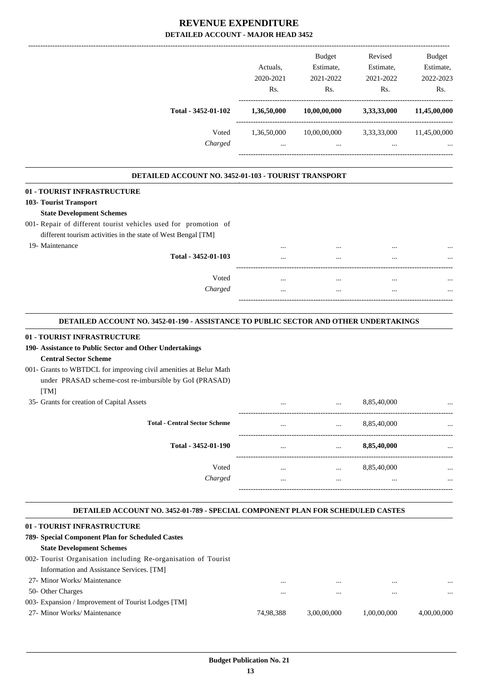|                                                      |             | <b>Budget</b> | Revised     | <b>Budget</b> |
|------------------------------------------------------|-------------|---------------|-------------|---------------|
|                                                      | Actuals.    | Estimate,     | Estimate,   | Estimate,     |
|                                                      | 2020-2021   | 2021-2022     | 2021-2022   | 2022-2023     |
|                                                      | Rs.         | Rs.           | Rs.         | Rs.           |
| Total - 3452-01-102                                  | 1,36,50,000 | 10,00,00,000  | 3,33,33,000 | 11,45,00,000  |
| Voted                                                | 1,36,50,000 | 10,00,00,000  | 3,33,33,000 | 11,45,00,000  |
| Charged                                              | $\cdots$    | $\cdots$      | $\cdots$    | $\cdots$      |
| DETAILED ACCOUNT NO. 3452-01-103 - TOURIST TRANSPORT |             |               |             |               |
| 01 - TOURIST INFRASTRUCTURE                          |             |               |             |               |
| 103- Tourist Transport                               |             |               |             |               |
| <b>State Development Schemes</b>                     |             |               |             |               |

#### 001- Repair of different tourist vehicles used for promotion of different tourism activities in the state of West Bengal [TM]

19- Maintenance

| est Bengal [TM]     |          |          |              |
|---------------------|----------|----------|--------------|
|                     |          | $\cdots$ | <br>$\cdots$ |
| Total - 3452-01-103 | $\cdots$ | $\cdots$ | <br>$\cdots$ |
|                     |          |          |              |
| Voted               |          | $\cdots$ | <br>$\cdots$ |
| Charged             |          | $\cdots$ | <br>$\cdots$ |
|                     |          |          |              |

.

.

#### **DETAILED ACCOUNT NO. 3452-01-190 - ASSISTANCE TO PUBLIC SECTOR AND OTHER UNDERTAKINGS .**

#### **01 - TOURIST INFRASTRUCTURE**

#### **190- Assistance to Public Sector and Other Undertakings Central Sector Scheme**

#### 001- Grants to WBTDCL for improving civil amenities at Belur Math under PRASAD scheme-cost re-imbursible by GoI (PRASAD)  $[TM]$

| 35- Grants for creation of Capital Assets |              |                      | 8,85,40,000     |              |
|-------------------------------------------|--------------|----------------------|-----------------|--------------|
| <b>Total - Central Sector Scheme</b>      |              | $\cdots$             | 8,85,40,000     | $\cdots$     |
| Total - 3452-01-190                       |              |                      | 8,85,40,000     | $\cdots$     |
| Voted<br>Charged                          | $\cdots$<br> | $\cdots$<br>$\cdots$ | 8,85,40,000<br> | $\cdots$<br> |
|                                           |              |                      |                 |              |

#### **DETAILED ACCOUNT NO. 3452-01-789 - SPECIAL COMPONENT PLAN FOR SCHEDULED CASTES .**

| 01 - TOURIST INFRASTRUCTURE                                    |           |             |             |             |
|----------------------------------------------------------------|-----------|-------------|-------------|-------------|
| 789- Special Component Plan for Scheduled Castes               |           |             |             |             |
| <b>State Development Schemes</b>                               |           |             |             |             |
| 002- Tourist Organisation including Re-organisation of Tourist |           |             |             |             |
| Information and Assistance Services. [TM]                      |           |             |             |             |
| 27- Minor Works/ Maintenance                                   |           | $\cdots$    | $\cdots$    | $\cdots$    |
| 50- Other Charges                                              |           | $\cdots$    | $\cdots$    | $\cdots$    |
| 003- Expansion / Improvement of Tourist Lodges [TM]            |           |             |             |             |
| 27- Minor Works/ Maintenance                                   | 74.98.388 | 3.00.00.000 | 1.00.00.000 | 4.00.00.000 |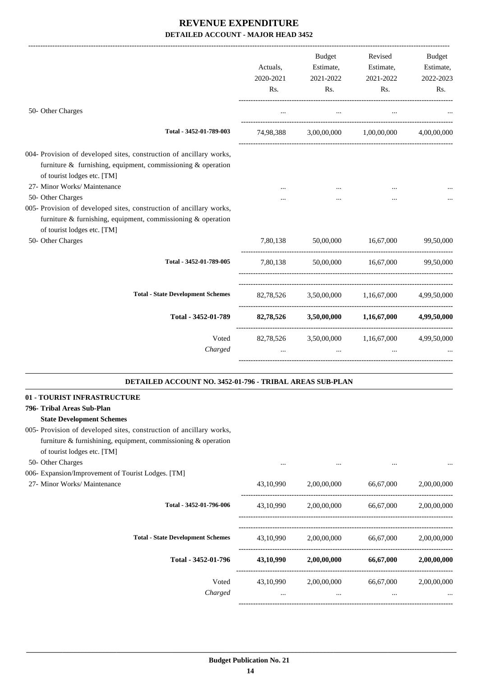|                                                                                                                                                                                               | Actuals,<br>2020-2021<br>Rs. | <b>Budget</b><br>Estimate,<br>2021-2022<br>Rs. | Revised<br>Estimate,<br>2021-2022<br>Rs. | Budget<br>Estimate,<br>2022-2023<br>Rs. |
|-----------------------------------------------------------------------------------------------------------------------------------------------------------------------------------------------|------------------------------|------------------------------------------------|------------------------------------------|-----------------------------------------|
| 50- Other Charges                                                                                                                                                                             | $\cdots$                     | $\cdots$                                       |                                          |                                         |
| Total - 3452-01-789-003                                                                                                                                                                       | 74,98,388                    |                                                | 3,00,00,000 1,00,00,000                  | 4.00.00.000                             |
| 004- Provision of developed sites, construction of ancillary works,<br>furniture $\&$ furnishing, equipment, commissioning $\&$ operation<br>of tourist lodges etc. [TM]                      |                              |                                                |                                          |                                         |
| 27- Minor Works/ Maintenance                                                                                                                                                                  |                              |                                                |                                          |                                         |
| 50- Other Charges<br>005- Provision of developed sites, construction of ancillary works,<br>furniture $\&$ furnishing, equipment, commissioning $\&$ operation<br>of tourist lodges etc. [TM] |                              |                                                |                                          |                                         |
| 50- Other Charges                                                                                                                                                                             | 7,80,138                     | 50,00,000                                      | 16,67,000                                | 99,50,000                               |
| Total - 3452-01-789-005                                                                                                                                                                       | 7,80,138                     |                                                | 50,00,000 16,67,000                      | 99,50,000                               |
| <b>Total - State Development Schemes</b>                                                                                                                                                      |                              | 82,78,526 3,50,00,000 1,16,67,000              |                                          | 4,99,50,000                             |
| Total - 3452-01-789                                                                                                                                                                           |                              | 82,78,526 3,50,00,000 1,16,67,000              |                                          | 4,99,50,000                             |
| Voted<br>Charged                                                                                                                                                                              | $\cdots$                     | 82,78,526 3,50,00,000 1,16,67,000<br>$\ddots$  | $\cdots$                                 | 4,99,50,000                             |
| DETAILED ACCOUNT NO. 3452-01-796 - TRIBAL AREAS SUB-PLAN                                                                                                                                      |                              |                                                |                                          |                                         |
| 01 - TOURIST INFRASTRUCTURE                                                                                                                                                                   |                              |                                                |                                          |                                         |
| 796- Tribal Areas Sub-Plan                                                                                                                                                                    |                              |                                                |                                          |                                         |
| <b>State Development Schemes</b>                                                                                                                                                              |                              |                                                |                                          |                                         |
| 005- Provision of developed sites, construction of ancillary works,<br>furniture $\&$ furnishining, equipment, commissioning $\&$ operation                                                   |                              |                                                |                                          |                                         |
| of tourist lodges etc. [TM]<br>50- Other Charges                                                                                                                                              |                              |                                                |                                          |                                         |
| 006- Expansion/Improvement of Tourist Lodges. [TM]                                                                                                                                            | $\cdots$                     | $\cdots$                                       | $\cdots$                                 |                                         |

27- Minor Works/ Maintenance 43,10,990 2,00,00,000 66,67,000 2,00,00,000

| Total - 3452-01-796-006                  | 43,10,990             | 2,00,00,000             | 66,67,000             | 2,00,00,000     |
|------------------------------------------|-----------------------|-------------------------|-----------------------|-----------------|
| <b>Total - State Development Schemes</b> | 43,10,990             | 2,00,00,000             | 66,67,000             | 2,00,00,000     |
| Total - 3452-01-796                      | 43,10,990             | 2,00,00,000             | 66,67,000             | 2,00,00,000     |
| Voted<br>Charged                         | 43,10,990<br>$\cdots$ | 2,00,00,000<br>$\cdots$ | 66,67,000<br>$\cdots$ | 2,00,00,000<br> |
|                                          |                       |                         |                       |                 |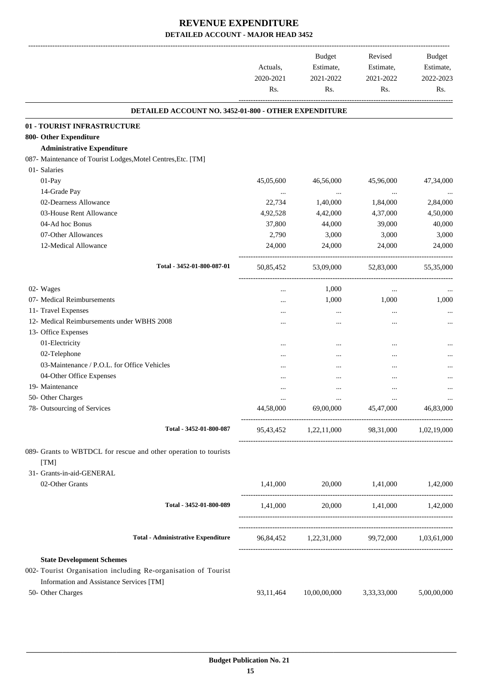-------------------------------------------------------------------------------------------------------------------------------------------------------------------------------

|                                                                  | Actuals,<br>2020-2021<br>Rs. | <b>Budget</b><br>Estimate,<br>2021-2022<br>Rs. | Revised<br>Estimate,<br>2021-2022<br>Rs. | <b>Budget</b><br>Estimate,<br>2022-2023<br>Rs. |
|------------------------------------------------------------------|------------------------------|------------------------------------------------|------------------------------------------|------------------------------------------------|
| DETAILED ACCOUNT NO. 3452-01-800 - OTHER EXPENDITURE             |                              |                                                |                                          |                                                |
| 01 - TOURIST INFRASTRUCTURE                                      |                              |                                                |                                          |                                                |
| 800- Other Expenditure                                           |                              |                                                |                                          |                                                |
| <b>Administrative Expenditure</b>                                |                              |                                                |                                          |                                                |
| 087- Maintenance of Tourist Lodges, Motel Centres, Etc. [TM]     |                              |                                                |                                          |                                                |
| 01- Salaries                                                     |                              |                                                |                                          |                                                |
| 01-Pay                                                           | 45,05,600                    | 46,56,000                                      | 45,96,000                                | 47,34,000                                      |
| 14-Grade Pay                                                     | $\cdots$                     | $\cdots$                                       | $\cdots$                                 |                                                |
| 02-Dearness Allowance                                            | 22,734                       | 1,40,000                                       | 1,84,000                                 | 2,84,000                                       |
| 03-House Rent Allowance                                          | 4,92,528                     | 4,42,000                                       | 4,37,000                                 | 4,50,000                                       |
| 04-Ad hoc Bonus                                                  | 37,800                       | 44,000                                         | 39,000                                   | 40,000                                         |
| 07-Other Allowances                                              | 2,790                        | 3,000                                          | 3,000                                    | 3,000                                          |
| 12-Medical Allowance                                             | 24,000                       | 24,000                                         | 24,000                                   | 24,000                                         |
| Total - 3452-01-800-087-01                                       | 50,85,452                    | 53,09,000                                      | 52,83,000                                | 55,35,000                                      |
| 02- Wages                                                        |                              | 1,000                                          | $\cdots$                                 | $\cdots$                                       |
| 07- Medical Reimbursements                                       |                              | 1,000                                          | 1,000                                    | 1,000                                          |
| 11- Travel Expenses                                              |                              | $\ddotsc$                                      |                                          |                                                |
| 12- Medical Reimbursements under WBHS 2008                       | $\cdots$                     |                                                | $\ddotsc$                                |                                                |
| 13- Office Expenses                                              |                              |                                                |                                          |                                                |
| 01-Electricity                                                   |                              | $\ddotsc$                                      |                                          |                                                |
| 02-Telephone                                                     |                              |                                                |                                          |                                                |
| 03-Maintenance / P.O.L. for Office Vehicles                      |                              |                                                |                                          |                                                |
| 04-Other Office Expenses                                         |                              |                                                | $\ddotsc$                                |                                                |
| 19- Maintenance                                                  | $\cdots$                     | $\ddotsc$                                      | $\ddotsc$                                |                                                |
| 50- Other Charges                                                | $\cdots$                     |                                                | $\ddotsc$                                | $\cdots$                                       |
| 78- Outsourcing of Services                                      | 44,58,000                    | 69,00,000                                      | 45,47,000                                | 46,83,000                                      |
| Total - 3452-01-800-087                                          |                              | 95,43,452 1,22,11,000 98,31,000 1,02,19,000    |                                          |                                                |
| 089- Grants to WBTDCL for rescue and other operation to tourists |                              |                                                |                                          |                                                |
| [TM]                                                             |                              |                                                |                                          |                                                |
| 31- Grants-in-aid-GENERAL                                        |                              |                                                |                                          |                                                |
| 02-Other Grants                                                  | 1,41,000                     |                                                | 20,000 1,41,000 1,42,000                 |                                                |
| Total - 3452-01-800-089                                          | 1,41,000                     |                                                | 20,000 1,41,000 1,42,000                 |                                                |
| <b>Total - Administrative Expenditure</b>                        |                              | 96,84,452 1,22,31,000 99,72,000 1,03,61,000    |                                          |                                                |
| <b>State Development Schemes</b>                                 |                              |                                                |                                          |                                                |
| 002- Tourist Organisation including Re-organisation of Tourist   |                              |                                                |                                          |                                                |
| Information and Assistance Services [TM]<br>50- Other Charges    | 93,11,464                    | 10,00,00,000                                   | 3,33,33,000                              | 5,00,00,000                                    |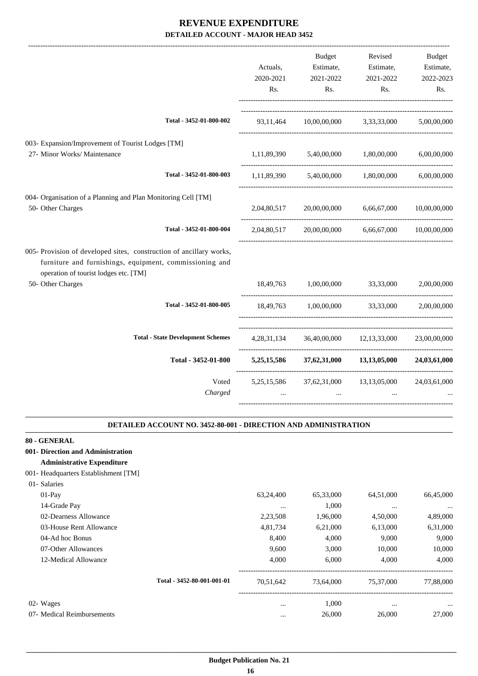|                                                                                                                                                                         |                                          |                  | <b>Budget</b>                                   | Revised                               | Budget           |
|-------------------------------------------------------------------------------------------------------------------------------------------------------------------------|------------------------------------------|------------------|-------------------------------------------------|---------------------------------------|------------------|
|                                                                                                                                                                         |                                          | Actuals,         | Estimate,                                       | Estimate,                             | Estimate,        |
|                                                                                                                                                                         |                                          | 2020-2021<br>Rs. | 2021-2022<br>Rs.                                | 2021-2022<br>Rs.                      | 2022-2023<br>Rs. |
|                                                                                                                                                                         |                                          |                  |                                                 |                                       |                  |
|                                                                                                                                                                         | Total - 3452-01-800-002                  | 93,11,464        |                                                 | $10,00,00,000$ $3,33,33,000$          | 5,00,00,000      |
| 003- Expansion/Improvement of Tourist Lodges [TM]                                                                                                                       |                                          |                  |                                                 |                                       |                  |
| 27- Minor Works/ Maintenance                                                                                                                                            |                                          |                  | 1,11,89,390 5,40,00,000 1,80,00,000             |                                       | 6,00,00,000      |
|                                                                                                                                                                         | Total - 3452-01-800-003                  |                  | 1,11,89,390 5,40,00,000 1,80,00,000 6,00,00,000 |                                       |                  |
| 004- Organisation of a Planning and Plan Monitoring Cell [TM]                                                                                                           |                                          |                  |                                                 |                                       |                  |
| 50- Other Charges                                                                                                                                                       |                                          | 2,04,80,517      | 20,00,00,000                                    | 6,66,67,000                           | 10,00,00,000     |
|                                                                                                                                                                         | Total - 3452-01-800-004                  | 2,04,80,517      |                                                 | 20,00,00,000 6,66,67,000 10,00,00,000 |                  |
| 005- Provision of developed sites, construction of ancillary works,<br>furniture and furnishings, equipment, commissioning and<br>operation of tourist lodges etc. [TM] |                                          |                  |                                                 |                                       |                  |
| 50- Other Charges                                                                                                                                                       |                                          |                  | 18,49,763 1,00,00,000 33,33,000                 |                                       | 2,00,00,000      |
|                                                                                                                                                                         | Total - 3452-01-800-005                  | 18,49,763        | 1,00,00,000 33,33,000                           |                                       | 2,00,00,000      |
|                                                                                                                                                                         | <b>Total - State Development Schemes</b> |                  | 4,28,31,134 36,40,00,000 12,13,33,000           |                                       | 23,00,00,000     |
|                                                                                                                                                                         | Total - 3452-01-800                      | 5,25,15,586      |                                                 | $37,62,31,000$ $13,13,05,000$         | 24,03,61,000     |
|                                                                                                                                                                         | Voted<br>Charged                         | $\cdots$         | 5,25,15,586 37,62,31,000<br>$\ddots$            | 13, 13, 05, 000<br>$\cdots$           | 24,03,61,000     |

#### **DETAILED ACCOUNT NO. 3452-80-001 - DIRECTION AND ADMINISTRATION .**

.

| 80 - GENERAL                         |                            |           |           |           |           |
|--------------------------------------|----------------------------|-----------|-----------|-----------|-----------|
| 001- Direction and Administration    |                            |           |           |           |           |
| <b>Administrative Expenditure</b>    |                            |           |           |           |           |
| 001- Headquarters Establishment [TM] |                            |           |           |           |           |
| 01- Salaries                         |                            |           |           |           |           |
| $01-Pay$                             |                            | 63,24,400 | 65,33,000 | 64,51,000 | 66,45,000 |
| 14-Grade Pay                         |                            | $\cdots$  | 1,000     | $\cdots$  | $\ddotsc$ |
| 02-Dearness Allowance                |                            | 2,23,508  | 1,96,000  | 4,50,000  | 4,89,000  |
| 03-House Rent Allowance              |                            | 4,81,734  | 6,21,000  | 6,13,000  | 6,31,000  |
| 04-Ad hoc Bonus                      |                            | 8,400     | 4,000     | 9,000     | 9,000     |
| 07-Other Allowances                  |                            | 9,600     | 3,000     | 10,000    | 10,000    |
| 12-Medical Allowance                 |                            | 4,000     | 6,000     | 4,000     | 4,000     |
|                                      | Total - 3452-80-001-001-01 | 70,51,642 | 73,64,000 | 75,37,000 | 77,88,000 |
| 02- Wages                            |                            | $\cdots$  | 1,000     | $\cdots$  | $\ddotsc$ |
| 07- Medical Reimbursements           |                            | $\cdots$  | 26,000    | 26,000    | 27,000    |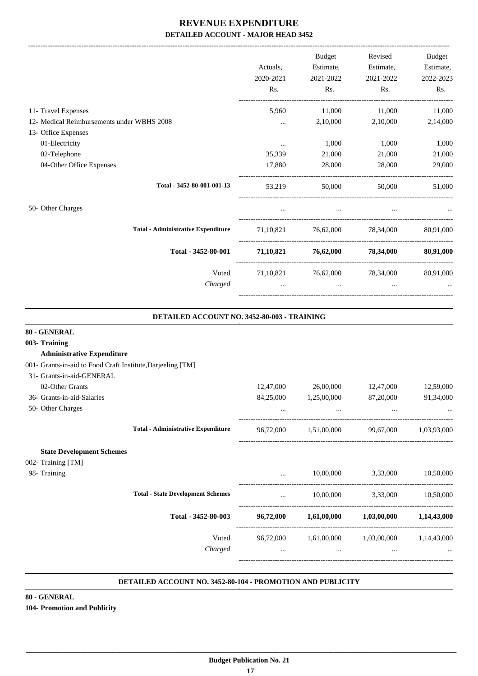-------------------------------------------------------------------------------------------------------------------------------------------------------------------------------

|                                            | Actuals,<br>2020-2021<br>Rs. | <b>Budget</b><br>Estimate,<br>2021-2022<br>Rs. | Revised<br>Estimate,<br>2021-2022<br>Rs. | Budget<br>Estimate,<br>2022-2023<br>Rs. |
|--------------------------------------------|------------------------------|------------------------------------------------|------------------------------------------|-----------------------------------------|
| 11- Travel Expenses                        | 5.960                        | 11,000                                         | 11,000                                   | 11,000                                  |
| 12- Medical Reimbursements under WBHS 2008 | $\cdots$                     | 2,10,000                                       | 2,10,000                                 | 2,14,000                                |
| 13- Office Expenses                        |                              |                                                |                                          |                                         |
| 01-Electricity<br>02-Telephone             | $\cdots$<br>35,339           | 1,000<br>21,000                                | 1,000<br>21,000                          | 1,000<br>21,000                         |
| 04-Other Office Expenses                   | 17,880                       | 28,000                                         | 28,000                                   | 29,000                                  |
| Total - 3452-80-001-001-13                 | 53,219                       | 50,000                                         | 50,000                                   | 51,000                                  |
| 50- Other Charges                          | $\cdots$                     | $\cdots$                                       | $\cdots$                                 |                                         |
| <b>Total - Administrative Expenditure</b>  |                              |                                                | 71,10,821 76,62,000 78,34,000            | 80,91,000                               |
| Total - 3452-80-001                        | 71,10,821                    | 76,62,000                                      | 78,34,000                                | 80,91,000                               |
| Voted                                      |                              |                                                | 71,10,821 76,62,000 78,34,000            | 80,91,000                               |
| Charged                                    |                              | $\cdots$                                       | $\cdots$                                 |                                         |
|                                            |                              |                                                |                                          |                                         |

#### **DETAILED ACCOUNT NO. 3452-80-003 - TRAINING**

.

| 80 - GENERAL                                                |           |             |                                               |             |
|-------------------------------------------------------------|-----------|-------------|-----------------------------------------------|-------------|
| 003- Training                                               |           |             |                                               |             |
| <b>Administrative Expenditure</b>                           |           |             |                                               |             |
| 001- Grants-in-aid to Food Craft Institute, Darjeeling [TM] |           |             |                                               |             |
| 31- Grants-in-aid-GENERAL                                   |           |             |                                               |             |
| 02-Other Grants                                             | 12,47,000 | 26,00,000   | 12,47,000                                     | 12,59,000   |
| 36- Grants-in-aid-Salaries                                  | 84,25,000 | 1,25,00,000 | 87,20,000                                     | 91,34,000   |
| 50- Other Charges                                           | $\cdots$  | $\cdots$    | $\cdots$                                      |             |
| <b>Total - Administrative Expenditure</b>                   | 96,72,000 |             | 1,51,00,000 99,67,000                         | 1,03,93,000 |
| <b>State Development Schemes</b>                            |           |             |                                               |             |
| 002- Training [TM]                                          |           |             |                                               |             |
| 98- Training                                                |           |             | 10,00,000 3,33,000                            | 10,50,000   |
| <b>Total - State Development Schemes</b>                    | $\ddots$  |             | 10,00,000 3,33,000 10,50,000                  |             |
| Total - 3452-80-003                                         |           |             | 96,72,000 1,61,00,000 1,03,00,000 1,14,43,000 |             |
| Voted                                                       |           |             | 96,72,000 1,61,00,000 1,03,00,000 1,14,43,000 |             |
| Charged                                                     | $\cdots$  | $\cdots$    | $\cdots$                                      |             |
|                                                             |           |             |                                               |             |

#### **DETAILED ACCOUNT NO. 3452-80-104 - PROMOTION AND PUBLICITY .**

**80 - GENERAL 104- Promotion and Publicity**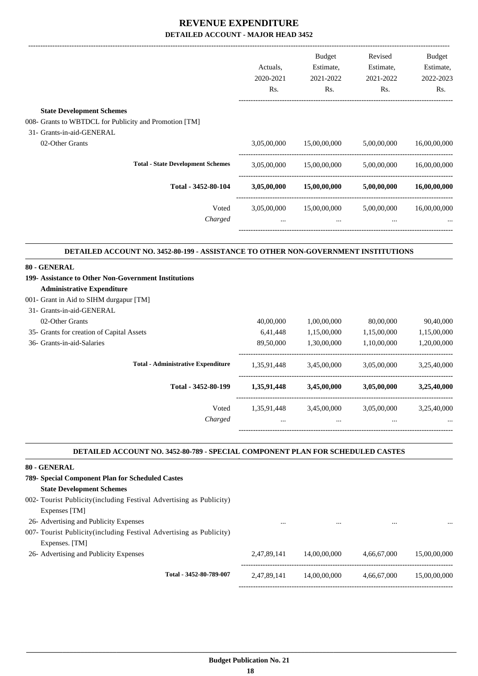|                                                                                                                         | Actuals,<br>2020-2021<br>Rs. | <b>Budget</b><br>Estimate,<br>2021-2022<br>Rs. | Revised<br>Estimate,<br>2021-2022<br>Rs. | <b>Budget</b><br>Estimate,<br>2022-2023<br>Rs.                                       |
|-------------------------------------------------------------------------------------------------------------------------|------------------------------|------------------------------------------------|------------------------------------------|--------------------------------------------------------------------------------------|
| <b>State Development Schemes</b>                                                                                        |                              |                                                |                                          |                                                                                      |
| 008- Grants to WBTDCL for Publicity and Promotion [TM]                                                                  |                              |                                                |                                          |                                                                                      |
| 31- Grants-in-aid-GENERAL                                                                                               |                              |                                                |                                          |                                                                                      |
| 02-Other Grants                                                                                                         | 3,05,00,000                  | 15,00,00,000                                   | 5,00,00,000                              | 16,00,00,000                                                                         |
| <b>Total - State Development Schemes</b>                                                                                | 3,05,00,000                  | 15,00,00,000 5,00,00,000                       |                                          | 16,00,00,000                                                                         |
| Total - 3452-80-104                                                                                                     | 3,05,00,000                  | 15,00,00,000                                   | 5,00,00,000                              | 16,00,00,000                                                                         |
| Voted                                                                                                                   | 3,05,00,000                  | 15,00,00,000                                   | 5,00,00,000                              | 16,00,00,000                                                                         |
|                                                                                                                         |                              |                                                |                                          |                                                                                      |
| Charged                                                                                                                 |                              | $\dddot{\phantom{0}}$                          | $\cdots$                                 |                                                                                      |
| DETAILED ACCOUNT NO. 3452-80-199 - ASSISTANCE TO OTHER NON-GOVERNMENT INSTITUTIONS<br><b>Administrative Expenditure</b> |                              |                                                |                                          |                                                                                      |
| 80 - GENERAL<br>199- Assistance to Other Non-Government Institutions                                                    |                              |                                                |                                          |                                                                                      |
| 31- Grants-in-aid-GENERAL                                                                                               |                              |                                                |                                          |                                                                                      |
| 001- Grant in Aid to SIHM durgapur [TM]<br>02-Other Grants                                                              | 40,00,000                    | 1,00,00,000                                    | 80,00,000                                |                                                                                      |
| 35- Grants for creation of Capital Assets                                                                               | 6,41,448                     | 1,15,00,000                                    | 1,15,00,000                              |                                                                                      |
| 36- Grants-in-aid-Salaries                                                                                              | 89,50,000                    | 1,30,00,000                                    | 1,10,00,000                              |                                                                                      |
| <b>Total - Administrative Expenditure</b>                                                                               |                              | 1,35,91,448 3,45,00,000                        | 3,05,00,000                              |                                                                                      |
| Total - 3452-80-199                                                                                                     |                              | 1,35,91,448 3,45,00,000                        | 3,05,00,000                              |                                                                                      |
| Voted                                                                                                                   |                              | 1,35,91,448 3,45,00,000                        | 3,05,00,000                              | 90,40,000<br>1,15,00,000<br>1,20,00,000<br>3,25,40,000<br>3,25,40,000<br>3,25,40,000 |

#### **DETAILED ACCOUNT NO. 3452-80-789 - SPECIAL COMPONENT PLAN FOR SCHEDULED CASTES .**

| 80 - GENERAL                                                         |             |              |             |              |
|----------------------------------------------------------------------|-------------|--------------|-------------|--------------|
| 789- Special Component Plan for Scheduled Castes                     |             |              |             |              |
| <b>State Development Schemes</b>                                     |             |              |             |              |
| 002- Tourist Publicity (including Festival Advertising as Publicity) |             |              |             |              |
| Expenses [TM]                                                        |             |              |             |              |
| 26- Advertising and Publicity Expenses                               |             |              |             | $\cdots$     |
| 007- Tourist Publicity (including Festival Advertising as Publicity) |             |              |             |              |
| Expenses. [TM]                                                       |             |              |             |              |
| 26- Advertising and Publicity Expenses                               | 2.47.89.141 | 14,00,00,000 | 4.66.67.000 | 15.00.00.000 |
|                                                                      |             |              |             |              |
| Total - 3452-80-789-007                                              | 2,47,89,141 | 14.00.00.000 | 4,66,67,000 | 15,00,00,000 |
|                                                                      |             |              |             |              |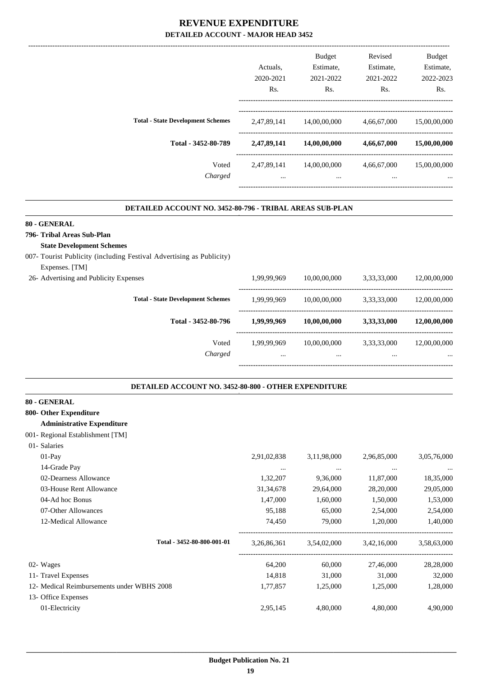|                                          |             | <b>Budget</b> | Revised     | <b>Budget</b> |
|------------------------------------------|-------------|---------------|-------------|---------------|
|                                          | Actuals.    | Estimate,     | Estimate,   | Estimate,     |
|                                          | 2020-2021   | 2021-2022     | 2021-2022   | 2022-2023     |
|                                          | Rs.         | Rs.           | Rs.         | Rs.           |
| <b>Total - State Development Schemes</b> | 2,47,89,141 | 14,00,00,000  | 4,66,67,000 | 15,00,00,000  |
| Total - 3452-80-789                      | 2,47,89,141 | 14,00,00,000  | 4,66,67,000 | 15,00,00,000  |
| Voted                                    | 2,47,89,141 | 14,00,00,000  | 4,66,67,000 | 15,00,00,000  |
| Charged                                  | $\cdots$    | $\cdots$      | $\cdots$    |               |

.

.

#### **DETAILED ACCOUNT NO. 3452-80-796 - TRIBAL AREAS SUB-PLAN .**

#### **80 - GENERAL**

**796- Tribal Areas Sub-Plan**

#### **State Development Schemes**

007- Tourist Publicity (including Festival Advertising as Publicity)

| Expenses. [TM]                         |                                          |             |              |             |              |
|----------------------------------------|------------------------------------------|-------------|--------------|-------------|--------------|
| 26- Advertising and Publicity Expenses |                                          | 1,99,99,969 | 10,00,00,000 | 3,33,33,000 | 12,00,00,000 |
|                                        | <b>Total - State Development Schemes</b> | 1.99.99.969 | 10,00,00,000 | 3,33,33,000 | 12,00,00,000 |
|                                        | Total - 3452-80-796                      | 1,99,99,969 | 10,00,00,000 | 3,33,33,000 | 12,00,00,000 |
|                                        | Voted                                    | 1.99.99.969 | 10,00,00,000 | 3,33,33,000 | 12,00,00,000 |
|                                        | Charged                                  |             |              |             | $\cdots$     |
|                                        |                                          |             |              |             |              |

#### **DETAILED ACCOUNT NO. 3452-80-800 - OTHER EXPENDITURE .**

| 80 - GENERAL                               |             |             |             |             |
|--------------------------------------------|-------------|-------------|-------------|-------------|
| 800- Other Expenditure                     |             |             |             |             |
| <b>Administrative Expenditure</b>          |             |             |             |             |
| 001- Regional Establishment [TM]           |             |             |             |             |
| 01- Salaries                               |             |             |             |             |
| $01-Pay$                                   | 2,91,02,838 | 3,11,98,000 | 2,96,85,000 | 3,05,76,000 |
| 14-Grade Pay                               | $\cdots$    | $\cdots$    | $\cdots$    |             |
| 02-Dearness Allowance                      | 1,32,207    | 9,36,000    | 11,87,000   | 18,35,000   |
| 03-House Rent Allowance                    | 31, 34, 678 | 29,64,000   | 28,20,000   | 29,05,000   |
| 04-Ad hoc Bonus                            | 1,47,000    | 1,60,000    | 1,50,000    | 1,53,000    |
| 07-Other Allowances                        | 95,188      | 65,000      | 2,54,000    | 2,54,000    |
| 12-Medical Allowance                       | 74,450      | 79,000      | 1,20,000    | 1,40,000    |
| Total - 3452-80-800-001-01                 | 3,26,86,361 | 3,54,02,000 | 3,42,16,000 | 3,58,63,000 |
| 02- Wages                                  | 64,200      | 60,000      | 27,46,000   | 28,28,000   |
| 11- Travel Expenses                        | 14,818      | 31,000      | 31,000      | 32,000      |
| 12- Medical Reimbursements under WBHS 2008 | 1,77,857    | 1,25,000    | 1,25,000    | 1,28,000    |
| 13- Office Expenses                        |             |             |             |             |
| 01-Electricity                             | 2,95,145    | 4,80,000    | 4,80,000    | 4,90,000    |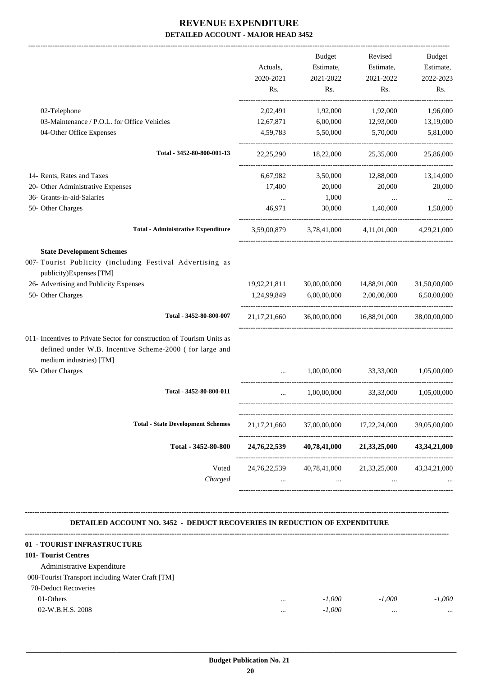|                                                                                                                                    |                           | <b>Budget</b>                         | Revised                   | <b>Budget</b>   |
|------------------------------------------------------------------------------------------------------------------------------------|---------------------------|---------------------------------------|---------------------------|-----------------|
|                                                                                                                                    | Actuals,                  | Estimate,                             | Estimate,                 | Estimate,       |
|                                                                                                                                    | 2020-2021                 | 2021-2022                             | 2021-2022                 | 2022-2023       |
|                                                                                                                                    | Rs.                       | Rs.                                   | Rs.                       | Rs.             |
| 02-Telephone                                                                                                                       | 2,02,491                  | 1,92,000                              | 1,92,000                  | 1,96,000        |
| 03-Maintenance / P.O.L. for Office Vehicles                                                                                        | 12,67,871                 | 6,00,000                              | 12,93,000                 | 13,19,000       |
| 04-Other Office Expenses                                                                                                           | 4,59,783                  | 5,50,000                              | 5,70,000                  | 5,81,000        |
| Total - 3452-80-800-001-13                                                                                                         | 22, 25, 290               | 18,22,000                             | 25,35,000                 | 25,86,000       |
| 14- Rents, Rates and Taxes                                                                                                         | 6,67,982                  | 3,50,000                              | 12,88,000                 | 13,14,000       |
| 20- Other Administrative Expenses                                                                                                  | 17,400                    | 20,000                                | 20,000                    | 20,000          |
| 36- Grants-in-aid-Salaries                                                                                                         | $\cdots$                  | 1,000                                 | $\cdots$                  |                 |
| 50- Other Charges                                                                                                                  | 46,971                    | 30,000                                | 1,40,000                  | 1,50,000        |
| <b>Total - Administrative Expenditure</b>                                                                                          | 3,59,00,879               |                                       | 3.78.41.000 4.11.01.000   | 4,29,21,000     |
| <b>State Development Schemes</b>                                                                                                   |                           |                                       |                           |                 |
| 007- Tourist Publicity (including Festival Advertising as<br>publicity)Expenses [TM]                                               |                           |                                       |                           |                 |
| 26- Advertising and Publicity Expenses                                                                                             | 19,92,21,811              | 30,00,00,000                          | 14,88,91,000              | 31,50,00,000    |
| 50- Other Charges                                                                                                                  | 1,24,99,849               | 6,00,00,000                           | 2,00,00,000               | 6,50,00,000     |
| Total - 3452-80-800-007                                                                                                            | 21, 17, 21, 660           |                                       | 36,00,00,000 16,88,91,000 | 38,00,00,000    |
| 011- Incentives to Private Sector for construction of Tourism Units as<br>defined under W.B. Incentive Scheme-2000 ( for large and |                           |                                       |                           |                 |
| medium industries) [TM]                                                                                                            |                           |                                       |                           |                 |
| 50- Other Charges                                                                                                                  | $\ddotsc$                 | 1,00,00,000                           | 33,33,000                 | 1,05,00,000     |
| Total - 3452-80-800-011                                                                                                            | $\cdots$                  | 1,00,00,000                           | 33,33,000                 | 1,05,00,000     |
| <b>Total - State Development Schemes</b>                                                                                           | 21, 17, 21, 660           | 37,00,00,000                          | 17,22,24,000              | 39,05,00,000    |
| Total - 3452-80-800                                                                                                                | ---------<br>24,76,22,539 | 40,78,41,000                          | 21,33,25,000              | 43, 34, 21, 000 |
|                                                                                                                                    |                           |                                       |                           |                 |
| Voted<br>Charged                                                                                                                   | $\cdots$                  | 24,76,22,539 40,78,41,000<br>$\ldots$ | 21,33,25,000<br>$\cdots$  | 43, 34, 21, 000 |
|                                                                                                                                    |                           |                                       |                           |                 |

**-------------------------------------------------------------------------------------------------------------------------------------------------------------------------------- DETAILED ACCOUNT NO. 3452 - DEDUCT RECOVERIES IN REDUCTION OF EXPENDITURE**

| 01 - TOURIST INFRASTRUCTURE                      |          |          |          |          |
|--------------------------------------------------|----------|----------|----------|----------|
| <b>101- Tourist Centres</b>                      |          |          |          |          |
| Administrative Expenditure                       |          |          |          |          |
| 008-Tourist Transport including Water Craft [TM] |          |          |          |          |
| 70-Deduct Recoveries                             |          |          |          |          |
| $01$ -Others                                     | $\cdots$ | $-1.000$ | $-1.000$ | $-1.000$ |
| 02-W.B.H.S. 2008                                 |          | $-1.000$ |          | $\cdots$ |
|                                                  |          |          |          |          |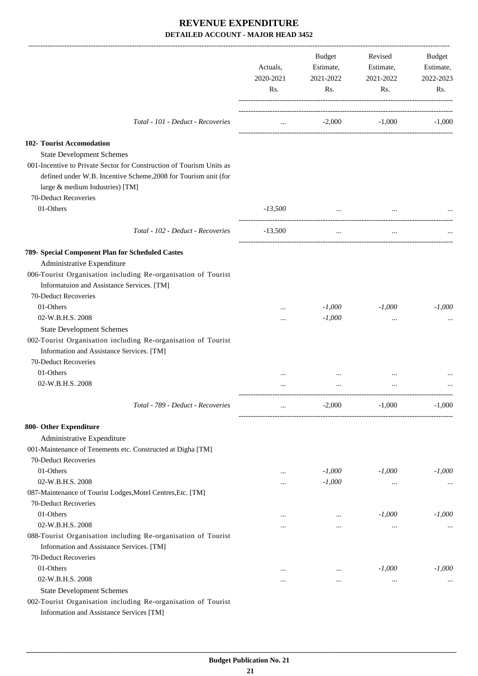|                                                                                                                                                                            | Actuals,<br>2020-2021 | Budget<br>Estimate,<br>2021-2022 | Revised<br>Estimate,<br>2021-2022 | Budget<br>Estimate,<br>2022-2023 |
|----------------------------------------------------------------------------------------------------------------------------------------------------------------------------|-----------------------|----------------------------------|-----------------------------------|----------------------------------|
|                                                                                                                                                                            | Rs.                   | Rs.                              | Rs.                               | Rs.                              |
| Total - 101 - Deduct - Recoveries                                                                                                                                          | $\cdots$              | $-2,000$                         | $-1,000$                          | $-1,000$                         |
| 102- Tourist Accomodation                                                                                                                                                  |                       |                                  |                                   |                                  |
| <b>State Development Schemes</b>                                                                                                                                           |                       |                                  |                                   |                                  |
| 001-Incentive to Private Sector for Construction of Tourism Units as<br>defined under W.B. Incentive Scheme, 2008 for Tourism unit (for<br>large & medium Industries) [TM] |                       |                                  |                                   |                                  |
| 70-Deduct Recoveries                                                                                                                                                       |                       |                                  |                                   |                                  |
| 01-Others                                                                                                                                                                  | $-13,500$             | $\cdots$                         |                                   |                                  |
| Total - 102 - Deduct - Recoveries                                                                                                                                          | $-13,500$             | $\cdots$                         | $\cdots$                          |                                  |
| 789- Special Component Plan for Scheduled Castes                                                                                                                           |                       |                                  |                                   |                                  |
| Administrative Expenditure                                                                                                                                                 |                       |                                  |                                   |                                  |
| 006-Tourist Organisation including Re-organisation of Tourist<br>Informatuion and Assistance Services. [TM]                                                                |                       |                                  |                                   |                                  |
| 70-Deduct Recoveries                                                                                                                                                       |                       |                                  |                                   |                                  |
| 01-Others                                                                                                                                                                  |                       | $-1,000$                         | $-1,000$                          | $-1,000$                         |
| 02-W.B.H.S. 2008                                                                                                                                                           |                       | $-1,000$                         | $\ddotsc$                         |                                  |
| <b>State Development Schemes</b>                                                                                                                                           |                       |                                  |                                   |                                  |
| 002-Tourist Organisation including Re-organisation of Tourist<br>Information and Assistance Services. [TM]                                                                 |                       |                                  |                                   |                                  |
| 70-Deduct Recoveries                                                                                                                                                       |                       |                                  |                                   |                                  |
| 01-Others                                                                                                                                                                  |                       |                                  |                                   |                                  |
| 02-W.B.H.S. 2008                                                                                                                                                           |                       |                                  |                                   |                                  |
| Total - 789 - Deduct - Recoveries                                                                                                                                          |                       | $-2,000$                         | $-1,000$                          | $-1,000$                         |
| 800- Other Expenditure                                                                                                                                                     |                       |                                  |                                   |                                  |
| Administrative Expenditure                                                                                                                                                 |                       |                                  |                                   |                                  |
| 001-Maintenance of Tenements etc. Constructed at Digha [TM]                                                                                                                |                       |                                  |                                   |                                  |
| 70-Deduct Recoveries                                                                                                                                                       |                       |                                  |                                   |                                  |
| 01-Others                                                                                                                                                                  |                       | $-1,000$                         | $-1,000$                          | $-1,000$                         |
| 02-W.B.H.S. 2008                                                                                                                                                           |                       | $-1,000$                         | $\cdots$                          | $\cdots$                         |
| 087-Maintenance of Tourist Lodges, Motel Centres, Etc. [TM]                                                                                                                |                       |                                  |                                   |                                  |
| 70-Deduct Recoveries                                                                                                                                                       |                       |                                  |                                   |                                  |
| 01-Others                                                                                                                                                                  | $\cdots$              | $\cdots$                         | $-1,000$                          | $-1,000$                         |
| 02-W.B.H.S. 2008                                                                                                                                                           | $\cdots$              | $\cdots$                         | $\ddotsc$                         |                                  |
| 088-Tourist Organisation including Re-organisation of Tourist<br>Information and Assistance Services. [TM]                                                                 |                       |                                  |                                   |                                  |
| 70-Deduct Recoveries<br>01-Others                                                                                                                                          |                       |                                  |                                   |                                  |
| 02-W.B.H.S. 2008                                                                                                                                                           | $\cdots$              | $\cdots$                         | $-1,000$                          | $-1,000$                         |
| <b>State Development Schemes</b>                                                                                                                                           | $\cdots$              | $\cdots$                         | $\ddotsc$                         |                                  |
| 002-Tourist Organisation including Re-organisation of Tourist                                                                                                              |                       |                                  |                                   |                                  |
| Information and Assistance Services [TM]                                                                                                                                   |                       |                                  |                                   |                                  |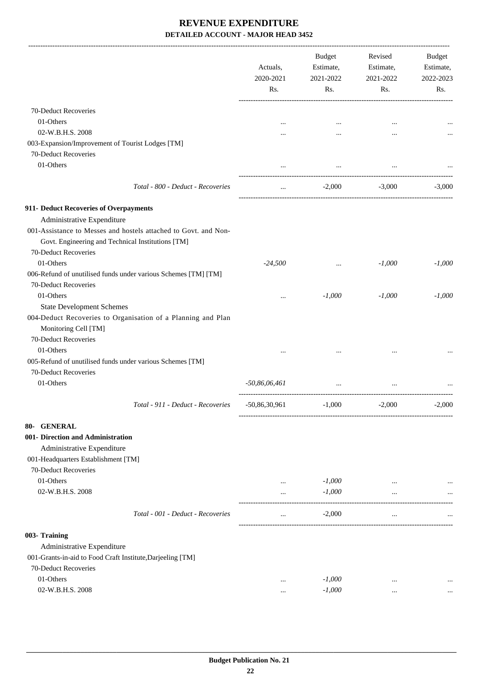|                                                                                                                      | Actuals,<br>2020-2021<br>Rs. | <b>Budget</b><br>Estimate,<br>2021-2022<br>Rs. | Revised<br>Estimate,<br>2021-2022<br>Rs. | Budget<br>Estimate,<br>2022-2023<br>Rs. |
|----------------------------------------------------------------------------------------------------------------------|------------------------------|------------------------------------------------|------------------------------------------|-----------------------------------------|
| 70-Deduct Recoveries                                                                                                 |                              |                                                |                                          |                                         |
| 01-Others                                                                                                            |                              |                                                |                                          |                                         |
| 02-W.B.H.S. 2008                                                                                                     |                              |                                                |                                          |                                         |
| 003-Expansion/Improvement of Tourist Lodges [TM]                                                                     |                              | $\cdots$                                       |                                          |                                         |
| 70-Deduct Recoveries                                                                                                 |                              |                                                |                                          |                                         |
| 01-Others                                                                                                            |                              |                                                |                                          |                                         |
|                                                                                                                      |                              |                                                |                                          |                                         |
| Total - 800 - Deduct - Recoveries                                                                                    | $\ldots$                     | $-2,000$                                       | $-3,000$                                 | $-3,000$                                |
| 911- Deduct Recoveries of Overpayments                                                                               |                              |                                                |                                          |                                         |
| Administrative Expenditure                                                                                           |                              |                                                |                                          |                                         |
| 001-Assistance to Messes and hostels attached to Govt. and Non-<br>Govt. Engineering and Technical Institutions [TM] |                              |                                                |                                          |                                         |
| 70-Deduct Recoveries                                                                                                 |                              |                                                |                                          |                                         |
| 01-Others                                                                                                            | $-24,500$                    | $\cdots$                                       | $-1,000$                                 | $-1,000$                                |
| 006-Refund of unutilised funds under various Schemes [TM] [TM]                                                       |                              |                                                |                                          |                                         |
| 70-Deduct Recoveries                                                                                                 |                              |                                                |                                          |                                         |
| 01-Others                                                                                                            |                              | $-1,000$                                       | $-1,000$                                 | $-1,000$                                |
| <b>State Development Schemes</b>                                                                                     |                              |                                                |                                          |                                         |
| 004-Deduct Recoveries to Organisation of a Planning and Plan<br>Monitoring Cell [TM]                                 |                              |                                                |                                          |                                         |
| 70-Deduct Recoveries                                                                                                 |                              |                                                |                                          |                                         |
| 01-Others                                                                                                            |                              |                                                |                                          |                                         |
| 005-Refund of unutilised funds under various Schemes [TM]                                                            |                              |                                                |                                          |                                         |
| 70-Deduct Recoveries                                                                                                 |                              |                                                |                                          |                                         |
| 01-Others                                                                                                            | $-50,86,06,461$              | $\cdots$                                       |                                          |                                         |
| Total - 911 - Deduct - Recoveries                                                                                    |                              | $-50,86,30,961$ $-1,000$                       | $-2,000$                                 | $-2,000$                                |
| 80- GENERAL                                                                                                          |                              |                                                |                                          |                                         |
| 001- Direction and Administration                                                                                    |                              |                                                |                                          |                                         |
| Administrative Expenditure                                                                                           |                              |                                                |                                          |                                         |
| 001-Headquarters Establishment [TM]                                                                                  |                              |                                                |                                          |                                         |
| 70-Deduct Recoveries                                                                                                 |                              |                                                |                                          |                                         |
| 01-Others                                                                                                            | $\cdots$                     | $-1,000$                                       |                                          |                                         |
| 02-W.B.H.S. 2008                                                                                                     | $\cdots$                     | $-1,000$                                       |                                          |                                         |
| Total - 001 - Deduct - Recoveries                                                                                    | $\cdots$                     | $-2,000$                                       | $\ddotsc$                                |                                         |
| 003- Training                                                                                                        |                              |                                                |                                          |                                         |
|                                                                                                                      |                              |                                                |                                          |                                         |
| Administrative Expenditure                                                                                           |                              |                                                |                                          |                                         |
| 001-Grants-in-aid to Food Craft Institute, Darjeeling [TM]                                                           |                              |                                                |                                          |                                         |
| 70-Deduct Recoveries                                                                                                 |                              |                                                |                                          |                                         |
| 01-Others                                                                                                            | $\cdots$                     | $-1,000$                                       | $\cdots$                                 |                                         |
| 02-W.B.H.S. 2008                                                                                                     | $\cdots$                     | $-1,000$                                       | $\cdots$                                 | $\cdots$                                |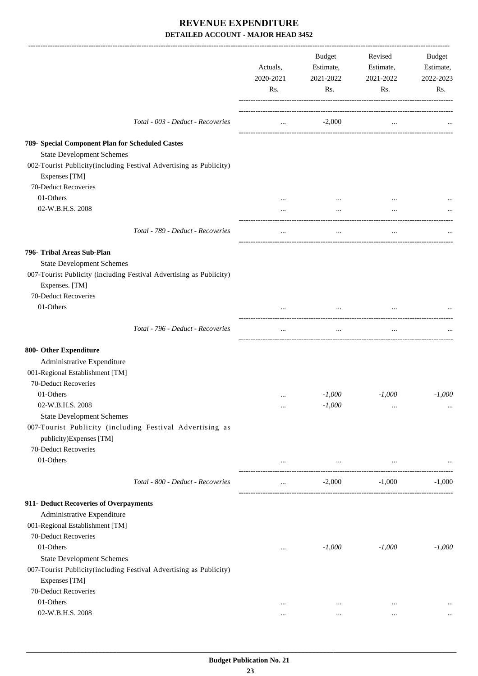|                                                                                     | Actuals,<br>2020-2021<br>Rs. | Budget<br>Estimate,<br>2021-2022<br>Rs. | Revised<br>Estimate,<br>2021-2022<br>Rs. | Budget<br>Estimate,<br>2022-2023<br>Rs. |
|-------------------------------------------------------------------------------------|------------------------------|-----------------------------------------|------------------------------------------|-----------------------------------------|
| Total - 003 - Deduct - Recoveries                                                   | $\cdots$                     | $-2,000$                                | $\cdots$                                 |                                         |
| 789- Special Component Plan for Scheduled Castes                                    |                              |                                         |                                          |                                         |
| <b>State Development Schemes</b>                                                    |                              |                                         |                                          |                                         |
| 002-Tourist Publicity(including Festival Advertising as Publicity)<br>Expenses [TM] |                              |                                         |                                          |                                         |
| 70-Deduct Recoveries                                                                |                              |                                         |                                          |                                         |
| 01-Others                                                                           |                              |                                         |                                          |                                         |
| 02-W.B.H.S. 2008                                                                    |                              | $\cdots$                                | $\cdots$                                 |                                         |
| Total - 789 - Deduct - Recoveries                                                   | $\cdots$                     | $\cdots$                                | $\cdots$                                 |                                         |
| 796- Tribal Areas Sub-Plan                                                          |                              |                                         |                                          |                                         |
| <b>State Development Schemes</b>                                                    |                              |                                         |                                          |                                         |
| 007-Tourist Publicity (including Festival Advertising as Publicity)                 |                              |                                         |                                          |                                         |
| Expenses. [TM]                                                                      |                              |                                         |                                          |                                         |
| 70-Deduct Recoveries                                                                |                              |                                         |                                          |                                         |
| 01-Others                                                                           |                              |                                         |                                          |                                         |
| Total - 796 - Deduct - Recoveries                                                   | $\cdots$                     | $\cdots$                                | $\cdots$                                 |                                         |
| 800- Other Expenditure                                                              |                              |                                         |                                          |                                         |
| Administrative Expenditure                                                          |                              |                                         |                                          |                                         |
| 001-Regional Establishment [TM]                                                     |                              |                                         |                                          |                                         |
| 70-Deduct Recoveries                                                                |                              |                                         |                                          |                                         |
| 01-Others                                                                           | $\cdots$                     | $-1,000$                                | $-1,000$                                 | $-1,000$                                |
| 02-W.B.H.S. 2008                                                                    | $\cdots$                     | $-1,000$                                | $\cdots$                                 |                                         |
| <b>State Development Schemes</b>                                                    |                              |                                         |                                          |                                         |
| 007-Tourist Publicity (including Festival Advertising as                            |                              |                                         |                                          |                                         |
| publicity)Expenses [TM]                                                             |                              |                                         |                                          |                                         |
| 70-Deduct Recoveries                                                                |                              |                                         |                                          |                                         |
| 01-Others                                                                           | $\cdots$                     | and the contract of the con-            | the company of the company of the        |                                         |
| Total - 800 - Deduct - Recoveries                                                   | $\cdots$                     | $-2,000$                                | $-1,000$                                 | $-1,000$                                |
| 911- Deduct Recoveries of Overpayments                                              |                              |                                         |                                          |                                         |
| Administrative Expenditure                                                          |                              |                                         |                                          |                                         |
| 001-Regional Establishment [TM]                                                     |                              |                                         |                                          |                                         |
| 70-Deduct Recoveries                                                                |                              |                                         |                                          |                                         |
| 01-Others                                                                           | $\ldots$                     | $-1,000$                                | $-1,000$                                 | $-1,000$                                |
| <b>State Development Schemes</b>                                                    |                              |                                         |                                          |                                         |
| 007-Tourist Publicity(including Festival Advertising as Publicity)                  |                              |                                         |                                          |                                         |
| Expenses [TM]                                                                       |                              |                                         |                                          |                                         |
| 70-Deduct Recoveries                                                                |                              |                                         |                                          |                                         |
| 01-Others                                                                           | $\cdots$                     | $\cdots$                                | $\cdots$                                 | $\ddotsc$                               |
| 02-W.B.H.S. 2008                                                                    | $\cdots$                     | $\cdots$                                | $\cdots$                                 |                                         |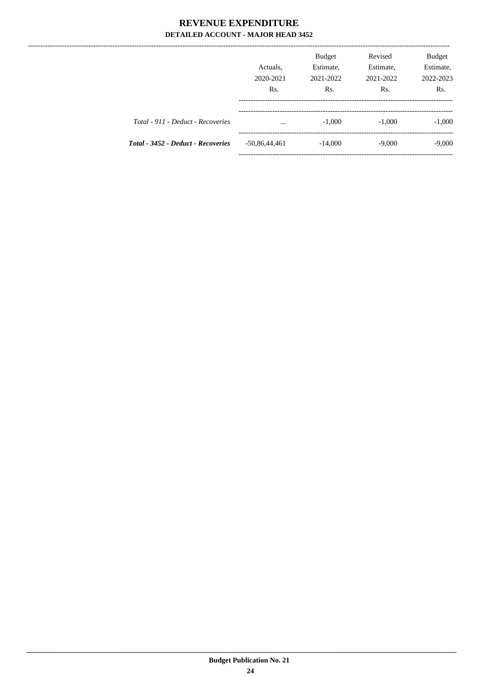|                                    | Actuals.<br>2020-2021<br>R <sub>s</sub> . | <b>Budget</b><br>Estimate,<br>2021-2022<br>Rs. | Revised<br>Estimate,<br>2021-2022<br>Rs. | Budget<br>Estimate,<br>2022-2023<br>Rs. |
|------------------------------------|-------------------------------------------|------------------------------------------------|------------------------------------------|-----------------------------------------|
| Total - 911 - Deduct - Recoveries  | $\cdots$                                  | $-1,000$                                       | $-1,000$                                 | $-1,000$                                |
| Total - 3452 - Deduct - Recoveries | $-50,86,44,461$                           | $-14,000$                                      | $-9,000$                                 | $-9,000$                                |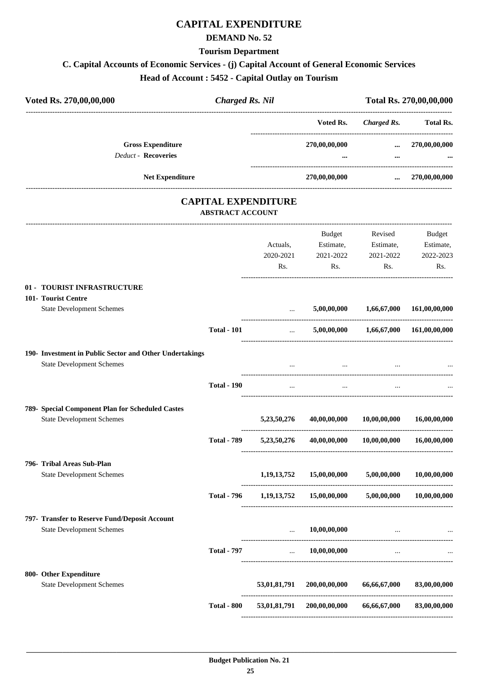## **CAPITAL EXPENDITURE**

#### **DEMAND No. 52**

**Tourism Department**

#### **C. Capital Accounts of Economic Services - (j) Capital Account of General Economic Services**

**Head of Account : 5452 - Capital Outlay on Tourism**

| Voted Rs. 270,00,00,000                                                                     | <b>Charged Rs. Nil</b>  |                              | Total Rs. 270,00,00,000                    |                                          |                                                |
|---------------------------------------------------------------------------------------------|-------------------------|------------------------------|--------------------------------------------|------------------------------------------|------------------------------------------------|
|                                                                                             |                         |                              | Voted Rs.                                  | <b>Charged Rs.</b>                       | <b>Total Rs.</b>                               |
| <b>Gross Expenditure</b><br>Deduct - Recoveries                                             |                         |                              | 270,00,00,000<br>$\cdots$                  | $\cdots$<br>$\cdots$                     | 270,00,00,000                                  |
| Net Expenditure                                                                             |                         |                              | 270,00,00,000                              | $\cdots$                                 | 270,00,00,000                                  |
|                                                                                             |                         | <b>CAPITAL EXPENDITURE</b>   |                                            |                                          |                                                |
|                                                                                             | <b>ABSTRACT ACCOUNT</b> |                              |                                            |                                          |                                                |
|                                                                                             |                         | Actuals,<br>2020-2021<br>Rs. | Budget<br>Estimate,<br>2021-2022<br>Rs.    | Revised<br>Estimate,<br>2021-2022<br>Rs. | <b>Budget</b><br>Estimate,<br>2022-2023<br>Rs. |
| 01 - TOURIST INFRASTRUCTURE                                                                 |                         |                              |                                            |                                          |                                                |
| 101- Tourist Centre                                                                         |                         |                              |                                            |                                          |                                                |
| <b>State Development Schemes</b>                                                            |                         |                              |                                            | 5,00,00,000 1,66,67,000 161,00,00,000    |                                                |
|                                                                                             | <b>Total - 101</b>      | $\cdots$                     |                                            | 5,00,00,000 1,66,67,000 161,00,00,000    |                                                |
| 190- Investment in Public Sector and Other Undertakings<br><b>State Development Schemes</b> |                         |                              |                                            |                                          |                                                |
|                                                                                             | <b>Total - 190</b>      | $\cdots$                     |                                            |                                          |                                                |
| 789- Special Component Plan for Scheduled Castes                                            |                         |                              |                                            |                                          |                                                |
| <b>State Development Schemes</b>                                                            |                         | 5,23,50,276                  | 40,00,00,000                               | 10,00,00,000                             | 16,00,00,000                                   |
|                                                                                             | <b>Total - 789</b>      | 5,23,50,276                  | 40,00,00,000                               | 10,00,00,000                             | 16,00,00,000                                   |
| 796- Tribal Areas Sub-Plan                                                                  |                         |                              |                                            |                                          |                                                |
| <b>State Development Schemes</b>                                                            |                         | 1,19,13,752                  | 15,00,00,000                               | 5,00,00,000                              | 10,00,00,000                                   |
|                                                                                             | <b>Total - 796</b>      |                              | $1,19,13,752$ $15,00,00,000$ $5,00,00,000$ |                                          | 10,00,00,000                                   |
| 797- Transfer to Reserve Fund/Deposit Account                                               |                         |                              |                                            |                                          |                                                |
| <b>State Development Schemes</b>                                                            |                         | $\cdots$                     | 10,00,00,000                               | $\cdots$                                 |                                                |
|                                                                                             | <b>Total - 797</b>      | $\cdots$                     | 10,00,00,000                               | $\cdots$                                 |                                                |
| 800- Other Expenditure                                                                      |                         |                              |                                            |                                          |                                                |
| <b>State Development Schemes</b>                                                            |                         | 53,01,81,791                 | 200,00,00,000                              | 66,66,67,000                             | 83,00,00,000                                   |
|                                                                                             | <b>Total - 800</b>      | 53,01,81,791                 | 200,00,00,000                              | 66,66,67,000                             | 83,00,00,000                                   |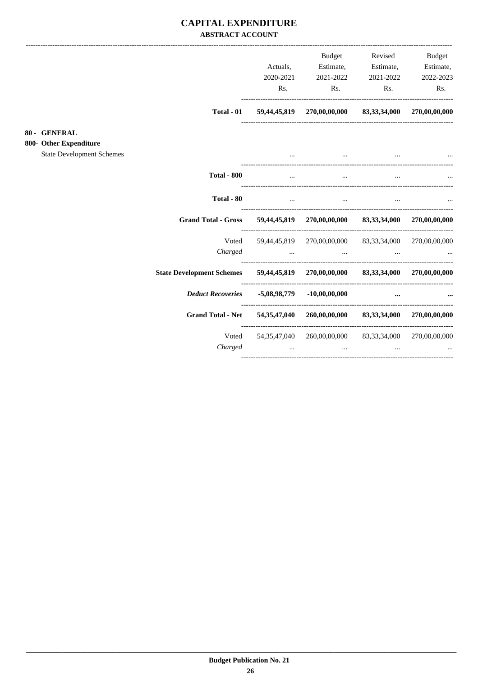#### **CAPITAL EXPENDITURE ABSTRACT ACCOUNT**

|                                                            |                                  |                                                                                                                                                                                                                                      | <b>Budget</b>                                                                                                  | Revised                                                 | <b>Budget</b> |
|------------------------------------------------------------|----------------------------------|--------------------------------------------------------------------------------------------------------------------------------------------------------------------------------------------------------------------------------------|----------------------------------------------------------------------------------------------------------------|---------------------------------------------------------|---------------|
|                                                            |                                  | Actuals,                                                                                                                                                                                                                             | Estimate,                                                                                                      | Estimate,                                               | Estimate,     |
|                                                            |                                  | 2020-2021                                                                                                                                                                                                                            | 2021-2022                                                                                                      | 2021-2022                                               | 2022-2023     |
|                                                            |                                  | Rs.                                                                                                                                                                                                                                  | Rs.                                                                                                            | Rs.                                                     | Rs.           |
|                                                            | Total - 01                       |                                                                                                                                                                                                                                      | 59,44,45,819 270,00,00,000 83,33,34,000 270,00,00,000                                                          |                                                         |               |
| 80 - GENERAL                                               |                                  |                                                                                                                                                                                                                                      |                                                                                                                |                                                         |               |
| 800- Other Expenditure<br><b>State Development Schemes</b> |                                  |                                                                                                                                                                                                                                      | $\cdots$                                                                                                       | and the contract of the contract of the                 |               |
|                                                            | <b>Total - 800</b>               | $\ddotsc$                                                                                                                                                                                                                            | $\cdots$                                                                                                       | $\cdots$                                                |               |
|                                                            | Total - 80                       | $\cdots$                                                                                                                                                                                                                             |                                                                                                                | <b>The Committee Committee</b><br>$\cdots$              |               |
|                                                            | <b>Grand Total - Gross</b>       |                                                                                                                                                                                                                                      | 59,44,45,819 270,00,00,000 83,33,34,000 270,00,00,000                                                          |                                                         |               |
|                                                            | Voted                            |                                                                                                                                                                                                                                      | 59,44,45,819 270,00,00,000 83,33,34,000 270,00,00,000                                                          |                                                         |               |
|                                                            | Charged                          |                                                                                                                                                                                                                                      | المناول المناول المناول المناول المناول المناول المناول المناول المناول المناول المناول المناول المناول المناو |                                                         |               |
|                                                            | <b>State Development Schemes</b> |                                                                                                                                                                                                                                      | 59,44,45,819 270,00,00,000 83,33,34,000 270,00,00,000                                                          |                                                         |               |
|                                                            |                                  |                                                                                                                                                                                                                                      |                                                                                                                | $\cdots$                                                |               |
|                                                            | <b>Grand Total - Net</b>         |                                                                                                                                                                                                                                      | 54,35,47,040 260,00,00,000 83,33,34,000 270,00,00,000                                                          |                                                         |               |
|                                                            | Voted<br>Charged                 | <u>and the community of the community of the community of the community of the community of the community of the community of the community of the community of the community of the community of the community of the community</u> | 54,35,47,040 260,00,00,000 83,33,34,000 270,00,00,000<br>$\ddotsc$                                             | $\sim$ $\sim$ $\sim$ $\sim$ $\sim$ $\sim$ $\sim$ $\sim$ |               |
|                                                            |                                  |                                                                                                                                                                                                                                      |                                                                                                                |                                                         |               |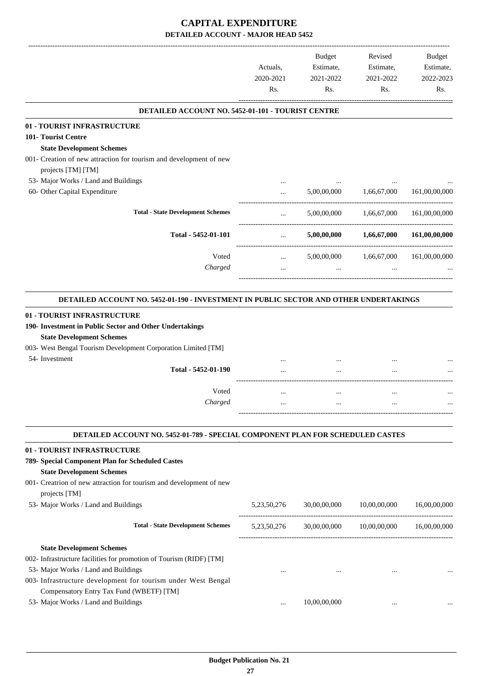|                                                                                                                                                                                                                                                          | Actuals,         | <b>Budget</b><br>Estimate,                         | Revised<br>Estimate, | <b>Budget</b><br>Estimate, |
|----------------------------------------------------------------------------------------------------------------------------------------------------------------------------------------------------------------------------------------------------------|------------------|----------------------------------------------------|----------------------|----------------------------|
|                                                                                                                                                                                                                                                          | 2020-2021<br>Rs. | 2021-2022<br>Rs.                                   | 2021-2022<br>Rs.     | 2022-2023<br>Rs.           |
| DETAILED ACCOUNT NO. 5452-01-101 - TOURIST CENTRE                                                                                                                                                                                                        |                  |                                                    |                      |                            |
| 01 - TOURIST INFRASTRUCTURE                                                                                                                                                                                                                              |                  |                                                    |                      |                            |
| 101- Tourist Centre                                                                                                                                                                                                                                      |                  |                                                    |                      |                            |
| <b>State Development Schemes</b>                                                                                                                                                                                                                         |                  |                                                    |                      |                            |
| 001- Creation of new attraction for tourism and development of new                                                                                                                                                                                       |                  |                                                    |                      |                            |
| projects [TM] [TM]                                                                                                                                                                                                                                       |                  |                                                    |                      |                            |
| 53- Major Works / Land and Buildings                                                                                                                                                                                                                     |                  |                                                    |                      |                            |
| 60- Other Capital Expenditure                                                                                                                                                                                                                            | $\cdots$         | 5,00,00,000                                        | 1,66,67,000          | 161,00,00,000              |
| <b>Total - State Development Schemes</b>                                                                                                                                                                                                                 | $\cdots$         | 5,00,00,000                                        | 1,66,67,000          | 161,00,00,000              |
| Total - 5452-01-101                                                                                                                                                                                                                                      | $\cdots$         | 5,00,00,000                                        | 1,66,67,000          | 161,00,00,000              |
| Voted                                                                                                                                                                                                                                                    | $\cdots$         | 5,00,00,000                                        | 1,66,67,000          | 161,00,00,000              |
| Charged                                                                                                                                                                                                                                                  | $\cdots$         | $\cdots$                                           | $\cdots$             |                            |
| 01 - TOURIST INFRASTRUCTURE<br>190- Investment in Public Sector and Other Undertakings<br><b>State Development Schemes</b><br>003- West Bengal Tourism Development Corporation Limited [TM]<br>54- Investment<br>Total - 5452-01-190<br>Voted<br>Charged |                  |                                                    |                      |                            |
| DETAILED ACCOUNT NO. 5452-01-789 - SPECIAL COMPONENT PLAN FOR SCHEDULED CASTES                                                                                                                                                                           |                  |                                                    |                      |                            |
| 01 - TOURIST INFRASTRUCTURE                                                                                                                                                                                                                              |                  |                                                    |                      |                            |
| 789- Special Component Plan for Scheduled Castes                                                                                                                                                                                                         |                  |                                                    |                      |                            |
| <b>State Development Schemes</b><br>001- Creatrion of new attraction for tourism and development of new<br>projects [TM]                                                                                                                                 |                  |                                                    |                      |                            |
| 53- Major Works / Land and Buildings                                                                                                                                                                                                                     | 5, 23, 50, 276   | 30,00,00,000                                       | 10,00,00,000         | 16,00,00,000               |
| <b>Total - State Development Schemes</b>                                                                                                                                                                                                                 |                  | 5,23,50,276 30,00,00,000 10,00,00,000 16,00,00,000 |                      |                            |
| <b>State Development Schemes</b>                                                                                                                                                                                                                         |                  |                                                    |                      |                            |
| 002- Infrastructure facilities for promotion of Tourism (RIDF) [TM]                                                                                                                                                                                      |                  |                                                    |                      |                            |
| 53- Major Works / Land and Buildings                                                                                                                                                                                                                     |                  |                                                    |                      |                            |
| 003- Infrastructure development for tourism under West Bengal                                                                                                                                                                                            | $\cdots$         | $\cdots$                                           | $\cdots$             |                            |
| Compensatory Entry Tax Fund (WBETF) [TM]                                                                                                                                                                                                                 |                  |                                                    |                      |                            |
| 53- Major Works / Land and Buildings                                                                                                                                                                                                                     |                  | 10,00,00,000                                       |                      |                            |
|                                                                                                                                                                                                                                                          | $\cdots$         |                                                    | $\cdots$             |                            |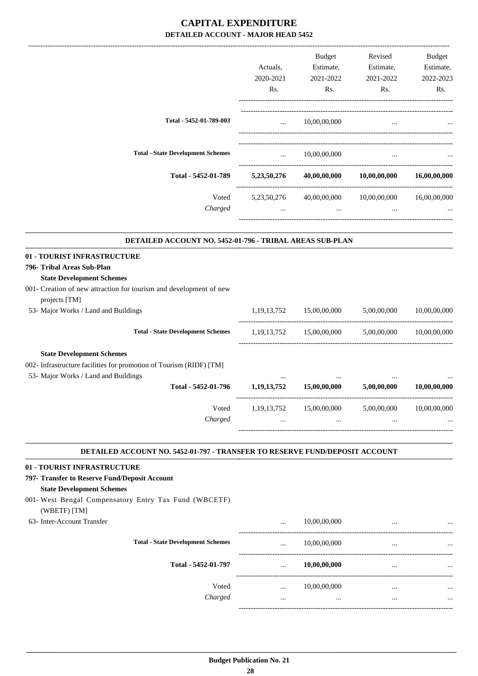|                                                                                                                                                 |                        | Budget                                     | Revised                                                    | Budget       |
|-------------------------------------------------------------------------------------------------------------------------------------------------|------------------------|--------------------------------------------|------------------------------------------------------------|--------------|
|                                                                                                                                                 | Actuals,               | Estimate,                                  | Estimate,                                                  | Estimate,    |
|                                                                                                                                                 | 2020-2021              | 2021-2022                                  | 2021-2022                                                  | 2022-2023    |
|                                                                                                                                                 | Rs.                    | Rs.                                        | Rs.                                                        | Rs.          |
| Total - 5452-01-789-003                                                                                                                         |                        | $\ldots$ 10,00,00,000                      | $\cdots$                                                   |              |
|                                                                                                                                                 |                        |                                            |                                                            |              |
| <b>Total - State Development Schemes</b>                                                                                                        | <b>Second Contract</b> | 10,00,00,000                               |                                                            |              |
| Total - 5452-01-789                                                                                                                             |                        |                                            | $5,23,50,276$ $40,00,00,000$ $10,00,00,000$ $16,00,00,000$ |              |
| Voted                                                                                                                                           | 5, 23, 50, 276         |                                            | 40,00,00,000 10,00,00,000 16,00,00,000                     |              |
| Charged                                                                                                                                         | $\cdots$               | $\cdots$                                   | $\cdots$                                                   |              |
| DETAILED ACCOUNT NO. 5452-01-796 - TRIBAL AREAS SUB-PLAN                                                                                        |                        |                                            |                                                            |              |
| 01 - TOURIST INFRASTRUCTURE                                                                                                                     |                        |                                            |                                                            |              |
| 796- Tribal Areas Sub-Plan                                                                                                                      |                        |                                            |                                                            |              |
| <b>State Development Schemes</b>                                                                                                                |                        |                                            |                                                            |              |
| 001- Creation of new attraction for tourism and development of new<br>projects [TM]                                                             |                        |                                            |                                                            |              |
| 53- Major Works / Land and Buildings                                                                                                            |                        |                                            | 1,19,13,752 15,00,00,000 5,00,00,000 10,00,00,000          |              |
| <b>Total - State Development Schemes</b>                                                                                                        |                        | 1,19,13,752 15,00,00,000 5,00,00,000       |                                                            | 10,00,00,000 |
| <b>State Development Schemes</b><br>002- Infrastructure facilities for promotion of Tourism (RIDF) [TM]<br>53- Major Works / Land and Buildings | $\ldots$               | $\cdots$                                   | $\cdots$                                                   |              |
| Total - 5452-01-796                                                                                                                             |                        | $1,19,13,752$ $15,00,00,000$ $5,00,00,000$ |                                                            | 10,00,00,000 |
| Voted                                                                                                                                           | 1, 19, 13, 752         | 15,00,00,000                               | 5,00,00,000                                                | 10,00,00,000 |
| Charged                                                                                                                                         |                        | $\cdots$                                   |                                                            |              |
| DETAILED ACCOUNT NO. 5452-01-797 - TRANSFER TO RESERVE FUND/DEPOSIT ACCOUNT                                                                     |                        |                                            |                                                            |              |
| 01 - TOURIST INFRASTRUCTURE                                                                                                                     |                        |                                            |                                                            |              |
| 797- Transfer to Reserve Fund/Deposit Account<br><b>State Development Schemes</b>                                                               |                        |                                            |                                                            |              |
| 001- West Bengal Compensatory Entry Tax Fund (WBCETF)                                                                                           |                        |                                            |                                                            |              |
| (WBETF) [TM]<br>63- Inter-Account Transfer                                                                                                      |                        | 10,00,00,000                               |                                                            |              |
| <b>Total - State Development Schemes</b>                                                                                                        | $\cdots$               | 10,00,00,000                               | $\cdots$                                                   |              |
| Total - 5452-01-797                                                                                                                             |                        | 10,00,00,000                               | $\cdots$                                                   |              |
| Voted                                                                                                                                           | $\cdots$               | 10,00,00,000                               | $\cdots$                                                   |              |
| Charged                                                                                                                                         | $\cdots$               | $\cdots$                                   | $\cdots$                                                   |              |
|                                                                                                                                                 |                        |                                            |                                                            |              |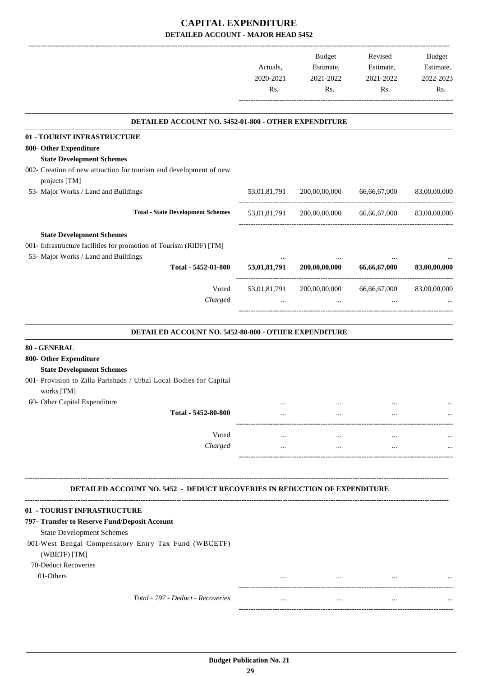|                                                                                                         |                  | <b>Budget</b>                           | Revised          | <b>Budget</b>    |
|---------------------------------------------------------------------------------------------------------|------------------|-----------------------------------------|------------------|------------------|
|                                                                                                         | Actuals,         | Estimate,                               | Estimate,        | Estimate,        |
|                                                                                                         | 2020-2021<br>Rs. | 2021-2022<br>Rs.                        | 2021-2022<br>Rs. | 2022-2023<br>Rs. |
|                                                                                                         |                  |                                         |                  |                  |
| DETAILED ACCOUNT NO. 5452-01-800 - OTHER EXPENDITURE                                                    |                  |                                         |                  |                  |
| 01 - TOURIST INFRASTRUCTURE                                                                             |                  |                                         |                  |                  |
| 800- Other Expenditure                                                                                  |                  |                                         |                  |                  |
| <b>State Development Schemes</b><br>002- Creation of new attraction for tourism and development of new  |                  |                                         |                  |                  |
| projects [TM]                                                                                           |                  |                                         |                  |                  |
| 53- Major Works / Land and Buildings                                                                    | 53,01,81,791     | 200,00,00,000                           | 66,66,67,000     | 83,00,00,000     |
| <b>Total - State Development Schemes</b>                                                                |                  | 53,01,81,791 200,00,00,000 66,66,67,000 |                  | 83,00,00,000     |
| <b>State Development Schemes</b><br>001- Infrastructure facilities for promotion of Tourism (RIDF) [TM] |                  |                                         |                  |                  |
| 53- Major Works / Land and Buildings<br>Total - 5452-01-800                                             | 53,01,81,791     | 200,00,00,000                           | 66,66,67,000     | 83,00,00,000     |
| Voted                                                                                                   |                  | 53,01,81,791 200,00,00,000              | 66,66,67,000     | 83,00,00,000     |
| Charged                                                                                                 |                  |                                         |                  |                  |
| DETAILED ACCOUNT NO. 5452-80-800 - OTHER EXPENDITURE                                                    |                  |                                         |                  |                  |
|                                                                                                         |                  |                                         |                  |                  |
| 80 - GENERAL<br>800- Other Expenditure                                                                  |                  |                                         |                  |                  |
| <b>State Development Schemes</b>                                                                        |                  |                                         |                  |                  |
| 001- Provision to Zilla Parishads / Urbal Local Bodies for Capital                                      |                  |                                         |                  |                  |
| works [TM]                                                                                              |                  |                                         |                  |                  |
| 60- Other Capital Expenditure                                                                           |                  |                                         |                  |                  |
| Total - 5452-80-800                                                                                     | $\cdots$         | $\cdots$                                |                  |                  |
| Voted                                                                                                   | $\cdots$         | $\cdots$                                | $\cdots$         |                  |
| Charged                                                                                                 | $\cdots$         | $\cdots$                                | $\cdots$         |                  |
|                                                                                                         |                  |                                         |                  |                  |
| <b>DETAILED ACCOUNT NO. 5452 - DEDUCT RECOVERIES IN REDUCTION OF EXPENDITURE</b>                        |                  |                                         |                  |                  |
| 01 - TOURIST INFRASTRUCTURE                                                                             |                  |                                         |                  |                  |
| 797- Transfer to Reserve Fund/Deposit Account                                                           |                  |                                         |                  |                  |
| <b>State Development Schemes</b>                                                                        |                  |                                         |                  |                  |
| 001-West Bengal Compensatory Entry Tax Fund (WBCETF)<br>(WBETF) [TM]                                    |                  |                                         |                  |                  |
| 70-Deduct Recoveries                                                                                    |                  |                                         |                  |                  |
| 01-Others                                                                                               | $\cdots$         | $\cdots$                                | $\cdots$         |                  |
| Total - 797 - Deduct - Recoveries                                                                       | $\cdots$         | $\cdots$                                | $\cdots$         |                  |
|                                                                                                         |                  |                                         |                  |                  |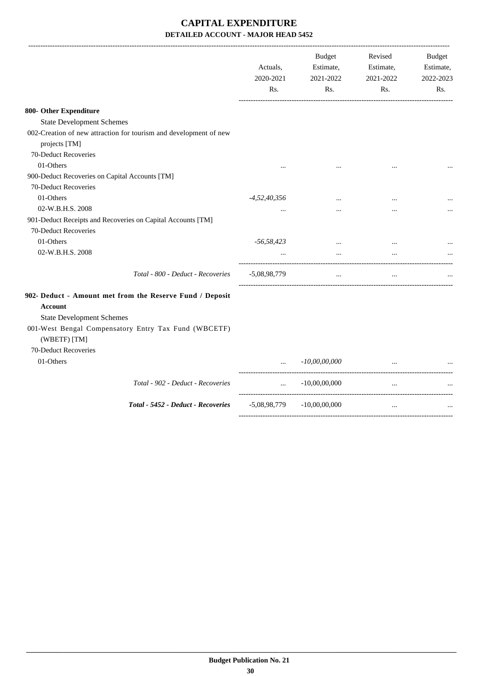|                                                                                                         | Actuals,<br>2020-2021<br>Rs. | <b>Budget</b><br>Estimate,<br>2021-2022<br>Rs. | Revised<br>Estimate,<br>2021-2022<br>Rs. | <b>Budget</b><br>Estimate,<br>2022-2023<br>Rs. |
|---------------------------------------------------------------------------------------------------------|------------------------------|------------------------------------------------|------------------------------------------|------------------------------------------------|
| 800- Other Expenditure                                                                                  |                              |                                                |                                          |                                                |
| <b>State Development Schemes</b>                                                                        |                              |                                                |                                          |                                                |
| 002-Creation of new attraction for tourism and development of new<br>projects [TM]                      |                              |                                                |                                          |                                                |
| 70-Deduct Recoveries                                                                                    |                              |                                                |                                          |                                                |
| 01-Others                                                                                               |                              |                                                |                                          |                                                |
| 900-Deduct Recoveries on Capital Accounts [TM]<br>70-Deduct Recoveries                                  |                              |                                                |                                          |                                                |
| 01-Others                                                                                               | $-4,52,40,356$               |                                                |                                          |                                                |
| 02-W.B.H.S. 2008                                                                                        |                              |                                                | $\cdots$                                 |                                                |
| 901-Deduct Receipts and Recoveries on Capital Accounts [TM]<br>70-Deduct Recoveries                     |                              |                                                |                                          |                                                |
| 01-Others                                                                                               | $-56,58,423$                 | $\cdots$                                       | $\cdots$                                 |                                                |
| 02-W.B.H.S. 2008                                                                                        | $\ddots$                     | $\cdots$                                       | $\cdots$                                 |                                                |
| Total - 800 - Deduct - Recoveries                                                                       | $-5,08,98,779$               | $\cdots$                                       | $\cdots$                                 |                                                |
| 902- Deduct - Amount met from the Reserve Fund / Deposit<br>Account<br><b>State Development Schemes</b> |                              |                                                |                                          |                                                |
| 001-West Bengal Compensatory Entry Tax Fund (WBCETF)<br>(WBETF) [TM]                                    |                              |                                                |                                          |                                                |
| 70-Deduct Recoveries                                                                                    |                              |                                                |                                          |                                                |
| 01-Others                                                                                               |                              | $-10,00,00,000$                                |                                          |                                                |
| Total - 902 - Deduct - Recoveries                                                                       | $\cdots$                     | $-10,00,00,000$                                | $\ddotsc$                                |                                                |
| Total - 5452 - Deduct - Recoveries                                                                      | -5,08,98,779                 | $-10,00,00,000$                                | $\cdots$                                 |                                                |
|                                                                                                         |                              |                                                |                                          |                                                |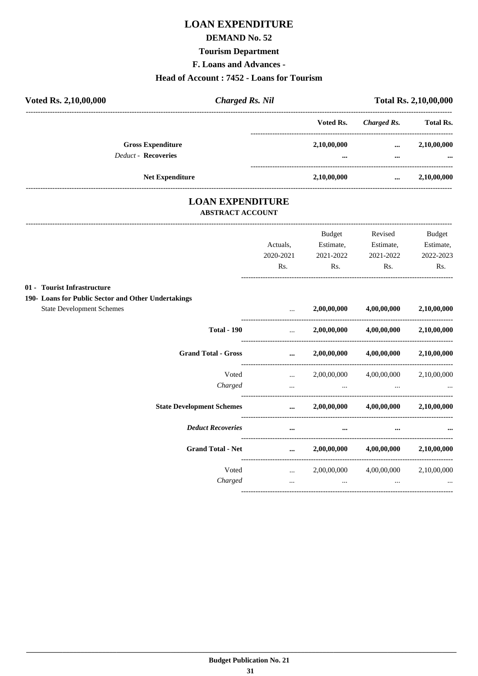## **LOAN EXPENDITURE**

#### **DEMAND No. 52**

#### **Tourism Department**

F. Loans and Advances -

#### Head of Account: 7452 - Loans for Tourism

| Voted Rs. 2,10,00,000 |                                                        | <b>Charged Rs. Nil</b>  |                 |                      | <b>Total Rs. 2,10,00,000</b>                                        |
|-----------------------|--------------------------------------------------------|-------------------------|-----------------|----------------------|---------------------------------------------------------------------|
|                       |                                                        |                         | Voted Rs.       | Charged Rs.          | <b>Total Rs.</b>                                                    |
|                       | <b>Gross Expenditure</b><br><b>Deduct - Recoveries</b> |                         | 2,10,00,000<br> | $\cdots$<br>$\cdots$ | 2,10,00,000<br>$\ddot{\phantom{0}}\phantom{0}\bullet\bullet\bullet$ |
|                       | <b>Net Expenditure</b>                                 |                         | 2,10,00,000     | $\cdots$             | 2,10,00,000                                                         |
|                       |                                                        | <b>LOAN EXPENDITURE</b> |                 |                      |                                                                     |

# **ABSTRACT ACCOUNT**

|                                                     | Actuals,<br>2020-2021<br>Rs.  | <b>Budget</b><br>Estimate,<br>2021-2022<br>Rs. | Revised<br>Estimate,<br>2021-2022<br>Rs. | Budget<br>Estimate,<br>2022-2023<br>Rs. |
|-----------------------------------------------------|-------------------------------|------------------------------------------------|------------------------------------------|-----------------------------------------|
| 01 - Tourist Infrastructure                         |                               |                                                |                                          |                                         |
| 190- Loans for Public Sector and Other Undertakings |                               |                                                |                                          |                                         |
| <b>State Development Schemes</b>                    | $\ddotsc$                     | 2,00,00,000                                    | 4,00,00,000                              | 2,10,00,000                             |
| <b>Total - 190</b>                                  | $\mathbf{r}$                  | 2,00,00,000                                    | 4,00,00,000                              | 2,10,00,000                             |
| <b>Grand Total - Gross</b>                          | $\cdots$                      | 2,00,00,000                                    | 4,00,00,000                              | 2,10,00,000                             |
| Voted                                               | $\cdots$                      | 2,00,00,000                                    | 4,00,00,000                              | 2,10,00,000                             |
| Charged                                             | $\cdots$                      | $\ddots$                                       |                                          |                                         |
| <b>State Development Schemes</b>                    |                               | $\ldots$ 2,00,00,000                           | 4,00,00,000                              | 2,10,00,000                             |
| <b>Deduct Recoveries</b>                            | $\cdots$                      | $\cdots$                                       | $\cdots$                                 |                                         |
| <b>Grand Total - Net</b>                            | $\cdots$                      | 2,00,00,000                                    | 4,00,00,000                              | 2,10,00,000                             |
| Voted                                               | $\mathbf{r}$ and $\mathbf{r}$ |                                                | 2,00,00,000 4,00,00,000                  | 2,10,00,000                             |
| Charged                                             | $\cdots$                      | $\cdots$                                       | $\cdots$                                 | $\cdots$                                |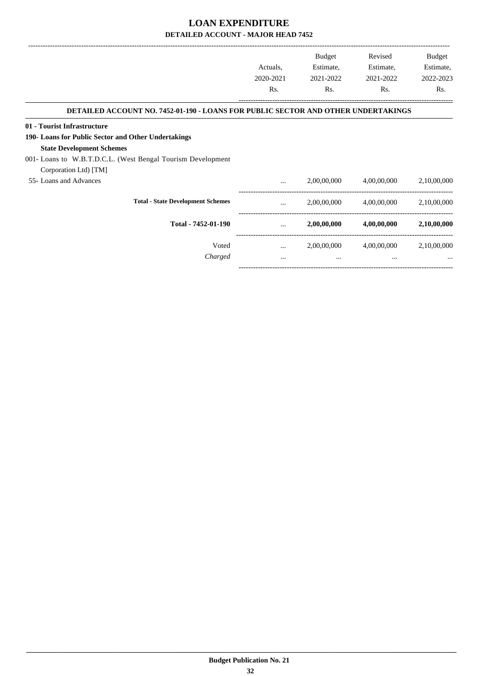|                                                                                          | Actuals,<br>2020-2021<br>Rs. | <b>Budget</b><br>Estimate,<br>2021-2022 | Revised<br>Estimate,<br>2021-2022 | Budget<br>Estimate,<br>2022-2023 |
|------------------------------------------------------------------------------------------|------------------------------|-----------------------------------------|-----------------------------------|----------------------------------|
|                                                                                          |                              | Rs.                                     |                                   | Rs.                              |
| <b>DETAILED ACCOUNT NO. 7452-01-190 - LOANS FOR PUBLIC SECTOR AND OTHER UNDERTAKINGS</b> |                              |                                         |                                   |                                  |
| 01 - Tourist Infrastructure                                                              |                              |                                         |                                   |                                  |
| 190- Loans for Public Sector and Other Undertakings                                      |                              |                                         |                                   |                                  |
| <b>State Development Schemes</b>                                                         |                              |                                         |                                   |                                  |
| 001- Loans to W.B.T.D.C.L. (West Bengal Tourism Development                              |                              |                                         |                                   |                                  |
| Corporation Ltd) [TM]                                                                    |                              |                                         |                                   |                                  |
| 55- Loans and Advances                                                                   | $\cdots$                     | 2,00,00,000                             | 4,00,00,000                       | 2,10,00,000                      |
| <b>Total - State Development Schemes</b>                                                 |                              | 2,00,00,000                             | 4,00,00,000                       | 2,10,00,000                      |
| Total - 7452-01-190                                                                      | $\ddots$                     | 2,00,00,000                             | 4,00,00,000                       | 2,10,00,000                      |
| Voted                                                                                    | $\cdots$                     | 2,00,00,000                             | 4,00,00,000                       | 2,10,00,000                      |
| Charged                                                                                  | $\cdots$                     | $\cdots$                                | $\cdots$                          |                                  |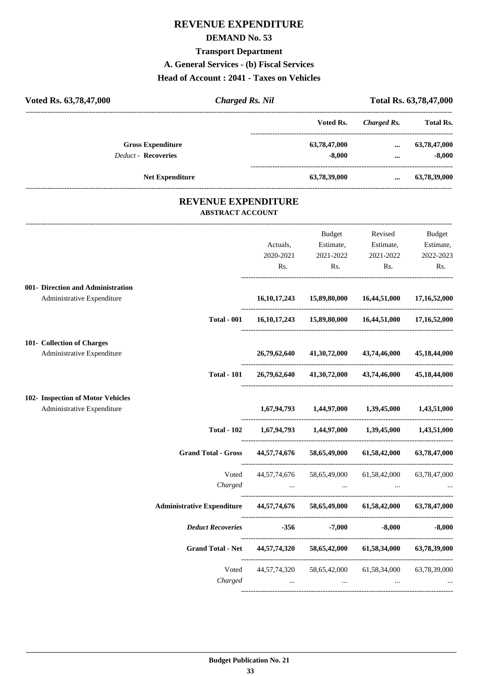## **REVENUE EXPENDITURE**

#### **DEMAND No. 53**

#### **Transport Department**

**A. General Services - (b) Fiscal Services**

#### **Head of Account : 2041 - Taxes on Vehicles**

| <b>Charged Rs. Nil</b><br>Voted Rs. 63,78,47,000                               |                              | Total Rs. 63,78,47,000<br>---------------------                             |                                          |                                         |
|--------------------------------------------------------------------------------|------------------------------|-----------------------------------------------------------------------------|------------------------------------------|-----------------------------------------|
|                                                                                |                              | Voted Rs.                                                                   | <b>Charged Rs.</b>                       | <b>Total Rs.</b>                        |
| <b>Gross Expenditure</b><br>Deduct - Recoveries                                |                              | 63,78,47,000<br>$-8,000$                                                    | $\cdots$<br>$\cdots$                     | 63,78,47,000<br>$-8,000$                |
| <b>Net Expenditure</b>                                                         |                              | 63,78,39,000                                                                | $\cdots$                                 | 63,78,39,000                            |
| <b>REVENUE EXPENDITURE</b><br><b>ABSTRACT ACCOUNT</b>                          |                              |                                                                             |                                          |                                         |
|                                                                                | Actuals,<br>2020-2021<br>Rs. | Budget<br>Estimate,<br>2021-2022<br>Rs.                                     | Revised<br>Estimate,<br>2021-2022<br>Rs. | Budget<br>Estimate,<br>2022-2023<br>Rs. |
| 001- Direction and Administration<br>Administrative Expenditure                | 16, 10, 17, 243              | 15,89,80,000                                                                | 16,44,51,000                             | 17,16,52,000                            |
| <b>Total - 001</b>                                                             |                              | 16, 10, 17, 243 15, 89, 80, 000 16, 44, 51, 000 17, 16, 52, 000             |                                          |                                         |
| 101- Collection of Charges<br>Administrative Expenditure                       | 26,79,62,640                 | 41,30,72,000                                                                | 43,74,46,000                             | 45,18,44,000                            |
| <b>Total - 101</b>                                                             | 26,79,62,640                 | 41,30,72,000                                                                | 43,74,46,000                             | 45,18,44,000                            |
| 102- Inspection of Motor Vehicles<br>Administrative Expenditure                |                              | 1,67,94,793 1,44,97,000 1,39,45,000                                         |                                          | 1,43,51,000                             |
| <b>Total - 102</b>                                                             |                              | $1,67,94,793$ $1,44,97,000$ $1,39,45,000$                                   |                                          | 1,43,51,000                             |
| <b>Grand Total - Gross</b>                                                     |                              | 44,57,74,676 58,65,49,000 61,58,42,000 63,78,47,000                         |                                          |                                         |
| Voted<br>Charged                                                               | 44, 57, 74, 676              | 58,65,49,000<br>والمستحدث والمستحدث والمستحدث والمستحدث والمستحدث والمستحدث | 61,58,42,000                             | 63,78,47,000                            |
| Administrative Expenditure 44,57,74,676 58,65,49,000 61,58,42,000 63,78,47,000 |                              |                                                                             |                                          |                                         |
| <b>Deduct Recoveries</b>                                                       |                              | $-356$ $-7,000$                                                             | $-8,000$                                 | $-8,000$                                |
| <b>Grand Total - Net</b>                                                       | 44,57,74,320                 |                                                                             | 58,65,42,000 61,58,34,000                | 63,78,39,000                            |
| Voted<br>Charged                                                               | 44,57,74,320<br>$\cdots$     | 58,65,42,000<br>$\ldots$                                                    | 61,58,34,000<br>$\cdots$                 | 63,78,39,000                            |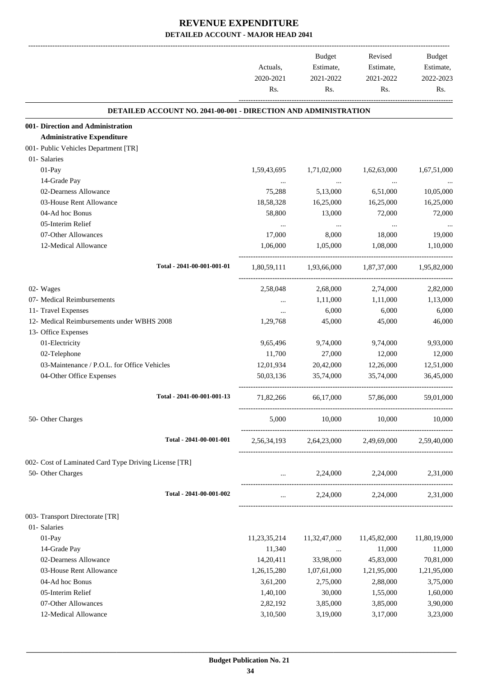|                                                                        | Actuals,<br>2020-2021 | Budget<br>Estimate,<br>2021-2022                | Revised<br>Estimate,<br>2021-2022 | Budget<br>Estimate,<br>2022-2023 |
|------------------------------------------------------------------------|-----------------------|-------------------------------------------------|-----------------------------------|----------------------------------|
|                                                                        | Rs.                   | Rs.                                             | Rs.                               | Rs.                              |
| <b>DETAILED ACCOUNT NO. 2041-00-001 - DIRECTION AND ADMINISTRATION</b> |                       |                                                 |                                   |                                  |
| 001- Direction and Administration                                      |                       |                                                 |                                   |                                  |
| <b>Administrative Expenditure</b>                                      |                       |                                                 |                                   |                                  |
| 001- Public Vehicles Department [TR]                                   |                       |                                                 |                                   |                                  |
| 01- Salaries                                                           |                       |                                                 |                                   |                                  |
| 01-Pay                                                                 | 1,59,43,695           | 1,71,02,000                                     | 1,62,63,000                       | 1,67,51,000                      |
| 14-Grade Pay                                                           | $\ldots$              | $\cdots$                                        | $\ldots$                          |                                  |
| 02-Dearness Allowance                                                  | 75,288                | 5,13,000                                        | 6,51,000                          | 10,05,000                        |
| 03-House Rent Allowance                                                | 18,58,328             | 16,25,000                                       | 16,25,000                         | 16,25,000                        |
| 04-Ad hoc Bonus                                                        | 58,800                | 13,000                                          | 72,000                            | 72,000                           |
| 05-Interim Relief                                                      | $\ldots$              | $\cdots$                                        | $\cdots$                          |                                  |
| 07-Other Allowances                                                    | 17,000                | 8,000                                           | 18,000                            | 19,000                           |
| 12-Medical Allowance                                                   | 1,06,000              | 1,05,000                                        | 1,08,000                          | 1,10,000                         |
| Total - 2041-00-001-001-01                                             | 1,80,59,111           | 1,93,66,000                                     | 1,87,37,000                       | 1,95,82,000                      |
| 02- Wages                                                              | 2,58,048              | 2,68,000                                        | 2,74,000                          | 2,82,000                         |
| 07- Medical Reimbursements                                             | $\cdots$              | 1,11,000                                        | 1,11,000                          | 1,13,000                         |
| 11- Travel Expenses                                                    | $\cdots$              | 6,000                                           | 6,000                             | 6,000                            |
| 12- Medical Reimbursements under WBHS 2008                             | 1,29,768              | 45,000                                          | 45,000                            | 46,000                           |
| 13- Office Expenses                                                    |                       |                                                 |                                   |                                  |
| 01-Electricity                                                         | 9,65,496              | 9,74,000                                        | 9,74,000                          | 9,93,000                         |
| 02-Telephone                                                           | 11,700                | 27,000                                          | 12,000                            | 12,000                           |
| 03-Maintenance / P.O.L. for Office Vehicles                            | 12,01,934             | 20,42,000                                       | 12,26,000                         | 12,51,000                        |
| 04-Other Office Expenses                                               | 50,03,136             | 35,74,000                                       | 35,74,000                         | 36,45,000                        |
| Total - 2041-00-001-001-13                                             | 71,82,266             | 66,17,000                                       | 57,86,000                         | 59,01,000                        |
| 50- Other Charges                                                      | 5,000                 |                                                 | 10,000 10,000                     | 10,000                           |
| Total - 2041-00-001-001                                                |                       | 2,56,34,193 2,64,23,000 2,49,69,000 2,59,40,000 |                                   |                                  |
| 002- Cost of Laminated Card Type Driving License [TR]                  |                       |                                                 |                                   |                                  |
| 50- Other Charges                                                      |                       | $2,24,000$ $2,24,000$ $2,31,000$                |                                   |                                  |
| Total - 2041-00-001-002                                                |                       | $2,24,000$ $2,24,000$ $2,31,000$                |                                   |                                  |
| 003- Transport Directorate [TR]                                        |                       |                                                 |                                   |                                  |
| 01- Salaries                                                           |                       |                                                 |                                   |                                  |
| 01-Pay                                                                 | 11,23,35,214          | 11,32,47,000                                    | 11,45,82,000                      | 11,80,19,000                     |
| 14-Grade Pay                                                           | 11,340                | $\cdots$                                        | 11,000                            | 11,000                           |
| 02-Dearness Allowance                                                  | 14,20,411             | 33,98,000                                       | 45,83,000                         | 70,81,000                        |
| 03-House Rent Allowance                                                | 1,26,15,280           | 1,07,61,000                                     | 1,21,95,000                       | 1,21,95,000                      |
| 04-Ad hoc Bonus                                                        | 3,61,200              | 2,75,000                                        | 2,88,000                          | 3,75,000                         |
| 05-Interim Relief                                                      | 1,40,100              | 30,000                                          | 1,55,000                          | 1,60,000                         |
| 07-Other Allowances                                                    | 2,82,192              | 3,85,000                                        | 3,85,000                          | 3,90,000                         |
| 12-Medical Allowance                                                   | 3,10,500              | 3,19,000                                        | 3,17,000                          | 3,23,000                         |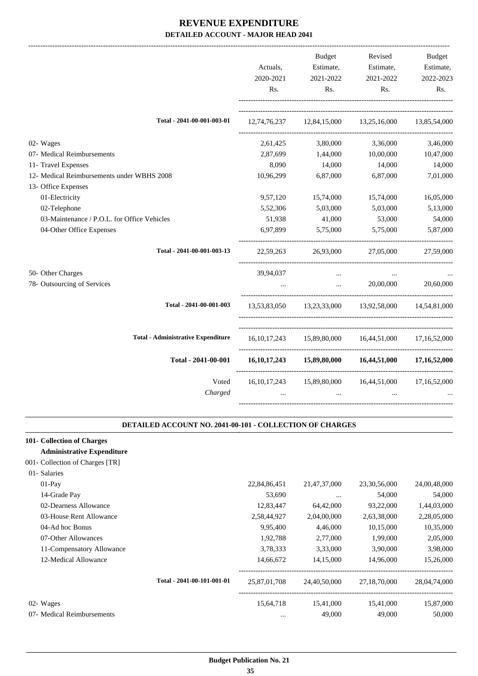|                                             | Actuals,<br>2020-2021<br>R <sub>s</sub> . | <b>Budget</b><br>Estimate,<br>2021-2022<br>Rs. | Revised<br>Estimate,<br>2021-2022<br>Rs.                    | <b>Budget</b><br>Estimate,<br>2022-2023<br>Rs. |
|---------------------------------------------|-------------------------------------------|------------------------------------------------|-------------------------------------------------------------|------------------------------------------------|
| Total - 2041-00-001-003-01                  |                                           |                                                | 12,74,76,237 12,84,15,000 13,25,16,000 13,85,54,000         |                                                |
| 02- Wages                                   | 2,61,425                                  | 3,80,000                                       | 3,36,000                                                    | 3,46,000                                       |
| 07- Medical Reimbursements                  | 2,87,699                                  | 1,44,000                                       | 10,00,000                                                   | 10,47,000                                      |
| 11- Travel Expenses                         | 8,090                                     | 14,000                                         | 14,000                                                      | 14,000                                         |
| 12- Medical Reimbursements under WBHS 2008  | 10,96,299                                 | 6,87,000                                       | 6,87,000                                                    | 7,01,000                                       |
| 13- Office Expenses                         |                                           |                                                |                                                             |                                                |
| 01-Electricity                              | 9,57,120                                  | 15,74,000                                      | 15,74,000                                                   | 16,05,000                                      |
| 02-Telephone                                | 5,52,306                                  | 5,03,000                                       | 5,03,000                                                    | 5,13,000                                       |
| 03-Maintenance / P.O.L. for Office Vehicles | 51,938                                    | 41,000                                         | 53,000                                                      | 54,000                                         |
| 04-Other Office Expenses                    | 6.97.899                                  | 5,75,000                                       | 5,75,000                                                    | 5,87,000                                       |
| Total - 2041-00-001-003-13                  |                                           | 22,59,263 26,93,000                            | 27,05,000                                                   | 27,59,000                                      |
| 50- Other Charges                           | 39,94,037                                 | $\cdots$                                       |                                                             |                                                |
| 78- Outsourcing of Services                 | $\dddotsc$                                | <b>Sales Contractor</b>                        | 20,00,000                                                   | 20,60,000                                      |
| Total - 2041-00-001-003                     |                                           |                                                | 13,53,83,050 13,23,33,000 13,92,58,000 14,54,81,000         |                                                |
| <b>Total - Administrative Expenditure</b>   |                                           |                                                | 16,10,17,243 15,89,80,000 16,44,51,000 17,16,52,000         |                                                |
| Total - 2041-00-001                         |                                           |                                                | $16,10,17,243$ $15,89,80,000$ $16,44,51,000$ $17,16,52,000$ |                                                |
| Voted<br>Charged                            | $\cdots$                                  | $\ddotsc$                                      | 16,10,17,243 15,89,80,000 16,44,51,000<br>$\cdots$          | 17,16,52,000                                   |
|                                             |                                           |                                                |                                                             |                                                |

### **DETAILED ACCOUNT NO. 2041-00-101 - COLLECTION OF CHARGES**

.

| 22,84,86,451 | 21,47,37,000               | 23, 30, 56, 000 | 24,00,48,000 |
|--------------|----------------------------|-----------------|--------------|
| 53,690       | $\cdots$                   | 54,000          | 54,000       |
| 12,83,447    | 64,42,000                  | 93,22,000       | 1,44,03,000  |
| 2,58,44,927  | 2,04,00,000                | 2,63,38,000     | 2,28,05,000  |
| 9,95,400     | 4,46,000                   | 10,15,000       | 10,35,000    |
| 1,92,788     | 2,77,000                   | 1,99,000        | 2,05,000     |
| 3,78,333     | 3,33,000                   | 3,90,000        | 3,98,000     |
| 14,66,672    | 14,15,000                  | 14,96,000       | 15,26,000    |
| 25,87,01,708 | 24,40,50,000               | 27,18,70,000    | 28,04,74,000 |
| 15,64,718    | 15,41,000                  | 15,41,000       | 15,87,000    |
| $\cdots$     | 49,000                     | 49,000          | 50,000       |
|              | Total - 2041-00-101-001-01 |                 |              |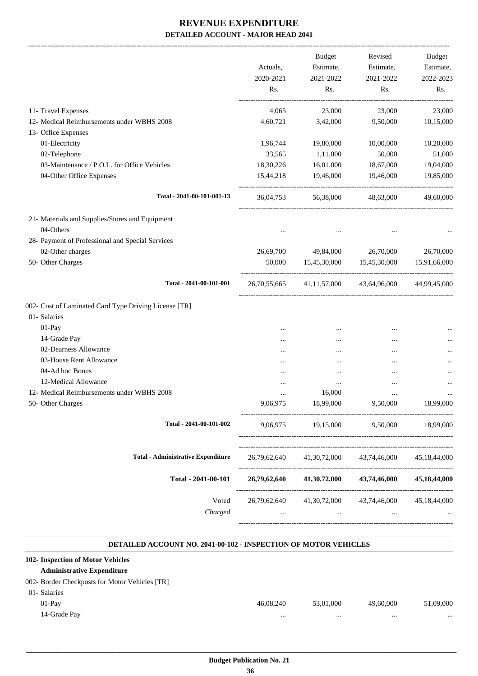-------------------------------------------------------------------------------------------------------------------------------------------------------------------------------

|                                                       | Actuals,<br>2020-2021<br>Rs. | <b>Budget</b><br>Estimate,<br>2021-2022<br>Rs. | Revised<br>Estimate,<br>2021-2022<br>Rs.           | <b>Budget</b><br>Estimate,<br>2022-2023<br>Rs. |
|-------------------------------------------------------|------------------------------|------------------------------------------------|----------------------------------------------------|------------------------------------------------|
| 11- Travel Expenses                                   | 4,065                        | 23,000                                         | 23,000                                             | 23,000                                         |
| 12- Medical Reimbursements under WBHS 2008            | 4,60,721                     | 3,42,000                                       | 9,50,000                                           | 10,15,000                                      |
| 13- Office Expenses                                   |                              |                                                |                                                    |                                                |
| 01-Electricity                                        | 1,96,744                     | 19,80,000                                      | 10,00,000                                          | 10,20,000                                      |
| 02-Telephone                                          | 33,565                       | 1,11,000                                       | 50,000                                             | 51,000                                         |
| 03-Maintenance / P.O.L. for Office Vehicles           | 18,30,226                    | 16,01,000                                      | 18,67,000                                          | 19,04,000                                      |
| 04-Other Office Expenses                              | 15,44,218                    | 19,46,000                                      | 19,46,000                                          | 19,85,000                                      |
| Total - 2041-00-101-001-13                            | 36,04,753                    | 56,38,000                                      | 48,63,000                                          | 49,60,000                                      |
| 21- Materials and Supplies/Stores and Equipment       |                              |                                                |                                                    |                                                |
| 04-Others                                             |                              |                                                |                                                    |                                                |
| 28- Payment of Professional and Special Services      |                              |                                                |                                                    |                                                |
| 02-Other charges                                      | 26,69,700                    | 49,84,000                                      | 26,70,000                                          | 26,70,000                                      |
| 50- Other Charges                                     | 50,000                       |                                                | 15,45,30,000 15,45,30,000                          | 15,91,66,000                                   |
| Total - 2041-00-101-001                               | 26,70,55,665                 | 41, 11, 57, 000                                | 43,64,96,000                                       | 44,99,45,000                                   |
| 002- Cost of Laminated Card Type Driving License [TR] |                              |                                                |                                                    |                                                |
| 01- Salaries                                          |                              |                                                |                                                    |                                                |
| 01-Pay                                                | $\ddotsc$                    | $\cdots$                                       |                                                    |                                                |
| 14-Grade Pay                                          | $\ddotsc$                    | $\cdots$                                       | $\cdots$                                           |                                                |
| 02-Dearness Allowance                                 | $\ddotsc$                    | $\cdots$                                       |                                                    |                                                |
| 03-House Rent Allowance                               | $\ddotsc$                    | $\cdots$                                       | $\cdots$                                           |                                                |
| 04-Ad hoc Bonus                                       |                              | $\cdots$                                       | $\ddotsc$                                          |                                                |
| 12-Medical Allowance                                  |                              | $\cdots$                                       | $\cdots$                                           |                                                |
| 12- Medical Reimbursements under WBHS 2008            | $\ddotsc$                    | 16,000                                         | $\cdots$                                           |                                                |
| 50- Other Charges                                     | 9,06,975                     | 18,99,000                                      | 9,50,000                                           | 18,99,000                                      |
| Total - 2041-00-101-002                               | 9.06.975                     | 19,15,000                                      | 9,50,000                                           | 18,99,000                                      |
| <b>Total - Administrative Expenditure</b>             | 26,79,62,640                 | 41,30,72,000                                   | 43,74,46,000                                       | 45, 18, 44, 000                                |
| Total - 2041-00-101                                   | 26,79,62,640                 | 41,30,72,000                                   | 43,74,46,000                                       | 45,18,44,000                                   |
| Voted<br>Charged                                      |                              | $\cdots$                                       | 26,79,62,640 41,30,72,000 43,74,46,000<br>$\cdots$ | 45,18,44,000                                   |
|                                                       |                              |                                                |                                                    |                                                |

#### **DETAILED ACCOUNT NO. 2041-00-102 - INSPECTION OF MOTOR VEHICLES .**

.

| 102- Inspection of Motor Vehicles              |           |           |           |           |
|------------------------------------------------|-----------|-----------|-----------|-----------|
| <b>Administrative Expenditure</b>              |           |           |           |           |
| 002- Border Checkposts for Motor Vehicles [TR] |           |           |           |           |
| 01- Salaries                                   |           |           |           |           |
| $01-Pav$                                       | 46,08,240 | 53,01,000 | 49,60,000 | 51,09,000 |
| 14-Grade Pay                                   |           |           |           |           |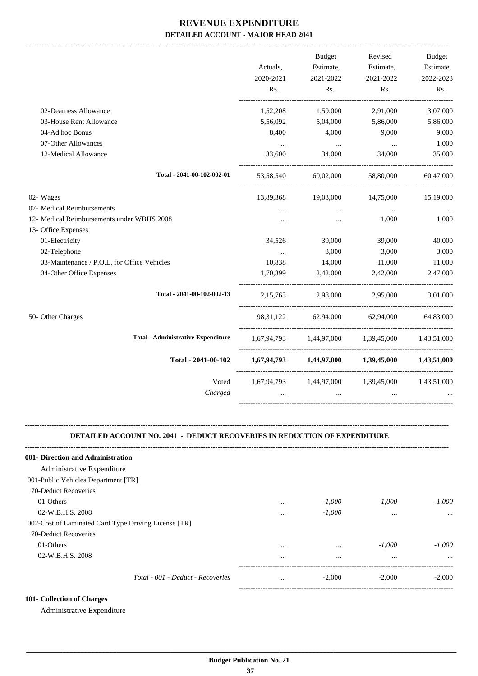| Actuals,<br>2020-2021 | Budget<br>Estimate,<br>2021-2022 | Revised<br>Estimate,<br>2021-2022 | <b>Budget</b><br>Estimate,<br>2022-2023<br>Rs.                                                                                                                                                                                 |
|-----------------------|----------------------------------|-----------------------------------|--------------------------------------------------------------------------------------------------------------------------------------------------------------------------------------------------------------------------------|
|                       |                                  |                                   |                                                                                                                                                                                                                                |
| 1,52,208              | 1,59,000                         | 2,91,000                          | 3,07,000                                                                                                                                                                                                                       |
| 5,56,092              | 5,04,000                         | 5,86,000                          | 5,86,000                                                                                                                                                                                                                       |
| 8,400                 | 4,000                            | 9,000                             | 9,000                                                                                                                                                                                                                          |
| $\cdots$              | $\sim 100$ and $\sim 100$        | $\sim 100$                        | 1,000                                                                                                                                                                                                                          |
| 33,600                | 34,000                           | 34,000                            | 35,000                                                                                                                                                                                                                         |
| 53,58,540             |                                  | 58,80,000                         | 60,47,000                                                                                                                                                                                                                      |
| 13,89,368             | 19,03,000                        | 14,75,000                         | 15,19,000                                                                                                                                                                                                                      |
| $\ddotsc$             | $\cdots$                         | $\ddots$                          |                                                                                                                                                                                                                                |
| $\cdots$              | $\cdots$                         | 1,000                             | 1,000                                                                                                                                                                                                                          |
|                       |                                  |                                   |                                                                                                                                                                                                                                |
| 34,526                | 39,000                           | 39,000                            | 40,000                                                                                                                                                                                                                         |
| $\cdots$              | 3,000                            | 3,000                             | 3,000                                                                                                                                                                                                                          |
| 10,838                | 14,000                           | 11,000                            | 11,000                                                                                                                                                                                                                         |
| 1,70,399              |                                  | 2,42,000                          | 2,47,000                                                                                                                                                                                                                       |
| 2,15,763              | 2,98,000                         |                                   | 3,01,000                                                                                                                                                                                                                       |
|                       |                                  |                                   | 64,83,000                                                                                                                                                                                                                      |
|                       |                                  |                                   |                                                                                                                                                                                                                                |
|                       |                                  |                                   |                                                                                                                                                                                                                                |
| $\cdots$              | $\cdots$                         | $\ddotsc$                         |                                                                                                                                                                                                                                |
|                       | Rs.                              | Rs.<br>2,42,000                   | Rs.<br>60,02,000<br>2,95,000<br>98,31,122 62,94,000 62,94,000<br>1.67.94.793 1.44.97.000 1.39.45.000 1.43.51.000<br>$1,67,94,793$ $1,44,97,000$ $1,39,45,000$ $1,43,51,000$<br>1,67,94,793 1,44,97,000 1,39,45,000 1,43,51,000 |

#### **DETAILED ACCOUNT NO. 2041 - DEDUCT RECOVERIES IN REDUCTION OF EXPENDITURE**

**--------------------------------------------------------------------------------------------------------------------------------------------------------------------------------**

| 001- Direction and Administration                    |          |          |          |          |
|------------------------------------------------------|----------|----------|----------|----------|
| Administrative Expenditure                           |          |          |          |          |
| 001-Public Vehicles Department [TR]                  |          |          |          |          |
| 70-Deduct Recoveries                                 |          |          |          |          |
| 01-Others                                            | $\cdots$ | $-1,000$ | $-1,000$ | $-1,000$ |
| 02-W.B.H.S. 2008                                     |          | $-1,000$ | $\cdots$ | $\cdots$ |
| 002-Cost of Laminated Card Type Driving License [TR] |          |          |          |          |
| 70-Deduct Recoveries                                 |          |          |          |          |
| 01-Others                                            | $\cdots$ | $\cdots$ | $-1,000$ | $-1,000$ |
| 02-W.B.H.S. 2008                                     | $\cdots$ | $\cdots$ | $\cdots$ | $\cdots$ |
| Total - 001 - Deduct - Recoveries                    | $\cdots$ | $-2.000$ | $-2,000$ | $-2.000$ |
|                                                      |          |          |          |          |

### **101- Collection of Charges**

Administrative Expenditure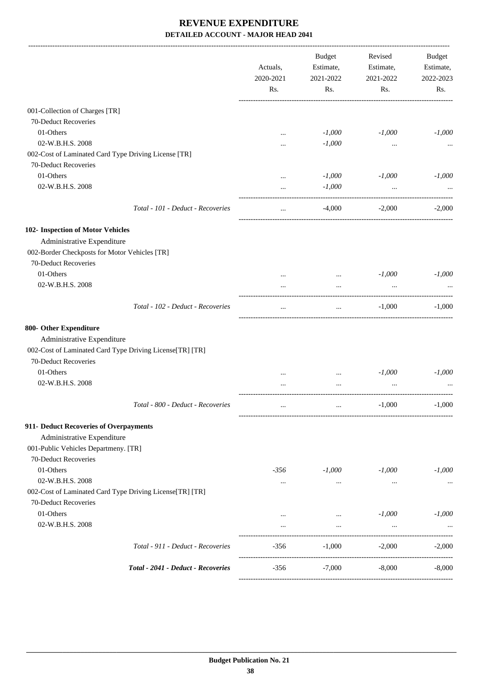|                                                          | Actuals,<br>2020-2021 | <b>Budget</b><br>Estimate,<br>2021-2022 | Revised<br>Estimate,<br>2021-2022 | <b>Budget</b><br>Estimate,<br>2022-2023 |
|----------------------------------------------------------|-----------------------|-----------------------------------------|-----------------------------------|-----------------------------------------|
|                                                          | Rs.                   | Rs.                                     | Rs.                               | Rs.                                     |
| 001-Collection of Charges [TR]                           |                       |                                         |                                   |                                         |
| 70-Deduct Recoveries                                     |                       |                                         |                                   |                                         |
| 01-Others                                                |                       | $-1,000$                                | $-1,000$                          | $-1,000$                                |
| 02-W.B.H.S. 2008                                         |                       | $-1,000$                                |                                   |                                         |
| 002-Cost of Laminated Card Type Driving License [TR]     |                       |                                         |                                   |                                         |
| 70-Deduct Recoveries                                     |                       |                                         |                                   |                                         |
| 01-Others                                                |                       | $-1,000$                                | $-1,000$                          | $-1,000$                                |
| 02-W.B.H.S. 2008                                         | $\cdots$              | $-1,000$                                | $\cdots$                          |                                         |
| Total - 101 - Deduct - Recoveries                        | $\cdots$              | $-4,000$                                | $-2,000$                          | $-2,000$                                |
| 102- Inspection of Motor Vehicles                        |                       |                                         |                                   |                                         |
| Administrative Expenditure                               |                       |                                         |                                   |                                         |
| 002-Border Checkposts for Motor Vehicles [TR]            |                       |                                         |                                   |                                         |
| 70-Deduct Recoveries                                     |                       |                                         |                                   |                                         |
| 01-Others                                                |                       | $\cdots$                                | $-1,000$                          | $-1,000$                                |
| 02-W.B.H.S. 2008                                         |                       |                                         | $\cdots$                          |                                         |
| Total - 102 - Deduct - Recoveries                        | $\ddotsc$             | $\cdots$                                | $-1,000$                          | $-1,000$                                |
| 800- Other Expenditure                                   |                       |                                         |                                   |                                         |
| Administrative Expenditure                               |                       |                                         |                                   |                                         |
| 002-Cost of Laminated Card Type Driving License[TR] [TR] |                       |                                         |                                   |                                         |
| 70-Deduct Recoveries                                     |                       |                                         |                                   |                                         |
| 01-Others                                                |                       | $\cdots$                                | $-1,000$                          | $-1,000$                                |
| 02-W.B.H.S. 2008                                         |                       | $\cdots$                                |                                   |                                         |
| Total - 800 - Deduct - Recoveries                        | $\cdots$              |                                         | $-1,000$                          | $-1,000$                                |
| 911- Deduct Recoveries of Overpayments                   |                       |                                         |                                   |                                         |
| Administrative Expenditure                               |                       |                                         |                                   |                                         |
| 001-Public Vehicles Departmeny. [TR]                     |                       |                                         |                                   |                                         |
| 70-Deduct Recoveries                                     |                       |                                         |                                   |                                         |
| 01-Others                                                | -356                  | $-1,000$                                | $-1,000$                          | $-1,000$                                |
| 02-W.B.H.S. 2008                                         | $\cdots$              | $\cdots$                                | $\cdots$                          | $\cdots$                                |
| 002-Cost of Laminated Card Type Driving License[TR] [TR] |                       |                                         |                                   |                                         |
| 70-Deduct Recoveries                                     |                       |                                         |                                   |                                         |
| 01-Others                                                | $\cdots$              | $\sim$ $\sim$                           | $-1,000$                          | $-1,000$                                |
| 02-W.B.H.S. 2008                                         | $\cdots$              | $\cdots$                                | $\cdots$                          |                                         |
| Total - 911 - Deduct - Recoveries                        | -356                  | $-1,000$                                | $-2,000$                          | $-2,000$                                |
| Total - 2041 - Deduct - Recoveries                       | $-356$                | $-7,000$                                | $-8,000$                          | $-8,000$                                |
|                                                          |                       |                                         |                                   |                                         |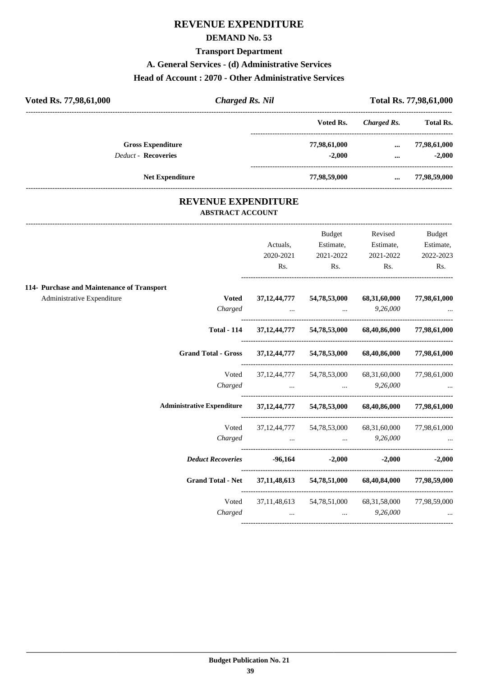# **REVENUE EXPENDITURE**

### **DEMAND No. 53**

### **Transport Department**

### **A. General Services - (d) Administrative Services**

### **Head of Account : 2070 - Other Administrative Services**

| <b>Total Rs.</b><br>Voted Rs.<br>Charged Rs.<br><b>Gross Expenditure</b><br>77,98,61,000<br>77,98,61,000<br>$\cdots$ | Total Rs. 77,98,61,000 | <b>Charged Rs. Nil</b> | Voted Rs. 77,98,61,000 |
|----------------------------------------------------------------------------------------------------------------------|------------------------|------------------------|------------------------|
|                                                                                                                      |                        |                        |                        |
|                                                                                                                      |                        |                        |                        |
| <b>Deduct - Recoveries</b><br>$-2,000$<br>$\cdots$                                                                   |                        |                        |                        |
| 77,98,59,000<br><b>Net Expenditure</b><br>77,98,59,000<br>$\cdots$                                                   |                        |                        |                        |

### **REVENUE EXPENDITURE ABSTRACT ACCOUNT**

---------------------------------------------------------------------------------------------------------------------------------------------------------------------------------

|                                                                                |                     | <b>Budget</b>                          | Revised                                                   | <b>Budget</b>     |
|--------------------------------------------------------------------------------|---------------------|----------------------------------------|-----------------------------------------------------------|-------------------|
|                                                                                | Actuals,            | Estimate,                              | Estimate,                                                 | Estimate,         |
|                                                                                | 2020-2021           | 2021-2022                              | 2021-2022                                                 | 2022-2023         |
|                                                                                | Rs.                 | Rs.                                    | Rs.                                                       | Rs.               |
| 114- Purchase and Maintenance of Transport                                     |                     |                                        |                                                           |                   |
| Administrative Expenditure<br><b>Voted</b>                                     |                     | 37,12,44,777 54,78,53,000 68,31,60,000 |                                                           | 77,98,61,000      |
| Charged                                                                        |                     |                                        | $\ldots$ $9,26,000$                                       |                   |
| <b>Total - 114</b>                                                             |                     |                                        | 37,12,44,777 54,78,53,000 68,40,86,000                    | 77,98,61,000      |
| Grand Total - Gross 37,12,44,777 54,78,53,000 68,40,86,000 77,98,61,000        |                     |                                        |                                                           |                   |
|                                                                                |                     |                                        | Voted 37,12,44,777 54,78,53,000 68,31,60,000 77,98,61,000 |                   |
|                                                                                |                     |                                        | Charged    9,26,000                                       |                   |
| Administrative Expenditure 37,12,44,777 54,78,53,000 68,40,86,000 77,98,61,000 |                     |                                        |                                                           |                   |
| Voted                                                                          |                     |                                        | 37,12,44,777 54,78,53,000 68,31,60,000                    | 77,98,61,000      |
|                                                                                |                     |                                        | Charged   9,26,000                                        |                   |
| Deduct Recoveries -96,164 -2,000                                               |                     |                                        |                                                           | $-2,000$ $-2,000$ |
| Grand Total - Net 37,11,48,613 54,78,51,000 68,40,84,000 77,98,59,000          |                     |                                        |                                                           |                   |
|                                                                                |                     |                                        | Voted 37,11,48,613 54,78,51,000 68,31,58,000 77,98,59,000 |                   |
| Charged                                                                        | $\ldots$ $9,26,000$ |                                        |                                                           |                   |
|                                                                                |                     |                                        |                                                           |                   |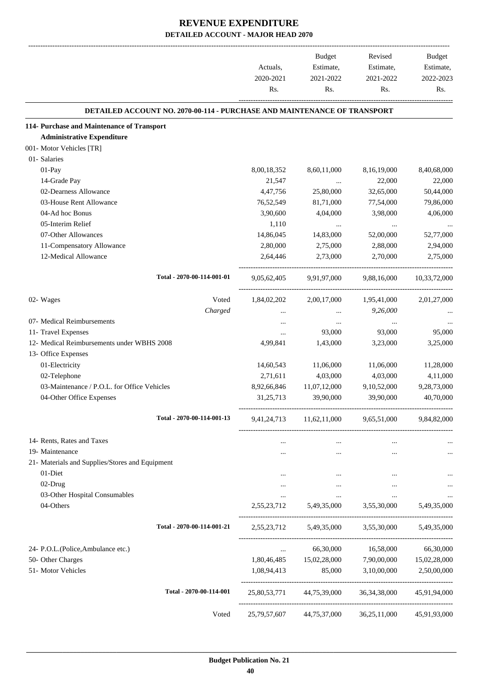|                                                                                 | Actuals,<br>2020-2021<br>Rs. | Budget<br>Estimate,<br>2021-2022<br>Rs. | Revised<br>Estimate,<br>2021-2022<br>Rs.         | Budget<br>Estimate,<br>2022-2023<br>Rs. |
|---------------------------------------------------------------------------------|------------------------------|-----------------------------------------|--------------------------------------------------|-----------------------------------------|
| <b>DETAILED ACCOUNT NO. 2070-00-114 - PURCHASE AND MAINTENANCE OF TRANSPORT</b> |                              |                                         |                                                  |                                         |
| 114- Purchase and Maintenance of Transport                                      |                              |                                         |                                                  |                                         |
| <b>Administrative Expenditure</b>                                               |                              |                                         |                                                  |                                         |
| 001- Motor Vehicles [TR]                                                        |                              |                                         |                                                  |                                         |
| 01- Salaries                                                                    |                              |                                         |                                                  |                                         |
| 01-Pay                                                                          | 8,00,18,352                  | 8,60,11,000                             | 8,16,19,000                                      | 8,40,68,000                             |
| 14-Grade Pay                                                                    | 21,547                       | $\ldots$                                | 22,000                                           | 22,000                                  |
| 02-Dearness Allowance                                                           | 4,47,756                     | 25,80,000                               | 32,65,000                                        | 50,44,000                               |
| 03-House Rent Allowance                                                         | 76,52,549                    | 81,71,000                               | 77,54,000                                        | 79,86,000                               |
| 04-Ad hoc Bonus                                                                 | 3,90,600                     | 4,04,000                                | 3,98,000                                         | 4,06,000                                |
| 05-Interim Relief                                                               | 1,110                        | $\cdots$                                | $\cdots$                                         |                                         |
| 07-Other Allowances                                                             | 14,86,045                    | 14,83,000                               | 52,00,000                                        | 52,77,000                               |
| 11-Compensatory Allowance                                                       | 2,80,000                     | 2,75,000                                | 2,88,000                                         | 2,94,000                                |
| 12-Medical Allowance                                                            | 2,64,446                     | 2,73,000                                | 2,70,000                                         | 2,75,000                                |
| Total - 2070-00-114-001-01                                                      | 9,05,62,405                  | 9,91,97,000                             | 9,88,16,000                                      | 10,33,72,000                            |
| Voted<br>02- Wages                                                              | 1,84,02,202                  | 2,00,17,000                             | 1,95,41,000                                      | 2,01,27,000                             |
| Charged                                                                         | $\cdots$                     | $\cdots$                                | 9,26,000                                         |                                         |
| 07- Medical Reimbursements                                                      | $\cdots$                     | $\cdots$                                | $\cdots$                                         |                                         |
| 11- Travel Expenses                                                             | $\cdots$                     | 93,000                                  | 93,000                                           | 95,000                                  |
| 12- Medical Reimbursements under WBHS 2008                                      | 4,99,841                     | 1,43,000                                | 3,23,000                                         | 3,25,000                                |
| 13- Office Expenses                                                             |                              |                                         |                                                  |                                         |
| 01-Electricity                                                                  | 14,60,543                    | 11,06,000                               | 11,06,000                                        | 11,28,000                               |
| 02-Telephone                                                                    | 2,71,611                     | 4,03,000                                | 4,03,000                                         | 4,11,000                                |
| 03-Maintenance / P.O.L. for Office Vehicles                                     | 8,92,66,846                  | 11,07,12,000                            | 9,10,52,000                                      | 9,28,73,000                             |
| 04-Other Office Expenses                                                        | 31,25,713                    | 39,90,000                               | 39,90,000                                        | 40,70,000                               |
| Total - 2070-00-114-001-13                                                      |                              |                                         | 9,41,24,713 11,62,11,000 9,65,51,000 9,84,82,000 |                                         |
| 14- Rents, Rates and Taxes                                                      |                              |                                         | $\cdots$                                         |                                         |
| 19- Maintenance                                                                 |                              | $\cdots$                                | $\cdots$                                         |                                         |
| 21- Materials and Supplies/Stores and Equipment                                 |                              |                                         |                                                  |                                         |
| 01-Diet                                                                         |                              |                                         |                                                  |                                         |
| 02-Drug                                                                         | $\cdots$                     | $\cdots$                                | $\cdots$                                         |                                         |
| 03-Other Hospital Consumables                                                   | $\cdots$                     | $\cdots$                                | $\cdots$                                         |                                         |
| 04-Others                                                                       |                              | 2,55,23,712 5,49,35,000                 | 3,55,30,000                                      | 5,49,35,000                             |
| Total - 2070-00-114-001-21                                                      |                              | 2,55,23,712 5,49,35,000                 | 3,55,30,000                                      | 5,49,35,000                             |
| 24- P.O.L.(Police, Ambulance etc.)                                              | $\cdots$                     | 66,30,000                               | 16,58,000                                        | 66,30,000                               |
| 50- Other Charges                                                               |                              | 1,80,46,485 15,02,28,000                | 7,90,00,000                                      | 15,02,28,000                            |
| 51- Motor Vehicles                                                              | 1,08,94,413                  | 85,000                                  | 3,10,00,000                                      | 2,50,00,000                             |
| Total - 2070-00-114-001                                                         |                              | 25,80,53,771 44,75,39,000               | 36, 34, 38, 000                                  | 45,91,94,000                            |
| Voted                                                                           | 25,79,57,607                 | 44,75,37,000                            | 36,25,11,000                                     | 45,91,93,000                            |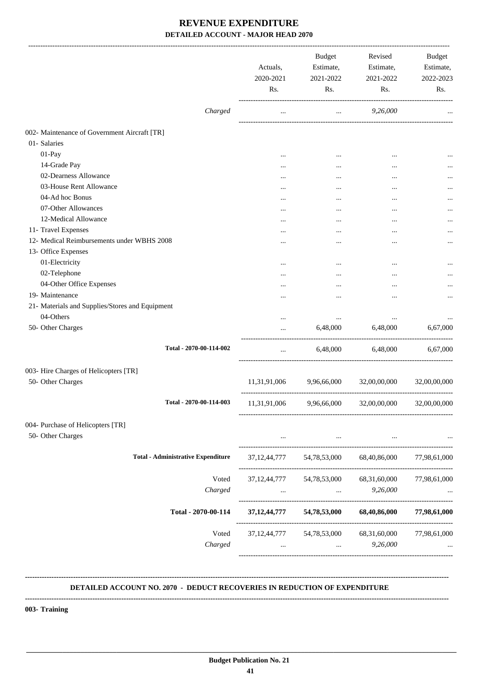|                                                 | Actuals,<br>2020-2021<br>Rs. | <b>Budget</b><br>Estimate,<br>2021-2022<br>Rs. | Revised<br>Estimate,<br>2021-2022<br>Rs. | <b>Budget</b><br>Estimate,<br>2022-2023<br>Rs. |
|-------------------------------------------------|------------------------------|------------------------------------------------|------------------------------------------|------------------------------------------------|
| Charged                                         |                              | $\cdots$                                       | 9,26,000                                 |                                                |
| 002- Maintenance of Government Aircraft [TR]    |                              |                                                |                                          |                                                |
| 01- Salaries                                    |                              |                                                |                                          |                                                |
| 01-Pay                                          |                              |                                                |                                          |                                                |
| 14-Grade Pay                                    |                              |                                                |                                          |                                                |
| 02-Dearness Allowance                           |                              |                                                |                                          | $\cdots$                                       |
| 03-House Rent Allowance                         |                              |                                                | $\ddotsc$                                |                                                |
| 04-Ad hoc Bonus                                 |                              |                                                |                                          |                                                |
| 07-Other Allowances                             |                              |                                                |                                          |                                                |
| 12-Medical Allowance                            |                              |                                                |                                          |                                                |
| 11- Travel Expenses                             |                              | $\ddotsc$                                      |                                          |                                                |
| 12- Medical Reimbursements under WBHS 2008      |                              |                                                |                                          | $\cdots$                                       |
| 13- Office Expenses<br>01-Electricity           |                              |                                                |                                          |                                                |
| 02-Telephone                                    |                              |                                                |                                          | $\cdots$                                       |
| 04-Other Office Expenses                        |                              |                                                |                                          | $\cdots$                                       |
| 19- Maintenance                                 |                              |                                                |                                          |                                                |
| 21- Materials and Supplies/Stores and Equipment |                              |                                                |                                          |                                                |
| 04-Others                                       |                              | $\cdots$                                       | $\cdots$                                 |                                                |
| 50- Other Charges                               |                              | 6,48,000                                       | 6,48,000                                 | 6,67,000                                       |
| Total - 2070-00-114-002                         |                              | 6,48,000                                       | 6,48,000                                 | 6,67,000                                       |
| 003- Hire Charges of Helicopters [TR]           |                              |                                                |                                          |                                                |
| 50- Other Charges                               | 11,31,91,006                 | 9,96,66,000                                    | 32,00,00,000                             | 32,00,00,000                                   |
| Total - 2070-00-114-003                         | 11,31,91,006                 | 9,96,66,000                                    | 32,00,00,000                             | 32,00,00,000                                   |
|                                                 |                              |                                                |                                          |                                                |
| 004- Purchase of Helicopters [TR]               |                              |                                                |                                          |                                                |
| 50- Other Charges                               | $\cdots$                     | $\cdots$                                       | $\cdots$                                 |                                                |
| <b>Total - Administrative Expenditure</b>       |                              |                                                | 37,12,44,777 54,78,53,000 68,40,86,000   | 77,98,61,000                                   |
| Voted                                           |                              | 37, 12, 44, 777 54, 78, 53, 000                | 68,31,60,000                             | 77,98,61,000                                   |
| Charged                                         | $\cdots$                     | $\cdots$                                       | 9,26,000                                 |                                                |
| Total - 2070-00-114                             | 37, 12, 44, 777              | 54,78,53,000                                   | 68,40,86,000                             | 77,98,61,000                                   |
| Voted<br>Charged                                | $\cdots$                     | 37, 12, 44, 777 54, 78, 53, 000<br>$\cdots$    | 68,31,60,000<br>9,26,000                 | 77,98,61,000                                   |

### **DETAILED ACCOUNT NO. 2070 - DEDUCT RECOVERIES IN REDUCTION OF EXPENDITURE**

**--------------------------------------------------------------------------------------------------------------------------------------------------------------------------------**

 **\_\_\_\_\_\_\_\_\_\_\_\_\_\_\_\_\_\_\_\_\_\_\_\_\_\_\_\_\_\_\_\_\_\_\_\_\_\_\_\_\_\_\_\_\_\_\_\_\_\_\_\_\_\_\_\_\_\_\_\_\_\_\_\_\_\_\_\_\_\_\_\_\_\_\_\_\_\_\_\_\_\_\_\_\_\_\_\_\_\_\_\_\_\_\_\_\_\_\_\_\_\_\_\_\_\_\_\_\_\_\_\_\_\_\_\_\_\_\_**

**--------------------------------------------------------------------------------------------------------------------------------------------------------------------------------**

**003- Training**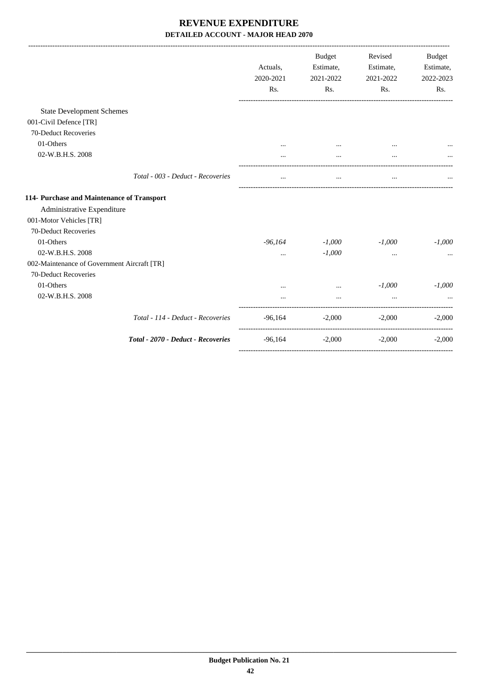|                                             |                                    | Actuals,<br>2020-2021 | Budget<br>Estimate,<br>2021-2022 | Revised<br>Estimate,<br>2021-2022 | <b>Budget</b><br>Estimate,<br>2022-2023 |
|---------------------------------------------|------------------------------------|-----------------------|----------------------------------|-----------------------------------|-----------------------------------------|
|                                             |                                    | Rs.                   | Rs.                              | Rs.                               | Rs.                                     |
| <b>State Development Schemes</b>            |                                    |                       |                                  |                                   |                                         |
| 001-Civil Defence [TR]                      |                                    |                       |                                  |                                   |                                         |
| 70-Deduct Recoveries                        |                                    |                       |                                  |                                   |                                         |
| 01-Others                                   |                                    |                       |                                  |                                   |                                         |
| 02-W.B.H.S. 2008                            |                                    |                       |                                  |                                   |                                         |
|                                             | Total - 003 - Deduct - Recoveries  | $\cdots$              | $\cdots$                         | $\cdots$                          |                                         |
| 114- Purchase and Maintenance of Transport  |                                    |                       |                                  |                                   |                                         |
| Administrative Expenditure                  |                                    |                       |                                  |                                   |                                         |
| 001-Motor Vehicles [TR]                     |                                    |                       |                                  |                                   |                                         |
| 70-Deduct Recoveries                        |                                    |                       |                                  |                                   |                                         |
| 01-Others                                   |                                    | -96,164               | $-1,000$                         | $-1,000$                          | $-1,000$                                |
| 02-W.B.H.S. 2008                            |                                    | $\cdots$              | $-1,000$                         | $\cdots$                          |                                         |
| 002-Maintenance of Government Aircraft [TR] |                                    |                       |                                  |                                   |                                         |
| 70-Deduct Recoveries                        |                                    |                       |                                  |                                   |                                         |
| 01-Others                                   |                                    |                       | $\cdots$                         | $-1,000$                          | $-1,000$                                |
| 02-W.B.H.S. 2008                            |                                    |                       |                                  |                                   |                                         |
|                                             | Total - 114 - Deduct - Recoveries  | -96,164               | $-2,000$                         | $-2,000$                          | $-2,000$                                |
|                                             | Total - 2070 - Deduct - Recoveries | -96,164               | $-2,000$                         | $-2,000$                          | $-2,000$                                |
|                                             |                                    |                       |                                  |                                   |                                         |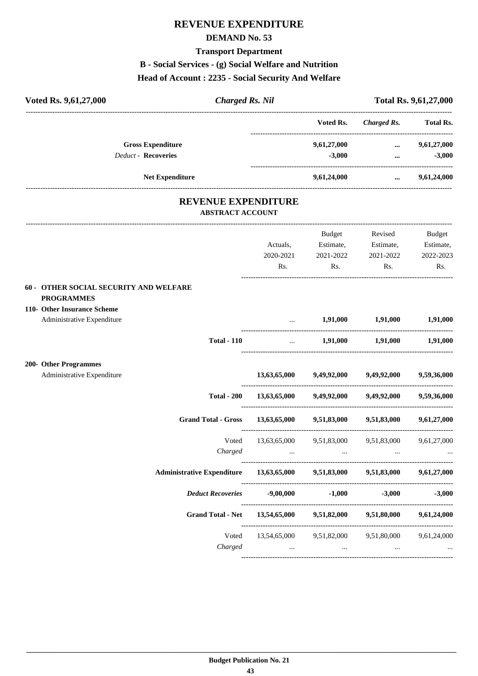# **REVENUE EXPENDITURE**

### **DEMAND No. 53**

### **Transport Department**

**B - Social Services - (g) Social Welfare and Nutrition**

### **Head of Account : 2235 - Social Security And Welfare**

| <b>Charged Rs. Nil</b><br>Voted Rs. 9,61,27,000                                                                          |                                                  |                          |                                            | Total Rs. 9,61,27,000 |
|--------------------------------------------------------------------------------------------------------------------------|--------------------------------------------------|--------------------------|--------------------------------------------|-----------------------|
|                                                                                                                          |                                                  | Voted Rs.                | Charged Rs. Total Rs.                      |                       |
| <b>Gross Expenditure</b>                                                                                                 |                                                  | 9,61,27,000              | $\cdots$                                   | 9,61,27,000           |
| <b>Deduct - Recoveries</b>                                                                                               |                                                  | $-3,000$                 | $\cdots$                                   | $-3,000$              |
| <b>Net Expenditure</b>                                                                                                   |                                                  | 9,61,24,000              | $\cdots$                                   | 9,61,24,000           |
| <b>REVENUE EXPENDITURE</b><br><b>ABSTRACT ACCOUNT</b>                                                                    |                                                  |                          |                                            |                       |
|                                                                                                                          |                                                  | Budget                   | Revised                                    | <b>Budget</b>         |
|                                                                                                                          | Actuals,                                         | Estimate,                | Estimate,                                  | Estimate,             |
|                                                                                                                          | 2020-2021                                        | 2021-2022                | 2021-2022                                  | 2022-2023             |
|                                                                                                                          | Rs.                                              | Rs.                      | Rs.                                        | Rs.                   |
| 60 - OTHER SOCIAL SECURITY AND WELFARE<br><b>PROGRAMMES</b><br>110- Other Insurance Scheme<br>Administrative Expenditure |                                                  | 1,91,000 1,91,000        |                                            | 1,91,000              |
|                                                                                                                          |                                                  |                          |                                            |                       |
| <b>Total - 110</b>                                                                                                       | $\ddots$                                         |                          | 1,91,000 1,91,000                          | 1,91,000              |
| 200- Other Programmes                                                                                                    |                                                  |                          |                                            |                       |
| Administrative Expenditure                                                                                               | 13,63,65,000                                     | 9,49,92,000              | 9,49,92,000                                | 9,59,36,000           |
| <b>Total - 200</b>                                                                                                       |                                                  |                          | $13,63,65,000$ $9,49,92,000$ $9,49,92,000$ | 9,59,36,000           |
| <b>Grand Total - Gross</b>                                                                                               | 13,63,65,000                                     | 9,51,83,000              | 9,51,83,000                                | 9,61,27,000           |
| Voted                                                                                                                    |                                                  | 13,63,65,000 9,51,83,000 | 9,51,83,000                                | 9,61,27,000           |
| Charged                                                                                                                  |                                                  |                          |                                            |                       |
| <b>Administrative Expenditure</b>                                                                                        | $13,63,65,000$ $9,51,83,000$                     |                          | 9,51,83,000                                | 9,61,27,000           |
| <b>Deduct Recoveries</b>                                                                                                 | -9,00,000                                        | $-1,000$                 | $-3,000$                                   | $-3,000$              |
| <b>Grand Total - Net</b>                                                                                                 | 13,54,65,000 9,51,82,000                         |                          | 9,51,80,000                                | 9,61,24,000           |
| Voted<br>Charged                                                                                                         | 13,54,65,000 9,51,82,000 9,51,80,000<br>$\cdots$ | $\ldots$                 | $\ldots$                                   | 9,61,24,000           |

----------------------------------------------------------------------------------------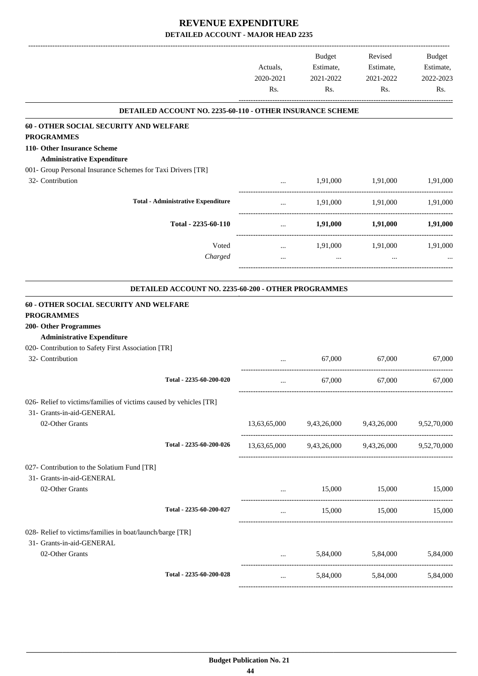|                                                                                        |                                                                  | Actuals,<br>2020-2021                     | Budget<br>Estimate,<br>2021-2022                 | Revised<br>Estimate,<br>2021-2022 | <b>Budget</b><br>Estimate,<br>2022-2023 |
|----------------------------------------------------------------------------------------|------------------------------------------------------------------|-------------------------------------------|--------------------------------------------------|-----------------------------------|-----------------------------------------|
|                                                                                        |                                                                  | Rs.                                       | Rs.                                              | Rs.                               | Rs.                                     |
|                                                                                        | <b>DETAILED ACCOUNT NO. 2235-60-110 - OTHER INSURANCE SCHEME</b> |                                           |                                                  |                                   |                                         |
| 60 - OTHER SOCIAL SECURITY AND WELFARE                                                 |                                                                  |                                           |                                                  |                                   |                                         |
| <b>PROGRAMMES</b>                                                                      |                                                                  |                                           |                                                  |                                   |                                         |
| 110- Other Insurance Scheme<br><b>Administrative Expenditure</b>                       |                                                                  |                                           |                                                  |                                   |                                         |
| 001- Group Personal Insurance Schemes for Taxi Drivers [TR]                            |                                                                  |                                           |                                                  |                                   |                                         |
| 32- Contribution                                                                       |                                                                  | $\cdots$                                  | 1,91,000                                         | 1,91,000                          | 1,91,000                                |
|                                                                                        |                                                                  |                                           |                                                  |                                   |                                         |
|                                                                                        | <b>Total - Administrative Expenditure</b>                        | $\cdots$                                  | 1,91,000                                         | 1,91,000                          | 1,91,000                                |
|                                                                                        | Total - 2235-60-110                                              | $\cdots$<br>_____________________________ | 1,91,000                                         | 1,91,000                          | 1,91,000                                |
|                                                                                        | Voted                                                            | $\cdots$                                  | 1,91,000                                         | 1,91,000                          | 1,91,000                                |
|                                                                                        | Charged                                                          |                                           | $\cdots$                                         |                                   |                                         |
|                                                                                        |                                                                  |                                           |                                                  |                                   |                                         |
|                                                                                        | DETAILED ACCOUNT NO. 2235-60-200 - OTHER PROGRAMMES              |                                           |                                                  |                                   |                                         |
| 60 - OTHER SOCIAL SECURITY AND WELFARE                                                 |                                                                  |                                           |                                                  |                                   |                                         |
| <b>PROGRAMMES</b>                                                                      |                                                                  |                                           |                                                  |                                   |                                         |
| <b>200- Other Programmes</b><br><b>Administrative Expenditure</b>                      |                                                                  |                                           |                                                  |                                   |                                         |
| 020- Contribution to Safety First Association [TR]                                     |                                                                  |                                           |                                                  |                                   |                                         |
| 32- Contribution                                                                       |                                                                  |                                           | 67,000                                           | 67,000                            | 67,000                                  |
|                                                                                        |                                                                  |                                           |                                                  |                                   |                                         |
|                                                                                        | Total - 2235-60-200-020                                          | $\cdots$                                  | 67,000                                           | 67,000                            | 67,000                                  |
| 026- Relief to victims/families of victims caused by vehicles [TR]                     |                                                                  |                                           |                                                  |                                   |                                         |
| 31- Grants-in-aid-GENERAL                                                              |                                                                  |                                           |                                                  |                                   |                                         |
| 02-Other Grants                                                                        |                                                                  |                                           | 13,63,65,000 9,43,26,000 9,43,26,000 9,52,70,000 |                                   |                                         |
|                                                                                        |                                                                  |                                           |                                                  |                                   |                                         |
|                                                                                        | Total - 2235-60-200-026                                          |                                           | 13,63,65,000 9,43,26,000 9,43,26,000 9,52,70,000 |                                   |                                         |
| 027- Contribution to the Solatium Fund [TR]                                            |                                                                  |                                           |                                                  |                                   |                                         |
| 31- Grants-in-aid-GENERAL                                                              |                                                                  |                                           |                                                  |                                   |                                         |
| 02-Other Grants                                                                        |                                                                  | $\cdots$                                  | 15,000                                           | 15,000                            | 15,000                                  |
|                                                                                        | Total - 2235-60-200-027                                          | $\cdots$                                  | 15,000                                           | 15,000                            | 15,000                                  |
|                                                                                        |                                                                  |                                           |                                                  |                                   |                                         |
| 028- Relief to victims/families in boat/launch/barge [TR]<br>31- Grants-in-aid-GENERAL |                                                                  |                                           |                                                  |                                   |                                         |
| 02-Other Grants                                                                        |                                                                  | $\cdots$                                  |                                                  | 5,84,000 5,84,000 5,84,000        |                                         |
|                                                                                        |                                                                  |                                           |                                                  |                                   |                                         |
|                                                                                        | Total - 2235-60-200-028                                          | $\cdots$                                  |                                                  | 5,84,000 5,84,000                 | 5,84,000                                |
|                                                                                        |                                                                  |                                           |                                                  |                                   |                                         |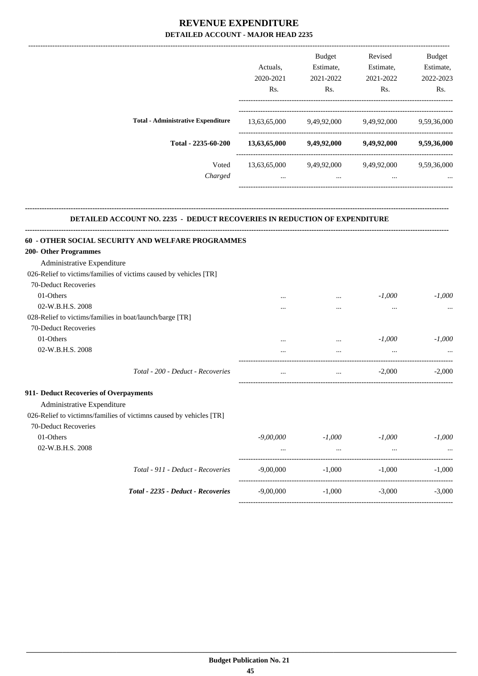|                                           |              | <b>Budget</b> | Revised     | <b>Budget</b> |
|-------------------------------------------|--------------|---------------|-------------|---------------|
|                                           | Actuals.     | Estimate,     | Estimate,   | Estimate,     |
|                                           | 2020-2021    | 2021-2022     | 2021-2022   | 2022-2023     |
|                                           | Rs.          | Rs.           | Rs.         | Rs.           |
| <b>Total - Administrative Expenditure</b> | 13,63,65,000 | 9,49,92,000   | 9,49,92,000 | 9,59,36,000   |
| Total - 2235-60-200                       | 13,63,65,000 | 9,49,92,000   | 9,49,92,000 | 9,59,36,000   |
| Voted                                     | 13,63,65,000 | 9,49,92,000   | 9,49,92,000 | 9,59,36,000   |
| Charged                                   | $\cdots$     | $\cdots$      | $\cdots$    | $\cdots$      |
|                                           |              |               |             |               |

#### **DETAILED ACCOUNT NO. 2235 - DEDUCT RECOVERIES IN REDUCTION OF EXPENDITURE**

**--------------------------------------------------------------------------------------------------------------------------------------------------------------------------------**

| 60 - OTHER SOCIAL SECURITY AND WELFARE PROGRAMMES                   |             |          |                                          |                      |
|---------------------------------------------------------------------|-------------|----------|------------------------------------------|----------------------|
| 200- Other Programmes                                               |             |          |                                          |                      |
| Administrative Expenditure                                          |             |          |                                          |                      |
| 026-Relief to victims/families of victims caused by vehicles [TR]   |             |          |                                          |                      |
| 70-Deduct Recoveries                                                |             |          |                                          |                      |
| 01-Others                                                           |             |          | $-1,000$                                 | $-1.000$             |
| 02-W.B.H.S. 2008                                                    |             |          | $\cdots$                                 |                      |
| 028-Relief to victims/families in boat/launch/barge [TR]            |             |          |                                          |                      |
| 70-Deduct Recoveries                                                |             |          |                                          |                      |
| 01-Others                                                           |             | $\cdots$ | $-1,000$                                 | $-1,000$             |
| 02-W.B.H.S. 2008                                                    |             |          |                                          |                      |
| Total - 200 - Deduct - Recoveries                                   | $\cdots$    |          | <b>The Committee Committee Committee</b> | $-2,000$<br>$-2,000$ |
| 911- Deduct Recoveries of Overpayments                              |             |          |                                          |                      |
| Administrative Expenditure                                          |             |          |                                          |                      |
| 026-Relief to victimns/families of victimns caused by vehicles [TR] |             |          |                                          |                      |
| 70-Deduct Recoveries                                                |             |          |                                          |                      |
| 01-Others                                                           | $-9,00,000$ | -1.000   | -1.000                                   | $-1.000$             |
| 02-W.B.H.S. 2008                                                    | $\cdots$    | $\cdots$ | $\cdots$                                 |                      |
| Total - 911 - Deduct - Recoveries                                   | $-9,00,000$ |          | $-1,000$                                 | $-1.000$<br>$-1.000$ |
| Total - 2235 - Deduct - Recoveries                                  | $-9,00,000$ |          | $-1,000$ $-3,000$                        | $-3.000$             |
|                                                                     |             |          |                                          |                      |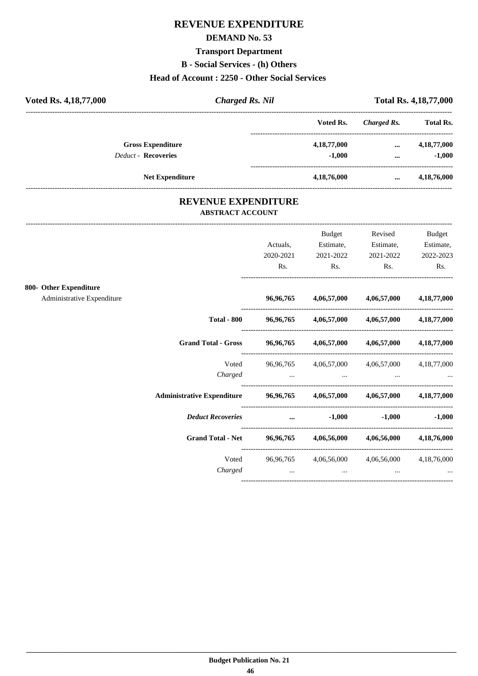# **REVENUE EXPENDITURE**

### **DEMAND No. 53**

#### **Transport Department**

**B - Social Services - (h) Others**

### **Head of Account : 2250 - Other Social Services**

| Voted Rs. 4, 18, 77, 000   | <b>Charged Rs. Nil</b> |                |             | <b>Total Rs. 4,18,77,000</b> |  |  |
|----------------------------|------------------------|----------------|-------------|------------------------------|--|--|
|                            |                        | Voted Rs.      | Charged Rs. | <b>Total Rs.</b>             |  |  |
| <b>Gross Expenditure</b>   |                        | 4, 18, 77, 000 | $\cdots$    | 4,18,77,000                  |  |  |
| <b>Deduct - Recoveries</b> |                        | $-1.000$       | $\cdots$    | $-1,000$                     |  |  |
|                            | <b>Net Expenditure</b> | 4,18,76,000    | $\cdots$    | 4,18,76,000                  |  |  |

### **REVENUE EXPENDITURE ABSTRACT ACCOUNT**

|                                                                                  |                                         | <b>Budget</b> | Revised                                       | Budget            |
|----------------------------------------------------------------------------------|-----------------------------------------|---------------|-----------------------------------------------|-------------------|
|                                                                                  | Actuals.                                | Estimate,     | Estimate,                                     | Estimate,         |
|                                                                                  | 2020-2021                               | 2021-2022     | 2021-2022                                     | 2022-2023         |
|                                                                                  | Rs.                                     | Rs.           | Rs.                                           | Rs.               |
| 800- Other Expenditure                                                           |                                         |               |                                               |                   |
| Administrative Expenditure                                                       | 96,96,765                               |               | $4,06,57,000$ $4,06,57,000$                   | 4,18,77,000       |
| <b>Total - 800</b>                                                               |                                         |               | 96,96,765 4,06,57,000 4,06,57,000 4,18,77,000 |                   |
| <b>Grand Total - Gross</b>                                                       | 96,96,765                               |               | 4,06,57,000 4,06,57,000                       | 4,18,77,000       |
| Voted                                                                            |                                         |               | 96,96,765 4,06,57,000 4,06,57,000 4,18,77,000 |                   |
| Charged                                                                          | $\cdots$                                | $\cdots$      |                                               |                   |
| Administrative Expenditure $96,96,765$ $4,06,57,000$ $4,06,57,000$ $4,18,77,000$ |                                         |               |                                               |                   |
| <b>Deduct Recoveries</b>                                                         | and the contract of the contract of the | $-1,000$      |                                               | $-1,000$ $-1,000$ |
| <b>Grand Total - Net</b>                                                         | 96,96,765                               |               | 4,06,56,000 4,06,56,000 4,18,76,000           |                   |
| Voted                                                                            | 96,96,765                               |               | 4,06,56,000 4,06,56,000                       | 4, 18, 76, 000    |
| Charged                                                                          | $\cdots$                                | $\cdots$      |                                               |                   |
|                                                                                  |                                         |               |                                               |                   |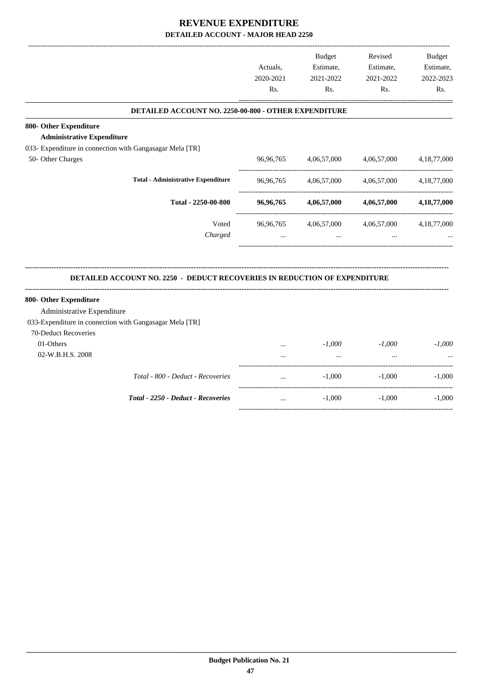|                                                                           | Actuals,  | <b>Budget</b><br>Estimate, | Revised<br>Estimate,    | <b>Budget</b><br>Estimate, |
|---------------------------------------------------------------------------|-----------|----------------------------|-------------------------|----------------------------|
|                                                                           | 2020-2021 | 2021-2022                  | 2021-2022               | 2022-2023                  |
|                                                                           | Rs.       | Rs.                        | Rs.                     | Rs.                        |
| DETAILED ACCOUNT NO. 2250-00-800 - OTHER EXPENDITURE                      |           |                            |                         |                            |
| 800- Other Expenditure                                                    |           |                            |                         |                            |
| <b>Administrative Expenditure</b>                                         |           |                            |                         |                            |
| 033- Expenditure in connection with Gangasagar Mela [TR]                  |           |                            |                         |                            |
| 50- Other Charges                                                         | 96,96,765 | 4,06,57,000                | 4,06,57,000             | 4, 18, 77, 000             |
| <b>Total - Administrative Expenditure</b>                                 | 96,96,765 | 4,06,57,000                | 4,06,57,000             | 4, 18, 77, 000             |
| Total - 2250-00-800                                                       | 96,96,765 | 4,06,57,000                | 4,06,57,000             | 4,18,77,000                |
| Voted                                                                     | 96,96,765 |                            | 4,06,57,000 4,06,57,000 | 4, 18, 77, 000             |
| Charged                                                                   | $\cdots$  | $\ddotsc$                  |                         |                            |
| DETAILED ACCOUNT NO. 2250 - DEDUCT RECOVERIES IN REDUCTION OF EXPENDITURE |           |                            |                         |                            |
| 800- Other Expenditure                                                    |           |                            |                         |                            |
| Administrative Expenditure                                                |           |                            |                         |                            |
| 033-Expenditure in connection with Gangasagar Mela [TR]                   |           |                            |                         |                            |
| 70-Deduct Recoveries                                                      |           |                            |                         |                            |
| 01-Others                                                                 | $\ddotsc$ | $-1,000$                   | $-1,000$                | $-1,000$                   |
| 02-W.B.H.S. 2008                                                          | $\cdots$  | $\ddotsc$                  | $\ddotsc$               |                            |
|                                                                           | $\cdots$  | $-1,000$                   | $-1,000$                | $-1,000$                   |
| Total - 800 - Deduct - Recoveries                                         |           |                            |                         |                            |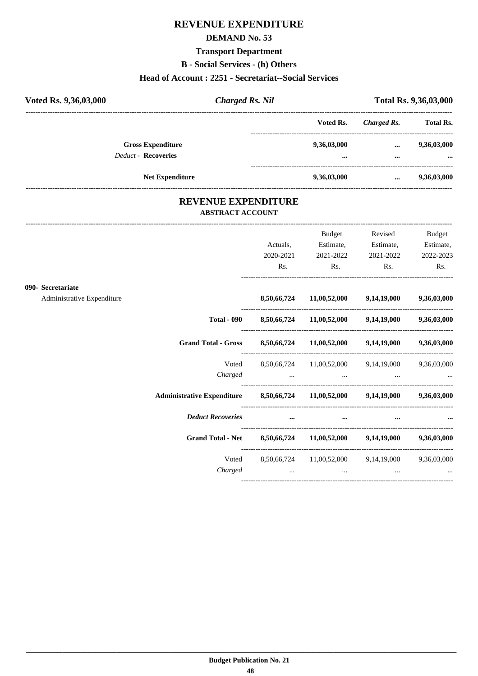# **REVENUE EXPENDITURE**

### **DEMAND No. 53**

### **Transport Department**

**B - Social Services - (h) Others**

#### **Head of Account : 2251 - Secretariat--Social Services**

| Voted Rs. 9,36,03,000                                  | <b>Charged Rs. Nil</b> |                                        |                      | Total Rs. 9,36,03,000   |
|--------------------------------------------------------|------------------------|----------------------------------------|----------------------|-------------------------|
|                                                        |                        | Voted Rs.                              | Charged Rs.          | <b>Total Rs.</b>        |
| <b>Gross Expenditure</b><br><b>Deduct - Recoveries</b> |                        | 9,36,03,000<br>$\bullet\bullet\bullet$ | $\cdots$<br>$\cdots$ | 9,36,03,000<br>$\cdots$ |
|                                                        | <b>Net Expenditure</b> | 9,36,03,000                            | $\cdots$             | 9,36,03,000             |

### **REVENUE EXPENDITURE ABSTRACT ACCOUNT**

|                                                                             |                    |                  | Budget                                        | Revised                                          | Budget      |
|-----------------------------------------------------------------------------|--------------------|------------------|-----------------------------------------------|--------------------------------------------------|-------------|
|                                                                             |                    | Actuals.         | Estimate,                                     | Estimate,                                        | Estimate,   |
|                                                                             |                    | 2020-2021        | 2021-2022                                     | 2021-2022                                        | 2022-2023   |
|                                                                             |                    | R <sub>s</sub> . | Rs.                                           | Rs.                                              | Rs.         |
| 090- Secretariate                                                           |                    |                  |                                               |                                                  |             |
| Administrative Expenditure                                                  |                    | 8,50,66,724      |                                               | $11,00,52,000$ $9,14,19,000$                     | 9,36,03,000 |
|                                                                             | <b>Total - 090</b> |                  |                                               | 8,50,66,724 11,00,52,000 9,14,19,000 9,36,03,000 |             |
| <b>Grand Total - Gross</b>                                                  |                    |                  |                                               | 8,50,66,724 11,00,52,000 9,14,19,000 9,36,03,000 |             |
|                                                                             | Voted              |                  |                                               | 8,50,66,724 11,00,52,000 9,14,19,000 9,36,03,000 |             |
|                                                                             | Charged            |                  | the company of the company of the<br>$\cdots$ |                                                  |             |
| Administrative Expenditure 8,50,66,724 11,00,52,000 9,14,19,000 9,36,03,000 |                    |                  |                                               |                                                  |             |
| <b>Deduct Recoveries</b>                                                    |                    | $\cdots$         | $\cdots$                                      |                                                  |             |
| <b>Grand Total - Net</b>                                                    |                    |                  |                                               | 8,50,66,724 11,00,52,000 9,14,19,000 9,36,03,000 |             |
|                                                                             | Voted              |                  |                                               | 8,50,66,724 11,00,52,000 9,14,19,000 9,36,03,000 |             |
|                                                                             | Charged            | $\cdots$         | $\cdots$                                      | $\cdots$                                         |             |
|                                                                             |                    |                  |                                               |                                                  |             |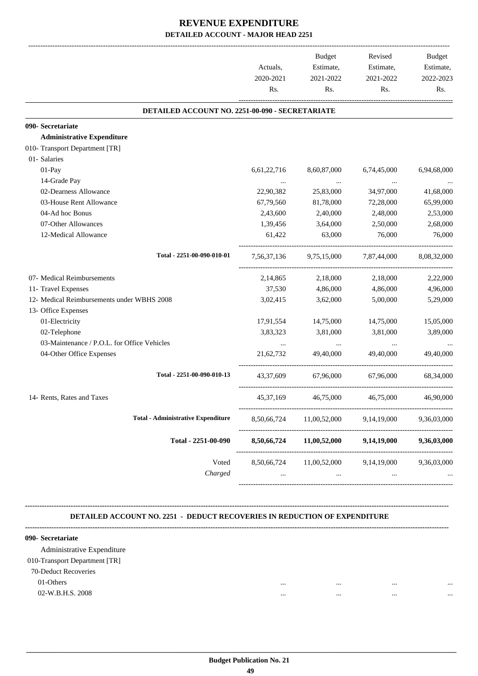|                                                 | Actuals,<br>2020-2021<br>Rs. | <b>Budget</b><br>Estimate,<br>2021-2022<br>Rs. | Revised<br>Estimate,<br>2021-2022<br>Rs. | <b>Budget</b><br>Estimate,<br>2022-2023<br>Rs. |
|-------------------------------------------------|------------------------------|------------------------------------------------|------------------------------------------|------------------------------------------------|
| DETAILED ACCOUNT NO. 2251-00-090 - SECRETARIATE |                              |                                                |                                          |                                                |
| 090- Secretariate                               |                              |                                                |                                          |                                                |
| <b>Administrative Expenditure</b>               |                              |                                                |                                          |                                                |
| 010- Transport Department [TR]                  |                              |                                                |                                          |                                                |
| 01- Salaries                                    |                              |                                                |                                          |                                                |
| 01-Pay                                          | 6,61,22,716                  | 8,60,87,000                                    | 6,74,45,000                              | 6,94,68,000                                    |
| 14-Grade Pay                                    |                              | $\ldots$                                       |                                          |                                                |
| 02-Dearness Allowance                           | 22,90,382                    | 25,83,000                                      | 34,97,000                                | 41,68,000                                      |
| 03-House Rent Allowance                         | 67,79,560                    | 81,78,000                                      | 72,28,000                                | 65,99,000                                      |
| 04-Ad hoc Bonus                                 | 2,43,600                     | 2,40,000                                       | 2,48,000                                 | 2,53,000                                       |
| 07-Other Allowances                             | 1,39,456                     | 3,64,000                                       | 2,50,000                                 | 2,68,000                                       |
| 12-Medical Allowance                            | 61,422                       | 63,000                                         | 76,000                                   | 76,000                                         |
| Total - 2251-00-090-010-01                      | 7,56,37,136                  |                                                | 9,75,15,000 7,87,44,000                  | 8,08,32,000                                    |
| 07- Medical Reimbursements                      | 2,14,865                     | 2,18,000                                       | 2,18,000                                 | 2,22,000                                       |
| 11- Travel Expenses                             | 37,530                       | 4,86,000                                       | 4,86,000                                 | 4,96,000                                       |
| 12- Medical Reimbursements under WBHS 2008      | 3,02,415                     | 3,62,000                                       | 5,00,000                                 | 5,29,000                                       |
| 13- Office Expenses                             |                              |                                                |                                          |                                                |
| 01-Electricity                                  | 17,91,554                    | 14,75,000                                      | 14,75,000                                | 15,05,000                                      |
| 02-Telephone                                    | 3,83,323                     | 3,81,000                                       | 3,81,000                                 | 3,89,000                                       |
| 03-Maintenance / P.O.L. for Office Vehicles     | $\cdots$                     |                                                |                                          |                                                |
| 04-Other Office Expenses                        | 21,62,732                    | 49,40,000                                      | 49,40,000                                | 49,40,000                                      |
| Total - 2251-00-090-010-13                      | 43,37,609                    | 67,96,000                                      | 67,96,000                                | 68,34,000                                      |
| 14- Rents, Rates and Taxes                      | 45, 37, 169                  | 46,75,000                                      | 46,75,000                                | 46,90,000                                      |
| <b>Total - Administrative Expenditure</b>       | 8,50,66,724                  | 11,00,52,000                                   | 9,14,19,000                              | 9,36,03,000                                    |
| Total - 2251-00-090                             | 8,50,66,724                  | 11,00,52,000                                   | 9,14,19,000                              | 9,36,03,000                                    |
| Voted<br>Charged                                | 8,50,66,724<br>$\cdots$      | 11,00,52,000<br>$\cdots$                       | 9,14,19,000<br>$\cdots$                  | 9,36,03,000                                    |

#### **DETAILED ACCOUNT NO. 2251 - DEDUCT RECOVERIES IN REDUCTION OF EXPENDITURE**

**--------------------------------------------------------------------------------------------------------------------------------------------------------------------------------**

| 090- Secretariate             |              |      |
|-------------------------------|--------------|------|
| Administrative Expenditure    |              |      |
| 010-Transport Department [TR] |              |      |
| 70-Deduct Recoveries          |              |      |
| 01-Others                     | <br>         | <br> |
| 02-W.B.H.S. 2008              | <br>$\cdots$ | <br> |
|                               |              |      |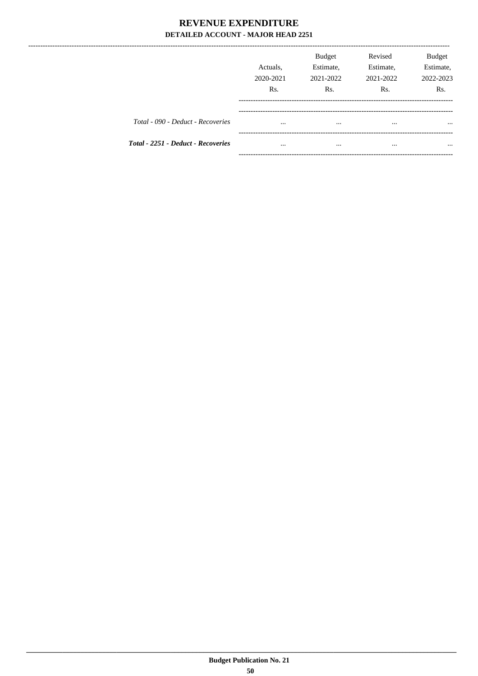--------------

|                                           | Actuals.<br>2020-2021<br>Rs. | <b>Budget</b><br>Estimate,<br>2021-2022<br>Rs. | Revised<br>Estimate,<br>2021-2022<br>R <sub>s</sub> . | <b>Budget</b><br>Estimate,<br>2022-2023<br>R <sub>s</sub> . |
|-------------------------------------------|------------------------------|------------------------------------------------|-------------------------------------------------------|-------------------------------------------------------------|
| Total - 090 - Deduct - Recoveries         | $\cdots$                     | $\cdots$                                       | $\cdots$                                              | $\cdots$                                                    |
| <b>Total - 2251 - Deduct - Recoveries</b> | $\cdots$                     | $\cdots$                                       |                                                       | $\cdots$                                                    |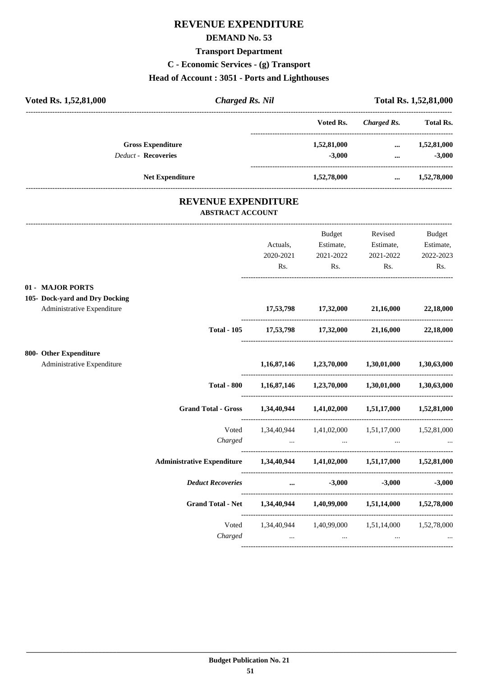# **REVENUE EXPENDITURE**

### **DEMAND No. 53**

### **Transport Department**

**C - Economic Services - (g) Transport**

# **Head of Account : 3051 - Ports and Lighthouses**

| Voted Rs. 1,52,81,000                                 | <b>Charged Rs. Nil</b>                                                          |                                                                | <b>Total Rs. 1,52,81,000</b>                            |                                 |  |
|-------------------------------------------------------|---------------------------------------------------------------------------------|----------------------------------------------------------------|---------------------------------------------------------|---------------------------------|--|
|                                                       |                                                                                 | Voted Rs.                                                      | <b>Charged Rs.</b>                                      | <b>Total Rs.</b>                |  |
| <b>Gross Expenditure</b>                              |                                                                                 | 1,52,81,000                                                    |                                                         | $\dots$ 1,52,81,000             |  |
| Deduct - Recoveries                                   |                                                                                 | $-3,000$                                                       | $\mathbf{m}$ and $\mathbf{m}$ and $\mathbf{m}$          | $-3,000$                        |  |
| <b>Net Expenditure</b>                                |                                                                                 |                                                                | 1,52,78,000  1,52,78,000                                |                                 |  |
| <b>REVENUE EXPENDITURE</b><br><b>ABSTRACT ACCOUNT</b> |                                                                                 |                                                                |                                                         |                                 |  |
|                                                       |                                                                                 | Budget                                                         | Revised                                                 | Budget                          |  |
|                                                       | Actuals,                                                                        | Estimate,                                                      | Estimate,                                               | Estimate,                       |  |
|                                                       | 2020-2021                                                                       | 2021-2022                                                      | 2021-2022                                               | 2022-2023                       |  |
|                                                       | Rs.                                                                             | Rs.                                                            | Rs.                                                     | Rs.                             |  |
| 01 - MAJOR PORTS                                      |                                                                                 |                                                                |                                                         |                                 |  |
| 105- Dock-yard and Dry Docking                        |                                                                                 |                                                                |                                                         |                                 |  |
| Administrative Expenditure                            |                                                                                 | 17,53,798 17,32,000 21,16,000                                  |                                                         | 22,18,000                       |  |
| <b>Total - 105</b>                                    | 17,53,798 17,32,000 21,16,000 22,18,000                                         |                                                                |                                                         |                                 |  |
| 800- Other Expenditure                                |                                                                                 |                                                                |                                                         |                                 |  |
| Administrative Expenditure                            |                                                                                 |                                                                | $1,16,87,146$ $1,23,70,000$ $1,30,01,000$ $1,30,63,000$ |                                 |  |
|                                                       | Total - 800 1,16,87,146 1,23,70,000 1,30,01,000 1,30,63,000                     |                                                                |                                                         |                                 |  |
| <b>Grand Total - Gross</b>                            | 1,34,40,944 1,41,02,000 1,51,17,000 1,52,81,000                                 |                                                                |                                                         |                                 |  |
|                                                       | Voted 1,34,40,944 1,41,02,000 1,51,17,000 1,52,81,000                           |                                                                |                                                         |                                 |  |
| Charged                                               | the contract of the contract of the contract of the contract of the contract of | the contract of the contract of                                | $\cdots$                                                |                                 |  |
| <b>Administrative Expenditure</b>                     |                                                                                 |                                                                | 1,34,40,944 1,41,02,000 1,51,17,000 1,52,81,000         |                                 |  |
| <b>Deduct Recoveries</b>                              |                                                                                 | $-3,000$<br>$\mathbf{m}$ and $\mathbf{m}$ are all $\mathbf{m}$ | $-3,000$                                                | $-3,000$                        |  |
| Grand Total - Net 1,34,40,944 1,40,99,000 1,51,14,000 |                                                                                 |                                                                |                                                         | 1,52,78,000                     |  |
|                                                       | Voted 1,34,40,944 1,40,99,000 1,51,14,000 1,52,78,000                           |                                                                |                                                         |                                 |  |
|                                                       | Charged                                                                         |                                                                |                                                         | <b>Second Contract Contract</b> |  |

----------------------------------------------------------------------------------------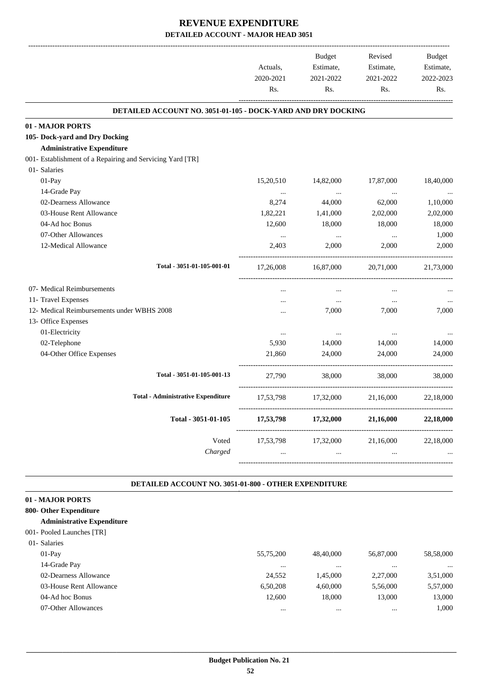|                                                              | Actuals,<br>2020-2021<br>Rs. | <b>Budget</b><br>Estimate,<br>2021-2022<br>Rs. | Revised<br>Estimate,<br>2021-2022<br>Rs. | Budget<br>Estimate,<br>2022-2023<br>Rs. |
|--------------------------------------------------------------|------------------------------|------------------------------------------------|------------------------------------------|-----------------------------------------|
| DETAILED ACCOUNT NO. 3051-01-105 - DOCK-YARD AND DRY DOCKING |                              |                                                |                                          |                                         |
| 01 - MAJOR PORTS                                             |                              |                                                |                                          |                                         |
| 105- Dock-yard and Dry Docking                               |                              |                                                |                                          |                                         |
| <b>Administrative Expenditure</b>                            |                              |                                                |                                          |                                         |
| 001- Establishment of a Repairing and Servicing Yard [TR]    |                              |                                                |                                          |                                         |
| 01- Salaries                                                 |                              |                                                |                                          |                                         |
| 01-Pay                                                       | 15,20,510                    | 14,82,000                                      | 17,87,000                                | 18,40,000                               |
| 14-Grade Pay                                                 | $\ldots$                     | $\ldots$                                       | $\ldots$                                 |                                         |
| 02-Dearness Allowance                                        | 8,274                        | 44,000                                         | 62,000                                   | 1,10,000                                |
| 03-House Rent Allowance                                      | 1,82,221                     | 1,41,000                                       | 2,02,000                                 | 2,02,000                                |
| 04-Ad hoc Bonus                                              | 12,600                       | 18,000                                         | 18,000                                   | 18,000                                  |
| 07-Other Allowances                                          | $\cdots$                     | $\ldots$                                       | $\ldots$                                 | 1,000                                   |
| 12-Medical Allowance                                         | 2,403                        | 2,000                                          | 2,000                                    | 2,000                                   |
| Total - 3051-01-105-001-01                                   | 17,26,008                    | 16,87,000                                      | 20,71,000                                | 21,73,000                               |
| 07- Medical Reimbursements                                   |                              | $\ddotsc$                                      | $\cdots$                                 |                                         |
| 11- Travel Expenses                                          |                              | $\cdots$                                       | $\cdots$                                 |                                         |
| 12- Medical Reimbursements under WBHS 2008                   | .                            | 7,000                                          | 7,000                                    | 7,000                                   |
| 13- Office Expenses                                          |                              |                                                |                                          |                                         |
| 01-Electricity                                               | $\cdots$                     | $\cdots$                                       | $\cdots$                                 |                                         |
| 02-Telephone                                                 | 5,930                        | 14,000                                         | 14,000                                   | 14,000                                  |
| 04-Other Office Expenses                                     | 21,860                       | 24,000                                         | 24,000                                   | 24,000                                  |
| Total - 3051-01-105-001-13                                   | 27,790                       | 38,000                                         | 38,000                                   | 38,000                                  |
| <b>Total - Administrative Expenditure</b>                    | 17,53,798                    | 17,32,000                                      | 21,16,000                                | 22,18,000                               |
| Total - 3051-01-105                                          | 17,53,798                    | 17,32,000                                      | 21,16,000                                | 22,18,000                               |
| Voted                                                        | 17,53,798                    | 17,32,000                                      | 21,16,000                                | 22,18,000                               |
| Charged                                                      |                              | $\cdots$                                       |                                          |                                         |

#### **DETAILED ACCOUNT NO. 3051-01-800 - OTHER EXPENDITURE .**

| 01 - MAJOR PORTS                  |           |           |           |           |
|-----------------------------------|-----------|-----------|-----------|-----------|
| 800- Other Expenditure            |           |           |           |           |
| <b>Administrative Expenditure</b> |           |           |           |           |
| 001- Pooled Launches [TR]         |           |           |           |           |
| 01- Salaries                      |           |           |           |           |
| $01-Pav$                          | 55,75,200 | 48,40,000 | 56,87,000 | 58,58,000 |
| 14-Grade Pay                      |           |           |           | $\cdots$  |
| 02-Dearness Allowance             | 24,552    | 1.45.000  | 2,27,000  | 3,51,000  |
| 03-House Rent Allowance           | 6.50.208  | 4,60,000  | 5,56,000  | 5,57,000  |
| 04-Ad hoc Bonus                   | 12.600    | 18,000    | 13,000    | 13,000    |
| 07-Other Allowances               | $\cdots$  | $\cdots$  | $\cdots$  | 1.000     |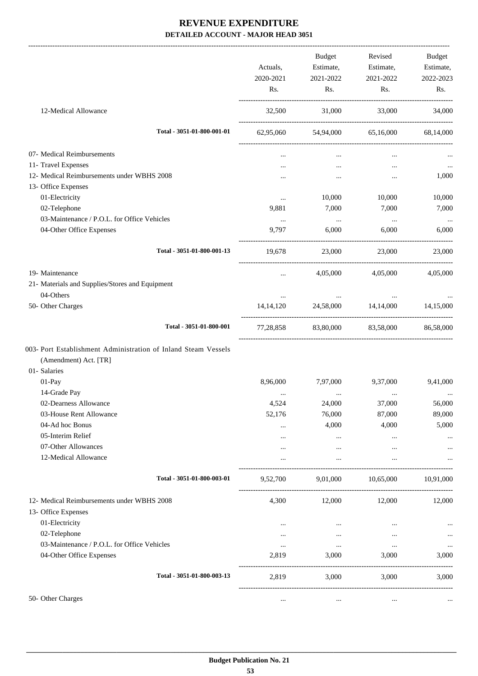|                                                                | Actuals,<br>2020-2021<br>Rs. | Budget<br>Estimate,<br>2021-2022<br>Rs. | Revised<br>Estimate,<br>2021-2022<br>Rs. | Budget<br>Estimate,<br>2022-2023<br>Rs. |
|----------------------------------------------------------------|------------------------------|-----------------------------------------|------------------------------------------|-----------------------------------------|
| 12-Medical Allowance                                           | 32,500                       | 31,000                                  | 33,000                                   | 34,000                                  |
| Total - 3051-01-800-001-01                                     | 62,95,060                    | 54,94,000                               | 65,16,000                                | 68,14,000                               |
| 07- Medical Reimbursements                                     |                              | $\cdots$                                | $\cdots$                                 |                                         |
| 11- Travel Expenses                                            |                              | $\cdots$                                | $\cdots$                                 |                                         |
| 12- Medical Reimbursements under WBHS 2008                     |                              | $\cdots$                                | $\cdots$                                 | 1,000                                   |
| 13- Office Expenses                                            |                              |                                         |                                          |                                         |
| 01-Electricity                                                 | $\ldots$                     | 10,000                                  | 10,000                                   | 10,000                                  |
| 02-Telephone                                                   | 9,881                        | 7,000                                   | 7,000                                    | 7,000                                   |
| 03-Maintenance / P.O.L. for Office Vehicles                    | $\ldots$                     | $\sim 100$ and $\sim 100$               | $\sim$ $\sim$                            | $\ldots$                                |
| 04-Other Office Expenses                                       | 9,797                        | 6,000                                   | 6.000                                    | 6,000                                   |
| Total - 3051-01-800-001-13                                     | 19.678                       | 23,000                                  | 23,000                                   | 23,000                                  |
| 19- Maintenance                                                | $\cdots$                     | 4,05,000                                | 4,05,000                                 | 4,05,000                                |
| 21- Materials and Supplies/Stores and Equipment                |                              |                                         |                                          |                                         |
| 04-Others                                                      | $\cdots$                     |                                         |                                          |                                         |
| 50- Other Charges                                              | 14, 14, 120                  |                                         | 24,58,000 14,14,000                      | 14,15,000                               |
| Total - 3051-01-800-001                                        |                              | 77,28,858 83,80,000 83,58,000           |                                          | 86,58,000                               |
| 003- Port Establishment Administration of Inland Steam Vessels |                              |                                         |                                          |                                         |
| (Amendment) Act. [TR]                                          |                              |                                         |                                          |                                         |
| 01- Salaries                                                   |                              |                                         |                                          |                                         |
| 01-Pay                                                         | 8,96,000                     | 7,97,000                                | 9,37,000                                 | 9,41,000                                |
| 14-Grade Pay                                                   | $\cdots$                     | $\cdots$                                | $\ddotsc$                                |                                         |
| 02-Dearness Allowance                                          | 4,524                        | 24,000                                  | 37,000                                   | 56,000                                  |
| 03-House Rent Allowance                                        | 52,176                       | 76,000                                  | 87,000                                   | 89,000                                  |
| 04-Ad hoc Bonus                                                |                              | 4,000                                   | 4,000                                    | 5,000                                   |
| 05-Interim Relief                                              | .                            | $\cdots$                                | $\ldots$                                 | $\cdots$                                |
| 07-Other Allowances                                            |                              | $\cdots$                                | $\cdots$                                 |                                         |
| 12-Medical Allowance                                           |                              | $\cdots$                                |                                          |                                         |
| Total - 3051-01-800-003-01                                     | 9,52,700                     |                                         | 9,01,000 10,65,000                       | 10,91,000                               |
| 12- Medical Reimbursements under WBHS 2008                     | 4,300                        | 12,000                                  | 12,000                                   | 12,000                                  |
| 13- Office Expenses                                            |                              |                                         |                                          |                                         |
| 01-Electricity                                                 | $\cdots$                     | $\cdots$                                | $\cdots$                                 | $\cdots$                                |
| 02-Telephone                                                   | $\cdots$                     | $\cdots$                                | $\cdots$                                 | $\ldots$                                |
| 03-Maintenance / P.O.L. for Office Vehicles                    | $\cdots$                     | $\cdots$                                | $\cdots$                                 | $\ldots$                                |
| 04-Other Office Expenses                                       | 2,819                        | 3,000                                   | 3,000                                    | 3,000                                   |
| Total - 3051-01-800-003-13                                     | 2,819                        | 3,000                                   | 3,000                                    | 3,000                                   |
| 50- Other Charges                                              | $\cdots$                     | $\ldots$                                | $\cdots$                                 |                                         |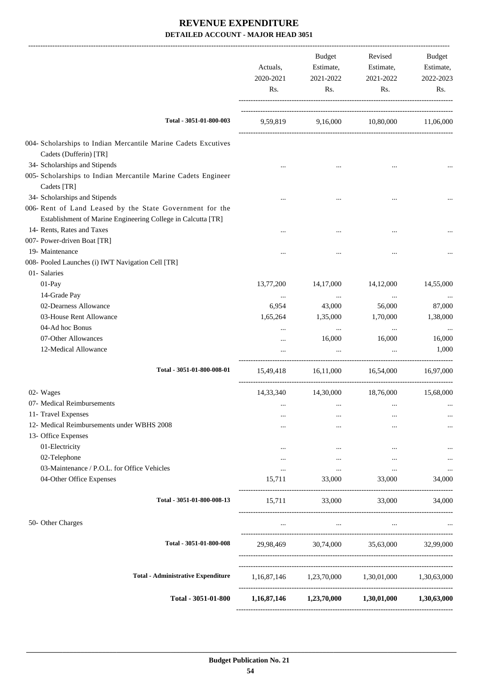|                                                                                           | Actuals,<br>2020-2021<br>Rs. | Budget<br>Estimate,<br>2021-2022<br>Rs.                 | Revised<br>Estimate,<br>2021-2022<br>Rs. | Budget<br>Estimate,<br>2022-2023<br>Rs. |
|-------------------------------------------------------------------------------------------|------------------------------|---------------------------------------------------------|------------------------------------------|-----------------------------------------|
| Total - 3051-01-800-003                                                                   |                              | 9,59,819 9,16,000 10,80,000 11,06,000                   |                                          |                                         |
| 004- Scholarships to Indian Mercantile Marine Cadets Excutives                            |                              |                                                         |                                          |                                         |
| Cadets (Dufferin) [TR]                                                                    |                              |                                                         |                                          |                                         |
| 34- Scholarships and Stipends                                                             |                              |                                                         |                                          |                                         |
| 005- Scholarships to Indian Mercantile Marine Cadets Engineer                             |                              |                                                         |                                          |                                         |
| Cadets [TR]                                                                               |                              |                                                         |                                          |                                         |
| 34- Scholarships and Stipends<br>006- Rent of Land Leased by the State Government for the |                              |                                                         |                                          |                                         |
| Establishment of Marine Engineering College in Calcutta [TR]                              |                              |                                                         |                                          |                                         |
| 14- Rents, Rates and Taxes                                                                |                              |                                                         |                                          |                                         |
| 007- Power-driven Boat [TR]                                                               |                              |                                                         |                                          |                                         |
| 19- Maintenance                                                                           |                              |                                                         |                                          |                                         |
| 008- Pooled Launches (i) IWT Navigation Cell [TR]                                         |                              |                                                         |                                          |                                         |
| 01- Salaries                                                                              |                              |                                                         |                                          |                                         |
| 01-Pay                                                                                    | 13,77,200                    | 14,17,000                                               | 14,12,000                                | 14,55,000                               |
| 14-Grade Pay                                                                              | $\ldots$                     | $\cdots$                                                | $\ddotsc$                                |                                         |
| 02-Dearness Allowance                                                                     | 6,954                        | 43,000                                                  | 56,000                                   | 87,000                                  |
| 03-House Rent Allowance                                                                   | 1,65,264                     | 1,35,000                                                | 1,70,000                                 | 1,38,000                                |
| 04-Ad hoc Bonus                                                                           |                              | $\ldots$                                                | $\cdots$                                 |                                         |
| 07-Other Allowances                                                                       | $\cdots$                     | 16,000                                                  | 16,000                                   | 16,000                                  |
| 12-Medical Allowance                                                                      | $\cdots$                     | $\ddots$                                                | $\ddotsc$                                | 1,000                                   |
| Total - 3051-01-800-008-01                                                                | 15,49,418                    | 16,11,000                                               | 16,54,000                                | 16,97,000                               |
| 02- Wages                                                                                 |                              | 14,33,340 14,30,000 18,76,000                           |                                          | 15,68,000                               |
| 07- Medical Reimbursements                                                                |                              | $\cdots$                                                |                                          | $\cdots$                                |
| 11- Travel Expenses                                                                       |                              |                                                         |                                          | $\cdots$                                |
| 12- Medical Reimbursements under WBHS 2008                                                |                              | $\cdots$                                                |                                          |                                         |
| 13- Office Expenses                                                                       |                              |                                                         |                                          |                                         |
| 01-Electricity                                                                            | $\cdots$                     | $\cdots$                                                |                                          |                                         |
| 02-Telephone                                                                              | $\cdots$                     | $\cdots$                                                | $\cdots$                                 | $\cdots$                                |
| 03-Maintenance / P.O.L. for Office Vehicles                                               | $\cdots$                     | $\ldots$                                                | $\cdots$                                 |                                         |
| 04-Other Office Expenses                                                                  | 15,711                       | 33,000                                                  | 33,000                                   | 34,000                                  |
| Total - 3051-01-800-008-13                                                                | 15,711                       | 33,000                                                  | 33,000                                   | 34,000                                  |
| 50- Other Charges                                                                         | $\cdots$                     | $\cdots$                                                | $\cdots$                                 |                                         |
| Total - 3051-01-800-008                                                                   |                              | 29,98,469 30,74,000 35,63,000 32,99,000                 |                                          |                                         |
|                                                                                           |                              |                                                         |                                          |                                         |
| <b>Total - Administrative Expenditure</b>                                                 |                              | 1,16,87,146 1,23,70,000 1,30,01,000 1,30,63,000         |                                          |                                         |
| Total - 3051-01-800                                                                       |                              | $1,16,87,146$ $1,23,70,000$ $1,30,01,000$ $1,30,63,000$ |                                          |                                         |
|                                                                                           |                              |                                                         |                                          |                                         |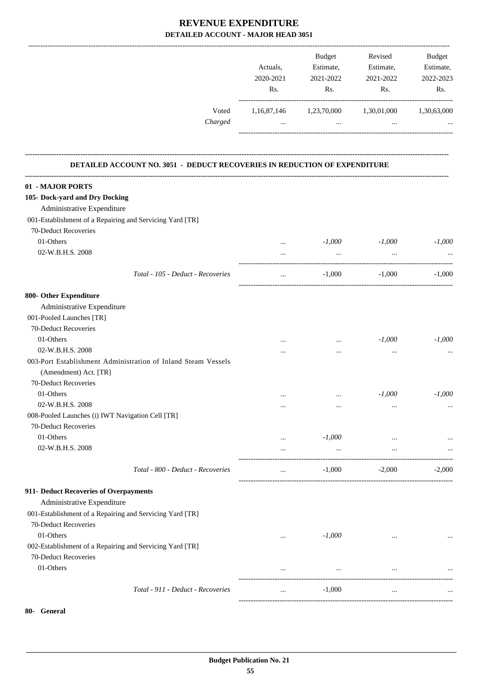|                                                                           | Actuals,<br>2020-2021<br>Rs. | Budget<br>Estimate,<br>2021-2022<br>Rs.         | Revised<br>Estimate,<br>2021-2022<br>Rs. | <b>Budget</b><br>Estimate,<br>2022-2023<br>Rs. |
|---------------------------------------------------------------------------|------------------------------|-------------------------------------------------|------------------------------------------|------------------------------------------------|
| Voted<br>Charged                                                          | $\cdots$                     | 1,16,87,146 1,23,70,000 1,30,01,000<br>$\cdots$ | $\cdots$                                 | 1,30,63,000                                    |
| DETAILED ACCOUNT NO. 3051 - DEDUCT RECOVERIES IN REDUCTION OF EXPENDITURE |                              |                                                 |                                          |                                                |
| 01 - MAJOR PORTS                                                          |                              |                                                 |                                          |                                                |
| 105- Dock-yard and Dry Docking                                            |                              |                                                 |                                          |                                                |
| Administrative Expenditure                                                |                              |                                                 |                                          |                                                |
| 001-Establishment of a Repairing and Servicing Yard [TR]                  |                              |                                                 |                                          |                                                |
| 70-Deduct Recoveries                                                      |                              |                                                 |                                          |                                                |
| 01-Others                                                                 | $\cdots$                     | $-1,000$                                        | $-1,000$                                 | $-1,000$                                       |
| 02-W.B.H.S. 2008                                                          | $\cdots$                     | $\cdots$                                        | $\ldots$                                 |                                                |
|                                                                           |                              |                                                 |                                          |                                                |
| Total - 105 - Deduct - Recoveries                                         | $\cdots$                     | $-1,000$                                        | $-1,000$                                 | $-1,000$                                       |
| 800- Other Expenditure                                                    |                              |                                                 |                                          |                                                |
| Administrative Expenditure                                                |                              |                                                 |                                          |                                                |
| 001-Pooled Launches [TR]                                                  |                              |                                                 |                                          |                                                |
| 70-Deduct Recoveries                                                      |                              |                                                 |                                          |                                                |
| 01-Others                                                                 | $\cdots$                     | $\cdots$                                        | $-1,000$                                 | $-1,000$                                       |
| 02-W.B.H.S. 2008                                                          |                              | $\cdots$                                        | $\cdots$                                 |                                                |
| 003-Port Establishment Administration of Inland Steam Vessels             |                              |                                                 |                                          |                                                |
| (Amendment) Act. [TR]                                                     |                              |                                                 |                                          |                                                |
| 70-Deduct Recoveries                                                      |                              |                                                 |                                          |                                                |
| 01-Others                                                                 | $\ddotsc$                    | $\cdots$                                        | $-1,000$                                 | $-1,000$                                       |
| 02-W.B.H.S. 2008                                                          | $\cdots$                     | $\cdots$                                        | $\cdots$                                 | $\cdots$                                       |
| 008-Pooled Launches (i) IWT Navigation Cell [TR]                          |                              |                                                 |                                          |                                                |
| 70-Deduct Recoveries                                                      |                              |                                                 |                                          |                                                |
| 01-Others                                                                 | $\cdots$                     | $-1,000$                                        | $\cdots$                                 |                                                |
| 02-W.B.H.S. 2008                                                          | $\cdots$                     | $\cdots$                                        | $\cdots$                                 | $\ldots$                                       |
| Total - 800 - Deduct - Recoveries                                         | $\cdots$                     | $-1,000$                                        | $-2,000$                                 | $-2,000$                                       |
| 911- Deduct Recoveries of Overpayments                                    |                              |                                                 |                                          |                                                |
| Administrative Expenditure                                                |                              |                                                 |                                          |                                                |
| 001-Establishment of a Repairing and Servicing Yard [TR]                  |                              |                                                 |                                          |                                                |
| 70-Deduct Recoveries                                                      |                              |                                                 |                                          |                                                |
| 01-Others                                                                 | $\cdots$                     | $-1,000$                                        | $\cdots$                                 |                                                |
| 002-Establishment of a Repairing and Servicing Yard [TR]                  |                              |                                                 |                                          |                                                |
| 70-Deduct Recoveries                                                      |                              |                                                 |                                          |                                                |
| 01-Others                                                                 | $\cdots$                     | $\cdots$                                        | $\cdots$                                 |                                                |
|                                                                           |                              |                                                 |                                          |                                                |
| Total - 911 - Deduct - Recoveries                                         | $\cdots$                     | $-1,000$                                        | $\cdots$                                 |                                                |
|                                                                           |                              |                                                 |                                          |                                                |

**80- General**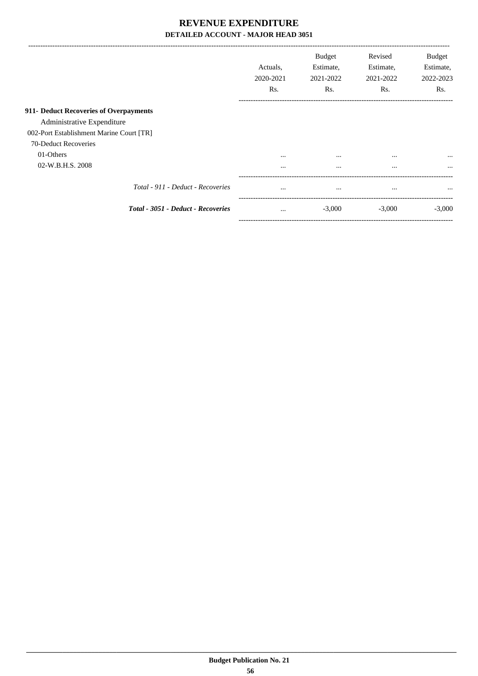|                                          | Actuals.<br>2020-2021 | <b>Budget</b><br>Estimate,<br>2021-2022 | Revised<br>Estimate,<br>2021-2022 | <b>Budget</b><br>Estimate,<br>2022-2023 |
|------------------------------------------|-----------------------|-----------------------------------------|-----------------------------------|-----------------------------------------|
|                                          | Rs.                   | Rs.                                     | Rs.                               | Rs.                                     |
| 911- Deduct Recoveries of Overpayments   |                       |                                         |                                   |                                         |
| Administrative Expenditure               |                       |                                         |                                   |                                         |
| 002-Port Establishment Marine Court [TR] |                       |                                         |                                   |                                         |
| 70-Deduct Recoveries                     |                       |                                         |                                   |                                         |
| 01-Others                                | $\cdots$              | $\cdots$                                | $\cdots$                          | $\cdots$                                |
| 02-W.B.H.S. 2008                         | $\cdots$              | $\cdots$                                | $\cdots$                          | $\cdots$                                |
| Total - 911 - Deduct - Recoveries        | $\cdots$              | $\cdots$                                | $\cdots$                          | $\cdots$                                |
| Total - 3051 - Deduct - Recoveries       | $\cdots$              | $-3,000$                                | $-3,000$                          | $-3.000$                                |

-----------------------------------------------------------------------------------------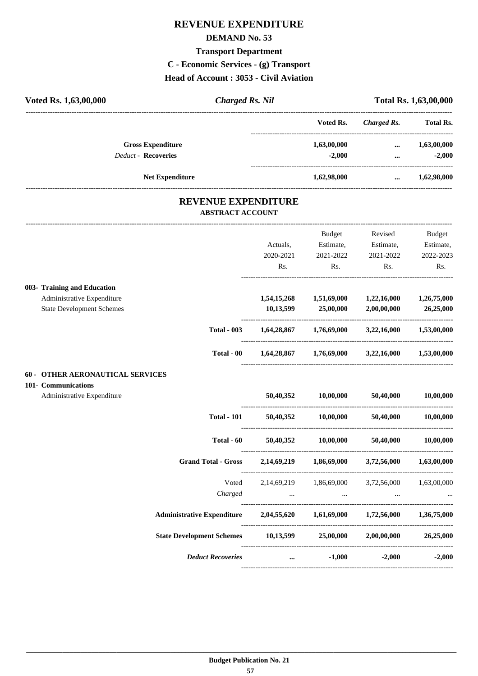# **REVENUE EXPENDITURE**

### **DEMAND No. 53**

# **Transport Department**

**C - Economic Services - (g) Transport**

**Head of Account : 3053 - Civil Aviation**

| Voted Rs. 1,63,00,000 | <b>Charged Rs. Nil</b>     |                            | Total Rs. 1,63,00,000 |             |                  |
|-----------------------|----------------------------|----------------------------|-----------------------|-------------|------------------|
|                       |                            |                            | Voted Rs.             | Charged Rs. | <b>Total Rs.</b> |
|                       | <b>Gross Expenditure</b>   |                            | 1,63,00,000           | $\cdots$    | 1,63,00,000      |
|                       | <b>Deduct - Recoveries</b> |                            | $-2,000$              |             | $-2,000$         |
|                       | <b>Net Expenditure</b>     |                            | 1,62,98,000           | $\cdots$    | 1,62,98,000      |
|                       |                            | <b>REVENUE EXPENDITURE</b> |                       |             |                  |
|                       |                            | <b>ABSTRACT ACCOUNT</b>    |                       |             |                  |

---------------------------------------------------------------------------------------------------------------------------------------------------------------------------------

|                     |                                         |                                                                            |                                                        | <b>Budget</b>                     | Revised                                                 | Budget    |
|---------------------|-----------------------------------------|----------------------------------------------------------------------------|--------------------------------------------------------|-----------------------------------|---------------------------------------------------------|-----------|
|                     |                                         |                                                                            | Actuals,                                               | Estimate,                         | Estimate,                                               | Estimate, |
|                     |                                         |                                                                            | 2020-2021                                              | 2021-2022                         | 2021-2022                                               | 2022-2023 |
|                     |                                         |                                                                            | Rs.                                                    | Rs.                               | Rs.                                                     | Rs.       |
|                     | 003- Training and Education             |                                                                            |                                                        |                                   |                                                         |           |
|                     | Administrative Expenditure              |                                                                            |                                                        |                                   | 1,54,15,268 1,51,69,000 1,22,16,000 1,26,75,000         |           |
|                     | <b>State Development Schemes</b>        |                                                                            | 10,13,599                                              | 25,00,000                         | 2,00,00,000                                             | 26,25,000 |
|                     |                                         | <b>Total - 003</b>                                                         |                                                        |                                   | $1,64,28,867$ $1,76,69,000$ $3,22,16,000$ $1,53,00,000$ |           |
|                     |                                         | Total - 00                                                                 |                                                        |                                   | $1,64,28,867$ $1,76,69,000$ $3,22,16,000$ $1,53,00,000$ |           |
|                     | <b>60 - OTHER AERONAUTICAL SERVICES</b> |                                                                            |                                                        |                                   |                                                         |           |
| 101- Communications |                                         |                                                                            |                                                        |                                   |                                                         |           |
|                     | Administrative Expenditure              |                                                                            |                                                        | 50,40,352 10,00,000 50,40,000     |                                                         | 10,00,000 |
|                     |                                         | <b>Total - 101</b>                                                         |                                                        |                                   | 50,40,352 10,00,000 50,40,000 10,00,000                 |           |
|                     |                                         | Total - 60                                                                 |                                                        | 50,40,352 10,00,000 50,40,000     |                                                         | 10,00,000 |
|                     |                                         | <b>Grand Total - Gross</b>                                                 |                                                        |                                   | 2,14,69,219 1,86,69,000 3,72,56,000 1,63,00,000         |           |
|                     |                                         |                                                                            |                                                        |                                   | Voted 2,14,69,219 1,86,69,000 3,72,56,000 1,63,00,000   |           |
|                     |                                         | Charged                                                                    | and the contract of the contract of                    | and the company of the company of |                                                         |           |
|                     |                                         | Administrative Expenditure 2,04,55,620 1,61,69,000 1,72,56,000 1,36,75,000 |                                                        |                                   |                                                         |           |
|                     |                                         | State Development Schemes 10,13,599 25,00,000 2,00,00,000 26,25,000        |                                                        |                                   |                                                         |           |
|                     |                                         | <b>Deduct Recoveries</b>                                                   | <u>and a strategic control and a strategic control</u> | $-1,000$                          | $-2,000$                                                | $-2,000$  |
|                     |                                         |                                                                            |                                                        |                                   |                                                         |           |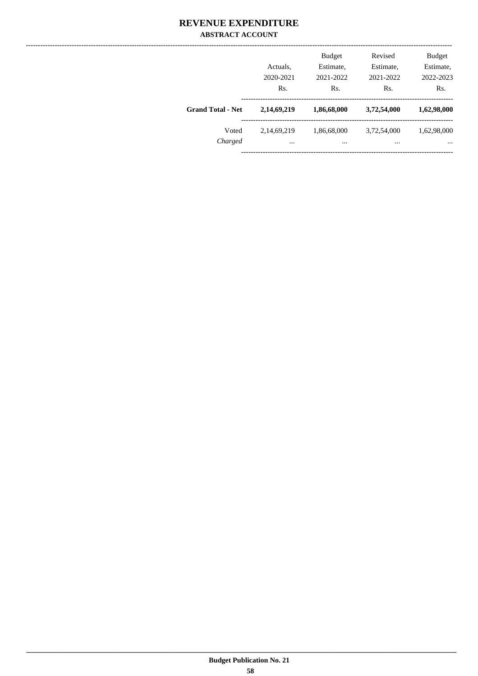### **REVENUE EXPENDITURE ABSTRACT ACCOUNT**

|                          | Actuals,<br>2020-2021<br>Rs. | <b>Budget</b><br>Estimate,<br>2021-2022<br>Rs. | Revised<br>Estimate,<br>2021-2022<br>Rs. | <b>Budget</b><br>Estimate,<br>2022-2023<br>Rs. |
|--------------------------|------------------------------|------------------------------------------------|------------------------------------------|------------------------------------------------|
| <b>Grand Total - Net</b> | 2,14,69,219                  | 1,86,68,000                                    | 3,72,54,000                              | 1,62,98,000                                    |
| Voted<br>Charged         | 2,14,69,219<br>$\cdots$      | 1,86,68,000<br>                                | 3,72,54,000<br>                          | 1,62,98,000<br>$\cdots$                        |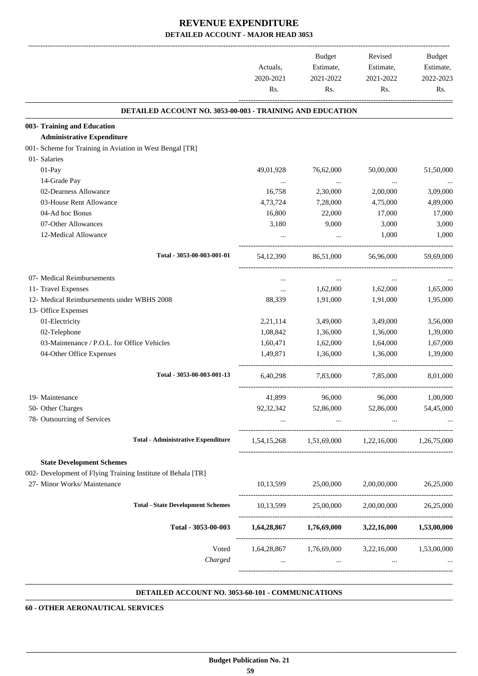|                                                              |                  | Budget               | Revised                                                                     | <b>Budget</b>    |
|--------------------------------------------------------------|------------------|----------------------|-----------------------------------------------------------------------------|------------------|
|                                                              | Actuals,         | Estimate,            | Estimate,                                                                   | Estimate,        |
|                                                              | 2020-2021<br>Rs. | 2021-2022<br>Rs.     | 2021-2022<br>Rs.                                                            | 2022-2023<br>Rs. |
|                                                              |                  |                      |                                                                             |                  |
| DETAILED ACCOUNT NO. 3053-00-003 - TRAINING AND EDUCATION    |                  |                      |                                                                             |                  |
| 003- Training and Education                                  |                  |                      |                                                                             |                  |
| <b>Administrative Expenditure</b>                            |                  |                      |                                                                             |                  |
| 001- Scheme for Training in Aviation in West Bengal [TR]     |                  |                      |                                                                             |                  |
| 01- Salaries                                                 |                  |                      |                                                                             |                  |
| 01-Pay                                                       | 49,01,928        | 76,62,000            | 50,00,000                                                                   | 51,50,000        |
| 14-Grade Pay                                                 |                  | $\cdots$             | $\cdots$                                                                    |                  |
| 02-Dearness Allowance                                        | 16,758           | 2,30,000             | 2,00,000                                                                    | 3,09,000         |
| 03-House Rent Allowance                                      | 4,73,724         | 7,28,000             | 4,75,000                                                                    | 4,89,000         |
| 04-Ad hoc Bonus                                              | 16,800           | 22,000               | 17,000                                                                      | 17,000           |
| 07-Other Allowances                                          | 3,180            | 9,000                | 3,000                                                                       | 3,000            |
| 12-Medical Allowance                                         |                  | $\cdots$             | 1,000                                                                       | 1,000            |
| Total - 3053-00-003-001-01                                   | 54, 12, 390      | 86,51,000            | 56,96,000                                                                   | 59,69,000        |
| 07- Medical Reimbursements                                   | $\cdots$         | $\cdots$             | $\cdots$                                                                    |                  |
| 11- Travel Expenses                                          |                  | 1,62,000             | 1,62,000                                                                    | 1,65,000         |
| 12- Medical Reimbursements under WBHS 2008                   | 88,339           | 1,91,000             | 1,91,000                                                                    | 1,95,000         |
| 13- Office Expenses                                          |                  |                      |                                                                             |                  |
| 01-Electricity                                               | 2,21,114         | 3,49,000             | 3,49,000                                                                    | 3,56,000         |
| 02-Telephone                                                 | 1,08,842         | 1,36,000             | 1,36,000                                                                    | 1,39,000         |
| 03-Maintenance / P.O.L. for Office Vehicles                  | 1,60,471         | 1,62,000             | 1,64,000                                                                    | 1,67,000         |
| 04-Other Office Expenses                                     | 1.49.871         | 1,36,000             | 1,36,000                                                                    | 1,39,000         |
|                                                              |                  |                      |                                                                             |                  |
| Total - 3053-00-003-001-13                                   | 6.40.298         | 7,83,000             | 7,85,000                                                                    | 8.01.000         |
| 19- Maintenance                                              | 41,899           | 96,000               | 96,000                                                                      | 1,00,000         |
| 50- Other Charges                                            | 92,32,342        | 52,86,000            | 52,86,000                                                                   | 54,45,000        |
| 78- Outsourcing of Services                                  |                  |                      | and the state of the state of<br>$\mathbf{r}$ , $\mathbf{r}$ , $\mathbf{r}$ |                  |
| <b>Total - Administrative Expenditure</b>                    |                  |                      | 1,54,15,268 1,51,69,000 1,22,16,000 1,26,75,000                             |                  |
| <b>State Development Schemes</b>                             |                  |                      |                                                                             |                  |
| 002- Development of Flying Training Institute of Behala [TR] |                  |                      |                                                                             |                  |
| 27- Minor Works/ Maintenance                                 |                  |                      | 10,13,599 25,00,000 2,00,00,000                                             | 26,25,000        |
| <b>Total - State Development Schemes</b>                     |                  |                      | 10,13,599 25,00,000 2,00,00,000 26,25,000                                   |                  |
| Total - 3053-00-003                                          |                  |                      | $1,64,28,867$ $1,76,69,000$ $3,22,16,000$ $1,53,00,000$                     |                  |
| Voted                                                        |                  |                      | 1,64,28,867 1,76,69,000 3,22,16,000 1,53,00,000                             |                  |
| Charged                                                      | $\ddotsc$        | $\sim$ $\sim$ $\sim$ | <b>Contract</b>                                                             |                  |
|                                                              |                  |                      |                                                                             |                  |

#### **DETAILED ACCOUNT NO. 3053-60-101 - COMMUNICATIONS .**

**60 - OTHER AERONAUTICAL SERVICES**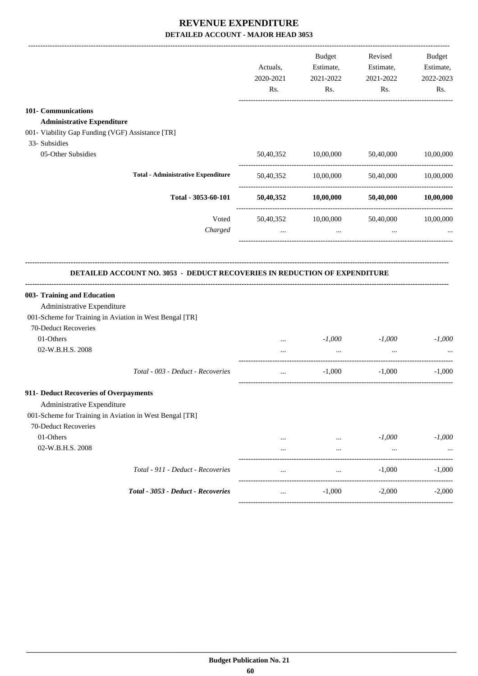|                                                                                                               | Actuals,<br>2020-2021<br>Rs. | <b>Budget</b><br>Estimate,<br>2021-2022<br>Rs. | Revised<br>Estimate,<br>2021-2022<br>Rs. | <b>Budget</b><br>Estimate,<br>2022-2023<br>Rs. |
|---------------------------------------------------------------------------------------------------------------|------------------------------|------------------------------------------------|------------------------------------------|------------------------------------------------|
| 101- Communications                                                                                           |                              |                                                |                                          |                                                |
| <b>Administrative Expenditure</b>                                                                             |                              |                                                |                                          |                                                |
| 001- Viability Gap Funding (VGF) Assistance [TR]                                                              |                              |                                                |                                          |                                                |
| 33- Subsidies                                                                                                 |                              |                                                |                                          |                                                |
| 05-Other Subsidies                                                                                            | 50,40,352                    | 10,00,000                                      | 50,40,000                                | 10,00,000                                      |
| <b>Total - Administrative Expenditure</b>                                                                     |                              | 50,40,352 10,00,000                            | 50,40,000                                | 10,00,000                                      |
| Total - 3053-60-101                                                                                           | 50,40,352                    | 10,00,000                                      | 50,40,000                                | 10,00,000                                      |
| Voted<br>Charged                                                                                              | 50,40,352<br>$\cdots$        | 10,00,000<br>$\cdots$                          | 50,40,000<br>$\cdots$                    | 10,00,000                                      |
| DETAILED ACCOUNT NO. 3053 - DEDUCT RECOVERIES IN REDUCTION OF EXPENDITURE                                     |                              |                                                |                                          |                                                |
| Administrative Expenditure<br>001-Scheme for Training in Aviation in West Bengal [TR]<br>70-Deduct Recoveries |                              |                                                |                                          |                                                |
| 01-Others<br>02-W.B.H.S. 2008                                                                                 | $\cdots$<br>$\cdots$         | $-1,000$<br>$\ddots$                           | $-1,000$<br>$\ddots$                     |                                                |
| Total - 003 - Deduct - Recoveries                                                                             | $\cdots$                     | $-1,000$                                       | $-1,000$                                 | $-1,000$<br>$-1,000$                           |
| Administrative Expenditure<br>001-Scheme for Training in Aviation in West Bengal [TR]                         |                              |                                                |                                          |                                                |
| 70-Deduct Recoveries                                                                                          |                              |                                                |                                          |                                                |
| 003- Training and Education<br>911- Deduct Recoveries of Overpayments<br>01-Others<br>02-W.B.H.S. 2008        | $\cdots$                     | $\cdots$                                       | $-1,000$<br>$\ldots$                     | $-1,000$                                       |
| Total - 911 - Deduct - Recoveries                                                                             | $\cdots$                     | $\cdots$                                       | $-1,000$                                 | $-1,000$                                       |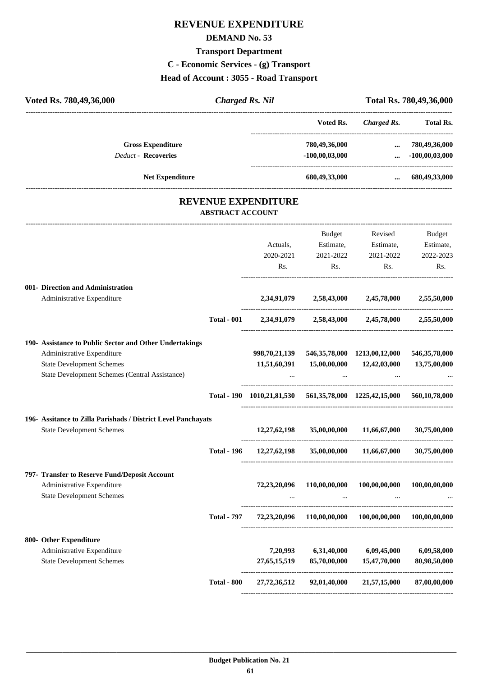# **REVENUE EXPENDITURE**

### **DEMAND No. 53**

# **Transport Department**

**C - Economic Services - (g) Transport**

**Head of Account : 3055 - Road Transport**

| Voted Rs. 780,49,36,000                                                                                                                                                     | <b>Charged Rs. Nil</b>  |                                                                       |                                         |                                                        | Total Rs. 780,49,36,000                 |
|-----------------------------------------------------------------------------------------------------------------------------------------------------------------------------|-------------------------|-----------------------------------------------------------------------|-----------------------------------------|--------------------------------------------------------|-----------------------------------------|
|                                                                                                                                                                             |                         |                                                                       | Voted Rs.                               |                                                        | Charged Rs. Total Rs.                   |
| <b>Gross Expenditure</b><br><b>Deduct - Recoveries</b>                                                                                                                      |                         |                                                                       | 780,49,36,000<br>$-100,00,03,000$       | $\cdots$<br>$\cdots$                                   | 780,49,36,000<br>$-100,00,03,000$       |
| <b>Net Expenditure</b>                                                                                                                                                      |                         |                                                                       | 680,49,33,000                           | $\cdots$                                               | 680,49,33,000                           |
|                                                                                                                                                                             | <b>ABSTRACT ACCOUNT</b> | <b>REVENUE EXPENDITURE</b>                                            |                                         |                                                        |                                         |
|                                                                                                                                                                             |                         | Actuals,<br>2020-2021<br>Rs.                                          | Budget<br>Estimate,<br>2021-2022<br>Rs. | Revised<br>Estimate,<br>2021-2022<br>Rs.               | Budget<br>Estimate,<br>2022-2023<br>Rs. |
| 001- Direction and Administration<br>Administrative Expenditure                                                                                                             |                         | 2,34,91,079                                                           |                                         | 2,58,43,000 2,45,78,000                                | 2,55,50,000                             |
|                                                                                                                                                                             | <b>Total - 001</b>      |                                                                       |                                         | 2,34,91,079 2,58,43,000 2,45,78,000 2,55,50,000        |                                         |
| 190- Assistance to Public Sector and Other Undertakings<br>Administrative Expenditure<br><b>State Development Schemes</b><br>State Development Schemes (Central Assistance) |                         | 998,70,21,139<br>11,51,60,391                                         | 15,00,00,000                            | 546, 35, 78, 000 1213, 00, 12, 000<br>12,42,03,000     | 546, 35, 78, 000<br>13,75,00,000        |
|                                                                                                                                                                             |                         | Total - 190 1010,21,81,530 561,35,78,000 1225,42,15,000 560,10,78,000 |                                         |                                                        |                                         |
| 196- Assitance to Zilla Parishads / District Level Panchayats<br><b>State Development Schemes</b>                                                                           |                         | 12,27,62,198                                                          | 35,00,00,000                            | 11,66,67,000                                           | 30,75,00,000                            |
|                                                                                                                                                                             | <b>Total - 196</b>      |                                                                       |                                         | $12,27,62,198$ $35,00,00,000$ $11,66,67,000$           | 30,75,00.000                            |
| 797- Transfer to Reserve Fund/Deposit Account<br>Administrative Expenditure<br><b>State Development Schemes</b>                                                             |                         | 72,23,20,096                                                          | 110,00,00,000                           | 100,00,00,000                                          | 100,00,00,000                           |
|                                                                                                                                                                             | <b>Total - 797</b>      |                                                                       |                                         | 72,23,20,096 110,00,00,000 100,00,00,000 100,00,00,000 |                                         |
| 800- Other Expenditure<br>Administrative Expenditure<br><b>State Development Schemes</b>                                                                                    |                         | 7,20,993<br>27,65,15,519                                              | 6,31,40,000<br>85,70,00,000             | 6,09,45,000<br>15,47,70,000                            | 6,09,58,000<br>80,98,50,000             |
|                                                                                                                                                                             | <b>Total - 800</b>      |                                                                       |                                         | 27,72,36,512 92,01,40,000 21,57,15,000                 | 87,08,08,000                            |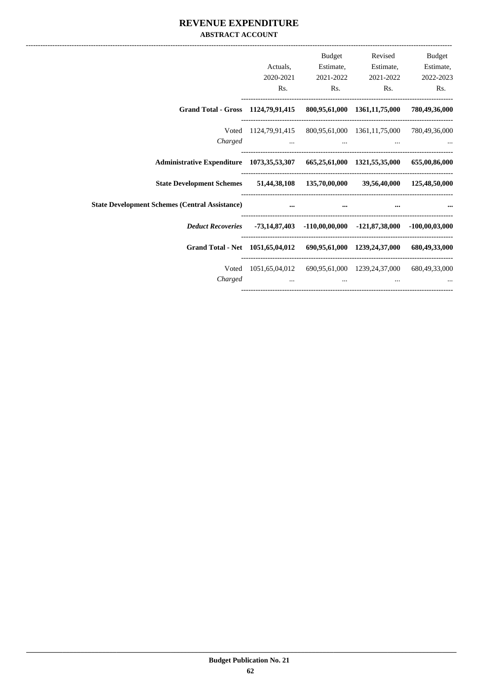### **REVENUE EXPENDITURE ABSTRACT ACCOUNT**

|                                                                                      |                                                                 | Budget                                                                                        | Revised                                                                                                              | Budget    |
|--------------------------------------------------------------------------------------|-----------------------------------------------------------------|-----------------------------------------------------------------------------------------------|----------------------------------------------------------------------------------------------------------------------|-----------|
|                                                                                      | Actuals.                                                        | Estimate,                                                                                     | Estimate,                                                                                                            | Estimate, |
|                                                                                      | 2020-2021                                                       | 2021-2022                                                                                     | 2021-2022                                                                                                            | 2022-2023 |
|                                                                                      | Rs.                                                             |                                                                                               | Rs.<br>Rs.                                                                                                           | Rs.       |
| Grand Total - Gross 1124,79,91,415 800,95,61,000 1361,11,75,000 780,49,36,000        |                                                                 |                                                                                               |                                                                                                                      |           |
|                                                                                      | Voted 1124,79,91,415 800,95,61,000 1361,11,75,000 780,49,36,000 |                                                                                               |                                                                                                                      |           |
| Charged                                                                              |                                                                 |                                                                                               | المستخدم المستخدم المستخدم المستخدم المستخدم المستخدم المستخدم المستخدم المستخدم المستخدم المستخدم المستخدم المستخدم |           |
| Administrative Expenditure 1073,35,53,307 665,25,61,000 1321,55,35,000 655,00,86,000 |                                                                 |                                                                                               |                                                                                                                      |           |
| State Development Schemes 51,44,38,108 135,70,00,000 39,56,40,000 125,48,50,000      |                                                                 |                                                                                               |                                                                                                                      |           |
| <b>State Development Schemes (Central Assistance)</b>                                | $\mathbf{r}$ and $\mathbf{r}$ are the set of $\mathbf{r}$       | $\cdots$                                                                                      |                                                                                                                      |           |
| Deduct Recoveries -73,14,87,403 -110,00,00,000 -121,87,38,000 -100,00,03,000         |                                                                 |                                                                                               |                                                                                                                      |           |
| Grand Total - Net 1051,65,04,012 690,95,61,000 1239,24,37,000 680,49,33,000          |                                                                 |                                                                                               |                                                                                                                      |           |
|                                                                                      | Voted 1051,65,04,012 690,95,61,000 1239,24,37,000 680,49,33,000 |                                                                                               |                                                                                                                      |           |
| Charged                                                                              |                                                                 | and the control of the control of the control of the control of the control of the control of |                                                                                                                      |           |
|                                                                                      |                                                                 |                                                                                               |                                                                                                                      |           |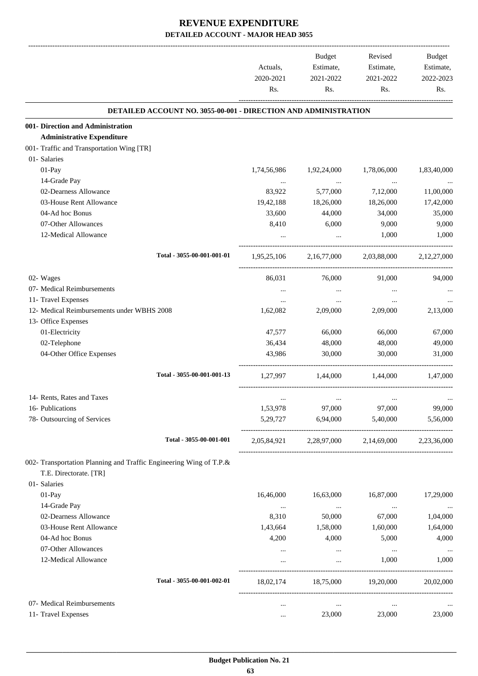|                                                                    | Actuals,<br>2020-2021<br>Rs. | Budget<br>Estimate,<br>2021-2022<br>Rs. | Revised<br>Estimate,<br>2021-2022<br>Rs. | Budget<br>Estimate,<br>2022-2023<br>Rs. |
|--------------------------------------------------------------------|------------------------------|-----------------------------------------|------------------------------------------|-----------------------------------------|
| DETAILED ACCOUNT NO. 3055-00-001 - DIRECTION AND ADMINISTRATION    |                              |                                         |                                          |                                         |
| 001- Direction and Administration                                  |                              |                                         |                                          |                                         |
| <b>Administrative Expenditure</b>                                  |                              |                                         |                                          |                                         |
| 001- Traffic and Transportation Wing [TR]                          |                              |                                         |                                          |                                         |
| 01- Salaries                                                       |                              |                                         |                                          |                                         |
| 01-Pay                                                             | 1,74,56,986                  | 1,92,24,000                             | 1,78,06,000                              | 1,83,40,000                             |
| 14-Grade Pay                                                       | $\cdots$                     | $\ddots$                                | $\ddots$                                 |                                         |
| 02-Dearness Allowance                                              | 83,922                       | 5,77,000                                | 7,12,000                                 | 11,00,000                               |
| 03-House Rent Allowance                                            | 19,42,188                    | 18,26,000                               | 18,26,000                                | 17,42,000                               |
| 04-Ad hoc Bonus                                                    | 33,600                       | 44,000                                  | 34,000                                   | 35,000                                  |
| 07-Other Allowances                                                | 8,410                        | 6,000                                   | 9,000                                    | 9,000                                   |
| 12-Medical Allowance                                               |                              | $\cdots$                                | 1,000                                    | 1,000                                   |
| Total - 3055-00-001-001-01                                         | 1,95,25,106                  | 2,16,77,000                             | 2,03,88,000                              | 2,12,27,000                             |
| 02- Wages                                                          | 86,031                       | 76,000                                  | 91,000                                   | 94,000                                  |
| 07- Medical Reimbursements                                         |                              |                                         |                                          |                                         |
| 11- Travel Expenses                                                | $\cdots$                     | $\cdots$                                |                                          |                                         |
| 12- Medical Reimbursements under WBHS 2008                         | 1,62,082                     | 2,09,000                                | 2,09,000                                 | 2,13,000                                |
| 13- Office Expenses                                                |                              |                                         |                                          |                                         |
| 01-Electricity                                                     | 47,577                       | 66,000                                  | 66,000                                   | 67,000                                  |
| 02-Telephone                                                       | 36,434                       | 48,000                                  | 48,000                                   | 49,000                                  |
| 04-Other Office Expenses                                           | 43,986                       | 30,000                                  | 30,000                                   | 31,000                                  |
| Total - 3055-00-001-001-13                                         | 1,27,997                     |                                         |                                          | 1,47,000                                |
|                                                                    |                              | 1,44,000                                | 1,44,000                                 |                                         |
| 14- Rents, Rates and Taxes                                         | $\cdots$                     | $\cdots$                                | $\cdots$                                 |                                         |
| 16- Publications                                                   | 1,53,978                     | 97,000                                  | 97,000                                   | 99,000                                  |
| 78- Outsourcing of Services                                        | 5,29,727                     | 6,94,000                                | 5,40,000                                 | 5,56,000                                |
| Total - 3055-00-001-001                                            |                              | 2,05,84,921 2,28,97,000                 | 2,14,69,000                              | 2,23,36,000                             |
| 002- Transportation Planning and Traffic Engineering Wing of T.P.& |                              |                                         |                                          |                                         |
| T.E. Directorate. [TR]                                             |                              |                                         |                                          |                                         |
| 01- Salaries                                                       |                              |                                         |                                          |                                         |
| 01-Pay                                                             | 16,46,000                    | 16,63,000                               | 16,87,000                                | 17,29,000                               |
| 14-Grade Pay                                                       | $\cdots$                     | $\cdots$                                | $\ldots$                                 |                                         |
| 02-Dearness Allowance                                              | 8,310                        | 50,000                                  | 67,000                                   | 1,04,000                                |
| 03-House Rent Allowance                                            | 1,43,664                     | 1,58,000                                | 1,60,000                                 | 1,64,000                                |
| 04-Ad hoc Bonus                                                    | 4,200                        | 4,000                                   | 5,000                                    | 4,000                                   |
| 07-Other Allowances                                                | $\cdots$                     | $\cdots$                                | $\ldots$                                 | $\cdots$                                |
| 12-Medical Allowance                                               | $\cdots$                     | $\cdots$                                | 1,000                                    | 1,000                                   |
| Total - 3055-00-001-002-01                                         | 18,02,174                    |                                         | 18,75,000 19,20,000                      | 20,02,000                               |
| 07- Medical Reimbursements                                         | $\ddotsc$                    | $\cdots$                                | $\cdots$                                 |                                         |
| 11- Travel Expenses                                                | $\cdots$                     | 23,000                                  | 23,000                                   | 23,000                                  |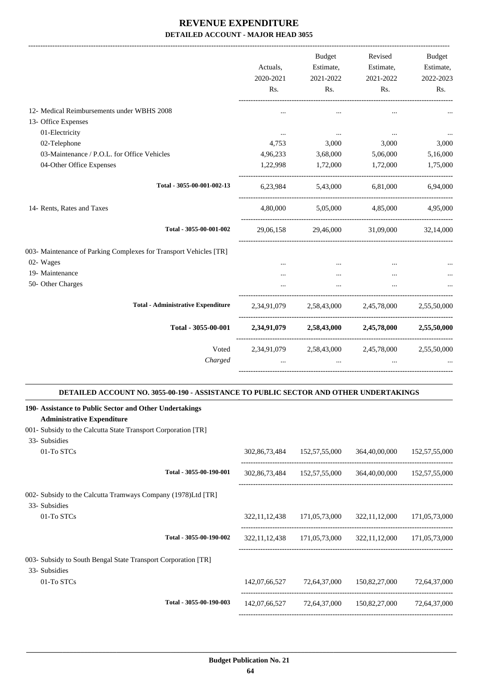|                                                                   | Actuals,<br>2020-2021<br>Rs.                                                                                                                                                                                                                                                                  | <b>Budget</b><br>2021-2022<br>Rs. | Revised<br>Estimate, Estimate,<br>2021-2022<br>Rs.                         | Budget<br>Estimate,<br>2022-2023<br>Rs. |
|-------------------------------------------------------------------|-----------------------------------------------------------------------------------------------------------------------------------------------------------------------------------------------------------------------------------------------------------------------------------------------|-----------------------------------|----------------------------------------------------------------------------|-----------------------------------------|
| 12- Medical Reimbursements under WBHS 2008                        |                                                                                                                                                                                                                                                                                               |                                   |                                                                            |                                         |
| 13- Office Expenses                                               |                                                                                                                                                                                                                                                                                               |                                   |                                                                            |                                         |
| 01-Electricity                                                    | $\cdots$                                                                                                                                                                                                                                                                                      | <b>Second Contract</b>            | <b>Contract Contract</b>                                                   |                                         |
| 02-Telephone                                                      | 4,753                                                                                                                                                                                                                                                                                         | 3,000                             | 3,000                                                                      | 3,000                                   |
| 03-Maintenance / P.O.L. for Office Vehicles                       |                                                                                                                                                                                                                                                                                               |                                   | 4,96,233 3,68,000 5,06,000                                                 | 5,16,000                                |
| 04-Other Office Expenses                                          |                                                                                                                                                                                                                                                                                               |                                   | 1,22,998 1,72,000 1,72,000                                                 | 1,75,000                                |
| Total - 3055-00-001-002-13                                        |                                                                                                                                                                                                                                                                                               |                                   | 6,23,984 5,43,000 6,81,000 6,94,000                                        |                                         |
| 14- Rents, Rates and Taxes                                        |                                                                                                                                                                                                                                                                                               |                                   | $4,80,000$ $5,05,000$ $4,85,000$ $4,95,000$                                |                                         |
| Total - 3055-00-001-002                                           |                                                                                                                                                                                                                                                                                               |                                   | 29,06,158 29,46,000 31,09,000 32,14,000                                    |                                         |
| 003- Maintenance of Parking Complexes for Transport Vehicles [TR] |                                                                                                                                                                                                                                                                                               |                                   |                                                                            |                                         |
| 02- Wages                                                         | $\cdots$                                                                                                                                                                                                                                                                                      | $\cdots$                          | $\cdots$                                                                   |                                         |
| 19- Maintenance                                                   | $\cdots$                                                                                                                                                                                                                                                                                      | $\cdots$                          | $\cdots$                                                                   |                                         |
| 50- Other Charges                                                 |                                                                                                                                                                                                                                                                                               | $\cdots$                          | $\cdots$                                                                   |                                         |
| <b>Total - Administrative Expenditure</b>                         |                                                                                                                                                                                                                                                                                               |                                   | 2,34,91,079 2,58,43,000 2,45,78,000 2,55,50,000                            |                                         |
| Total - 3055-00-001                                               |                                                                                                                                                                                                                                                                                               |                                   | 2,34,91,079 2,58,43,000 2,45,78,000 2,55,50,000                            |                                         |
| Charged                                                           | Voted 2,34,91,079 2,58,43,000 2,45,78,000 2,55,50,000<br><u>and the company of the company of the company of the company of the company of the company of the company of the company of the company of the company of the company of the company of the company of the company of the com</u> |                                   | $\mathbf{r}$ and $\mathbf{r}$ are all the set of $\mathbf{r}$<br>$\ddotsc$ |                                         |
|                                                                   |                                                                                                                                                                                                                                                                                               |                                   |                                                                            |                                         |

#### **DETAILED ACCOUNT NO. 3055-00-190 - ASSISTANCE TO PUBLIC SECTOR AND OTHER UNDERTAKINGS .**

.

| 190- Assistance to Public Sector and Other Undertakings       |                         |                  |               |                                                         |               |
|---------------------------------------------------------------|-------------------------|------------------|---------------|---------------------------------------------------------|---------------|
| <b>Administrative Expenditure</b>                             |                         |                  |               |                                                         |               |
| 001- Subsidy to the Calcutta State Transport Corporation [TR] |                         |                  |               |                                                         |               |
| 33- Subsidies                                                 |                         |                  |               |                                                         |               |
| 01-To STCs                                                    |                         | 302,86,73,484    | 152,57,55,000 | 364,40,00,000                                           | 152,57,55,000 |
|                                                               | Total - 3055-00-190-001 | 302,86,73,484    | 152,57,55,000 | 364,40,00,000                                           | 152,57,55,000 |
| 002- Subsidy to the Calcutta Tramways Company (1978)Ltd [TR]  |                         |                  |               |                                                         |               |
| 33- Subsidies                                                 |                         |                  |               |                                                         |               |
| 01-To STCs                                                    |                         | 322, 11, 12, 438 | 171,05,73,000 | 322,11,12,000                                           | 171,05,73,000 |
|                                                               | Total - 3055-00-190-002 |                  |               | 322,11,12,438 171,05,73,000 322,11,12,000 171,05,73,000 |               |
| 003- Subsidy to South Bengal State Transport Corporation [TR] |                         |                  |               |                                                         |               |
| 33- Subsidies                                                 |                         |                  |               |                                                         |               |
| 01-To STCs                                                    |                         | 142,07,66,527    | 72,64,37,000  | 150,82,27,000                                           | 72,64,37,000  |
|                                                               | Total - 3055-00-190-003 | 142,07,66,527    | 72,64,37,000  | 150,82,27,000                                           | 72,64,37,000  |
|                                                               |                         |                  |               |                                                         |               |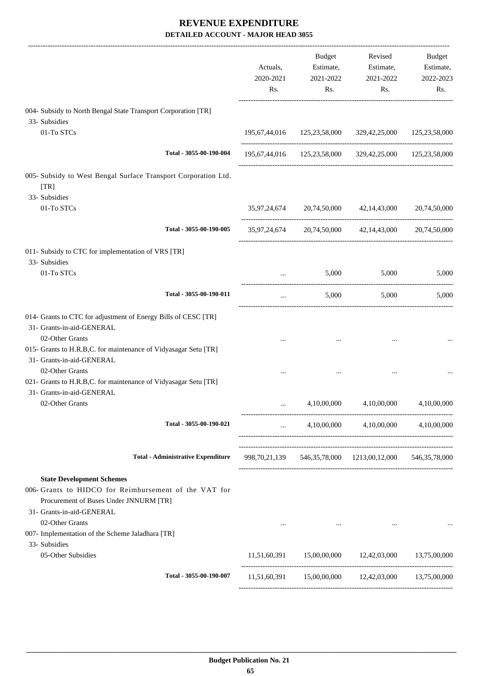|                                                                                                                 | Actuals,<br>2020-2021<br>Rs.                   | Budget<br>Estimate,<br>2021-2022<br>Rs. | Revised<br>Estimate,<br>2021-2022<br>Rs.                       | Budget<br>Estimate,<br>2022-2023<br>Rs. |
|-----------------------------------------------------------------------------------------------------------------|------------------------------------------------|-----------------------------------------|----------------------------------------------------------------|-----------------------------------------|
| 004- Subsidy to North Bengal State Transport Corporation [TR]                                                   |                                                |                                         |                                                                |                                         |
| 33- Subsidies                                                                                                   |                                                |                                         |                                                                |                                         |
| 01-To STCs                                                                                                      |                                                |                                         | 195,67,44,016  125,23,58,000  329,42,25,000  125,23,58,000     |                                         |
| Total - 3055-00-190-004                                                                                         |                                                |                                         | 195,67,44,016  125,23,58,000  329,42,25,000  125,23,58,000     |                                         |
| 005- Subsidy to West Bengal Surface Transport Corporation Ltd.<br>[TR]                                          |                                                |                                         |                                                                |                                         |
| 33- Subsidies                                                                                                   |                                                |                                         |                                                                |                                         |
| 01-To STCs                                                                                                      |                                                |                                         | 35,97,24,674 20,74,50,000 42,14,43,000 20,74,50,000            |                                         |
| Total - 3055-00-190-005                                                                                         |                                                |                                         | 35,97,24,674 20,74,50,000 42,14,43,000 20,74,50,000            |                                         |
| 011- Subsidy to CTC for implementation of VRS [TR]                                                              |                                                |                                         |                                                                |                                         |
| 33- Subsidies                                                                                                   |                                                |                                         |                                                                |                                         |
| 01-To STCs                                                                                                      | $\cdots$                                       | 5,000                                   | 5,000                                                          | 5,000                                   |
| Total - 3055-00-190-011                                                                                         | $\cdots$                                       | 5,000                                   | 5,000                                                          | 5,000                                   |
| 014- Grants to CTC for adjustment of Energy Bills of CESC [TR]<br>31- Grants-in-aid-GENERAL                     |                                                |                                         |                                                                |                                         |
| 02-Other Grants<br>015- Grants to H.R.B,C. for maintenance of Vidyasagar Setu [TR]<br>31- Grants-in-aid-GENERAL |                                                | $\cdots$                                | $\ddotsc$                                                      |                                         |
| 02-Other Grants                                                                                                 |                                                |                                         |                                                                |                                         |
| 021- Grants to H.R.B,C. for maintenance of Vidyasagar Setu [TR]<br>31- Grants-in-aid-GENERAL                    |                                                |                                         |                                                                |                                         |
| 02-Other Grants                                                                                                 |                                                | 4,10,00,000                             | 4,10,00,000                                                    | 4,10,00,000                             |
| Total - 3055-00-190-021                                                                                         | $\mathbf{1}$ and $\mathbf{1}$ and $\mathbf{1}$ |                                         | $4,10,00,000$ $4,10,00,000$ $4,10,00,000$                      |                                         |
| <b>Total - Administrative Expenditure</b>                                                                       |                                                |                                         | 998,70,21,139   546,35,78,000   1213,00,12,000   546,35,78,000 |                                         |
| <b>State Development Schemes</b>                                                                                |                                                |                                         |                                                                |                                         |
| 006- Grants to HIDCO for Reimbursement of the VAT for<br>Procurement of Buses Under JNNURM [TR]                 |                                                |                                         |                                                                |                                         |
| 31- Grants-in-aid-GENERAL<br>02-Other Grants                                                                    |                                                |                                         |                                                                |                                         |
| 007- Implementation of the Scheme Jaladhara [TR]                                                                | $\cdots$                                       | <b>Contractor</b>                       |                                                                |                                         |
| 33- Subsidies                                                                                                   |                                                |                                         |                                                                |                                         |
| 05-Other Subsidies                                                                                              |                                                |                                         | 11,51,60,391 15,00,00,000 12,42,03,000 13,75,00,000            |                                         |
| Total - 3055-00-190-007                                                                                         |                                                |                                         | 11,51,60,391 15,00,00,000 12,42,03,000 13,75,00,000            |                                         |
|                                                                                                                 |                                                |                                         |                                                                |                                         |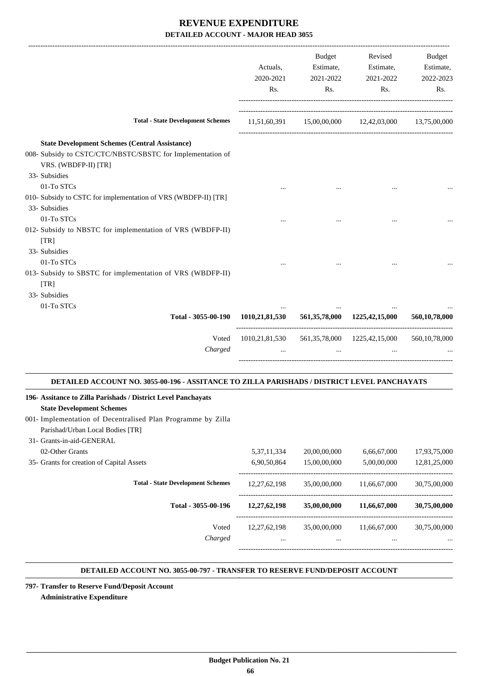|                                                                                                                                                                   | Actuals,<br>2020-2021<br>Rs. | <b>Budget</b><br>Estimate,<br>2021-2022<br>Rs. | Revised<br>Estimate,<br>2021-2022<br>Rs. | <b>Budget</b><br>Estimate,<br>2022-2023<br>Rs. |
|-------------------------------------------------------------------------------------------------------------------------------------------------------------------|------------------------------|------------------------------------------------|------------------------------------------|------------------------------------------------|
| <b>Total - State Development Schemes</b>                                                                                                                          |                              | $11,51,60,391$ $15,00,00,000$ $12,42,03,000$   |                                          | 13,75,00,000                                   |
| <b>State Development Schemes (Central Assistance)</b><br>008- Subsidy to CSTC/CTC/NBSTC/SBSTC for Implementation of<br>VRS. (WBDFP-II) [TR]<br>33- Subsidies      |                              |                                                |                                          |                                                |
| 01-To STCs<br>010- Subsidy to CSTC for implementation of VRS (WBDFP-II) [TR]<br>33- Subsidies                                                                     |                              |                                                |                                          |                                                |
| 01-To STCs<br>012- Subsidy to NBSTC for implementation of VRS (WBDFP-II)<br>[TR]                                                                                  |                              |                                                |                                          |                                                |
| 33- Subsidies<br>01-To STCs<br>013- Subsidy to SBSTC for implementation of VRS (WBDFP-II)<br>[TR]                                                                 |                              |                                                |                                          |                                                |
| 33- Subsidies                                                                                                                                                     |                              |                                                |                                          |                                                |
| 01-To STCs<br>Total - 3055-00-190                                                                                                                                 | 1010,21,81,530               |                                                | 561, 35, 78, 000 1225, 42, 15, 000       | 560,10,78,000                                  |
| Voted<br>Charged                                                                                                                                                  | 1010,21,81,530               | $\cdots$                                       | 561, 35, 78, 000 1225, 42, 15, 000       | 560, 10, 78, 000                               |
| DETAILED ACCOUNT NO. 3055-00-196 - ASSITANCE TO ZILLA PARISHADS / DISTRICT LEVEL PANCHAYATS                                                                       |                              |                                                |                                          |                                                |
| 196- Assitance to Zilla Parishads / District Level Panchayats<br><b>State Development Schemes</b><br>001- Implementation of Decentralised Plan Programme by Zilla |                              |                                                |                                          |                                                |

| Parishad/Urban Local Bodies [TR] |
|----------------------------------|
| 31- Grants-in-aid-GENERAL        |
| $02 \Delta$ than $C$ manta       |

| 02-Other Grants                           | 5, 37, 11, 334  | 20,00,00,000 | 6,66,67,000  | 17,93,75,000 |
|-------------------------------------------|-----------------|--------------|--------------|--------------|
| 35- Grants for creation of Capital Assets | 6,90,50,864     | 15,00,00,000 | 5,00,00,000  | 12,81,25,000 |
| <b>Total - State Development Schemes</b>  | 12, 27, 62, 198 | 35,00,00,000 | 11.66.67.000 | 30,75,00,000 |
| Total - 3055-00-196                       | 12,27,62,198    | 35,00,00,000 | 11,66,67,000 | 30,75,00,000 |
| Voted                                     | 12.27.62.198    | 35,00,00,000 | 11.66.67.000 | 30,75,00,000 |
| Charged                                   | $\cdots$        | $\cdots$     | $\cdots$     | $\cdots$     |
|                                           |                 |              |              |              |

#### **DETAILED ACCOUNT NO. 3055-00-797 - TRANSFER TO RESERVE FUND/DEPOSIT ACCOUNT .**

.

**797- Transfer to Reserve Fund/Deposit Account Administrative Expenditure**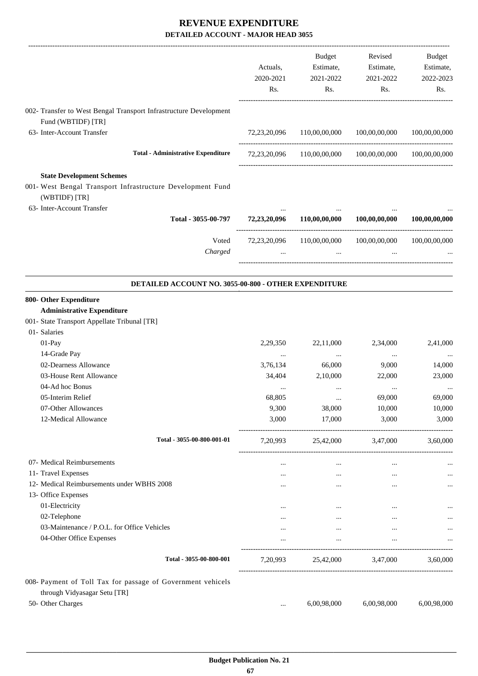|                                                                                   |                                                      |                       | Budget<br>Estimate,                                    | Revised<br>Estimate, | Budget                 |
|-----------------------------------------------------------------------------------|------------------------------------------------------|-----------------------|--------------------------------------------------------|----------------------|------------------------|
|                                                                                   |                                                      | Actuals,<br>2020-2021 | 2021-2022                                              | 2021-2022            | Estimate,<br>2022-2023 |
|                                                                                   |                                                      | Rs.                   | Rs.                                                    | Rs.                  | Rs.                    |
| 002- Transfer to West Bengal Transport Infrastructure Development                 |                                                      |                       |                                                        |                      |                        |
| Fund (WBTIDF) [TR]                                                                |                                                      |                       |                                                        |                      |                        |
| 63- Inter-Account Transfer                                                        |                                                      | 72,23,20,096          | 110,00,00,000                                          | 100,00,00,000        | 100,00,00,000          |
|                                                                                   |                                                      |                       |                                                        |                      |                        |
|                                                                                   | <b>Total - Administrative Expenditure</b>            |                       | 72,23,20,096 110,00,00,000 100,00,00,000 100,00,00,000 |                      |                        |
| <b>State Development Schemes</b>                                                  |                                                      |                       |                                                        |                      |                        |
| 001- West Bengal Transport Infrastructure Development Fund                        |                                                      |                       |                                                        |                      |                        |
| (WBTIDF) [TR]                                                                     |                                                      |                       |                                                        |                      |                        |
| 63- Inter-Account Transfer                                                        | Total - 3055-00-797                                  | 72,23,20,096          | 110,00,00,000                                          | 100,00,00,000        | 100,00,00,000          |
|                                                                                   |                                                      |                       |                                                        |                      |                        |
|                                                                                   | Voted<br>Charged                                     | $\cdots$              | 72,23,20,096 110,00,00,000<br>$\cdots$                 | 100,00,00,000        | 100,00,00,000          |
|                                                                                   |                                                      |                       |                                                        |                      |                        |
|                                                                                   | DETAILED ACCOUNT NO. 3055-00-800 - OTHER EXPENDITURE |                       |                                                        |                      |                        |
| 800- Other Expenditure                                                            |                                                      |                       |                                                        |                      |                        |
| <b>Administrative Expenditure</b><br>001- State Transport Appellate Tribunal [TR] |                                                      |                       |                                                        |                      |                        |
| 01- Salaries                                                                      |                                                      |                       |                                                        |                      |                        |
| 01-Pay                                                                            |                                                      | 2,29,350              | 22,11,000                                              | 2,34,000             | 2,41,000               |
| 14-Grade Pay                                                                      |                                                      | $\cdots$              | $\cdots$                                               | $\cdots$             |                        |
| 02-Dearness Allowance                                                             |                                                      | 3,76,134              | 66,000                                                 | 9,000                | 14,000                 |
| 03-House Rent Allowance                                                           |                                                      | 34,404                | 2,10,000                                               | 22,000               | 23,000                 |
| 04-Ad hoc Bonus                                                                   |                                                      | $\ddotsc$             | $\cdots$                                               |                      |                        |
| 05-Interim Relief                                                                 |                                                      | 68,805                |                                                        | 69,000               | 69,000                 |
| 07-Other Allowances                                                               |                                                      | 9,300                 | 38,000                                                 | 10,000               | 10,000                 |
| 12-Medical Allowance                                                              |                                                      | 3,000                 | 17,000                                                 | 3,000                | 3,000                  |
|                                                                                   | Total - 3055-00-800-001-01                           | 7,20,993              |                                                        | 25,42,000 3,47,000   | 3,60,000               |
| 07- Medical Reimbursements                                                        |                                                      | $\cdots$              | $\cdots$                                               | $\cdots$             | $\ldots$               |
| 11- Travel Expenses                                                               |                                                      | $\cdots$              | $\cdots$                                               | $\cdots$             |                        |
| 12- Medical Reimbursements under WBHS 2008                                        |                                                      | $\cdots$              | $\cdots$                                               | $\cdots$             |                        |
| 13- Office Expenses                                                               |                                                      |                       |                                                        |                      |                        |
| 01-Electricity                                                                    |                                                      | $\cdots$              | $\ldots$                                               | $\cdots$             |                        |
| 02-Telephone                                                                      |                                                      | $\cdots$              | $\cdots$                                               | $\cdots$             |                        |
| 03-Maintenance / P.O.L. for Office Vehicles                                       |                                                      | $\cdots$              | $\cdots$                                               | $\cdots$             | $\ldots$               |
| 04-Other Office Expenses                                                          |                                                      | $\cdots$              | $\cdots$                                               | $\cdots$             |                        |
|                                                                                   | Total - 3055-00-800-001                              |                       | 7,20,993 25,42,000 3,47,000 3,60,000                   |                      |                        |
| 008- Payment of Toll Tax for passage of Government vehicels                       |                                                      |                       |                                                        |                      |                        |
| through Vidyasagar Setu [TR]                                                      |                                                      |                       |                                                        |                      |                        |
| 50- Other Charges                                                                 |                                                      | $\cdots$              | 6,00,98,000                                            | 6,00,98,000          | 6,00,98,000            |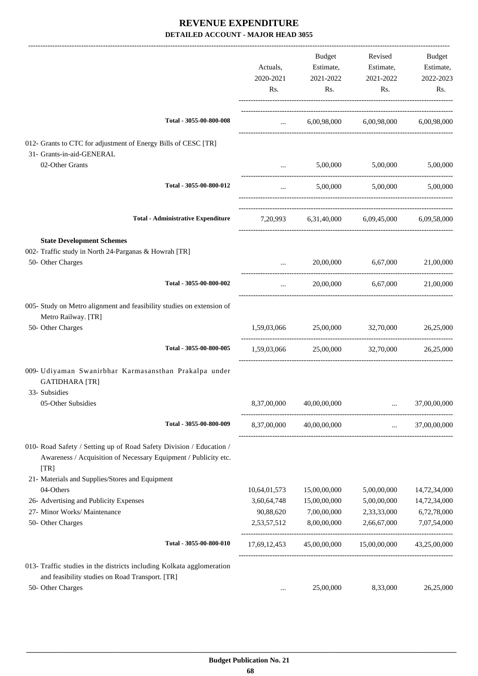|                                                                                                                                                |                                 | Budget                   | Revised                                      | Budget           |
|------------------------------------------------------------------------------------------------------------------------------------------------|---------------------------------|--------------------------|----------------------------------------------|------------------|
|                                                                                                                                                | Actuals,                        | Estimate,                | Estimate,                                    | Estimate,        |
|                                                                                                                                                | 2020-2021<br>Rs.                | 2021-2022<br>Rs.         | 2021-2022<br>Rs.                             | 2022-2023<br>Rs. |
| Total - 3055-00-800-008                                                                                                                        |                                 |                          |                                              |                  |
|                                                                                                                                                | $\mathbf{1}$ , and $\mathbf{1}$ |                          | 6,00,98,000 6,00,98,000 6,00,98,000          |                  |
| 012- Grants to CTC for adjustment of Energy Bills of CESC [TR]<br>31- Grants-in-aid-GENERAL                                                    |                                 |                          |                                              |                  |
| 02-Other Grants                                                                                                                                |                                 |                          | 5,00,000 5,00,000                            | 5,00,000         |
| Total - 3055-00-800-012                                                                                                                        | $\cdots$                        |                          | 5,00,000 5,00,000                            | 5,00,000         |
| <b>Total - Administrative Expenditure</b>                                                                                                      |                                 |                          | 7,20,993 6,31,40,000 6,09,45,000 6,09,58,000 |                  |
|                                                                                                                                                |                                 |                          |                                              |                  |
| <b>State Development Schemes</b><br>002- Traffic study in North 24-Parganas & Howrah [TR]                                                      |                                 |                          |                                              |                  |
| 50- Other Charges                                                                                                                              | $\cdots$                        |                          | 20,00,000 6,67,000                           | 21,00,000        |
| Total - 3055-00-800-002                                                                                                                        | $\cdots$                        | 20,00,000                | 6,67,000                                     | 21,00,000        |
| 005- Study on Metro alignment and feasibility studies on extension of<br>Metro Railway. [TR]                                                   |                                 |                          |                                              |                  |
| 50- Other Charges                                                                                                                              | 1,59,03,066                     |                          | 25,00,000 32,70,000                          | 26,25,000        |
| Total - 3055-00-800-005                                                                                                                        |                                 |                          | 1,59,03,066 25,00,000 32,70,000              | 26,25,000        |
| 009- Udiyaman Swanirbhar Karmasansthan Prakalpa under<br><b>GATIDHARA [TR]</b><br>33- Subsidies                                                |                                 |                          |                                              |                  |
| 05-Other Subsidies                                                                                                                             |                                 | 8,37,00,000 40,00,00,000 |                                              | 37,00,00,000     |
| Total - 3055-00-800-009                                                                                                                        |                                 | 8,37,00,000 40,00,00,000 | $\mathbf{r}$ , $\mathbf{r}$ , $\mathbf{r}$   | 37,00,00,000     |
| 010- Road Safety / Setting up of Road Safety Division / Education /<br>Awareness / Acquisition of Necessary Equipment / Publicity etc.<br>[TR] |                                 |                          |                                              |                  |
| 21- Materials and Supplies/Stores and Equipment                                                                                                |                                 |                          |                                              |                  |
| 04-Others                                                                                                                                      | 10,64,01,573                    | 15,00,00,000             | 5,00,00,000                                  | 14,72,34,000     |
| 26- Advertising and Publicity Expenses                                                                                                         | 3,60,64,748                     | 15,00,00,000             | 5,00,00,000                                  | 14,72,34,000     |
| 27- Minor Works/ Maintenance                                                                                                                   | 90,88,620                       | 7,00,00,000              | 2,33,33,000                                  | 6,72,78,000      |
| 50- Other Charges                                                                                                                              | 2,53,57,512                     | 8,00,00,000              | 2,66,67,000                                  | 7,07,54,000      |
| Total - 3055-00-800-010                                                                                                                        | 17,69,12,453                    | 45,00,00,000             | 15,00,00,000                                 | 43,25,00,000     |
| 013- Traffic studies in the districts including Kolkata agglomeration<br>and feasibility studies on Road Transport. [TR]                       |                                 |                          |                                              |                  |
| 50- Other Charges                                                                                                                              | $\cdots$                        | 25,00,000                | 8,33,000                                     | 26,25,000        |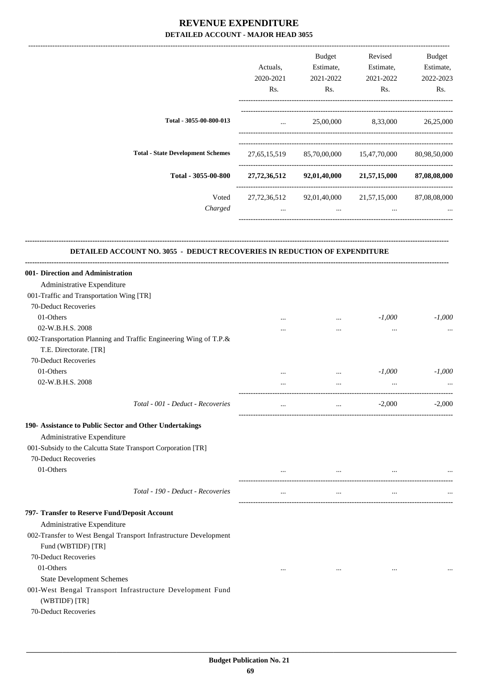|                                          | Actuals,<br>2020-2021<br>Rs. | <b>Budget</b><br>Estimate,<br>2021-2022<br>Rs. | Revised<br>Estimate,<br>2021-2022<br>Rs. | Budget<br>Estimate,<br>2022-2023<br>Rs. |
|------------------------------------------|------------------------------|------------------------------------------------|------------------------------------------|-----------------------------------------|
| Total - 3055-00-800-013                  | $\cdots$                     | 25,00,000                                      | 8,33,000                                 | 26,25,000                               |
| <b>Total - State Development Schemes</b> | 27, 65, 15, 519              | 85,70,00,000                                   | 15,47,70,000                             | 80,98,50,000                            |
| Total - 3055-00-800                      | 27,72,36,512                 | 92,01,40,000                                   | 21,57,15,000                             | 87,08,08,000                            |
| Voted<br>Charged                         | 27, 72, 36, 512<br>$\cdots$  | 92,01,40,000<br>$\cdots$                       | 21,57,15,000<br>$\cdots$                 | 87,08,08,000<br>$\cdots$                |
|                                          |                              |                                                |                                          |                                         |

**--------------------------------------------------------------------------------------------------------------------------------------------------------------------------------**

### **DETAILED ACCOUNT NO. 3055 - DEDUCT RECOVERIES IN REDUCTION OF EXPENDITURE**

| 001- Direction and Administration                                          |          |          |           |          |
|----------------------------------------------------------------------------|----------|----------|-----------|----------|
| Administrative Expenditure                                                 |          |          |           |          |
| 001-Traffic and Transportation Wing [TR]                                   |          |          |           |          |
| 70-Deduct Recoveries                                                       |          |          |           |          |
| 01-Others                                                                  |          | $\cdots$ | $-1,000$  | $-1,000$ |
| 02-W.B.H.S. 2008                                                           | $\cdots$ | $\cdots$ | $\cdots$  |          |
| 002-Transportation Planning and Traffic Engineering Wing of T.P.&          |          |          |           |          |
| T.E. Directorate. [TR]                                                     |          |          |           |          |
| 70-Deduct Recoveries                                                       |          |          |           |          |
| 01-Others                                                                  | $\cdots$ | $\ldots$ | $-1,000$  | $-1,000$ |
| 02-W.B.H.S. 2008                                                           | $\cdots$ | $\ddots$ | $\ddots$  |          |
| Total - 001 - Deduct - Recoveries                                          | $\cdots$ | $\cdots$ | $-2,000$  | $-2,000$ |
| 190- Assistance to Public Sector and Other Undertakings                    |          |          |           |          |
| Administrative Expenditure                                                 |          |          |           |          |
| 001-Subsidy to the Calcutta State Transport Corporation [TR]               |          |          |           |          |
| 70-Deduct Recoveries                                                       |          |          |           |          |
| 01-Others                                                                  | $\cdots$ | $\cdots$ | $\cdots$  |          |
| Total - 190 - Deduct - Recoveries                                          | $\cdots$ | $\cdots$ | $\cdots$  |          |
| 797- Transfer to Reserve Fund/Deposit Account                              |          |          |           |          |
| Administrative Expenditure                                                 |          |          |           |          |
| 002-Transfer to West Bengal Transport Infrastructure Development           |          |          |           |          |
| Fund (WBTIDF) [TR]                                                         |          |          |           |          |
| 70-Deduct Recoveries                                                       |          |          |           |          |
| 01-Others                                                                  | $\cdots$ | $\cdots$ | $\ddotsc$ |          |
| <b>State Development Schemes</b>                                           |          |          |           |          |
| 001-West Bengal Transport Infrastructure Development Fund<br>(WBTIDF) [TR] |          |          |           |          |
| 70-Deduct Recoveries                                                       |          |          |           |          |
|                                                                            |          |          |           |          |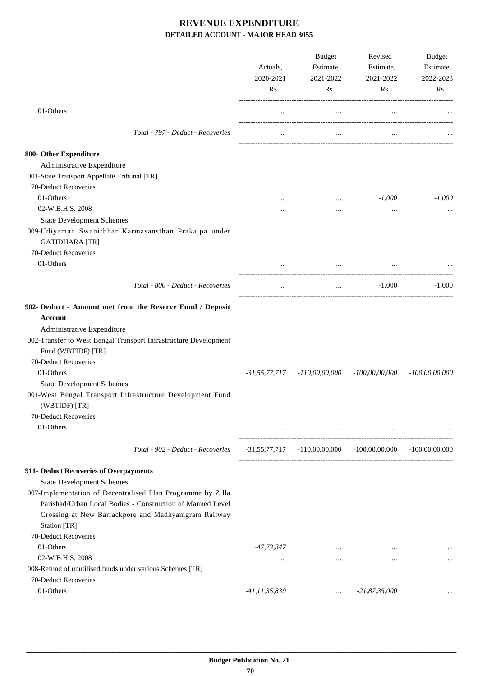|                                                                                                                                                                                                                            | Actuals,<br>2020-2021<br>Rs. | Budget<br>Estimate,<br>2021-2022<br>Rs.                     | Revised<br>Estimate,<br>2021-2022<br>Rs.                     | Budget<br>Estimate,<br>2022-2023<br>Rs. |
|----------------------------------------------------------------------------------------------------------------------------------------------------------------------------------------------------------------------------|------------------------------|-------------------------------------------------------------|--------------------------------------------------------------|-----------------------------------------|
| 01-Others                                                                                                                                                                                                                  | $\cdots$                     | $\ldots$                                                    | $\ldots$                                                     |                                         |
| Total - 797 - Deduct - Recoveries                                                                                                                                                                                          | $\cdots$                     | $\cdots$                                                    | $\cdots$                                                     |                                         |
| 800- Other Expenditure                                                                                                                                                                                                     |                              |                                                             |                                                              |                                         |
| Administrative Expenditure                                                                                                                                                                                                 |                              |                                                             |                                                              |                                         |
| 001-State Transport Appellate Tribunal [TR]                                                                                                                                                                                |                              |                                                             |                                                              |                                         |
| 70-Deduct Recoveries                                                                                                                                                                                                       |                              |                                                             |                                                              |                                         |
| 01-Others                                                                                                                                                                                                                  |                              | $\cdots$                                                    | $-1,000$                                                     | $-1,000$                                |
| 02-W.B.H.S. 2008                                                                                                                                                                                                           |                              | $\cdots$                                                    | $\cdots$                                                     |                                         |
| <b>State Development Schemes</b>                                                                                                                                                                                           |                              |                                                             |                                                              |                                         |
| 009-Udiyaman Swanirbhar Karmasansthan Prakalpa under                                                                                                                                                                       |                              |                                                             |                                                              |                                         |
| <b>GATIDHARA</b> [TR]                                                                                                                                                                                                      |                              |                                                             |                                                              |                                         |
| 70-Deduct Recoveries                                                                                                                                                                                                       |                              |                                                             |                                                              |                                         |
| 01-Others                                                                                                                                                                                                                  |                              |                                                             |                                                              |                                         |
| Total - 800 - Deduct - Recoveries                                                                                                                                                                                          | $\cdots$                     |                                                             | and the state of the                                         | $-1,000$<br>$-1,000$                    |
| 902- Deduct - Amount met from the Reserve Fund / Deposit<br><b>Account</b><br>Administrative Expenditure<br>002-Transfer to West Bengal Transport Infrastructure Development<br>Fund (WBTIDF) [TR]<br>70-Deduct Recoveries |                              |                                                             |                                                              |                                         |
| 01-Others                                                                                                                                                                                                                  | $-31,55,77,717$              | $-110,00,00,000$                                            | $-100,00,00,000$                                             | $-100,00,00,000$                        |
| <b>State Development Schemes</b>                                                                                                                                                                                           |                              |                                                             |                                                              |                                         |
| 001-West Bengal Transport Infrastructure Development Fund<br>(WBTIDF) [TR]<br>70-Deduct Recoveries<br>01-Others                                                                                                            |                              | and the state of the state of the state of the state of the | $\ldots$                                                     |                                         |
| Total - 902 - Deduct - Recoveries                                                                                                                                                                                          |                              |                                                             | $-31,55,77,717$ $-110,00,00,000$ $-100,00,000$ $-100,00,000$ |                                         |
| 911- Deduct Recoveries of Overpayments                                                                                                                                                                                     |                              |                                                             |                                                              |                                         |
| <b>State Development Schemes</b>                                                                                                                                                                                           |                              |                                                             |                                                              |                                         |
| 007-Implementation of Decentralised Plan Programme by Zilla<br>Parishad/Urban Local Bodies - Construction of Manned Level<br>Crossing at New Barrackpore and Madhyamgram Railway                                           |                              |                                                             |                                                              |                                         |
| Station [TR]                                                                                                                                                                                                               |                              |                                                             |                                                              |                                         |
| 70-Deduct Recoveries                                                                                                                                                                                                       |                              |                                                             |                                                              |                                         |
| 01-Others                                                                                                                                                                                                                  | -47,73,847                   | $\cdots$                                                    | $\cdots$                                                     |                                         |
| 02-W.B.H.S. 2008                                                                                                                                                                                                           | $\cdots$                     | $\cdots$                                                    | $\cdots$                                                     |                                         |
| 008-Refund of unutilised funds under various Schemes [TR]<br>70-Deduct Recoveries                                                                                                                                          |                              |                                                             |                                                              |                                         |
| 01-Others                                                                                                                                                                                                                  |                              |                                                             | $-21,87,35,000$                                              |                                         |
|                                                                                                                                                                                                                            | -41,11,35,839                | $\cdots$                                                    |                                                              |                                         |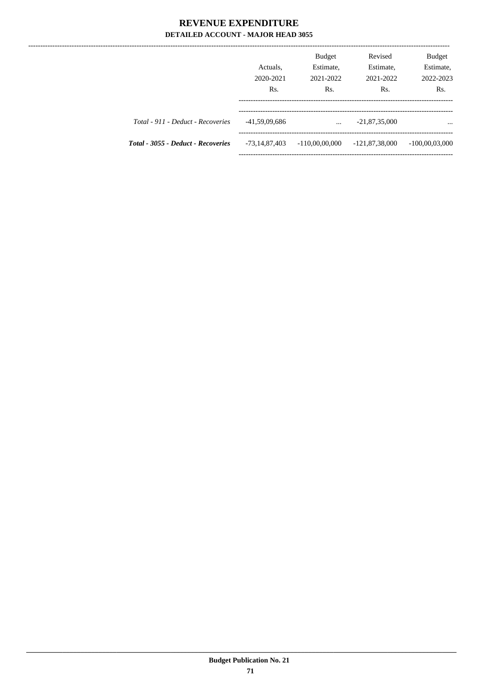------------------

|                                    | Actuals,<br>2020-2021<br>Rs. | <b>Budget</b><br>Estimate,<br>2021-2022<br>Rs. | Revised<br>Estimate,<br>2021-2022<br>Rs. | <b>Budget</b><br>Estimate,<br>2022-2023<br>R <sub>s</sub> . |
|------------------------------------|------------------------------|------------------------------------------------|------------------------------------------|-------------------------------------------------------------|
| Total - 911 - Deduct - Recoveries  | -41,59,09,686                | $\cdots$                                       | $-21,87,35,000$                          | $\cdots$                                                    |
| Total - 3055 - Deduct - Recoveries | -73,14,87,403                | $-110,00,00,000$                               | $-121,87,38,000$                         | $-100,00,03,000$                                            |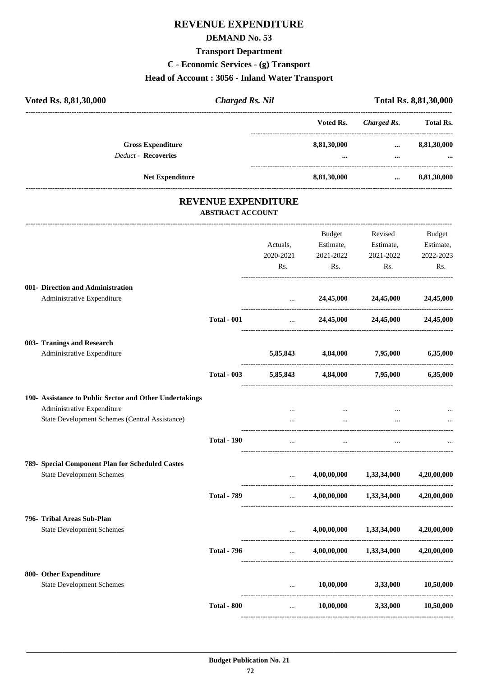## **REVENUE EXPENDITURE**

#### **DEMAND No. 53**

## **Transport Department**

**C - Economic Services - (g) Transport**

## **Head of Account : 3056 - Inland Water Transport**

| Voted Rs. 8,81,30,000                                   | <b>Charged Rs. Nil</b>  |                                             |             |                                                                      | Total Rs. 8,81,30,000 |
|---------------------------------------------------------|-------------------------|---------------------------------------------|-------------|----------------------------------------------------------------------|-----------------------|
|                                                         |                         |                                             | Voted Rs.   | <b>Charged Rs.</b>                                                   | Total Rs.             |
| <b>Gross Expenditure</b><br><b>Deduct - Recoveries</b>  |                         |                                             | 8,81,30,000 | $\cdots$<br>$\cdots$                                                 | 8,81,30,000           |
| Net Expenditure                                         |                         |                                             | 8,81,30,000 | $\cdots$                                                             | 8,81,30,000           |
|                                                         |                         | <b>REVENUE EXPENDITURE</b>                  |             |                                                                      |                       |
|                                                         | <b>ABSTRACT ACCOUNT</b> |                                             |             |                                                                      |                       |
|                                                         |                         |                                             | Budget      | Revised                                                              | Budget                |
|                                                         |                         | Actuals,                                    | Estimate,   | Estimate,                                                            | Estimate,             |
|                                                         |                         | 2020-2021                                   | 2021-2022   | 2021-2022                                                            | 2022-2023             |
|                                                         |                         | Rs.                                         | Rs.         | Rs.                                                                  | Rs.                   |
| 001- Direction and Administration                       |                         |                                             |             |                                                                      |                       |
| Administrative Expenditure                              |                         | $\cdots$                                    | 24,45,000   | 24,45,000                                                            | 24,45,000             |
|                                                         | <b>Total - 001</b>      | $\ddots$                                    | 24,45,000   | 24,45,000                                                            | 24,45,000             |
| 003- Tranings and Research                              |                         |                                             |             |                                                                      |                       |
| Administrative Expenditure                              |                         | 5,85,843                                    | 4,84,000    | 7,95,000                                                             | 6,35,000              |
|                                                         | <b>Total - 003</b>      | 5,85,843                                    | 4,84,000    | 7,95,000                                                             | 6,35,000              |
| 190- Assistance to Public Sector and Other Undertakings |                         |                                             |             |                                                                      |                       |
| Administrative Expenditure                              |                         | $\cdots$                                    | $\cdots$    |                                                                      |                       |
| State Development Schemes (Central Assistance)          |                         |                                             | $\cdots$    |                                                                      |                       |
|                                                         | <b>Total - 190</b>      | $\cdots$                                    | $\cdots$    | $\cdots$                                                             |                       |
| 789- Special Component Plan for Scheduled Castes        |                         |                                             |             |                                                                      |                       |
| <b>State Development Schemes</b>                        |                         | $\cdots$                                    | 4,00,00,000 | 1,33,34,000                                                          | 4,20,00,000           |
|                                                         | <b>Total - 789</b>      | $\cdots$                                    | 4,00,00,000 | 1,33,34,000                                                          | 4,20,00,000           |
| 796- Tribal Areas Sub-Plan                              |                         |                                             |             |                                                                      |                       |
| <b>State Development Schemes</b>                        |                         | $\cdots$                                    | 4,00,00,000 | 1,33,34,000                                                          | 4,20,00,000           |
|                                                         | <b>Total - 796</b>      | $\cdots$<br>------------------------------- |             | $4,00,00,000$ $1,33,34,000$<br>. _ _ _ _ _ _ _ _ _ _ _ _ _ _ _ _ _ _ | 4,20,00,000           |
| 800- Other Expenditure                                  |                         |                                             |             |                                                                      |                       |
| <b>State Development Schemes</b>                        |                         | $\cdots$                                    | 10,00,000   | 3,33,000                                                             | 10,50,000             |
|                                                         | <b>Total - 800</b>      | $\cdots$                                    | 10,00,000   | 3,33,000                                                             | 10,50,000             |

----------------------------------------------------------------------------------------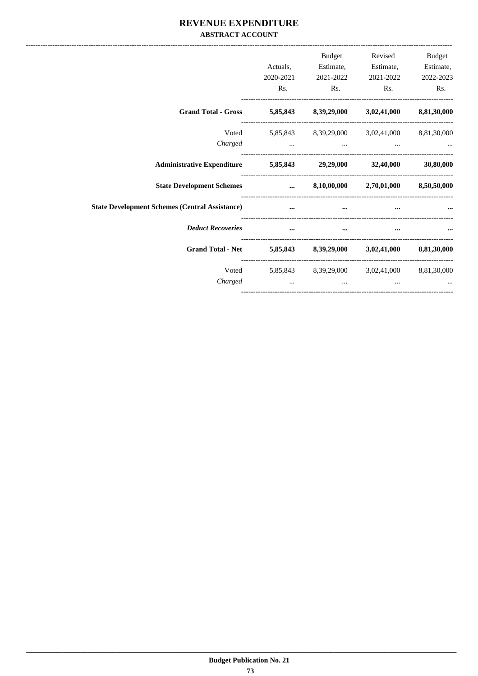#### REVENUE EXPENDITURE **ABSTRACT ACCOUNT**

|                                                                   | Actuals,<br>2020-2021<br>Rs. | Budget<br>2021-2022<br>Rs.                               | Revised<br>Estimate, Estimate,<br>2021-2022<br>Rs. | Budget<br>Estimate,<br>2022-2023<br>Rs. |
|-------------------------------------------------------------------|------------------------------|----------------------------------------------------------|----------------------------------------------------|-----------------------------------------|
| Grand Total - Gross 5,85,843 8,39,29,000 3,02,41,000 8,81,30,000  |                              |                                                          |                                                    |                                         |
| Charged                                                           | $\cdots$                     | Voted 5,85,843 8,39,29,000 3,02,41,000 8,81,30,000       | $\cdots$                                           |                                         |
| Administrative Expenditure 5,85,843 29,29,000 32,40,000 30,80,000 |                              |                                                          |                                                    |                                         |
| State Development Schemes  8,10,00,000 2,70,01,000 8,50,50,000    |                              |                                                          |                                                    |                                         |
| <b>State Development Schemes (Central Assistance)</b>             | $\cdots$                     |                                                          |                                                    |                                         |
| <b>Deduct Recoveries</b>                                          | $\cdots$                     | $\cdots$                                                 | $\cdots$                                           |                                         |
| Grand Total - Net 5,85,843 8,39,29,000 3,02,41,000 8,81,30,000    |                              |                                                          |                                                    |                                         |
| Voted<br>Charged                                                  | $\cdots$                     | 5,85,843 8,39,29,000 3,02,41,000 8,81,30,000<br>$\cdots$ | $\cdots$                                           |                                         |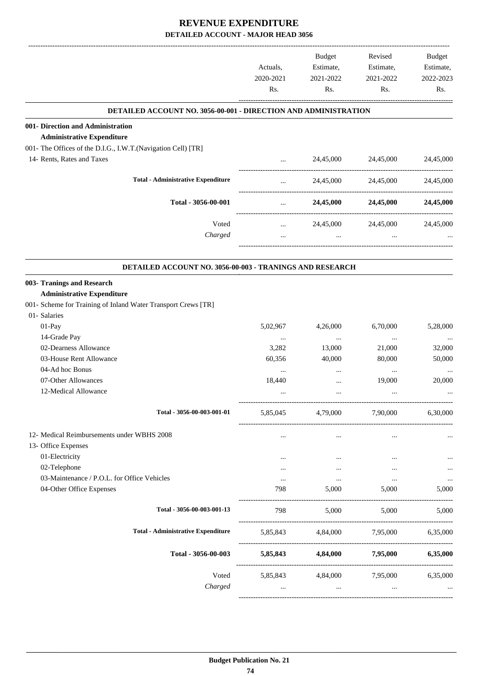|                                                                                                   | Actuals,<br>2020-2021<br>Rs. | Budget<br>Estimate,<br>2021-2022<br>Rs. | Revised<br>Estimate,<br>2021-2022<br>Rs. | <b>Budget</b><br>Estimate,<br>2022-2023<br>Rs. |
|---------------------------------------------------------------------------------------------------|------------------------------|-----------------------------------------|------------------------------------------|------------------------------------------------|
|                                                                                                   |                              |                                         |                                          |                                                |
| <b>DETAILED ACCOUNT NO. 3056-00-001 - DIRECTION AND ADMINISTRATION</b>                            |                              |                                         |                                          |                                                |
| 001- Direction and Administration                                                                 |                              |                                         |                                          |                                                |
| <b>Administrative Expenditure</b><br>001- The Offices of the D.I.G., I.W.T.(Navigation Cell) [TR] |                              |                                         |                                          |                                                |
| 14- Rents, Rates and Taxes                                                                        |                              | 24,45,000                               | 24,45,000                                | 24,45,000                                      |
|                                                                                                   | $\cdots$                     |                                         |                                          |                                                |
| <b>Total - Administrative Expenditure</b>                                                         | $\cdots$                     | 24,45,000                               | 24,45,000                                | 24,45,000                                      |
| Total - 3056-00-001                                                                               | $\cdots$                     | 24,45,000                               | 24,45,000                                | 24,45,000                                      |
| Voted                                                                                             | -------------<br>$\cdots$    | 24,45,000                               | 24,45,000                                | 24,45,000                                      |
| Charged                                                                                           | $\cdots$                     | $\cdots$                                | $\cdots$                                 |                                                |
| DETAILED ACCOUNT NO. 3056-00-003 - TRANINGS AND RESEARCH                                          |                              |                                         |                                          |                                                |
| 003- Tranings and Research                                                                        |                              |                                         |                                          |                                                |
| <b>Administrative Expenditure</b>                                                                 |                              |                                         |                                          |                                                |
| 001- Scheme for Training of Inland Water Transport Crews [TR]                                     |                              |                                         |                                          |                                                |
| 01- Salaries                                                                                      |                              |                                         |                                          |                                                |
| 01-Pay                                                                                            | 5,02,967                     | 4,26,000                                | 6,70,000                                 | 5,28,000                                       |
| 14-Grade Pay                                                                                      | $\ldots$                     | $\cdots$                                | $\ldots$                                 |                                                |
| 02-Dearness Allowance                                                                             | 3,282                        | 13,000                                  | 21,000                                   | 32,000                                         |
| 03-House Rent Allowance                                                                           | 60,356                       | 40,000                                  | 80,000                                   | 50,000                                         |
| 04-Ad hoc Bonus                                                                                   | $\ldots$                     | $\cdots$                                | $\ldots$                                 |                                                |
| 07-Other Allowances                                                                               | 18,440                       |                                         | 19,000                                   | 20,000                                         |
| 12-Medical Allowance                                                                              |                              |                                         |                                          |                                                |
| Total - 3056-00-003-001-01                                                                        | 5,85,045                     | 4,79,000                                | 7,90,000                                 | 6,30,000                                       |
| 12- Medical Reimbursements under WBHS 2008                                                        |                              |                                         |                                          |                                                |
| 13- Office Expenses                                                                               | $\cdots$                     | $\cdots$                                | $\cdots$                                 |                                                |
| 01-Electricity                                                                                    | $\cdots$                     | $\cdots$                                | $\cdots$                                 |                                                |
| 02-Telephone                                                                                      | $\cdots$                     | $\cdots$                                |                                          |                                                |
| 03-Maintenance / P.O.L. for Office Vehicles                                                       | $\cdots$                     | $\ldots$                                | $\ldots$                                 |                                                |
| 04-Other Office Expenses                                                                          | 798                          | 5,000                                   | 5,000                                    | 5,000                                          |
| Total - 3056-00-003-001-13                                                                        | 798                          | 5,000                                   | 5,000                                    | 5,000                                          |
| <b>Total - Administrative Expenditure</b>                                                         |                              |                                         | 5,85,843 4,84,000 7,95,000 6,35,000      |                                                |
| Total - 3056-00-003                                                                               |                              |                                         | 5,85,843 4,84,000 7,95,000               | 6,35,000                                       |
| Voted                                                                                             |                              |                                         | 5,85,843 4,84,000 7,95,000               | 6,35,000                                       |
| Charged                                                                                           | $\cdots$                     | $\cdots$                                | $\cdots$                                 |                                                |
|                                                                                                   |                              |                                         |                                          |                                                |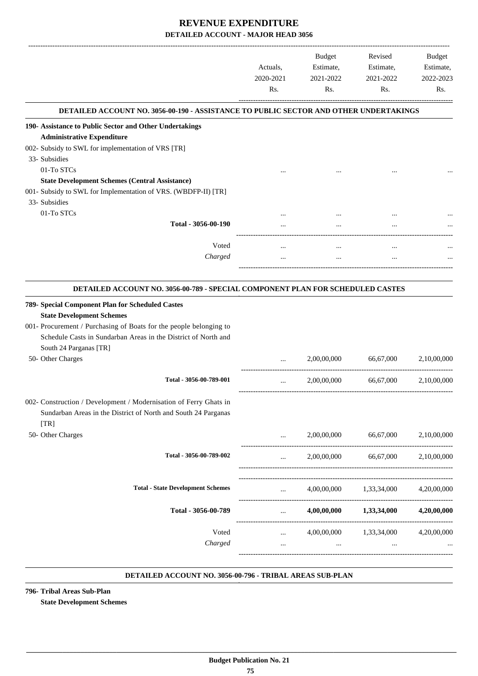|                                                                                       | Actuals,<br>2020-2021<br>Rs. | Budget<br>Estimate,<br>2021-2022<br>Rs. | Revised<br>Estimate,<br>2021-2022<br>Rs. | <b>Budget</b><br>Estimate,<br>2022-2023<br>Rs. |
|---------------------------------------------------------------------------------------|------------------------------|-----------------------------------------|------------------------------------------|------------------------------------------------|
| DETAILED ACCOUNT NO. 3056-00-190 - ASSISTANCE TO PUBLIC SECTOR AND OTHER UNDERTAKINGS |                              |                                         |                                          |                                                |
| 190- Assistance to Public Sector and Other Undertakings                               |                              |                                         |                                          |                                                |
| <b>Administrative Expenditure</b>                                                     |                              |                                         |                                          |                                                |
| 002- Subsidy to SWL for implementation of VRS [TR]                                    |                              |                                         |                                          |                                                |
| 33- Subsidies                                                                         |                              |                                         |                                          |                                                |
| 01-To STCs                                                                            |                              |                                         |                                          |                                                |
| <b>State Development Schemes (Central Assistance)</b>                                 |                              |                                         |                                          |                                                |
| 001- Subsidy to SWL for Implementation of VRS. (WBDFP-II) [TR]                        |                              |                                         |                                          |                                                |
| 33- Subsidies                                                                         |                              |                                         |                                          |                                                |
| 01-To STCs                                                                            |                              |                                         |                                          |                                                |
| Total - 3056-00-190                                                                   |                              | $\cdots$                                |                                          |                                                |
|                                                                                       |                              |                                         |                                          |                                                |
| Voted                                                                                 | $\cdots$                     | $\cdots$                                | $\cdots$                                 |                                                |
| Charged                                                                               |                              | $\cdots$                                |                                          |                                                |
|                                                                                       |                              |                                         |                                          |                                                |
| DETAILED ACCOUNT NO. 3056-00-789 - SPECIAL COMPONENT PLAN FOR SCHEDULED CASTES        |                              |                                         |                                          |                                                |
| 789- Special Component Plan for Scheduled Castes                                      |                              |                                         |                                          |                                                |
| <b>State Development Schemes</b>                                                      |                              |                                         |                                          |                                                |
| 001- Procurement / Purchasing of Boats for the people belonging to                    |                              |                                         |                                          |                                                |
| Schedule Casts in Sundarban Areas in the District of North and                        |                              |                                         |                                          |                                                |
|                                                                                       |                              |                                         |                                          |                                                |
| South 24 Parganas [TR]                                                                |                              |                                         |                                          |                                                |
| 50- Other Charges                                                                     | $\cdots$                     | 2,00,00,000                             | 66,67,000                                | 2,10,00,000                                    |
| Total - 3056-00-789-001                                                               | $\cdots$                     | 2,00,00,000                             | 66,67,000                                | 2,10,00,000                                    |
| 002- Construction / Development / Modernisation of Ferry Ghats in                     |                              |                                         |                                          |                                                |
| Sundarban Areas in the District of North and South 24 Parganas                        |                              |                                         |                                          |                                                |
|                                                                                       |                              |                                         |                                          |                                                |
| [TR]                                                                                  |                              |                                         |                                          |                                                |
| 50- Other Charges                                                                     | $\cdots$                     | 2,00,00,000                             | 66,67,000                                | 2,10,00,000                                    |
| Total - 3056-00-789-002                                                               | $\cdots$                     | 2,00,00,000                             | 66,67,000                                | 2,10,00,000                                    |
|                                                                                       |                              |                                         |                                          |                                                |
| <b>Total - State Development Schemes</b>                                              | $\cdots$                     | 4,00,00,000                             | 1,33,34,000                              | 4,20,00,000                                    |
|                                                                                       |                              |                                         |                                          |                                                |
| Total - 3056-00-789                                                                   | $\cdots$                     |                                         | $4,00,00,000$ $1,33,34,000$              | 4,20,00,000                                    |
| Voted                                                                                 |                              |                                         | 4,00,00,000 1,33,34,000                  | 4,20,00,000                                    |
|                                                                                       | $\cdots$                     |                                         |                                          |                                                |
| Charged                                                                               | $\cdots$                     | $\cdots$                                |                                          |                                                |
|                                                                                       |                              |                                         |                                          |                                                |

#### **DETAILED ACCOUNT NO. 3056-00-796 - TRIBAL AREAS SUB-PLAN .**

**796- Tribal Areas Sub-Plan State Development Schemes**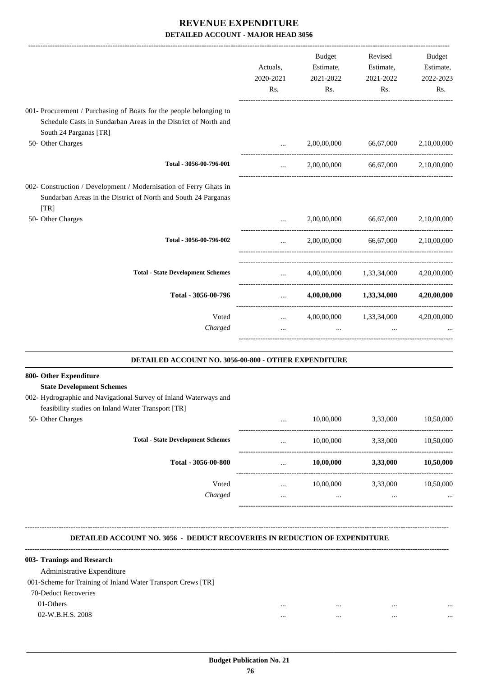-------------------------------------------------------------------------------------------------------------------------------------------------------------------------------

|                                                                                                                                                           |                                                | <b>Budget</b> | Revised                             | <b>Budget</b> |
|-----------------------------------------------------------------------------------------------------------------------------------------------------------|------------------------------------------------|---------------|-------------------------------------|---------------|
|                                                                                                                                                           | Actuals,                                       | Estimate,     | Estimate,                           | Estimate,     |
|                                                                                                                                                           | 2020-2021                                      | 2021-2022     | 2021-2022                           | 2022-2023     |
|                                                                                                                                                           | Rs.                                            | Rs.           | Rs.                                 | Rs.           |
| 001- Procurement / Purchasing of Boats for the people belonging to                                                                                        |                                                |               |                                     |               |
| Schedule Casts in Sundarban Areas in the District of North and<br>South 24 Parganas [TR]                                                                  |                                                |               |                                     |               |
| 50- Other Charges                                                                                                                                         | $\cdots$                                       | 2,00,00,000   | 66,67,000                           | 2,10,00,000   |
| Total - 3056-00-796-001                                                                                                                                   | $\cdots$                                       |               | 2,00,00,000 66,67,000 2,10,00,000   |               |
| 002- Construction / Development / Modernisation of Ferry Ghats in<br>Sundarban Areas in the District of North and South 24 Parganas<br>$\lceil TR \rceil$ |                                                |               |                                     |               |
| 50- Other Charges                                                                                                                                         |                                                |               | 2,00,00,000 66,67,000               | 2,10,00,000   |
| Total - 3056-00-796-002                                                                                                                                   | $\ddotsc$                                      |               | 2,00,00,000 66,67,000 2,10,00,000   |               |
| <b>Total - State Development Schemes</b>                                                                                                                  | $\mathbf{r}$                                   |               | 4,00,00,000 1,33,34,000 4,20,00,000 |               |
| Total - 3056-00-796                                                                                                                                       | $\mathbf{r}$ and $\mathbf{r}$                  |               | $4,00,00,000$ $1,33,34,000$         | 4,20,00,000   |
| Voted                                                                                                                                                     | $\cdots$ . The same is a set of $\mathbb{R}^n$ |               | 4,00,00,000 1,33,34,000 4,20,00,000 |               |
| Charged                                                                                                                                                   | $\cdots$                                       |               |                                     |               |
|                                                                                                                                                           |                                                |               |                                     |               |

| <b>DETAILED ACCOUNT NO. 3056-00-800 - OTHER EXPENDITURE</b>       |          |           |          |           |
|-------------------------------------------------------------------|----------|-----------|----------|-----------|
| 800- Other Expenditure                                            |          |           |          |           |
| <b>State Development Schemes</b>                                  |          |           |          |           |
| 002- Hydrographic and Navigational Survey of Inland Waterways and |          |           |          |           |
| feasibility studies on Inland Water Transport [TR]                |          |           |          |           |
| 50- Other Charges                                                 | $\cdots$ | 10,00,000 | 3.33,000 | 10,50,000 |
| <b>Total - State Development Schemes</b>                          | $\cdots$ | 10,00,000 | 3.33,000 | 10,50,000 |
| Total - 3056-00-800                                               | $\cdots$ | 10,00,000 | 3,33,000 | 10,50,000 |
| Voted                                                             | $\cdots$ | 10,00,000 | 3,33,000 | 10,50,000 |
| Charged                                                           | $\cdots$ | $\cdots$  |          |           |
|                                                                   |          |           |          |           |

**--------------------------------------------------------------------------------------------------------------------------------------------------------------------------------**

**800-**

.

#### **DETAILED ACCOUNT NO. 3056 - DEDUCT RECOVERIES IN REDUCTION OF EXPENDITURE**

| 003- Tranings and Research                                   |          |      |          |
|--------------------------------------------------------------|----------|------|----------|
| Administrative Expenditure                                   |          |      |          |
| 001-Scheme for Training of Inland Water Transport Crews [TR] |          |      |          |
| 70-Deduct Recoveries                                         |          |      |          |
| 01-Others                                                    | $\cdots$ | <br> | $\cdots$ |
| 02-W.B.H.S. 2008                                             | $\cdots$ | <br> | $\cdots$ |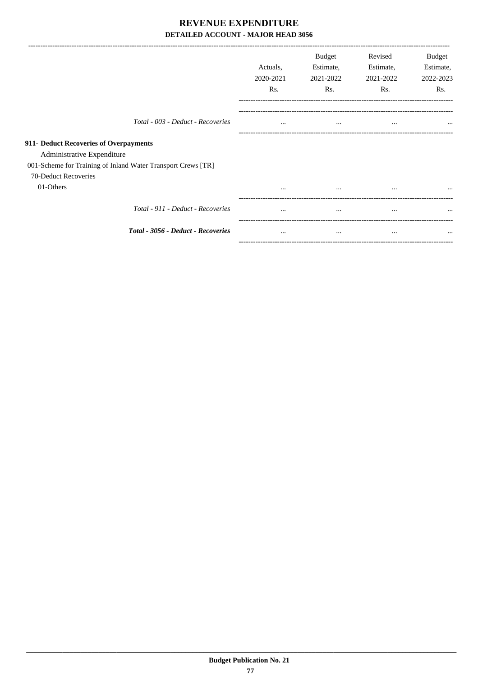|                                                              | Actuals,<br>2020-2021<br>Rs. | <b>Budget</b><br>Estimate,<br>2021-2022<br>Rs. | Revised<br>Estimate,<br>2021-2022<br>Rs. | Budget<br>Estimate,<br>2022-2023<br>R <sub>s</sub> . |
|--------------------------------------------------------------|------------------------------|------------------------------------------------|------------------------------------------|------------------------------------------------------|
| Total - 003 - Deduct - Recoveries                            | $\cdots$                     | $\cdots$                                       | $\cdots$                                 | $\cdots$                                             |
| 911- Deduct Recoveries of Overpayments                       |                              |                                                |                                          |                                                      |
| Administrative Expenditure                                   |                              |                                                |                                          |                                                      |
| 001-Scheme for Training of Inland Water Transport Crews [TR] |                              |                                                |                                          |                                                      |
| 70-Deduct Recoveries                                         |                              |                                                |                                          |                                                      |
| 01-Others                                                    | $\cdots$                     | $\cdots$                                       | $\cdots$                                 | $\cdots$                                             |
| Total - 911 - Deduct - Recoveries                            | $\cdots$                     | $\cdots$                                       | $\cdots$                                 | $\cdots$                                             |
| Total - 3056 - Deduct - Recoveries                           | $\cdots$                     | $\cdots$                                       | $\cdots$                                 | $\cdots$                                             |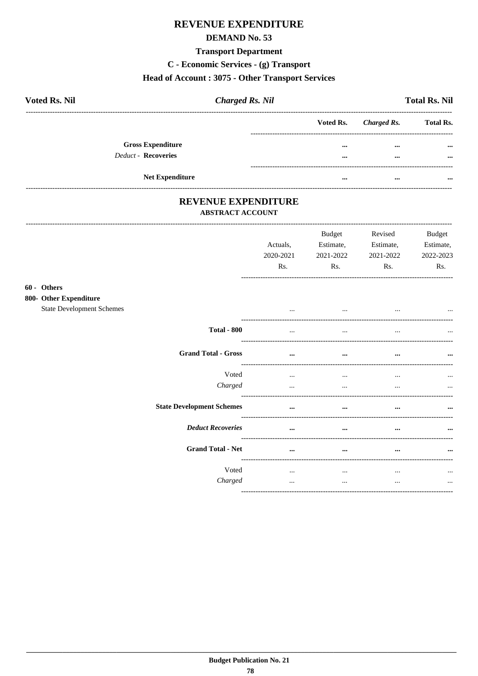## **REVENUE EXPENDITURE**

#### **DEMAND No. 53**

#### **Transport Department**

C - Economic Services - (g) Transport

#### Head of Account: 3075 - Other Transport Services

| <b>Voted Rs. Nil</b>     | <b>Charged Rs. Nil</b> |                         |                       | <b>Total Rs. Nil</b> |
|--------------------------|------------------------|-------------------------|-----------------------|----------------------|
|                          |                        |                         | Voted Rs. Charged Rs. | <b>Total Rs.</b>     |
| <b>Gross Expenditure</b> |                        | $\bullet\bullet\bullet$ | $\cdots$              | $\cdots$             |
| Deduct - Recoveries      |                        |                         | $\cdots$              | $\cdots$             |
| <b>Net Expenditure</b>   |                        |                         |                       |                      |

#### REVENUE EXPENDITURE **ABSTRACT ACCOUNT**

 $60 -$ 800-

| Actuals,<br>2020-2021<br>Rs. | Budget<br>Estimate,<br>2021-2022<br>Rs. | Revised<br>Estimate,<br>2021-2022<br>Rs. | <b>Budget</b><br>Estimate,<br>2022-2023<br>Rs. |
|------------------------------|-----------------------------------------|------------------------------------------|------------------------------------------------|
|                              |                                         |                                          |                                                |
| $\cdots$                     | $\cdots$                                | $\cdots$                                 | $\cdots$                                       |
| $\cdots$                     | $\cdots$                                | $\cdots$                                 |                                                |
| $\cdots$                     |                                         | $\cdots$                                 |                                                |
| $\cdots$<br>$\cdots$         | $\cdots$<br>$\cdots$                    | $\cdots$<br>$\cdots$                     | $\cdots$                                       |
| $\cdots$                     | $\cdots$                                | $\cdots$                                 |                                                |
| $\cdots$                     |                                         | $\cdots$                                 |                                                |
| $\cdots$                     | $\cdots$                                | $\cdots$                                 |                                                |
| $\cdots$<br>$\cdots$         | $\cdots$<br>$\cdots$                    | $\cdots$<br>$\cdots$                     | $\cdots$<br>                                   |
|                              |                                         |                                          |                                                |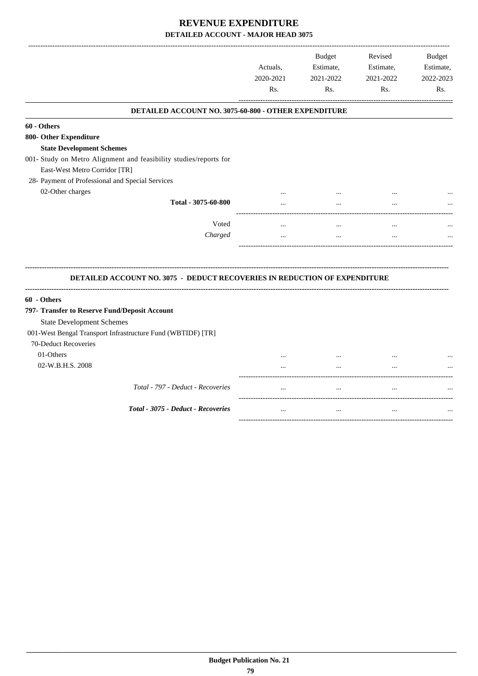|                                                                                                              | Actuals,<br>2020-2021<br>Rs. | <b>Budget</b><br>Estimate,<br>2021-2022<br>Rs. | Revised<br>Estimate,<br>2021-2022<br>Rs. | <b>Budget</b><br>Estimate,<br>2022-2023<br>Rs. |
|--------------------------------------------------------------------------------------------------------------|------------------------------|------------------------------------------------|------------------------------------------|------------------------------------------------|
| DETAILED ACCOUNT NO. 3075-60-800 - OTHER EXPENDITURE                                                         |                              |                                                |                                          |                                                |
| 60 - Others                                                                                                  |                              |                                                |                                          |                                                |
| 800- Other Expenditure                                                                                       |                              |                                                |                                          |                                                |
| <b>State Development Schemes</b>                                                                             |                              |                                                |                                          |                                                |
| 001- Study on Metro Alignment and feasibility studies/reports for                                            |                              |                                                |                                          |                                                |
| East-West Metro Corridor [TR]                                                                                |                              |                                                |                                          |                                                |
| 28- Payment of Professional and Special Services                                                             |                              |                                                |                                          |                                                |
| 02-Other charges                                                                                             |                              |                                                |                                          |                                                |
| Total - 3075-60-800                                                                                          |                              |                                                |                                          |                                                |
| Voted                                                                                                        | $\cdots$                     | $\ddotsc$                                      | $\ldots$                                 |                                                |
|                                                                                                              |                              |                                                |                                          |                                                |
| Charged                                                                                                      |                              | $\cdots$                                       | $\ddotsc$                                |                                                |
| DETAILED ACCOUNT NO. 3075 - DEDUCT RECOVERIES IN REDUCTION OF EXPENDITURE                                    |                              |                                                |                                          |                                                |
| 60 - Others                                                                                                  |                              |                                                |                                          |                                                |
|                                                                                                              |                              |                                                |                                          |                                                |
| <b>State Development Schemes</b>                                                                             |                              |                                                |                                          |                                                |
| 797- Transfer to Reserve Fund/Deposit Account<br>001-West Bengal Transport Infrastructure Fund (WBTIDF) [TR] |                              |                                                |                                          |                                                |
| 70-Deduct Recoveries                                                                                         |                              |                                                |                                          |                                                |
| 01-Others                                                                                                    |                              |                                                |                                          |                                                |
| 02-W.B.H.S. 2008                                                                                             |                              |                                                | $\ddotsc$                                |                                                |
| Total - 797 - Deduct - Recoveries                                                                            | $\cdots$                     | $\cdots$                                       | $\cdots$                                 |                                                |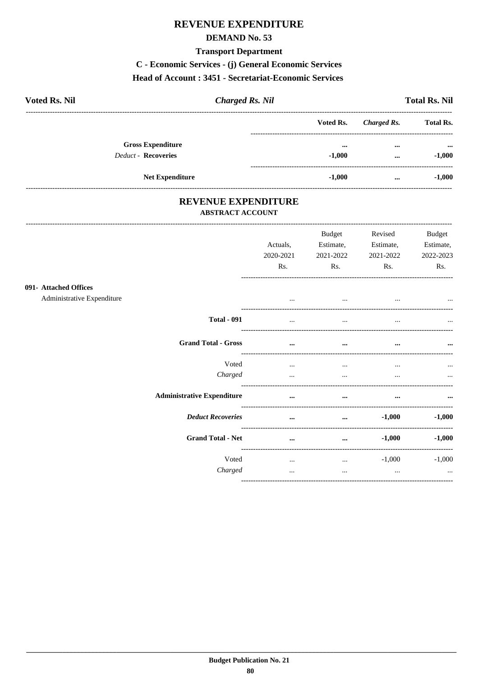## **REVENUE EXPENDITURE**

#### **DEMAND No. 53**

#### **Transport Department**

C - Economic Services - (j) General Economic Services

#### Head of Account: 3451 - Secretariat-Economic Services

| <b>Voted Rs. Nil</b> |                            | <b>Charged Rs. Nil</b> |           |             | <b>Total Rs. Nil</b>      |
|----------------------|----------------------------|------------------------|-----------|-------------|---------------------------|
|                      |                            |                        | Voted Rs. | Charged Rs. | <b>Total Rs.</b>          |
|                      | <b>Gross Expenditure</b>   |                        | $\cdots$  | $\cdots$    | $\bullet \bullet \bullet$ |
|                      | <b>Deduct - Recoveries</b> |                        | $-1,000$  | $\cdots$    | $-1,000$                  |
|                      | <b>Net Expenditure</b>     |                        | $-1.000$  | $\cdots$    | $-1,000$                  |

# REVENUE EXPENDITURE

#### **ABSTRACT ACCOUNT**

| 091- Attached Offices<br>Administrative Expenditure | Actuals,<br>2020-2021<br>Rs. | <b>Budget</b><br>Estimate,<br>2021-2022<br>Rs.<br>$\cdots$ | Revised<br>Estimate,<br>2021-2022<br>Rs. | <b>Budget</b><br>Estimate,<br>2022-2023<br>Rs. |
|-----------------------------------------------------|------------------------------|------------------------------------------------------------|------------------------------------------|------------------------------------------------|
| <b>Total - 091</b>                                  | $\cdots$<br>                 |                                                            |                                          | $\cdots$                                       |
|                                                     |                              |                                                            |                                          | $\cdots$                                       |
| <b>Grand Total - Gross</b>                          | $\cdots$                     | $\cdots$                                                   | $\cdots$                                 | $\cdots$                                       |
| Voted                                               | $\cdots$                     | $\cdots$                                                   | $\cdots$                                 | $\cdots$                                       |
| Charged                                             | $\cdots$                     | $\cdots$                                                   |                                          | $\cdots$                                       |
| <b>Administrative Expenditure</b>                   | $\cdots$                     | $\cdots$                                                   | $\cdots$                                 | $\cdots$                                       |
| <b>Deduct Recoveries</b>                            | $\cdots$                     | $\cdots$                                                   | $-1,000$                                 | $-1,000$                                       |
| <b>Grand Total - Net</b>                            | $\cdots$                     | $\cdots$                                                   | $-1,000$                                 | $-1,000$                                       |
| Voted<br>Charged                                    | $\cdots$<br>$\cdots$         | $\cdots$<br>$\cdots$                                       | $-1,000$<br>$\cdots$                     | $-1,000$<br>$\cdots$                           |
|                                                     |                              |                                                            |                                          |                                                |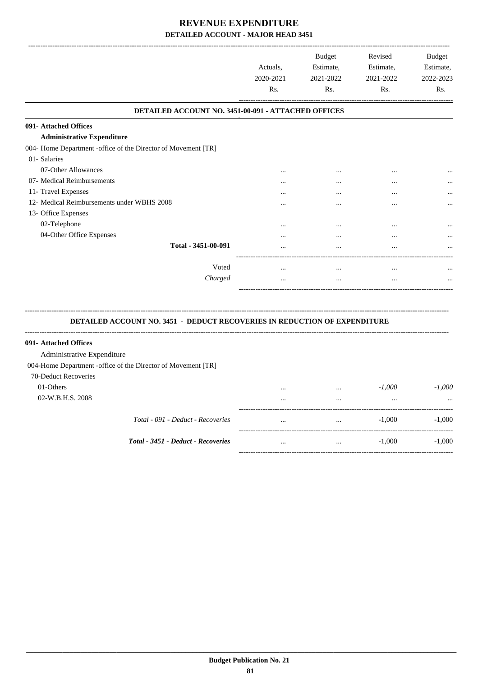|                                                               | Actuals,<br>2020-2021<br>Rs. | <b>Budget</b><br>Estimate,<br>2021-2022<br>Rs. | Revised<br>Estimate,<br>2021-2022<br>Rs. | <b>Budget</b><br>Estimate,<br>2022-2023<br>Rs. |
|---------------------------------------------------------------|------------------------------|------------------------------------------------|------------------------------------------|------------------------------------------------|
| DETAILED ACCOUNT NO. 3451-00-091 - ATTACHED OFFICES           |                              |                                                |                                          |                                                |
| 091- Attached Offices                                         |                              |                                                |                                          |                                                |
| <b>Administrative Expenditure</b>                             |                              |                                                |                                          |                                                |
| 004- Home Department -office of the Director of Movement [TR] |                              |                                                |                                          |                                                |
| 01- Salaries                                                  |                              |                                                |                                          |                                                |
| 07-Other Allowances                                           | $\cdots$                     | $\cdots$                                       | $\cdots$                                 | $\cdots$                                       |
| 07- Medical Reimbursements                                    |                              |                                                | $\cdots$                                 |                                                |
| 11- Travel Expenses                                           |                              |                                                | $\cdots$                                 |                                                |
| 12- Medical Reimbursements under WBHS 2008                    |                              |                                                | $\cdots$                                 | $\cdots$                                       |
| 13- Office Expenses                                           |                              |                                                |                                          |                                                |
| 02-Telephone                                                  |                              |                                                | $\cdots$                                 |                                                |
| 04-Other Office Expenses                                      |                              |                                                | $\cdots$                                 | $\cdots$                                       |
| Total - 3451-00-091                                           |                              |                                                |                                          |                                                |
| Voted                                                         |                              |                                                |                                          |                                                |
| Charged                                                       | $\cdots$<br>                 | $\cdots$<br>                                   | $\cdots$<br>                             | <br>                                           |

#### **DETAILED ACCOUNT NO. 3451 - DEDUCT RECOVERIES IN REDUCTION OF EXPENDITURE**

**--------------------------------------------------------------------------------------------------------------------------------------------------------------------------------**

| 091- Attached Offices                                        |          |          |          |          |
|--------------------------------------------------------------|----------|----------|----------|----------|
| Administrative Expenditure                                   |          |          |          |          |
| 004-Home Department -office of the Director of Movement [TR] |          |          |          |          |
| 70-Deduct Recoveries                                         |          |          |          |          |
| 01-Others                                                    | $\cdots$ | $\cdots$ | $-1,000$ | $-1.000$ |
| 02-W.B.H.S. 2008                                             |          |          |          | $\cdots$ |
| Total - 091 - Deduct - Recoveries                            | $\cdots$ | $\cdots$ | $-1,000$ | $-1.000$ |
| Total - 3451 - Deduct - Recoveries                           | $\cdots$ |          | $-1.000$ | $-1.000$ |
|                                                              |          |          |          |          |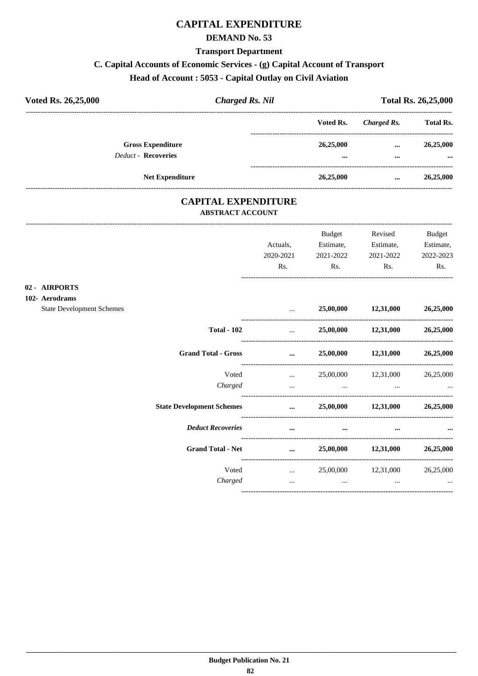## **CAPITAL EXPENDITURE**

#### **DEMAND No. 53**

#### **Transport Department**

## C. Capital Accounts of Economic Services - (g) Capital Account of Transport

## Head of Account: 5053 - Capital Outlay on Civil Aviation

| Voted Rs. 26,25,000 |                                                        | <b>Charged Rs. Nil</b> |                                      |                      | <b>Total Rs. 26,25,000</b> |  |  |
|---------------------|--------------------------------------------------------|------------------------|--------------------------------------|----------------------|----------------------------|--|--|
|                     |                                                        | Voted Rs.              | Charged Rs.                          | <b>Total Rs.</b>     |                            |  |  |
|                     | <b>Gross Expenditure</b><br><b>Deduct - Recoveries</b> |                        | 26,25,000<br>$\bullet\bullet\bullet$ | $\cdots$<br>$\cdots$ | 26,25,000<br>$\cdots$      |  |  |
|                     | <b>Net Expenditure</b>                                 |                        | 26,25,000                            |                      | 26,25,000                  |  |  |

#### **CAPITAL EXPENDITURE ABSTRACT ACCOUNT**

 $02$ 

|                                                | Actuals,<br>2020-2021      | Budget<br>Estimate,<br>2021-2022 | Revised<br>Estimate,<br>2021-2022   | <b>Budget</b><br>Estimate,<br>2022-2023 |
|------------------------------------------------|----------------------------|----------------------------------|-------------------------------------|-----------------------------------------|
|                                                | Rs.                        | Rs.                              | Rs.                                 | Rs.                                     |
| 02 - AIRPORTS<br>102- Aerodrams                |                            |                                  |                                     |                                         |
| <b>State Development Schemes</b>               | $\mathbf{r}$               |                                  | 25,00,000 12,31,000                 | 26,25,000                               |
| <b>Total - 102</b>                             | and the state of the state |                                  | 25,00,000 12,31,000                 | 26,25,000                               |
| <b>Grand Total - Gross</b>                     |                            |                                  | $25,00,000$ $12,31,000$ $26,25,000$ |                                         |
| Voted                                          |                            |                                  | $25,00,000$ $12,31,000$ $26,25,000$ |                                         |
| Charged                                        | $\ddots$                   | $\cdots$                         | $\cdots$                            |                                         |
| State Development Schemes  25,00,000 12,31,000 |                            |                                  |                                     | 26,25,000                               |
| <b>Deduct Recoveries</b>                       | $\cdots$                   | $\cdots$                         | $\cdots$                            |                                         |
| <b>Grand Total - Net</b>                       | $\cdots$                   |                                  | 25,00,000 12,31,000                 | 26,25,000                               |
| Voted                                          |                            |                                  | $25,00,000$ $12,31,000$ $26,25,000$ |                                         |
| Charged                                        | $\cdots$                   | $\cdots$                         | $\cdots$                            | $\cdots$                                |
|                                                |                            |                                  |                                     |                                         |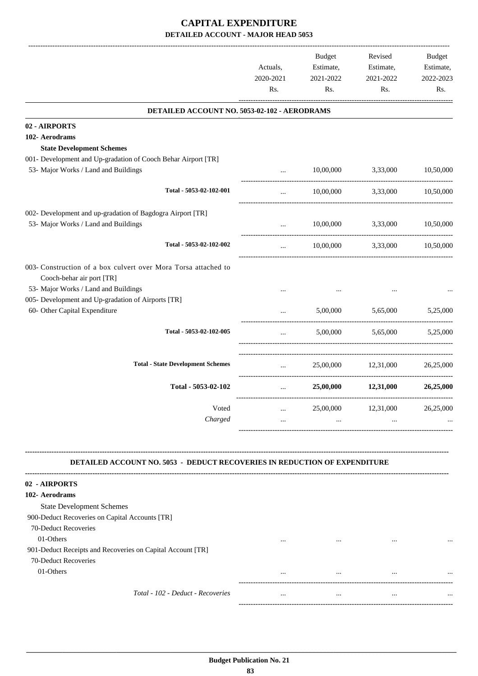|                                                                                                   | Actuals,<br>2020-2021<br>Rs. | <b>Budget</b><br>Estimate,<br>2021-2022<br>Rs. | Revised<br>Estimate,<br>2021-2022<br>Rs. | Budget<br>Estimate,<br>2022-2023<br>Rs. |
|---------------------------------------------------------------------------------------------------|------------------------------|------------------------------------------------|------------------------------------------|-----------------------------------------|
| DETAILED ACCOUNT NO. 5053-02-102 - AERODRAMS                                                      |                              |                                                |                                          |                                         |
| 02 - AIRPORTS                                                                                     |                              |                                                |                                          |                                         |
| 102- Aerodrams                                                                                    |                              |                                                |                                          |                                         |
| <b>State Development Schemes</b><br>001- Development and Up-gradation of Cooch Behar Airport [TR] |                              |                                                |                                          |                                         |
| 53- Major Works / Land and Buildings                                                              | $\cdots$                     |                                                | 10,00,000 3,33,000                       | 10,50,000                               |
| Total - 5053-02-102-001                                                                           | $\cdots$                     |                                                | 10,00,000 3,33,000 10,50,000             |                                         |
| 002- Development and up-gradation of Bagdogra Airport [TR]                                        |                              |                                                |                                          |                                         |
| 53- Major Works / Land and Buildings                                                              | $\cdots$                     | 10,00,000                                      | 3,33,000                                 | 10,50,000                               |
| Total - 5053-02-102-002                                                                           | $\cdots$                     | 10,00,000                                      | 3,33,000 10,50,000                       |                                         |
| 003- Construction of a box culvert over Mora Torsa attached to<br>Cooch-behar air port [TR]       |                              |                                                |                                          |                                         |
| 53- Major Works / Land and Buildings                                                              |                              |                                                |                                          |                                         |
| 005- Development and Up-gradation of Airports [TR]<br>60- Other Capital Expenditure               |                              | 5,00,000                                       | 5,65,000                                 | 5,25,000                                |
| Total - 5053-02-102-005                                                                           | $\cdots$                     |                                                | 5,00,000 5,65,000 5,25,000               |                                         |
| <b>Total - State Development Schemes</b>                                                          | $\cdots$                     |                                                | 25,00,000 12,31,000 26,25,000            |                                         |
| Total - 5053-02-102                                                                               | $\cdots$                     |                                                | 25,00,000 12,31,000 26,25,000            |                                         |
| Voted<br>Charged                                                                                  |                              | 25,00,000                                      | 12,31,000                                | 26,25,000                               |
|                                                                                                   |                              | $\cdots$                                       |                                          |                                         |
| DETAILED ACCOUNT NO. 5053 - DEDUCT RECOVERIES IN REDUCTION OF EXPENDITURE                         |                              |                                                |                                          |                                         |
| 02 - AIRPORTS                                                                                     |                              |                                                |                                          |                                         |
| 102- Aerodrams                                                                                    |                              |                                                |                                          |                                         |
| <b>State Development Schemes</b>                                                                  |                              |                                                |                                          |                                         |
| 900-Deduct Recoveries on Capital Accounts [TR]<br>70-Deduct Recoveries                            |                              |                                                |                                          |                                         |
| 01-Others<br>901-Deduct Receipts and Recoveries on Capital Account [TR]                           |                              |                                                |                                          |                                         |
| 70-Deduct Recoveries                                                                              |                              |                                                |                                          |                                         |
| 01-Others                                                                                         |                              | $\cdots$                                       |                                          |                                         |
| Total - 102 - Deduct - Recoveries                                                                 |                              |                                                |                                          |                                         |
|                                                                                                   |                              |                                                |                                          |                                         |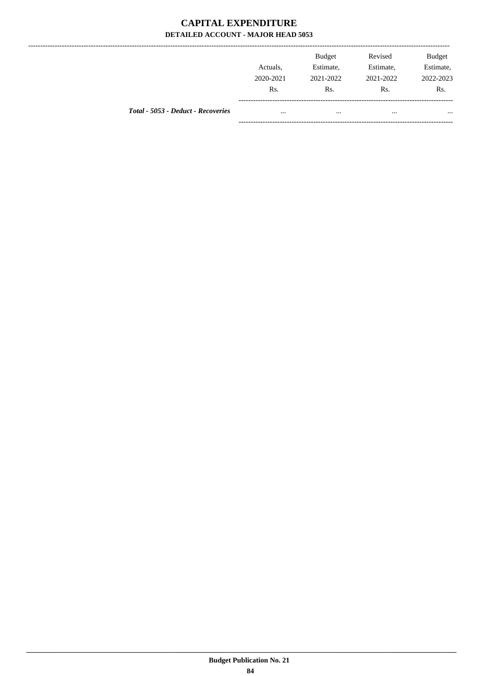--------------

|                                    | Actuals,<br>2020-2021<br>Rs. | <b>Budget</b><br>Estimate,<br>2021-2022<br>Rs. | Revised<br>Estimate,<br>2021-2022<br>Rs. | <b>Budget</b><br>Estimate,<br>2022-2023<br>Rs. |
|------------------------------------|------------------------------|------------------------------------------------|------------------------------------------|------------------------------------------------|
| Total - 5053 - Deduct - Recoveries | $\cdots$                     | $\cdots$                                       |                                          | $\cdots$                                       |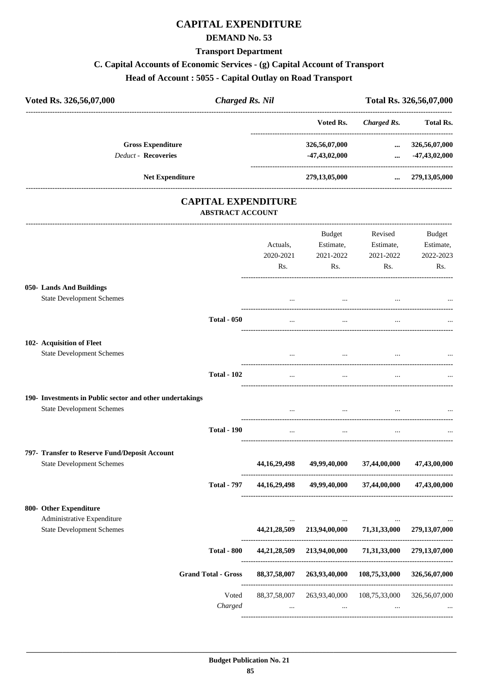## **CAPITAL EXPENDITURE**

#### **DEMAND No. 53**

#### **Transport Department**

#### **C. Capital Accounts of Economic Services - (g) Capital Account of Transport**

## **Head of Account : 5055 - Capital Outlay on Road Transport**

| Voted Rs. 326,56,07,000                                                                      | <b>Charged Rs. Nil</b>  |                              |                                         |                                          | Total Rs. 326,56,07,000                 |
|----------------------------------------------------------------------------------------------|-------------------------|------------------------------|-----------------------------------------|------------------------------------------|-----------------------------------------|
|                                                                                              |                         |                              | Voted Rs.                               | Charged Rs.                              | Total Rs.                               |
| <b>Gross Expenditure</b><br><b>Deduct - Recoveries</b>                                       |                         |                              | 326,56,07,000<br>$-47,43,02,000$        | $\cdots$<br>$\cdots$                     | 326,56,07,000<br>-47,43,02,000          |
|                                                                                              |                         |                              |                                         |                                          |                                         |
| Net Expenditure                                                                              |                         |                              | 279,13,05,000                           |                                          | $\ldots$ 279,13,05,000                  |
|                                                                                              | <b>ABSTRACT ACCOUNT</b> | <b>CAPITAL EXPENDITURE</b>   |                                         |                                          |                                         |
|                                                                                              |                         | Actuals,<br>2020-2021<br>Rs. | Budget<br>Estimate,<br>2021-2022<br>Rs. | Revised<br>Estimate,<br>2021-2022<br>Rs. | Budget<br>Estimate,<br>2022-2023<br>Rs. |
| 050- Lands And Buildings<br><b>State Development Schemes</b>                                 |                         | $\cdots$                     | $\cdots$                                | $\cdots$                                 |                                         |
|                                                                                              | <b>Total - 050</b>      | $\cdots$                     | $\cdots$                                | $\cdots$                                 |                                         |
| 102- Acquisition of Fleet<br><b>State Development Schemes</b>                                |                         |                              |                                         |                                          |                                         |
|                                                                                              | <b>Total - 102</b>      | $\ldots$                     | $\ddotsc$                               | $\cdots$                                 |                                         |
| 190- Investments in Public sector and other undertakings<br><b>State Development Schemes</b> |                         |                              |                                         |                                          |                                         |
|                                                                                              | <b>Total - 190</b>      | $\cdots$                     | $\cdots$                                | $\cdots$                                 |                                         |
| 797- Transfer to Reserve Fund/Deposit Account<br><b>State Development Schemes</b>            |                         | 44, 16, 29, 498              | 49,99,40,000                            | 37,44,00,000                             | 47,43,00,000                            |
|                                                                                              | <b>Total - 797</b>      |                              | 44,16,29,498 49,99,40,000 37,44,00,000  |                                          | 47,43,00,000                            |
| 800- Other Expenditure                                                                       |                         |                              |                                         |                                          |                                         |
| Administrative Expenditure                                                                   |                         |                              |                                         |                                          |                                         |

|                            | $\cdots$<br>44,21,28,509    | $\cdots$<br>213,94,00,000 | $\cdots$<br>71,31,33,000 | $\cdots$<br>279, 13, 07, 000 |
|----------------------------|-----------------------------|---------------------------|--------------------------|------------------------------|
| <b>Total - 800</b>         | 44,21,28,509                | 213,94,00,000             | 71,31,33,000             | 279, 13, 07, 000             |
| <b>Grand Total - Gross</b> | 88, 37, 58, 007             | 263,93,40,000             | 108,75,33,000            | 326,56,07,000                |
| Voted<br>Charged           | 88, 37, 58, 007<br>$\cdots$ | 263,93,40,000<br>$\cdots$ | 108,75,33,000<br>        | 326,56,07,000<br>$\cdots$    |
|                            |                             |                           |                          |                              |

 **\_\_\_\_\_\_\_\_\_\_\_\_\_\_\_\_\_\_\_\_\_\_\_\_\_\_\_\_\_\_\_\_\_\_\_\_\_\_\_\_\_\_\_\_\_\_\_\_\_\_\_\_\_\_\_\_\_\_\_\_\_\_\_\_\_\_\_\_\_\_\_\_\_\_\_\_\_\_\_\_\_\_\_\_\_\_\_\_\_\_\_\_\_\_\_\_\_\_\_\_\_\_\_\_\_\_\_\_\_\_\_\_\_\_\_\_\_\_\_**

**State Development Schemes**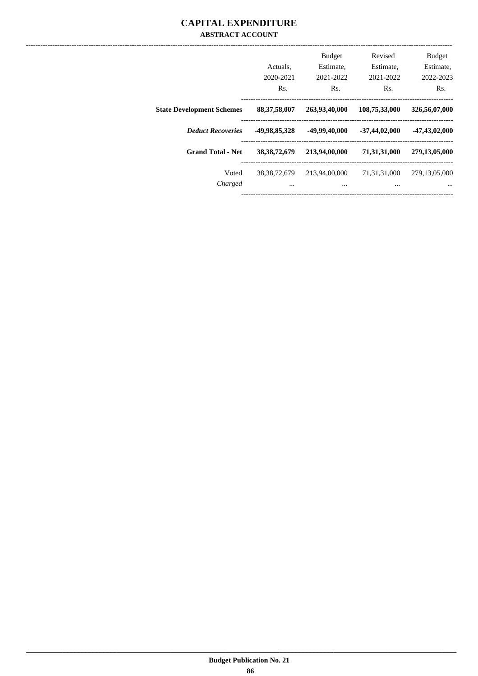#### **CAPITAL EXPENDITURE ABSTRACT ACCOUNT**

|                                  |                  | Budget        | Revised         | <b>Budget</b>    |
|----------------------------------|------------------|---------------|-----------------|------------------|
|                                  | Actuals.         | Estimate,     | Estimate,       | Estimate,        |
|                                  | 2020-2021        | 2021-2022     | 2021-2022       | 2022-2023        |
|                                  | R <sub>s</sub> . | Rs.           | Rs.             | Rs.              |
| <b>State Development Schemes</b> | 88, 37, 58, 007  | 263,93,40,000 | 108,75,33,000   | 326,56,07,000    |
| <b>Deduct Recoveries</b>         | -49,98,85,328    | -49,99,40,000 | $-37,44,02,000$ | $-47,43,02,000$  |
| <b>Grand Total - Net</b>         | 38, 38, 72, 679  | 213,94,00,000 | 71,31,31,000    | 279,13,05,000    |
| Voted                            | 38, 38, 72, 679  | 213,94,00,000 | 71,31,31,000    | 279, 13, 05, 000 |
| Charged                          | $\cdots$         | $\cdots$      | $\cdots$        | $\cdots$         |
|                                  |                  |               |                 |                  |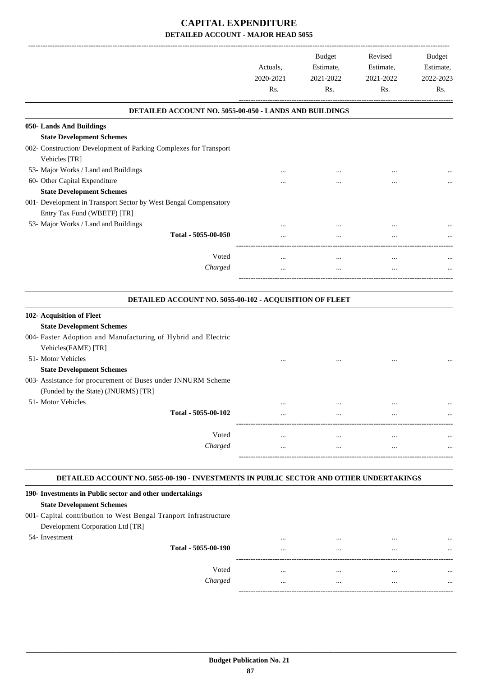|                                                                                                     | Actuals,<br>2020-2021<br>Rs. | Budget<br>Estimate,<br>2021-2022<br>Rs. | Revised<br>Estimate,<br>2021-2022<br>Rs. | Budget<br>Estimate,<br>2022-2023<br>Rs. |
|-----------------------------------------------------------------------------------------------------|------------------------------|-----------------------------------------|------------------------------------------|-----------------------------------------|
| DETAILED ACCOUNT NO. 5055-00-050 - LANDS AND BUILDINGS                                              |                              |                                         |                                          |                                         |
| 050- Lands And Buildings                                                                            |                              |                                         |                                          |                                         |
| <b>State Development Schemes</b>                                                                    |                              |                                         |                                          |                                         |
| 002- Construction/ Development of Parking Complexes for Transport<br>Vehicles [TR]                  |                              |                                         |                                          |                                         |
| 53- Major Works / Land and Buildings                                                                |                              |                                         |                                          |                                         |
| 60- Other Capital Expenditure                                                                       |                              |                                         |                                          |                                         |
| <b>State Development Schemes</b>                                                                    |                              |                                         |                                          |                                         |
| 001- Development in Transport Sector by West Bengal Compensatory<br>Entry Tax Fund (WBETF) [TR]     |                              |                                         |                                          |                                         |
| 53- Major Works / Land and Buildings                                                                |                              |                                         |                                          |                                         |
| Total - 5055-00-050                                                                                 |                              |                                         |                                          |                                         |
| Voted                                                                                               |                              | $\cdots$                                | $\cdots$                                 |                                         |
| Charged                                                                                             |                              | $\cdots$                                |                                          |                                         |
| DETAILED ACCOUNT NO. 5055-00-102 - ACQUISITION OF FLEET                                             |                              |                                         |                                          |                                         |
| 102- Acquisition of Fleet                                                                           |                              |                                         |                                          |                                         |
| <b>State Development Schemes</b>                                                                    |                              |                                         |                                          |                                         |
| 004- Faster Adoption and Manufacturing of Hybrid and Electric<br>Vehicles(FAME) [TR]                |                              |                                         |                                          |                                         |
| 51- Motor Vehicles                                                                                  |                              |                                         |                                          |                                         |
| <b>State Development Schemes</b>                                                                    |                              |                                         |                                          |                                         |
| 003- Assistance for procurement of Buses under JNNURM Scheme<br>(Funded by the State) (JNURMS) [TR] |                              |                                         |                                          |                                         |
| 51- Motor Vehicles                                                                                  |                              |                                         |                                          |                                         |
| Total - 5055-00-102                                                                                 | $\cdots$                     | $\cdots$<br>----------------            |                                          |                                         |
| Voted                                                                                               | $\cdots$                     | $\cdots$                                | $\ddotsc$                                |                                         |
| Charged                                                                                             | $\cdots$                     | $\cdots$                                | $\cdots$                                 |                                         |
|                                                                                                     |                              |                                         |                                          |                                         |
| DETAILED ACCOUNT NO. 5055-00-190 - INVESTMENTS IN PUBLIC SECTOR AND OTHER UNDERTAKINGS              |                              |                                         |                                          |                                         |
| 190- Investments in Public sector and other undertakings                                            |                              |                                         |                                          |                                         |
| <b>State Development Schemes</b>                                                                    |                              |                                         |                                          |                                         |
| 001- Capital contribution to West Bengal Tranport Infrastructure                                    |                              |                                         |                                          |                                         |
| Development Corporation Ltd [TR]                                                                    |                              |                                         |                                          |                                         |
| 54- Investment<br>Total - 5055-00-190                                                               | $\cdots$                     | $\cdots$                                | $\cdots$                                 |                                         |
|                                                                                                     |                              |                                         |                                          |                                         |

Voted ... ... ... ... *Charged* ... ... ... ...

-----------------------------------------------------------------------------------------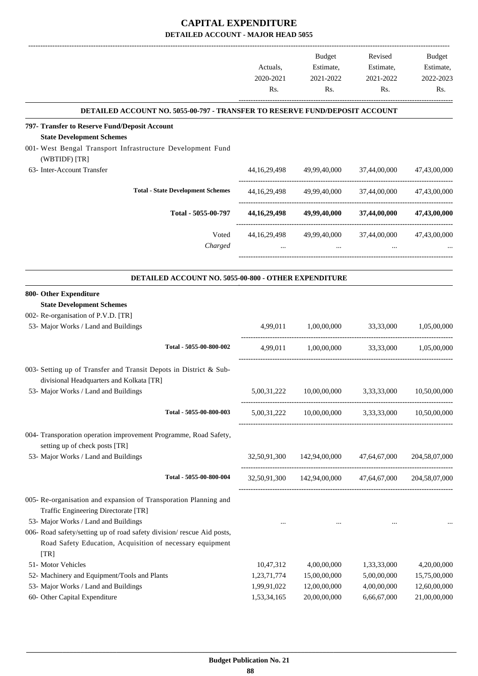|                                                                                    |                  | Budget                                                | Revised                    | <b>Budget</b>    |
|------------------------------------------------------------------------------------|------------------|-------------------------------------------------------|----------------------------|------------------|
|                                                                                    | Actuals,         | Estimate,                                             | Estimate,                  | Estimate,        |
|                                                                                    | 2020-2021<br>Rs. | 2021-2022<br>Rs.                                      | 2021-2022<br>Rs.           | 2022-2023<br>Rs. |
|                                                                                    |                  |                                                       |                            |                  |
| <b>DETAILED ACCOUNT NO. 5055-00-797 - TRANSFER TO RESERVE FUND/DEPOSIT ACCOUNT</b> |                  |                                                       |                            |                  |
| 797- Transfer to Reserve Fund/Deposit Account<br><b>State Development Schemes</b>  |                  |                                                       |                            |                  |
| 001- West Bengal Transport Infrastructure Development Fund                         |                  |                                                       |                            |                  |
| (WBTIDF) [TR]<br>63- Inter-Account Transfer                                        | 44, 16, 29, 498  | 49,99,40,000                                          | 37,44,00,000               | 47,43,00,000     |
| <b>Total - State Development Schemes</b>                                           | 44, 16, 29, 498  | 49,99,40,000                                          | 37,44,00,000               | 47,43,00,000     |
| Total - 5055-00-797                                                                | 44, 16, 29, 498  | 49,99,40,000                                          | 37,44,00,000               | 47,43,00,000     |
| Voted                                                                              | 44, 16, 29, 498  | 49,99,40,000                                          | 37,44,00,000               | 47,43,00,000     |
| Charged                                                                            |                  |                                                       |                            |                  |
| DETAILED ACCOUNT NO. 5055-00-800 - OTHER EXPENDITURE                               |                  |                                                       |                            |                  |
| 800- Other Expenditure                                                             |                  |                                                       |                            |                  |
| <b>State Development Schemes</b>                                                   |                  |                                                       |                            |                  |
| 002- Re-organisation of P.V.D. [TR]                                                |                  |                                                       |                            |                  |
| 53- Major Works / Land and Buildings                                               | 4,99,011         | 1,00,00,000                                           | 33,33,000                  | 1,05,00,000      |
| Total - 5055-00-800-002                                                            | 4,99,011         | 1,00,00,000                                           | 33,33,000                  | 1,05,00,000      |
| 003- Setting up of Transfer and Transit Depots in District & Sub-                  |                  |                                                       |                            |                  |
| divisional Headquarters and Kolkata [TR]                                           |                  |                                                       |                            |                  |
| 53- Major Works / Land and Buildings                                               | 5,00,31,222      | 10,00,00,000                                          | 3,33,33,000                | 10,50,00,000     |
| Total - 5055-00-800-003                                                            | 5,00,31,222      | 10,00,00,000                                          | 3,33,33,000                | 10.50.00.000     |
| 004- Transporation operation improvement Programme, Road Safety,                   |                  |                                                       |                            |                  |
| setting up of check posts [TR]                                                     |                  |                                                       |                            |                  |
| 53- Major Works / Land and Buildings                                               | 32,50,91,300     |                                                       | 142,94,00,000 47,64,67,000 | 204,58,07,000    |
| Total - 5055-00-800-004                                                            |                  | 32,50,91,300 142,94,00,000 47,64,67,000 204,58,07,000 |                            |                  |
| 005- Re-organisation and expansion of Transporation Planning and                   |                  |                                                       |                            |                  |
| Traffic Engineering Directorate [TR]                                               |                  |                                                       |                            |                  |
| 53- Major Works / Land and Buildings                                               | $\cdots$         | $\sim 10^{-11}$                                       | $\cdots$                   |                  |
| 006- Road safety/setting up of road safety division/rescue Aid posts,              |                  |                                                       |                            |                  |
| Road Safety Education, Acquisition of necessary equipment<br>[TR]                  |                  |                                                       |                            |                  |
| 51- Motor Vehicles                                                                 | 10,47,312        | 4,00,00,000                                           | 1,33,33,000                | 4,20,00,000      |
| 52- Machinery and Equipment/Tools and Plants                                       | 1,23,71,774      | 15,00,00,000                                          | 5,00,00,000                | 15,75,00,000     |
| 53- Major Works / Land and Buildings                                               | 1,99,91,022      | 12,00,00,000                                          | 4,00,00,000                | 12,60,00,000     |
| 60- Other Capital Expenditure                                                      | 1,53,34,165      | 20,00,00,000                                          | 6,66,67,000                | 21,00,00,000     |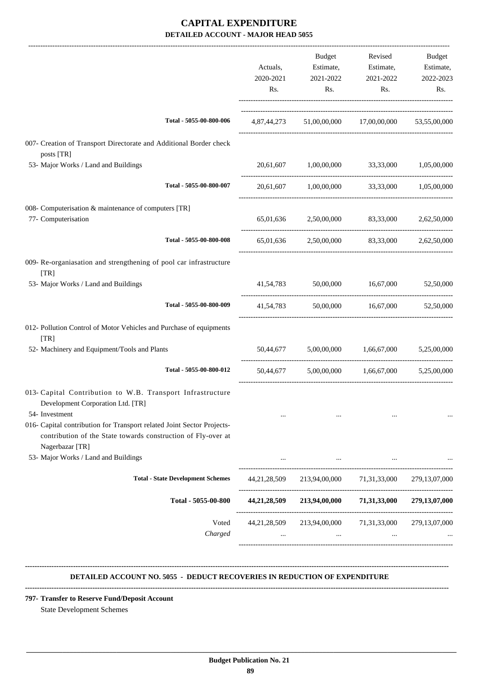|                                                                                                                                                            | Actuals,<br>2020-2021<br>Rs. | <b>Budget</b><br>Estimate,<br>2021-2022<br>Rs.     | Revised<br>Estimate,<br>2021-2022<br>Rs. | Budget<br>Estimate,<br>2022-2023<br>Rs. |
|------------------------------------------------------------------------------------------------------------------------------------------------------------|------------------------------|----------------------------------------------------|------------------------------------------|-----------------------------------------|
| Total - 5055-00-800-006                                                                                                                                    |                              | 4,87,44,273 51,00,00,000 17,00,00,000 53,55,00,000 |                                          |                                         |
| 007- Creation of Transport Directorate and Additional Border check<br>posts [TR]                                                                           |                              |                                                    |                                          |                                         |
| 53- Major Works / Land and Buildings                                                                                                                       | 20,61,607                    | 1,00,00,000                                        | 33,33,000 1,05,00,000                    |                                         |
| Total - 5055-00-800-007                                                                                                                                    | 20,61,607                    | 1,00,00,000                                        |                                          | 33,33,000 1,05,00,000                   |
| 008- Computerisation & maintenance of computers [TR]                                                                                                       |                              |                                                    |                                          |                                         |
| 77- Computerisation                                                                                                                                        |                              | 65,01,636 2,50,00,000 83,33,000                    |                                          | 2,62,50,000                             |
| Total - 5055-00-800-008                                                                                                                                    |                              | 65,01,636 2,50,00,000 83,33,000                    |                                          | 2,62,50,000                             |
| 009- Re-organiasation and strengthening of pool car infrastructure<br>[TR]                                                                                 |                              |                                                    |                                          |                                         |
| 53- Major Works / Land and Buildings                                                                                                                       |                              | 41,54,783 50,00,000 16,67,000                      |                                          | 52,50,000                               |
| Total - 5055-00-800-009                                                                                                                                    | 41,54,783                    |                                                    | 50,00,000 16,67,000                      | 52,50,000                               |
| 012- Pollution Control of Motor Vehicles and Purchase of equipments<br>$\lceil TR \rceil$                                                                  |                              |                                                    |                                          |                                         |
| 52- Machinery and Equipment/Tools and Plants                                                                                                               |                              | 50,44,677 5,00,00,000 1,66,67,000                  |                                          | 5,25,00,000                             |
| Total - 5055-00-800-012                                                                                                                                    | 50,44,677                    |                                                    | 5,00,00,000 1,66,67,000                  | 5,25,00,000                             |
| 013- Capital Contribution to W.B. Transport Infrastructure<br>Development Corporation Ltd. [TR]                                                            |                              |                                                    |                                          |                                         |
| 54- Investment                                                                                                                                             |                              |                                                    | $\cdots$                                 |                                         |
| 016- Capital contribution for Transport related Joint Sector Projects-<br>contribution of the State towards construction of Fly-over at<br>Nagerbazar [TR] |                              |                                                    |                                          |                                         |
| 53- Major Works / Land and Buildings                                                                                                                       |                              |                                                    |                                          |                                         |
| <b>Total - State Development Schemes</b>                                                                                                                   | 44,21,28,509                 |                                                    | 213,94,00,000 71,31,33,000               | 279, 13, 07, 000                        |
| Total - 5055-00-800                                                                                                                                        | 44,21,28,509                 |                                                    | 213,94,00,000 71,31,33,000               | 279,13,07,000                           |
| Voted                                                                                                                                                      | 44,21,28,509                 |                                                    | 213,94,00,000 71,31,33,000               | 279, 13, 07, 000                        |
| Charged                                                                                                                                                    |                              | and the                                            | $\cdots$                                 |                                         |

#### **DETAILED ACCOUNT NO. 5055 - DEDUCT RECOVERIES IN REDUCTION OF EXPENDITURE**

 **\_\_\_\_\_\_\_\_\_\_\_\_\_\_\_\_\_\_\_\_\_\_\_\_\_\_\_\_\_\_\_\_\_\_\_\_\_\_\_\_\_\_\_\_\_\_\_\_\_\_\_\_\_\_\_\_\_\_\_\_\_\_\_\_\_\_\_\_\_\_\_\_\_\_\_\_\_\_\_\_\_\_\_\_\_\_\_\_\_\_\_\_\_\_\_\_\_\_\_\_\_\_\_\_\_\_\_\_\_\_\_\_\_\_\_\_\_\_\_**

**--------------------------------------------------------------------------------------------------------------------------------------------------------------------------------**

**--------------------------------------------------------------------------------------------------------------------------------------------------------------------------------**

#### **797- Transfer to Reserve Fund/Deposit Account**

State Development Schemes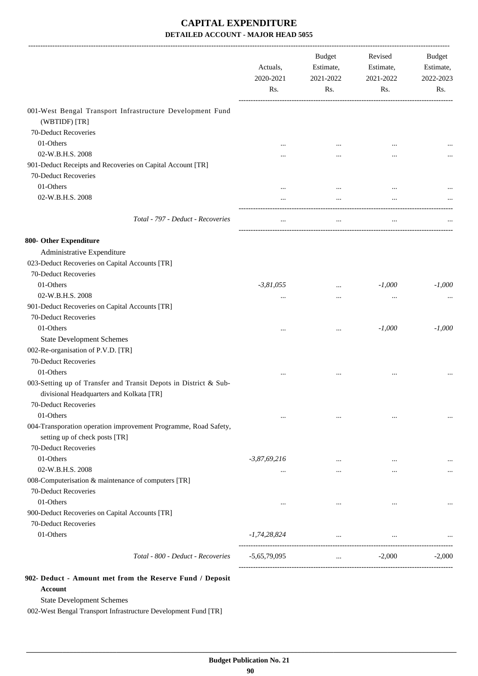|                                                                                                              | Actuals,<br>2020-2021<br>Rs. | <b>Budget</b><br>Estimate,<br>2021-2022<br>Rs. | Revised<br>Estimate,<br>2021-2022<br>Rs. | Budget<br>Estimate,<br>2022-2023<br>Rs. |
|--------------------------------------------------------------------------------------------------------------|------------------------------|------------------------------------------------|------------------------------------------|-----------------------------------------|
| 001-West Bengal Transport Infrastructure Development Fund<br>(WBTIDF) [TR]                                   |                              |                                                |                                          |                                         |
| 70-Deduct Recoveries                                                                                         |                              |                                                |                                          |                                         |
| 01-Others                                                                                                    |                              | $\cdots$                                       |                                          |                                         |
| 02-W.B.H.S. 2008                                                                                             |                              |                                                |                                          |                                         |
| 901-Deduct Receipts and Recoveries on Capital Account [TR]<br>70-Deduct Recoveries                           |                              |                                                |                                          |                                         |
| 01-Others                                                                                                    |                              | $\ddotsc$                                      | $\ddotsc$                                |                                         |
| 02-W.B.H.S. 2008                                                                                             |                              | $\cdots$                                       |                                          |                                         |
| Total - 797 - Deduct - Recoveries                                                                            | $\cdots$                     | $\cdots$                                       | $\cdots$                                 |                                         |
| 800- Other Expenditure                                                                                       |                              |                                                |                                          |                                         |
| Administrative Expenditure                                                                                   |                              |                                                |                                          |                                         |
| 023-Deduct Recoveries on Capital Accounts [TR]                                                               |                              |                                                |                                          |                                         |
| 70-Deduct Recoveries                                                                                         |                              |                                                |                                          |                                         |
| 01-Others                                                                                                    | $-3,81,055$                  | $\cdots$                                       | $-1,000$                                 | $-1,000$                                |
| 02-W.B.H.S. 2008                                                                                             | $\cdots$                     | $\cdots$                                       | $\ddotsc$                                |                                         |
| 901-Deduct Recoveries on Capital Accounts [TR]                                                               |                              |                                                |                                          |                                         |
| 70-Deduct Recoveries                                                                                         |                              |                                                |                                          |                                         |
| 01-Others                                                                                                    |                              | $\cdots$                                       | $-1,000$                                 | $-1,000$                                |
| <b>State Development Schemes</b>                                                                             |                              |                                                |                                          |                                         |
| 002-Re-organisation of P.V.D. [TR]                                                                           |                              |                                                |                                          |                                         |
| 70-Deduct Recoveries                                                                                         |                              |                                                |                                          |                                         |
| 01-Others                                                                                                    |                              | $\cdots$                                       | $\cdots$                                 |                                         |
| 003-Setting up of Transfer and Transit Depots in District & Sub-<br>divisional Headquarters and Kolkata [TR] |                              |                                                |                                          |                                         |
| 70-Deduct Recoveries                                                                                         |                              |                                                |                                          |                                         |
| 01-Others                                                                                                    | $\cdots$                     | $\cdots$                                       | $\ddotsc$                                | $\cdots$                                |
| 004-Transporation operation improvement Programme, Road Safety,<br>setting up of check posts [TR]            |                              |                                                |                                          |                                         |
| 70-Deduct Recoveries                                                                                         |                              |                                                |                                          |                                         |
| 01-Others                                                                                                    | $-3,87,69,216$               | $\cdots$                                       | $\cdots$                                 |                                         |
| 02-W.B.H.S. 2008                                                                                             |                              | $\cdots$                                       | $\cdots$                                 | $\cdots$                                |
| 008-Computerisation & maintenance of computers [TR]                                                          |                              |                                                |                                          |                                         |
| 70-Deduct Recoveries                                                                                         |                              |                                                |                                          |                                         |
| 01-Others                                                                                                    | $\cdots$                     | $\cdots$                                       | $\cdots$                                 |                                         |
| 900-Deduct Recoveries on Capital Accounts [TR]                                                               |                              |                                                |                                          |                                         |
| 70-Deduct Recoveries                                                                                         |                              |                                                |                                          |                                         |
| 01-Others                                                                                                    | $-1,74,28,824$               | $\cdots$                                       | $\ldots$                                 |                                         |
| Total - 800 - Deduct - Recoveries                                                                            | $-5,65,79,095$               | $\cdots$                                       | $-2,000$                                 | $-2,000$                                |

**902- Deduct - Amount met from the Reserve Fund / Deposit Account**

State Development Schemes

002-West Bengal Transport Infrastructure Development Fund [TR]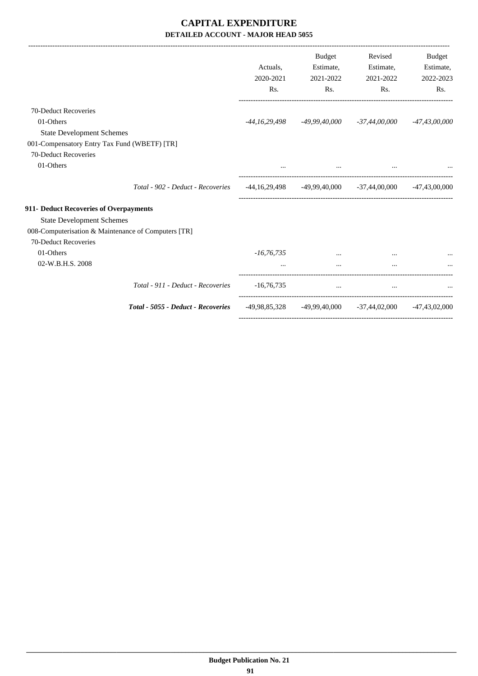|                                                     |                                    |               | Budget    | Revised                                                         | <b>Budget</b>   |
|-----------------------------------------------------|------------------------------------|---------------|-----------|-----------------------------------------------------------------|-----------------|
|                                                     |                                    | Actuals.      | Estimate, | Estimate,                                                       | Estimate,       |
|                                                     |                                    | 2020-2021     | 2021-2022 | 2021-2022                                                       | 2022-2023       |
|                                                     |                                    | Rs.           | Rs.       | Rs.                                                             | Rs.             |
| 70-Deduct Recoveries                                |                                    |               |           |                                                                 |                 |
| 01-Others                                           |                                    | -44,16,29,498 |           | -49,99,40,000 -37,44,00,000                                     | $-47,43,00,000$ |
| <b>State Development Schemes</b>                    |                                    |               |           |                                                                 |                 |
| 001-Compensatory Entry Tax Fund (WBETF) [TR]        |                                    |               |           |                                                                 |                 |
| 70-Deduct Recoveries                                |                                    |               |           |                                                                 |                 |
| 01-Others                                           |                                    |               | $\cdots$  |                                                                 |                 |
|                                                     | Total - 902 - Deduct - Recoveries  |               |           | $-44,16,29,498$ $-49,99,40,000$ $-37,44,00,000$ $-47,43,00,000$ |                 |
| 911- Deduct Recoveries of Overpayments              |                                    |               |           |                                                                 |                 |
| <b>State Development Schemes</b>                    |                                    |               |           |                                                                 |                 |
| 008-Computerisation & Maintenance of Computers [TR] |                                    |               |           |                                                                 |                 |
| 70-Deduct Recoveries                                |                                    |               |           |                                                                 |                 |
| 01-Others                                           |                                    | $-16,76,735$  |           |                                                                 |                 |
| 02-W.B.H.S. 2008                                    |                                    |               |           |                                                                 |                 |
|                                                     | Total - 911 - Deduct - Recoveries  | $-16,76,735$  |           | the company of the company of the<br>$\cdots$                   |                 |
|                                                     | Total - 5055 - Deduct - Recoveries |               |           | $-49.98.85.328$ $-49.99.40.000$ $-37.44.02.000$ $-47.43.02.000$ |                 |
|                                                     |                                    |               |           |                                                                 |                 |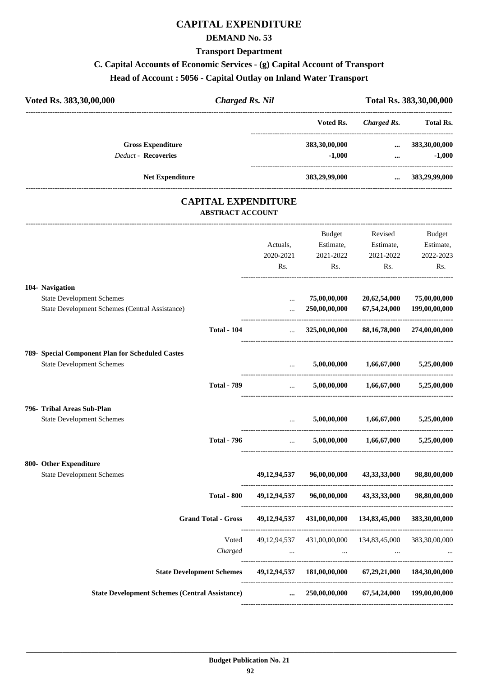## **CAPITAL EXPENDITURE**

#### **DEMAND No. 53**

#### **Transport Department**

## **C. Capital Accounts of Economic Services - (g) Capital Account of Transport**

## **Head of Account : 5056 - Capital Outlay on Inland Water Transport**

| Voted Rs. 383,30,00,000    | Charged Rs. Nil |               | Total Rs. 383, 30, 00, 000 |                  |  |
|----------------------------|-----------------|---------------|----------------------------|------------------|--|
|                            |                 | Voted Rs.     | Charged Rs.                | <b>Total Rs.</b> |  |
| <b>Gross Expenditure</b>   |                 | 383,30,00,000 | $\cdots$                   | 383,30,00,000    |  |
| <b>Deduct - Recoveries</b> |                 | $-1,000$      | $\cdots$                   | $-1.000$         |  |
| <b>Net Expenditure</b>     |                 | 383,29,99,000 | $\cdots$                   | 383,29,99,000    |  |

#### **CAPITAL EXPENDITURE ABSTRACT ACCOUNT**

---------------------------------------------------------------------------------------------------------------------------------------------------------------------------------

|                                                                                 |                                | <b>Budget</b>                            | Revised                                   | <b>Budget</b>              |
|---------------------------------------------------------------------------------|--------------------------------|------------------------------------------|-------------------------------------------|----------------------------|
|                                                                                 | Actuals,                       | Estimate,                                | Estimate,                                 | Estimate,                  |
|                                                                                 | 2020-2021                      | 2021-2022                                | 2021-2022                                 | 2022-2023                  |
|                                                                                 | Rs.                            | Rs.                                      | Rs.                                       | Rs.                        |
| 104- Navigation                                                                 |                                |                                          |                                           |                            |
| <b>State Development Schemes</b>                                                | $\cdots$                       | 75,00,00,000                             | 20,62,54,000                              | 75,00,00,000               |
| State Development Schemes (Central Assistance)                                  | $\ddotsc$                      | 250,00,00,000                            | 67,54,24,000                              | 199,00,00,000              |
| <b>Total - 104</b>                                                              | $\mathbf{1}$ , $\mathbf{1}$    | 325,00,00,000                            |                                           | 88,16,78,000 274,00,00,000 |
| 789- Special Component Plan for Scheduled Castes                                |                                |                                          |                                           |                            |
| <b>State Development Schemes</b>                                                | $\mathbf{r}$                   |                                          | $5,00,00,000$ $1,66,67,000$ $5,25,00,000$ |                            |
| <b>Total - 789</b>                                                              | $\mathbf{r}$                   |                                          | $5,00,00,000$ $1,66,67,000$               | 5,25,00,000                |
| 796- Tribal Areas Sub-Plan                                                      |                                |                                          |                                           |                            |
| <b>State Development Schemes</b>                                                | $\mathbf{1}$                   | 5,00,00,000                              | 1,66,67,000                               | 5,25,00,000                |
| <b>Total - 796</b>                                                              | $\mathbf{r}$                   | 5,00,00,000                              | 1,66,67,000                               | 5,25,00,000                |
| 800- Other Expenditure                                                          |                                |                                          |                                           |                            |
| <b>State Development Schemes</b>                                                | 49,12,94,537                   |                                          | 96,00,00,000 43,33,33,000                 | 98,80,00,000               |
| <b>Total - 800</b>                                                              | 49,12,94,537                   | 96,00,00,000                             | 43,33,33,000                              | 98,80,00,000               |
| <b>Grand Total - Gross</b>                                                      |                                | 49,12,94,537 431,00,00,000 134,83,45,000 |                                           | 383,30,00,000              |
| Voted                                                                           |                                | 49,12,94,537 431,00,00,000 134,83,45,000 |                                           | 383,30,00,000              |
| Charged                                                                         | <b>Contract Contract State</b> | $\sim$ $\sim$ $\sim$                     |                                           |                            |
| State Development Schemes 49,12,94,537 181,00,00,000 67,29,21,000 184,30,00,000 |                                |                                          |                                           |                            |
| <b>State Development Schemes (Central Assistance)</b>                           | $\cdots$                       |                                          | 250,00,00,000 67,54,24,000 199,00,00,000  |                            |
|                                                                                 |                                |                                          |                                           |                            |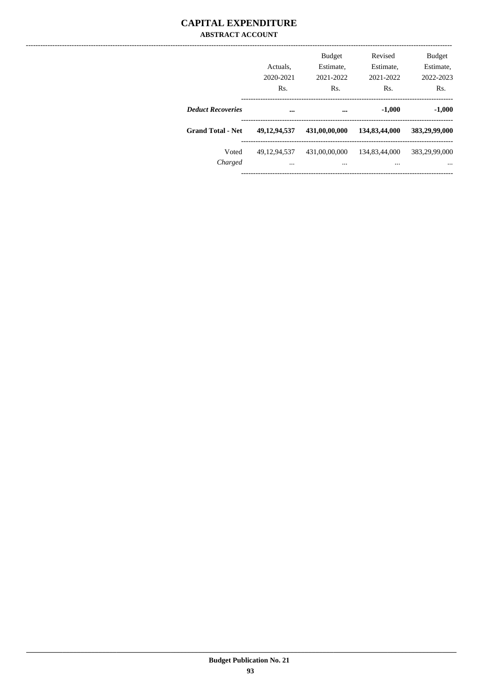#### **CAPITAL EXPENDITURE ABSTRACT ACCOUNT**

|                          | Actuals.<br>2020-2021<br>Rs. | <b>Budget</b><br>Estimate,<br>2021-2022<br>Rs. | Revised<br>Estimate,<br>2021-2022<br>Rs. | <b>Budget</b><br>Estimate,<br>2022-2023<br>Rs. |
|--------------------------|------------------------------|------------------------------------------------|------------------------------------------|------------------------------------------------|
| <b>Deduct Recoveries</b> |                              | $\cdots$                                       | $-1,000$                                 | $-1,000$                                       |
| <b>Grand Total - Net</b> | 49, 12, 94, 537              | 431,00,00,000                                  | 134,83,44,000                            | 383,29,99,000                                  |
| Voted<br>Charged         | 49.12.94.537<br>             | 431,00,00,000<br>$\cdots$                      | 134,83,44,000<br>                        | 383,29,99,000                                  |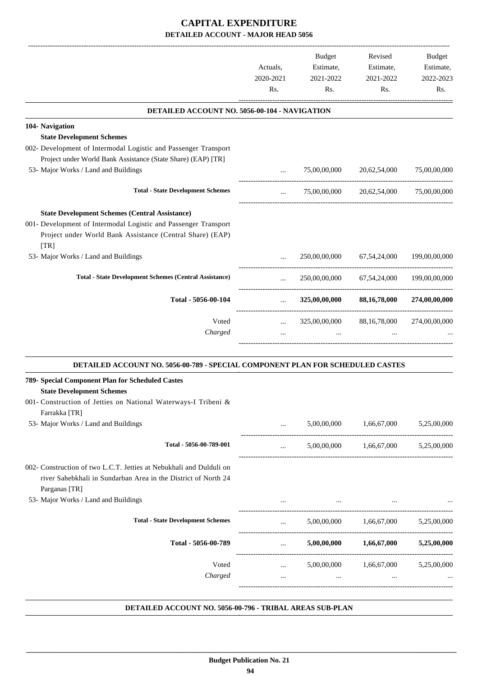|                                                                                |                                     | Budget              | Revised                   | Budget           |
|--------------------------------------------------------------------------------|-------------------------------------|---------------------|---------------------------|------------------|
|                                                                                | Actuals,                            | Estimate,           | Estimate,                 | Estimate,        |
|                                                                                | 2020-2021<br>Rs.                    | 2021-2022<br>Rs.    | 2021-2022<br>Rs.          | 2022-2023<br>Rs. |
|                                                                                |                                     |                     |                           |                  |
| <b>DETAILED ACCOUNT NO. 5056-00-104 - NAVIGATION</b>                           |                                     |                     |                           |                  |
| 104- Navigation                                                                |                                     |                     |                           |                  |
| <b>State Development Schemes</b>                                               |                                     |                     |                           |                  |
| 002- Development of Intermodal Logistic and Passenger Transport                |                                     |                     |                           |                  |
| Project under World Bank Assistance (State Share) (EAP) [TR]                   |                                     |                     |                           |                  |
| 53- Major Works / Land and Buildings                                           | $\cdots$                            | 75,00,00,000        | 20,62,54,000              | 75,00,00,000     |
| <b>Total - State Development Schemes</b>                                       | $\cdots$                            |                     | 75,00,00,000 20,62,54,000 | 75,00,00,000     |
| <b>State Development Schemes (Central Assistance)</b>                          |                                     |                     |                           |                  |
| 001- Development of Intermodal Logistic and Passenger Transport                |                                     |                     |                           |                  |
| Project under World Bank Assistance (Central Share) (EAP)                      |                                     |                     |                           |                  |
| [TR]                                                                           |                                     |                     |                           |                  |
| 53- Major Works / Land and Buildings                                           |                                     | 250,00,00,000       | 67, 54, 24, 000           | 199,00,00,000    |
| <b>Total - State Development Schemes (Central Assistance)</b>                  | $\cdots$                            | 250,00,00,000       | 67,54,24,000              | 199,00,00,000    |
| Total - 5056-00-104                                                            | -----------------------<br>$\cdots$ | 325,00,00,000       | 88,16,78,000              | 274,00,00,000    |
| Voted                                                                          |                                     | 325,00,00,000       | 88, 16, 78, 000           | 274,00,00,000    |
| Charged                                                                        | $\ddotsc$                           |                     |                           |                  |
| DETAILED ACCOUNT NO. 5056-00-789 - SPECIAL COMPONENT PLAN FOR SCHEDULED CASTES |                                     |                     |                           |                  |
| 789- Special Component Plan for Scheduled Castes                               |                                     |                     |                           |                  |
| <b>State Development Schemes</b>                                               |                                     |                     |                           |                  |
| 001- Construction of Jetties on National Waterways-I Tribeni &                 |                                     |                     |                           |                  |
| Farrakka [TR]<br>53- Major Works / Land and Buildings                          | $\cdots$                            | 5,00,00,000         | 1,66,67,000               | 5,25,00,000      |
|                                                                                |                                     |                     |                           |                  |
| Total - 5056-00-789-001                                                        | $\cdots$                            | 5,00,00,000         | 1,66,67,000               | 5,25,00,000      |
| 002- Construction of two L.C.T. Jetties at Nebukhali and Dulduli on            |                                     |                     |                           |                  |
| river Sahebkhali in Sundarban Area in the District of North 24                 |                                     |                     |                           |                  |
| Parganas [TR]                                                                  |                                     |                     |                           |                  |
| 53- Major Works / Land and Buildings                                           |                                     | $\cdots$            |                           |                  |
|                                                                                |                                     |                     |                           |                  |
| <b>Total - State Development Schemes</b>                                       | $\cdots$                            | ------------------- | 5,00,00,000 1,66,67,000   | 5,25,00,000      |
| Total - 5056-00-789                                                            | $\cdots$                            | 5,00,00,000         | 1,66,67,000               | 5,25,00,000      |
| Voted                                                                          | $\cdots$                            | 5,00,00,000         | 1,66,67,000               | 5,25,00,000      |
| Charged                                                                        | $\cdots$                            | $\ldots$            | $\cdots$                  |                  |
|                                                                                |                                     |                     |                           |                  |
|                                                                                |                                     |                     |                           |                  |

#### **DETAILED ACCOUNT NO. 5056-00-796 - TRIBAL AREAS SUB-PLAN .**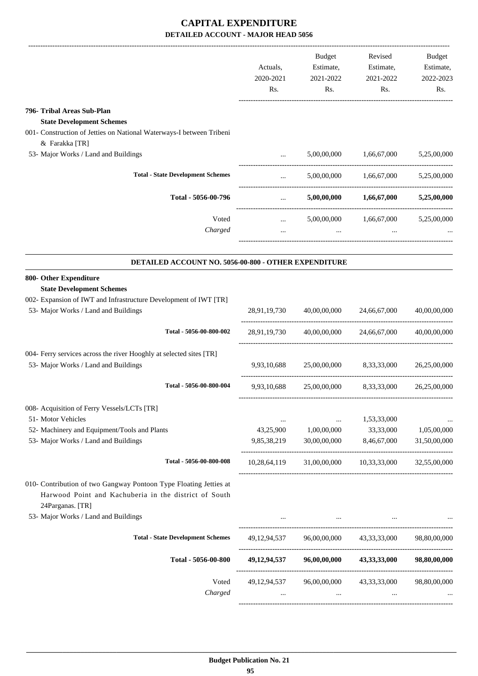|                                                                                                                                                |                      | Budget                    | Revised                                             | Budget           |                  |
|------------------------------------------------------------------------------------------------------------------------------------------------|----------------------|---------------------------|-----------------------------------------------------|------------------|------------------|
|                                                                                                                                                | Actuals,             | Estimate,<br>2021-2022    | Estimate,                                           | Estimate,        |                  |
|                                                                                                                                                | 2020-2021            |                           |                                                     |                  |                  |
|                                                                                                                                                | Rs.                  | Rs.                       |                                                     | 2021-2022<br>Rs. | 2022-2023<br>Rs. |
|                                                                                                                                                |                      |                           |                                                     |                  |                  |
| 796- Tribal Areas Sub-Plan                                                                                                                     |                      |                           |                                                     |                  |                  |
| <b>State Development Schemes</b>                                                                                                               |                      |                           |                                                     |                  |                  |
| 001- Construction of Jetties on National Waterways-I between Tribeni                                                                           |                      |                           |                                                     |                  |                  |
| & Farakka [TR]                                                                                                                                 |                      |                           |                                                     |                  |                  |
| 53- Major Works / Land and Buildings                                                                                                           | $\cdots$             | 5,00,00,000               | 1,66,67,000                                         | 5,25,00,000      |                  |
| <b>Total - State Development Schemes</b>                                                                                                       | $\cdots$             |                           | $5,00,00,000$ $1,66,67,000$                         | 5,25,00,000      |                  |
| Total - 5056-00-796                                                                                                                            | $\cdots$             | 5,00,00,000               | 1,66,67,000                                         | 5,25,00,000      |                  |
| Voted                                                                                                                                          |                      | 5,00,00,000               | 1,66,67,000                                         | 5,25,00,000      |                  |
| Charged                                                                                                                                        | $\cdots$<br>$\cdots$ | $\cdots$                  |                                                     |                  |                  |
|                                                                                                                                                |                      |                           |                                                     |                  |                  |
| DETAILED ACCOUNT NO. 5056-00-800 - OTHER EXPENDITURE                                                                                           |                      |                           |                                                     |                  |                  |
| 800- Other Expenditure                                                                                                                         |                      |                           |                                                     |                  |                  |
| <b>State Development Schemes</b><br>002- Expansion of IWT and Infrastructure Development of IWT [TR]                                           |                      |                           |                                                     |                  |                  |
| 53- Major Works / Land and Buildings                                                                                                           |                      | 28,91,19,730 40,00,00,000 | 24,66,67,000                                        | 40,00,00,000     |                  |
|                                                                                                                                                |                      |                           |                                                     |                  |                  |
| Total - 5056-00-800-002                                                                                                                        | 28,91,19,730         | 40,00,00,000              | 24,66,67,000                                        | 40,00,00,000     |                  |
| 004- Ferry services across the river Hooghly at selected sites [TR]                                                                            |                      |                           |                                                     |                  |                  |
| 53- Major Works / Land and Buildings                                                                                                           | 9.93.10.688          | 25,00,00,000              | 8,33,33,000                                         | 26,25,00,000     |                  |
| Total - 5056-00-800-004                                                                                                                        | 9,93,10,688          |                           | 25,00,00,000 8,33,33,000 26,25,00,000               |                  |                  |
| 008- Acquisition of Ferry Vessels/LCTs [TR]                                                                                                    |                      |                           |                                                     |                  |                  |
| 51- Motor Vehicles                                                                                                                             | $\cdots$             | $\cdots$                  | 1,53,33,000                                         |                  |                  |
| 52- Machinery and Equipment/Tools and Plants                                                                                                   | 43,25,900            | 1,00,00,000               | 33,33,000                                           | 1,05,00,000      |                  |
| 53- Major Works / Land and Buildings                                                                                                           | 9,85,38,219          | 30,00,00,000              | 8,46,67,000                                         | 31,50,00,000     |                  |
| Total - 5056-00-800-008                                                                                                                        | 10,28,64,119         |                           | 31,00,00,000 10,33,33,000 32,55,00,000              |                  |                  |
| 010- Contribution of two Gangway Pontoon Type Floating Jetties at<br>Harwood Point and Kachuberia in the district of South<br>24Parganas. [TR] |                      |                           |                                                     |                  |                  |
| 53- Major Works / Land and Buildings                                                                                                           |                      |                           |                                                     |                  |                  |
| <b>Total - State Development Schemes</b>                                                                                                       |                      |                           | 49,12,94,537 96,00,00,000 43,33,33,000 98,80,00,000 |                  |                  |
|                                                                                                                                                |                      |                           |                                                     |                  |                  |
| Total - 5056-00-800                                                                                                                            |                      |                           | 49,12,94,537 96,00,00,000 43,33,33,000 98,80,00,000 |                  |                  |
| Voted                                                                                                                                          |                      |                           | 49,12,94,537 96,00,00,000 43,33,33,000 98,80,00,000 |                  |                  |
| Charged                                                                                                                                        |                      | $\cdots$                  | $\cdots$                                            |                  |                  |
|                                                                                                                                                |                      |                           |                                                     |                  |                  |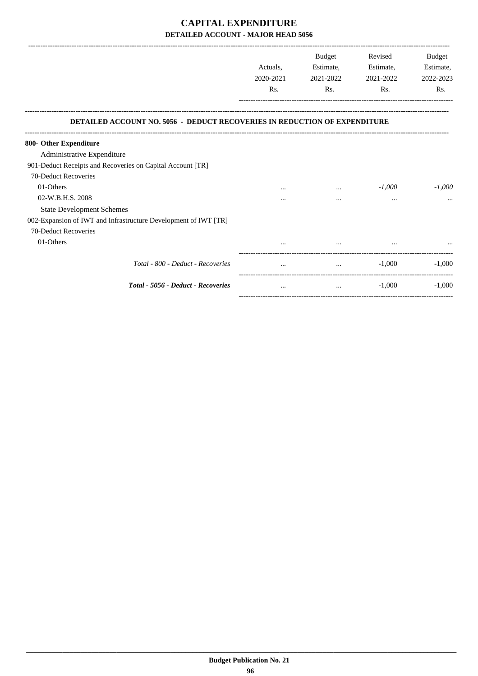|                                                                                  |           | Budget    | Revised   | Budget    |
|----------------------------------------------------------------------------------|-----------|-----------|-----------|-----------|
|                                                                                  | Actuals.  | Estimate, | Estimate, | Estimate, |
|                                                                                  | 2020-2021 | 2021-2022 | 2021-2022 | 2022-2023 |
|                                                                                  | Rs.       | Rs.       | Rs.       | Rs.       |
| <b>DETAILED ACCOUNT NO. 5056 - DEDUCT RECOVERIES IN REDUCTION OF EXPENDITURE</b> |           |           |           |           |
| 800- Other Expenditure                                                           |           |           |           |           |
| Administrative Expenditure                                                       |           |           |           |           |
| 901-Deduct Receipts and Recoveries on Capital Account [TR]                       |           |           |           |           |
| 70-Deduct Recoveries                                                             |           |           |           |           |
| 01-Others                                                                        |           |           | $-1,000$  | $-1,000$  |
| 02-W.B.H.S. 2008                                                                 |           | $\cdots$  | $\cdots$  |           |
| <b>State Development Schemes</b>                                                 |           |           |           |           |
| 002-Expansion of IWT and Infrastructure Development of IWT [TR]                  |           |           |           |           |
| 70-Deduct Recoveries                                                             |           |           |           |           |
| 01-Others                                                                        |           |           |           |           |
| Total - 800 - Deduct - Recoveries                                                |           |           | $-1,000$  | $-1.000$  |
| <b>Total - 5056 - Deduct - Recoveries</b>                                        | $\cdots$  | $\cdots$  | $-1,000$  | $-1,000$  |

-----------------------------------------------------------------------------------------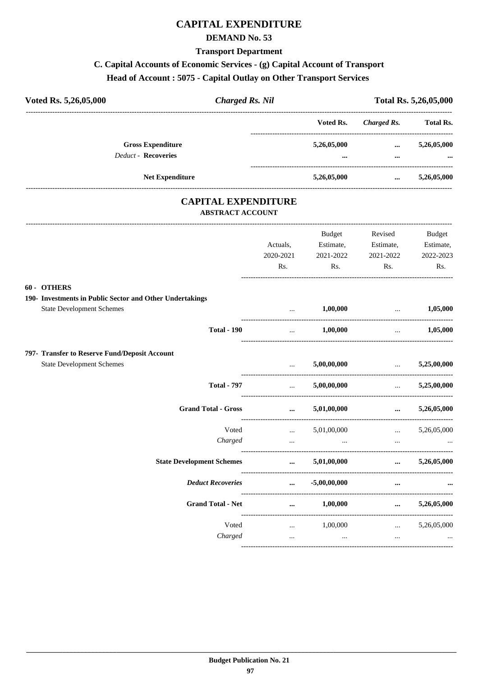## **CAPITAL EXPENDITURE**

#### **DEMAND No. 53**

#### **Transport Department**

## C. Capital Accounts of Economic Services - (g) Capital Account of Transport

#### Head of Account: 5075 - Capital Outlay on Other Transport Services

| <b>Charged Rs. Nil</b><br>Voted Rs. 5,26,05,000                                                             |                                                |                |                                                                                                                                                                                                                                                                                | Total Rs. 5,26,05,000 |
|-------------------------------------------------------------------------------------------------------------|------------------------------------------------|----------------|--------------------------------------------------------------------------------------------------------------------------------------------------------------------------------------------------------------------------------------------------------------------------------|-----------------------|
|                                                                                                             |                                                | Voted Rs.      | <b>Charged Rs.</b>                                                                                                                                                                                                                                                             | <b>Total Rs.</b>      |
| <b>Gross Expenditure</b>                                                                                    |                                                | 5,26,05,000    | $\cdots$                                                                                                                                                                                                                                                                       | 5,26,05,000           |
| <b>Deduct - Recoveries</b>                                                                                  |                                                |                | $\cdots$                                                                                                                                                                                                                                                                       |                       |
| Net Expenditure                                                                                             |                                                | 5,26,05,000    | $\cdots$                                                                                                                                                                                                                                                                       | 5,26,05,000           |
| <b>CAPITAL EXPENDITURE</b><br><b>ABSTRACT ACCOUNT</b>                                                       |                                                |                |                                                                                                                                                                                                                                                                                |                       |
|                                                                                                             |                                                | Budget         | Revised                                                                                                                                                                                                                                                                        | <b>Budget</b>         |
|                                                                                                             | Actuals,                                       |                | Estimate, Estimate,                                                                                                                                                                                                                                                            | Estimate,             |
|                                                                                                             | 2020-2021                                      | 2021-2022      | 2021-2022                                                                                                                                                                                                                                                                      | 2022-2023             |
|                                                                                                             | Rs.                                            | Rs.            | Rs.                                                                                                                                                                                                                                                                            | Rs.                   |
| 60 - OTHERS<br>190- Investments in Public Sector and Other Undertakings<br><b>State Development Schemes</b> |                                                | 1,00,000       | $\ldots$ 1,05,000                                                                                                                                                                                                                                                              |                       |
| <b>Total - 190</b>                                                                                          | $\ddots$                                       | 1,00,000       | $\ddotsc$                                                                                                                                                                                                                                                                      | 1,05,000              |
| 797- Transfer to Reserve Fund/Deposit Account                                                               |                                                |                |                                                                                                                                                                                                                                                                                |                       |
| <b>State Development Schemes</b>                                                                            | $\mathbf{r}$<br>---------------------------    | 5,00,00,000    | <u>and the company of the company of the company of the company of the company of the company of the company of the company of the company of the company of the company of the company of the company of the company of the com</u><br>-------------------------------------- | 5,25,00,000           |
| <b>Total - 797</b>                                                                                          | $\mathbf{m}$ , $\mathbf{m}$                    | 5,00,00,000    | $\sim 10^{-10}$ and $\sim 10^{-10}$                                                                                                                                                                                                                                            | 5,25,00,000           |
| <b>Grand Total - Gross</b>                                                                                  | $\cdots$                                       | 5,01,00,000    | $\cdots$                                                                                                                                                                                                                                                                       | 5,26,05,000           |
| Voted                                                                                                       | $\mathbf{1}$ and $\mathbf{1}$ and $\mathbf{1}$ | 5,01,00,000    | $\cdots$                                                                                                                                                                                                                                                                       | 5,26,05,000           |
| Charged                                                                                                     |                                                |                |                                                                                                                                                                                                                                                                                |                       |
| <b>State Development Schemes</b>                                                                            | $\cdots$<br>-----------------------            | 5,01,00,000    | $\cdots$                                                                                                                                                                                                                                                                       | 5,26,05,000           |
| <b>Deduct Recoveries</b>                                                                                    | $\cdots$                                       | $-5,00,00,000$ | $\cdots$                                                                                                                                                                                                                                                                       |                       |
| <b>Grand Total - Net</b>                                                                                    | $\cdots$                                       | 1,00,000       | $\cdots$                                                                                                                                                                                                                                                                       | 5,26,05,000           |
| Voted                                                                                                       | --------------------<br>$\ldots$               | 1,00,000       | $\cdots$                                                                                                                                                                                                                                                                       | 5,26,05,000           |
| Charged                                                                                                     | $\sim$                                         | $\sim$ $\sim$  | $\cdots$                                                                                                                                                                                                                                                                       |                       |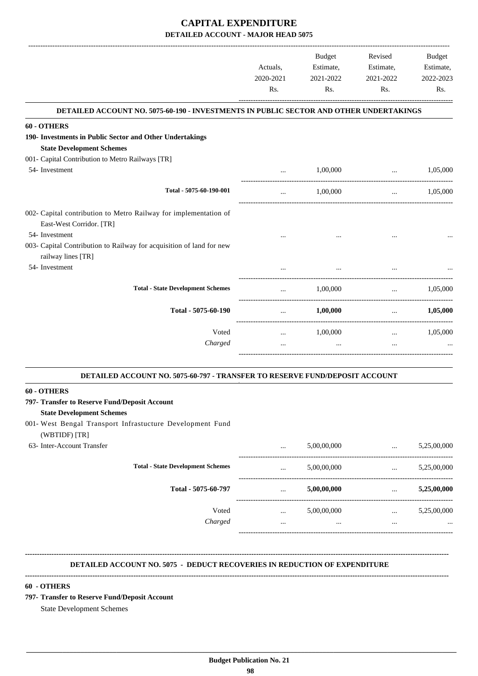|                                                                                            |                       | Budget    | Revised                                     | <b>Budget</b> |
|--------------------------------------------------------------------------------------------|-----------------------|-----------|---------------------------------------------|---------------|
|                                                                                            | Actuals.              | Estimate, | Estimate,                                   | Estimate,     |
|                                                                                            | 2020-2021             | 2021-2022 | 2021-2022                                   | 2022-2023     |
|                                                                                            | Rs.                   | Rs.       | Rs.                                         | Rs.           |
| DETAILED ACCOUNT NO. 5075-60-190 - INVESTMENTS IN PUBLIC SECTOR AND OTHER UNDERTAKINGS     |                       |           |                                             |               |
| 60 - OTHERS                                                                                |                       |           |                                             |               |
| 190- Investments in Public Sector and Other Undertakings                                   |                       |           |                                             |               |
| <b>State Development Schemes</b>                                                           |                       |           |                                             |               |
| 001- Capital Contribution to Metro Railways [TR]                                           |                       |           |                                             |               |
| 54- Investment                                                                             | $\cdots$              | 1,00,000  | $\sim$ $\sim$ $\sim$ $\sim$ $\sim$ $\sim$   | 1,05,000      |
| Total - 5075-60-190-001                                                                    | $\dddot{\phantom{0}}$ | 1,00,000  | -------------------------------<br>$\cdots$ | 1,05,000      |
| 002- Capital contribution to Metro Railway for implementation of                           |                       |           |                                             |               |
| East-West Corridor. [TR]                                                                   |                       |           |                                             |               |
| 54- Investment                                                                             |                       |           | $\cdots$                                    |               |
| 003- Capital Contribution to Railway for acquisition of land for new<br>railway lines [TR] |                       |           |                                             |               |
| 54- Investment                                                                             |                       | $\cdots$  |                                             |               |
| <b>Total - State Development Schemes</b>                                                   |                       | 1,00,000  | $\cdots$                                    | 1,05,000      |
| Total - 5075-60-190                                                                        | $\ddots$              | 1,00,000  | $\ddots$                                    | 1,05,000      |
| Voted                                                                                      | $\cdots$              | 1,00,000  | $\cdots$                                    | 1,05,000      |
| Charged                                                                                    | $\cdots$              | $\cdots$  | $\cdots$                                    |               |
|                                                                                            |                       |           |                                             |               |

## **DETAILED ACCOUNT NO. 5075-60-797 - TRANSFER TO RESERVE FUND/DEPOSIT ACCOUNT . 60 - OTHERS 797- Transfer to Reserve Fund/Deposit Account State Development Schemes** 001- West Bengal Transport Infrastucture Development Fund (WBTIDF) [TR] 63- Inter-Account Transfer ... 5,00,00,000 ... 5,25,00,000 ----------------------------------------------------------------------------------------- **Total - State Development Schemes** ... 5,00,00,000 ... 5,25,00,000 ... 5,25,00,000 ----------------------------------------------------------------------------------------- **Total - 5075-60-797** ... **5,00,00,000** ... **5,25,00,000** Voted ... 5,00,00,000 ... 5,25,00,000 *Charged* ... ... ... ... ----------------------------------------------------------------------------------------- **-------------------------------------------------------------------------------------------------------------------------------------------------------------------------------- DETAILED ACCOUNT NO. 5075 - DEDUCT RECOVERIES IN REDUCTION OF EXPENDITURE -------------------------------------------------------------------------------------------------------------------------------------------------------------------------------- 60 - OTHERS 797- Transfer to Reserve Fund/Deposit Account**

.

State Development Schemes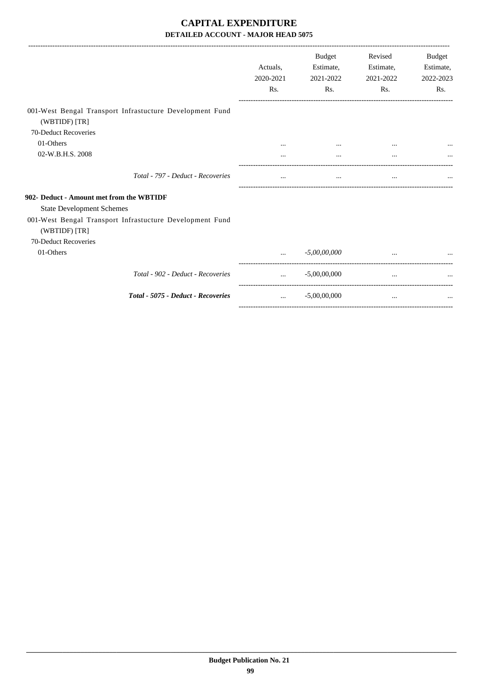|                                                                           | Actuals.  | <b>Budget</b><br>Estimate, | Revised<br>Estimate, | <b>Budget</b><br>Estimate, |
|---------------------------------------------------------------------------|-----------|----------------------------|----------------------|----------------------------|
|                                                                           | 2020-2021 | 2021-2022                  | 2021-2022            | 2022-2023                  |
|                                                                           | Rs.       | Rs.                        | Rs.                  | Rs.                        |
| 001-West Bengal Transport Infrastucture Development Fund<br>(WBTIDF) [TR] |           |                            |                      |                            |
| 70-Deduct Recoveries                                                      |           |                            |                      |                            |
| 01-Others                                                                 |           |                            |                      |                            |
| 02-W.B.H.S. 2008                                                          |           |                            |                      |                            |
| Total - 797 - Deduct - Recoveries                                         |           |                            | $\cdots$             |                            |
| 902- Deduct - Amount met from the WBTIDF                                  |           |                            |                      |                            |
| <b>State Development Schemes</b>                                          |           |                            |                      |                            |
| 001-West Bengal Transport Infrastucture Development Fund<br>(WBTIDF) [TR] |           |                            |                      |                            |
| 70-Deduct Recoveries                                                      |           |                            |                      |                            |
| 01-Others                                                                 |           | $-5,00,00,000$             |                      |                            |
| Total - 902 - Deduct - Recoveries                                         | $\cdots$  | $-5,00,00,000$             | $\cdots$             |                            |
| Total - 5075 - Deduct - Recoveries                                        | $\cdots$  | $-5,00,00,000$             | $\cdots$             |                            |
|                                                                           |           |                            |                      |                            |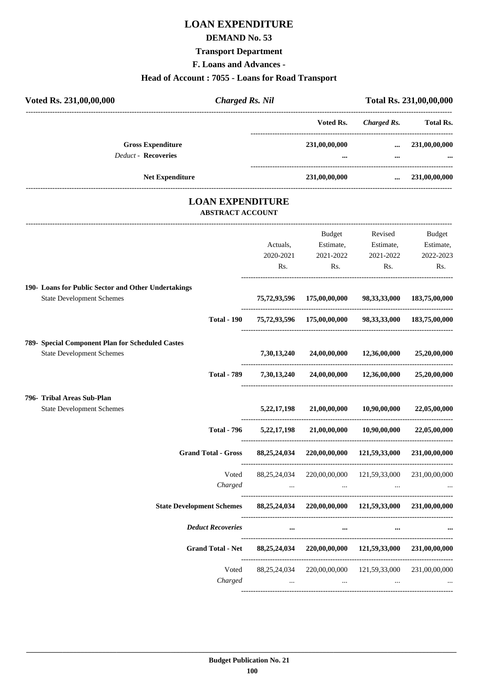# **LOAN EXPENDITURE**

#### **DEMAND No. 53**

# **Transport Department**

**F. Loans and Advances -**

# **Head of Account : 7055 - Loans for Road Transport**

| <b>Charged Rs. Nil</b><br>Voted Rs. 231,00,00,000                                            |                |                                                                                                                 |                                               | Total Rs. 231,00,00,000 |
|----------------------------------------------------------------------------------------------|----------------|-----------------------------------------------------------------------------------------------------------------|-----------------------------------------------|-------------------------|
|                                                                                              |                | Voted Rs.                                                                                                       |                                               | Charged Rs. Total Rs.   |
| <b>Gross Expenditure</b><br><b>Deduct - Recoveries</b>                                       |                | 231,00,00,000                                                                                                   |                                               | $\dots$ 231,00,00,000   |
|                                                                                              |                |                                                                                                                 |                                               |                         |
| Net Expenditure                                                                              |                | 231,00,00,000                                                                                                   |                                               | 231,00,00,000           |
| <b>LOAN EXPENDITURE</b><br><b>ABSTRACT ACCOUNT</b>                                           |                |                                                                                                                 |                                               |                         |
|                                                                                              |                | <b>Budget</b>                                                                                                   | Revised                                       | Budget                  |
|                                                                                              | Actuals,       |                                                                                                                 | Estimate, Estimate,                           | Estimate,               |
|                                                                                              | 2020-2021      | 2021-2022                                                                                                       | 2021-2022                                     | 2022-2023               |
|                                                                                              | Rs.            | Rs.                                                                                                             | Rs.                                           | Rs.                     |
| 190- Loans for Public Sector and Other Undertakings                                          |                |                                                                                                                 |                                               |                         |
| <b>State Development Schemes</b>                                                             |                | 75,72,93,596 175,00,00,000 98,33,33,000 183,75,00,000                                                           |                                               |                         |
| <b>Total - 190</b>                                                                           |                | 75,72,93,596 175,00,00,000 98,33,33,000 183,75,00,000                                                           |                                               |                         |
| 789- Special Component Plan for Scheduled Castes                                             |                |                                                                                                                 |                                               |                         |
| <b>State Development Schemes</b>                                                             | 7,30,13,240    |                                                                                                                 | 24,00,00,000 12,36,00,000 25,20,00,000        |                         |
| <b>Total - 789</b>                                                                           | 7,30,13,240    |                                                                                                                 | 24,00,00,000 12,36,00,000 25,20,00,000        |                         |
| 796- Tribal Areas Sub-Plan                                                                   |                |                                                                                                                 |                                               |                         |
| <b>State Development Schemes</b>                                                             | 5,22,17,198    |                                                                                                                 | 21,00,00,000 10,90,00,000 22,05,00,000        |                         |
| <b>Total - 796</b>                                                                           | 5, 22, 17, 198 |                                                                                                                 | 21,00,00,000 10,90,00,000 22,05,00,000        |                         |
| <b>Grand Total - Gross</b>                                                                   |                | 88,25,24,034 220,00,00,000 121,59,33,000 231,00,00,000                                                          |                                               |                         |
| Voted                                                                                        |                | 88,25,24,034 220,00,00,000 121,59,33,000 231,00,00,000                                                          |                                               |                         |
| Charged                                                                                      |                | the contract of the contract of the contract of the contract of the contract of the contract of the contract of |                                               |                         |
| State Development Schemes 88, 25, 24, 034 220, 00, 00, 000 121, 59, 33, 000 231, 00, 00, 000 |                |                                                                                                                 |                                               |                         |
| <b>Deduct Recoveries</b>                                                                     |                | $\cdots$                                                                                                        |                                               |                         |
| <b>Grand Total - Net</b>                                                                     |                | 88,25,24,034 220,00,00,000 121,59,33,000 231,00,00,000                                                          |                                               |                         |
| Voted                                                                                        |                | 88,25,24,034 220,00,00,000 121,59,33,000 231,00,00,000                                                          |                                               |                         |
| Charged                                                                                      |                | the company of the company of                                                                                   | $\cdots$<br>the company of the company of the |                         |
|                                                                                              |                |                                                                                                                 |                                               |                         |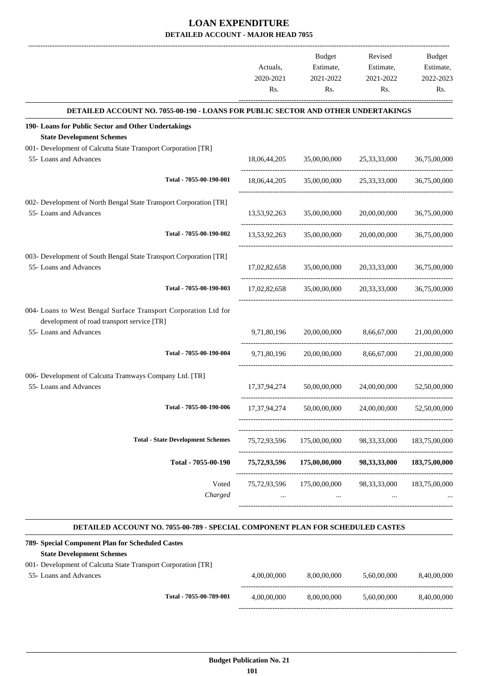|                                                                                                                                         | Actuals,<br>2020-2021<br>Rs. | <b>Budget</b><br>Estimate,<br>2021-2022<br>Rs.      | Revised<br>Estimate,<br>2021-2022<br>Rs. | Budget<br>Estimate,<br>2022-2023<br>Rs. |
|-----------------------------------------------------------------------------------------------------------------------------------------|------------------------------|-----------------------------------------------------|------------------------------------------|-----------------------------------------|
| DETAILED ACCOUNT NO. 7055-00-190 - LOANS FOR PUBLIC SECTOR AND OTHER UNDERTAKINGS                                                       |                              |                                                     |                                          |                                         |
| 190- Loans for Public Sector and Other Undertakings<br><b>State Development Schemes</b>                                                 |                              |                                                     |                                          |                                         |
| 001- Development of Calcutta State Transport Corporation [TR]<br>55- Loans and Advances                                                 |                              | 18,06,44,205 35,00,00,000 25,33,33,000              |                                          | 36,75,00,000                            |
| Total - 7055-00-190-001                                                                                                                 | 18,06,44,205                 | 35,00,00,000                                        | 25, 33, 33, 000                          | 36,75,00,000                            |
| 002- Development of North Bengal State Transport Corporation [TR]<br>55- Loans and Advances                                             |                              | 13,53,92,263 35,00,00,000 20,00,00,000              |                                          | 36,75,00,000                            |
| Total - 7055-00-190-002                                                                                                                 | 13,53,92,263                 | 35,00,00,000                                        | 20,00,00,000                             | 36,75,00,000                            |
| 003- Development of South Bengal State Transport Corporation [TR]<br>55- Loans and Advances                                             |                              | 17.02.82.658 35.00.00.000 20.33.33.000              |                                          | 36,75,00,000                            |
| Total - 7055-00-190-003                                                                                                                 |                              | 17,02,82,658 35,00,00,000 20,33,33,000 36,75,00,000 |                                          |                                         |
| 004- Loans to West Bengal Surface Transport Corporation Ltd for<br>development of road transport service [TR]<br>55- Loans and Advances | 9,71,80,196                  | 20,00,00,000                                        | 8,66,67,000                              | 21,00,00,000                            |
| Total - 7055-00-190-004                                                                                                                 | 9,71,80,196                  | 20,00,00,000                                        | 8,66,67,000                              | 21,00,00,000                            |
| 006- Development of Calcutta Tramways Company Ltd. [TR]<br>55- Loans and Advances                                                       | 17,37,94,274                 |                                                     | 50,00,00,000 24,00,00,000                | 52,50,00,000                            |
| Total - 7055-00-190-006                                                                                                                 | 17,37,94,274                 | 50,00,00,000                                        | 24,00,00,000                             | 52,50,00,000                            |
| <b>Total - State Development Schemes</b>                                                                                                | 75,72,93,596                 | 175,00,00,000                                       | 98, 33, 33, 000                          | 183,75,00,000                           |
| Total - 7055-00-190                                                                                                                     | 75,72,93,596                 | 175,00,00,000                                       | 98, 33, 33, 000                          | 183,75,00,000                           |
| Voted<br>Charged                                                                                                                        | 75, 72, 93, 596              | 175,00,00,000                                       | 98, 33, 33, 000                          | 183,75,00,000                           |

#### **DETAILED ACCOUNT NO. 7055-00-789 - SPECIAL COMPONENT PLAN FOR SCHEDULED CASTES .**

.

| 789- Special Component Plan for Scheduled Castes              |                         |             |             |             |             |
|---------------------------------------------------------------|-------------------------|-------------|-------------|-------------|-------------|
| <b>State Development Schemes</b>                              |                         |             |             |             |             |
| 001- Development of Calcutta State Transport Corporation [TR] |                         |             |             |             |             |
| 55-Loans and Advances                                         |                         | 4.00.00.000 | 8.00.00.000 | 5.60.00.000 | 8.40.00.000 |
|                                                               |                         |             |             |             |             |
|                                                               | Total - 7055-00-789-001 | 4.00.00.000 | 8,00,00,000 | 5.60.00.000 | 8.40.00.000 |
|                                                               |                         |             |             |             |             |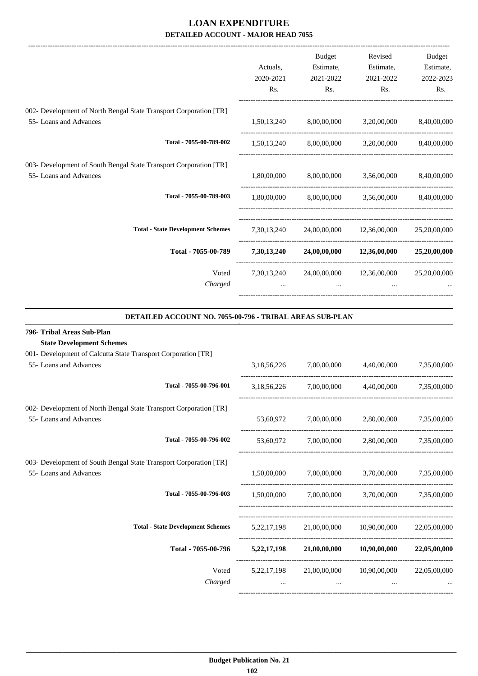|                                                                   |             | Budget    | Revised                                                 | Budget    |
|-------------------------------------------------------------------|-------------|-----------|---------------------------------------------------------|-----------|
|                                                                   | Actuals,    | Estimate, | Estimate,                                               | Estimate, |
|                                                                   | 2020-2021   | 2021-2022 | 2021-2022                                               | 2022-2023 |
|                                                                   | Rs.         | Rs.       | Rs.                                                     | Rs.       |
| 002- Development of North Bengal State Transport Corporation [TR] |             |           |                                                         |           |
| 55- Loans and Advances                                            |             |           | $1,50,13,240$ $8,00,00,000$ $3,20,00,000$ $8,40,00,000$ |           |
| Total - 7055-00-789-002                                           |             |           | $1,50,13,240$ $8,00,00,000$ $3,20,00,000$ $8,40,00,000$ |           |
| 003- Development of South Bengal State Transport Corporation [TR] |             |           |                                                         |           |
| 55- Loans and Advances                                            |             |           | $1,80,00,000$ $8,00,00,000$ $3,56,00,000$ $8,40,00,000$ |           |
| Total - 7055-00-789-003                                           |             |           | $1,80,00,000$ $8,00,00,000$ $3,56,00,000$ $8,40,00,000$ |           |
| <b>Total - State Development Schemes</b>                          |             |           | 7,30,13,240 24,00,00,000 12,36,00,000 25,20,00,000      |           |
| Total - 7055-00-789                                               | 7,30,13,240 |           | 24,00,00,000 12,36,00,000 25,20,00,000                  |           |
| Voted                                                             |             |           | 7,30,13,240 24,00,00,000 12,36,00,000 25,20,00,000      |           |
| Charged                                                           |             |           | $\cdots$                                                |           |
|                                                                   |             |           |                                                         |           |

#### **DETAILED ACCOUNT NO. 7055-00-796 - TRIBAL AREAS SUB-PLAN .**

.

| 796- Tribal Areas Sub-Plan                                        |             |                                                         |              |
|-------------------------------------------------------------------|-------------|---------------------------------------------------------|--------------|
| <b>State Development Schemes</b>                                  |             |                                                         |              |
| 001- Development of Calcutta State Transport Corporation [TR]     |             |                                                         |              |
| 55- Loans and Advances                                            |             | 3,18,56,226 7,00,00,000 4,40,00,000 7,35,00,000         |              |
| Total - 7055-00-796-001                                           | 3,18,56,226 | 7,00,00,000 4,40,00,000 7,35,00,000                     |              |
| 002- Development of North Bengal State Transport Corporation [TR] |             |                                                         |              |
| 55- Loans and Advances                                            |             | 53,60,972 7,00,00,000 2,80,00,000 7,35,00,000           |              |
| Total - 7055-00-796-002                                           |             | 53,60,972 7,00,00,000 2,80,00,000 7,35,00,000           |              |
| 003- Development of South Bengal State Transport Corporation [TR] |             |                                                         |              |
| 55- Loans and Advances                                            |             | 1,50,00,000 7,00,00,000 3,70,00,000 7,35,00,000         |              |
| Total - 7055-00-796-003                                           |             | $1,50,00,000$ $7,00,00,000$ $3,70,00,000$ $7,35,00,000$ |              |
| <b>Total - State Development Schemes</b>                          |             | 5,22,17,198 21,00,00,000 10,90,00,000 22,05,00,000      |              |
| Total - 7055-00-796                                               |             | 5,22,17,198 21,00,00,000 10,90,00,000 22,05,00,000      |              |
| Voted                                                             |             | 5,22,17,198 21,00,00,000 10,90,00,000                   | 22,05,00,000 |
| Charged                                                           |             |                                                         |              |
|                                                                   |             |                                                         |              |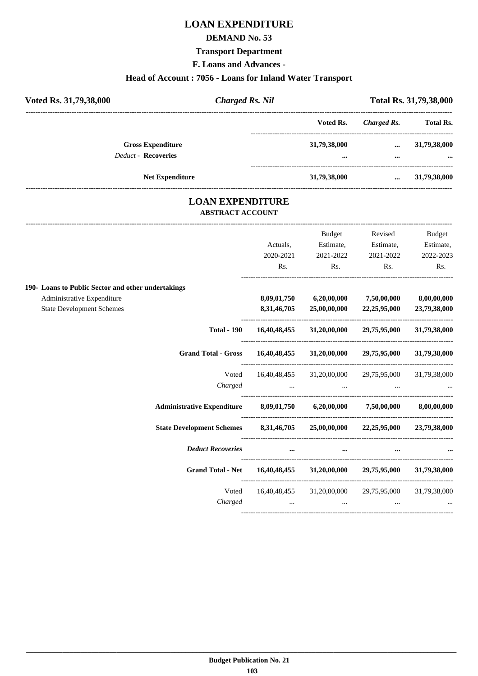## **LOAN EXPENDITURE**

#### **DEMAND No. 53**

#### **Transport Department**

**F. Loans and Advances -**

#### **Head of Account : 7056 - Loans for Inland Water Transport**

| Voted Rs. 31,79,38,000                                 | <b>Charged Rs. Nil</b> |                  |                      | Total Rs. 31,79,38,000   |
|--------------------------------------------------------|------------------------|------------------|----------------------|--------------------------|
|                                                        |                        | Voted Rs.        | Charged Rs.          | <b>Total Rs.</b>         |
| <b>Gross Expenditure</b><br><b>Deduct - Recoveries</b> |                        | 31,79,38,000<br> | $\cdots$<br>$\cdots$ | 31,79,38,000<br>$\cdots$ |
|                                                        | <b>Net Expenditure</b> | 31,79,38,000     | $\cdots$             | 31,79,38,000             |

#### **LOAN EXPENDITURE ABSTRACT ACCOUNT**

|                                                                              |                                                           | <b>Budget</b>                                   | Revised                                                                                                             | Budget       |
|------------------------------------------------------------------------------|-----------------------------------------------------------|-------------------------------------------------|---------------------------------------------------------------------------------------------------------------------|--------------|
|                                                                              | Actuals,                                                  | Estimate,                                       | Estimate,                                                                                                           | Estimate,    |
|                                                                              | 2020-2021                                                 | 2021-2022                                       | 2021-2022                                                                                                           | 2022-2023    |
|                                                                              | Rs.                                                       | Rs.                                             | Rs.                                                                                                                 | Rs.          |
| 190- Loans to Public Sector and other undertakings                           |                                                           |                                                 |                                                                                                                     |              |
| Administrative Expenditure                                                   |                                                           | $8,09,01,750$ $6,20,00,000$ $7,50,00,000$       |                                                                                                                     | 8,00,00,000  |
| <b>State Development Schemes</b>                                             | 8,31,46,705                                               |                                                 | 25,00,00,000 22,25,95,000                                                                                           | 23,79,38,000 |
| <b>Total - 190</b>                                                           |                                                           |                                                 | 16,40,48,455 31,20,00,000 29,75,95,000 31,79,38,000                                                                 |              |
| Grand Total - Gross 16,40,48,455 31,20,00,000 29,75,95,000 31,79,38,000      |                                                           |                                                 |                                                                                                                     |              |
|                                                                              |                                                           |                                                 | Voted 16,40,48,455 31,20,00,000 29,75,95,000 31,79,38,000                                                           |              |
| Charged                                                                      |                                                           |                                                 | and the contract of the contract of the contract of the contract of the contract of the contract of the contract of |              |
| Administrative Expenditure 8,09,01,750 6,20,00,000 7,50,00,000 8,00,00,000   |                                                           |                                                 |                                                                                                                     |              |
| State Development Schemes 8,31,46,705 25,00,00,000 22,25,95,000 23,79,38,000 |                                                           |                                                 |                                                                                                                     |              |
| <b>Deduct Recoveries</b>                                                     |                                                           | <b>ALCOHOL:</b> The Contract of the<br>$\cdots$ | $\cdots$                                                                                                            |              |
| Grand Total - Net 16,40,48,455 31,20,00,000 29,75,95,000 31,79,38,000        |                                                           |                                                 |                                                                                                                     |              |
| Voted                                                                        |                                                           |                                                 | 16,40,48,455 31,20,00,000 29,75,95,000 31,79,38,000                                                                 |              |
| Charged                                                                      | $\mathbf{r}$ and $\mathbf{r}$ are the set of $\mathbf{r}$ | $\cdots$                                        |                                                                                                                     | $\mathbf{r}$ |
|                                                                              |                                                           |                                                 |                                                                                                                     |              |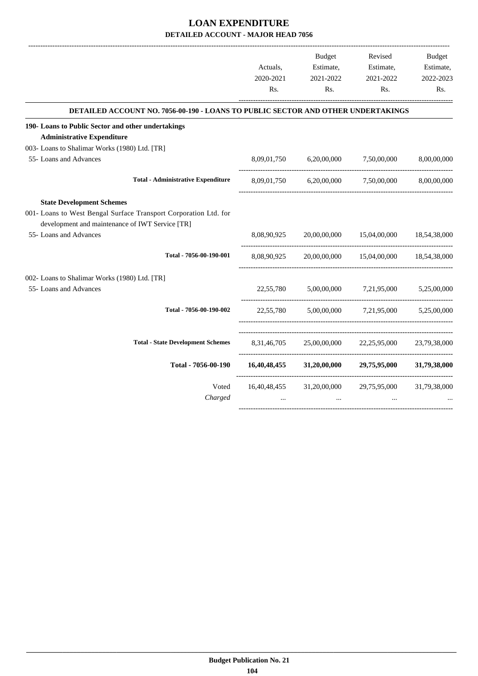|                                                                                                                                                                                   | Actuals,    | Budget<br>Estimate,                 | Revised<br>Estimate,                                             | Budget<br>Estimate, |
|-----------------------------------------------------------------------------------------------------------------------------------------------------------------------------------|-------------|-------------------------------------|------------------------------------------------------------------|---------------------|
|                                                                                                                                                                                   | 2020-2021   | 2021-2022                           | 2021-2022                                                        | 2022-2023           |
|                                                                                                                                                                                   | Rs.         | Rs.                                 | Rs.                                                              | Rs.                 |
| DETAILED ACCOUNT NO. 7056-00-190 - LOANS TO PUBLIC SECTOR AND OTHER UNDERTAKINGS                                                                                                  |             |                                     |                                                                  |                     |
| 190- Loans to Public Sector and other undertakings                                                                                                                                |             |                                     |                                                                  |                     |
| <b>Administrative Expenditure</b>                                                                                                                                                 |             |                                     |                                                                  |                     |
| 003- Loans to Shalimar Works (1980) Ltd. [TR]                                                                                                                                     |             |                                     |                                                                  |                     |
| 55- Loans and Advances                                                                                                                                                            |             | 8,09,01,750 6,20,00,000 7,50,00,000 |                                                                  | 8,00,00,000         |
| <b>Total - Administrative Expenditure</b>                                                                                                                                         |             |                                     | 8,09,01,750 6,20,00,000 7,50,00,000 8,00,00,000                  |                     |
| <b>State Development Schemes</b><br>001- Loans to West Bengal Surface Transport Corporation Ltd. for<br>development and maintenance of IWT Service [TR]<br>55- Loans and Advances |             |                                     | 8,08,90,925 20,00,00,000 15,04,00,000 18,54,38,000               |                     |
| Total - 7056-00-190-001                                                                                                                                                           | 8,08,90,925 |                                     | 20,00,00,000 15,04,00,000 18,54,38,000                           |                     |
| 002- Loans to Shalimar Works (1980) Ltd. [TR]<br>55- Loans and Advances                                                                                                           |             |                                     | 22,55,780 5,00,00,000 7,21,95,000 5,25,00,000                    |                     |
| Total - 7056-00-190-002                                                                                                                                                           |             |                                     | 22,55,780 5,00,00,000 7,21,95,000 5,25,00,000                    |                     |
| <b>Total - State Development Schemes</b>                                                                                                                                          |             |                                     | 8,31,46,705 25,00,00,000 22,25,95,000 23,79,38,000               |                     |
| Total - 7056-00-190                                                                                                                                                               |             |                                     | $16,40,48,455$ $31,20,00,000$ $29,75,95,000$ $31,79,38,000$      |                     |
| Voted<br>Charged                                                                                                                                                                  | $\cdots$    | $\cdots$                            | 16,40,48,455 31,20,00,000 29,75,95,000 31,79,38,000<br>$\ddotsc$ |                     |

-----------------------------------------------------------------------------------------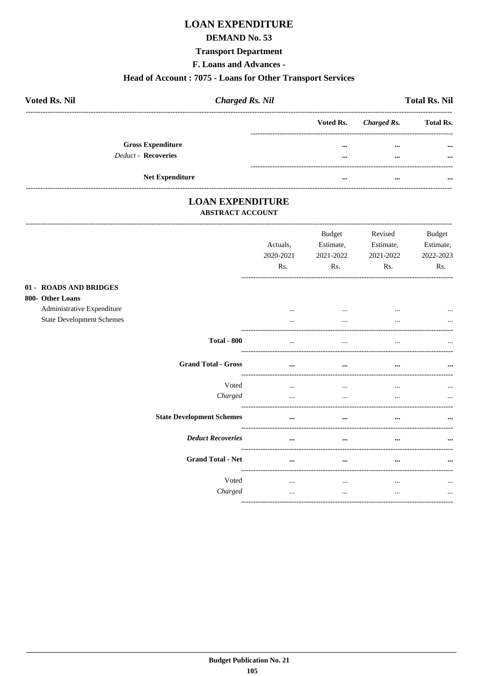## **LOAN EXPENDITURE**

#### **DEMAND No. 53**

#### **Transport Department**

F. Loans and Advances -

#### Head of Account: 7075 - Loans for Other Transport Services

| <b>Voted Rs. Nil</b>       | <b>Charged Rs. Nil</b> |          | <b>Total Rs. Nil</b>  |                  |  |
|----------------------------|------------------------|----------|-----------------------|------------------|--|
|                            |                        |          | Voted Rs. Charged Rs. | <b>Total Rs.</b> |  |
| <b>Gross Expenditure</b>   |                        | $\cdots$ | $\cdots$              | $\cdots$         |  |
| <b>Deduct - Recoveries</b> |                        | $\cdots$ | $\cdots$              | $\cdots$         |  |
|                            |                        |          |                       |                  |  |
| <b>Net Expenditure</b>     |                        | $\cdots$ | $\cdots$              |                  |  |

#### **LOAN EXPENDITURE ABSTRACT ACCOUNT**

|                                                                          |                            | Actuals,<br>2020-2021<br>Rs. | <b>Budget</b><br>Estimate,<br>2021-2022<br>Rs. | Revised<br>Estimate,<br>2021-2022<br>Rs.       | <b>Budget</b><br>Estimate,<br>2022-2023<br>Rs. |
|--------------------------------------------------------------------------|----------------------------|------------------------------|------------------------------------------------|------------------------------------------------|------------------------------------------------|
| 01 - ROADS AND BRIDGES<br>800- Other Loans<br>Administrative Expenditure |                            | $\cdots$                     | $\cdots$                                       | $\cdots$                                       |                                                |
| <b>State Development Schemes</b>                                         | <b>Total - 800</b>         | $\cdots$<br>$\cdots$         | $\cdots$<br>$\cdots$                           | $\cdots$<br>$\cdots$<br>---------------------- | $\cdots$                                       |
|                                                                          | <b>Grand Total - Gross</b> | $\cdots$                     | $\cdots$                                       | $\cdots$                                       | $\ddotsc$                                      |
|                                                                          | Voted<br>Charged           | $\cdots$<br>$\cdots$         | $\cdots$<br>$\cdots$                           | $\cdots$<br>$\cdots$                           | $\cdots$                                       |
| <b>State Development Schemes</b>                                         |                            | $\cdots$                     | $\cdots$                                       | $\cdots$                                       | $\cdots$                                       |
|                                                                          | <b>Deduct Recoveries</b>   | $\cdots$                     | $\cdots$                                       | $\cdots$                                       | $\cdots$                                       |
|                                                                          | <b>Grand Total - Net</b>   |                              |                                                |                                                |                                                |
|                                                                          | Voted<br>Charged           | $\cdots$<br>$\cdots$         | $\cdots$<br>$\cdots$                           | $\cdots$<br>$\cdots$                           | $\ddotsc$<br>$\cdots$                          |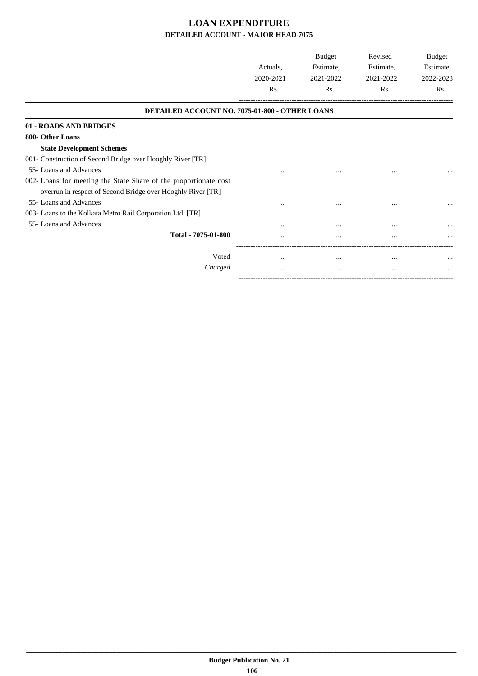-------------------------------------------------------------------------------------------------------------------------------------------------------------------------------

|                                                                                                                                                           | Actuals,<br>2020-2021<br>Rs. | <b>Budget</b><br>Estimate,<br>2021-2022<br>Rs. | Revised<br>Estimate,<br>2021-2022<br>Rs. | Budget<br>Estimate,<br>2022-2023<br>Rs. |
|-----------------------------------------------------------------------------------------------------------------------------------------------------------|------------------------------|------------------------------------------------|------------------------------------------|-----------------------------------------|
| DETAILED ACCOUNT NO. 7075-01-800 - OTHER LOANS                                                                                                            |                              |                                                |                                          |                                         |
| 01 - ROADS AND BRIDGES                                                                                                                                    |                              |                                                |                                          |                                         |
| 800- Other Loans<br><b>State Development Schemes</b><br>001- Construction of Second Bridge over Hooghly River [TR]                                        |                              |                                                |                                          |                                         |
| 55- Loans and Advances<br>002- Loans for meeting the State Share of the proportionate cost<br>overrun in respect of Second Bridge over Hooghly River [TR] |                              |                                                | $\cdots$                                 |                                         |
| 55- Loans and Advances<br>003- Loans to the Kolkata Metro Rail Corporation Ltd. [TR]                                                                      |                              |                                                | $\cdots$                                 |                                         |
| 55- Loans and Advances<br>Total - 7075-01-800                                                                                                             |                              | $\ddotsc$                                      | $\cdots$<br>                             | $\cdots$                                |
| Voted<br>Charged                                                                                                                                          | $\cdots$<br>$\cdots$         | $\cdots$<br>$\cdots$                           | $\cdots$<br>$\cdots$                     | $\cdots$<br>                            |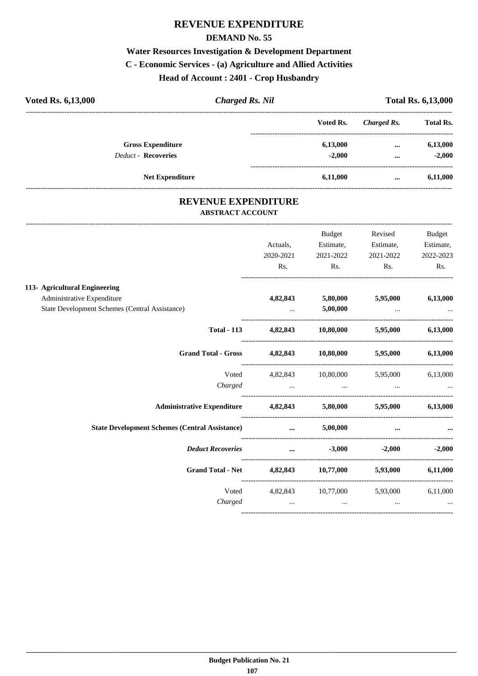### **REVENUE EXPENDITURE**

#### **DEMAND No. 55**

# **Water Resources Investigation & Development Department C - Economic Services - (a) Agriculture and Allied Activities Head of Account : 2401 - Crop Husbandry**

| <b>Voted Rs. 6,13,000</b>  | <b>Charged Rs. Nil</b> |           |             | <b>Total Rs. 6,13,000</b> |  |
|----------------------------|------------------------|-----------|-------------|---------------------------|--|
|                            |                        | Voted Rs. | Charged Rs. | <b>Total Rs.</b>          |  |
| <b>Gross Expenditure</b>   |                        | 6,13,000  | $\cdots$    | 6,13,000                  |  |
| <b>Deduct - Recoveries</b> |                        | $-2,000$  | $\cdots$    | $-2,000$                  |  |
| <b>Net Expenditure</b>     |                        | 6,11,000  | $\cdots$    | 6,11,000                  |  |

#### **REVENUE EXPENDITURE ABSTRACT ACCOUNT**

---------------------------------------------------------------------------------------------------------------------------------------------------------------------------------

|                                                                |                                                                                                                                                                                                                                                                         | Budget         | Revised                                                                                                       | <b>Budget</b>     |
|----------------------------------------------------------------|-------------------------------------------------------------------------------------------------------------------------------------------------------------------------------------------------------------------------------------------------------------------------|----------------|---------------------------------------------------------------------------------------------------------------|-------------------|
|                                                                | Actuals,                                                                                                                                                                                                                                                                | Estimate,      | Estimate,                                                                                                     | Estimate,         |
|                                                                | 2020-2021                                                                                                                                                                                                                                                               | 2021-2022      | 2021-2022                                                                                                     | 2022-2023         |
|                                                                | Rs.                                                                                                                                                                                                                                                                     | $\mathbf{Rs.}$ | Rs.                                                                                                           | Rs.               |
| 113- Agricultural Engineering                                  |                                                                                                                                                                                                                                                                         |                |                                                                                                               |                   |
| Administrative Expenditure                                     | 4,82,843                                                                                                                                                                                                                                                                | 5,80,000       | 5,95,000                                                                                                      | 6,13,000          |
| State Development Schemes (Central Assistance)                 | $\mathbf{1}_{\mathbf{1}_{\mathbf{2}}\mathbf{1}_{\mathbf{3}}\mathbf{2}_{\mathbf{4}}\mathbf{3}_{\mathbf{5}}\mathbf{4}_{\mathbf{6}}$ and $\mathbf{1}_{\mathbf{2}_{\mathbf{3}}\mathbf{3}_{\mathbf{4}}\mathbf{4}_{\mathbf{5}}\mathbf{4}_{\mathbf{6}}\mathbf{4}_{\mathbf{7}}$ | 5,00,000       | the company of the company of the                                                                             |                   |
| <b>Total - 113</b>                                             |                                                                                                                                                                                                                                                                         |                | 4,82,843 10,80,000 5,95,000 6,13,000                                                                          |                   |
| Grand Total - Gross 4,82,843 10,80,000 5,95,000 6,13,000       |                                                                                                                                                                                                                                                                         |                |                                                                                                               |                   |
| Voted                                                          |                                                                                                                                                                                                                                                                         |                | 4,82,843 10,80,000 5,95,000 6,13,000                                                                          |                   |
| Charged                                                        |                                                                                                                                                                                                                                                                         |                | میں اس کے اس کے مطابق اور اس کے مطابق اس کے مطابق اس کے مطابق اس کے مطابق اس کے مطابق اس کے مطابق اس کے مطابق |                   |
| Administrative Expenditure 4,82,843 5,80,000 5,95,000 6,13,000 |                                                                                                                                                                                                                                                                         |                |                                                                                                               |                   |
| <b>State Development Schemes (Central Assistance)</b>          | $\mathbf{r}$ and $\mathbf{r}$ are the set of $\mathbf{r}$                                                                                                                                                                                                               | 5,00,000       | $\cdots$                                                                                                      |                   |
| Deduct Recoveries  3,000                                       |                                                                                                                                                                                                                                                                         |                |                                                                                                               | $-2,000$ $-2,000$ |
| Grand Total - Net 4,82,843 10,77,000 5,93,000 6,11,000         |                                                                                                                                                                                                                                                                         |                |                                                                                                               |                   |
|                                                                |                                                                                                                                                                                                                                                                         |                | Voted 4,82,843 10,77,000 5,93,000 6,11,000                                                                    |                   |
|                                                                |                                                                                                                                                                                                                                                                         |                |                                                                                                               |                   |
|                                                                |                                                                                                                                                                                                                                                                         |                |                                                                                                               |                   |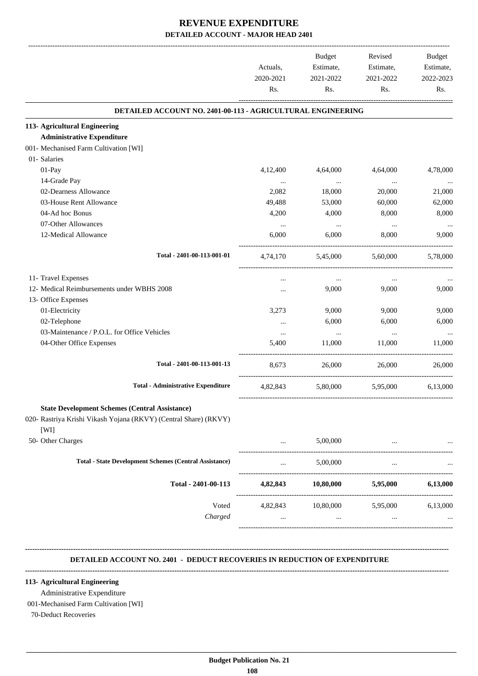|                                                                  | Actuals,         | Budget            | Revised                     | Budget    |
|------------------------------------------------------------------|------------------|-------------------|-----------------------------|-----------|
|                                                                  |                  |                   | Estimate,                   | Estimate, |
|                                                                  | 2020-2021<br>Rs. | 2021-2022         | 2021-2022                   | 2022-2023 |
|                                                                  |                  | Rs.               | Rs.                         | Rs.       |
| DETAILED ACCOUNT NO. 2401-00-113 - AGRICULTURAL ENGINEERING      |                  |                   |                             |           |
| 113- Agricultural Engineering                                    |                  |                   |                             |           |
| <b>Administrative Expenditure</b>                                |                  |                   |                             |           |
| 001- Mechanised Farm Cultivation [WI]                            |                  |                   |                             |           |
| 01- Salaries                                                     |                  |                   |                             |           |
| 01-Pay                                                           | 4,12,400         | 4,64,000          | 4,64,000                    | 4,78,000  |
| 14-Grade Pay                                                     | $\cdots$         | $\sim$ $\sim$     | $\ldots$                    | $\cdots$  |
| 02-Dearness Allowance                                            | 2,082            | 18,000            | 20,000                      | 21,000    |
| 03-House Rent Allowance                                          | 49,488           | 53,000            | 60,000                      | 62,000    |
| 04-Ad hoc Bonus                                                  | 4,200            | 4,000             | 8,000                       | 8,000     |
| 07-Other Allowances                                              | $\cdots$         | $\cdots$          | $\ddots$                    |           |
| 12-Medical Allowance                                             | 6,000            | 6,000             | 8,000                       | 9,000     |
| Total - 2401-00-113-001-01                                       | 4,74,170         | 5,45,000          | 5,60,000                    | 5,78,000  |
|                                                                  |                  |                   |                             |           |
| 11- Travel Expenses                                              | $\cdots$         | $\ldots$          | $\cdots$                    |           |
| 12- Medical Reimbursements under WBHS 2008                       |                  | 9,000             | 9,000                       | 9,000     |
| 13- Office Expenses                                              |                  |                   |                             |           |
| 01-Electricity                                                   | 3,273            | 9,000             | 9,000                       | 9,000     |
| 02-Telephone                                                     | $\cdots$         | 6,000             | 6,000                       | 6,000     |
| 03-Maintenance / P.O.L. for Office Vehicles                      | $\cdots$         | $\cdots$          | $\cdots$                    | $\ldots$  |
| 04-Other Office Expenses                                         | 5,400            | 11,000            | 11,000                      | 11,000    |
| Total - 2401-00-113-001-13                                       | 8,673            | 26,000            | 26,000                      | 26,000    |
| <b>Total - Administrative Expenditure</b>                        | 4,82,843         | 5,80,000 5,95,000 |                             | 6,13,000  |
| <b>State Development Schemes (Central Assistance)</b>            |                  |                   |                             |           |
| 020- Rastriya Krishi Vikash Yojana (RKVY) (Central Share) (RKVY) |                  |                   |                             |           |
| [WI]                                                             |                  |                   |                             |           |
| 50- Other Charges                                                |                  |                   |                             |           |
|                                                                  | $\cdots$         | 5,00,000          | $\cdots$                    |           |
| <b>Total - State Development Schemes (Central Assistance)</b>    | $\cdots$         | 5,00,000          | $\cdots$                    |           |
| Total - 2401-00-113                                              | 4,82,843         | 10,80,000         | 5,95,000                    | 6,13,000  |
| Voted                                                            |                  |                   | 4,82,843 10,80,000 5,95,000 | 6,13,000  |
| Charged                                                          | $\cdots$         | $\cdots$          | $\ddots$                    |           |
|                                                                  |                  |                   |                             |           |
|                                                                  |                  |                   |                             |           |

#### **-------------------------------------------------------------------------------------------------------------------------------------------------------------------------------- DETAILED ACCOUNT NO. 2401 - DEDUCT RECOVERIES IN REDUCTION OF EXPENDITURE**

#### **113- Agricultural Engineering**

Administrative Expenditure

001-Mechanised Farm Cultivation [WI]

**--------------------------------------------------------------------------------------------------------------------------------------------------------------------------------**

70-Deduct Recoveries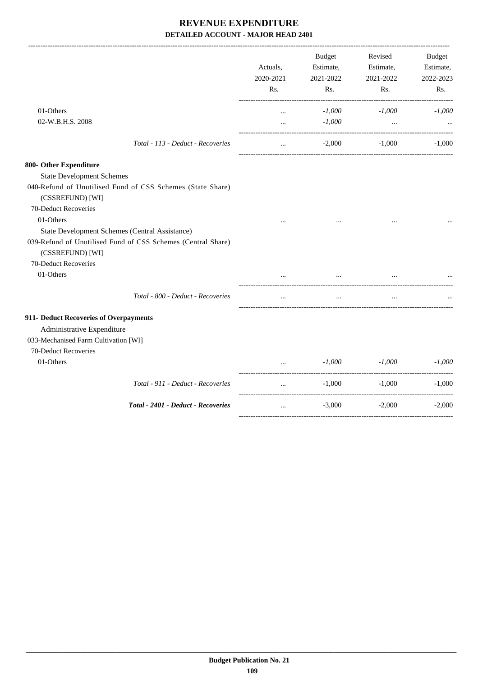|                                                                                  | Actuals,<br>2020-2021<br>Rs. | <b>Budget</b><br>Estimate,<br>2021-2022<br>Rs. | Revised<br>Estimate,<br>2021-2022<br>Rs. | <b>Budget</b><br>Estimate,<br>2022-2023<br>Rs. |
|----------------------------------------------------------------------------------|------------------------------|------------------------------------------------|------------------------------------------|------------------------------------------------|
| 01-Others                                                                        | $\ddotsc$                    | $-1,000$                                       | $-1,000$                                 | $-1,000$                                       |
| 02-W.B.H.S. 2008                                                                 | $\cdots$                     | $-1,000$                                       | $\cdots$                                 |                                                |
| Total - 113 - Deduct - Recoveries                                                | $\cdots$                     | $-2,000$                                       | $-1,000$                                 | $-1.000$                                       |
| 800- Other Expenditure                                                           |                              |                                                |                                          |                                                |
| <b>State Development Schemes</b>                                                 |                              |                                                |                                          |                                                |
| 040-Refund of Unutilised Fund of CSS Schemes (State Share)<br>(CSSREFUND) [WI]   |                              |                                                |                                          |                                                |
| 70-Deduct Recoveries                                                             |                              |                                                |                                          |                                                |
| 01-Others                                                                        |                              |                                                |                                          |                                                |
| State Development Schemes (Central Assistance)                                   |                              |                                                |                                          |                                                |
| 039-Refund of Unutilised Fund of CSS Schemes (Central Share)<br>(CSSREFUND) [WI] |                              |                                                |                                          |                                                |
| 70-Deduct Recoveries                                                             |                              |                                                |                                          |                                                |
| 01-Others                                                                        |                              |                                                | $\cdots$                                 |                                                |
| Total - 800 - Deduct - Recoveries                                                | $\ddotsc$                    | $\cdots$                                       | $\cdots$                                 |                                                |
| 911- Deduct Recoveries of Overpayments                                           |                              |                                                |                                          |                                                |
| Administrative Expenditure                                                       |                              |                                                |                                          |                                                |
| 033-Mechanised Farm Cultivation [WI]                                             |                              |                                                |                                          |                                                |
| 70-Deduct Recoveries                                                             |                              |                                                |                                          |                                                |
| 01-Others                                                                        |                              | $-1,000$                                       | $-1,000$<br>--------------------         | $-1,000$                                       |
| Total - 911 - Deduct - Recoveries                                                | $\cdots$                     | $-1,000$                                       | $-1,000$                                 | $-1,000$                                       |
| Total - 2401 - Deduct - Recoveries                                               | $\ldots$                     | $-3,000$                                       | $-2,000$                                 | $-2,000$                                       |
|                                                                                  |                              |                                                |                                          |                                                |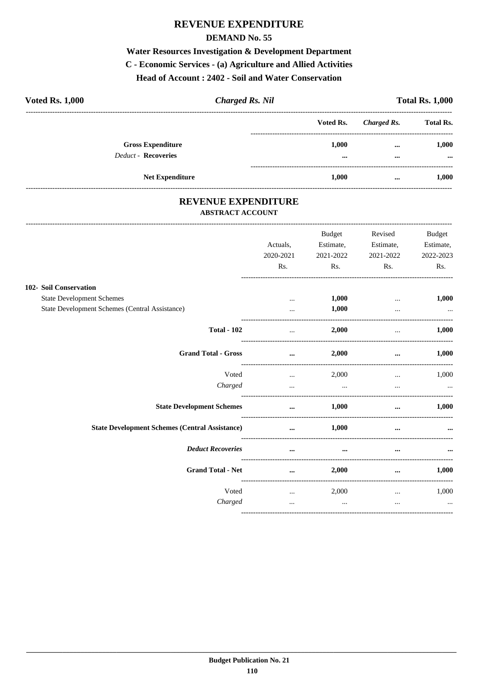## **REVENUE EXPENDITURE**

#### **DEMAND No. 55**

## Water Resources Investigation & Development Department

#### C - Economic Services - (a) Agriculture and Allied Activities

Head of Account: 2402 - Soil and Water Conservation

| <b>Voted Rs. 1,000</b><br><b>Charged Rs. Nil</b>       |  |                                  |                      | <b>Total Rs. 1,000</b> |
|--------------------------------------------------------|--|----------------------------------|----------------------|------------------------|
|                                                        |  | Voted Rs.                        | Charged Rs.          | <b>Total Rs.</b>       |
| <b>Gross Expenditure</b><br><b>Deduct - Recoveries</b> |  | 1.000<br>$\bullet\bullet\bullet$ | $\cdots$<br>$\cdots$ | 1,000<br>$\cdots$      |
| <b>Net Expenditure</b>                                 |  | 1.000                            | $\cdots$             | 1.000                  |

#### REVENUE EXPENDITURE **ABSTRACT ACCOUNT**

|                                                       | Actuals,<br>2020-2021 | <b>Budget</b><br>Estimate,<br>2021-2022 | Revised<br>Estimate,<br>2021-2022                 | Budget<br>Estimate,<br>2022-2023 |
|-------------------------------------------------------|-----------------------|-----------------------------------------|---------------------------------------------------|----------------------------------|
|                                                       | Rs.                   | Rs.                                     | Rs.                                               | Rs.                              |
| 102- Soil Conservation                                |                       |                                         |                                                   |                                  |
| <b>State Development Schemes</b>                      | $\cdots$              | 1,000                                   | $\cdots$                                          | 1,000                            |
| State Development Schemes (Central Assistance)        |                       | 1,000                                   | $\cdots$                                          |                                  |
| <b>Total - 102</b>                                    | $\cdots$              | 2,000                                   | -------------------------------------<br>$\cdots$ | 1,000                            |
| <b>Grand Total - Gross</b>                            | $\cdots$              | 2,000                                   | $\cdots$                                          | 1,000                            |
| Voted                                                 | $\cdots$              | 2,000                                   | $\cdots$                                          | 1,000                            |
| Charged                                               | $\cdots$              | and the contract of the contract of     | $\cdots$                                          | $\cdots$                         |
| <b>State Development Schemes</b>                      | $\cdots$              | 1,000                                   | $\cdots$                                          | 1,000                            |
| <b>State Development Schemes (Central Assistance)</b> | $\cdots$              | 1,000                                   | $\cdots$                                          |                                  |
| <b>Deduct Recoveries</b>                              | $\cdots$              | $\cdots$                                | $\cdots$                                          |                                  |
| <b>Grand Total - Net</b>                              | $\cdots$              | 2,000                                   | $\cdots$                                          | 1,000                            |
| Voted                                                 | $\cdots$              | 2,000                                   | $\cdots$                                          | 1,000                            |
| Charged                                               | $\cdots$              | $\sim$ $\sim$ $\sim$                    | $\cdots$                                          | $\ddotsc$                        |
|                                                       |                       |                                         |                                                   |                                  |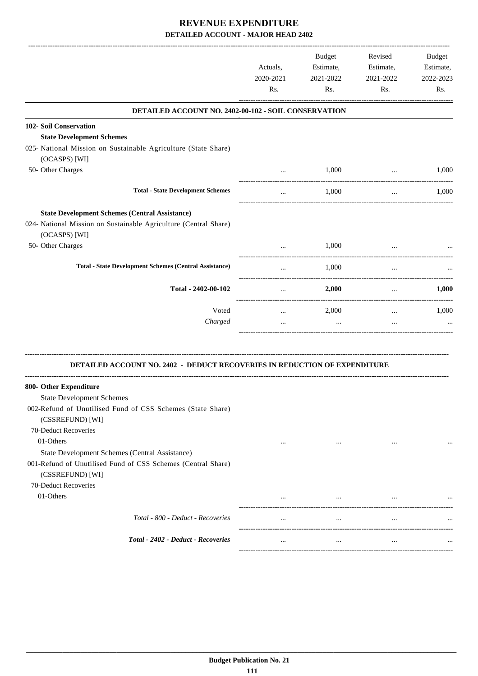|                                                                                                                | Actuals,<br>2020-2021<br>Rs.                    | Budget<br>Estimate,<br>2021-2022<br>Rs. | Revised<br>Estimate,<br>2021-2022<br>Rs. | Budget<br>Estimate,<br>2022-2023<br>Rs. |
|----------------------------------------------------------------------------------------------------------------|-------------------------------------------------|-----------------------------------------|------------------------------------------|-----------------------------------------|
| DETAILED ACCOUNT NO. 2402-00-102 - SOIL CONSERVATION                                                           |                                                 |                                         |                                          |                                         |
| <b>102- Soil Conservation</b>                                                                                  |                                                 |                                         |                                          |                                         |
| <b>State Development Schemes</b>                                                                               |                                                 |                                         |                                          |                                         |
| 025- National Mission on Sustainable Agriculture (State Share)                                                 |                                                 |                                         |                                          |                                         |
| (OCASPS) [WI]                                                                                                  |                                                 |                                         |                                          |                                         |
| 50- Other Charges                                                                                              |                                                 | 1,000                                   | $\cdots$                                 | 1,000                                   |
| <b>Total - State Development Schemes</b>                                                                       | $\cdots$                                        | 1,000                                   | $\cdots$                                 | 1,000                                   |
| <b>State Development Schemes (Central Assistance)</b>                                                          |                                                 |                                         |                                          |                                         |
| 024- National Mission on Sustainable Agriculture (Central Share)                                               |                                                 |                                         |                                          |                                         |
| (OCASPS) [WI]                                                                                                  |                                                 |                                         |                                          |                                         |
| 50- Other Charges                                                                                              | $\cdots$                                        | 1,000                                   |                                          |                                         |
| <b>Total - State Development Schemes (Central Assistance)</b>                                                  | $\cdots$                                        | 1,000                                   | $\cdots$                                 |                                         |
| Total - 2402-00-102                                                                                            | $\cdots$                                        | 2,000                                   | $\cdots$                                 | 1,000                                   |
| Voted                                                                                                          | -----------------------------------<br>$\cdots$ | 2,000                                   | $\cdots$                                 | 1,000                                   |
| Charged                                                                                                        | $\cdots$                                        | $\ddots$                                | $\cdots$                                 |                                         |
| DETAILED ACCOUNT NO. 2402 - DEDUCT RECOVERIES IN REDUCTION OF EXPENDITURE                                      |                                                 |                                         |                                          |                                         |
| 800- Other Expenditure                                                                                         |                                                 |                                         |                                          |                                         |
| <b>State Development Schemes</b>                                                                               |                                                 |                                         |                                          |                                         |
| 002-Refund of Unutilised Fund of CSS Schemes (State Share)                                                     |                                                 |                                         |                                          |                                         |
| (CSSREFUND) [WI]                                                                                               |                                                 |                                         |                                          |                                         |
| 70-Deduct Recoveries                                                                                           |                                                 |                                         |                                          |                                         |
| 01-Others                                                                                                      | $\cdots$                                        | $\cdots$                                | $\cdots$                                 |                                         |
| State Development Schemes (Central Assistance)<br>001-Refund of Unutilised Fund of CSS Schemes (Central Share) |                                                 |                                         |                                          |                                         |
| (CSSREFUND) [WI]                                                                                               |                                                 |                                         |                                          |                                         |
| 70-Deduct Recoveries                                                                                           |                                                 |                                         |                                          |                                         |
| 01-Others                                                                                                      |                                                 | $\cdots$                                | $\cdots$                                 |                                         |
|                                                                                                                |                                                 |                                         |                                          |                                         |
| Total - 800 - Deduct - Recoveries                                                                              | $\cdots$                                        | $\cdots$                                | $\cdots$                                 |                                         |
| Total - 2402 - Deduct - Recoveries                                                                             | $\cdots$                                        | $\cdots$                                | $\cdots$                                 |                                         |
|                                                                                                                |                                                 |                                         |                                          |                                         |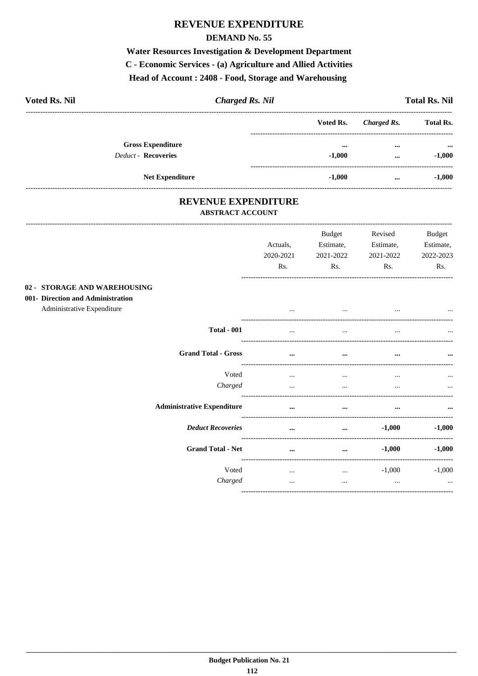## **REVENUE EXPENDITURE**

#### **DEMAND No. 55**

Water Resources Investigation & Development Department C - Economic Services - (a) Agriculture and Allied Activities Head of Account: 2408 - Food, Storage and Warehousing

| <b>Voted Rs. Nil</b>       | <b>Charged Rs. Nil</b> |                         |             | <b>Total Rs. Nil</b> |
|----------------------------|------------------------|-------------------------|-------------|----------------------|
|                            |                        | Voted Rs.               | Charged Rs. | <b>Total Rs.</b>     |
| <b>Gross Expenditure</b>   |                        | $\bullet\bullet\bullet$ | $\cdots$    | $\cdots$             |
| <b>Deduct - Recoveries</b> |                        | $-1,000$                | $\cdots$    | $-1,000$             |
| <b>Net Expenditure</b>     |                        | $-1,000$                | $\cdots$    | $-1,000$             |

#### REVENUE EXPENDITURE ABSTRACT ACCOUNT

|                                                                                                 | Actuals,<br>2020-2021<br>Rs. | <b>Budget</b><br>Estimate,<br>2021-2022<br>Rs. | Revised<br>Estimate,<br>2021-2022<br>Rs. | Budget<br>Estimate,<br>2022-2023<br>Rs. |
|-------------------------------------------------------------------------------------------------|------------------------------|------------------------------------------------|------------------------------------------|-----------------------------------------|
| 02 - STORAGE AND WAREHOUSING<br>001- Direction and Administration<br>Administrative Expenditure | $\cdots$                     | $\cdots$                                       |                                          |                                         |
| <b>Total - 001</b>                                                                              | $\cdots$                     | $\cdots$                                       | $\cdots$                                 | $\cdots$                                |
| <b>Grand Total - Gross</b>                                                                      | $\cdots$                     | $\cdots$                                       | $\cdots$                                 |                                         |
| Voted<br>Charged                                                                                | $\cdots$<br>$\cdots$         | $\cdots$<br>$\cdots$                           | $\cdots$<br>$\cdots$                     | $\cdots$                                |
| <b>Administrative Expenditure</b>                                                               | $\cdots$                     | $\cdots$                                       | $\cdots$                                 |                                         |
| <b>Deduct Recoveries</b>                                                                        | $\cdots$                     | $\cdots$                                       | $-1,000$                                 | $-1,000$                                |
| <b>Grand Total - Net</b>                                                                        | $\cdots$                     | $\cdots$                                       | $-1,000$                                 | $-1,000$                                |
| Voted<br>Charged                                                                                | $\cdots$<br>$\cdots$         | $\cdots$<br>$\cdots$                           | $-1,000$<br>$\cdots$                     | $-1,000$<br>$\cdots$                    |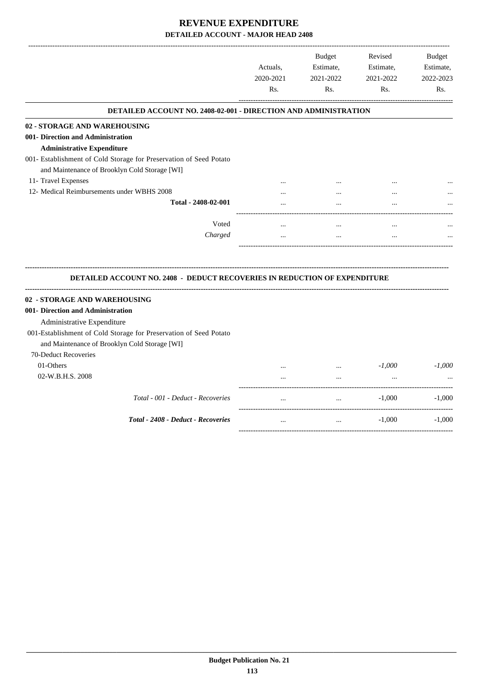|                                                                                                                    | Actuals,<br>2020-2021<br>Rs. | <b>Budget</b><br>Estimate,<br>2021-2022<br>Rs. | Revised<br>Estimate,<br>2021-2022<br>Rs. | <b>Budget</b><br>Estimate,<br>2022-2023<br>R <sub>s</sub> . |
|--------------------------------------------------------------------------------------------------------------------|------------------------------|------------------------------------------------|------------------------------------------|-------------------------------------------------------------|
| <b>DETAILED ACCOUNT NO. 2408-02-001 - DIRECTION AND ADMINISTRATION</b>                                             |                              |                                                |                                          |                                                             |
| 02 - STORAGE AND WAREHOUSING                                                                                       |                              |                                                |                                          |                                                             |
| 001- Direction and Administration                                                                                  |                              |                                                |                                          |                                                             |
| <b>Administrative Expenditure</b>                                                                                  |                              |                                                |                                          |                                                             |
| 001- Establishment of Cold Storage for Preservation of Seed Potato                                                 |                              |                                                |                                          |                                                             |
| and Maintenance of Brooklyn Cold Storage [WI]                                                                      |                              |                                                |                                          |                                                             |
| 11- Travel Expenses                                                                                                |                              |                                                |                                          |                                                             |
| 12- Medical Reimbursements under WBHS 2008                                                                         |                              |                                                |                                          |                                                             |
| Total - 2408-02-001                                                                                                |                              |                                                |                                          |                                                             |
| Voted                                                                                                              |                              |                                                |                                          |                                                             |
| Charged                                                                                                            | $\ddotsc$                    | $\dddotsc$                                     | $\ddotsc$                                |                                                             |
| DETAILED ACCOUNT NO. 2408 - DEDUCT RECOVERIES IN REDUCTION OF EXPENDITURE                                          |                              |                                                |                                          |                                                             |
| 02 - STORAGE AND WAREHOUSING                                                                                       |                              |                                                |                                          |                                                             |
| 001- Direction and Administration                                                                                  |                              |                                                |                                          |                                                             |
| Administrative Expenditure                                                                                         |                              |                                                |                                          |                                                             |
| 001-Establishment of Cold Storage for Preservation of Seed Potato<br>and Maintenance of Brooklyn Cold Storage [WI] |                              |                                                |                                          |                                                             |
| 70-Deduct Recoveries                                                                                               |                              |                                                |                                          |                                                             |
|                                                                                                                    |                              |                                                |                                          |                                                             |
|                                                                                                                    |                              |                                                |                                          |                                                             |
| 01-Others                                                                                                          |                              | $\ddotsc$                                      | $-1,000$                                 |                                                             |
| 02-W.B.H.S. 2008                                                                                                   |                              | $\cdots$                                       | $\ddotsc$                                |                                                             |
| Total - 001 - Deduct - Recoveries                                                                                  | $\cdots$                     | $\cdots$                                       | $-1,000$                                 | $-1,000$<br>$-1,000$                                        |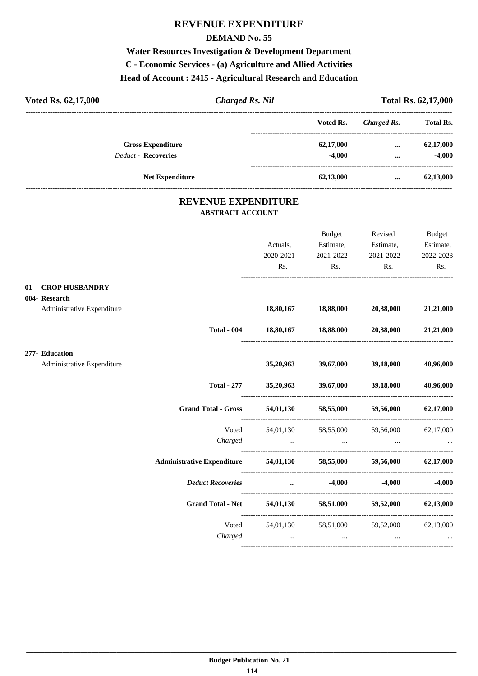# **REVENUE EXPENDITURE**

#### **DEMAND No. 55**

# **Water Resources Investigation & Development Department C - Economic Services - (a) Agriculture and Allied Activities Head of Account : 2415 - Agricultural Research and Education**

| Voted Rs. 62,17,000<br><b>Charged Rs. Nil</b>         |           |                               |                                                 | Total Rs. 62,17,000 |
|-------------------------------------------------------|-----------|-------------------------------|-------------------------------------------------|---------------------|
|                                                       |           |                               | Voted Rs. Charged Rs. Total Rs.                 |                     |
| <b>Gross Expenditure</b>                              |           | 62,17,000                     | $\cdots$                                        | 62,17,000           |
| <b>Deduct - Recoveries</b>                            |           | $-4,000$                      | $\cdots$                                        | $-4,000$            |
| <b>Net Expenditure</b>                                |           | 62,13,000                     | $\cdots$                                        | 62,13,000           |
| <b>REVENUE EXPENDITURE</b><br><b>ABSTRACT ACCOUNT</b> |           |                               |                                                 |                     |
|                                                       |           | Budget                        | Revised                                         | Budget              |
|                                                       | Actuals,  | Estimate, Estimate,           |                                                 | Estimate,           |
|                                                       | 2020-2021 | 2021-2022                     | 2021-2022                                       | 2022-2023           |
|                                                       | Rs.       | Rs.                           | Rs.                                             | Rs.                 |
| 01 - CROP HUSBANDRY                                   |           |                               |                                                 |                     |
| 004- Research<br>Administrative Expenditure           |           | 18,80,167 18,88,000 20,38,000 |                                                 | 21,21,000           |
| <b>Total - 004</b>                                    |           |                               | $18,80,167$ $18,88,000$ $20,38,000$ $21,21,000$ |                     |
| 277- Education                                        |           |                               | 35,20,963 39,67,000 39,18,000                   | 40,96,000           |
|                                                       |           |                               |                                                 |                     |
| Administrative Expenditure                            |           |                               |                                                 |                     |

| Total - 277                       | 35,20,963             | 39,67,000             | 39,18,000             | 40,96,000 |
|-----------------------------------|-----------------------|-----------------------|-----------------------|-----------|
| <b>Grand Total - Gross</b>        | 54,01,130             | 58,55,000             | 59,56,000             | 62,17,000 |
| Voted<br>Charged                  | 54,01,130<br>$\cdots$ | 58,55,000<br>$\cdots$ | 59,56,000<br>$\cdots$ | 62,17,000 |
| <b>Administrative Expenditure</b> | 54,01,130             | 58,55,000             | 59,56,000             | 62,17,000 |
| <b>Deduct Recoveries</b>          | $\cdots$              | $-4,000$              | $-4,000$              | $-4,000$  |
| <b>Grand Total - Net</b>          | 54,01,130             | 58,51,000             | 59,52,000             | 62,13,000 |
| Voted<br>Charged                  | 54,01,130<br>$\cdots$ | 58,51,000<br>$\cdots$ | 59,52,000<br>$\cdots$ | 62,13,000 |
|                                   |                       |                       |                       |           |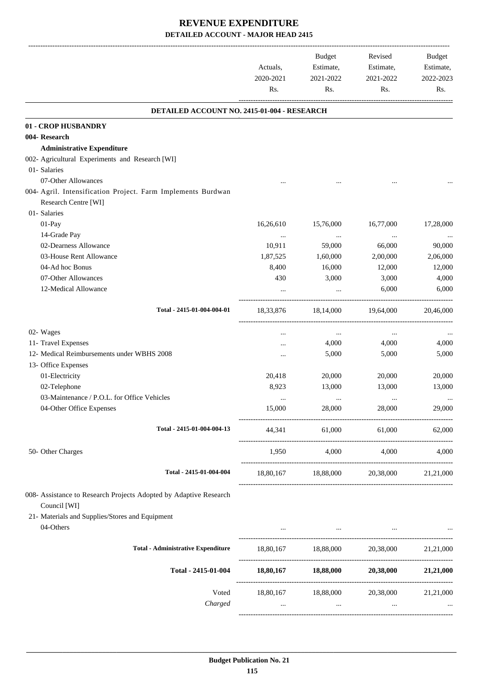|                                                                                      | Actuals,<br>2020-2021<br>Rs. | Budget<br>Estimate,<br>2021-2022<br>Rs. | Revised<br>Estimate,<br>2021-2022<br>Rs.                                                                         | Budget<br>Estimate,<br>2022-2023<br>Rs. |
|--------------------------------------------------------------------------------------|------------------------------|-----------------------------------------|------------------------------------------------------------------------------------------------------------------|-----------------------------------------|
| DETAILED ACCOUNT NO. 2415-01-004 - RESEARCH                                          |                              |                                         |                                                                                                                  |                                         |
| 01 - CROP HUSBANDRY                                                                  |                              |                                         |                                                                                                                  |                                         |
| 004- Research                                                                        |                              |                                         |                                                                                                                  |                                         |
| <b>Administrative Expenditure</b>                                                    |                              |                                         |                                                                                                                  |                                         |
| 002- Agricultural Experiments and Research [WI]                                      |                              |                                         |                                                                                                                  |                                         |
| 01- Salaries                                                                         |                              |                                         |                                                                                                                  |                                         |
| 07-Other Allowances                                                                  |                              |                                         |                                                                                                                  |                                         |
| 004- Agril. Intensification Project. Farm Implements Burdwan<br>Research Centre [WI] |                              |                                         |                                                                                                                  |                                         |
| 01- Salaries                                                                         |                              |                                         |                                                                                                                  |                                         |
| 01-Pay                                                                               | 16,26,610                    | 15,76,000                               | 16,77,000                                                                                                        | 17,28,000                               |
| 14-Grade Pay                                                                         |                              |                                         |                                                                                                                  |                                         |
| 02-Dearness Allowance                                                                | $\cdots$<br>10,911           | $\cdots$<br>59,000                      | $\ldots$<br>66,000                                                                                               | 90,000                                  |
| 03-House Rent Allowance                                                              | 1,87,525                     | 1,60,000                                | 2,00,000                                                                                                         | 2,06,000                                |
| 04-Ad hoc Bonus                                                                      | 8,400                        | 16,000                                  | 12,000                                                                                                           | 12,000                                  |
| 07-Other Allowances                                                                  | 430                          | 3,000                                   | 3,000                                                                                                            | 4,000                                   |
| 12-Medical Allowance                                                                 |                              |                                         | 6,000                                                                                                            | 6,000                                   |
|                                                                                      |                              |                                         |                                                                                                                  |                                         |
| Total - 2415-01-004-004-01                                                           | 18,33,876                    | 18,14,000                               | 19,64,000                                                                                                        | 20,46,000                               |
| 02- Wages                                                                            | $\cdots$                     | $\cdots$                                | $\cdots$                                                                                                         |                                         |
| 11- Travel Expenses                                                                  |                              | 4,000                                   | 4,000                                                                                                            | 4,000                                   |
| 12- Medical Reimbursements under WBHS 2008                                           |                              | 5,000                                   | 5,000                                                                                                            | 5,000                                   |
| 13- Office Expenses                                                                  |                              |                                         |                                                                                                                  |                                         |
| 01-Electricity                                                                       | 20,418                       | 20,000                                  | 20,000                                                                                                           | 20,000                                  |
| 02-Telephone                                                                         | 8,923                        | 13,000                                  | 13,000                                                                                                           | 13,000                                  |
| 03-Maintenance / P.O.L. for Office Vehicles                                          | $\cdots$                     | $\cdots$                                | $\cdots$                                                                                                         | $\ldots$                                |
| 04-Other Office Expenses                                                             | 15,000                       | 28,000                                  | 28,000                                                                                                           | 29,000                                  |
| Total - 2415-01-004-004-13                                                           |                              |                                         | 44,341 61,000 61,000 62,000                                                                                      |                                         |
| 50- Other Charges                                                                    |                              |                                         | 1,950 4,000 4,000                                                                                                | 4,000                                   |
| Total - 2415-01-004-004                                                              |                              |                                         | 18,80,167 18,88,000 20,38,000                                                                                    | 21,21,000                               |
| 008- Assistance to Research Projects Adopted by Adaptive Research<br>Council [WI]    |                              |                                         |                                                                                                                  |                                         |
| 21- Materials and Supplies/Stores and Equipment                                      |                              |                                         |                                                                                                                  |                                         |
| 04-Others                                                                            |                              |                                         | the contract of the contract of the contract of the contract of the contract of the contract of the contract of  |                                         |
| <b>Total - Administrative Expenditure</b>                                            |                              |                                         | 18,80,167   18,88,000   20,38,000   21,21,000                                                                    |                                         |
| Total - 2415-01-004                                                                  |                              |                                         | $18,80,167$ $18,88,000$ $20,38,000$ $21,21,000$                                                                  |                                         |
| Voted                                                                                |                              |                                         | 18,80,167 18,88,000 20,38,000 21,21,000                                                                          |                                         |
| Charged                                                                              |                              |                                         | and the control of the control of the control of the control of the control of the control of the control of the |                                         |
|                                                                                      |                              |                                         |                                                                                                                  |                                         |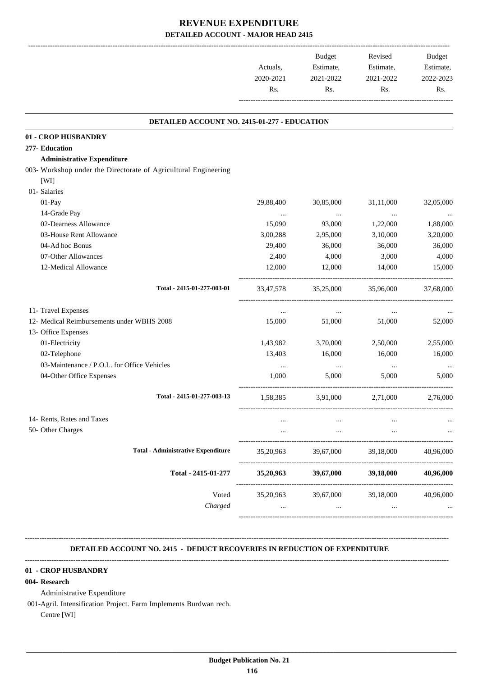|           | Budget    | Revised   | <b>Budget</b> |
|-----------|-----------|-----------|---------------|
| Actuals.  | Estimate, | Estimate, | Estimate,     |
| 2020-2021 | 2021-2022 | 2021-2022 | 2022-2023     |
| Rs.       | Rs.       | Rs.       | Rs.           |
|           |           |           |               |

.

#### **DETAILED ACCOUNT NO. 2415-01-277 - EDUCATION**

| 01 - CROP HUSBANDRY                                             |           |           |           |           |
|-----------------------------------------------------------------|-----------|-----------|-----------|-----------|
| 277- Education                                                  |           |           |           |           |
| <b>Administrative Expenditure</b>                               |           |           |           |           |
| 003- Workshop under the Directorate of Agricultural Engineering |           |           |           |           |
| [WI]                                                            |           |           |           |           |
| 01- Salaries                                                    |           |           |           |           |
| 01-Pay                                                          | 29,88,400 | 30,85,000 | 31,11,000 | 32,05,000 |
| 14-Grade Pay                                                    | $\cdots$  | $\ldots$  | $\ldots$  |           |
| 02-Dearness Allowance                                           | 15,090    | 93,000    | 1,22,000  | 1,88,000  |
| 03-House Rent Allowance                                         | 3,00,288  | 2,95,000  | 3,10,000  | 3,20,000  |
| 04-Ad hoc Bonus                                                 | 29,400    | 36,000    | 36,000    | 36,000    |
| 07-Other Allowances                                             | 2,400     | 4,000     | 3,000     | 4,000     |
| 12-Medical Allowance                                            | 12,000    | 12,000    | 14,000    | 15,000    |
| Total - 2415-01-277-003-01                                      | 33,47,578 | 35,25,000 | 35,96,000 | 37,68,000 |
| 11- Travel Expenses                                             | $\ldots$  | $\cdots$  | $\cdots$  |           |
| 12- Medical Reimbursements under WBHS 2008                      | 15,000    | 51,000    | 51,000    | 52,000    |
| 13- Office Expenses                                             |           |           |           |           |
| 01-Electricity                                                  | 1,43,982  | 3,70,000  | 2,50,000  | 2,55,000  |
| 02-Telephone                                                    | 13,403    | 16,000    | 16,000    | 16,000    |
| 03-Maintenance / P.O.L. for Office Vehicles                     | $\cdots$  | $\cdots$  | $\cdots$  |           |
| 04-Other Office Expenses                                        | 1,000     | 5,000     | 5,000     | 5,000     |
| Total - 2415-01-277-003-13                                      | 1,58,385  | 3,91,000  | 2,71,000  | 2.76,000  |
| 14- Rents, Rates and Taxes                                      | $\ddotsc$ | $\cdots$  | $\ddotsc$ |           |
| 50- Other Charges                                               |           | $\cdots$  |           |           |
| <b>Total - Administrative Expenditure</b>                       | 35,20,963 | 39,67,000 | 39,18,000 | 40,96,000 |
| Total - 2415-01-277                                             | 35,20,963 | 39,67,000 | 39,18,000 | 40,96,000 |
| Voted                                                           | 35,20,963 | 39,67,000 | 39,18,000 | 40,96,000 |
| Charged                                                         | $\cdots$  | $\cdots$  | $\cdots$  |           |

 **DETAILED ACCOUNT NO. 2415 - DEDUCT RECOVERIES IN REDUCTION OF EXPENDITURE**

**--------------------------------------------------------------------------------------------------------------------------------------------------------------------------------**

**--------------------------------------------------------------------------------------------------------------------------------------------------------------------------------**

#### **01 - CROP HUSBANDRY**

#### **004- Research**

Administrative Expenditure

001-Agril. Intensification Project. Farm Implements Burdwan rech.

Centre [WI]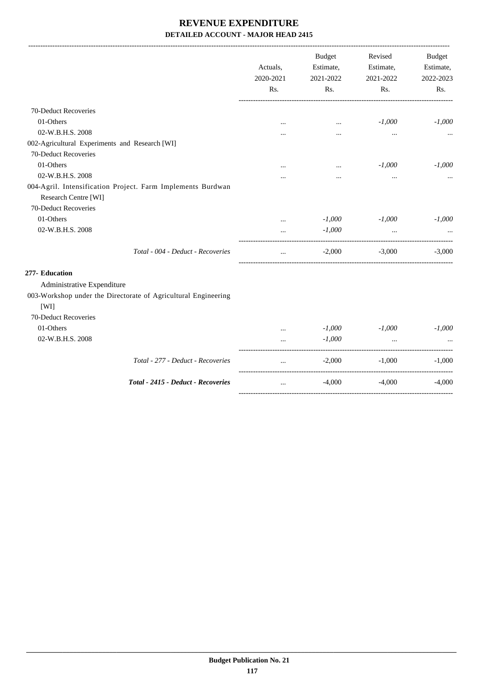|                                                                |           | <b>Budget</b> | Revised                           | <b>Budget</b> |
|----------------------------------------------------------------|-----------|---------------|-----------------------------------|---------------|
|                                                                | Actuals,  | Estimate,     | Estimate,                         | Estimate,     |
|                                                                | 2020-2021 | 2021-2022     | 2021-2022                         | 2022-2023     |
|                                                                | Rs.       | Rs.           | Rs.                               | Rs.           |
| 70-Deduct Recoveries                                           |           |               |                                   |               |
| 01-Others                                                      | $\cdots$  | $\cdots$      | $-1,000$                          | $-1,000$      |
| 02-W.B.H.S. 2008                                               |           |               |                                   |               |
| 002-Agricultural Experiments and Research [WI]                 |           |               |                                   |               |
| 70-Deduct Recoveries                                           |           |               |                                   |               |
| 01-Others                                                      |           | $\cdots$      | $-1,000$                          | $-1,000$      |
| 02-W.B.H.S. 2008                                               |           |               |                                   |               |
| 004-Agril. Intensification Project. Farm Implements Burdwan    |           |               |                                   |               |
| Research Centre [WI]                                           |           |               |                                   |               |
| 70-Deduct Recoveries                                           |           |               |                                   |               |
| 01-Others                                                      | $\cdots$  | $-1,000$      | $-1,000$                          | $-1,000$      |
| 02-W.B.H.S. 2008                                               | $\cdots$  | $-1,000$      | $\cdots$                          |               |
| Total - 004 - Deduct - Recoveries                              | $\cdots$  | $-2,000$      | $-3,000$                          | $-3,000$      |
| 277- Education                                                 |           |               |                                   |               |
| Administrative Expenditure                                     |           |               |                                   |               |
| 003-Workshop under the Directorate of Agricultural Engineering |           |               |                                   |               |
| [WI]                                                           |           |               |                                   |               |
| 70-Deduct Recoveries                                           |           |               |                                   |               |
| 01-Others                                                      | $\cdots$  | $-1,000$      | $-1,000$                          | $-1,000$      |
| 02-W.B.H.S. 2008                                               |           | $-1,000$      | $\ddotsc$                         |               |
| Total - 277 - Deduct - Recoveries                              | $\cdots$  | $-2,000$      | _____________________<br>$-1,000$ | $-1,000$      |
| Total - 2415 - Deduct - Recoveries                             | $\cdots$  | $-4,000$      | $-4,000$                          | $-4,000$      |
|                                                                |           |               |                                   |               |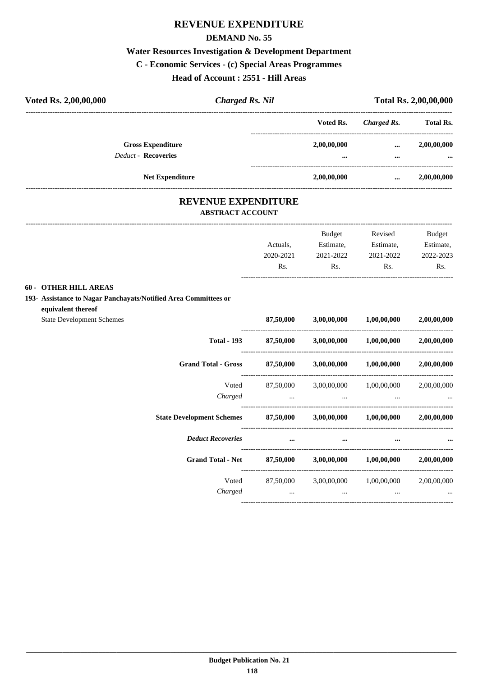## **REVENUE EXPENDITURE**

#### **DEMAND No. 55**

#### **Water Resources Investigation & Development Department**

#### **C - Economic Services - (c) Special Areas Programmes**

**Head of Account : 2551 - Hill Areas**

| Voted Rs. 2,00,00,000                                  | <b>Charged Rs. Nil</b> |                 | <b>Total Rs. 2,00,00,000</b> |                         |  |
|--------------------------------------------------------|------------------------|-----------------|------------------------------|-------------------------|--|
|                                                        |                        | Voted Rs.       | Charged Rs.                  | <b>Total Rs.</b>        |  |
| <b>Gross Expenditure</b><br><b>Deduct - Recoveries</b> |                        | 2,00,00,000<br> | <br>                         | 2,00,00,000<br>$\cdots$ |  |
| <b>Net Expenditure</b>                                 |                        | 2,00,00,000     |                              | 2,00,00,000             |  |

#### **REVENUE EXPENDITURE ABSTRACT ACCOUNT**

|                                                                            |           | <b>Budget</b> | Revised          | <b>Budget</b> |
|----------------------------------------------------------------------------|-----------|---------------|------------------|---------------|
|                                                                            | Actuals.  | Estimate,     | Estimate,        | Estimate,     |
|                                                                            | 2020-2021 | 2021-2022     | 2021-2022        | 2022-2023     |
|                                                                            | Rs.       | Rs.           | R <sub>s</sub> . | Rs.           |
|                                                                            |           |               |                  |               |
| $\alpha$<br>$\Omega$ of the $\Omega$ in $\Gamma$ is a property of $\Omega$ |           |               |                  |               |

#### **60 - OTHER HILL AREAS**

#### **193- Assistance to Nagar Panchayats/Notified Area Committees or**

| equivalent thereof               |                    |                       |                         |                         |             |
|----------------------------------|--------------------|-----------------------|-------------------------|-------------------------|-------------|
| <b>State Development Schemes</b> |                    | 87,50,000             | 3,00,00,000             | 1,00,00,000             | 2,00,00,000 |
|                                  | <b>Total - 193</b> | 87,50,000             | 3,00,00,000             | 1,00,00,000             | 2,00,00,000 |
| <b>Grand Total - Gross</b>       |                    | 87,50,000             | 3,00,00,000             | 1,00,00,000             | 2,00,00,000 |
|                                  | Voted<br>Charged   | 87,50,000<br>$\cdots$ | 3,00,00,000<br>$\cdots$ | 1,00,00,000<br>$\cdots$ | 2,00,00,000 |
| <b>State Development Schemes</b> |                    | 87,50,000             | 3,00,00,000             | 1,00,00,000             | 2,00,00,000 |
| <b>Deduct Recoveries</b>         |                    | $\cdots$              | $\cdots$                | $\cdots$                | $\cdots$    |
| <b>Grand Total - Net</b>         |                    | 87,50,000             | 3,00,00,000             | 1,00,00,000             | 2,00,00,000 |
|                                  | Voted              | 87,50,000             | 3,00,00,000             | 1,00,00,000             | 2,00,00,000 |
|                                  | Charged            | $\cdots$              | $\cdots$                | $\cdots$                | $\cdots$    |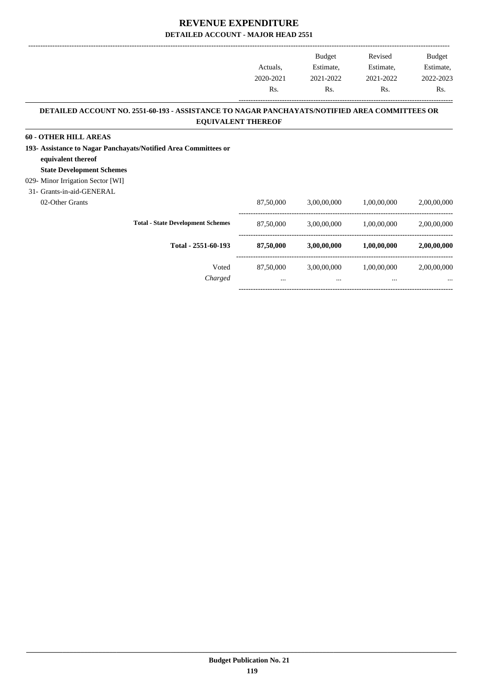|                                                                                               |           | Budget      | Revised                 | Budget      |
|-----------------------------------------------------------------------------------------------|-----------|-------------|-------------------------|-------------|
|                                                                                               | Actuals.  | Estimate,   | Estimate,               | Estimate,   |
|                                                                                               | 2020-2021 | 2021-2022   | 2021-2022               | 2022-2023   |
|                                                                                               | Rs.       | Rs.         | Rs.                     | Rs.         |
| DETAILED ACCOUNT NO. 2551-60-193 - ASSISTANCE TO NAGAR PANCHAYATS/NOTIFIED AREA COMMITTEES OR |           |             |                         |             |
| <b>EQUIVALENT THEREOF</b>                                                                     |           |             |                         |             |
| <b>60 - OTHER HILL AREAS</b>                                                                  |           |             |                         |             |
| 193- Assistance to Nagar Panchayats/Notified Area Committees or<br>equivalent thereof         |           |             |                         |             |
| <b>State Development Schemes</b>                                                              |           |             |                         |             |
| 029- Minor Irrigation Sector [WI]                                                             |           |             |                         |             |
| 31- Grants-in-aid-GENERAL                                                                     |           |             |                         |             |
| 02-Other Grants                                                                               | 87,50,000 |             | 3,00,00,000 1,00,00,000 | 2,00,00,000 |
| <b>Total - State Development Schemes</b>                                                      | 87,50,000 |             | 3,00,00,000 1,00,00,000 | 2,00,00,000 |
| Total - 2551-60-193                                                                           | 87,50,000 | 3,00,00,000 | 1,00,00,000             | 2,00,00,000 |
| Voted                                                                                         | 87,50,000 |             | 3,00,00,000 1,00,00,000 | 2,00,00,000 |
| Charged                                                                                       | $\cdots$  | $\cdots$    | $\cdots$                |             |
|                                                                                               |           |             |                         |             |

-----------------------------------------------------------------------------------------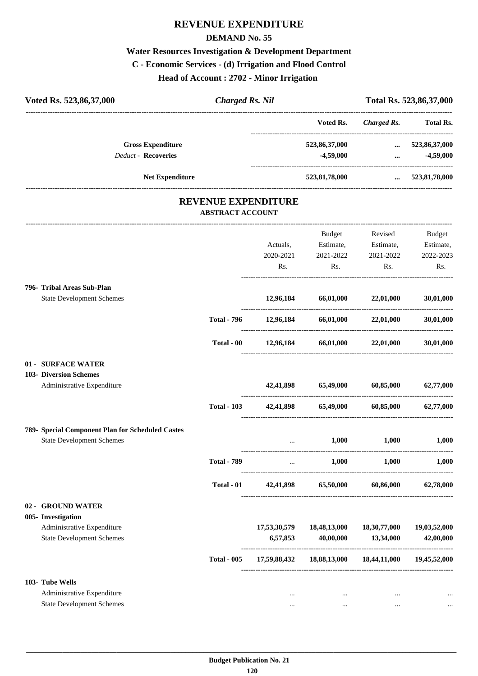# **REVENUE EXPENDITURE**

#### **DEMAND No. 55**

# **Water Resources Investigation & Development Department C - Economic Services - (d) Irrigation and Flood Control Head of Account : 2702 - Minor Irrigation**

| Voted Rs. 523,86,37,000                          | <b>Charged Rs. Nil</b>                                |              |                               |                                              | Total Rs. 523,86,37,000 |
|--------------------------------------------------|-------------------------------------------------------|--------------|-------------------------------|----------------------------------------------|-------------------------|
|                                                  |                                                       |              | Voted Rs.                     | <b>Charged Rs.</b>                           | <b>Total Rs.</b>        |
| <b>Gross Expenditure</b>                         |                                                       |              | 523,86,37,000                 | --------------------------------<br>$\cdots$ | 523,86,37,000           |
| <b>Deduct - Recoveries</b>                       |                                                       |              | $-4,59,000$                   | $\cdots$                                     | $-4,59,000$             |
| <b>Net Expenditure</b>                           |                                                       |              | 523,81,78,000                 |                                              | $\dots$ 523,81,78,000   |
|                                                  | <b>REVENUE EXPENDITURE</b><br><b>ABSTRACT ACCOUNT</b> |              |                               |                                              |                         |
|                                                  |                                                       |              |                               |                                              |                         |
|                                                  |                                                       |              | Budget                        | Revised                                      | <b>Budget</b>           |
|                                                  |                                                       | Actuals,     | Estimate,                     | Estimate,                                    | Estimate,               |
|                                                  |                                                       | 2020-2021    | 2021-2022                     | 2021-2022                                    | 2022-2023               |
|                                                  |                                                       | Rs.          | Rs.                           | Rs.                                          | Rs.                     |
| 796- Tribal Areas Sub-Plan                       |                                                       |              |                               |                                              |                         |
| <b>State Development Schemes</b>                 |                                                       | 12,96,184    | 66,01,000                     | 22,01,000                                    | 30,01,000               |
|                                                  | <b>Total - 796</b>                                    | 12,96,184    | 66,01,000                     | 22,01,000                                    | 30,01,000               |
|                                                  | Total - 00                                            | 12,96,184    | 66,01,000                     | 22,01,000                                    | 30,01,000               |
| 01 - SURFACE WATER                               |                                                       |              |                               |                                              |                         |
| 103- Diversion Schemes                           |                                                       |              |                               |                                              |                         |
| Administrative Expenditure                       |                                                       | 42,41,898    | 65,49,000                     | 60,85,000                                    | 62,77,000               |
|                                                  | <b>Total - 103</b>                                    | 42,41,898    | 65,49,000                     | 60,85,000                                    | 62,77,000               |
| 789- Special Component Plan for Scheduled Castes |                                                       |              |                               |                                              |                         |
| <b>State Development Schemes</b>                 |                                                       | $\cdots$     | 1,000                         | 1,000                                        | 1,000                   |
|                                                  | <b>Total - 789</b>                                    |              | $\ldots$ 1,000 1,000          |                                              | 1,000                   |
|                                                  | Total - 01                                            |              | 42,41,898 65,50,000 60,86,000 |                                              | 62,78,000               |
| 02 - GROUND WATER                                |                                                       |              |                               |                                              |                         |
| 005- Investigation                               |                                                       |              |                               |                                              |                         |
| Administrative Expenditure                       |                                                       | 17,53,30,579 | 18,48,13,000                  | 18,30,77,000                                 | 19,03,52,000            |
| <b>State Development Schemes</b>                 |                                                       | 6,57,853     | 40,00,000                     | 13,34,000                                    | 42,00,000               |
|                                                  | <b>Total - 005</b>                                    | 17,59,88,432 |                               | 18,88,13,000 18,44,11,000 19,45,52,000       |                         |
| 103- Tube Wells                                  |                                                       |              |                               |                                              |                         |
| Administrative Expenditure                       |                                                       | $\cdots$     | $\cdots$                      | $\ldots$                                     | $\ddotsc$               |
| <b>State Development Schemes</b>                 |                                                       | $\cdots$     | $\cdots$                      | $\cdots$                                     |                         |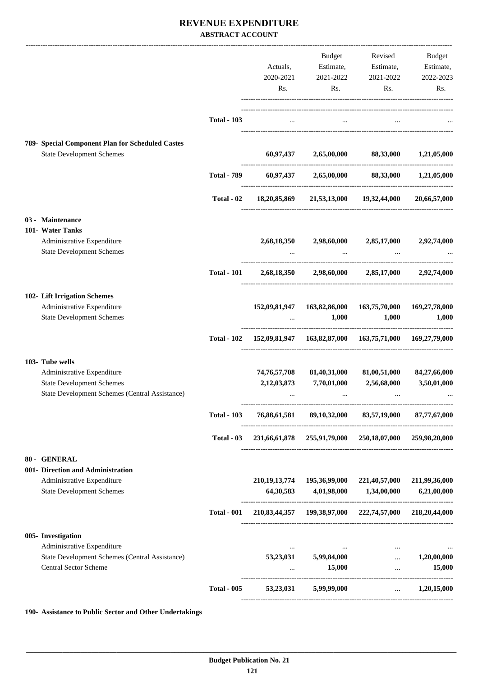#### **REVENUE EXPENDITURE ABSTRACT ACCOUNT**

|                                                                                                              |                    |                      | <b>Budget</b>                             |                                                                     | Revised Budget                    |
|--------------------------------------------------------------------------------------------------------------|--------------------|----------------------|-------------------------------------------|---------------------------------------------------------------------|-----------------------------------|
|                                                                                                              |                    | Actuals,             |                                           | Estimate, Estimate, Estimate,                                       |                                   |
|                                                                                                              |                    | 2020-2021            | 2021-2022                                 | 2021-2022                                                           | 2022-2023                         |
|                                                                                                              |                    | Rs.                  | Rs.                                       | Rs.                                                                 | Rs.                               |
|                                                                                                              |                    |                      |                                           |                                                                     |                                   |
|                                                                                                              | <b>Total - 103</b> | $\cdots$             | $\cdots$                                  |                                                                     |                                   |
|                                                                                                              |                    |                      |                                           |                                                                     |                                   |
| 789- Special Component Plan for Scheduled Castes<br><b>State Development Schemes</b>                         |                    |                      |                                           | $60,97,437$ $2,65,00,000$ $88,33,000$ $1,21,05,000$                 |                                   |
|                                                                                                              |                    |                      |                                           |                                                                     |                                   |
|                                                                                                              | <b>Total - 789</b> |                      |                                           | $60,97,437$ $2,65,00,000$ $88,33,000$ $1,21,05,000$                 |                                   |
|                                                                                                              | Total - 02         |                      |                                           | 18,20,85,869 21,53,13,000 19,32,44,000 20,66,57,000                 |                                   |
| 03 - Maintenance                                                                                             |                    |                      |                                           |                                                                     |                                   |
| 101- Water Tanks                                                                                             |                    |                      |                                           |                                                                     |                                   |
| Administrative Expenditure<br><b>State Development Schemes</b>                                               |                    |                      |                                           | 2,68,18,350 2,98,60,000 2,85,17,000 2,92,74,000                     |                                   |
|                                                                                                              | <b>Total - 101</b> |                      |                                           | 2,68,18,350 2,98,60,000 2,85,17,000 2,92,74,000                     |                                   |
| 102- Lift Irrigation Schemes                                                                                 |                    |                      |                                           |                                                                     |                                   |
| Administrative Expenditure                                                                                   |                    |                      |                                           | 152,09,81,947  163,82,86,000  163,75,70,000  169,27,78,000          |                                   |
| <b>State Development Schemes</b>                                                                             |                    |                      | 1,000<br>and the state of the             | 1,000                                                               | 1,000                             |
|                                                                                                              |                    |                      |                                           | Total - 102 152,09,81,947 163,82,87,000 163,75,71,000 169,27,79,000 |                                   |
| 103- Tube wells                                                                                              |                    |                      |                                           |                                                                     |                                   |
| Administrative Expenditure                                                                                   |                    | 74,76,57,708         | 81,40,31,000                              | 81,00,51,000                                                        | 84,27,66,000                      |
| <b>State Development Schemes</b>                                                                             |                    | 2,12,03,873          | 7,70,01,000                               | 2,56,68,000                                                         | 3,50,01,000                       |
| <b>State Development Schemes (Central Assistance)</b>                                                        |                    | $\cdots$             | $\cdots$                                  | $\cdots$                                                            |                                   |
|                                                                                                              | <b>Total - 103</b> |                      |                                           | 76,88,61,581 89,10,32,000 83,57,19,000 87,77,67,000                 |                                   |
|                                                                                                              | Total $-03$        |                      |                                           | 231,66,61,878 255,91,79,000 250,18,07,000 259,98,20,000             |                                   |
| 80 - GENERAL                                                                                                 |                    |                      |                                           |                                                                     |                                   |
| 001- Direction and Administration                                                                            |                    |                      |                                           |                                                                     |                                   |
| Administrative Expenditure                                                                                   |                    |                      |                                           | 210,19,13,774 195,36,99,000 221,40,57,000                           | 211,99,36,000                     |
| <b>State Development Schemes</b>                                                                             |                    |                      | 64, 30, 583 4, 01, 98, 000 1, 34, 00, 000 |                                                                     | 6,21,08,000                       |
|                                                                                                              | <b>Total - 001</b> |                      |                                           | 210,83,44,357 199,38,97,000 222,74,57,000 218,20,44,000             |                                   |
| 005- Investigation                                                                                           |                    |                      |                                           |                                                                     |                                   |
| Administrative Expenditure<br>State Development Schemes (Central Assistance)<br><b>Central Sector Scheme</b> |                    | $\cdots$<br>$\cdots$ | $53,23,031$ $5,99,84,000$<br>15,000       | $\cdots$<br>$\sim$<br>$\cdots$                                      | $\cdots$<br>1,20,00,000<br>15,000 |
|                                                                                                              | <b>Total - 005</b> |                      | 53,23,031 5,99,99,000                     | $\cdots$                                                            | 1,20,15,000                       |
|                                                                                                              |                    |                      |                                           |                                                                     |                                   |

**190- Assistance to Public Sector and Other Undertakings**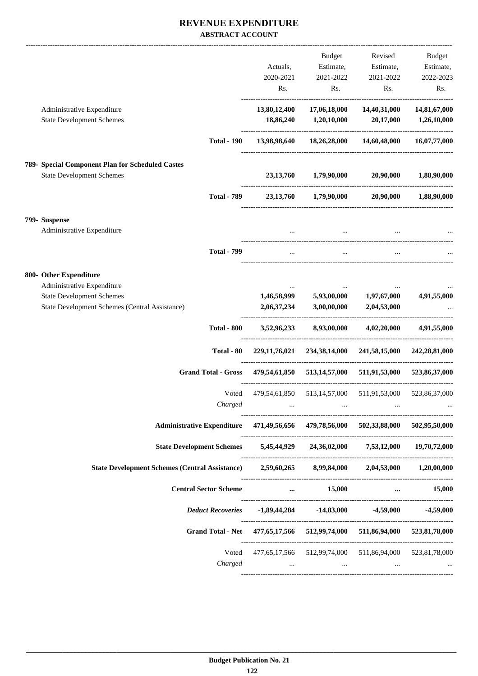#### **REVENUE EXPENDITURE ABSTRACT ACCOUNT**

|                                                                                                |                  | <b>Budget</b>                                                 | Revised                                                       | <b>Budget</b>                   |
|------------------------------------------------------------------------------------------------|------------------|---------------------------------------------------------------|---------------------------------------------------------------|---------------------------------|
|                                                                                                | Actuals,         | Estimate,                                                     | Estimate,                                                     | Estimate,                       |
|                                                                                                | 2020-2021        | 2021-2022                                                     | 2021-2022                                                     | 2022-2023                       |
|                                                                                                | Rs.              | Rs.                                                           | Rs.                                                           | Rs.                             |
| Administrative Expenditure                                                                     | 13,80,12,400     | 17,06,18,000                                                  | 14,40,31,000                                                  | 14,81,67,000                    |
| <b>State Development Schemes</b>                                                               | 18,86,240        | 1,20,10,000                                                   | 20,17,000                                                     | 1,26,10,000                     |
| <b>Total - 190</b>                                                                             | 13,98,98,640     | 18,26,28,000                                                  | 14,60,48,000                                                  | 16,07,77,000                    |
| 789- Special Component Plan for Scheduled Castes                                               |                  |                                                               |                                                               |                                 |
| <b>State Development Schemes</b>                                                               | 23, 13, 760      | 1,79,90,000                                                   | 20,90,000                                                     | 1,88,90,000                     |
| <b>Total - 789</b>                                                                             | 23, 13, 760      | 1,79,90,000                                                   | 20,90,000                                                     | 1,88,90,000                     |
|                                                                                                |                  |                                                               |                                                               |                                 |
| 799- Suspense                                                                                  |                  |                                                               |                                                               |                                 |
| Administrative Expenditure                                                                     |                  |                                                               |                                                               |                                 |
| <b>Total - 799</b>                                                                             |                  |                                                               |                                                               |                                 |
| 800- Other Expenditure                                                                         |                  |                                                               |                                                               |                                 |
| Administrative Expenditure                                                                     |                  |                                                               |                                                               |                                 |
| <b>State Development Schemes</b>                                                               | 1,46,58,999      | 5,93,00,000                                                   | 1,97,67,000                                                   | 4,91,55,000                     |
| State Development Schemes (Central Assistance)                                                 | 2,06,37,234      | 3,00,00,000                                                   | 2,04,53,000                                                   |                                 |
| <b>Total - 800</b>                                                                             | 3,52,96,233      | 8,93,00,000                                                   | 4,02,20,000                                                   | 4,91,55,000                     |
| Total - 80                                                                                     | 229, 11, 76, 021 | 234,38,14,000                                                 | 241,58,15,000                                                 | 242,28,81,000                   |
| <b>Grand Total - Gross</b>                                                                     | 479,54,61,850    | 513,14,57,000                                                 | 511,91,53,000                                                 | 523,86,37,000                   |
| Voted                                                                                          |                  |                                                               | 479,54,61,850 513,14,57,000 511,91,53,000                     | 523,86,37,000                   |
| Charged                                                                                        |                  |                                                               |                                                               |                                 |
| Administrative Expenditure 471,49,56,656 479,78,56,000 502,33,88,000 502,95,50,000             |                  |                                                               |                                                               |                                 |
| State Development Schemes 5,45,44,929 24,36,02,000 7,53,12,000 19,70,72,000                    |                  |                                                               |                                                               |                                 |
| State Development Schemes (Central Assistance) 2,59,60,265 8,99,84,000 2,04,53,000 1,20,00,000 |                  |                                                               |                                                               |                                 |
| <b>Central Sector Scheme</b>                                                                   |                  | $\ldots$ 15,000                                               | $\cdots$                                                      | 15,000                          |
| <b>Deduct Recoveries</b>                                                                       |                  |                                                               | $-1,89,44,284$ $-14,83,000$ $-4,59,000$ $-4,59,000$           |                                 |
| Grand Total - Net 477,65,17,566 512,99,74,000 511,86,94,000 523,81,78,000                      |                  |                                                               |                                                               |                                 |
|                                                                                                |                  |                                                               | Voted 477,65,17,566 512,99,74,000 511,86,94,000 523,81,78,000 |                                 |
| Charged                                                                                        |                  | $\mathbf{r}$ and $\mathbf{r}$ are all the set of $\mathbf{r}$ | and the state of the state of the                             | <b>Second Contract Contract</b> |
|                                                                                                |                  |                                                               |                                                               |                                 |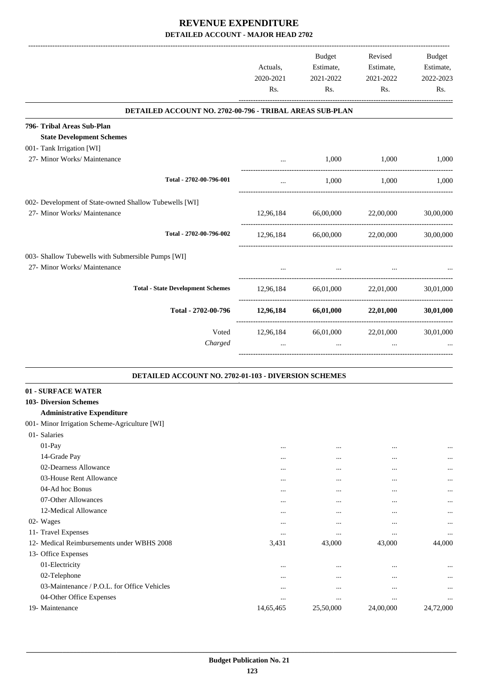|                                                          |           | Budget                              | Revised             | <b>Budget</b> |
|----------------------------------------------------------|-----------|-------------------------------------|---------------------|---------------|
|                                                          | Actuals,  | Estimate,                           | Estimate,           | Estimate,     |
|                                                          | 2020-2021 | 2021-2022                           | 2021-2022           | 2022-2023     |
|                                                          | Rs.       | Rs.                                 | Rs.                 | Rs.           |
| DETAILED ACCOUNT NO. 2702-00-796 - TRIBAL AREAS SUB-PLAN |           |                                     |                     |               |
| 796- Tribal Areas Sub-Plan                               |           |                                     |                     |               |
| <b>State Development Schemes</b>                         |           |                                     |                     |               |
| 001- Tank Irrigation [WI]                                |           |                                     |                     |               |
| 27- Minor Works/ Maintenance                             |           | 1,000                               | 1,000               | 1,000         |
| Total - 2702-00-796-001                                  | $\cdots$  | 1,000                               | 1,000               | 1,000         |
| 002- Development of State-owned Shallow Tubewells [WI]   |           |                                     |                     |               |
| 27- Minor Works/ Maintenance                             |           | 12,96,184 66,00,000 22,00,000       |                     | 30,00,000     |
| Total - 2702-00-796-002                                  | 12,96,184 | 66,00,000                           | 22,00,000           | 30,00,000     |
| 003- Shallow Tubewells with Submersible Pumps [WI]       |           |                                     |                     |               |
| 27- Minor Works/ Maintenance                             |           | $\cdots$                            |                     |               |
| <b>Total - State Development Schemes</b>                 | 12,96,184 |                                     | 66,01,000 22,01,000 | 30,01,000     |
| Total - 2702-00-796                                      |           | $12,96,184$ $66,01,000$ $22,01,000$ |                     | 30,01,000     |
| Voted                                                    |           | 12,96,184 66,01,000 22,01,000       |                     | 30,01,000     |
| Charged                                                  |           | $\cdots$                            | $\cdots$            |               |
|                                                          |           |                                     |                     |               |

#### **DETAILED ACCOUNT NO. 2702-01-103 - DIVERSION SCHEMES .**

| 01 - SURFACE WATER                            |           |           |           |           |
|-----------------------------------------------|-----------|-----------|-----------|-----------|
| <b>103- Diversion Schemes</b>                 |           |           |           |           |
| <b>Administrative Expenditure</b>             |           |           |           |           |
| 001- Minor Irrigation Scheme-Agriculture [WI] |           |           |           |           |
| 01- Salaries                                  |           |           |           |           |
| $01-Pay$                                      | $\cdots$  | $\cdots$  | $\cdots$  | $\ddotsc$ |
| 14-Grade Pay                                  | $\cdots$  | $\cdots$  | $\cdots$  | $\ddotsc$ |
| 02-Dearness Allowance                         | $\cdots$  | $\cdots$  | $\cdots$  | $\ddotsc$ |
| 03-House Rent Allowance                       | $\cdots$  | $\cdots$  | $\cdots$  | $\ddotsc$ |
| 04-Ad hoc Bonus                               | $\cdots$  | $\cdots$  | $\cdots$  | $\ddotsc$ |
| 07-Other Allowances                           |           | $\cdots$  | $\cdots$  | $\ddotsc$ |
| 12-Medical Allowance                          | $\cdots$  | $\cdots$  | $\cdots$  | $\ddotsc$ |
| 02- Wages                                     | $\cdots$  | $\cdots$  | $\cdots$  | $\ddotsc$ |
| 11- Travel Expenses                           | $\cdots$  | $\cdots$  | $\cdots$  | $\ddotsc$ |
| 12- Medical Reimbursements under WBHS 2008    | 3,431     | 43,000    | 43,000    | 44,000    |
| 13- Office Expenses                           |           |           |           |           |
| 01-Electricity                                | $\cdots$  | $\cdots$  | $\cdots$  | $\ddotsc$ |
| 02-Telephone                                  | $\cdots$  | $\cdots$  | $\cdots$  | $\ddotsc$ |
| 03-Maintenance / P.O.L. for Office Vehicles   | $\cdots$  | $\cdots$  | $\cdots$  | $\ddotsc$ |
| 04-Other Office Expenses                      | $\cdots$  | $\cdots$  | $\cdots$  | $\ddotsc$ |
| 19- Maintenance                               | 14,65,465 | 25,50,000 | 24,00,000 | 24,72,000 |
|                                               |           |           |           |           |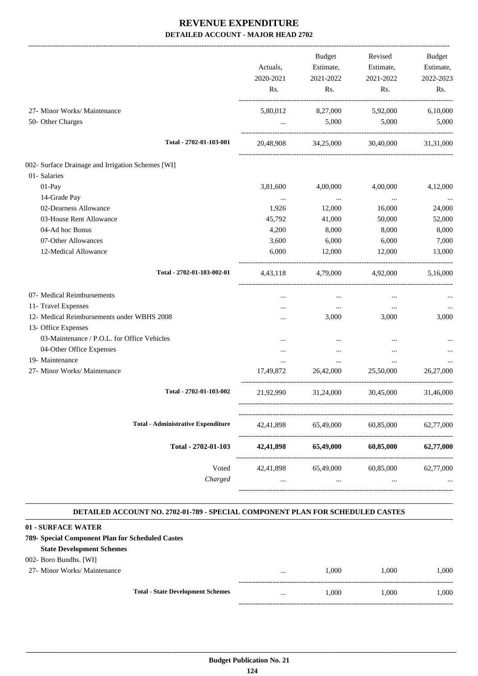|                                                   | Actuals,<br>2020-2021 | <b>Budget</b><br>Estimate,<br>2021-2022 | Revised<br>Estimate,<br>2021-2022 | <b>Budget</b><br>Estimate,<br>2022-2023 |
|---------------------------------------------------|-----------------------|-----------------------------------------|-----------------------------------|-----------------------------------------|
|                                                   | Rs.                   | Rs.                                     | Rs.                               | Rs.                                     |
| 27- Minor Works/ Maintenance                      | 5,80,012              | 8,27,000                                | 5,92,000                          | 6,10,000                                |
| 50- Other Charges                                 | $\cdots$              | 5,000                                   | 5,000                             | 5,000                                   |
| Total - 2702-01-103-001                           | 20,48,908             | 34,25,000                               | 30.40.000                         | 31.31.000                               |
| 002- Surface Drainage and Irrigation Schemes [WI] |                       |                                         |                                   |                                         |
| 01- Salaries                                      |                       |                                         |                                   |                                         |
| 01-Pay                                            | 3,81,600              | 4,00,000                                | 4,00,000                          | 4,12,000                                |
| 14-Grade Pay                                      | $\cdots$              | $\cdots$                                | $\cdots$                          | $\cdots$                                |
| 02-Dearness Allowance                             | 1,926                 | 12,000                                  | 16,000                            | 24,000                                  |
| 03-House Rent Allowance                           | 45,792                | 41,000                                  | 50,000                            | 52,000                                  |
| 04-Ad hoc Bonus                                   | 4,200                 | 8,000                                   | 8,000                             | 8,000                                   |
| 07-Other Allowances                               | 3,600                 | 6,000                                   | 6,000                             | 7,000                                   |
| 12-Medical Allowance                              | 6,000                 | 12,000                                  | 12,000                            | 13,000                                  |
| Total - 2702-01-103-002-01                        | 4,43,118              | 4,79,000                                | 4,92,000                          | 5,16,000                                |
| 07- Medical Reimbursements                        |                       | $\cdots$                                | $\cdots$                          |                                         |
| 11- Travel Expenses                               |                       | $\cdots$                                | $\cdots$                          |                                         |
| 12- Medical Reimbursements under WBHS 2008        | $\cdots$              | 3,000                                   | 3,000                             | 3,000                                   |
| 13- Office Expenses                               |                       |                                         |                                   |                                         |
| 03-Maintenance / P.O.L. for Office Vehicles       |                       |                                         | $\ddotsc$                         |                                         |
| 04-Other Office Expenses                          |                       | $\cdots$                                |                                   |                                         |
| 19- Maintenance                                   | $\cdots$              | $\cdots$                                | $\cdots$                          |                                         |
| 27- Minor Works/ Maintenance                      | 17,49,872             | 26,42,000                               | 25,50,000                         | 26,27,000                               |
| Total - 2702-01-103-002                           | 21,92,990             | 31,24,000                               | 30,45,000                         | 31,46,000                               |
| <b>Total - Administrative Expenditure</b>         | 42,41,898             | 65,49,000                               | 60,85,000                         | 62,77,000                               |
| Total - 2702-01-103                               | 42,41,898             | 65,49,000                               | 60,85,000                         | 62,77,000                               |
| Voted<br>Charged                                  | 42,41,898<br>$\cdots$ | 65,49,000<br>$\ldots$                   | 60,85,000<br>$\cdots$             | 62,77,000                               |
|                                                   |                       |                                         |                                   |                                         |

#### **DETAILED ACCOUNT NO. 2702-01-789 - SPECIAL COMPONENT PLAN FOR SCHEDULED CASTES .**

.

| 01 - SURFACE WATER                               |                                          |          |       |       |       |
|--------------------------------------------------|------------------------------------------|----------|-------|-------|-------|
| 789- Special Component Plan for Scheduled Castes |                                          |          |       |       |       |
| <b>State Development Schemes</b>                 |                                          |          |       |       |       |
| 002- Boro Bundhs. [WI]                           |                                          |          |       |       |       |
| 27- Minor Works/ Maintenance                     |                                          |          | 1.000 | 1.000 | 1.000 |
|                                                  |                                          |          |       |       |       |
|                                                  | <b>Total - State Development Schemes</b> | $\cdots$ | 1.000 | 1.000 | 1.000 |
|                                                  |                                          |          |       |       |       |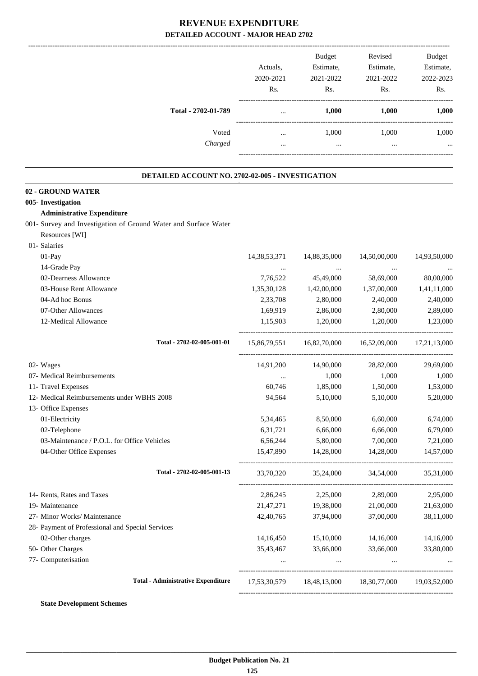|                                                                 | Actuals,<br>2020-2021<br>Rs. | Budget<br>Estimate,<br>2021-2022<br>Rs. | Revised<br>Estimate,<br>2021-2022<br>Rs.            | <b>Budget</b><br>Estimate,<br>2022-2023<br>Rs. |
|-----------------------------------------------------------------|------------------------------|-----------------------------------------|-----------------------------------------------------|------------------------------------------------|
| Total - 2702-01-789                                             | $\cdots$                     | 1,000                                   | 1,000                                               | 1,000                                          |
| Voted                                                           |                              | 1,000                                   | 1,000                                               | 1,000                                          |
| Charged                                                         | $\cdots$                     | $\ddotsc$                               | $\ddotsc$                                           |                                                |
| DETAILED ACCOUNT NO. 2702-02-005 - INVESTIGATION                |                              |                                         |                                                     |                                                |
| 02 - GROUND WATER                                               |                              |                                         |                                                     |                                                |
| 005- Investigation                                              |                              |                                         |                                                     |                                                |
| <b>Administrative Expenditure</b>                               |                              |                                         |                                                     |                                                |
| 001- Survey and Investigation of Ground Water and Surface Water |                              |                                         |                                                     |                                                |
| Resources [WI]                                                  |                              |                                         |                                                     |                                                |
| 01- Salaries                                                    |                              |                                         |                                                     |                                                |
| 01-Pay                                                          | 14,38,53,371                 | 14,88,35,000                            | 14,50,00,000                                        | 14,93,50,000                                   |
| 14-Grade Pay                                                    | $\cdots$                     | $\cdots$                                | $\cdots$                                            |                                                |
| 02-Dearness Allowance                                           | 7,76,522                     | 45,49,000                               | 58,69,000                                           | 80,00,000                                      |
| 03-House Rent Allowance                                         | 1,35,30,128                  | 1,42,00,000                             | 1,37,00,000                                         | 1,41,11,000                                    |
| 04-Ad hoc Bonus                                                 | 2,33,708                     | 2,80,000                                | 2,40,000                                            | 2,40,000                                       |
| 07-Other Allowances                                             | 1,69,919                     | 2,86,000                                | 2,80,000                                            | 2,89,000                                       |
| 12-Medical Allowance                                            | 1,15,903                     | 1,20,000                                | 1,20,000                                            | 1,23,000                                       |
| Total - 2702-02-005-001-01                                      | 15,86,79,551                 |                                         | 16,82,70,000 16,52,09,000 17,21,13,000              |                                                |
| 02- Wages                                                       | 14,91,200                    | 14,90,000                               | 28,82,000                                           | 29,69,000                                      |
| 07- Medical Reimbursements                                      | $\cdots$                     | 1,000                                   | 1,000                                               | 1,000                                          |
| 11- Travel Expenses                                             | 60,746                       | 1,85,000                                | 1,50,000                                            | 1,53,000                                       |
| 12- Medical Reimbursements under WBHS 2008                      | 94,564                       | 5,10,000                                | 5,10,000                                            | 5,20,000                                       |
| 13- Office Expenses                                             |                              |                                         |                                                     |                                                |
| 01-Electricity                                                  | 5,34,465                     | 8,50,000                                | 6,60,000                                            | 6,74,000                                       |
| 02-Telephone                                                    | 6,31,721                     | 6,66,000                                | 6,66,000                                            | 6,79,000                                       |
| 03-Maintenance / P.O.L. for Office Vehicles                     | 6,56,244                     | 5,80,000                                | 7,00,000                                            | 7,21,000                                       |
| 04-Other Office Expenses                                        | 15,47,890                    | 14,28,000                               | 14,28,000                                           | 14,57,000                                      |
| Total - 2702-02-005-001-13                                      | 33,70,320                    | 35,24,000                               | 34,54,000                                           | 35,31,000                                      |
| 14- Rents, Rates and Taxes                                      | 2,86,245                     | 2,25,000                                | 2,89,000                                            | 2,95,000                                       |
| 19- Maintenance                                                 | 21,47,271                    | 19,38,000                               | 21,00,000                                           | 21,63,000                                      |
| 27- Minor Works/ Maintenance                                    | 42,40,765                    | 37,94,000                               | 37,00,000                                           | 38,11,000                                      |
| 28- Payment of Professional and Special Services                |                              |                                         |                                                     |                                                |
| 02-Other charges                                                | 14,16,450                    | 15,10,000                               | 14,16,000                                           | 14,16,000                                      |
| 50- Other Charges                                               | 35,43,467                    | 33,66,000                               | 33,66,000                                           | 33,80,000                                      |
| 77- Computerisation                                             | $\cdots$                     | $\cdots$                                |                                                     |                                                |
| <b>Total - Administrative Expenditure</b>                       |                              |                                         | 17,53,30,579 18,48,13,000 18,30,77,000 19,03,52,000 |                                                |
|                                                                 |                              |                                         |                                                     |                                                |

**State Development Schemes**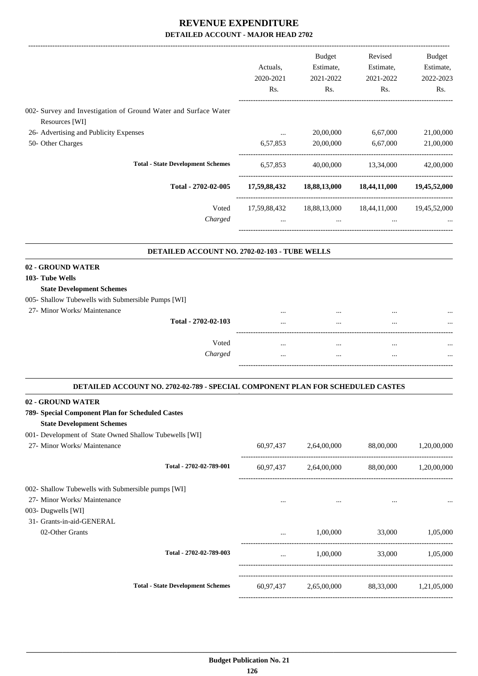|                                                                                   |           | Budget                | Revised                                             | Budget                |
|-----------------------------------------------------------------------------------|-----------|-----------------------|-----------------------------------------------------|-----------------------|
|                                                                                   | Actuals,  | Estimate,             | Estimate,                                           | Estimate,             |
|                                                                                   | 2020-2021 | 2021-2022             | 2021-2022                                           | 2022-2023             |
|                                                                                   | Rs.       | Rs.                   | Rs.                                                 | Rs.                   |
|                                                                                   |           |                       |                                                     |                       |
| 002- Survey and Investigation of Ground Water and Surface Water<br>Resources [WI] |           |                       |                                                     |                       |
| 26- Advertising and Publicity Expenses                                            | $\cdots$  | 20,00,000             | 6,67,000                                            | 21,00,000             |
| 50- Other Charges                                                                 | 6,57,853  | 20,00,000             | 6,67,000                                            | 21,00,000             |
|                                                                                   |           |                       |                                                     |                       |
| <b>Total - State Development Schemes</b>                                          |           |                       | 6,57,853 40,00,000 13,34,000                        | 42,00,000             |
| Total - 2702-02-005                                                               |           |                       | 17,59,88,432 18,88,13,000 18,44,11,000 19,45,52,000 |                       |
| Voted                                                                             |           |                       | 17,59,88,432  18,88,13,000  18,44,11,000            | 19,45,52,000          |
| Charged                                                                           | $\cdots$  | $\cdots$              | $\cdots$                                            |                       |
|                                                                                   |           |                       |                                                     |                       |
| DETAILED ACCOUNT NO. 2702-02-103 - TUBE WELLS                                     |           |                       |                                                     |                       |
| 02 - GROUND WATER<br>103- Tube Wells                                              |           |                       |                                                     |                       |
| <b>State Development Schemes</b>                                                  |           |                       |                                                     |                       |
| 005- Shallow Tubewells with Submersible Pumps [WI]                                |           |                       |                                                     |                       |
| 27- Minor Works/ Maintenance                                                      |           |                       |                                                     |                       |
| Total - 2702-02-103                                                               |           |                       |                                                     |                       |
|                                                                                   |           |                       |                                                     |                       |
| Voted                                                                             | $\cdots$  | $\cdots$              | $\cdots$                                            |                       |
| Charged                                                                           | $\cdots$  | $\cdots$              | $\cdots$                                            |                       |
| DETAILED ACCOUNT NO. 2702-02-789 - SPECIAL COMPONENT PLAN FOR SCHEDULED CASTES    |           |                       |                                                     |                       |
| 02 - GROUND WATER                                                                 |           |                       |                                                     |                       |
| 789- Special Component Plan for Scheduled Castes                                  |           |                       |                                                     |                       |
| <b>State Development Schemes</b>                                                  |           |                       |                                                     |                       |
| 001- Development of State Owned Shallow Tubewells [WI]                            |           |                       |                                                     |                       |
| 27- Minor Works/ Maintenance                                                      |           | 60,97,437 2,64,00,000 |                                                     | 88,00,000 1,20,00,000 |
| Total - 2702-02-789-001                                                           |           |                       | $60,97,437$ $2,64,00,000$ $88,00,000$ $1,20,00,000$ |                       |
| 002- Shallow Tubewells with Submersible pumps [WI]                                |           |                       |                                                     |                       |
| 27- Minor Works/ Maintenance                                                      | $\cdots$  | $\sim$ $\sim$         |                                                     |                       |
| 003- Dugwells [WI]                                                                |           |                       |                                                     |                       |
| 31- Grants-in-aid-GENERAL                                                         |           |                       |                                                     |                       |
| 02-Other Grants                                                                   |           |                       | $1,00,000$ $33,000$ $1,05,000$                      |                       |
| Total - 2702-02-789-003                                                           |           |                       | $1,00,000$ $33,000$ $1,05,000$                      |                       |
|                                                                                   |           |                       |                                                     |                       |
| <b>Total - State Development Schemes</b>                                          |           |                       | 60,97,437 2,65,00,000 88,33,000 1,21,05,000         |                       |
|                                                                                   |           |                       |                                                     |                       |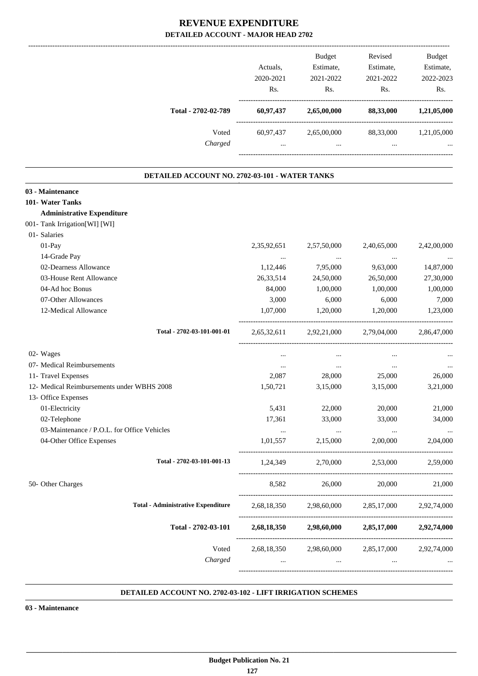|                                                | Actuals,<br>2020-2021<br>Rs. | <b>Budget</b><br>Estimate,<br>2021-2022<br>Rs.                                       | Revised<br>Estimate,<br>2021-2022<br>Rs.                                         | Budget<br>Estimate,<br>2022-2023<br>Rs. |
|------------------------------------------------|------------------------------|--------------------------------------------------------------------------------------|----------------------------------------------------------------------------------|-----------------------------------------|
| Total - 2702-02-789                            |                              |                                                                                      | 60,97,437 2,65,00,000 88,33,000 1,21,05,000                                      |                                         |
| Voted                                          |                              |                                                                                      | 60,97,437 2,65,00,000 88,33,000 1,21,05,000                                      |                                         |
| Charged                                        |                              | $\mathbf{1}$ and $\mathbf{1}$ are all $\mathbf{1}$ and $\mathbf{1}$ and $\mathbf{1}$ | and the state of the state<br>$\mathbf{r}$ and $\mathbf{r}$ are all $\mathbf{r}$ |                                         |
| DETAILED ACCOUNT NO. 2702-03-101 - WATER TANKS |                              |                                                                                      |                                                                                  |                                         |
| 03 - Maintenance                               |                              |                                                                                      |                                                                                  |                                         |
| 101- Water Tanks                               |                              |                                                                                      |                                                                                  |                                         |
| <b>Administrative Expenditure</b>              |                              |                                                                                      |                                                                                  |                                         |
| 001- Tank Irrigation[WI] [WI]                  |                              |                                                                                      |                                                                                  |                                         |
| 01- Salaries                                   |                              |                                                                                      |                                                                                  |                                         |
| 01-Pay                                         | 2,35,92,651                  | 2,57,50,000                                                                          | 2,40,65,000                                                                      | 2,42,00,000                             |
| 14-Grade Pay                                   | $\cdots$                     | $\sim 100$ and $\sim 100$                                                            | $\ldots$                                                                         | $\cdots$                                |
| 02-Dearness Allowance                          | 1,12,446                     | 7,95,000                                                                             | 9,63,000                                                                         | 14,87,000                               |
| 03-House Rent Allowance                        | 26, 33, 514                  | 24,50,000                                                                            | 26,50,000                                                                        | 27,30,000                               |
| 04-Ad hoc Bonus                                | 84,000                       | 1,00,000                                                                             | 1,00,000                                                                         | 1,00,000                                |
| 07-Other Allowances                            | 3,000                        | 6,000                                                                                | 6,000                                                                            | 7,000                                   |
| 12-Medical Allowance                           | 1,07,000                     | 1,20,000                                                                             | 1,20,000                                                                         | 1,23,000                                |
| Total - 2702-03-101-001-01                     |                              |                                                                                      | 2,65,32,611 2,92,21,000 2,79,04,000                                              | 2,86,47,000                             |
| 02- Wages                                      | $\cdots$                     | $\cdots$                                                                             | $\cdots$                                                                         |                                         |
| 07- Medical Reimbursements                     | $\cdots$                     | $\cdots$                                                                             | $\ldots$                                                                         |                                         |
| 11- Travel Expenses                            | 2,087                        | 28,000                                                                               | 25,000                                                                           | 26,000                                  |
| 12- Medical Reimbursements under WBHS 2008     | 1,50,721                     | 3,15,000                                                                             | 3,15,000                                                                         | 3,21,000                                |
| 13- Office Expenses                            |                              |                                                                                      |                                                                                  |                                         |
| 01-Electricity                                 | 5,431                        | 22,000                                                                               | 20,000                                                                           | 21,000                                  |
| 02-Telephone                                   | 17,361                       | 33,000                                                                               | 33,000                                                                           | 34,000                                  |
| 03-Maintenance / P.O.L. for Office Vehicles    | $\ldots$                     | $\sim 100$ and $\sim 100$                                                            | $\mathcal{L}_{\text{max}}$ , and $\mathcal{L}_{\text{max}}$                      | $\cdots$                                |
| 04-Other Office Expenses                       |                              | 1,01,557 2,15,000                                                                    | 2,00,000                                                                         | 2,04,000                                |
| Total - 2702-03-101-001-13                     |                              |                                                                                      | 1,24,349 2,70,000 2,53,000 2,59,000                                              |                                         |
| 50- Other Charges                              |                              |                                                                                      | 8,582 26,000 20,000                                                              | 21,000                                  |
| <b>Total - Administrative Expenditure</b>      |                              |                                                                                      | 2,68,18,350 2,98,60,000 2,85,17,000 2,92,74,000                                  |                                         |
| Total - 2702-03-101                            |                              |                                                                                      | 2,68,18,350 2,98,60,000 2,85,17,000 2,92,74,000                                  |                                         |
|                                                |                              |                                                                                      |                                                                                  |                                         |
| Voted                                          |                              |                                                                                      | 2,68,18,350 2,98,60,000 2,85,17,000 2,92,74,000                                  |                                         |
| Charged                                        |                              |                                                                                      | المستحدث والمستحدث والمستحدث والمستحدث والمستحدث والمستحدث                       |                                         |

#### **DETAILED ACCOUNT NO. 2702-03-102 - LIFT IRRIGATION SCHEMES .**

.

**03 - Maintenance**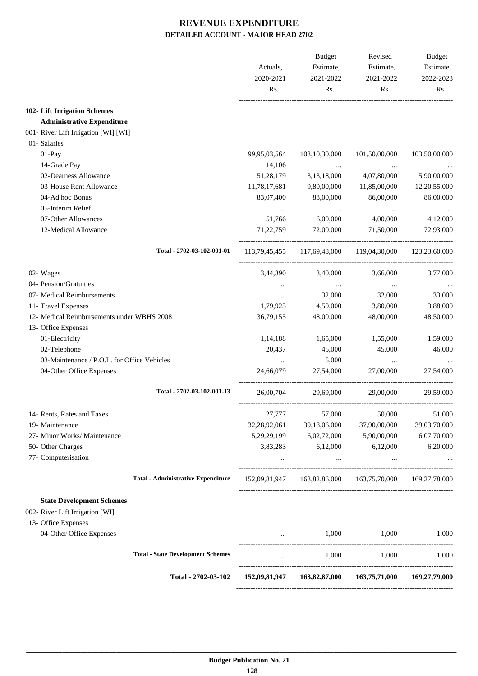|                                             |                                           | Actuals,<br>2020-2021 | Budget<br>Estimate,<br>2021-2022          | Revised<br>Estimate,<br>2021-2022                       | <b>Budget</b><br>Estimate,<br>2022-2023 |
|---------------------------------------------|-------------------------------------------|-----------------------|-------------------------------------------|---------------------------------------------------------|-----------------------------------------|
|                                             |                                           | Rs.                   | Rs.                                       | Rs.                                                     | Rs.                                     |
| 102- Lift Irrigation Schemes                |                                           |                       |                                           |                                                         |                                         |
| <b>Administrative Expenditure</b>           |                                           |                       |                                           |                                                         |                                         |
| 001- River Lift Irrigation [WI] [WI]        |                                           |                       |                                           |                                                         |                                         |
| 01- Salaries                                |                                           |                       |                                           |                                                         |                                         |
| $01-Pay$                                    |                                           | 99,95,03,564          | 103, 10, 30, 000                          | 101,50,00,000                                           | 103,50,00,000                           |
| 14-Grade Pay                                |                                           | 14,106                | $\cdots$                                  | <b><i>Contractor Contractor</i></b>                     |                                         |
| 02-Dearness Allowance                       |                                           | 51,28,179             | 3,13,18,000                               | 4,07,80,000                                             | 5,90,00,000                             |
| 03-House Rent Allowance                     |                                           | 11,78,17,681          | 9,80,00,000                               | 11,85,00,000                                            | 12,20,55,000                            |
| 04-Ad hoc Bonus                             |                                           | 83,07,400             | 88,00,000                                 | 86,00,000                                               | 86,00,000                               |
| 05-Interim Relief                           |                                           |                       |                                           |                                                         |                                         |
| 07-Other Allowances                         |                                           | 51,766                | 6,00,000                                  | 4,00,000                                                | 4,12,000                                |
| 12-Medical Allowance                        |                                           | 71, 22, 759           | 72,00,000                                 | 71,50,000                                               | 72,93,000                               |
|                                             | Total - 2702-03-102-001-01                |                       |                                           | 113,79,45,455 117,69,48,000 119,04,30,000 123,23,60,000 |                                         |
|                                             |                                           |                       |                                           |                                                         |                                         |
| 02- Wages                                   |                                           | 3,44,390              | 3,40,000                                  | 3,66,000                                                | 3,77,000                                |
| 04- Pension/Gratuities                      |                                           |                       | $\cdots$                                  | $\cdots$                                                |                                         |
| 07- Medical Reimbursements                  |                                           | $\cdots$              | 32,000                                    | 32,000                                                  | 33,000                                  |
| 11- Travel Expenses                         |                                           | 1,79,923              | 4,50,000                                  | 3,80,000                                                | 3,88,000                                |
| 12- Medical Reimbursements under WBHS 2008  |                                           | 36,79,155             | 48,00,000                                 | 48,00,000                                               | 48,50,000                               |
| 13- Office Expenses                         |                                           |                       |                                           |                                                         |                                         |
| 01-Electricity                              |                                           | 1,14,188              | 1,65,000                                  | 1,55,000                                                | 1,59,000                                |
| 02-Telephone                                |                                           | 20,437                | 45,000                                    | 45,000                                                  | 46,000                                  |
| 03-Maintenance / P.O.L. for Office Vehicles |                                           |                       | 5,000                                     | $\cdots$                                                |                                         |
| 04-Other Office Expenses                    |                                           | 24,66,079             | 27,54,000                                 | 27,00,000                                               | 27,54,000                               |
|                                             | Total - 2702-03-102-001-13                | 26,00,704             | 29,69,000                                 | 29,00,000                                               | 29,59,000                               |
| 14- Rents, Rates and Taxes                  |                                           | 27,777                | 57,000                                    | 50,000                                                  | 51,000                                  |
| 19- Maintenance                             |                                           | 32,28,92,061          | 39,18,06,000                              | 37,90,00,000                                            | 39,03,70,000                            |
| 27- Minor Works/ Maintenance                |                                           | 5,29,29,199           | 6,02,72,000                               | 5,90,00,000                                             | 6,07,70,000                             |
| 50- Other Charges                           |                                           | 3,83,283              | 6,12,000                                  | 6,12,000                                                | 6,20,000                                |
| 77- Computerisation                         |                                           |                       | $\cdots$                                  | $\cdots$                                                |                                         |
|                                             | <b>Total - Administrative Expenditure</b> |                       |                                           | 152,09,81,947 163,82,86,000 163,75,70,000 169,27,78,000 |                                         |
| <b>State Development Schemes</b>            |                                           |                       |                                           |                                                         |                                         |
| 002- River Lift Irrigation [WI]             |                                           |                       |                                           |                                                         |                                         |
| 13- Office Expenses                         |                                           |                       |                                           |                                                         |                                         |
| 04-Other Office Expenses                    |                                           |                       | 1,000                                     | 1,000                                                   | 1,000                                   |
|                                             |                                           |                       |                                           |                                                         |                                         |
|                                             | <b>Total - State Development Schemes</b>  |                       |                                           | 1,000<br>1,000                                          | 1,000                                   |
|                                             | Total - 2702-03-102                       |                       | 152,09,81,947 163,82,87,000 163,75,71,000 |                                                         | 169,27,79,000                           |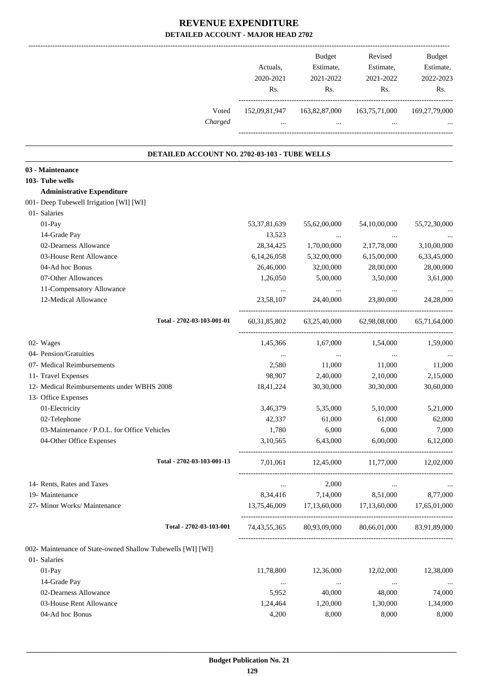|                                                             | Actuals,<br>2020-2021<br>Rs. | Budget<br>Estimate,<br>2021-2022<br>Rs.         | Revised<br>Estimate,<br>2021-2022<br>Rs.              | Budget<br>Estimate,<br>2022-2023<br>Rs. |
|-------------------------------------------------------------|------------------------------|-------------------------------------------------|-------------------------------------------------------|-----------------------------------------|
| Voted<br>Charged                                            | $\ddotsc$                    | the contract of the contract of the contract of | 152,09,81,947 163,82,87,000 163,75,71,000<br>$\cdots$ | 169,27,79,000                           |
|                                                             |                              |                                                 |                                                       |                                         |
| DETAILED ACCOUNT NO. 2702-03-103 - TUBE WELLS               |                              |                                                 |                                                       |                                         |
| 03 - Maintenance                                            |                              |                                                 |                                                       |                                         |
| 103- Tube wells                                             |                              |                                                 |                                                       |                                         |
| <b>Administrative Expenditure</b>                           |                              |                                                 |                                                       |                                         |
| 001- Deep Tubewell Irrigation [WI] [WI]                     |                              |                                                 |                                                       |                                         |
| 01- Salaries                                                |                              |                                                 |                                                       |                                         |
| 01-Pay                                                      | 53, 37, 81, 639              | 55,62,00,000                                    | 54,10,00,000                                          | 55,72,30,000                            |
| 14-Grade Pay<br>02-Dearness Allowance                       | 13,523                       | $\ldots$                                        | $\cdots$                                              |                                         |
| 03-House Rent Allowance                                     | 28,34,425                    | 1,70,00,000                                     | 2,17,78,000<br>6,15,00,000                            | 3,10,00,000                             |
| 04-Ad hoc Bonus                                             | 6,14,26,058                  | 5,32,00,000                                     |                                                       | 6,33,45,000                             |
|                                                             | 26,46,000                    | 32,00,000                                       | 28,00,000                                             | 28,00,000                               |
| 07-Other Allowances                                         | 1,26,050                     | 5,00,000                                        | 3,50,000                                              | 3,61,000                                |
| 11-Compensatory Allowance                                   |                              |                                                 | $\ddotsc$                                             | $\cdots$                                |
| 12-Medical Allowance                                        | 23,58,107                    | 24,40,000                                       | 23,80,000                                             | 24,28,000                               |
| Total - 2702-03-103-001-01                                  |                              |                                                 | 60,31,85,802 63,25,40,000 62,98,08,000                | 65,71,64,000                            |
| 02- Wages                                                   |                              | 1,45,366 1,67,000                               | 1,54,000                                              | 1,59,000                                |
| 04- Pension/Gratuities                                      | $\cdots$                     | $\ldots$                                        | $\cdots$                                              | $\cdots$                                |
| 07- Medical Reimbursements                                  | 2,580                        | 11,000                                          | 11,000                                                | 11,000                                  |
| 11- Travel Expenses                                         | 98,907                       | 2,40,000                                        | 2,10,000                                              | 2,15,000                                |
| 12- Medical Reimbursements under WBHS 2008                  | 18,41,224                    | 30,30,000                                       | 30,30,000                                             | 30,60,000                               |
| 13- Office Expenses                                         |                              |                                                 |                                                       |                                         |
| 01-Electricity                                              | 3,46,379                     | 5,35,000                                        | 5,10,000                                              | 5,21,000                                |
| 02-Telephone                                                | 42,337                       | 61,000                                          | 61,000                                                | 62,000                                  |
| 03-Maintenance / P.O.L. for Office Vehicles                 | 1,780                        | 6,000                                           | 6,000                                                 | 7,000                                   |
| 04-Other Office Expenses                                    | 3,10,565                     | 6,43,000                                        | 6,00,000                                              | 6,12,000                                |
|                                                             |                              |                                                 |                                                       |                                         |
| Total - 2702-03-103-001-13                                  | 7,01,061                     |                                                 | 12,45,000 11,77,000 12,02,000                         |                                         |
| 14- Rents, Rates and Taxes                                  | $\ldots$                     | 2,000                                           | $\cdots$                                              |                                         |
| 19- Maintenance                                             |                              | 8,34,416 7,14,000                               | 8,51,000                                              | 8,77,000                                |
| 27- Minor Works/ Maintenance                                |                              |                                                 | 13,75,46,009 17,13,60,000 17,13,60,000 17,65,01,000   |                                         |
| Total - 2702-03-103-001                                     |                              |                                                 | 74,43,55,365 80,93,09,000 80,66,01,000 83,91,89,000   |                                         |
| 002- Maintenance of State-owned Shallow Tubewells [WI] [WI] |                              |                                                 |                                                       |                                         |
| 01- Salaries                                                |                              |                                                 |                                                       |                                         |
| $01-Pay$                                                    | 11,78,800                    | 12,36,000                                       | 12,02,000                                             | 12,38,000                               |
| 14-Grade Pay                                                | $\cdots$                     | $\cdots$                                        | $\ldots$                                              | $\cdots$                                |
| 02-Dearness Allowance                                       | 5,952                        | 40,000                                          | 48,000                                                | 74,000                                  |
| 03-House Rent Allowance                                     | 1,24,464                     | 1,20,000                                        | 1,30,000                                              | 1,34,000                                |
| 04-Ad hoc Bonus                                             | 4,200                        | 8,000                                           | 8,000                                                 | 8,000                                   |
|                                                             |                              |                                                 |                                                       |                                         |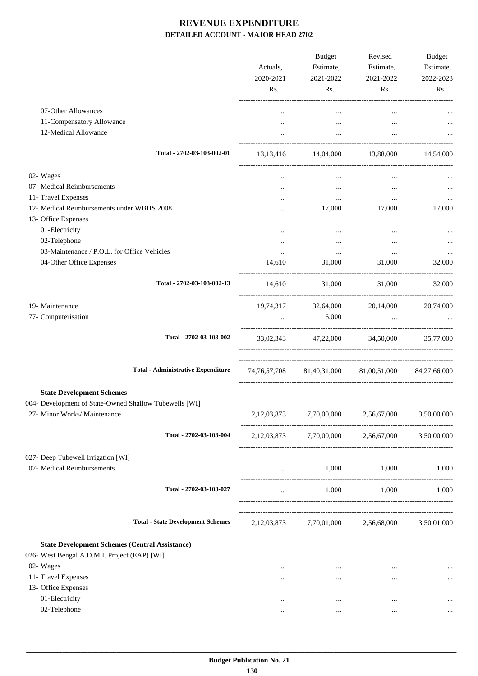| 07-Other Allowances<br>$\cdots$<br>$\cdots$<br>$\cdots$<br>11-Compensatory Allowance<br>$\cdots$<br>$\cdots$<br>12-Medical Allowance<br>$\cdots$<br>$\cdots$<br>.<br>Total - 2702-03-103-002-01<br>13,13,416 14,04,000 13,88,000 14,54,000<br>02- Wages<br>$\cdots$<br>$\ldots$<br>$\cdots$<br>07- Medical Reimbursements<br>$\cdots$<br>$\cdots$<br>$\cdots$<br>11- Travel Expenses<br>$\cdots$<br>$\cdots$<br>12- Medical Reimbursements under WBHS 2008<br>17,000<br>17,000<br>13- Office Expenses<br>01-Electricity<br>$\cdots$<br>$\cdots$<br>$\ddotsc$<br>02-Telephone<br>$\cdots$<br>$\cdots$<br>03-Maintenance / P.O.L. for Office Vehicles<br>$\cdots$<br>$\cdots$<br>$\cdots$<br>31,000<br>04-Other Office Expenses<br>14,610<br>31,000<br>Total - 2702-03-103-002-13<br>31,000<br>31,000 32,000<br>14,610<br>19- Maintenance<br>19,74,317 32,64,000 20,14,000<br>77- Computerisation<br>6,000<br><b>Contract Contract Contract</b><br>Total - 2702-03-103-002<br>33,02,343 47,22,000 34,50,000 35,77,000<br><b>Total - Administrative Expenditure</b><br>74,76,57,708 81,40,31,000 81,00,51,000 84,27,66,000<br><b>State Development Schemes</b><br>27- Minor Works/ Maintenance<br>7,70,00,000<br>2,56,67,000<br>2,12,03,873<br>Total - 2702-03-103-004<br>2,12,03,873 7,70,00,000 2,56,67,000 3,50,00,000<br>07- Medical Reimbursements<br>1,000<br>1,000<br>Total - 2702-03-103-027<br>1,000<br>1,000<br>$\cdots$<br><b>Total - State Development Schemes</b><br>2,12,03,873 7,70,01,000 2,56,68,000 3,50,01,000<br><b>State Development Schemes (Central Assistance)</b><br>02- Wages<br>$\cdots$<br>$\cdots$<br>$\cdots$<br>11- Travel Expenses<br>$\cdots$<br>$\cdots$<br><br>13- Office Expenses<br>01-Electricity<br>$\cdots$<br>$\cdots$<br>$\cdots$<br>02-Telephone<br><br>$\cdots$<br>$\cdots$ |  | Actuals,<br>2020-2021<br>Rs. | <b>Budget</b><br>Estimate,<br>2021-2022<br>Rs. | Revised<br>Estimate,<br>2021-2022<br>Rs. | Budget<br>Estimate,<br>2022-2023<br>Rs. |
|----------------------------------------------------------------------------------------------------------------------------------------------------------------------------------------------------------------------------------------------------------------------------------------------------------------------------------------------------------------------------------------------------------------------------------------------------------------------------------------------------------------------------------------------------------------------------------------------------------------------------------------------------------------------------------------------------------------------------------------------------------------------------------------------------------------------------------------------------------------------------------------------------------------------------------------------------------------------------------------------------------------------------------------------------------------------------------------------------------------------------------------------------------------------------------------------------------------------------------------------------------------------------------------------------------------------------------------------------------------------------------------------------------------------------------------------------------------------------------------------------------------------------------------------------------------------------------------------------------------------------------------------------------------------------------------------------------------------------------------------------------------------------------------------------------------------|--|------------------------------|------------------------------------------------|------------------------------------------|-----------------------------------------|
| 004- Development of State-Owned Shallow Tubewells [WI]                                                                                                                                                                                                                                                                                                                                                                                                                                                                                                                                                                                                                                                                                                                                                                                                                                                                                                                                                                                                                                                                                                                                                                                                                                                                                                                                                                                                                                                                                                                                                                                                                                                                                                                                                               |  |                              |                                                |                                          |                                         |
|                                                                                                                                                                                                                                                                                                                                                                                                                                                                                                                                                                                                                                                                                                                                                                                                                                                                                                                                                                                                                                                                                                                                                                                                                                                                                                                                                                                                                                                                                                                                                                                                                                                                                                                                                                                                                      |  |                              |                                                |                                          |                                         |
|                                                                                                                                                                                                                                                                                                                                                                                                                                                                                                                                                                                                                                                                                                                                                                                                                                                                                                                                                                                                                                                                                                                                                                                                                                                                                                                                                                                                                                                                                                                                                                                                                                                                                                                                                                                                                      |  |                              |                                                |                                          |                                         |
| 027- Deep Tubewell Irrigation [WI]<br>026- West Bengal A.D.M.I. Project (EAP) [WI]                                                                                                                                                                                                                                                                                                                                                                                                                                                                                                                                                                                                                                                                                                                                                                                                                                                                                                                                                                                                                                                                                                                                                                                                                                                                                                                                                                                                                                                                                                                                                                                                                                                                                                                                   |  |                              |                                                |                                          |                                         |
|                                                                                                                                                                                                                                                                                                                                                                                                                                                                                                                                                                                                                                                                                                                                                                                                                                                                                                                                                                                                                                                                                                                                                                                                                                                                                                                                                                                                                                                                                                                                                                                                                                                                                                                                                                                                                      |  |                              |                                                |                                          |                                         |
|                                                                                                                                                                                                                                                                                                                                                                                                                                                                                                                                                                                                                                                                                                                                                                                                                                                                                                                                                                                                                                                                                                                                                                                                                                                                                                                                                                                                                                                                                                                                                                                                                                                                                                                                                                                                                      |  |                              |                                                |                                          |                                         |
|                                                                                                                                                                                                                                                                                                                                                                                                                                                                                                                                                                                                                                                                                                                                                                                                                                                                                                                                                                                                                                                                                                                                                                                                                                                                                                                                                                                                                                                                                                                                                                                                                                                                                                                                                                                                                      |  |                              |                                                |                                          |                                         |
|                                                                                                                                                                                                                                                                                                                                                                                                                                                                                                                                                                                                                                                                                                                                                                                                                                                                                                                                                                                                                                                                                                                                                                                                                                                                                                                                                                                                                                                                                                                                                                                                                                                                                                                                                                                                                      |  |                              |                                                |                                          | 17,000                                  |
|                                                                                                                                                                                                                                                                                                                                                                                                                                                                                                                                                                                                                                                                                                                                                                                                                                                                                                                                                                                                                                                                                                                                                                                                                                                                                                                                                                                                                                                                                                                                                                                                                                                                                                                                                                                                                      |  |                              |                                                |                                          |                                         |
|                                                                                                                                                                                                                                                                                                                                                                                                                                                                                                                                                                                                                                                                                                                                                                                                                                                                                                                                                                                                                                                                                                                                                                                                                                                                                                                                                                                                                                                                                                                                                                                                                                                                                                                                                                                                                      |  |                              |                                                |                                          |                                         |
|                                                                                                                                                                                                                                                                                                                                                                                                                                                                                                                                                                                                                                                                                                                                                                                                                                                                                                                                                                                                                                                                                                                                                                                                                                                                                                                                                                                                                                                                                                                                                                                                                                                                                                                                                                                                                      |  |                              |                                                |                                          |                                         |
|                                                                                                                                                                                                                                                                                                                                                                                                                                                                                                                                                                                                                                                                                                                                                                                                                                                                                                                                                                                                                                                                                                                                                                                                                                                                                                                                                                                                                                                                                                                                                                                                                                                                                                                                                                                                                      |  |                              |                                                |                                          | 32,000                                  |
|                                                                                                                                                                                                                                                                                                                                                                                                                                                                                                                                                                                                                                                                                                                                                                                                                                                                                                                                                                                                                                                                                                                                                                                                                                                                                                                                                                                                                                                                                                                                                                                                                                                                                                                                                                                                                      |  |                              |                                                |                                          |                                         |
|                                                                                                                                                                                                                                                                                                                                                                                                                                                                                                                                                                                                                                                                                                                                                                                                                                                                                                                                                                                                                                                                                                                                                                                                                                                                                                                                                                                                                                                                                                                                                                                                                                                                                                                                                                                                                      |  |                              |                                                |                                          | 20,74,000                               |
|                                                                                                                                                                                                                                                                                                                                                                                                                                                                                                                                                                                                                                                                                                                                                                                                                                                                                                                                                                                                                                                                                                                                                                                                                                                                                                                                                                                                                                                                                                                                                                                                                                                                                                                                                                                                                      |  |                              |                                                |                                          |                                         |
|                                                                                                                                                                                                                                                                                                                                                                                                                                                                                                                                                                                                                                                                                                                                                                                                                                                                                                                                                                                                                                                                                                                                                                                                                                                                                                                                                                                                                                                                                                                                                                                                                                                                                                                                                                                                                      |  |                              |                                                |                                          |                                         |
|                                                                                                                                                                                                                                                                                                                                                                                                                                                                                                                                                                                                                                                                                                                                                                                                                                                                                                                                                                                                                                                                                                                                                                                                                                                                                                                                                                                                                                                                                                                                                                                                                                                                                                                                                                                                                      |  |                              |                                                |                                          |                                         |
|                                                                                                                                                                                                                                                                                                                                                                                                                                                                                                                                                                                                                                                                                                                                                                                                                                                                                                                                                                                                                                                                                                                                                                                                                                                                                                                                                                                                                                                                                                                                                                                                                                                                                                                                                                                                                      |  |                              |                                                |                                          | 3,50,00,000                             |
|                                                                                                                                                                                                                                                                                                                                                                                                                                                                                                                                                                                                                                                                                                                                                                                                                                                                                                                                                                                                                                                                                                                                                                                                                                                                                                                                                                                                                                                                                                                                                                                                                                                                                                                                                                                                                      |  |                              |                                                |                                          |                                         |
|                                                                                                                                                                                                                                                                                                                                                                                                                                                                                                                                                                                                                                                                                                                                                                                                                                                                                                                                                                                                                                                                                                                                                                                                                                                                                                                                                                                                                                                                                                                                                                                                                                                                                                                                                                                                                      |  |                              |                                                |                                          | 1,000                                   |
|                                                                                                                                                                                                                                                                                                                                                                                                                                                                                                                                                                                                                                                                                                                                                                                                                                                                                                                                                                                                                                                                                                                                                                                                                                                                                                                                                                                                                                                                                                                                                                                                                                                                                                                                                                                                                      |  |                              |                                                |                                          | 1,000                                   |
|                                                                                                                                                                                                                                                                                                                                                                                                                                                                                                                                                                                                                                                                                                                                                                                                                                                                                                                                                                                                                                                                                                                                                                                                                                                                                                                                                                                                                                                                                                                                                                                                                                                                                                                                                                                                                      |  |                              |                                                |                                          |                                         |
|                                                                                                                                                                                                                                                                                                                                                                                                                                                                                                                                                                                                                                                                                                                                                                                                                                                                                                                                                                                                                                                                                                                                                                                                                                                                                                                                                                                                                                                                                                                                                                                                                                                                                                                                                                                                                      |  |                              |                                                |                                          |                                         |
|                                                                                                                                                                                                                                                                                                                                                                                                                                                                                                                                                                                                                                                                                                                                                                                                                                                                                                                                                                                                                                                                                                                                                                                                                                                                                                                                                                                                                                                                                                                                                                                                                                                                                                                                                                                                                      |  |                              |                                                |                                          | $\ldots$                                |
|                                                                                                                                                                                                                                                                                                                                                                                                                                                                                                                                                                                                                                                                                                                                                                                                                                                                                                                                                                                                                                                                                                                                                                                                                                                                                                                                                                                                                                                                                                                                                                                                                                                                                                                                                                                                                      |  |                              |                                                |                                          | $\ldots$                                |
|                                                                                                                                                                                                                                                                                                                                                                                                                                                                                                                                                                                                                                                                                                                                                                                                                                                                                                                                                                                                                                                                                                                                                                                                                                                                                                                                                                                                                                                                                                                                                                                                                                                                                                                                                                                                                      |  |                              |                                                |                                          |                                         |
|                                                                                                                                                                                                                                                                                                                                                                                                                                                                                                                                                                                                                                                                                                                                                                                                                                                                                                                                                                                                                                                                                                                                                                                                                                                                                                                                                                                                                                                                                                                                                                                                                                                                                                                                                                                                                      |  |                              |                                                |                                          |                                         |
|                                                                                                                                                                                                                                                                                                                                                                                                                                                                                                                                                                                                                                                                                                                                                                                                                                                                                                                                                                                                                                                                                                                                                                                                                                                                                                                                                                                                                                                                                                                                                                                                                                                                                                                                                                                                                      |  |                              |                                                |                                          | $\cdots$                                |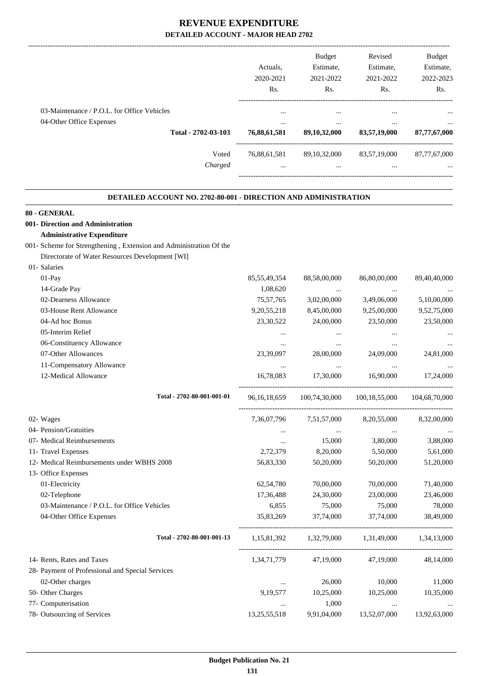|                                                                                                | Actuals.<br>2020-2021<br>Rs.         | <b>Budget</b><br>Estimate.<br>2021-2022<br>Rs. | Revised<br>Estimate.<br>2021-2022<br>Rs. | <b>Budget</b><br>Estimate,<br>2022-2023<br>Rs. |
|------------------------------------------------------------------------------------------------|--------------------------------------|------------------------------------------------|------------------------------------------|------------------------------------------------|
| 03-Maintenance / P.O.L. for Office Vehicles<br>04-Other Office Expenses<br>Total - 2702-03-103 | $\cdots$<br>$\cdots$<br>76,88,61,581 | $\cdots$<br>$\cdots$<br>89,10,32,000           | $\cdots$<br>$\cdots$<br>83,57,19,000     | $\cdots$<br>$\cdots$<br>87,77,67,000           |
| Voted<br>Charged                                                                               | 76,88,61,581<br>$\cdots$             | 89, 10, 32, 000<br>$\cdots$                    | 83,57,19,000<br>$\cdots$                 | 87,77,67,000<br>$\cdots$                       |
|                                                                                                |                                      |                                                |                                          |                                                |

#### **DETAILED ACCOUNT NO. 2702-80-001 - DIRECTION AND ADMINISTRATION .**

.

#### **80 - GENERAL**

# **001- Direction and Administration**

# **Administrative Expenditure**

#### 001- Scheme for Strengthening , Extension and Administration Of the

Directorate of Water Resources Development [WI]

| 01- Salaries                                     |                 |                         |                                                 |               |
|--------------------------------------------------|-----------------|-------------------------|-------------------------------------------------|---------------|
| 01-Pay                                           | 85, 55, 49, 354 | 88,58,00,000            | 86,80,00,000                                    | 89,40,40,000  |
| 14-Grade Pay                                     | 1,08,620        | $\cdots$                |                                                 |               |
| 02-Dearness Allowance                            | 75, 57, 765     | 3,02,00,000             | 3,49,06,000                                     | 5,10,00,000   |
| 03-House Rent Allowance                          | 9,20,55,218     | 8,45,00,000             | 9,25,00,000                                     | 9,52,75,000   |
| 04-Ad hoc Bonus                                  | 23,30,522       | 24,00,000               | 23,50,000                                       | 23,50,000     |
| 05-Interim Relief                                | $\cdots$        | $\cdots$                | $\cdots$                                        |               |
| 06-Constituency Allowance                        | $\cdots$        | $\ddotsc$               | $\cdots$                                        |               |
| 07-Other Allowances                              | 23,39,097       | 28,00,000               | 24,09,000                                       | 24,81,000     |
| 11-Compensatory Allowance                        | $\cdots$        | $\ddots$                | $\ddotsc$                                       |               |
| 12-Medical Allowance                             | 16,78,083       | 17,30,000               | 16,90,000                                       | 17,24,000     |
| Total - 2702-80-001-001-01                       | 96, 16, 18, 659 | 100,74,30,000           | 100,18,55,000                                   | 104,68,70,000 |
| 02- Wages                                        |                 | 7,36,07,796 7,51,57,000 | 8,20,55,000                                     | 8,32,00,000   |
| 04- Pension/Gratuities                           |                 | $\cdots$                |                                                 |               |
| 07- Medical Reimbursements                       | $\cdots$        | 15,000                  | 3,80,000                                        | 3,88,000      |
| 11- Travel Expenses                              | 2,72,379        | 8,20,000                | 5,50,000                                        | 5,61,000      |
| 12- Medical Reimbursements under WBHS 2008       | 56,83,330       | 50,20,000               | 50,20,000                                       | 51,20,000     |
| 13- Office Expenses                              |                 |                         |                                                 |               |
| 01-Electricity                                   | 62,54,780       | 70,00,000               | 70,00,000                                       | 71,40,000     |
| 02-Telephone                                     | 17,36,488       | 24,30,000               | 23,00,000                                       | 23,46,000     |
| 03-Maintenance / P.O.L. for Office Vehicles      | 6,855           | 75,000                  | 75,000                                          | 78,000        |
| 04-Other Office Expenses                         | 35,83,269       | 37,74,000               | 37,74,000                                       | 38,49,000     |
| Total - 2702-80-001-001-13                       |                 |                         | 1,15,81,392 1,32,79,000 1,31,49,000 1,34,13,000 |               |
| 14- Rents, Rates and Taxes                       | 1,34,71,779     | 47,19,000               | 47,19,000                                       | 48,14,000     |
| 28- Payment of Professional and Special Services |                 |                         |                                                 |               |
| 02-Other charges                                 | $\cdots$        | 26,000                  | 10,000                                          | 11,000        |
| 50- Other Charges                                | 9,19,577        | 10,25,000               | 10,25,000                                       | 10,35,000     |
| 77- Computerisation                              |                 | 1,000                   | $\cdots$                                        |               |
| 78- Outsourcing of Services                      | 13,25,55,518    | 9,91,04,000             | 13,52,07,000                                    | 13,92,63,000  |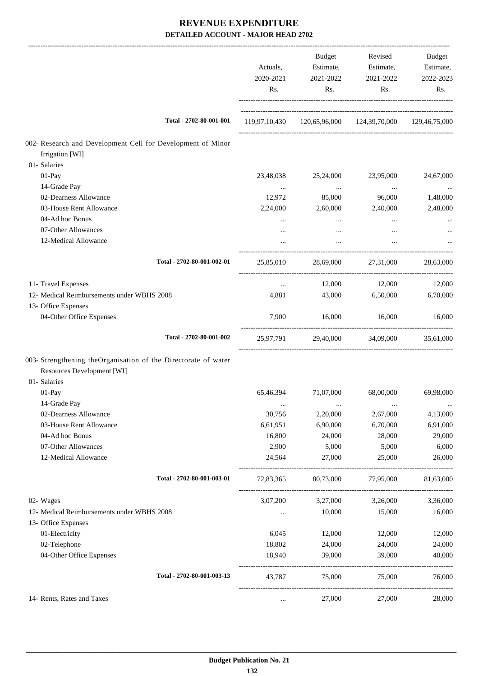|                                                                                              | Actuals,<br>2020-2021<br>Rs. | Budget<br>Estimate,<br>2021-2022<br>Rs.                    | Revised<br>Estimate,<br>2021-2022<br>Rs. | Budget<br>Estimate,<br>2022-2023<br>Rs. |
|----------------------------------------------------------------------------------------------|------------------------------|------------------------------------------------------------|------------------------------------------|-----------------------------------------|
| Total - 2702-80-001-001                                                                      |                              | 119,97,10,430  120,65,96,000  124,39,70,000  129,46,75,000 |                                          |                                         |
| 002- Research and Development Cell for Development of Minor                                  |                              |                                                            |                                          |                                         |
| Irrigation [WI]                                                                              |                              |                                                            |                                          |                                         |
| 01- Salaries                                                                                 |                              |                                                            |                                          |                                         |
| 01-Pay                                                                                       | 23,48,038                    | 25,24,000                                                  | 23,95,000                                | 24,67,000                               |
| 14-Grade Pay<br>02-Dearness Allowance                                                        | $\cdots$                     | $\cdots$                                                   | $\ldots$                                 | $\cdots$                                |
| 03-House Rent Allowance                                                                      | 12,972<br>2,24,000           | 85,000<br>2,60,000                                         | 96,000<br>2,40,000                       | 1,48,000<br>2,48,000                    |
| 04-Ad hoc Bonus                                                                              |                              |                                                            |                                          |                                         |
| 07-Other Allowances                                                                          | $\cdots$<br>$\cdots$         | $\cdots$<br>$\cdots$                                       | $\cdots$<br>$\cdots$                     |                                         |
| 12-Medical Allowance                                                                         |                              |                                                            |                                          |                                         |
| Total - 2702-80-001-002-01                                                                   | 25,85,010                    |                                                            | 28,69,000 27,31,000                      | 28,63,000                               |
|                                                                                              |                              |                                                            |                                          |                                         |
| 11- Travel Expenses                                                                          | $\ldots$                     | 12,000                                                     | 12,000                                   | 12,000                                  |
| 12- Medical Reimbursements under WBHS 2008                                                   | 4,881                        | 43,000                                                     | 6,50,000                                 | 6,70,000                                |
| 13- Office Expenses                                                                          |                              |                                                            |                                          |                                         |
| 04-Other Office Expenses                                                                     | 7,900                        | 16,000                                                     | 16,000                                   | 16,000                                  |
| Total - 2702-80-001-002                                                                      |                              | 25,97,791 29,40,000 34,09,000 35,61,000                    |                                          |                                         |
| 003- Strengthening theOrganisation of the Directorate of water<br>Resources Development [WI] |                              |                                                            |                                          |                                         |
| 01- Salaries<br>01-Pay                                                                       | 65,46,394                    | 71,07,000                                                  | 68,00,000                                | 69,98,000                               |
| 14-Grade Pay                                                                                 |                              |                                                            |                                          | $\cdots$                                |
| 02-Dearness Allowance                                                                        | 30,756                       | 2,20,000                                                   | 2,67,000                                 | 4,13,000                                |
| 03-House Rent Allowance                                                                      | 6,61,951                     | 6,90,000                                                   | 6,70,000                                 | 6,91,000                                |
| 04-Ad hoc Bonus                                                                              | 16,800                       | 24,000                                                     | 28,000                                   | 29,000                                  |
| 07-Other Allowances                                                                          | 2,900                        | 5,000                                                      | 5,000                                    | 6,000                                   |
| 12-Medical Allowance                                                                         | 24,564                       | 27,000                                                     | 25,000                                   | 26,000                                  |
| Total - 2702-80-001-003-01                                                                   | 72,83,365                    | 80,73,000                                                  | 77,95,000                                | 81,63,000                               |
| 02- Wages                                                                                    | 3,07,200                     | 3,27,000                                                   | 3,26,000                                 | 3,36,000                                |
| 12- Medical Reimbursements under WBHS 2008                                                   |                              | 10,000                                                     | 15,000                                   | 16,000                                  |
| 13- Office Expenses                                                                          |                              |                                                            |                                          |                                         |
| 01-Electricity                                                                               | 6,045                        | 12,000                                                     | 12,000                                   | 12,000                                  |
| 02-Telephone                                                                                 | 18,802                       | 24,000                                                     | 24,000                                   | 24,000                                  |
| 04-Other Office Expenses                                                                     | 18,940                       | 39,000                                                     | 39,000                                   | 40,000                                  |
| Total - 2702-80-001-003-13                                                                   | 43,787                       | 75,000                                                     | 75,000                                   | 76,000                                  |
| 14- Rents, Rates and Taxes                                                                   | $\ldots$                     | 27,000                                                     | 27,000                                   | 28,000                                  |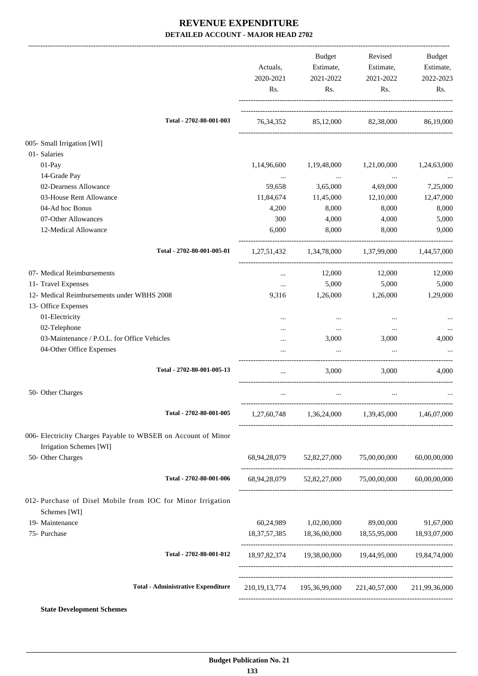|                                                                                          | Actuals,<br>2020-2021<br>Rs. | <b>Budget</b><br>Estimate,<br>2021-2022<br>Rs. | Revised<br>Estimate,<br>2021-2022<br>Rs.                        | <b>Budget</b><br>Estimate,<br>2022-2023<br>Rs. |
|------------------------------------------------------------------------------------------|------------------------------|------------------------------------------------|-----------------------------------------------------------------|------------------------------------------------|
| Total - 2702-80-001-003                                                                  |                              |                                                | 76, 34, 352 85, 12, 000 82, 38, 000 86, 19, 000                 |                                                |
| 005- Small Irrigation [WI]                                                               |                              |                                                |                                                                 |                                                |
| 01- Salaries                                                                             |                              |                                                |                                                                 |                                                |
| $01-Pay$                                                                                 | 1,14,96,600                  | 1,19,48,000                                    | 1,21,00,000                                                     | 1,24,63,000                                    |
| 14-Grade Pay                                                                             | $\cdots$                     | $\cdots$                                       | $\ddots$                                                        | $\cdots$                                       |
| 02-Dearness Allowance                                                                    | 59,658                       | 3,65,000                                       | 4,69,000                                                        | 7,25,000                                       |
| 03-House Rent Allowance                                                                  | 11,84,674                    | 11,45,000                                      | 12,10,000                                                       | 12,47,000                                      |
| 04-Ad hoc Bonus                                                                          | 4,200                        | 8,000                                          | 8,000                                                           | 8,000                                          |
| 07-Other Allowances                                                                      | 300                          | 4,000                                          | 4,000                                                           | 5,000                                          |
| 12-Medical Allowance                                                                     | 6,000                        | 8,000                                          | 8,000                                                           | 9,000                                          |
| Total - 2702-80-001-005-01                                                               |                              |                                                | 1,27,51,432 1,34,78,000 1,37,99,000 1,44,57,000                 |                                                |
| 07- Medical Reimbursements                                                               | $\ldots$                     | 12,000                                         | 12,000                                                          | 12,000                                         |
| 11- Travel Expenses                                                                      | $\cdots$                     | 5,000                                          | 5,000                                                           | 5,000                                          |
| 12- Medical Reimbursements under WBHS 2008                                               | 9,316                        | 1,26,000                                       | 1,26,000                                                        | 1,29,000                                       |
| 13- Office Expenses                                                                      |                              |                                                |                                                                 |                                                |
| 01-Electricity                                                                           |                              | $\cdots$                                       | $\cdots$                                                        |                                                |
| 02-Telephone                                                                             |                              | $\cdots$                                       | $\cdots$                                                        |                                                |
| 03-Maintenance / P.O.L. for Office Vehicles                                              |                              | 3,000                                          | 3,000                                                           | 4,000                                          |
| 04-Other Office Expenses                                                                 |                              | $\cdots$                                       | $\ddots$                                                        |                                                |
| Total - 2702-80-001-005-13                                                               | $\cdots$                     | 3,000                                          | 3,000                                                           | 4,000                                          |
| 50- Other Charges                                                                        | $\cdots$                     | $\cdots$                                       | $\cdots$                                                        |                                                |
| Total - 2702-80-001-005                                                                  |                              | 1,27,60,748 1,36,24,000 1,39,45,000            |                                                                 | 1,46,07,000                                    |
|                                                                                          |                              |                                                |                                                                 |                                                |
| 006- Electricity Charges Payable to WBSEB on Account of Minor<br>Irrigation Schemes [WI] |                              |                                                |                                                                 |                                                |
| 50- Other Charges                                                                        |                              | 68,94,28,079 52,82,27,000 75,00,00,000         |                                                                 | 60,00,00,000                                   |
| Total - 2702-80-001-006                                                                  |                              |                                                | 68,94,28,079 52,82,27,000 75,00,00,000 60,00,00,000             |                                                |
| 012- Purchase of Disel Mobile from IOC for Minor Irrigation<br>Schemes [WI]              |                              |                                                |                                                                 |                                                |
| 19- Maintenance                                                                          |                              | 60,24,989 1,02,00,000                          | 89,00,000                                                       | 91,67,000                                      |
| 75- Purchase                                                                             |                              |                                                | 18, 37, 57, 385 18, 36, 00, 000 18, 55, 95, 000 18, 93, 07, 000 |                                                |
| Total - 2702-80-001-012                                                                  |                              |                                                | 18,97,82,374 19,38,00,000 19,44,95,000 19,84,74,000             |                                                |
| <b>Total - Administrative Expenditure</b>                                                |                              |                                                | 210,19,13,774 195,36,99,000 221,40,57,000 211,99,36,000         |                                                |
| <b>State Development Schemes</b>                                                         |                              |                                                |                                                                 |                                                |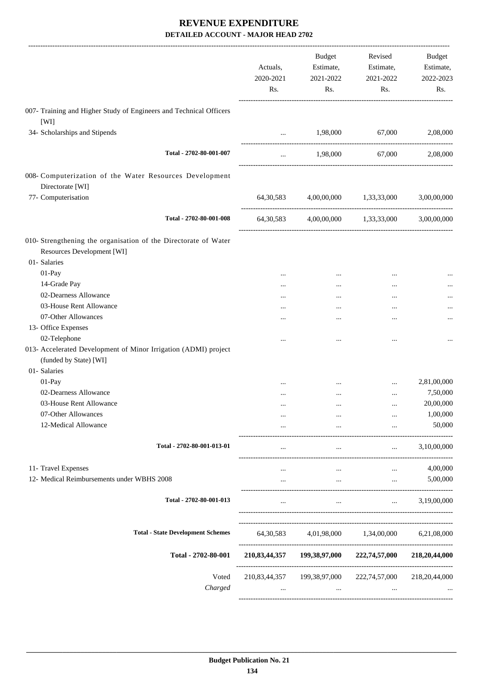|                                                                    | Actuals,<br>2020-2021<br>Rs. | <b>Budget</b><br>Estimate,<br>2021-2022<br>Rs. | Revised<br>Estimate,<br>2021-2022<br>Rs. | Budget<br>Estimate,<br>2022-2023<br>Rs. |
|--------------------------------------------------------------------|------------------------------|------------------------------------------------|------------------------------------------|-----------------------------------------|
| 007- Training and Higher Study of Engineers and Technical Officers |                              |                                                |                                          |                                         |
| [WI]<br>34- Scholarships and Stipends                              | $\cdots$                     | 1,98,000                                       | 67,000                                   | 2,08,000                                |
|                                                                    |                              |                                                |                                          |                                         |
| Total - 2702-80-001-007                                            | $\cdots$                     | 1,98,000                                       | 67,000                                   | 2,08,000                                |
| 008- Computerization of the Water Resources Development            |                              |                                                |                                          |                                         |
| Directorate [WI]                                                   |                              |                                                |                                          |                                         |
| 77- Computerisation                                                | 64,30,583                    |                                                | 4,00,00,000 1,33,33,000                  | 3,00,00,000                             |
| Total - 2702-80-001-008                                            | 64, 30, 583                  |                                                | 4,00,00,000 1,33,33,000                  | 3,00,00,000                             |
| 010- Strengthening the organisation of the Directorate of Water    |                              |                                                |                                          |                                         |
| Resources Development [WI]                                         |                              |                                                |                                          |                                         |
| 01- Salaries                                                       |                              |                                                |                                          |                                         |
| 01-Pay                                                             |                              | $\cdots$                                       | $\ddotsc$                                |                                         |
| 14-Grade Pay                                                       |                              | $\cdots$                                       |                                          |                                         |
| 02-Dearness Allowance                                              | $\cdots$                     |                                                | $\cdots$                                 |                                         |
| 03-House Rent Allowance                                            |                              |                                                | $\cdots$                                 |                                         |
| 07-Other Allowances                                                |                              |                                                |                                          |                                         |
| 13- Office Expenses                                                |                              |                                                |                                          |                                         |
| 02-Telephone                                                       |                              |                                                | $\ddotsc$                                |                                         |
| 013- Accelerated Development of Minor Irrigation (ADMI) project    |                              |                                                |                                          |                                         |
| (funded by State) [WI]                                             |                              |                                                |                                          |                                         |
| 01- Salaries                                                       |                              |                                                |                                          |                                         |
| 01-Pay                                                             |                              |                                                |                                          | 2,81,00,000                             |
| 02-Dearness Allowance                                              |                              | $\cdots$                                       | $\cdots$                                 | 7,50,000                                |
| 03-House Rent Allowance                                            |                              |                                                |                                          | 20,00,000                               |
| 07-Other Allowances                                                |                              |                                                |                                          | 1,00,000                                |
| 12-Medical Allowance                                               |                              | $\cdots$                                       | $\cdots$                                 | 50,000                                  |
| Total - 2702-80-001-013-01                                         |                              | $\cdots$                                       | $\cdots$                                 | 3,10,00,000                             |
| 11- Travel Expenses                                                |                              |                                                |                                          | 4,00,000                                |
| 12- Medical Reimbursements under WBHS 2008                         | .                            | $\cdots$                                       | $\cdots$                                 | 5,00,000                                |
| Total - 2702-80-001-013                                            | $\cdots$                     | $\cdots$                                       | $\mathbf{r}$                             | 3,19,00,000                             |
| <b>Total - State Development Schemes</b>                           | 64, 30, 583                  |                                                | 4,01,98,000 1,34,00,000                  | 6,21,08,000                             |
|                                                                    |                              |                                                |                                          |                                         |
| Total - 2702-80-001                                                |                              | 210,83,44,357 199,38,97,000                    | 222,74,57,000                            | 218,20,44,000                           |
| Voted                                                              | 210,83,44,357                | 199,38,97,000                                  | 222,74,57,000                            | 218, 20, 44, 000                        |
| Charged                                                            | $\cdots$                     | $\cdots$                                       | $\cdots$                                 |                                         |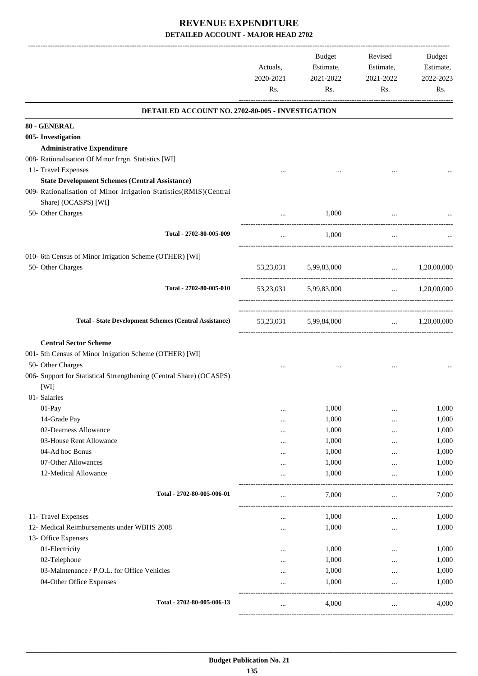|                                                                                           | Actuals,<br>2020-2021<br>Rs. | Budget<br>Estimate,<br>2021-2022<br>Rs. | Revised<br>Estimate,<br>2021-2022<br>Rs. | Budget<br>Estimate,<br>2022-2023<br>Rs. |
|-------------------------------------------------------------------------------------------|------------------------------|-----------------------------------------|------------------------------------------|-----------------------------------------|
| DETAILED ACCOUNT NO. 2702-80-005 - INVESTIGATION                                          |                              |                                         |                                          |                                         |
| 80 - GENERAL                                                                              |                              |                                         |                                          |                                         |
| 005- Investigation                                                                        |                              |                                         |                                          |                                         |
| <b>Administrative Expenditure</b>                                                         |                              |                                         |                                          |                                         |
| 008- Rationalisation Of Minor Irrgn. Statistics [WI]                                      |                              |                                         |                                          |                                         |
| 11- Travel Expenses                                                                       |                              |                                         |                                          |                                         |
| <b>State Development Schemes (Central Assistance)</b>                                     |                              |                                         |                                          |                                         |
| 009- Rationalisation of Minor Irrigation Statistics(RMIS)(Central<br>Share) (OCASPS) [WI] |                              |                                         |                                          |                                         |
| 50- Other Charges                                                                         |                              | 1,000                                   |                                          |                                         |
| Total - 2702-80-005-009                                                                   | $\cdots$                     | 1,000                                   | $\cdots$                                 |                                         |
| 010- 6th Census of Minor Irrigation Scheme (OTHER) [WI]                                   |                              |                                         |                                          |                                         |
| 50- Other Charges                                                                         |                              | 53,23,031 5,99,83,000                   | $\ldots$ 1,20,00,000                     |                                         |
| Total - 2702-80-005-010                                                                   |                              | 53,23,031 5,99,83,000                   |                                          | $\ldots$ 1,20,00,000                    |
| <b>Total - State Development Schemes (Central Assistance)</b>                             |                              | 53,23,031 5,99,84,000                   |                                          | $\ldots$ 1,20,00,000                    |
| <b>Central Sector Scheme</b>                                                              |                              |                                         |                                          |                                         |
| 001- 5th Census of Minor Irrigation Scheme (OTHER) [WI]                                   |                              |                                         |                                          |                                         |
| 50- Other Charges                                                                         |                              |                                         |                                          |                                         |
| 006- Support for Statistical Strrengthening (Central Share) (OCASPS)<br>[WI]              |                              |                                         |                                          |                                         |
| 01- Salaries                                                                              |                              |                                         |                                          |                                         |
| 01-Pay                                                                                    |                              | 1,000                                   |                                          | 1,000                                   |
| 14-Grade Pay                                                                              | <br>                         | 1,000                                   |                                          | 1,000                                   |
| 02-Dearness Allowance                                                                     | $\cdots$                     | 1,000                                   |                                          | 1,000                                   |
| 03-House Rent Allowance                                                                   |                              | 1,000                                   |                                          | 1,000                                   |
| 04-Ad hoc Bonus                                                                           |                              | 1,000                                   |                                          | 1,000                                   |
| 07-Other Allowances                                                                       |                              | 1,000                                   |                                          | 1,000                                   |
| 12-Medical Allowance                                                                      |                              | 1,000                                   |                                          | 1,000                                   |
| Total - 2702-80-005-006-01                                                                |                              | 7,000                                   | $\cdots$                                 | 7,000                                   |
| 11- Travel Expenses                                                                       | $\cdots$                     | 1,000                                   |                                          | 1,000                                   |
| 12- Medical Reimbursements under WBHS 2008                                                |                              | 1,000                                   |                                          | 1,000                                   |
| 13- Office Expenses                                                                       |                              |                                         |                                          |                                         |
| 01-Electricity                                                                            | $\cdots$                     | 1,000                                   |                                          | 1,000                                   |
| 02-Telephone                                                                              | $\cdots$                     | 1,000                                   |                                          | 1,000                                   |
| 03-Maintenance / P.O.L. for Office Vehicles                                               | $\cdots$                     | 1,000                                   | $\cdots$                                 | 1,000                                   |
| 04-Other Office Expenses                                                                  |                              | 1,000                                   | .                                        | 1,000                                   |
| Total - 2702-80-005-006-13                                                                | $\cdots$                     | 4,000                                   | $\cdots$                                 | 4,000                                   |

-----------------------------------------------------------------------------------------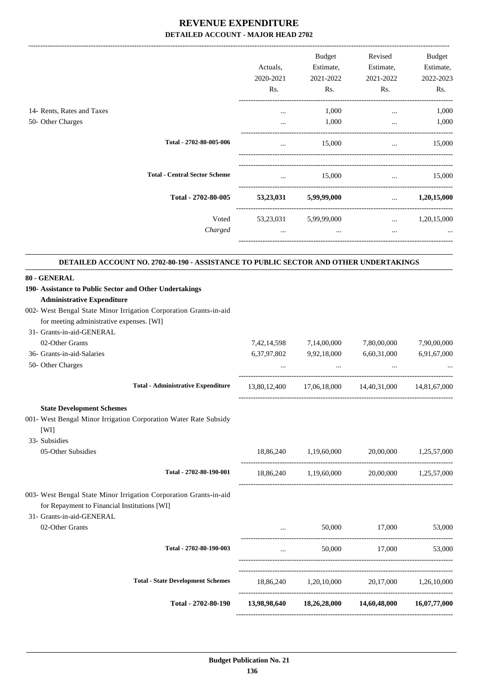-------------------------------------------------------------------------------------------------------------------------------------------------------------------------------

|                                      | Actuals,<br>2020-2021<br>Rs. | <b>Budget</b><br>Estimate,<br>2021-2022<br>Rs. | Revised<br>Estimate,<br>2021-2022<br>Rs. | Budget<br>Estimate,<br>2022-2023<br>Rs. |
|--------------------------------------|------------------------------|------------------------------------------------|------------------------------------------|-----------------------------------------|
|                                      | $\cdots$<br>$\cdots$         | 1,000<br>1,000                                 | $\cdots$<br>$\cdots$                     | 1,000<br>1,000                          |
| Total - 2702-80-005-006              |                              | 15,000                                         |                                          | 15,000                                  |
| <b>Total - Central Sector Scheme</b> |                              | 15,000                                         |                                          | 15,000                                  |
| Total - 2702-80-005                  | 53,23,031                    | 5,99,99,000                                    | $\cdots$                                 | 1,20,15,000                             |
| Voted<br>Charged                     | 53,23,031<br>$\cdots$        | 5,99,99,000<br>$\cdots$                        | $\cdots$<br>$\cdots$                     | 1,20,15,000<br>$\cdots$                 |
|                                      |                              |                                                |                                          |                                         |

#### **DETAILED ACCOUNT NO. 2702-80-190 - ASSISTANCE TO PUBLIC SECTOR AND OTHER UNDERTAKINGS**

| 80 - GENERAL                                                      |              |                            |                                                     |              |
|-------------------------------------------------------------------|--------------|----------------------------|-----------------------------------------------------|--------------|
| 190- Assistance to Public Sector and Other Undertakings           |              |                            |                                                     |              |
| <b>Administrative Expenditure</b>                                 |              |                            |                                                     |              |
| 002- West Bengal State Minor Irrigation Corporation Grants-in-aid |              |                            |                                                     |              |
| for meeting administrative expenses. [WI]                         |              |                            |                                                     |              |
| 31- Grants-in-aid-GENERAL                                         |              |                            |                                                     |              |
| 02-Other Grants                                                   |              | 7,42,14,598 7,14,00,000    | 7,80,00,000                                         | 7,90,00,000  |
| 36- Grants-in-aid-Salaries                                        |              | 6,37,97,802 9,92,18,000    | 6,60,31,000                                         | 6,91,67,000  |
| 50- Other Charges                                                 |              | and the state of the state | and the state of the state                          |              |
| <b>Total - Administrative Expenditure</b>                         |              |                            | 13,80,12,400 17,06,18,000 14,40,31,000 14,81,67,000 |              |
| <b>State Development Schemes</b>                                  |              |                            |                                                     |              |
| 001- West Bengal Minor Irrigation Corporation Water Rate Subsidy  |              |                            |                                                     |              |
| [WI]                                                              |              |                            |                                                     |              |
| 33- Subsidies                                                     |              |                            |                                                     |              |
| 05-Other Subsidies                                                |              |                            | 18,86,240 1,19,60,000 20,00,000 1,25,57,000         |              |
| Total - 2702-80-190-001                                           |              |                            | 18,86,240 1,19,60,000 20,00,000 1,25,57,000         |              |
| 003- West Bengal State Minor Irrigation Corporation Grants-in-aid |              |                            |                                                     |              |
| for Repayment to Financial Institutions [WI]                      |              |                            |                                                     |              |
| 31- Grants-in-aid-GENERAL                                         |              |                            |                                                     |              |
| 02-Other Grants                                                   |              |                            | 50,000 17,000                                       | 53,000       |
| Total - 2702-80-190-003                                           | $\ddotsc$    |                            | 50.000 17.000                                       | 53,000       |
| <b>Total - State Development Schemes</b>                          |              |                            | 18,86,240 1,20,10,000 20,17,000 1,26,10,000         |              |
|                                                                   |              |                            |                                                     |              |
| Total - 2702-80-190                                               | 13,98,98,640 | 18,26,28,000               | 14,60,48,000                                        | 16,07,77,000 |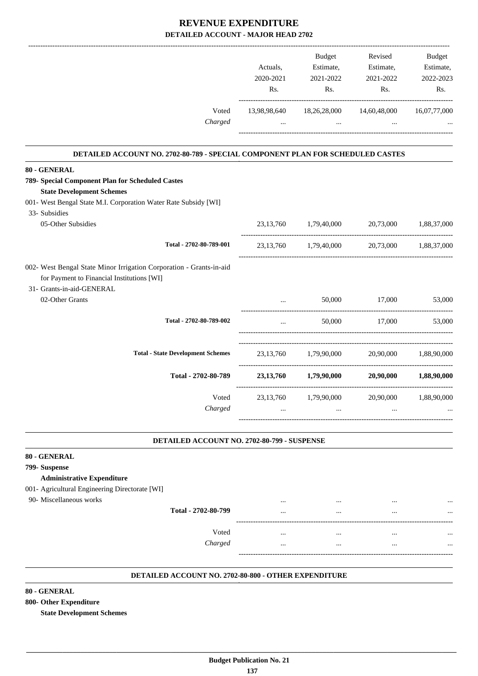|                                                                                                                                                                                          |                         | Actuals,<br>2020-2021<br>Rs. | <b>Budget</b><br>Estimate,<br>2021-2022<br>Rs. | Revised<br>Estimate,<br>2021-2022<br>Rs.    | <b>Budget</b><br>Estimate,<br>2022-2023<br>Rs. |
|------------------------------------------------------------------------------------------------------------------------------------------------------------------------------------------|-------------------------|------------------------------|------------------------------------------------|---------------------------------------------|------------------------------------------------|
|                                                                                                                                                                                          | Voted<br>Charged        | $\cdots$                     | 13,98,98,640 18,26,28,000<br>$\cdots$          | 14,60,48,000<br>$\cdots$                    | 16,07,77,000                                   |
| DETAILED ACCOUNT NO. 2702-80-789 - SPECIAL COMPONENT PLAN FOR SCHEDULED CASTES                                                                                                           |                         |                              |                                                |                                             |                                                |
| 80 - GENERAL<br>789- Special Component Plan for Scheduled Castes<br><b>State Development Schemes</b><br>001- West Bengal State M.I. Corporation Water Rate Subsidy [WI]<br>33- Subsidies |                         |                              |                                                |                                             |                                                |
| 05-Other Subsidies                                                                                                                                                                       |                         |                              | 23,13,760 1,79,40,000 20,73,000                |                                             | 1,88,37,000                                    |
|                                                                                                                                                                                          | Total - 2702-80-789-001 |                              |                                                | 23,13,760 1,79,40,000 20,73,000 1,88,37,000 |                                                |
| 002- West Bengal State Minor Irrigation Corporation - Grants-in-aid<br>for Payment to Financial Institutions [WI]<br>31- Grants-in-aid-GENERAL                                           |                         |                              |                                                |                                             |                                                |
| 02-Other Grants                                                                                                                                                                          |                         |                              | 50,000                                         | 17,000                                      | 53,000                                         |
|                                                                                                                                                                                          | Total - 2702-80-789-002 |                              |                                                | 50,000 17,000                               | 53,000                                         |
| <b>Total - State Development Schemes</b>                                                                                                                                                 |                         |                              | 23,13,760 1,79,90,000                          |                                             | 20,90,000 1,88,90,000                          |
|                                                                                                                                                                                          | Total - 2702-80-789     |                              | 23,13,760 1,79,90,000 20,90,000                |                                             | 1,88,90,000                                    |
|                                                                                                                                                                                          | Voted<br>Charged        |                              | 23,13,760 1,79,90,000                          | 20,90,000                                   | 1,88,90,000                                    |

#### **DETAILED ACCOUNT NO. 2702-80-799 - SUSPENSE**

|          | <br>         | $\cdots$ |
|----------|--------------|----------|
| $\cdots$ | <br>$\cdots$ |          |
| $\cdots$ | <br>         |          |
| $\cdots$ | <br>         |          |
|          |              |          |
|          |              |          |

#### **DETAILED ACCOUNT NO. 2702-80-800 - OTHER EXPENDITURE .**

#### **80 - GENERAL**

### **800- Other Expenditure**

**State Development Schemes**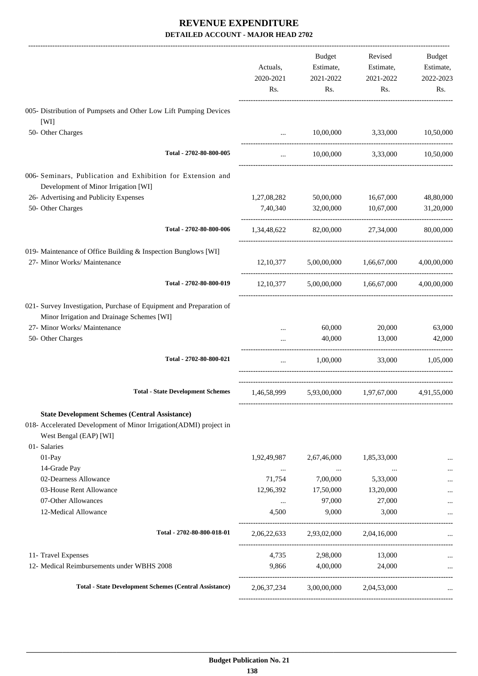|                                                                                                                                                                      | Actuals,                | Budget<br>Estimate,                 | Revised<br>Estimate,                | Budget<br>Estimate,    |
|----------------------------------------------------------------------------------------------------------------------------------------------------------------------|-------------------------|-------------------------------------|-------------------------------------|------------------------|
|                                                                                                                                                                      | 2020-2021<br>Rs.        | 2021-2022<br>Rs.                    | 2021-2022<br>Rs.                    | 2022-2023<br>Rs.       |
| 005- Distribution of Pumpsets and Other Low Lift Pumping Devices<br>[WI]                                                                                             |                         |                                     |                                     |                        |
| 50- Other Charges                                                                                                                                                    | $\ddots$                | 10,00,000                           | 3,33,000                            | 10,50,000              |
| Total - 2702-80-800-005                                                                                                                                              | $\cdots$                |                                     | 10,00,000 3,33,000 10,50,000        |                        |
| 006- Seminars, Publication and Exhibition for Extension and<br>Development of Minor Irrigation [WI]                                                                  |                         |                                     |                                     |                        |
| 26- Advertising and Publicity Expenses<br>50- Other Charges                                                                                                          | 1,27,08,282<br>7,40,340 | 50,00,000<br>32,00,000              | 16,67,000<br>10,67,000              | 48,80,000<br>31,20,000 |
|                                                                                                                                                                      |                         |                                     |                                     |                        |
| Total - 2702-80-800-006                                                                                                                                              | 1,34,48,622             | 82,00,000                           | 27,34,000                           | 80,00,000              |
| 019- Maintenance of Office Building & Inspection Bunglows [WI]<br>27- Minor Works/ Maintenance                                                                       |                         | 12,10,377 5,00,00,000               | 1,66,67,000                         | 4,00,00,000            |
| Total - 2702-80-800-019                                                                                                                                              | 12,10,377               |                                     | 5,00,00,000 1,66,67,000             | 4,00,00,000            |
| 021- Survey Investigation, Purchase of Equipment and Preparation of<br>Minor Irrigation and Drainage Schemes [WI]                                                    |                         |                                     |                                     |                        |
| 27- Minor Works/ Maintenance<br>50- Other Charges                                                                                                                    |                         | 60,000<br>40,000                    | 20,000<br>13,000                    | 63,000<br>42,000       |
| Total - 2702-80-800-021                                                                                                                                              | $\cdots$                | 1,00,000                            | 33,000                              | 1,05,000               |
| <b>Total - State Development Schemes</b>                                                                                                                             |                         |                                     | 1,46,58,999 5,93,00,000 1,97,67,000 | 4,91,55,000            |
| <b>State Development Schemes (Central Assistance)</b><br>018- Accelerated Development of Minor Irrigation(ADMI) project in<br>West Bengal (EAP) [WI]<br>01- Salaries |                         |                                     |                                     |                        |
| $01-Pay$                                                                                                                                                             | 1,92,49,987             | 2,67,46,000                         | 1,85,33,000                         |                        |
| 14-Grade Pay                                                                                                                                                         | $\cdots$                | $\ldots$                            |                                     |                        |
| 02-Dearness Allowance                                                                                                                                                | 71,754                  | 7,00,000                            | 5,33,000                            |                        |
| 03-House Rent Allowance<br>07-Other Allowances                                                                                                                       | 12,96,392               | 17,50,000<br>97,000                 | 13,20,000<br>27,000                 |                        |
| 12-Medical Allowance                                                                                                                                                 | $\cdots$<br>4,500       | 9,000                               | 3,000                               |                        |
| Total - 2702-80-800-018-01                                                                                                                                           |                         | 2,06,22,633 2,93,02,000 2,04,16,000 |                                     |                        |
| 11- Travel Expenses                                                                                                                                                  |                         | 4,735 2,98,000                      | 13,000                              |                        |
| 12- Medical Reimbursements under WBHS 2008                                                                                                                           |                         | 9,866 4,00,000                      | 24,000                              |                        |
| <b>Total - State Development Schemes (Central Assistance)</b>                                                                                                        | 2,06,37,234             |                                     | 3,00,00,000 2,04,53,000             |                        |
|                                                                                                                                                                      |                         |                                     |                                     |                        |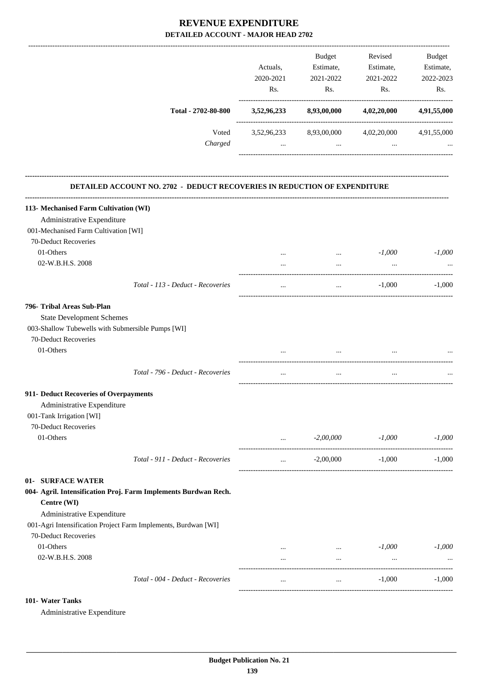|                                                                           |             | Budget                          | Revised                                                                                                                                                              | Budget      |
|---------------------------------------------------------------------------|-------------|---------------------------------|----------------------------------------------------------------------------------------------------------------------------------------------------------------------|-------------|
|                                                                           | Actuals,    | Estimate,                       | Estimate,                                                                                                                                                            | Estimate,   |
|                                                                           | 2020-2021   | 2021-2022                       | 2021-2022                                                                                                                                                            | 2022-2023   |
|                                                                           | Rs.         | Rs.                             | Rs.                                                                                                                                                                  | Rs.         |
|                                                                           |             |                                 |                                                                                                                                                                      |             |
| Total - 2702-80-800                                                       | 3,52,96,233 | 8,93,00,000                     | 4,02,20,000                                                                                                                                                          | 4,91,55,000 |
| Voted                                                                     |             | 3,52,96,233 8,93,00,000         | 4,02,20,000 4,91,55,000                                                                                                                                              |             |
| Charged                                                                   | $\cdots$    |                                 | $\mathbf{1}_{\mathbf{1}_{\mathbf{2}}\mathbf{1}_{\mathbf{3}}\mathbf{2}_{\mathbf{4}}\mathbf{3}_{\mathbf{5}}\mathbf{4}_{\mathbf{6}}\mathbf{4}_{\mathbf{7}}$<br>$\cdots$ |             |
| DETAILED ACCOUNT NO. 2702 - DEDUCT RECOVERIES IN REDUCTION OF EXPENDITURE |             |                                 |                                                                                                                                                                      |             |
| 113- Mechanised Farm Cultivation (WI)                                     |             |                                 |                                                                                                                                                                      |             |
| Administrative Expenditure                                                |             |                                 |                                                                                                                                                                      |             |
| 001-Mechanised Farm Cultivation [WI]                                      |             |                                 |                                                                                                                                                                      |             |
| 70-Deduct Recoveries                                                      |             |                                 |                                                                                                                                                                      |             |
| 01-Others                                                                 |             | $\cdots$                        | $-1,000$                                                                                                                                                             | $-1,000$    |
| 02-W.B.H.S. 2008                                                          | $\cdots$    | $\cdots$                        | $\cdots$                                                                                                                                                             |             |
|                                                                           |             |                                 |                                                                                                                                                                      |             |
| Total - 113 - Deduct - Recoveries                                         |             | $\cdots$                        | $-1,000$                                                                                                                                                             | $-1,000$    |
| 796- Tribal Areas Sub-Plan                                                |             |                                 |                                                                                                                                                                      |             |
| <b>State Development Schemes</b>                                          |             |                                 |                                                                                                                                                                      |             |
| 003-Shallow Tubewells with Submersible Pumps [WI]                         |             |                                 |                                                                                                                                                                      |             |
| 70-Deduct Recoveries                                                      |             |                                 |                                                                                                                                                                      |             |
| 01-Others                                                                 |             |                                 |                                                                                                                                                                      |             |
| Total - 796 - Deduct - Recoveries                                         |             |                                 |                                                                                                                                                                      |             |
| 911- Deduct Recoveries of Overpayments                                    |             |                                 |                                                                                                                                                                      |             |
| Administrative Expenditure                                                |             |                                 |                                                                                                                                                                      |             |
| 001-Tank Irrigation [WI]                                                  |             |                                 |                                                                                                                                                                      |             |
| 70-Deduct Recoveries                                                      |             |                                 |                                                                                                                                                                      |             |
| 01-Others                                                                 | $\cdots$    | $-2,00,000$                     | $-1,000$                                                                                                                                                             | $-1,000$    |
| Total - 911 - Deduct - Recoveries                                         | $\cdots$    | $-2,00,000$                     | $-1,000$                                                                                                                                                             | $-1.000$    |
| 01- SURFACE WATER                                                         |             |                                 |                                                                                                                                                                      |             |
| 004- Agril. Intensification Proj. Farm Implements Burdwan Rech.           |             |                                 |                                                                                                                                                                      |             |
| Centre (WI)                                                               |             |                                 |                                                                                                                                                                      |             |
| Administrative Expenditure                                                |             |                                 |                                                                                                                                                                      |             |
| 001-Agri Intensification Project Farm Implements, Burdwan [WI]            |             |                                 |                                                                                                                                                                      |             |
| 70-Deduct Recoveries                                                      |             |                                 |                                                                                                                                                                      |             |
| 01-Others                                                                 | $\cdots$    | $\mathbf{r}$ and $\mathbf{r}$ . | $-1,000$                                                                                                                                                             | $-1,000$    |
| 02-W.B.H.S. 2008                                                          | $\cdots$    | $\cdots$                        | $\cdots$                                                                                                                                                             |             |
| Total - 004 - Deduct - Recoveries                                         |             | $\cdots$                        | $-1,000$                                                                                                                                                             | $-1,000$    |
|                                                                           |             |                                 |                                                                                                                                                                      |             |

#### **101- Water Tanks**

Administrative Expenditure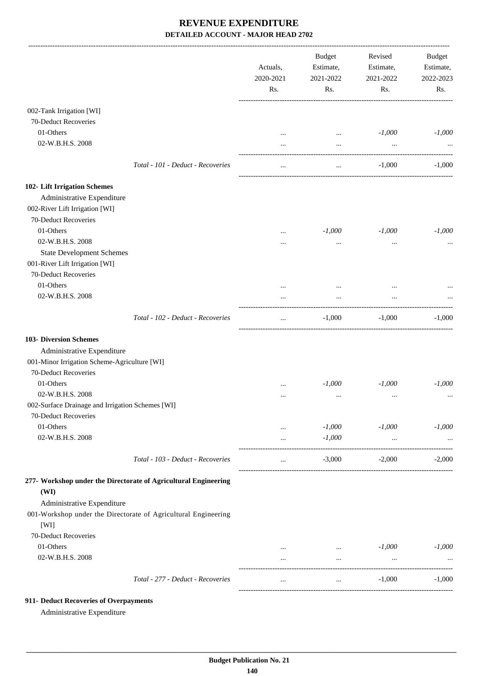|                                                                 |                                                                | Actuals,<br>2020-2021<br>Rs. | <b>Budget</b><br>Estimate,<br>2021-2022<br>Rs. | Revised<br>Estimate,<br>2021-2022<br>Rs. | <b>Budget</b><br>Estimate,<br>2022-2023<br>Rs. |
|-----------------------------------------------------------------|----------------------------------------------------------------|------------------------------|------------------------------------------------|------------------------------------------|------------------------------------------------|
| 002-Tank Irrigation [WI]                                        |                                                                |                              |                                                |                                          |                                                |
| 70-Deduct Recoveries                                            |                                                                |                              |                                                |                                          |                                                |
| 01-Others                                                       |                                                                | $\cdots$                     | $\ldots$                                       | $-1,000$                                 | $-1,000$                                       |
| 02-W.B.H.S. 2008                                                |                                                                |                              | $\cdots$                                       | $\cdots$                                 |                                                |
|                                                                 | Total - 101 - Deduct - Recoveries                              |                              | $\cdots$                                       | $-1,000$                                 | $-1,000$                                       |
| 102- Lift Irrigation Schemes                                    |                                                                |                              |                                                |                                          |                                                |
| Administrative Expenditure                                      |                                                                |                              |                                                |                                          |                                                |
| 002-River Lift Irrigation [WI]                                  |                                                                |                              |                                                |                                          |                                                |
| 70-Deduct Recoveries                                            |                                                                |                              |                                                |                                          |                                                |
| 01-Others                                                       |                                                                |                              | $-1,000$                                       | $-1,000$                                 | $-1,000$                                       |
| 02-W.B.H.S. 2008                                                |                                                                | $\cdots$                     | $\cdots$                                       | $\cdots$                                 |                                                |
| <b>State Development Schemes</b>                                |                                                                |                              |                                                |                                          |                                                |
| 001-River Lift Irrigation [WI]                                  |                                                                |                              |                                                |                                          |                                                |
| 70-Deduct Recoveries                                            |                                                                |                              |                                                |                                          |                                                |
| 01-Others                                                       |                                                                |                              |                                                |                                          |                                                |
| 02-W.B.H.S. 2008                                                |                                                                |                              | $\cdots$                                       | $\ddotsc$                                |                                                |
|                                                                 |                                                                |                              |                                                |                                          |                                                |
|                                                                 | Total - 102 - Deduct - Recoveries                              | $\cdots$                     | $-1,000$                                       | $-1,000$                                 | $-1,000$                                       |
| <b>103- Diversion Schemes</b>                                   |                                                                |                              |                                                |                                          |                                                |
| Administrative Expenditure                                      |                                                                |                              |                                                |                                          |                                                |
| 001-Minor Irrigation Scheme-Agriculture [WI]                    |                                                                |                              |                                                |                                          |                                                |
| 70-Deduct Recoveries                                            |                                                                |                              |                                                |                                          |                                                |
| 01-Others                                                       |                                                                |                              | $-1,000$                                       | $-1,000$                                 | $-1,000$                                       |
| 02-W.B.H.S. 2008                                                |                                                                |                              | $\cdots$                                       | $\cdots$                                 |                                                |
| 002-Surface Drainage and Irrigation Schemes [WI]                |                                                                |                              |                                                |                                          |                                                |
| 70-Deduct Recoveries                                            |                                                                |                              |                                                |                                          |                                                |
| 01-Others                                                       |                                                                | $\cdots$                     | $-1,000$                                       | $-1,000$                                 | $-1,000$                                       |
| 02-W.B.H.S. 2008                                                |                                                                | $\cdots$                     | $-1,000$                                       | $\cdots$                                 |                                                |
|                                                                 | Total - 103 - Deduct - Recoveries                              | $\cdots$                     | $-3,000$                                       | $-2,000$                                 | $-2,000$                                       |
| 277- Workshop under the Directorate of Agricultural Engineering |                                                                |                              |                                                |                                          |                                                |
| (WI)                                                            |                                                                |                              |                                                |                                          |                                                |
| Administrative Expenditure                                      |                                                                |                              |                                                |                                          |                                                |
|                                                                 | 001-Workshop under the Directorate of Agricultural Engineering |                              |                                                |                                          |                                                |
| [WI]                                                            |                                                                |                              |                                                |                                          |                                                |
| 70-Deduct Recoveries                                            |                                                                |                              |                                                |                                          |                                                |
| 01-Others                                                       |                                                                | $\cdots$                     | $\cdots$                                       | $-1,000$                                 | $-1,000$                                       |
| 02-W.B.H.S. 2008                                                |                                                                | $\cdots$                     | $\cdots$                                       | $\ldots$                                 |                                                |
|                                                                 | Total - 277 - Deduct - Recoveries                              | $\cdots$                     | $\cdots$                                       | $-1,000$                                 | $-1,000$                                       |
|                                                                 |                                                                |                              |                                                |                                          |                                                |

#### **911- Deduct Recoveries of Overpayments**

Administrative Expenditure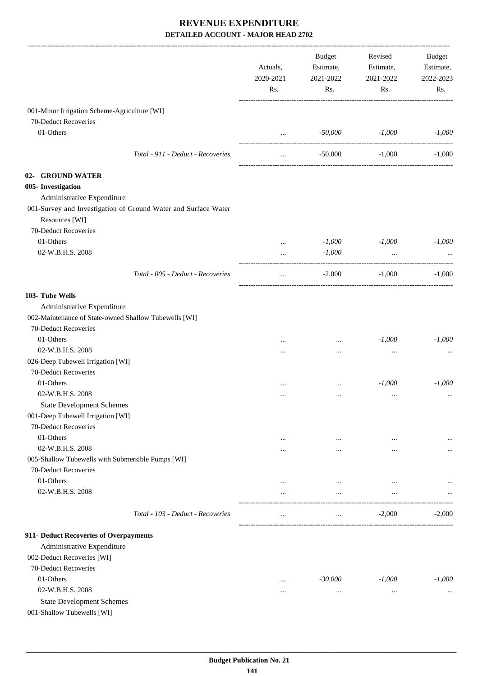|                                                                | Actuals,<br>2020-2021<br>Rs. | Budget<br>Estimate,<br>2021-2022<br>Rs. | Revised<br>Estimate,<br>2021-2022<br>Rs. | Budget<br>Estimate,<br>2022-2023<br>Rs. |
|----------------------------------------------------------------|------------------------------|-----------------------------------------|------------------------------------------|-----------------------------------------|
| 001-Minor Irrigation Scheme-Agriculture [WI]                   |                              |                                         |                                          |                                         |
| 70-Deduct Recoveries                                           |                              |                                         |                                          |                                         |
| 01-Others                                                      | $\cdots$                     | -50,000                                 | $-1,000$                                 | $-1,000$                                |
|                                                                |                              |                                         |                                          |                                         |
| Total - 911 - Deduct - Recoveries                              | $\cdots$                     | $-50,000$                               | $-1,000$                                 | $-1,000$                                |
| 02- GROUND WATER                                               |                              |                                         |                                          |                                         |
| 005- Investigation                                             |                              |                                         |                                          |                                         |
| Administrative Expenditure                                     |                              |                                         |                                          |                                         |
| 001-Survey and Investigation of Ground Water and Surface Water |                              |                                         |                                          |                                         |
| Resources [WI]                                                 |                              |                                         |                                          |                                         |
| 70-Deduct Recoveries                                           |                              |                                         |                                          |                                         |
| 01-Others                                                      | $\cdots$                     | $-1,000$                                | $-1,000$                                 | $-1,000$                                |
| 02-W.B.H.S. 2008                                               | $\cdots$                     | $-1,000$                                | $\ldots$                                 |                                         |
| Total - 005 - Deduct - Recoveries                              | $\cdots$                     | $-2,000$                                | $-1,000$                                 | $-1,000$                                |
|                                                                |                              |                                         |                                          |                                         |
| 103- Tube Wells                                                |                              |                                         |                                          |                                         |
| Administrative Expenditure                                     |                              |                                         |                                          |                                         |
| 002-Maintenance of State-owned Shallow Tubewells [WI]          |                              |                                         |                                          |                                         |
| 70-Deduct Recoveries                                           |                              |                                         |                                          |                                         |
| 01-Others                                                      | .                            | $\cdots$                                | $-1,000$                                 | $-1,000$                                |
| 02-W.B.H.S. 2008                                               |                              |                                         |                                          |                                         |
| 026-Deep Tubewell Irrigation [WI]                              |                              |                                         |                                          |                                         |
| 70-Deduct Recoveries                                           |                              |                                         |                                          |                                         |
| 01-Others                                                      | $\cdots$                     | $\cdots$                                | $-1,000$                                 | $-1,000$                                |
| 02-W.B.H.S. 2008                                               |                              |                                         | $\ddotsc$                                |                                         |
| <b>State Development Schemes</b>                               |                              |                                         |                                          |                                         |
| 001-Deep Tubewell Irrigation [WI]                              |                              |                                         |                                          |                                         |
| 70-Deduct Recoveries                                           |                              |                                         |                                          |                                         |
| 01-Others                                                      | $\cdots$                     | $\cdots$                                | $\cdots$                                 | $\cdots$                                |
| 02-W.B.H.S. 2008                                               | $\cdots$                     | $\cdots$                                | $\ddotsc$                                | $\cdots$                                |
| 005-Shallow Tubewells with Submersible Pumps [WI]              |                              |                                         |                                          |                                         |
| 70-Deduct Recoveries                                           |                              |                                         |                                          |                                         |
| 01-Others                                                      |                              | $\cdots$                                | $\ddotsc$                                |                                         |
| 02-W.B.H.S. 2008                                               |                              | $\cdots$                                | $\cdots$                                 |                                         |
| Total - 103 - Deduct - Recoveries                              | $\cdots$                     | $\cdots$                                | $-2,000$                                 | $-2,000$                                |
| 911- Deduct Recoveries of Overpayments                         |                              |                                         |                                          |                                         |
| Administrative Expenditure                                     |                              |                                         |                                          |                                         |
| 002-Deduct Recoveries [WI]                                     |                              |                                         |                                          |                                         |
| 70-Deduct Recoveries                                           |                              |                                         |                                          |                                         |
| 01-Others                                                      |                              | $-30,000$                               | $-1,000$                                 | $-1,000$                                |
| 02-W.B.H.S. 2008                                               | $\cdots$                     | $\cdots$                                | $\cdots$                                 | $\cdots$                                |
| <b>State Development Schemes</b>                               |                              |                                         |                                          |                                         |
| 001-Shallow Tubewells [WI]                                     |                              |                                         |                                          |                                         |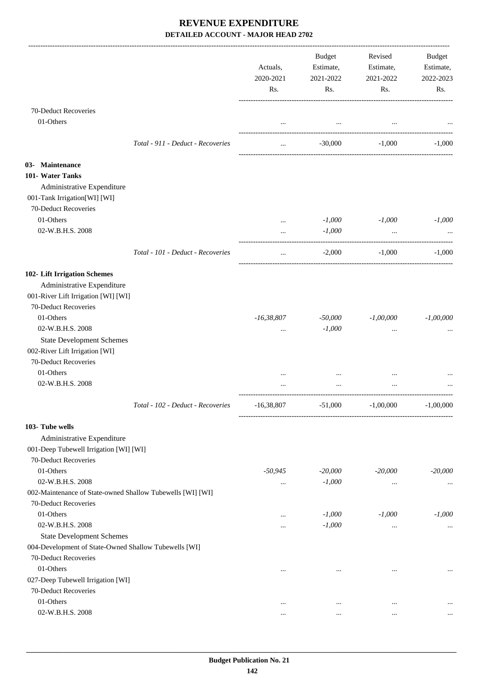|                                                                                                                           |                                   | Actuals,<br>2020-2021<br>Rs. | Budget<br>Estimate,<br>2021-2022<br>Rs. | Revised<br>Estimate,<br>2021-2022<br>Rs. | Budget<br>Estimate,<br>2022-2023<br>Rs. |
|---------------------------------------------------------------------------------------------------------------------------|-----------------------------------|------------------------------|-----------------------------------------|------------------------------------------|-----------------------------------------|
| 70-Deduct Recoveries<br>01-Others                                                                                         |                                   |                              |                                         |                                          |                                         |
|                                                                                                                           | Total - 911 - Deduct - Recoveries | $\cdots$                     | $-30,000$                               | $-1.000$                                 | $-1,000$                                |
| 03- Maintenance<br>101- Water Tanks<br>Administrative Expenditure<br>001-Tank Irrigation[WI] [WI]<br>70-Deduct Recoveries |                                   |                              |                                         |                                          |                                         |
| 01-Others                                                                                                                 |                                   | $\cdots$                     | $-1,000$                                | $-1,000$                                 | $-1,000$                                |
| 02-W.B.H.S. 2008                                                                                                          |                                   |                              | $-1,000$                                |                                          |                                         |
|                                                                                                                           | Total - 101 - Deduct - Recoveries | $\cdots$                     | $-2,000$                                | $-1,000$                                 | $-1,000$                                |
| 102- Lift Irrigation Schemes<br>Administrative Expenditure<br>001-River Lift Irrigation [WI] [WI]<br>70-Deduct Recoveries |                                   |                              |                                         |                                          |                                         |
| 01-Others                                                                                                                 |                                   | $-16,38,807$                 | $-50,000$                               | $-1,00,000$                              | $-1,00,000$                             |
| 02-W.B.H.S. 2008                                                                                                          |                                   | $\cdots$                     | $-1,000$                                | $\ddotsc$                                |                                         |
| <b>State Development Schemes</b><br>002-River Lift Irrigation [WI]<br>70-Deduct Recoveries                                |                                   |                              |                                         |                                          |                                         |
| 01-Others                                                                                                                 |                                   |                              |                                         |                                          |                                         |
| 02-W.B.H.S. 2008                                                                                                          |                                   |                              |                                         |                                          |                                         |
|                                                                                                                           | Total - 102 - Deduct - Recoveries | $-16,38,807$                 | $-51,000$                               | $-1,00,000$                              | $-1,00,000$                             |
| 103- Tube wells                                                                                                           |                                   |                              |                                         |                                          |                                         |
| Administrative Expenditure                                                                                                |                                   |                              |                                         |                                          |                                         |
| 001-Deep Tubewell Irrigation [WI] [WI]                                                                                    |                                   |                              |                                         |                                          |                                         |
| 70-Deduct Recoveries                                                                                                      |                                   |                              |                                         |                                          |                                         |
| 01-Others                                                                                                                 |                                   | $-50,945$                    | $-20,000$                               | $-20,000$                                | $-20,000$                               |
| 02-W.B.H.S. 2008                                                                                                          |                                   | $\cdots$                     | $-1,000$                                | $\cdots$                                 |                                         |
| 002-Maintenance of State-owned Shallow Tubewells [WI] [WI]<br>70-Deduct Recoveries                                        |                                   |                              |                                         |                                          |                                         |
| 01-Others                                                                                                                 |                                   | $\cdots$                     | $-1,000$                                | $-1,000$                                 | $-1,000$                                |
| 02-W.B.H.S. 2008                                                                                                          |                                   | $\cdots$                     | $-1,000$                                | $\cdots$                                 | $\ddots$                                |
| <b>State Development Schemes</b>                                                                                          |                                   |                              |                                         |                                          |                                         |
| 004-Development of State-Owned Shallow Tubewells [WI]                                                                     |                                   |                              |                                         |                                          |                                         |
| 70-Deduct Recoveries                                                                                                      |                                   |                              |                                         |                                          |                                         |
| 01-Others                                                                                                                 |                                   | $\ddotsc$                    | $\ddotsc$                               | $\ddotsc$                                | $\cdots$                                |
| 027-Deep Tubewell Irrigation [WI]                                                                                         |                                   |                              |                                         |                                          |                                         |
| 70-Deduct Recoveries                                                                                                      |                                   |                              |                                         |                                          |                                         |
| 01-Others<br>02-W.B.H.S. 2008                                                                                             |                                   | $\ddotsc$                    | $\cdots$                                | $\cdots$                                 |                                         |
|                                                                                                                           |                                   | $\ddotsc$                    | $\ddotsc$                               | $\ddotsc$                                |                                         |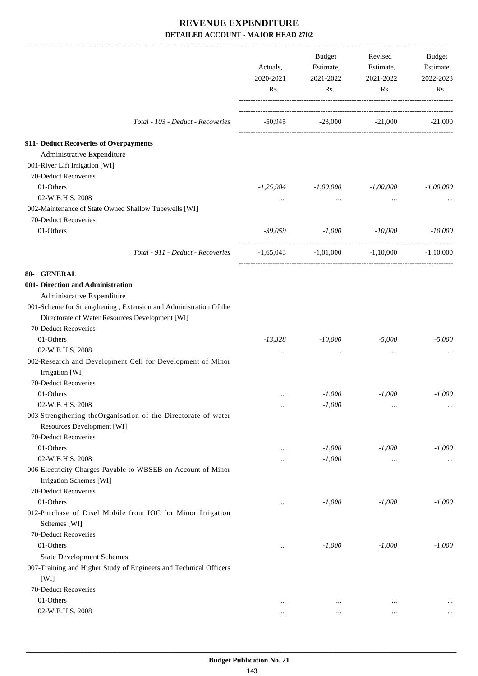|                                                                           | Actuals,<br>2020-2021<br>Rs.            | <b>Budget</b><br>Estimate,<br>2021-2022<br>Rs. | Revised<br>Estimate,<br>2021-2022<br>Rs. | Budget<br>Estimate,<br>2022-2023<br>Rs. |
|---------------------------------------------------------------------------|-----------------------------------------|------------------------------------------------|------------------------------------------|-----------------------------------------|
| Total - 103 - Deduct - Recoveries                                         | $-50,945$ $-23,000$ $-21,000$ $-21,000$ |                                                |                                          |                                         |
| 911- Deduct Recoveries of Overpayments                                    |                                         |                                                |                                          |                                         |
| Administrative Expenditure                                                |                                         |                                                |                                          |                                         |
| 001-River Lift Irrigation [WI]                                            |                                         |                                                |                                          |                                         |
| 70-Deduct Recoveries                                                      |                                         |                                                |                                          |                                         |
| 01-Others                                                                 | -1,25,984                               | $-1,00,000$                                    | $-1,00,000$                              | $-1,00,000$                             |
| 02-W.B.H.S. 2008                                                          | $\cdots$                                | $\cdots$                                       | $\cdots$                                 |                                         |
| 002-Maintenance of State Owned Shallow Tubewells [WI]                     |                                         |                                                |                                          |                                         |
| 70-Deduct Recoveries                                                      |                                         |                                                |                                          |                                         |
| 01-Others                                                                 | -39,059                                 | $-1,000$                                       | $-10,000$                                | $-10,000$                               |
| Total - 911 - Deduct - Recoveries                                         |                                         | $-1,65,043$ $-1,01,000$ $-1,10,000$            |                                          | $-1,10,000$                             |
| 80- GENERAL                                                               |                                         |                                                |                                          |                                         |
| 001- Direction and Administration                                         |                                         |                                                |                                          |                                         |
| Administrative Expenditure                                                |                                         |                                                |                                          |                                         |
| 001-Scheme for Strengthening, Extension and Administration Of the         |                                         |                                                |                                          |                                         |
| Directorate of Water Resources Development [WI]                           |                                         |                                                |                                          |                                         |
| 70-Deduct Recoveries                                                      |                                         |                                                |                                          |                                         |
| 01-Others                                                                 | $-13,328$                               | -10,000                                        | $-5,000$                                 | $-5,000$                                |
| 02-W.B.H.S. 2008                                                          | $\ddotsc$                               | $\cdots$                                       | $\cdots$                                 |                                         |
| 002-Research and Development Cell for Development of Minor                |                                         |                                                |                                          |                                         |
| Irrigation [WI]                                                           |                                         |                                                |                                          |                                         |
| 70-Deduct Recoveries                                                      |                                         |                                                |                                          |                                         |
| 01-Others                                                                 | $\cdots$                                | $-1,000$                                       | $-1,000$                                 | $-1,000$                                |
| 02-W.B.H.S. 2008                                                          | $\cdots$                                | $-1,000$                                       | $\ldots$                                 | $\cdots$                                |
| 003-Strengthening theOrganisation of the Directorate of water             |                                         |                                                |                                          |                                         |
| Resources Development [WI]                                                |                                         |                                                |                                          |                                         |
| 70-Deduct Recoveries                                                      |                                         |                                                |                                          |                                         |
| 01-Others                                                                 | $\ddotsc$                               | $-1,000$                                       | $-1,000$                                 | $-1,000$                                |
| 02-W.B.H.S. 2008                                                          | $\ddotsc$                               | $-1,000$                                       |                                          | $\cdots$                                |
| 006-Electricity Charges Payable to WBSEB on Account of Minor              |                                         |                                                |                                          |                                         |
| Irrigation Schemes [WI]<br>70-Deduct Recoveries                           |                                         |                                                |                                          |                                         |
| 01-Others                                                                 |                                         | $-1,000$                                       | $-1,000$                                 | $-1,000$                                |
|                                                                           | $\ddotsc$                               |                                                |                                          |                                         |
| 012-Purchase of Disel Mobile from IOC for Minor Irrigation                |                                         |                                                |                                          |                                         |
| Schemes [WI]<br>70-Deduct Recoveries                                      |                                         |                                                |                                          |                                         |
| 01-Others                                                                 |                                         | $-1,000$                                       | $-1,000$                                 | $-1,000$                                |
|                                                                           | $\ddotsc$                               |                                                |                                          |                                         |
| <b>State Development Schemes</b>                                          |                                         |                                                |                                          |                                         |
| 007-Training and Higher Study of Engineers and Technical Officers<br>[WI] |                                         |                                                |                                          |                                         |
| 70-Deduct Recoveries                                                      |                                         |                                                |                                          |                                         |
| 01-Others                                                                 |                                         |                                                |                                          |                                         |
| 02-W.B.H.S. 2008                                                          | $\ddotsc$                               | $\cdots$                                       | $\ddotsc$                                |                                         |
|                                                                           | $\cdots$                                | $\cdots$                                       | $\ldots$                                 | $\cdots$                                |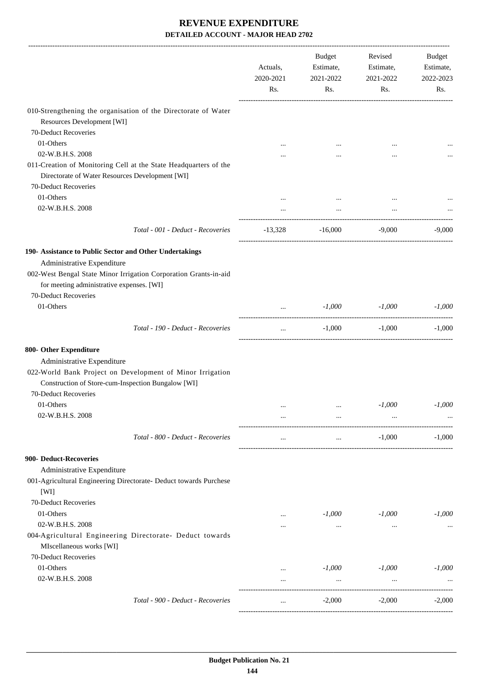|                                                                                                                     | Actuals,<br>2020-2021<br>Rs. | <b>Budget</b><br>Estimate,<br>2021-2022<br>Rs. | Revised<br>Estimate,<br>2021-2022<br>Rs. | Budget<br>Estimate,<br>2022-2023<br>Rs. |
|---------------------------------------------------------------------------------------------------------------------|------------------------------|------------------------------------------------|------------------------------------------|-----------------------------------------|
| 010-Strengthening the organisation of the Directorate of Water                                                      |                              |                                                |                                          |                                         |
| Resources Development [WI]                                                                                          |                              |                                                |                                          |                                         |
| 70-Deduct Recoveries                                                                                                |                              |                                                |                                          |                                         |
| 01-Others                                                                                                           |                              |                                                |                                          |                                         |
| 02-W.B.H.S. 2008                                                                                                    |                              |                                                |                                          |                                         |
| 011-Creation of Monitoring Cell at the State Headquarters of the<br>Directorate of Water Resources Development [WI] |                              |                                                |                                          |                                         |
| 70-Deduct Recoveries                                                                                                |                              |                                                |                                          |                                         |
| 01-Others                                                                                                           |                              |                                                |                                          |                                         |
| 02-W.B.H.S. 2008                                                                                                    |                              |                                                |                                          |                                         |
| Total - 001 - Deduct - Recoveries                                                                                   | $-13,328$                    |                                                | $-16,000$ $-9,000$                       | $-9,000$                                |
| 190- Assistance to Public Sector and Other Undertakings                                                             |                              |                                                |                                          |                                         |
| Administrative Expenditure                                                                                          |                              |                                                |                                          |                                         |
| 002-West Bengal State Minor Irrigation Corporation Grants-in-aid                                                    |                              |                                                |                                          |                                         |
| for meeting administrative expenses. [WI]                                                                           |                              |                                                |                                          |                                         |
| 70-Deduct Recoveries                                                                                                |                              |                                                |                                          |                                         |
| 01-Others                                                                                                           |                              | $-1,000$                                       | $-1,000$                                 | $-1,000$                                |
| Total - 190 - Deduct - Recoveries                                                                                   | $\cdots$                     | $-1,000$                                       | $-1,000$                                 | $-1,000$                                |
| 800- Other Expenditure                                                                                              |                              |                                                |                                          |                                         |
| Administrative Expenditure                                                                                          |                              |                                                |                                          |                                         |
| 022-World Bank Project on Development of Minor Irrigation                                                           |                              |                                                |                                          |                                         |
| Construction of Store-cum-Inspection Bungalow [WI]                                                                  |                              |                                                |                                          |                                         |
| 70-Deduct Recoveries                                                                                                |                              |                                                |                                          |                                         |
| 01-Others                                                                                                           | $\cdots$                     |                                                | $-1,000$                                 | $-1,000$                                |
| 02-W.B.H.S. 2008                                                                                                    |                              |                                                |                                          |                                         |
| Total - 800 - Deduct - Recoveries                                                                                   |                              | $\cdots$                                       | $-1,000$                                 | $-1,000$                                |
| 900- Deduct-Recoveries                                                                                              |                              |                                                |                                          |                                         |
| Administrative Expenditure                                                                                          |                              |                                                |                                          |                                         |
| 001-Agricultural Engineering Directorate- Deduct towards Purchese<br>[WI]                                           |                              |                                                |                                          |                                         |
| 70-Deduct Recoveries                                                                                                |                              |                                                |                                          |                                         |
| 01-Others                                                                                                           | $\cdots$                     | $-1,000$                                       | $-1,000$                                 | $-1,000$                                |
| 02-W.B.H.S. 2008                                                                                                    |                              |                                                | $\cdots$                                 |                                         |
| 004-Agricultural Engineering Directorate- Deduct towards<br>MIscellaneous works [WI]                                |                              |                                                |                                          |                                         |
| 70-Deduct Recoveries                                                                                                |                              |                                                |                                          |                                         |
| 01-Others                                                                                                           | $\cdots$                     | $-1,000$                                       | $-1,000$                                 | $-1,000$                                |
| 02-W.B.H.S. 2008                                                                                                    |                              | $\cdots$                                       | $\cdots$                                 |                                         |
| Total - 900 - Deduct - Recoveries                                                                                   | $\cdots$                     | $-2,000$                                       | $-2,000$                                 | $-2,000$                                |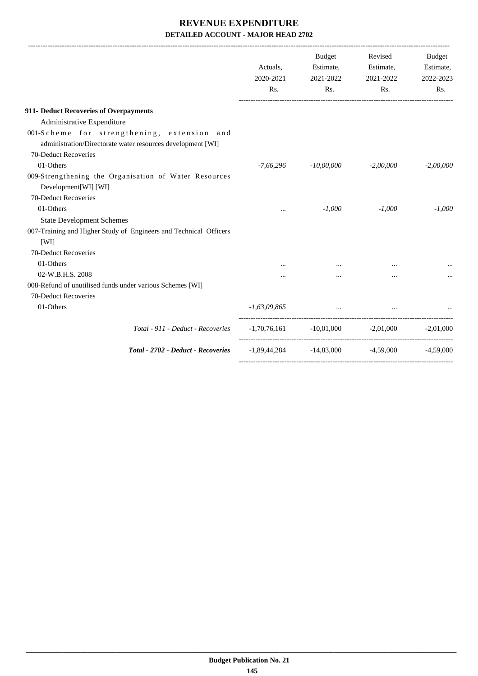|                                                                                                            | Actuals,<br>2020-2021<br>Rs. | <b>Budget</b><br>Estimate,<br>2021-2022<br>Rs.      | Revised<br>Estimate,<br>2021-2022<br>Rs. | <b>Budget</b><br>Estimate,<br>2022-2023<br>Rs. |
|------------------------------------------------------------------------------------------------------------|------------------------------|-----------------------------------------------------|------------------------------------------|------------------------------------------------|
| 911- Deduct Recoveries of Overpayments                                                                     |                              |                                                     |                                          |                                                |
| Administrative Expenditure                                                                                 |                              |                                                     |                                          |                                                |
| 001-Scheme for strengthening, extension and<br>administration/Directorate water resources development [WI] |                              |                                                     |                                          |                                                |
| 70-Deduct Recoveries                                                                                       |                              |                                                     |                                          |                                                |
| 01-Others                                                                                                  | $-7,66,296$                  | $-10,00,000$                                        | $-2,00,000$                              | $-2,00,000$                                    |
| 009-Strengthening the Organisation of Water Resources<br>Development[WI] [WI]                              |                              |                                                     |                                          |                                                |
| 70-Deduct Recoveries                                                                                       |                              |                                                     |                                          |                                                |
| 01-Others                                                                                                  | $\ddotsc$                    | $-1,000$                                            | $-1,000$                                 | $-1,000$                                       |
| <b>State Development Schemes</b>                                                                           |                              |                                                     |                                          |                                                |
| 007-Training and Higher Study of Engineers and Technical Officers<br>[WI]                                  |                              |                                                     |                                          |                                                |
| 70-Deduct Recoveries                                                                                       |                              |                                                     |                                          |                                                |
| 01-Others                                                                                                  |                              |                                                     |                                          |                                                |
| 02-W.B.H.S. 2008                                                                                           |                              |                                                     |                                          |                                                |
| 008-Refund of unutilised funds under various Schemes [WI]<br>70-Deduct Recoveries                          |                              |                                                     |                                          |                                                |
| 01-Others                                                                                                  | $-1,63,09,865$               | $\cdots$                                            |                                          |                                                |
| Total - 911 - Deduct - Recoveries                                                                          |                              | $-1,70,76,161$ $-10,01,000$ $-2,01,000$ $-2,01,000$ |                                          |                                                |
| Total - 2702 - Deduct - Recoveries                                                                         | -1,89,44,284                 | $-14,83,000$                                        | $-4.59,000$                              | $-4,59,000$                                    |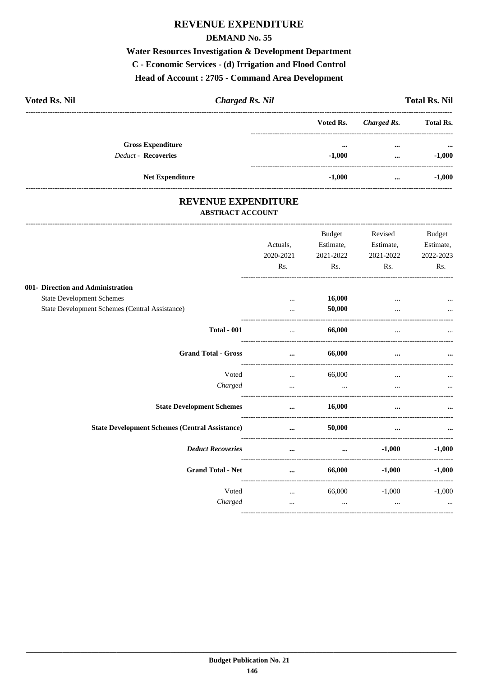#### **REVENUE EXPENDITURE**

#### **DEMAND No. 55**

# Water Resources Investigation & Development Department C - Economic Services - (d) Irrigation and Flood Control

Head of Account: 2705 - Command Area Development

| <b>Voted Rs. Nil</b>       | <b>Charged Rs. Nil</b> |                  |             | <b>Total Rs. Nil</b>      |
|----------------------------|------------------------|------------------|-------------|---------------------------|
|                            |                        | <b>Voted Rs.</b> | Charged Rs. | <b>Total Rs.</b>          |
| <b>Gross Expenditure</b>   |                        | $\cdots$         | $\cdots$    | $\bullet \bullet \bullet$ |
| <b>Deduct - Recoveries</b> |                        | $-1,000$         | $\cdots$    | $-1,000$                  |
| <b>Net Expenditure</b>     |                        | $-1,000$         | $\cdots$    | $-1,000$                  |

#### REVENUE EXPENDITURE **ABSTRACT ACCOUNT**

|                                                       |           | <b>Budget</b>            | Revised   | <b>Budget</b> |
|-------------------------------------------------------|-----------|--------------------------|-----------|---------------|
|                                                       | Actuals,  | Estimate,                | Estimate, | Estimate,     |
|                                                       | 2020-2021 | 2021-2022                | 2021-2022 | 2022-2023     |
|                                                       | Rs.       | Rs.                      | Rs.       | Rs.           |
| 001- Direction and Administration                     |           |                          |           |               |
| <b>State Development Schemes</b>                      | $\cdots$  | 16,000                   |           |               |
| State Development Schemes (Central Assistance)        |           | 50,000                   |           |               |
| <b>Total - 001</b>                                    | $\ddotsc$ | 66,000                   |           |               |
| <b>Grand Total - Gross</b>                            | $\cdots$  | 66,000                   | $\cdots$  |               |
| Voted                                                 | $\cdots$  | 66,000                   | $\cdots$  |               |
| Charged                                               | $\ddotsc$ | <b>Contract Contract</b> |           | $\ddotsc$     |
| <b>State Development Schemes</b>                      | $\cdots$  | 16,000                   | $\cdots$  |               |
| <b>State Development Schemes (Central Assistance)</b> | $\cdots$  | 50,000                   | $\cdots$  |               |
| <b>Deduct Recoveries</b>                              | $\cdots$  | $\cdots$                 | $-1,000$  | $-1,000$      |
| <b>Grand Total - Net</b>                              | $\cdots$  | 66,000                   | $-1,000$  | $-1,000$      |
| Voted                                                 | $\cdots$  | 66,000                   | $-1,000$  | $-1,000$      |
| Charged                                               | $\cdots$  | $\ddots$                 | $\cdots$  | $\cdots$      |
|                                                       |           |                          |           |               |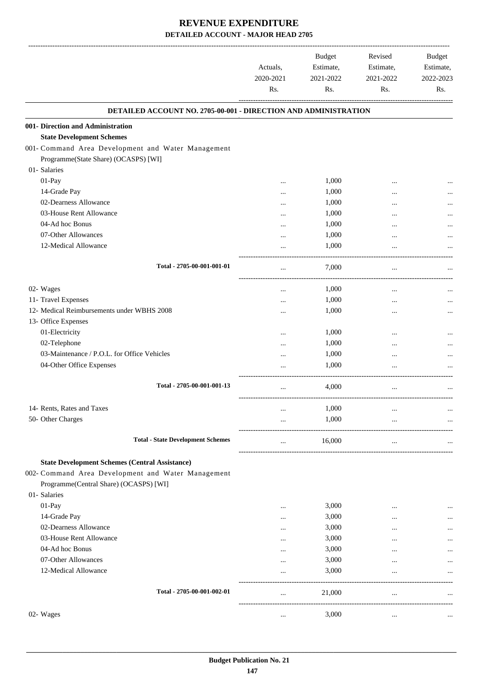|                                                                 | Actuals,<br>2020-2021<br>Rs. | Budget<br>Estimate,<br>2021-2022<br>Rs. | Revised<br>Estimate,<br>2021-2022<br>Rs. | Budget<br>Estimate,<br>2022-2023<br>Rs. |
|-----------------------------------------------------------------|------------------------------|-----------------------------------------|------------------------------------------|-----------------------------------------|
| DETAILED ACCOUNT NO. 2705-00-001 - DIRECTION AND ADMINISTRATION |                              |                                         |                                          |                                         |
| 001- Direction and Administration                               |                              |                                         |                                          |                                         |
| <b>State Development Schemes</b>                                |                              |                                         |                                          |                                         |
| 001- Command Area Development and Water Management              |                              |                                         |                                          |                                         |
| Programme(State Share) (OCASPS) [WI]                            |                              |                                         |                                          |                                         |
| 01- Salaries                                                    |                              |                                         |                                          |                                         |
| 01-Pay                                                          |                              | 1,000                                   |                                          |                                         |
| 14-Grade Pay                                                    | $\cdots$                     | 1,000                                   |                                          |                                         |
| 02-Dearness Allowance                                           | $\cdots$                     | 1,000                                   |                                          |                                         |
| 03-House Rent Allowance                                         |                              | 1,000                                   |                                          |                                         |
| 04-Ad hoc Bonus                                                 |                              | 1,000                                   |                                          |                                         |
| 07-Other Allowances<br>12-Medical Allowance                     |                              | 1,000                                   |                                          |                                         |
|                                                                 |                              | 1,000                                   |                                          |                                         |
| Total - 2705-00-001-001-01                                      |                              | 7,000                                   |                                          |                                         |
| 02- Wages                                                       |                              | 1,000                                   | $\ddotsc$                                |                                         |
| 11- Travel Expenses                                             |                              | 1,000                                   |                                          |                                         |
| 12- Medical Reimbursements under WBHS 2008                      |                              | 1,000                                   |                                          |                                         |
| 13- Office Expenses                                             |                              |                                         |                                          |                                         |
| 01-Electricity                                                  |                              | 1,000                                   |                                          |                                         |
| 02-Telephone                                                    | $\cdots$                     | 1,000                                   |                                          |                                         |
| 03-Maintenance / P.O.L. for Office Vehicles                     |                              | 1,000                                   |                                          |                                         |
| 04-Other Office Expenses                                        |                              | 1,000                                   |                                          |                                         |
| Total - 2705-00-001-001-13                                      | $\cdots$                     | 4,000                                   | $\cdots$                                 |                                         |
| 14- Rents, Rates and Taxes                                      |                              | 1,000                                   |                                          |                                         |
| 50- Other Charges                                               |                              | 1,000                                   |                                          |                                         |
|                                                                 |                              |                                         |                                          |                                         |
| <b>Total - State Development Schemes</b>                        |                              | 16,000                                  | $\cdots$                                 |                                         |
| <b>State Development Schemes (Central Assistance)</b>           |                              |                                         |                                          |                                         |
| 002- Command Area Development and Water Management              |                              |                                         |                                          |                                         |
| Programme(Central Share) (OCASPS) [WI]                          |                              |                                         |                                          |                                         |
| 01- Salaries                                                    |                              |                                         |                                          |                                         |
| 01-Pay                                                          |                              | 3,000                                   |                                          |                                         |
| 14-Grade Pay                                                    | $\cdots$                     | 3,000                                   |                                          |                                         |
| 02-Dearness Allowance                                           | $\cdots$                     | 3,000                                   | $\cdots$                                 |                                         |
| 03-House Rent Allowance                                         | $\cdots$                     | 3,000                                   |                                          |                                         |
| 04-Ad hoc Bonus                                                 | $\cdots$                     | 3,000                                   |                                          |                                         |
| 07-Other Allowances                                             | $\cdots$                     | 3,000                                   |                                          |                                         |
| 12-Medical Allowance                                            | .                            | 3,000                                   |                                          |                                         |
| Total - 2705-00-001-002-01                                      |                              | 21,000                                  |                                          |                                         |
| 02- Wages                                                       | $\cdots$                     | 3,000                                   | $\cdots$                                 |                                         |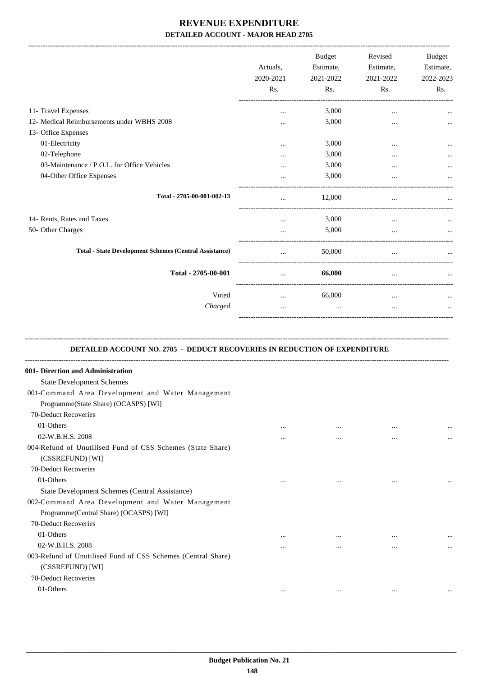|                                                               | Actuals.<br>2020-2021<br>Rs. | <b>Budget</b><br>Estimate,<br>2021-2022<br>Rs. | Revised<br>Estimate,<br>2021-2022<br>Rs. | Budget<br>Estimate,<br>2022-2023<br>Rs. |
|---------------------------------------------------------------|------------------------------|------------------------------------------------|------------------------------------------|-----------------------------------------|
| 11- Travel Expenses                                           | $\ddotsc$                    | 3,000                                          | $\cdots$                                 |                                         |
| 12- Medical Reimbursements under WBHS 2008                    |                              | 3,000                                          | $\cdots$                                 |                                         |
| 13- Office Expenses                                           |                              |                                                |                                          |                                         |
| 01-Electricity                                                | $\ddotsc$                    | 3,000                                          | $\ddotsc$                                |                                         |
| 02-Telephone                                                  |                              | 3,000                                          | $\cdots$                                 |                                         |
| 03-Maintenance / P.O.L. for Office Vehicles                   |                              | 3,000                                          | $\cdots$                                 |                                         |
| 04-Other Office Expenses                                      | $\ddotsc$                    | 3,000                                          | $\cdots$                                 |                                         |
| Total - 2705-00-001-002-13                                    | $\cdots$                     | 12,000                                         | $\cdots$                                 |                                         |
| 14- Rents, Rates and Taxes                                    |                              | 3,000                                          | $\cdots$                                 |                                         |
| 50- Other Charges                                             | $\cdots$                     | 5,000                                          | $\cdots$                                 |                                         |
| <b>Total - State Development Schemes (Central Assistance)</b> | $\cdots$                     | 50,000                                         | $\cdots$                                 |                                         |
| Total - 2705-00-001                                           | $\cdots$                     | 66,000                                         | $\cdots$                                 |                                         |
| Voted                                                         | $\cdots$                     | 66,000                                         | $\cdots$                                 |                                         |
| Charged                                                       |                              | $\cdots$                                       | $\cdots$                                 |                                         |
|                                                               |                              |                                                |                                          |                                         |

#### **-------------------------------------------------------------------------------------------------------------------------------------------------------------------------------- DETAILED ACCOUNT NO. 2705 - DEDUCT RECOVERIES IN REDUCTION OF EXPENDITURE**

| 001- Direction and Administration                            |          |          |          |          |
|--------------------------------------------------------------|----------|----------|----------|----------|
| <b>State Development Schemes</b>                             |          |          |          |          |
| 001-Command Area Development and Water Management            |          |          |          |          |
| Programme(State Share) (OCASPS) [WI]                         |          |          |          |          |
| 70-Deduct Recoveries                                         |          |          |          |          |
| 01-Others                                                    | $\cdots$ | $\cdots$ | $\cdots$ | $\cdots$ |
| 02-W.B.H.S. 2008                                             | $\cdots$ | $\cdots$ |          |          |
| 004-Refund of Unutilised Fund of CSS Schemes (State Share)   |          |          |          |          |
| (CSSREFUND) [WI]                                             |          |          |          |          |
| 70-Deduct Recoveries                                         |          |          |          |          |
| 01-Others                                                    | $\cdots$ | $\cdots$ | $\cdots$ | $\cdots$ |
| State Development Schemes (Central Assistance)               |          |          |          |          |
| 002-Command Area Development and Water Management            |          |          |          |          |
| Programme(Central Share) (OCASPS) [WI]                       |          |          |          |          |
| 70-Deduct Recoveries                                         |          |          |          |          |
| 01-Others                                                    | $\cdots$ |          | $\cdots$ |          |
| 02-W.B.H.S. 2008                                             | $\cdots$ | $\cdots$ |          | $\cdots$ |
| 003-Refund of Unutilised Fund of CSS Schemes (Central Share) |          |          |          |          |
| (CSSREFUND) [WI]                                             |          |          |          |          |
| 70-Deduct Recoveries                                         |          |          |          |          |
| 01-Others                                                    | $\cdots$ | $\cdots$ | $\cdots$ |          |
|                                                              |          |          |          |          |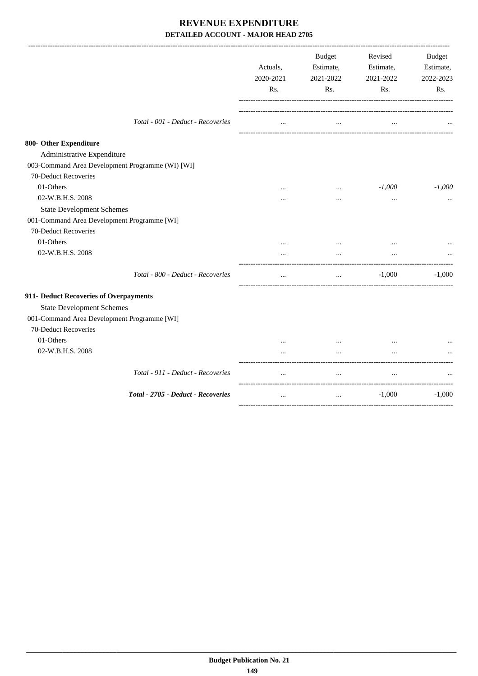|                                                                                                                                                                | Actuals,<br>2020-2021<br>Rs. | <b>Budget</b><br>Estimate,<br>2021-2022<br>Rs. | Revised<br>Estimate,<br>2021-2022<br>Rs. | <b>Budget</b><br>Estimate,<br>2022-2023<br>Rs. |
|----------------------------------------------------------------------------------------------------------------------------------------------------------------|------------------------------|------------------------------------------------|------------------------------------------|------------------------------------------------|
| Total - 001 - Deduct - Recoveries                                                                                                                              | $\cdots$                     | $\cdots$                                       | $\ddotsc$                                |                                                |
| 800- Other Expenditure<br>Administrative Expenditure<br>003-Command Area Development Programme (WI) [WI]                                                       |                              |                                                |                                          |                                                |
| 70-Deduct Recoveries<br>01-Others<br>02-W.B.H.S. 2008<br><b>State Development Schemes</b>                                                                      | $\cdots$                     | $\cdots$<br>$\cdots$                           | $-1,000$<br>$\cdots$                     | $-1,000$<br>$\cdots$                           |
| 001-Command Area Development Programme [WI]<br>70-Deduct Recoveries<br>01-Others<br>02-W.B.H.S. 2008                                                           | $\cdots$                     | $\cdots$                                       | $\cdots$                                 |                                                |
| Total - 800 - Deduct - Recoveries                                                                                                                              |                              | $\cdots$                                       | $-1,000$                                 | $-1,000$                                       |
| 911- Deduct Recoveries of Overpayments<br><b>State Development Schemes</b><br>001-Command Area Development Programme [WI]<br>70-Deduct Recoveries<br>01-Others | $\cdots$                     | $\cdots$                                       | $\cdots$                                 |                                                |
| 02-W.B.H.S. 2008                                                                                                                                               |                              |                                                |                                          |                                                |
| Total - 911 - Deduct - Recoveries                                                                                                                              |                              | $\cdots$                                       |                                          |                                                |
| Total - 2705 - Deduct - Recoveries                                                                                                                             | $\cdots$                     | $\ddots$                                       | $-1,000$                                 | $-1,000$                                       |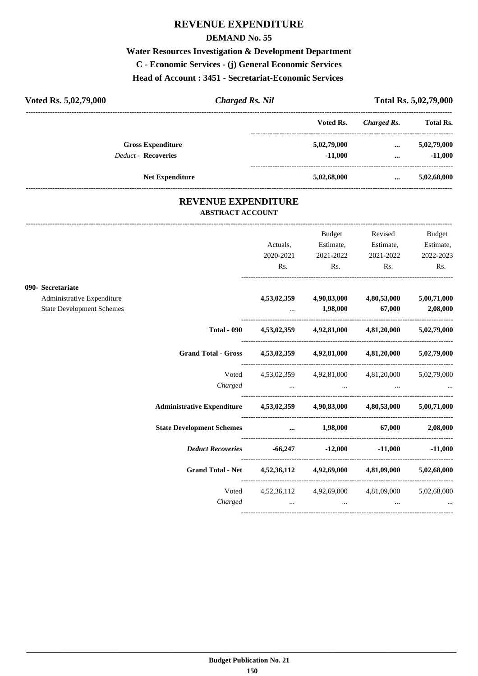#### **REVENUE EXPENDITURE**

#### **DEMAND No. 55**

## **Water Resources Investigation & Development Department C - Economic Services - (j) General Economic Services Head of Account : 3451 - Secretariat-Economic Services**

| Voted Rs. 5,02,79,000      | Charged Rs. Nil        |             | Total Rs. 5,02,79,000 |                  |  |
|----------------------------|------------------------|-------------|-----------------------|------------------|--|
|                            |                        | Voted Rs.   | Charged Rs.           | <b>Total Rs.</b> |  |
| <b>Gross Expenditure</b>   |                        | 5,02,79,000 | $\cdots$              | 5,02,79,000      |  |
| <b>Deduct - Recoveries</b> |                        | $-11.000$   | $\cdots$              | $-11,000$        |  |
|                            | <b>Net Expenditure</b> | 5,02,68,000 | $\cdots$              | 5,02,68,000      |  |
|                            |                        |             |                       |                  |  |

#### **REVENUE EXPENDITURE ABSTRACT ACCOUNT**

---------------------------------------------------------------------------------------------------------------------------------------------------------------------------------

|                                  |                                                                                |           | Budget          | Revised                                         | <b>Budget</b> |
|----------------------------------|--------------------------------------------------------------------------------|-----------|-----------------|-------------------------------------------------|---------------|
|                                  |                                                                                | Actuals,  | Estimate,       | Estimate,                                       | Estimate,     |
|                                  |                                                                                | 2020-2021 | 2021-2022       | 2021-2022                                       | 2022-2023     |
|                                  |                                                                                | Rs.       | $\mathbf{Rs.}$  | Rs.                                             | Rs.           |
| 090- Secretariate                |                                                                                |           |                 |                                                 |               |
| Administrative Expenditure       |                                                                                |           |                 | 4,53,02,359 4,90,83,000 4,80,53,000             | 5,00,71,000   |
| <b>State Development Schemes</b> |                                                                                |           | 1,98,000 67,000 |                                                 | 2,08,000      |
|                                  | <b>Total - 090</b>                                                             |           |                 | 4,53,02,359 4,92,81,000 4,81,20,000 5,02,79,000 |               |
|                                  | Grand Total - Gross 4,53,02,359 4,92,81,000 4,81,20,000 5,02,79,000            |           |                 |                                                 |               |
|                                  | Voted                                                                          |           |                 | 4,53,02,359 4,92,81,000 4,81,20,000 5,02,79,000 |               |
|                                  | Charged                                                                        |           |                 |                                                 |               |
|                                  | Administrative Expenditure  4,53,02,359  4,90,83,000  4,80,53,000  5,00,71,000 |           |                 |                                                 |               |
|                                  | State Development Schemes  1,98,000 67,000 2,08,000                            |           |                 |                                                 |               |
|                                  | Deduct Recoveries -66,247 -12,000 -11,000 -11,000                              |           |                 |                                                 |               |
|                                  | Grand Total - Net 4,52,36,112 4,92,69,000 4,81,09,000 5,02,68,000              |           |                 |                                                 |               |
|                                  | Voted                                                                          |           |                 | 4,52,36,112 4,92,69,000 4,81,09,000 5,02,68,000 |               |
|                                  |                                                                                |           |                 | $Charged$ $\dots$ $\dots$ $\dots$ $\dots$       |               |
|                                  |                                                                                |           |                 |                                                 |               |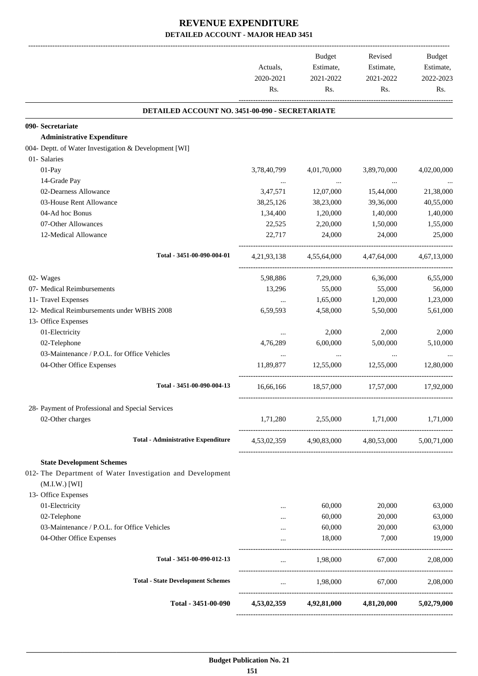|                                                                                                                                                                                                                                                                                                                                                                                                                                                                                                                                                                                                                                                                                                | Actuals,<br>2020-2021<br>Rs. | Budget<br>Estimate,<br>2021-2022<br>Rs. | Revised<br>Estimate,<br>2021-2022<br>Rs.        | Budget<br>Estimate,<br>2022-2023<br>Rs. |
|------------------------------------------------------------------------------------------------------------------------------------------------------------------------------------------------------------------------------------------------------------------------------------------------------------------------------------------------------------------------------------------------------------------------------------------------------------------------------------------------------------------------------------------------------------------------------------------------------------------------------------------------------------------------------------------------|------------------------------|-----------------------------------------|-------------------------------------------------|-----------------------------------------|
| DETAILED ACCOUNT NO. 3451-00-090 - SECRETARIATE                                                                                                                                                                                                                                                                                                                                                                                                                                                                                                                                                                                                                                                |                              |                                         |                                                 |                                         |
| 090- Secretariate                                                                                                                                                                                                                                                                                                                                                                                                                                                                                                                                                                                                                                                                              |                              |                                         |                                                 |                                         |
| <b>Administrative Expenditure</b>                                                                                                                                                                                                                                                                                                                                                                                                                                                                                                                                                                                                                                                              |                              |                                         |                                                 |                                         |
| 004- Deptt. of Water Investigation & Development [WI]                                                                                                                                                                                                                                                                                                                                                                                                                                                                                                                                                                                                                                          |                              |                                         |                                                 |                                         |
| 01- Salaries                                                                                                                                                                                                                                                                                                                                                                                                                                                                                                                                                                                                                                                                                   |                              |                                         |                                                 |                                         |
| 01-Pay                                                                                                                                                                                                                                                                                                                                                                                                                                                                                                                                                                                                                                                                                         | 3,78,40,799                  | 4,01,70,000                             | 3,89,70,000                                     | 4,02,00,000                             |
| 14-Grade Pay                                                                                                                                                                                                                                                                                                                                                                                                                                                                                                                                                                                                                                                                                   |                              | $\sim$ 100 $\mu$                        | $\ldots$                                        |                                         |
| 02-Dearness Allowance                                                                                                                                                                                                                                                                                                                                                                                                                                                                                                                                                                                                                                                                          | 3,47,571                     | 12,07,000                               | 15,44,000                                       | 21,38,000                               |
| 03-House Rent Allowance                                                                                                                                                                                                                                                                                                                                                                                                                                                                                                                                                                                                                                                                        | 38,25,126                    | 38,23,000                               | 39,36,000                                       | 40,55,000                               |
| 04-Ad hoc Bonus                                                                                                                                                                                                                                                                                                                                                                                                                                                                                                                                                                                                                                                                                | 1,34,400                     | 1,20,000                                | 1,40,000                                        | 1,40,000                                |
| 07-Other Allowances                                                                                                                                                                                                                                                                                                                                                                                                                                                                                                                                                                                                                                                                            | 22,525                       | 2,20,000                                | 1,50,000                                        | 1,55,000                                |
| 12-Medical Allowance                                                                                                                                                                                                                                                                                                                                                                                                                                                                                                                                                                                                                                                                           | 22,717                       | 24,000                                  | 24,000                                          | 25,000                                  |
| Total - 3451-00-090-004-01                                                                                                                                                                                                                                                                                                                                                                                                                                                                                                                                                                                                                                                                     |                              |                                         | 4,47,64,000                                     | 4,67,13,000                             |
| 02- Wages                                                                                                                                                                                                                                                                                                                                                                                                                                                                                                                                                                                                                                                                                      | 5,98,886                     | 7,29,000                                | 6,36,000                                        | 6,55,000                                |
| 07- Medical Reimbursements                                                                                                                                                                                                                                                                                                                                                                                                                                                                                                                                                                                                                                                                     | 13,296                       | 55,000                                  | 55,000                                          | 56,000                                  |
| 11- Travel Expenses<br>1,65,000<br>$\cdots$<br>12- Medical Reimbursements under WBHS 2008<br>6,59,593<br>4,58,000<br>13- Office Expenses<br>01-Electricity<br>2,000<br>$\ddotsc$<br>02-Telephone<br>4,76,289<br>6,00,000<br>03-Maintenance / P.O.L. for Office Vehicles<br>$\sim$ $\sim$<br>$\cdots$<br>04-Other Office Expenses<br>11,89,877<br>12,55,000<br>Total - 3451-00-090-004-13<br>18,57,000 17,57,000<br>16,66,166<br>28- Payment of Professional and Special Services<br>02-Other charges<br>1,71,280<br>2,55,000<br><b>Total - Administrative Expenditure</b><br><b>State Development Schemes</b><br>012- The Department of Water Investigation and Development<br>$(M.I.W.)$ [WI] | 1,20,000                     | 1,23,000                                |                                                 |                                         |
|                                                                                                                                                                                                                                                                                                                                                                                                                                                                                                                                                                                                                                                                                                |                              |                                         | 5,50,000                                        | 5,61,000                                |
|                                                                                                                                                                                                                                                                                                                                                                                                                                                                                                                                                                                                                                                                                                |                              |                                         |                                                 |                                         |
| 4,21,93,138 4,55,64,000                                                                                                                                                                                                                                                                                                                                                                                                                                                                                                                                                                                                                                                                        |                              | 2,000                                   | 2,000                                           |                                         |
|                                                                                                                                                                                                                                                                                                                                                                                                                                                                                                                                                                                                                                                                                                |                              |                                         | 5,00,000                                        | 5,10,000                                |
|                                                                                                                                                                                                                                                                                                                                                                                                                                                                                                                                                                                                                                                                                                |                              |                                         | $\ldots$                                        |                                         |
|                                                                                                                                                                                                                                                                                                                                                                                                                                                                                                                                                                                                                                                                                                |                              |                                         | 12,55,000                                       | 12,80,000                               |
|                                                                                                                                                                                                                                                                                                                                                                                                                                                                                                                                                                                                                                                                                                |                              |                                         |                                                 | 17,92,000                               |
|                                                                                                                                                                                                                                                                                                                                                                                                                                                                                                                                                                                                                                                                                                |                              |                                         |                                                 |                                         |
|                                                                                                                                                                                                                                                                                                                                                                                                                                                                                                                                                                                                                                                                                                |                              |                                         | 1,71,000                                        | 1,71,000                                |
|                                                                                                                                                                                                                                                                                                                                                                                                                                                                                                                                                                                                                                                                                                |                              |                                         |                                                 |                                         |
|                                                                                                                                                                                                                                                                                                                                                                                                                                                                                                                                                                                                                                                                                                |                              |                                         |                                                 |                                         |
|                                                                                                                                                                                                                                                                                                                                                                                                                                                                                                                                                                                                                                                                                                |                              |                                         |                                                 |                                         |
|                                                                                                                                                                                                                                                                                                                                                                                                                                                                                                                                                                                                                                                                                                |                              |                                         |                                                 |                                         |
|                                                                                                                                                                                                                                                                                                                                                                                                                                                                                                                                                                                                                                                                                                | $\cdots$                     |                                         |                                                 | 63,000                                  |
| 4,53,02,359 4,90,83,000 4,80,53,000 5,00,71,000<br>13- Office Expenses<br>01-Electricity<br>60,000<br>20,000<br>02-Telephone<br>60,000<br>20,000<br>$\cdots$                                                                                                                                                                                                                                                                                                                                                                                                                                                                                                                                   | 63,000                       |                                         |                                                 |                                         |
| 03-Maintenance / P.O.L. for Office Vehicles                                                                                                                                                                                                                                                                                                                                                                                                                                                                                                                                                                                                                                                    | $\cdots$                     | 60,000                                  | 20,000                                          | 63,000                                  |
| 04-Other Office Expenses                                                                                                                                                                                                                                                                                                                                                                                                                                                                                                                                                                                                                                                                       | $\cdots$                     | 18,000                                  | 7,000                                           | 19,000                                  |
| Total - 3451-00-090-012-13                                                                                                                                                                                                                                                                                                                                                                                                                                                                                                                                                                                                                                                                     | $\cdots$                     | 1,98,000                                | 67,000                                          | 2,08,000                                |
| <b>Total - State Development Schemes</b>                                                                                                                                                                                                                                                                                                                                                                                                                                                                                                                                                                                                                                                       |                              |                                         | $1,98,000$ 67,000                               | 2,08,000                                |
| Total - 3451-00-090                                                                                                                                                                                                                                                                                                                                                                                                                                                                                                                                                                                                                                                                            |                              |                                         | 4,53,02,359 4,92,81,000 4,81,20,000 5,02,79,000 |                                         |
|                                                                                                                                                                                                                                                                                                                                                                                                                                                                                                                                                                                                                                                                                                |                              |                                         |                                                 |                                         |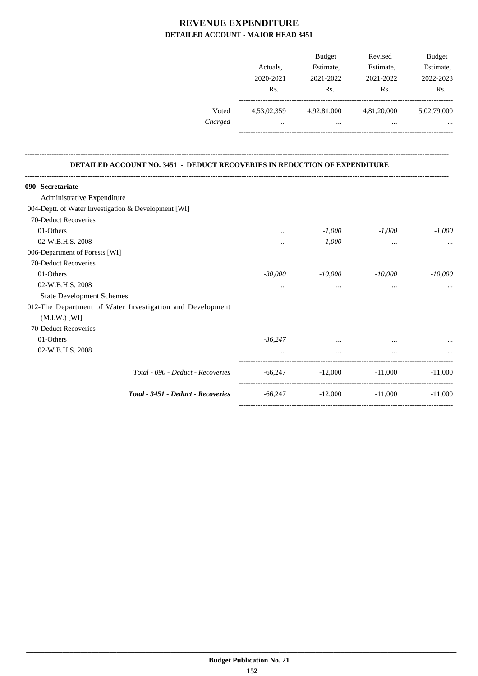|         |             | <b>Budget</b> | Revised     | <b>Budget</b> |
|---------|-------------|---------------|-------------|---------------|
|         | Actuals.    | Estimate,     | Estimate,   | Estimate,     |
|         | 2020-2021   | 2021-2022     | 2021-2022   | 2022-2023     |
|         | Rs.         | Rs.           | Rs.         | Rs.           |
| Voted   | 4,53,02,359 | 4,92,81,000   | 4,81,20,000 | 5,02,79,000   |
| Charged | $\cdots$    | $\cdots$      | $\cdots$    |               |
|         |             |               |             |               |
|         |             |               |             |               |

#### **DETAILED ACCOUNT NO. 3451 - DEDUCT RECOVERIES IN REDUCTION OF EXPENDITURE**

**--------------------------------------------------------------------------------------------------------------------------------------------------------------------------------**

| 090- Secretariate                                         |           |           |                     |           |
|-----------------------------------------------------------|-----------|-----------|---------------------|-----------|
| Administrative Expenditure                                |           |           |                     |           |
| 004-Deptt. of Water Investigation & Development [WI]      |           |           |                     |           |
| 70-Deduct Recoveries                                      |           |           |                     |           |
| 01-Others                                                 | $\cdots$  | $-1,000$  | $-1,000$            | $-1,000$  |
| 02-W.B.H.S. 2008                                          | $\cdots$  | $-1,000$  | $\cdots$            |           |
| 006-Department of Forests [WI]                            |           |           |                     |           |
| 70-Deduct Recoveries                                      |           |           |                     |           |
| 01-Others                                                 | $-30,000$ | $-10,000$ | $-10,000$           | $-10,000$ |
| 02-W.B.H.S. 2008                                          | $\cdots$  | $\cdots$  | $\cdots$            |           |
| <b>State Development Schemes</b>                          |           |           |                     |           |
| 012-The Department of Water Investigation and Development |           |           |                     |           |
| $(M.I.W.)$ [WI]                                           |           |           |                     |           |
| 70-Deduct Recoveries                                      |           |           |                     |           |
| 01-Others                                                 | $-36,247$ |           |                     | $\cdots$  |
| 02-W.B.H.S. 2008                                          |           | $\cdots$  |                     |           |
| Total - 090 - Deduct - Recoveries                         | $-66,247$ |           | $-12,000$ $-11,000$ | $-11,000$ |
| Total - 3451 - Deduct - Recoveries                        | $-66,247$ | $-12,000$ | $-11.000$           | $-11,000$ |
|                                                           |           |           |                     |           |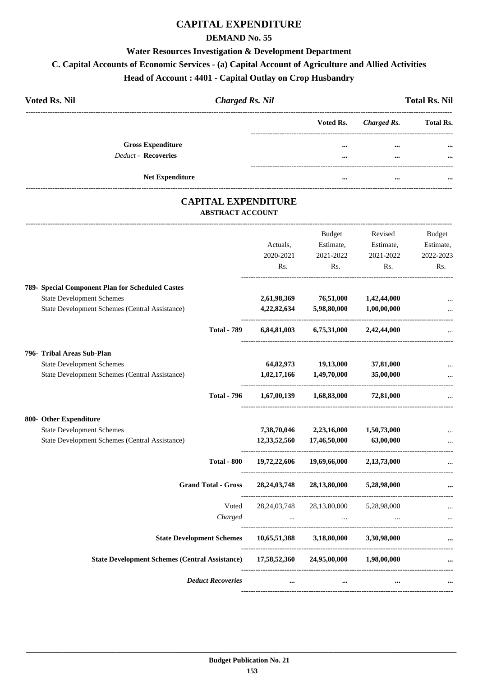## **CAPITAL EXPENDITURE**

#### **DEMAND No. 55**

#### **Water Resources Investigation & Development Department**

## **C. Capital Accounts of Economic Services - (a) Capital Account of Agriculture and Allied Activities**

## **Head of Account : 4401 - Capital Outlay on Crop Husbandry**

| <b>Voted Rs. Nil</b>                            | <b>Charged Rs. Nil</b> |          |                       | <b>Total Rs. Nil</b> |
|-------------------------------------------------|------------------------|----------|-----------------------|----------------------|
|                                                 |                        |          | Voted Rs. Charged Rs. | <b>Total Rs.</b>     |
| <b>Gross Expenditure</b><br>Deduct - Recoveries |                        |          | $\cdots$              | $\cdots$             |
|                                                 |                        | $\cdots$ | $\cdots$              | $\cdots$             |
| <b>Net Expenditure</b>                          |                        |          |                       |                      |

#### **CAPITAL EXPENDITURE ABSTRACT ACCOUNT**

---------------------------------------------------------------------------------------------------------------------------------------------------------------------------------

| 789- Special Component Plan for Scheduled Castes<br><b>State Development Schemes</b> |                                  | Actuals,<br>2020-2021<br>Rs.<br>2,61,98,369 | <b>Budget</b><br>Estimate,<br>2021-2022<br>Rs.<br>76,51,000 | Revised<br>Estimate,<br>2021-2022<br>Rs.<br>1,42,44,000 | <b>Budget</b><br>Estimate,<br>2022-2023<br>Rs. |
|--------------------------------------------------------------------------------------|----------------------------------|---------------------------------------------|-------------------------------------------------------------|---------------------------------------------------------|------------------------------------------------|
| State Development Schemes (Central Assistance)                                       | <b>Total - 789</b>               | 4,22,82,634                                 | 5,98,80,000<br>$6,84,81,003$ $6,75,31,000$ $2,42,44,000$    | 1,00,00,000                                             |                                                |
| 796- Tribal Areas Sub-Plan                                                           |                                  |                                             |                                                             |                                                         |                                                |
| <b>State Development Schemes</b>                                                     |                                  |                                             | 64,82,973 19,13,000                                         | 37,81,000                                               |                                                |
| State Development Schemes (Central Assistance)                                       |                                  | 1,02,17,166                                 | 1,49,70,000                                                 | 35,00,000                                               |                                                |
|                                                                                      | <b>Total - 796</b>               | 1,67,00,139                                 |                                                             | 1,68,83,000 72,81,000                                   |                                                |
| 800- Other Expenditure                                                               |                                  |                                             |                                                             |                                                         |                                                |
| <b>State Development Schemes</b>                                                     |                                  | 7,38,70,046                                 | 2,23,16,000                                                 | 1,50,73,000                                             |                                                |
| State Development Schemes (Central Assistance)                                       |                                  | 12,33,52,560                                | 17,46,50,000                                                | 63,00,000                                               |                                                |
|                                                                                      | <b>Total - 800</b>               | 19,72,22,606                                | 19,69,66,000                                                | 2,13,73,000                                             |                                                |
|                                                                                      | <b>Grand Total - Gross</b>       | 28, 24, 03, 748                             | 28,13,80,000                                                | 5,28,98,000                                             |                                                |
|                                                                                      | Voted                            | 28, 24, 03, 748                             | 28,13,80,000 5,28,98,000                                    |                                                         |                                                |
|                                                                                      | Charged                          | $\mathbf{r}$                                | $\mathbf{r}$ and $\mathbf{r}$ and $\mathbf{r}$              |                                                         | $\ddotsc$                                      |
|                                                                                      | <b>State Development Schemes</b> |                                             | 10,65,51,388 3,18,80,000                                    | 3.30.98.000                                             |                                                |
| State Development Schemes (Central Assistance) 17,58,52,360 24,95,00,000 1,98,00,000 |                                  |                                             |                                                             |                                                         |                                                |
|                                                                                      | <b>Deduct Recoveries</b>         | $\cdots$                                    | $\cdots$                                                    | $\cdots$                                                |                                                |
|                                                                                      |                                  |                                             |                                                             |                                                         |                                                |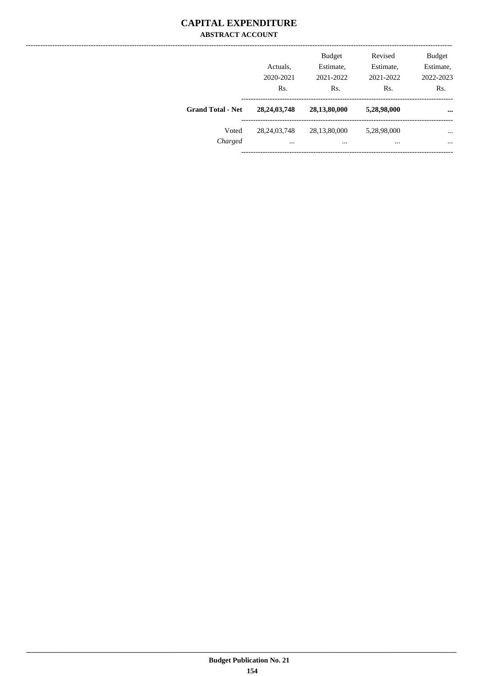#### **CAPITAL EXPENDITURE ABSTRACT ACCOUNT**

|                          | Actuals.<br>2020-2021<br>Rs. | <b>Budget</b><br>Estimate,<br>2021-2022<br>Rs. | Revised<br>Estimate,<br>2021-2022<br>Rs. | <b>Budget</b><br>Estimate,<br>2022-2023<br>Rs. |
|--------------------------|------------------------------|------------------------------------------------|------------------------------------------|------------------------------------------------|
| <b>Grand Total - Net</b> | 28, 24, 03, 748              | 28,13,80,000                                   | 5,28,98,000                              | $\cdots$                                       |
| Voted<br>Charged         | 28, 24, 03, 748<br>$\cdots$  | 28,13,80,000<br>                               | 5,28,98,000<br>                          | $\cdots$<br>$\cdots$                           |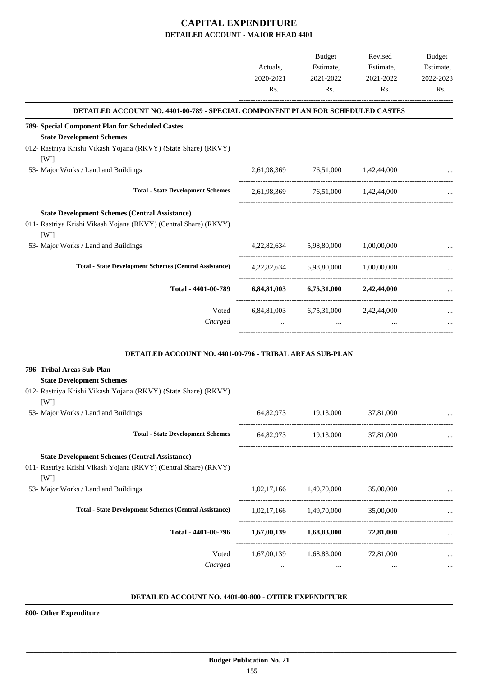|                                                                                                                                   | Actuals,  | Budget<br>Estimate,                            | Revised                | <b>Budget</b>          |
|-----------------------------------------------------------------------------------------------------------------------------------|-----------|------------------------------------------------|------------------------|------------------------|
|                                                                                                                                   | 2020-2021 | 2021-2022                                      | Estimate,<br>2021-2022 | Estimate,<br>2022-2023 |
|                                                                                                                                   | Rs.       | Rs.                                            | Rs.                    | Rs.                    |
| DETAILED ACCOUNT NO. 4401-00-789 - SPECIAL COMPONENT PLAN FOR SCHEDULED CASTES                                                    |           |                                                |                        |                        |
| 789- Special Component Plan for Scheduled Castes<br><b>State Development Schemes</b>                                              |           |                                                |                        |                        |
| 012- Rastriya Krishi Vikash Yojana (RKVY) (State Share) (RKVY)<br>[WI]                                                            |           |                                                |                        |                        |
| 53- Major Works / Land and Buildings                                                                                              |           | 2,61,98,369 76,51,000 1,42,44,000              |                        |                        |
| <b>Total - State Development Schemes</b>                                                                                          |           | 2,61,98,369 76,51,000 1,42,44,000              |                        |                        |
| <b>State Development Schemes (Central Assistance)</b><br>011- Rastriya Krishi Vikash Yojana (RKVY) (Central Share) (RKVY)<br>[WI] |           |                                                |                        |                        |
| 53- Major Works / Land and Buildings                                                                                              |           | 4,22,82,634 5,98,80,000                        | 1,00,00,000            |                        |
| <b>Total - State Development Schemes (Central Assistance)</b>                                                                     |           | 4,22,82,634 5,98,80,000 1,00,00,000            |                        |                        |
| Total - 4401-00-789                                                                                                               |           | $6,84,81,003$ $6,75,31,000$ $2,42,44,000$      |                        |                        |
| Voted                                                                                                                             |           | 6,84,81,003 6,75,31,000 2,42,44,000            |                        |                        |
| Charged                                                                                                                           |           | $\cdots$                                       |                        |                        |
| DETAILED ACCOUNT NO. 4401-00-796 - TRIBAL AREAS SUB-PLAN                                                                          |           |                                                |                        |                        |
| 796- Tribal Areas Sub-Plan<br><b>State Development Schemes</b><br>012- Rastriya Krishi Vikash Yojana (RKVY) (State Share) (RKVY)  |           |                                                |                        |                        |
| <b>TWIT</b>                                                                                                                       |           |                                                |                        |                        |
| 53- Major Works / Land and Buildings                                                                                              |           | 64,82,973 19,13,000                            | 37,81,000              |                        |
| <b>Total - State Development Schemes</b>                                                                                          |           | 64,82,973 19,13,000 37,81,000                  |                        |                        |
| <b>State Development Schemes (Central Assistance)</b><br>011- Rastriya Krishi Vikash Yojana (RKVY) (Central Share) (RKVY)<br>[WI] |           |                                                |                        |                        |
| 53- Major Works / Land and Buildings                                                                                              |           | 1,02,17,166 1,49,70,000                        | 35,00,000              |                        |
| <b>Total - State Development Schemes (Central Assistance)</b>                                                                     |           | $1,02,17,166$ $1,49,70,000$ $35,00,000$        |                        |                        |
| Total - 4401-00-796                                                                                                               |           | $1,67,00,139$ $1,68,83,000$ $72,81,000$        |                        |                        |
| Voted<br>Charged                                                                                                                  |           | 1,67,00,139 1,68,83,000 72,81,000<br>$\ddotsc$ |                        |                        |
|                                                                                                                                   |           |                                                |                        |                        |
|                                                                                                                                   |           |                                                |                        |                        |

#### **DETAILED ACCOUNT NO. 4401-00-800 - OTHER EXPENDITURE .**

**800- Other Expenditure**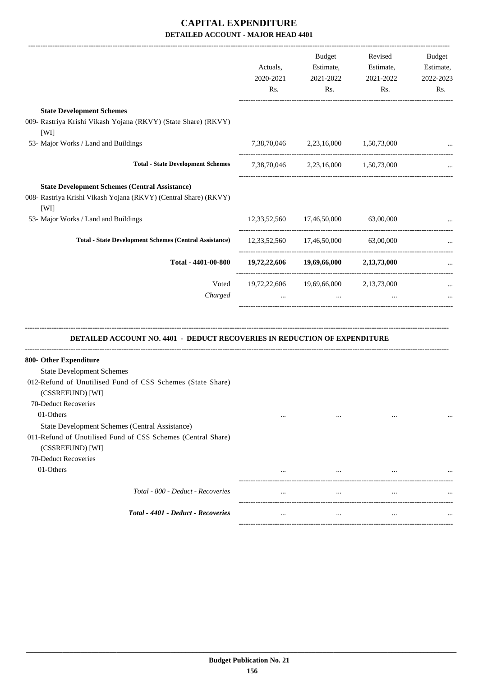| <b>State Development Schemes</b><br>009- Rastriya Krishi Vikash Yojana (RKVY) (State Share) (RKVY)<br>[WI]<br>7,38,70,046 2,23,16,000 1,50,73,000<br>53- Major Works / Land and Buildings<br>-----------------------<br><b>Total - State Development Schemes</b><br>7,38,70,046 2,23,16,000 1,50,73,000<br><b>State Development Schemes (Central Assistance)</b><br>008- Rastriya Krishi Vikash Yojana (RKVY) (Central Share) (RKVY)<br>[WI]<br>53- Major Works / Land and Buildings<br>12,33,52,560 17,46,50,000<br>63,00,000<br><b>Total - State Development Schemes (Central Assistance)</b><br>12,33,52,560 17,46,50,000 63,00,000<br>19,72,22,606 19,69,66,000 2,13,73,000<br>Total - 4401-00-800<br>Voted<br>19,72,22,606 19,69,66,000<br>2,13,73,000<br>Charged<br>$\cdots$<br><b>DETAILED ACCOUNT NO. 4401 - DEDUCT RECOVERIES IN REDUCTION OF EXPENDITURE</b><br>800- Other Expenditure<br><b>State Development Schemes</b><br>012-Refund of Unutilised Fund of CSS Schemes (State Share)<br>(CSSREFUND) [WI]<br>70-Deduct Recoveries<br>01-Others<br>$\cdots$<br>$\cdots$<br>$\cdots$<br>State Development Schemes (Central Assistance)<br>011-Refund of Unutilised Fund of CSS Schemes (Central Share)<br>(CSSREFUND) [WI]<br>70-Deduct Recoveries<br>01-Others<br>$\cdots$<br>$\cdots$<br>Total - 800 - Deduct - Recoveries<br>$\cdots$<br>$\cdots$<br>$\cdots$<br>Total - 4401 - Deduct - Recoveries<br>$\cdots$<br>$\cdots$<br>$\cdots$ | Actuals,<br>2020-2021<br>Rs. | Budget<br>Estimate,<br>2021-2022<br>Rs. | Revised<br>Estimate,<br>2021-2022<br>Rs. | Budget<br>Estimate,<br>2022-2023<br>Rs. |
|-------------------------------------------------------------------------------------------------------------------------------------------------------------------------------------------------------------------------------------------------------------------------------------------------------------------------------------------------------------------------------------------------------------------------------------------------------------------------------------------------------------------------------------------------------------------------------------------------------------------------------------------------------------------------------------------------------------------------------------------------------------------------------------------------------------------------------------------------------------------------------------------------------------------------------------------------------------------------------------------------------------------------------------------------------------------------------------------------------------------------------------------------------------------------------------------------------------------------------------------------------------------------------------------------------------------------------------------------------------------------------------------------------------------------------------------------------|------------------------------|-----------------------------------------|------------------------------------------|-----------------------------------------|
|                                                                                                                                                                                                                                                                                                                                                                                                                                                                                                                                                                                                                                                                                                                                                                                                                                                                                                                                                                                                                                                                                                                                                                                                                                                                                                                                                                                                                                                       |                              |                                         |                                          |                                         |
|                                                                                                                                                                                                                                                                                                                                                                                                                                                                                                                                                                                                                                                                                                                                                                                                                                                                                                                                                                                                                                                                                                                                                                                                                                                                                                                                                                                                                                                       |                              |                                         |                                          |                                         |
|                                                                                                                                                                                                                                                                                                                                                                                                                                                                                                                                                                                                                                                                                                                                                                                                                                                                                                                                                                                                                                                                                                                                                                                                                                                                                                                                                                                                                                                       |                              |                                         |                                          |                                         |
|                                                                                                                                                                                                                                                                                                                                                                                                                                                                                                                                                                                                                                                                                                                                                                                                                                                                                                                                                                                                                                                                                                                                                                                                                                                                                                                                                                                                                                                       |                              |                                         |                                          |                                         |
|                                                                                                                                                                                                                                                                                                                                                                                                                                                                                                                                                                                                                                                                                                                                                                                                                                                                                                                                                                                                                                                                                                                                                                                                                                                                                                                                                                                                                                                       |                              |                                         |                                          |                                         |
|                                                                                                                                                                                                                                                                                                                                                                                                                                                                                                                                                                                                                                                                                                                                                                                                                                                                                                                                                                                                                                                                                                                                                                                                                                                                                                                                                                                                                                                       |                              |                                         |                                          |                                         |
|                                                                                                                                                                                                                                                                                                                                                                                                                                                                                                                                                                                                                                                                                                                                                                                                                                                                                                                                                                                                                                                                                                                                                                                                                                                                                                                                                                                                                                                       |                              |                                         |                                          |                                         |
|                                                                                                                                                                                                                                                                                                                                                                                                                                                                                                                                                                                                                                                                                                                                                                                                                                                                                                                                                                                                                                                                                                                                                                                                                                                                                                                                                                                                                                                       |                              |                                         |                                          |                                         |
|                                                                                                                                                                                                                                                                                                                                                                                                                                                                                                                                                                                                                                                                                                                                                                                                                                                                                                                                                                                                                                                                                                                                                                                                                                                                                                                                                                                                                                                       |                              |                                         |                                          |                                         |
|                                                                                                                                                                                                                                                                                                                                                                                                                                                                                                                                                                                                                                                                                                                                                                                                                                                                                                                                                                                                                                                                                                                                                                                                                                                                                                                                                                                                                                                       |                              |                                         |                                          |                                         |
|                                                                                                                                                                                                                                                                                                                                                                                                                                                                                                                                                                                                                                                                                                                                                                                                                                                                                                                                                                                                                                                                                                                                                                                                                                                                                                                                                                                                                                                       |                              |                                         |                                          |                                         |
|                                                                                                                                                                                                                                                                                                                                                                                                                                                                                                                                                                                                                                                                                                                                                                                                                                                                                                                                                                                                                                                                                                                                                                                                                                                                                                                                                                                                                                                       |                              |                                         |                                          |                                         |
|                                                                                                                                                                                                                                                                                                                                                                                                                                                                                                                                                                                                                                                                                                                                                                                                                                                                                                                                                                                                                                                                                                                                                                                                                                                                                                                                                                                                                                                       |                              |                                         |                                          |                                         |
|                                                                                                                                                                                                                                                                                                                                                                                                                                                                                                                                                                                                                                                                                                                                                                                                                                                                                                                                                                                                                                                                                                                                                                                                                                                                                                                                                                                                                                                       |                              |                                         |                                          |                                         |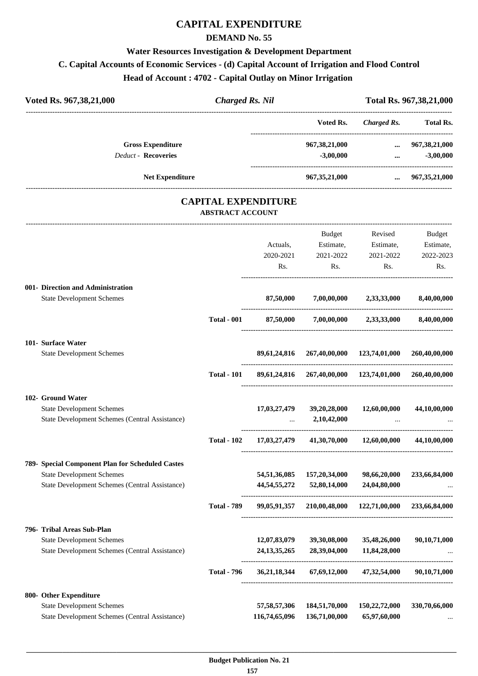## **CAPITAL EXPENDITURE**

#### **DEMAND No. 55**

## **Water Resources Investigation & Development Department C. Capital Accounts of Economic Services - (d) Capital Account of Irrigation and Flood Control Head of Account : 4702 - Capital Outlay on Minor Irrigation**

| Voted Rs. 967,38,21,000                                                                                      | <b>Charged Rs. Nil</b>     |                                  |                                                        |                                          | Total Rs. 967,38,21,000                 |
|--------------------------------------------------------------------------------------------------------------|----------------------------|----------------------------------|--------------------------------------------------------|------------------------------------------|-----------------------------------------|
|                                                                                                              |                            |                                  | Voted Rs.                                              | <b>Charged Rs.</b>                       | Total Rs.                               |
| <b>Gross Expenditure</b><br><b>Deduct - Recoveries</b>                                                       |                            |                                  | 967,38,21,000<br>$-3,00,000$                           | $\cdots$                                 | $\dots$ 967,38,21,000<br>$-3,00,000$    |
| <b>Net Expenditure</b>                                                                                       |                            |                                  | 967,35,21,000                                          |                                          | $\ldots$ 967, 35, 21, 000               |
|                                                                                                              | <b>CAPITAL EXPENDITURE</b> |                                  |                                                        |                                          |                                         |
|                                                                                                              | <b>ABSTRACT ACCOUNT</b>    |                                  |                                                        |                                          |                                         |
|                                                                                                              |                            | Actuals,<br>2020-2021<br>Rs.     | Budget<br>Estimate,<br>2021-2022<br>Rs.                | Revised<br>Estimate,<br>2021-2022<br>Rs. | Budget<br>Estimate,<br>2022-2023<br>Rs. |
| 001- Direction and Administration<br><b>State Development Schemes</b>                                        |                            | 87,50,000                        |                                                        | 7,00,00,000 2,33,33,000                  | 8,40,00,000                             |
|                                                                                                              | <b>Total - 001</b>         | 87,50,000                        |                                                        | 7,00,00,000 2,33,33,000                  | 8,40,00,000                             |
| 101- Surface Water                                                                                           |                            |                                  |                                                        |                                          |                                         |
| <b>State Development Schemes</b>                                                                             |                            |                                  | 89,61,24,816 267,40,00,000 123,74,01,000               |                                          | 260,40,00,000                           |
|                                                                                                              | <b>Total - 101</b>         |                                  | 89,61,24,816 267,40,00,000 123,74,01,000 260,40,00,000 |                                          |                                         |
| 102- Ground Water<br><b>State Development Schemes</b><br>State Development Schemes (Central Assistance)      |                            | 17,03,27,479                     | 39,20,28,000<br>2,10,42,000                            | 12,60,00,000                             | 44,10,00,000                            |
|                                                                                                              | <b>Total - 102</b>         | 17,03,27,479                     | 41,30,70,000                                           | 12,60,00,000                             | 44,10,00,000                            |
| 789- Special Component Plan for Scheduled Castes<br><b>State Development Schemes</b>                         |                            | 54,51,36,085                     | 157,20,34,000                                          | 98,66,20,000                             | 233,66,84,000                           |
| <b>State Development Schemes (Central Assistance)</b>                                                        |                            | 44, 54, 55, 272                  | 52,80,14,000                                           | 24,04,80,000                             |                                         |
|                                                                                                              | <b>Total - 789</b>         |                                  | 99,05,91,357 210,00,48,000                             | 122,71,00,000                            | 233,66,84,000                           |
| 796- Tribal Areas Sub-Plan                                                                                   |                            |                                  |                                                        |                                          |                                         |
| <b>State Development Schemes</b><br>State Development Schemes (Central Assistance)                           |                            | 12,07,83,079<br>24, 13, 35, 265  | 39,30,08,000<br>28,39,04,000                           | 35,48,26,000<br>11,84,28,000             | 90,10,71,000                            |
|                                                                                                              | <b>Total - 796</b>         | 36, 21, 18, 344                  | 67,69,12,000                                           | 47,32,54,000                             | 90,10,71,000                            |
| 800- Other Expenditure<br><b>State Development Schemes</b><br>State Development Schemes (Central Assistance) |                            | 57, 58, 57, 306<br>116,74,65,096 | 184,51,70,000<br>136,71,00,000                         | 150,22,72,000<br>65,97,60,000            | 330,70,66,000                           |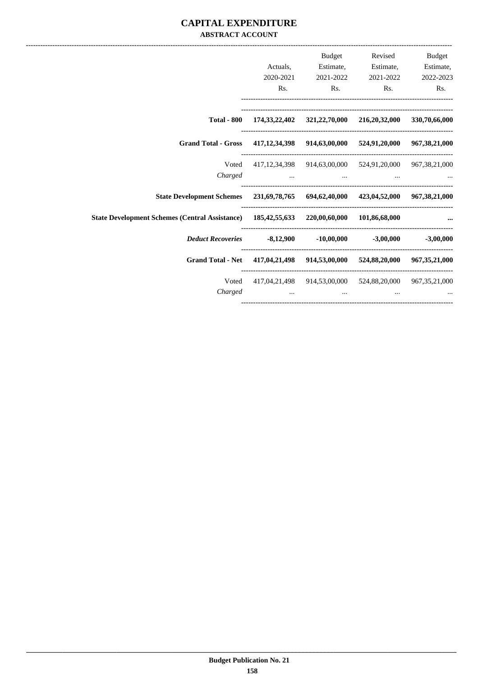#### **CAPITAL EXPENDITURE ABSTRACT ACCOUNT**

| <b>Budget</b> | Revised                                                                   | <b>Budget</b>  |           |                                                                                          |
|---------------|---------------------------------------------------------------------------|----------------|-----------|------------------------------------------------------------------------------------------|
| Estimate,     | Estimate,                                                                 | Estimate,      | Actuals,  |                                                                                          |
| 2022-2023     | 2021-2022                                                                 | 2021-2022      | 2020-2021 |                                                                                          |
| Rs.           | Rs.                                                                       | $\mathbf{Rs.}$ | Rs.       |                                                                                          |
|               | Total - 800 174,33,22,402 321,22,70,000 216,20,32,000 330,70,66,000       |                |           |                                                                                          |
|               |                                                                           |                |           | Grand Total - Gross 417,12,34,398 914,63,00,000 524,91,20,000 967,38,21,000              |
|               | 417,12,34,398 914,63,00,000 524,91,20,000 967,38,21,000                   |                |           | Voted                                                                                    |
|               | Charged                                                                   |                |           |                                                                                          |
|               |                                                                           |                |           | State Development Schemes 231,69,78,765 694,62,40,000 423,04,52,000 967,38,21,000        |
|               |                                                                           |                |           | State Development Schemes (Central Assistance) 185,42,55,633 220,00,60,000 101,86,68,000 |
|               |                                                                           |                |           | Deduct Recoveries -8,12,900 -10,00,000 -3,00,000 -3,00,000                               |
|               |                                                                           |                |           | Grand Total - Net 417,04,21,498 914,53,00,000 524,88,20,000 967,35,21,000                |
|               | Voted 417,04,21,498 914,53,00,000 524,88,20,000 967,35,21,000             |                |           |                                                                                          |
|               | $\mathbf{r}$ and $\mathbf{r}$ are all the set of $\mathbf{r}$<br>$\cdots$ |                |           | Charged                                                                                  |
|               |                                                                           |                |           |                                                                                          |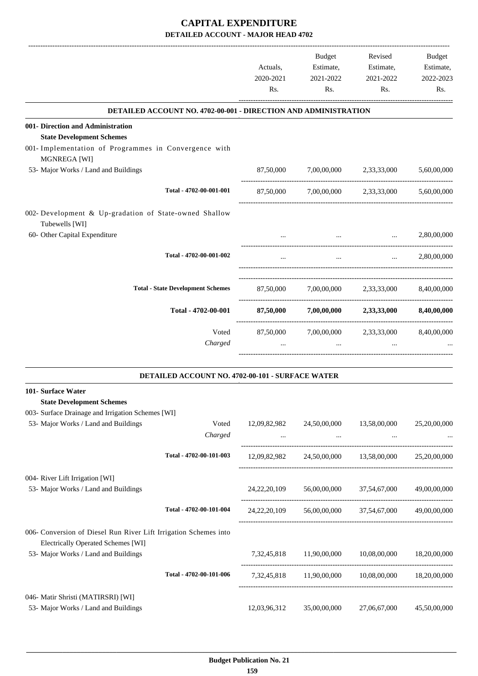|                                                                          | Actuals,  | Budget<br>Estimate, | Revised<br>Estimate,                                        | <b>Budget</b><br>Estimate, |
|--------------------------------------------------------------------------|-----------|---------------------|-------------------------------------------------------------|----------------------------|
|                                                                          | 2020-2021 | 2021-2022           | 2021-2022                                                   | 2022-2023                  |
|                                                                          | Rs.       | Rs.                 | Rs.                                                         | Rs.                        |
| <b>DETAILED ACCOUNT NO. 4702-00-001 - DIRECTION AND ADMINISTRATION</b>   |           |                     |                                                             |                            |
| 001- Direction and Administration                                        |           |                     |                                                             |                            |
| <b>State Development Schemes</b>                                         |           |                     |                                                             |                            |
| 001- Implementation of Programmes in Convergence with<br>MGNREGA [WI]    |           |                     |                                                             |                            |
| 53- Major Works / Land and Buildings                                     | 87,50,000 |                     | 7,00,00,000 2,33,33,000                                     | 5,60,00,000                |
| Total - 4702-00-001-001                                                  | 87,50,000 |                     | 7,00,00,000 2,33,33,000                                     | 5,60,00,000                |
| 002- Development & Up-gradation of State-owned Shallow<br>Tubewells [WI] |           |                     |                                                             |                            |
| 60- Other Capital Expenditure                                            |           |                     | and the state of the state of the<br><b>Sales Committee</b> | 2,80,00,000                |
| Total - 4702-00-001-002                                                  |           | $\cdots$            |                                                             | $\ldots$ 2,80,00,000       |
| <b>Total - State Development Schemes</b>                                 |           |                     | 87,50,000 7,00,00,000 2,33,33,000 8,40,00,000               |                            |
| Total - 4702-00-001                                                      |           |                     | 87,50,000 7,00,00,000 2,33,33,000 8,40,00,000               |                            |
| Voted                                                                    |           |                     | 87,50,000 7,00,00,000 2,33,33,000 8,40,00,000               |                            |
| Charged                                                                  |           | $\cdots$            |                                                             |                            |
|                                                                          |           |                     |                                                             |                            |

|--|

| 101- Surface Water                                               |                         |                 |              |              |              |
|------------------------------------------------------------------|-------------------------|-----------------|--------------|--------------|--------------|
| <b>State Development Schemes</b>                                 |                         |                 |              |              |              |
| 003- Surface Drainage and Irrigation Schemes [WI]                |                         |                 |              |              |              |
| 53- Major Works / Land and Buildings                             | Voted                   | 12,09,82,982    | 24,50,00,000 | 13,58,00,000 | 25,20,00,000 |
|                                                                  | Charged                 | $\cdots$        | $\cdots$     | $\cdots$     |              |
|                                                                  | Total - 4702-00-101-003 | 12,09,82,982    | 24,50,00,000 | 13,58,00,000 | 25,20,00,000 |
| 004- River Lift Irrigation [WI]                                  |                         |                 |              |              |              |
| 53- Major Works / Land and Buildings                             |                         | 24, 22, 20, 109 | 56,00,00,000 | 37,54,67,000 | 49,00,00,000 |
|                                                                  | Total - 4702-00-101-004 | 24, 22, 20, 109 | 56,00,00,000 | 37,54,67,000 | 49,00,00,000 |
| 006- Conversion of Diesel Run River Lift Irrigation Schemes into |                         |                 |              |              |              |
| <b>Electrically Operated Schemes [WI]</b>                        |                         |                 |              |              |              |
| 53- Major Works / Land and Buildings                             |                         | 7.32.45.818     | 11,90,00,000 | 10,08,00,000 | 18,20,00,000 |
|                                                                  | Total - 4702-00-101-006 | 7, 32, 45, 818  | 11,90,00,000 | 10,08,00,000 | 18,20,00,000 |
| 046- Matir Shristi (MATIRSRI) [WI]                               |                         |                 |              |              |              |
| 53- Major Works / Land and Buildings                             |                         | 12,03,96,312    | 35,00,00,000 | 27,06,67,000 | 45,50,00,000 |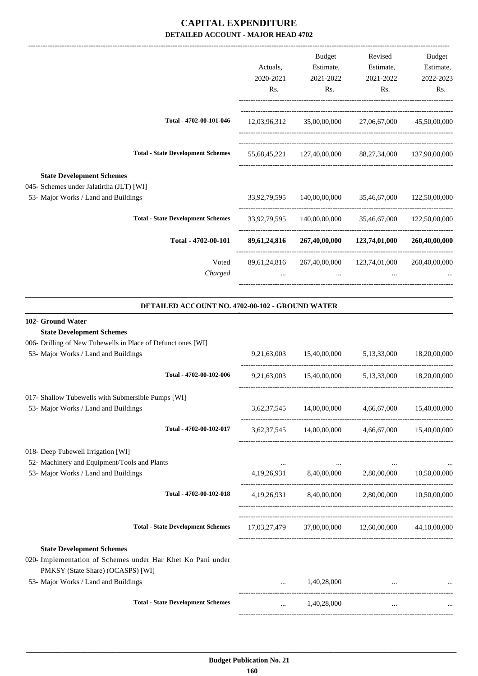|           | <b>Budget</b> | Revised                                                      | Budget                                                                                                                                                                                                       |
|-----------|---------------|--------------------------------------------------------------|--------------------------------------------------------------------------------------------------------------------------------------------------------------------------------------------------------------|
| Actuals,  | Estimate,     | Estimate,                                                    | Estimate,                                                                                                                                                                                                    |
| 2020-2021 | 2021-2022     | 2021-2022                                                    | 2022-2023                                                                                                                                                                                                    |
| Rs.       | Rs.           | Rs.                                                          | Rs.                                                                                                                                                                                                          |
|           |               | 27,06,67,000                                                 | 45,50,00,000                                                                                                                                                                                                 |
|           |               |                                                              |                                                                                                                                                                                                              |
|           |               |                                                              |                                                                                                                                                                                                              |
|           |               |                                                              |                                                                                                                                                                                                              |
|           |               |                                                              |                                                                                                                                                                                                              |
|           |               | 123,74,01,000                                                | 260,40,00,000                                                                                                                                                                                                |
|           |               | 123,74,01,000                                                | 260,40,00,000                                                                                                                                                                                                |
| $\cdots$  | $\cdots$      | $\cdots$                                                     |                                                                                                                                                                                                              |
|           |               |                                                              |                                                                                                                                                                                                              |
|           |               | 12,03,96,312<br>33,92,79,595<br>89,61,24,816<br>89,61,24,816 | 35,00,00,000<br>55,68,45,221 127,40,00,000 88,27,34,000 137,90,00,000<br>140,00,00,000 35,46,67,000 122,50,00,000<br>33,92,79,595 140,00,00,000 35,46,67,000 122,50,00,000<br>267,40,00,000<br>267,40,00,000 |

#### **DETAILED ACCOUNT NO. 4702-00-102 - GROUND WATER .**

#### **102- Ground Water**

#### **State Development Schemes**

| 006- Drilling of New Tubewells in Place of Defunct ones [WI] |  |  |  |
|--------------------------------------------------------------|--|--|--|
|--------------------------------------------------------------|--|--|--|

| 53- Major Works / Land and Buildings                                                             |          |             | 9,21,63,003 15,40,00,000 5,13,33,000 18,20,00,000                                                                    |  |
|--------------------------------------------------------------------------------------------------|----------|-------------|----------------------------------------------------------------------------------------------------------------------|--|
| Total - 4702-00-102-006                                                                          |          |             | 9,21,63,003 15,40,00,000 5,13,33,000 18,20,00,000                                                                    |  |
| 017- Shallow Tubewells with Submersible Pumps [WI]                                               |          |             |                                                                                                                      |  |
| 53- Major Works / Land and Buildings                                                             |          |             | 3,62,37,545 14,00,00,000 4,66,67,000 15,40,00,000                                                                    |  |
| Total - 4702-00-102-017                                                                          |          |             | 3,62,37,545 14,00,00,000 4,66,67,000 15,40,00,000                                                                    |  |
| 018- Deep Tubewell Irrigation [WI]                                                               |          |             |                                                                                                                      |  |
| 52- Machinery and Equipment/Tools and Plants                                                     |          |             | the company of the company of the company of the company of the company of the company of the company of the company |  |
| 53- Major Works / Land and Buildings                                                             |          |             | 4,19,26,931 8,40,00,000 2,80,00,000 10,50,00,000                                                                     |  |
| Total - 4702-00-102-018                                                                          |          |             | 4,19,26,931 8,40,00,000 2,80,00,000 10,50,00,000                                                                     |  |
| <b>Total - State Development Schemes</b>                                                         |          |             | 17,03,27,479 37,80,00,000 12,60,00,000 44,10,00,000                                                                  |  |
| <b>State Development Schemes</b>                                                                 |          |             |                                                                                                                      |  |
| 020- Implementation of Schemes under Har Khet Ko Pani under<br>PMKSY (State Share) (OCASPS) [WI] |          |             |                                                                                                                      |  |
| 53- Major Works / Land and Buildings                                                             |          | 1,40,28,000 |                                                                                                                      |  |
| <b>Total - State Development Schemes</b>                                                         | $\cdots$ | 1,40,28,000 | $\cdots$                                                                                                             |  |
|                                                                                                  |          |             |                                                                                                                      |  |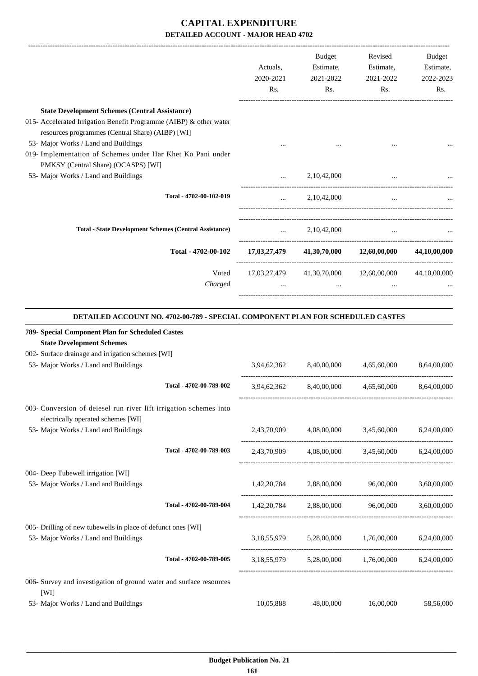|                                                                                                                               |                         | Actuals,<br>2020-2021<br>Rs. | Budget<br>Estimate,<br>2021-2022<br>Rs. | Revised<br>Estimate,<br>2021-2022<br>Rs.            | Budget<br>Estimate,<br>2022-2023<br>Rs. |
|-------------------------------------------------------------------------------------------------------------------------------|-------------------------|------------------------------|-----------------------------------------|-----------------------------------------------------|-----------------------------------------|
| <b>State Development Schemes (Central Assistance)</b><br>015- Accelerated Irrigation Benefit Programme (AIBP) & other water   |                         |                              |                                         |                                                     |                                         |
| resources programmes (Central Share) (AIBP) [WI]                                                                              |                         |                              |                                         |                                                     |                                         |
| 53- Major Works / Land and Buildings                                                                                          |                         |                              |                                         |                                                     |                                         |
| 019- Implementation of Schemes under Har Khet Ko Pani under                                                                   |                         |                              |                                         |                                                     |                                         |
| PMKSY (Central Share) (OCASPS) [WI]<br>53- Major Works / Land and Buildings                                                   |                         |                              | 2,10,42,000                             |                                                     |                                         |
|                                                                                                                               |                         |                              |                                         |                                                     |                                         |
|                                                                                                                               | Total - 4702-00-102-019 | $\cdots$                     | 2,10,42,000                             | $\cdots$                                            |                                         |
| <b>Total - State Development Schemes (Central Assistance)</b>                                                                 |                         |                              | $\ldots$ 2,10,42,000                    |                                                     |                                         |
|                                                                                                                               | Total - 4702-00-102     |                              |                                         | 17,03,27,479 41,30,70,000 12,60,00,000 44,10,00,000 |                                         |
|                                                                                                                               | Voted<br>Charged        |                              | $\cdots$                                | 17,03,27,479 41,30,70,000 12,60,00,000 44,10,00,000 |                                         |
| <b>State Development Schemes</b><br>002- Surface drainage and irrigation schemes [WI]<br>53- Major Works / Land and Buildings |                         | 3,94,62,362                  | 8,40,00,000                             | 4,65,60,000                                         | 8,64,00,000                             |
|                                                                                                                               | Total - 4702-00-789-002 |                              |                                         | 3,94,62,362 8,40,00,000 4,65,60,000                 | 8,64,00,000                             |
| 003- Conversion of deiesel run river lift irrigation schemes into<br>electrically operated schemes [WI]                       |                         |                              |                                         |                                                     |                                         |
| 53- Major Works / Land and Buildings                                                                                          |                         |                              |                                         | 2,43,70,909 4,08,00,000 3,45,60,000 6,24,00,000     |                                         |
|                                                                                                                               | Total - 4702-00-789-003 |                              |                                         | 2,43,70,909 4,08,00,000 3,45,60,000 6,24,00,000     |                                         |
| 004- Deep Tubewell irrigation [WI]<br>53- Major Works / Land and Buildings                                                    |                         |                              |                                         | 1,42,20,784 2,88,00,000 96,00,000 3,60,00,000       |                                         |
|                                                                                                                               | Total - 4702-00-789-004 |                              |                                         | 1,42,20,784 2,88,00,000 96,00,000 3,60,00,000       |                                         |
| 005- Drilling of new tubewells in place of defunct ones [WI]<br>53- Major Works / Land and Buildings                          |                         |                              |                                         | 3,18,55,979 5,28,00,000 1,76,00,000 6,24,00,000     |                                         |
|                                                                                                                               | Total - 4702-00-789-005 |                              |                                         | 3,18,55,979 5,28,00,000 1,76,00,000 6,24,00,000     |                                         |
| 006- Survey and investigation of ground water and surface resources<br>[WI]                                                   |                         |                              |                                         |                                                     |                                         |
| 53- Major Works / Land and Buildings                                                                                          |                         | 10,05,888                    | 48,00,000                               | 16,00,000                                           | 58,56,000                               |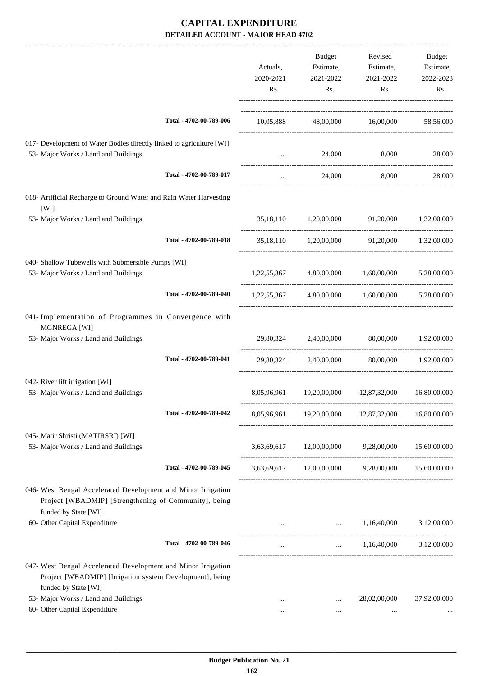|                                                                                                                                                   |                         | Actuals,<br>2020-2021<br>Rs. | <b>Budget</b><br>Estimate,<br>2021-2022<br>Rs. | Revised<br>Estimate,<br>2021-2022<br>Rs.          | <b>Budget</b><br>Estimate,<br>2022-2023<br>Rs. |
|---------------------------------------------------------------------------------------------------------------------------------------------------|-------------------------|------------------------------|------------------------------------------------|---------------------------------------------------|------------------------------------------------|
|                                                                                                                                                   | Total - 4702-00-789-006 |                              |                                                | 10,05,888 48,00,000 16,00,000                     | 58,56,000                                      |
| 017- Development of Water Bodies directly linked to agriculture [WI]<br>53- Major Works / Land and Buildings                                      |                         | $\cdots$                     | 24,000                                         | 8,000                                             | 28,000                                         |
|                                                                                                                                                   | Total - 4702-00-789-017 | $\cdots$                     | 24,000                                         | 8,000                                             | 28,000                                         |
| 018- Artificial Recharge to Ground Water and Rain Water Harvesting<br>[WI]                                                                        |                         |                              |                                                |                                                   |                                                |
| 53- Major Works / Land and Buildings                                                                                                              |                         |                              | 35,18,110 1,20,00,000 91,20,000                |                                                   | 1,32,00,000                                    |
|                                                                                                                                                   | Total - 4702-00-789-018 |                              |                                                | 35,18,110 1,20,00,000 91,20,000 1,32,00,000       |                                                |
| 040- Shallow Tubewells with Submersible Pumps [WI]<br>53- Major Works / Land and Buildings                                                        |                         |                              | 1,22,55,367 4,80,00,000 1,60,00,000            |                                                   | 5,28,00,000                                    |
|                                                                                                                                                   | Total - 4702-00-789-040 |                              |                                                | 1,22,55,367 4,80,00,000 1,60,00,000 5,28,00,000   |                                                |
| 041- Implementation of Programmes in Convergence with<br>MGNREGA [WI]                                                                             |                         |                              |                                                |                                                   |                                                |
| 53- Major Works / Land and Buildings                                                                                                              |                         |                              | 29,80,324 2,40,00,000 80,00,000                |                                                   | 1,92,00,000                                    |
|                                                                                                                                                   | Total - 4702-00-789-041 | 29,80,324                    | 2,40,00,000                                    |                                                   | 80,00,000 1,92,00,000                          |
| 042- River lift irrigation [WI]<br>53- Major Works / Land and Buildings                                                                           |                         | 8,05,96,961                  | 19,20,00,000                                   | 12,87,32,000                                      | 16,80,00,000                                   |
|                                                                                                                                                   | Total - 4702-00-789-042 | 8,05,96,961                  | 19,20,00,000                                   | 12,87,32,000                                      | 16,80,00,000                                   |
| 045- Matir Shristi (MATIRSRI) [WI]<br>53- Major Works / Land and Buildings                                                                        |                         | 3,63,69,617                  | 12,00,00,000                                   | 9,28,00,000                                       | 15,60,00,000                                   |
|                                                                                                                                                   | Total - 4702-00-789-045 |                              |                                                | 3,63,69,617 12,00,00,000 9,28,00,000 15,60,00,000 |                                                |
| 046- West Bengal Accelerated Development and Minor Irrigation<br>Project [WBADMIP] [Strengthening of Community], being<br>funded by State [WI]    |                         |                              |                                                |                                                   |                                                |
| 60- Other Capital Expenditure                                                                                                                     |                         |                              | and the contract of the                        | 1,16,40,000                                       | 3,12,00,000                                    |
|                                                                                                                                                   | Total - 4702-00-789-046 |                              |                                                | $1,16,40,000$ $3,12,00,000$                       |                                                |
| 047- West Bengal Accelerated Development and Minor Irrigation<br>Project [WBADMIP] [Irrigation system Development], being<br>funded by State [WI] |                         |                              |                                                |                                                   |                                                |
| 53- Major Works / Land and Buildings<br>60- Other Capital Expenditure                                                                             |                         | $\cdots$                     | $\cdots$<br>$\cdots$                           | 28,02,00,000<br>$\ldots$                          | 37,92,00,000                                   |
|                                                                                                                                                   |                         |                              |                                                |                                                   |                                                |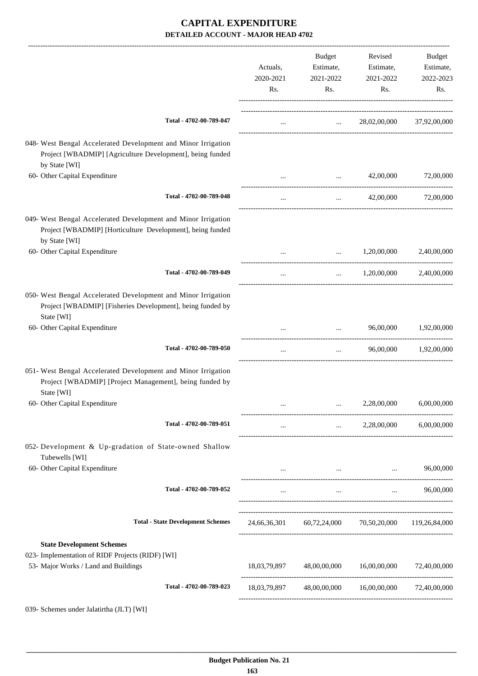|                                                                                                                                              | Actuals,<br>2020-2021<br>Rs. | Budget<br>Estimate,<br>2021-2022<br>Rs.                                                                                           | Revised<br>Estimate,<br>2021-2022<br>Rs.             | Budget<br>Estimate,<br>2022-2023<br>Rs. |
|----------------------------------------------------------------------------------------------------------------------------------------------|------------------------------|-----------------------------------------------------------------------------------------------------------------------------------|------------------------------------------------------|-----------------------------------------|
| Total - 4702-00-789-047                                                                                                                      | $\cdots$                     |                                                                                                                                   | $28,02,00,000$ $37,92,00,000$                        |                                         |
| 048- West Bengal Accelerated Development and Minor Irrigation<br>Project [WBADMIP] [Agriculture Development], being funded<br>by State [WI]  |                              |                                                                                                                                   |                                                      |                                         |
| 60- Other Capital Expenditure                                                                                                                |                              | $\cdots$                                                                                                                          | 42,00,000                                            | 72,00,000                               |
| Total - 4702-00-789-048                                                                                                                      | $\ldots$                     | $\cdots$                                                                                                                          | 42,00,000                                            | 72,00,000                               |
| 049- West Bengal Accelerated Development and Minor Irrigation<br>Project [WBADMIP] [Horticulture Development], being funded<br>by State [WI] |                              |                                                                                                                                   |                                                      |                                         |
| 60- Other Capital Expenditure                                                                                                                |                              |                                                                                                                                   | 1,20,00,000                                          | 2,40,00,000                             |
| Total - 4702-00-789-049                                                                                                                      | $\ldots$                     | $\cdots$                                                                                                                          | 1,20,00,000                                          | 2,40,00,000                             |
| 050- West Bengal Accelerated Development and Minor Irrigation<br>Project [WBADMIP] [Fisheries Development], being funded by<br>State [WI]    |                              |                                                                                                                                   |                                                      |                                         |
| 60- Other Capital Expenditure                                                                                                                |                              |                                                                                                                                   | 96,00,000                                            | 1,92,00,000                             |
| Total - 4702-00-789-050                                                                                                                      | $\cdots$                     | $\cdots$                                                                                                                          |                                                      | 96,00,000 1,92,00,000                   |
| 051- West Bengal Accelerated Development and Minor Irrigation<br>Project [WBADMIP] [Project Management], being funded by<br>State [WI]       |                              |                                                                                                                                   |                                                      |                                         |
| 60- Other Capital Expenditure                                                                                                                |                              |                                                                                                                                   | 2,28,00,000                                          | 6,00,00,000                             |
| Total - 4702-00-789-051                                                                                                                      | $\ldots$                     | $\mathbf{1}_{\mathbf{1}_{\mathbf{2}}\mathbf{1}_{\mathbf{3}}\mathbf{2}_{\mathbf{4}}\mathbf{3}_{\mathbf{5}}\mathbf{4}_{\mathbf{6}}$ | 2,28,00,000                                          | 6,00,00,000                             |
| 052- Development & Up-gradation of State-owned Shallow<br>Tubewells [WI]                                                                     |                              |                                                                                                                                   |                                                      |                                         |
| 60- Other Capital Expenditure                                                                                                                |                              |                                                                                                                                   | and the state of the state of the                    | 96,00,000                               |
| Total - 4702-00-789-052                                                                                                                      | $\cdots$                     | $\cdots$                                                                                                                          | $\cdots$                                             | 96,00,000                               |
| <b>Total - State Development Schemes</b>                                                                                                     |                              |                                                                                                                                   | 24,66,36,301 60,72,24,000 70,50,20,000 119,26,84,000 |                                         |
| <b>State Development Schemes</b><br>023- Implementation of RIDF Projects (RIDF) [WI]<br>53- Major Works / Land and Buildings                 | 18,03,79,897                 | 48,00,00,000                                                                                                                      | 16,00,00,000                                         | 72,40,00,000                            |
| Total - 4702-00-789-023                                                                                                                      | 18,03,79,897                 |                                                                                                                                   | 48,00,00,000 16,00,00,000                            | 72,40,00,000                            |
| 039- Schemes under Jalatirtha (JLT) [WI]                                                                                                     |                              |                                                                                                                                   |                                                      |                                         |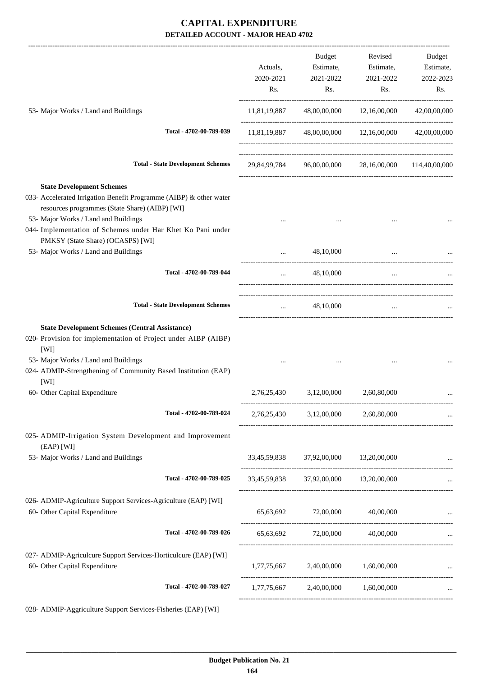|                                                                                                                                                                                                                                                                 | Actuals,<br>2020-2021<br>Rs. | Budget<br>Estimate,<br>2021-2022<br>Rs.              | Revised<br>Estimate,<br>2021-2022<br>Rs. | Budget<br>Estimate,<br>2022-2023<br>Rs. |
|-----------------------------------------------------------------------------------------------------------------------------------------------------------------------------------------------------------------------------------------------------------------|------------------------------|------------------------------------------------------|------------------------------------------|-----------------------------------------|
| 53- Major Works / Land and Buildings                                                                                                                                                                                                                            | 11,81,19,887                 |                                                      | 48,00,00,000 12,16,00,000                | 42,00,00,000                            |
| Total - 4702-00-789-039                                                                                                                                                                                                                                         |                              | 11,81,19,887 48,00,00,000 12,16,00,000 42,00,00,000  |                                          |                                         |
| <b>Total - State Development Schemes</b>                                                                                                                                                                                                                        |                              | 29,84,99,784 96,00,00,000 28,16,00,000 114,40,00,000 |                                          |                                         |
| <b>State Development Schemes</b><br>033- Accelerated Irrigation Benefit Programme (AIBP) & other water<br>resources programmes (State Share) (AIBP) [WI]<br>53- Major Works / Land and Buildings<br>044- Implementation of Schemes under Har Khet Ko Pani under |                              |                                                      |                                          |                                         |
| PMKSY (State Share) (OCASPS) [WI]<br>53- Major Works / Land and Buildings                                                                                                                                                                                       |                              | 48,10,000                                            |                                          |                                         |
| Total - 4702-00-789-044                                                                                                                                                                                                                                         | $\cdots$                     | 48,10,000                                            | $\ddots$                                 |                                         |
| <b>Total - State Development Schemes</b>                                                                                                                                                                                                                        | $\cdots$                     | 48,10,000                                            | $\cdots$                                 |                                         |
| <b>State Development Schemes (Central Assistance)</b><br>020- Provision for implementation of Project under AIBP (AIBP)<br>[WI]<br>53- Major Works / Land and Buildings<br>024- ADMIP-Strengthening of Community Based Institution (EAP)                        |                              |                                                      |                                          |                                         |
| [WI]<br>60- Other Capital Expenditure                                                                                                                                                                                                                           | 2,76,25,430                  | 3,12,00,000                                          | 2,60,80,000                              |                                         |
| Total - 4702-00-789-024                                                                                                                                                                                                                                         | 2,76,25,430                  | 3,12,00,000                                          | 2,60,80,000                              |                                         |
| 025- ADMIP-Irrigation System Development and Improvement<br>(EAP) [WI]                                                                                                                                                                                          |                              |                                                      |                                          |                                         |
| 53- Major Works / Land and Buildings                                                                                                                                                                                                                            |                              | 33,45,59,838 37,92,00,000 13,20,00,000               |                                          |                                         |
| Total - 4702-00-789-025                                                                                                                                                                                                                                         |                              | 33,45,59,838 37,92,00,000 13,20,00,000               |                                          |                                         |
| 026- ADMIP-Agriculture Support Services-Agriculture (EAP) [WI]<br>60- Other Capital Expenditure                                                                                                                                                                 |                              | 65,63,692 72,00,000 40,00,000                        |                                          |                                         |
| Total - 4702-00-789-026                                                                                                                                                                                                                                         |                              | 65,63,692 72,00,000                                  | 40,00,000                                |                                         |
| 027- ADMIP-Agriculcure Support Services-Horticulcure (EAP) [WI]<br>60- Other Capital Expenditure                                                                                                                                                                |                              | 1,77,75,667 2,40,00,000                              | 1,60,00,000                              |                                         |
| Total - 4702-00-789-027                                                                                                                                                                                                                                         |                              | 1,77,75,667 2,40,00,000 1,60,00,000                  |                                          |                                         |
| 028- ADMIP-Aggriculture Support Services-Fisheries (EAP) [WI]                                                                                                                                                                                                   |                              |                                                      |                                          |                                         |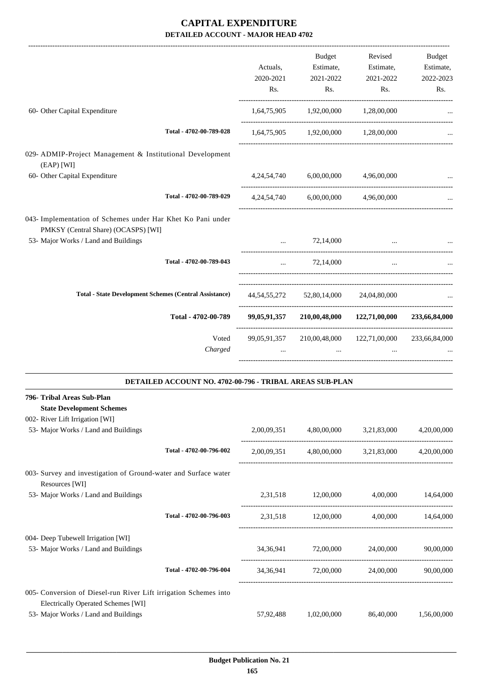|                                                                                                    |                                                          |                | Budget                                          | Revised     | Budget        |
|----------------------------------------------------------------------------------------------------|----------------------------------------------------------|----------------|-------------------------------------------------|-------------|---------------|
|                                                                                                    |                                                          | Actuals,       | Estimate,                                       | Estimate,   | Estimate,     |
|                                                                                                    |                                                          | 2020-2021      | 2021-2022                                       | 2021-2022   | 2022-2023     |
|                                                                                                    |                                                          | Rs.            | Rs.                                             | Rs.         | Rs.           |
| 60- Other Capital Expenditure                                                                      |                                                          |                | 1,64,75,905 1,92,00,000 1,28,00,000             |             |               |
|                                                                                                    | Total - 4702-00-789-028                                  |                | $1,64,75,905$ $1,92,00,000$ $1,28,00,000$       |             |               |
|                                                                                                    |                                                          |                |                                                 |             |               |
| 029- ADMIP-Project Management & Institutional Development<br>(EAP) [WI]                            |                                                          |                |                                                 |             |               |
| 60- Other Capital Expenditure                                                                      |                                                          |                | 4,24,54,740 6,00,00,000                         | 4,96,00,000 |               |
|                                                                                                    | Total - 4702-00-789-029                                  | 4, 24, 54, 740 | 6,00,00,000                                     | 4,96,00,000 |               |
| 043- Implementation of Schemes under Har Khet Ko Pani under<br>PMKSY (Central Share) (OCASPS) [WI] |                                                          |                |                                                 |             |               |
| 53- Major Works / Land and Buildings                                                               |                                                          | $\cdots$       | 72,14,000                                       |             |               |
|                                                                                                    | Total - 4702-00-789-043                                  | $\cdots$       | 72,14,000                                       | $\cdots$    |               |
| <b>Total - State Development Schemes (Central Assistance)</b>                                      |                                                          |                | 44,54,55,272 52,80,14,000 24,04,80,000          |             |               |
|                                                                                                    |                                                          |                |                                                 |             |               |
|                                                                                                    | Total - 4702-00-789                                      |                | 99,05,91,357 210,00,48,000 122,71,00,000        |             | 233,66,84,000 |
|                                                                                                    | Voted                                                    |                | 99,05,91,357 210,00,48,000 122,71,00,000        |             | 233,66,84,000 |
|                                                                                                    | Charged                                                  | $\ddots$       | $\ddotsc$                                       | $\cdots$    |               |
|                                                                                                    | DETAILED ACCOUNT NO. 4702-00-796 - TRIBAL AREAS SUB-PLAN |                |                                                 |             |               |
| 796- Tribal Areas Sub-Plan                                                                         |                                                          |                |                                                 |             |               |
| <b>State Development Schemes</b>                                                                   |                                                          |                |                                                 |             |               |
| 002- River Lift Irrigation [WI]<br>53- Major Works / Land and Buildings                            |                                                          |                | 2,00,09,351 4,80,00,000 3,21,83,000 4,20,00,000 |             |               |
|                                                                                                    |                                                          |                |                                                 |             |               |
|                                                                                                    | Total - 4702-00-796-002                                  |                | 2,00,09,351 4,80,00,000 3,21,83,000 4,20,00,000 |             |               |
| 003- Survey and investigation of Ground-water and Surface water<br>Resources [WI]                  |                                                          |                |                                                 |             |               |
| 53- Major Works / Land and Buildings                                                               |                                                          |                | 2,31,518 12,00,000 4,00,000 14,64,000           |             |               |
|                                                                                                    | Total - 4702-00-796-003                                  |                | 2,31,518 12,00,000 4,00,000 14,64,000           |             |               |
|                                                                                                    |                                                          |                |                                                 |             |               |
| 004- Deep Tubewell Irrigation [WI]<br>53- Major Works / Land and Buildings                         |                                                          |                | 34,36,941 72,00,000 24,00,000                   |             | 90,00,000     |
|                                                                                                    | Total - 4702-00-796-004                                  |                | 34,36,941 72,00,000 24,00,000 90,00,000         |             |               |
| 005- Conversion of Diesel-run River Lift irrigation Schemes into                                   |                                                          |                |                                                 |             |               |
| <b>Electrically Operated Schemes [WI]</b>                                                          |                                                          |                |                                                 |             |               |
| 53- Major Works / Land and Buildings                                                               |                                                          | 57,92,488      | 1,02,00,000                                     | 86,40,000   | 1,56,00,000   |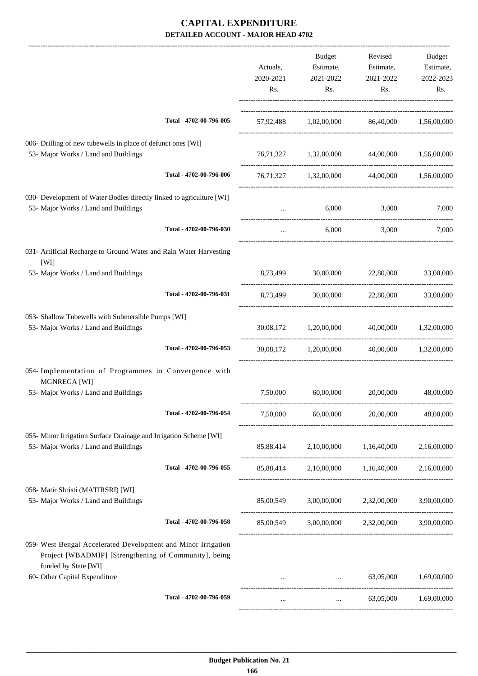|                                                                                                                                                |                         | Actuals,<br>2020-2021<br>Rs. | Budget<br>Estimate,<br>2021-2022<br>Rs.       | Revised<br>Estimate,<br>2021-2022<br>Rs. | <b>Budget</b><br>Estimate,<br>2022-2023<br>Rs. |
|------------------------------------------------------------------------------------------------------------------------------------------------|-------------------------|------------------------------|-----------------------------------------------|------------------------------------------|------------------------------------------------|
|                                                                                                                                                | Total - 4702-00-796-005 |                              | 57,92,488 1,02,00,000 86,40,000 1,56,00,000   |                                          |                                                |
| 006- Drilling of new tubewells in place of defunct ones [WI]<br>53- Major Works / Land and Buildings                                           |                         |                              | 76,71,327 1,32,00,000                         | 44,00,000                                | 1,56,00,000                                    |
|                                                                                                                                                | Total - 4702-00-796-006 |                              | 76,71,327 1,32,00,000                         |                                          | 44,00,000 1,56,00,000                          |
| 030- Development of Water Bodies directly linked to agriculture [WI]<br>53- Major Works / Land and Buildings                                   |                         | $\cdots$                     | 6,000                                         | 3,000                                    | 7,000                                          |
|                                                                                                                                                | Total - 4702-00-796-030 | $\cdots$                     | 6,000                                         | 3,000                                    | 7.000                                          |
| 031- Artificial Recharge to Ground Water and Rain Water Harvesting<br>[WI]                                                                     |                         |                              |                                               |                                          |                                                |
| 53- Major Works / Land and Buildings                                                                                                           |                         | 8,73,499                     | 30,00,000                                     | 22,80,000                                | 33,00,000                                      |
|                                                                                                                                                | Total - 4702-00-796-031 | 8,73,499                     | 30,00,000                                     | 22,80,000                                | 33,00,000                                      |
| 053- Shallow Tubewells with Submersible Pumps [WI]<br>53- Major Works / Land and Buildings                                                     |                         |                              | 30,08,172 1,20,00,000                         | 40,00,000                                | 1,32,00,000                                    |
|                                                                                                                                                | Total - 4702-00-796-053 |                              | 30,08,172 1,20,00,000                         |                                          | 40,00,000 1,32,00,000                          |
| 054- Implementation of Programmes in Convergence with<br>MGNREGA [WI]                                                                          |                         |                              |                                               |                                          |                                                |
| 53- Major Works / Land and Buildings                                                                                                           |                         | 7,50,000                     | 60,00,000                                     | 20,00,000                                | 48,00,000                                      |
|                                                                                                                                                | Total - 4702-00-796-054 | 7,50,000                     | 60,00,000                                     | 20,00,000                                | 48,00,000                                      |
| 055- Minor Irrigation Surface Drainage and Irrigation Scheme [WI]<br>53- Major Works / Land and Buildings                                      |                         |                              | 85,88,414 2,10,00,000 1,16,40,000             |                                          | 2,16,00,000                                    |
|                                                                                                                                                | Total - 4702-00-796-055 |                              | 85,88,414 2,10,00,000 1,16,40,000 2,16,00,000 |                                          |                                                |
| 058- Matir Shristi (MATIRSRI) [WI]<br>53- Major Works / Land and Buildings                                                                     |                         |                              | 85,00,549 3,00,00,000 2,32,00,000             |                                          | 3,90,00,000                                    |
|                                                                                                                                                | Total - 4702-00-796-058 |                              | 85,00,549 3,00,00,000 2,32,00,000 3,90,00,000 |                                          |                                                |
| 059- West Bengal Accelerated Development and Minor Irrigation<br>Project [WBADMIP] [Strengthening of Community], being<br>funded by State [WI] |                         |                              |                                               |                                          |                                                |
| 60- Other Capital Expenditure                                                                                                                  |                         |                              | $\sim$ $\sim$ $\sim$ $\sim$ $\sim$            | 63,05,000                                | 1,69,00,000                                    |
|                                                                                                                                                | Total - 4702-00-796-059 | $\cdots$                     | and the state of the                          |                                          | 63,05,000 1,69,00,000                          |
|                                                                                                                                                |                         |                              |                                               |                                          |                                                |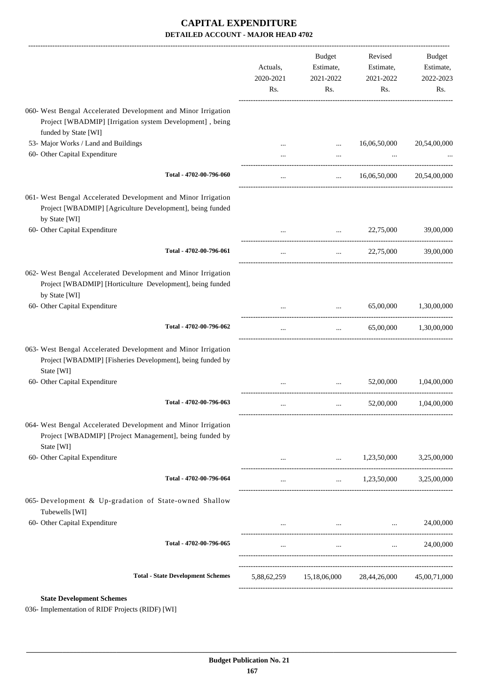|                                                                                                                                              | Actuals,<br>2020-2021<br>Rs. | <b>Budget</b><br>Estimate,<br>2021-2022<br>Rs. | Revised<br>Estimate,<br>2021-2022<br>Rs.                                                                                                                                                                                             | Budget<br>Estimate,<br>2022-2023<br>Rs. |
|----------------------------------------------------------------------------------------------------------------------------------------------|------------------------------|------------------------------------------------|--------------------------------------------------------------------------------------------------------------------------------------------------------------------------------------------------------------------------------------|-----------------------------------------|
| 060- West Bengal Accelerated Development and Minor Irrigation<br>Project [WBADMIP] [Irrigation system Development], being                    |                              |                                                |                                                                                                                                                                                                                                      |                                         |
| funded by State [WI]                                                                                                                         |                              |                                                |                                                                                                                                                                                                                                      |                                         |
| 53- Major Works / Land and Buildings                                                                                                         |                              |                                                | 16,06,50,000                                                                                                                                                                                                                         | 20,54,00,000                            |
| 60- Other Capital Expenditure                                                                                                                |                              |                                                |                                                                                                                                                                                                                                      |                                         |
| Total - 4702-00-796-060                                                                                                                      | $\cdots$                     | $\cdots$                                       | 16,06,50,000                                                                                                                                                                                                                         | 20,54,00,000                            |
| 061- West Bengal Accelerated Development and Minor Irrigation<br>Project [WBADMIP] [Agriculture Development], being funded<br>by State [WI]  |                              |                                                |                                                                                                                                                                                                                                      |                                         |
| 60- Other Capital Expenditure                                                                                                                |                              | $\cdots$                                       | 22,75,000                                                                                                                                                                                                                            | 39,00,000                               |
| Total - 4702-00-796-061                                                                                                                      |                              | $\cdots$                                       | 22,75,000                                                                                                                                                                                                                            | 39,00,000                               |
| 062- West Bengal Accelerated Development and Minor Irrigation<br>Project [WBADMIP] [Horticulture Development], being funded<br>by State [WI] |                              |                                                |                                                                                                                                                                                                                                      |                                         |
| 60- Other Capital Expenditure                                                                                                                |                              |                                                | 65,00,000                                                                                                                                                                                                                            | 1,30,00,000                             |
| Total - 4702-00-796-062                                                                                                                      |                              | $\cdots$                                       | 65,00,000                                                                                                                                                                                                                            | 1,30,00,000                             |
| 063- West Bengal Accelerated Development and Minor Irrigation<br>Project [WBADMIP] [Fisheries Development], being funded by<br>State [WI]    |                              |                                                |                                                                                                                                                                                                                                      |                                         |
| 60- Other Capital Expenditure                                                                                                                |                              |                                                | 52,00,000                                                                                                                                                                                                                            | 1,04,00,000                             |
| Total - 4702-00-796-063                                                                                                                      |                              |                                                | 52,00,000                                                                                                                                                                                                                            | 1,04,00,000                             |
| 064- West Bengal Accelerated Development and Minor Irrigation<br>Project [WBADMIP] [Project Management], being funded by<br>State [WI]       |                              |                                                |                                                                                                                                                                                                                                      |                                         |
| 60- Other Capital Expenditure                                                                                                                |                              |                                                | $\ldots$ 1,23,50,000                                                                                                                                                                                                                 | 3,25,00,000                             |
| Total - 4702-00-796-064                                                                                                                      | $\cdots$                     |                                                | $1,23,50,000$ $3,25,00,000$                                                                                                                                                                                                          |                                         |
| 065- Development & Up-gradation of State-owned Shallow<br>Tubewells [WI]                                                                     |                              |                                                |                                                                                                                                                                                                                                      |                                         |
| 60- Other Capital Expenditure                                                                                                                |                              |                                                | and the control of the control of the control of the control of the control of                                                                                                                                                       | 24,00,000                               |
| Total - 4702-00-796-065                                                                                                                      |                              |                                                | $\mathbf{1}$ and $\mathbf{1}$ are the set of the set of the set of the set of the set of the set of the set of the set of the set of the set of the set of the set of the set of the set of the set of the set of the set of the set | 24,00,000<br><b>Second Contract</b>     |
| <b>Total - State Development Schemes</b>                                                                                                     |                              | 5,88,62,259 15,18,06,000 28,44,26,000          |                                                                                                                                                                                                                                      | 45,00,71,000                            |

**State Development Schemes**

036- Implementation of RIDF Projects (RIDF) [WI]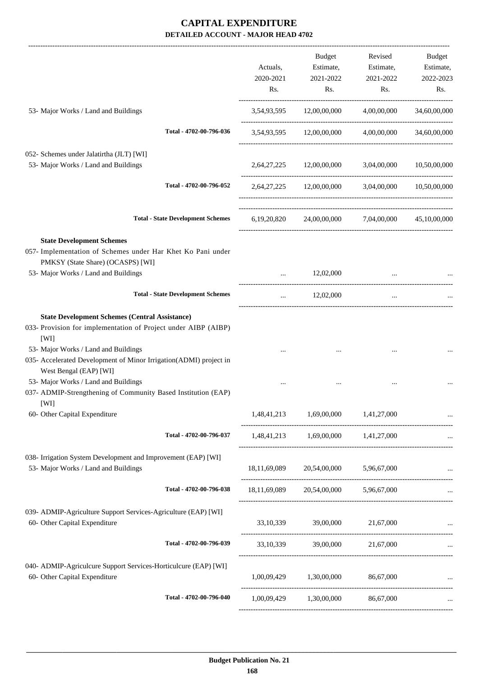|                                                                                                                                      |                                          | Actuals,<br>2020-2021<br>Rs. | Budget<br>Estimate,<br>2021-2022<br>Rs.           | Revised<br>Estimate,<br>2021-2022<br>Rs. | Budget<br>Estimate,<br>2022-2023<br>Rs. |
|--------------------------------------------------------------------------------------------------------------------------------------|------------------------------------------|------------------------------|---------------------------------------------------|------------------------------------------|-----------------------------------------|
| 53- Major Works / Land and Buildings                                                                                                 |                                          |                              | 3,54,93,595 12,00,00,000                          | 4,00,00,000                              | 34,60,00,000                            |
|                                                                                                                                      | Total - 4702-00-796-036                  | 3,54,93,595                  | 12,00,00,000                                      | 4,00,00,000                              | 34,60,00,000                            |
| 052- Schemes under Jalatirtha (JLT) [WI]<br>53- Major Works / Land and Buildings                                                     |                                          |                              | 2,64,27,225 12,00,00,000 3,04,00,000 10,50,00,000 |                                          |                                         |
|                                                                                                                                      | Total - 4702-00-796-052                  |                              | 2,64,27,225 12,00,00,000 3,04,00,000 10,50,00,000 |                                          |                                         |
|                                                                                                                                      | <b>Total - State Development Schemes</b> |                              | 6,19,20,820 24,00,00,000 7,04,00,000 45,10,00,000 |                                          |                                         |
| <b>State Development Schemes</b><br>057- Implementation of Schemes under Har Khet Ko Pani under<br>PMKSY (State Share) (OCASPS) [WI] |                                          |                              |                                                   |                                          |                                         |
| 53- Major Works / Land and Buildings                                                                                                 |                                          | $\ddotsc$                    | 12,02,000                                         |                                          |                                         |
|                                                                                                                                      | <b>Total - State Development Schemes</b> | $\cdots$                     | 12,02,000                                         | $\cdots$                                 |                                         |
| <b>State Development Schemes (Central Assistance)</b><br>033- Provision for implementation of Project under AIBP (AIBP)<br>[WI]      |                                          |                              |                                                   |                                          |                                         |
| 53- Major Works / Land and Buildings<br>035- Accelerated Development of Minor Irrigation(ADMI) project in<br>West Bengal (EAP) [WI]  |                                          |                              |                                                   |                                          |                                         |
| 53- Major Works / Land and Buildings<br>037- ADMIP-Strengthening of Community Based Institution (EAP)<br>[WI]                        |                                          |                              |                                                   |                                          |                                         |
| 60- Other Capital Expenditure                                                                                                        |                                          |                              | 1,48,41,213 1,69,00,000 1,41,27,000               |                                          |                                         |
|                                                                                                                                      | Total - 4702-00-796-037                  |                              | 1,48,41,213 1,69,00,000 1,41,27,000               |                                          |                                         |
| 038- Irrigation System Development and Improvement (EAP) [WI]<br>53- Major Works / Land and Buildings                                |                                          |                              | 18,11,69,089 20,54,00,000 5,96,67,000             |                                          |                                         |
|                                                                                                                                      | Total - 4702-00-796-038                  |                              | 18,11,69,089 20,54,00,000 5,96,67,000             |                                          |                                         |
| 039- ADMIP-Agriculture Support Services-Agriculture (EAP) [WI]<br>60- Other Capital Expenditure                                      |                                          |                              | 33,10,339 39,00,000 21,67,000                     |                                          |                                         |
|                                                                                                                                      | Total - 4702-00-796-039                  |                              | 33,10,339 39,00,000 21,67,000                     |                                          |                                         |
| 040- ADMIP-Agriculcure Support Services-Horticulcure (EAP) [WI]<br>60- Other Capital Expenditure                                     |                                          |                              | 1,00,09,429 1,30,00,000 86,67,000                 |                                          |                                         |
|                                                                                                                                      | Total - 4702-00-796-040                  |                              | 1,00,09,429 1,30,00,000 86,67,000                 |                                          |                                         |
|                                                                                                                                      |                                          |                              |                                                   |                                          |                                         |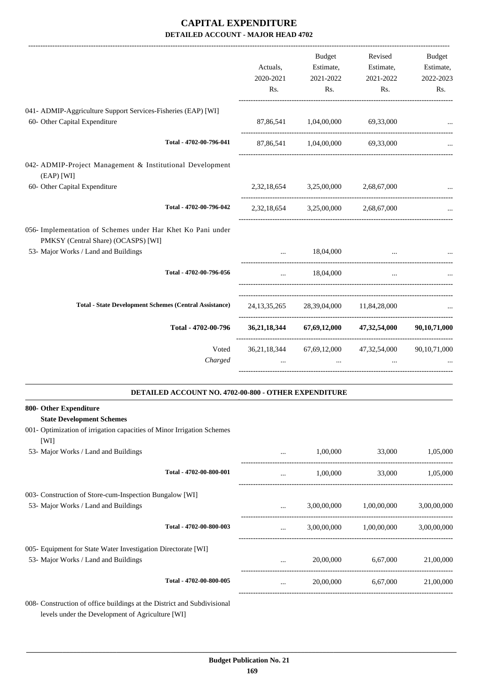|                                                                                                                                            | Actuals,<br>2020-2021<br>Rs. | Budget<br>Estimate,<br>2021-2022<br>Rs.                                    | Revised<br>Estimate,<br>2021-2022<br>Rs.            | Budget<br>Estimate,<br>2022-2023<br>Rs. |
|--------------------------------------------------------------------------------------------------------------------------------------------|------------------------------|----------------------------------------------------------------------------|-----------------------------------------------------|-----------------------------------------|
| 041- ADMIP-Aggriculture Support Services-Fisheries (EAP) [WI]<br>60- Other Capital Expenditure                                             |                              | 87,86,541 1,04,00,000 69,33,000                                            |                                                     |                                         |
| Total - 4702-00-796-041                                                                                                                    |                              | 87,86,541   1,04,00,000   69,33,000                                        |                                                     |                                         |
| 042- ADMIP-Project Management & Institutional Development<br>(EAP) [WI]                                                                    |                              |                                                                            |                                                     |                                         |
| 60- Other Capital Expenditure<br>Total - 4702-00-796-042                                                                                   |                              | 2,32,18,654 3,25,00,000 2,68,67,000<br>2,32,18,654 3,25,00,000 2,68,67,000 |                                                     |                                         |
| 056- Implementation of Schemes under Har Khet Ko Pani under<br>PMKSY (Central Share) (OCASPS) [WI]<br>53- Major Works / Land and Buildings |                              | 18,04,000                                                                  | $\cdots$                                            |                                         |
| Total - 4702-00-796-056                                                                                                                    | $\ddot{\phantom{a}}$         | 18,04,000                                                                  | $\cdots$                                            |                                         |
| <b>Total - State Development Schemes (Central Assistance)</b>                                                                              |                              | 24,13,35,265 28,39,04,000 11,84,28,000                                     |                                                     |                                         |
| Total - 4702-00-796                                                                                                                        |                              |                                                                            | 36,21,18,344 67,69,12,000 47,32,54,000 90,10,71,000 |                                         |
| Voted<br>Charged                                                                                                                           |                              | $\ddotsc$                                                                  | 36,21,18,344 67,69,12,000 47,32,54,000 90,10,71,000 |                                         |

#### **DETAILED ACCOUNT NO. 4702-00-800 - OTHER EXPENDITURE .**

| 800- Other Expenditure                                                         |          |             |             |             |
|--------------------------------------------------------------------------------|----------|-------------|-------------|-------------|
| <b>State Development Schemes</b>                                               |          |             |             |             |
| 001- Optimization of irrigation capacities of Minor Irrigation Schemes<br>[WI] |          |             |             |             |
| 53- Major Works / Land and Buildings                                           | $\cdots$ | 1,00,000    | 33,000      | 1,05,000    |
| Total - 4702-00-800-001                                                        |          | 1,00,000    | 33,000      | 1,05,000    |
| 003- Construction of Store-cum-Inspection Bungalow [WI]                        |          |             |             |             |
| 53- Major Works / Land and Buildings                                           | $\cdots$ | 3,00,00,000 | 1,00,00,000 | 3,00,00,000 |
| Total - 4702-00-800-003                                                        | $\cdots$ | 3,00,00,000 | 1,00,00,000 | 3,00,00,000 |
| 005- Equipment for State Water Investigation Directorate [WI]                  |          |             |             |             |
| 53- Major Works / Land and Buildings                                           |          | 20,00,000   | 6,67,000    | 21,00,000   |
| Total - 4702-00-800-005                                                        |          | 20,00,000   | 6,67,000    | 21,00,000   |
| 008 Construction of office buildings at the District and Subdivisional         |          |             |             |             |

levels under the Development of Agriculture [WI]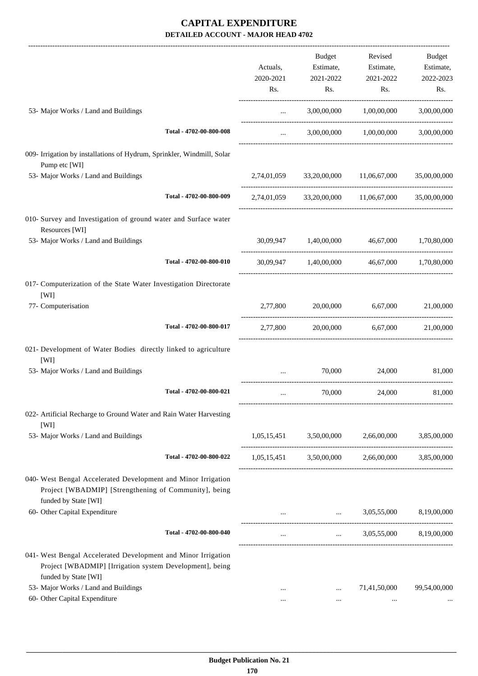|                                                                                                                                                |                         |             | <b>Budget</b>                                                                                                       | Revised                                         | Budget                |
|------------------------------------------------------------------------------------------------------------------------------------------------|-------------------------|-------------|---------------------------------------------------------------------------------------------------------------------|-------------------------------------------------|-----------------------|
|                                                                                                                                                |                         | Actuals,    | Estimate,                                                                                                           | Estimate,                                       | Estimate,             |
|                                                                                                                                                |                         | 2020-2021   | 2021-2022                                                                                                           | 2021-2022                                       | 2022-2023             |
|                                                                                                                                                |                         | Rs.         | Rs.                                                                                                                 | Rs.                                             | Rs.                   |
| 53- Major Works / Land and Buildings                                                                                                           |                         | $\cdots$    | 3,00,00,000                                                                                                         | 1,00,00,000                                     | 3,00,00,000           |
|                                                                                                                                                | Total - 4702-00-800-008 | $\cdots$    | 3,00,00,000                                                                                                         | 1,00,00,000                                     | 3,00,00,000           |
| 009- Irrigation by installations of Hydrum, Sprinkler, Windmill, Solar<br>Pump etc [WI]                                                        |                         |             |                                                                                                                     |                                                 |                       |
| 53- Major Works / Land and Buildings                                                                                                           |                         | 2,74,01,059 | 33,20,00,000 11,06,67,000                                                                                           |                                                 | 35,00,00,000          |
|                                                                                                                                                | Total - 4702-00-800-009 | 2,74,01,059 |                                                                                                                     | 33,20,00,000 11,06,67,000                       | 35,00,00,000          |
| 010- Survey and Investigation of ground water and Surface water<br>Resources [WI]                                                              |                         |             |                                                                                                                     |                                                 |                       |
| 53- Major Works / Land and Buildings                                                                                                           |                         | 30,09,947   | 1,40,00,000                                                                                                         | 46,67,000                                       | 1,70,80,000           |
|                                                                                                                                                | Total - 4702-00-800-010 |             | 30,09,947 1,40,00,000                                                                                               |                                                 | 46,67,000 1,70,80,000 |
| 017- Computerization of the State Water Investigation Directorate<br>[WI]                                                                      |                         |             |                                                                                                                     |                                                 |                       |
| 77- Computerisation                                                                                                                            |                         | 2,77,800    | 20,00,000                                                                                                           | 6,67,000                                        | 21,00,000             |
|                                                                                                                                                | Total - 4702-00-800-017 | 2,77,800    | 20,00,000                                                                                                           | 6,67,000                                        | 21,00,000             |
| 021- Development of Water Bodies directly linked to agriculture<br>[WI]                                                                        |                         |             |                                                                                                                     |                                                 |                       |
| 53- Major Works / Land and Buildings                                                                                                           |                         | $\cdots$    | 70,000                                                                                                              | 24,000                                          | 81,000                |
|                                                                                                                                                | Total - 4702-00-800-021 | $\cdots$    | 70,000                                                                                                              | 24,000                                          | 81,000                |
| 022- Artificial Recharge to Ground Water and Rain Water Harvesting<br>[WI]                                                                     |                         |             |                                                                                                                     |                                                 |                       |
| 53- Major Works / Land and Buildings                                                                                                           |                         |             | 1,05,15,451 3,50,00,000                                                                                             | 2,66,00,000                                     | 3,85,00,000           |
|                                                                                                                                                | Total - 4702-00-800-022 |             |                                                                                                                     | 1,05,15,451 3,50,00,000 2,66,00,000 3,85,00,000 |                       |
| 040- West Bengal Accelerated Development and Minor Irrigation<br>Project [WBADMIP] [Strengthening of Community], being<br>funded by State [WI] |                         |             |                                                                                                                     |                                                 |                       |
| 60- Other Capital Expenditure                                                                                                                  |                         |             | and the contract of the contract of the contract of the contract of the contract of the contract of the contract of | 3,05,55,000                                     | 8,19,00,000           |
|                                                                                                                                                | Total - 4702-00-800-040 |             |                                                                                                                     | $3,05,55,000$ $8,19,00,000$                     |                       |
| 041- West Bengal Accelerated Development and Minor Irrigation<br>Project [WBADMIP] [Irrigation system Development], being                      |                         |             |                                                                                                                     |                                                 |                       |
| funded by State [WI]                                                                                                                           |                         |             |                                                                                                                     |                                                 |                       |
| 53- Major Works / Land and Buildings                                                                                                           |                         | $\cdots$    | $\cdots$                                                                                                            | 71,41,50,000                                    | 99,54,00,000          |
| 60- Other Capital Expenditure                                                                                                                  |                         |             | $\cdots$                                                                                                            |                                                 |                       |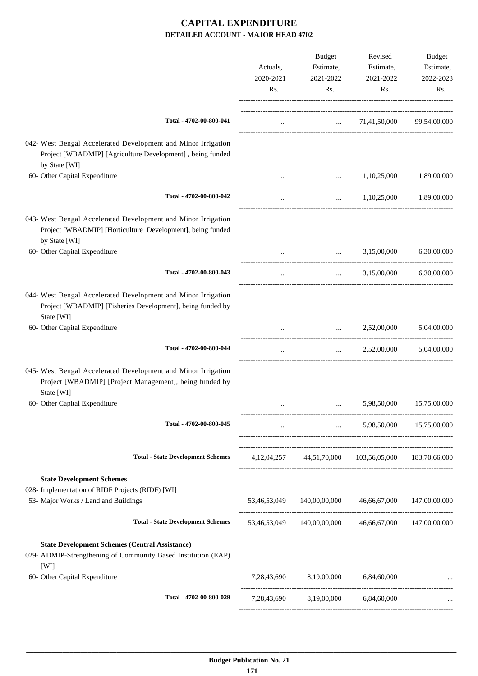|                                                                                                                                              | Actuals,<br>2020-2021<br>Rs. | Budget<br>Estimate,<br>2021-2022<br>Rs.               | Revised<br>Estimate,<br>2021-2022<br>Rs. | Budget<br>Estimate,<br>2022-2023<br>Rs. |
|----------------------------------------------------------------------------------------------------------------------------------------------|------------------------------|-------------------------------------------------------|------------------------------------------|-----------------------------------------|
| Total - 4702-00-800-041                                                                                                                      | $\cdots$                     |                                                       | $\ldots$ 71,41,50,000 99,54,00,000       |                                         |
| 042- West Bengal Accelerated Development and Minor Irrigation<br>Project [WBADMIP] [Agriculture Development], being funded<br>by State [WI]  |                              |                                                       |                                          |                                         |
| 60- Other Capital Expenditure                                                                                                                |                              |                                                       | $\ldots$ 1,10,25,000                     | 1,89,00,000                             |
| Total - 4702-00-800-042                                                                                                                      | $\cdots$                     | $\cdots$ . The same of $\cdots$                       |                                          | 1,10,25,000 1,89,00,000                 |
| 043- West Bengal Accelerated Development and Minor Irrigation<br>Project [WBADMIP] [Horticulture Development], being funded<br>by State [WI] |                              |                                                       |                                          |                                         |
| 60- Other Capital Expenditure                                                                                                                |                              |                                                       |                                          | 3,15,00,000 6,30,00,000                 |
| Total - 4702-00-800-043                                                                                                                      | $\cdots$                     | $\cdots$                                              | 3,15,00,000                              | 6,30,00,000                             |
| 044- West Bengal Accelerated Development and Minor Irrigation<br>Project [WBADMIP] [Fisheries Development], being funded by<br>State [WI]    |                              |                                                       |                                          |                                         |
| 60- Other Capital Expenditure                                                                                                                |                              |                                                       | 2,52,00,000                              | 5,04,00,000                             |
| Total - 4702-00-800-044                                                                                                                      | $\cdots$                     | $\mathbf{r}$ and $\mathbf{r}$ and $\mathbf{r}$        | 2,52,00,000                              | 5,04,00,000                             |
| 045- West Bengal Accelerated Development and Minor Irrigation<br>Project [WBADMIP] [Project Management], being funded by<br>State [WI]       |                              |                                                       |                                          |                                         |
| 60- Other Capital Expenditure                                                                                                                |                              |                                                       | 5,98,50,000                              | 15,75,00,000                            |
| Total - 4702-00-800-045                                                                                                                      | $\cdots$                     | -------------------------------                       | $\cdots$ . The same of $\cdots$          | 5,98,50,000 15,75,00,000                |
| <b>Total - State Development Schemes</b>                                                                                                     |                              | 4,12,04,257 44,51,70,000 103,56,05,000 183,70,66,000  |                                          |                                         |
| <b>State Development Schemes</b><br>028- Implementation of RIDF Projects (RIDF) [WI]<br>53- Major Works / Land and Buildings                 |                              | 53,46,53,049 140,00,00,000 46,66,67,000 147,00,00,000 |                                          |                                         |
| <b>Total - State Development Schemes</b>                                                                                                     |                              | 53,46,53,049 140,00,00,000 46,66,67,000 147,00,00,000 |                                          |                                         |
| <b>State Development Schemes (Central Assistance)</b><br>029- ADMIP-Strengthening of Community Based Institution (EAP)<br>[WI]               |                              |                                                       |                                          |                                         |
| 60- Other Capital Expenditure                                                                                                                |                              | 7,28,43,690 8,19,00,000 6,84,60,000                   |                                          |                                         |
| Total - 4702-00-800-029                                                                                                                      |                              | 7,28,43,690 8,19,00,000 6,84,60,000                   |                                          |                                         |
|                                                                                                                                              |                              |                                                       |                                          |                                         |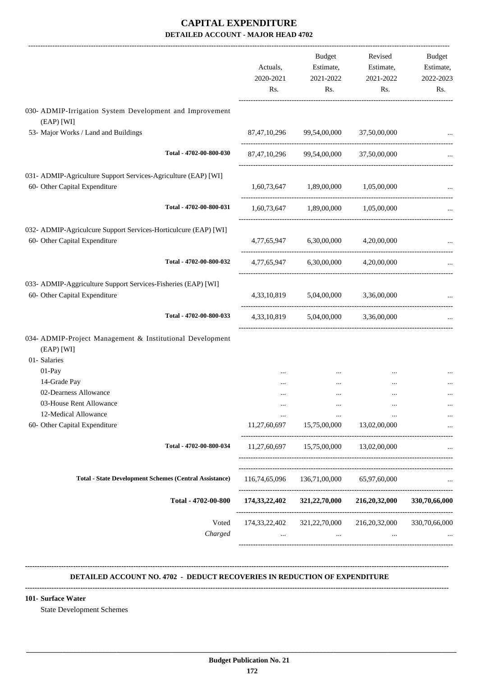|                                                                                                                                                                                                                                | Actuals,<br>2020-2021<br>Rs.               | Budget<br>Estimate,<br>2021-2022<br>Rs.  | Revised<br>Estimate,<br>2021-2022<br>Rs. | Budget<br>Estimate,<br>2022-2023<br>Rs. |
|--------------------------------------------------------------------------------------------------------------------------------------------------------------------------------------------------------------------------------|--------------------------------------------|------------------------------------------|------------------------------------------|-----------------------------------------|
| 030- ADMIP-Irrigation System Development and Improvement<br>(EAP) [WI]                                                                                                                                                         |                                            |                                          |                                          |                                         |
| 53- Major Works / Land and Buildings                                                                                                                                                                                           | 87,47,10,296                               |                                          | 99,54,00,000 37,50,00,000                |                                         |
| Total - 4702-00-800-030                                                                                                                                                                                                        |                                            | 87,47,10,296 99,54,00,000 37,50,00,000   |                                          |                                         |
| 031- ADMIP-Agriculture Support Services-Agriculture (EAP) [WI]<br>60- Other Capital Expenditure                                                                                                                                |                                            | 1,60,73,647 1,89,00,000 1,05,00,000      |                                          |                                         |
| Total - 4702-00-800-031                                                                                                                                                                                                        |                                            | 1,60,73,647 1,89,00,000 1,05,00,000      |                                          |                                         |
| 032- ADMIP-Agriculcure Support Services-Horticulcure (EAP) [WI]<br>60- Other Capital Expenditure                                                                                                                               |                                            | 4,77,65,947 6,30,00,000                  | 4,20,00,000                              |                                         |
| Total - 4702-00-800-032                                                                                                                                                                                                        |                                            | 4,77,65,947 6,30,00,000                  | 4,20,00,000                              |                                         |
| 033- ADMIP-Aggriculture Support Services-Fisheries (EAP) [WI]<br>60- Other Capital Expenditure                                                                                                                                 |                                            | 4,33,10,819 5,04,00,000 3,36,00,000      |                                          |                                         |
| Total - 4702-00-800-033                                                                                                                                                                                                        |                                            | 4,33,10,819 5,04,00,000                  | 3,36,00,000                              |                                         |
| 034- ADMIP-Project Management & Institutional Development<br>(EAP) [WI]<br>01- Salaries<br>01-Pay<br>14-Grade Pay<br>02-Dearness Allowance<br>03-House Rent Allowance<br>12-Medical Allowance<br>60- Other Capital Expenditure | .<br>$\cdots$<br>$\ddotsc$<br>11,27,60,697 | <br>$\cdots$<br>15,75,00,000             | $\cdots$<br><br><br>13,02,00,000         | $\cdots$                                |
|                                                                                                                                                                                                                                |                                            |                                          |                                          |                                         |
| Total - 4702-00-800-034                                                                                                                                                                                                        |                                            | 11,27,60,697  15,75,00,000  13,02,00,000 |                                          |                                         |
| <b>Total - State Development Schemes (Central Assistance)</b>                                                                                                                                                                  | 116,74,65,096                              |                                          | 136,71,00,000 65,97,60,000               |                                         |
| Total - 4702-00-800                                                                                                                                                                                                            | 174,33,22,402                              | 321,22,70,000                            | 216,20,32,000                            | 330,70,66,000                           |
| Voted<br>Charged                                                                                                                                                                                                               | 174,33,22,402                              | 321,22,70,000<br>$\cdots$                | 216, 20, 32, 000                         | 330,70,66,000                           |

#### **DETAILED ACCOUNT NO. 4702 - DEDUCT RECOVERIES IN REDUCTION OF EXPENDITURE**

**--------------------------------------------------------------------------------------------------------------------------------------------------------------------------------**

 **\_\_\_\_\_\_\_\_\_\_\_\_\_\_\_\_\_\_\_\_\_\_\_\_\_\_\_\_\_\_\_\_\_\_\_\_\_\_\_\_\_\_\_\_\_\_\_\_\_\_\_\_\_\_\_\_\_\_\_\_\_\_\_\_\_\_\_\_\_\_\_\_\_\_\_\_\_\_\_\_\_\_\_\_\_\_\_\_\_\_\_\_\_\_\_\_\_\_\_\_\_\_\_\_\_\_\_\_\_\_\_\_\_\_\_\_\_\_\_**

**--------------------------------------------------------------------------------------------------------------------------------------------------------------------------------**

#### **101- Surface Water**

State Development Schemes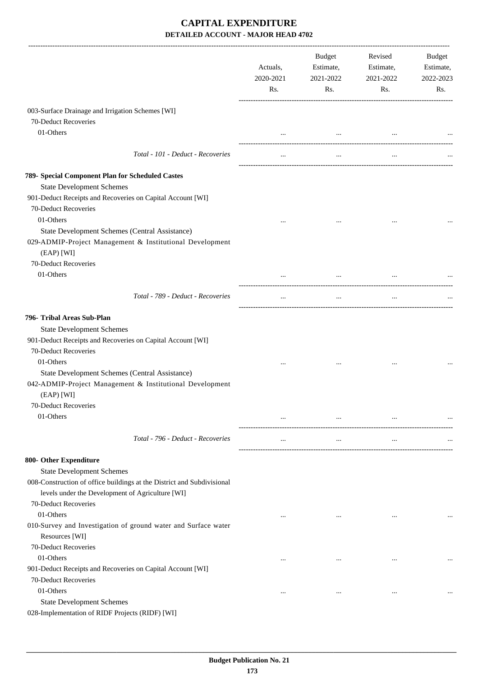|                                                                        | Actuals,<br>2020-2021<br>Rs. | Budget<br>Estimate,<br>2021-2022<br>Rs. | Revised<br>Estimate,<br>2021-2022<br>Rs. | Budget<br>Estimate,<br>2022-2023<br>Rs. |
|------------------------------------------------------------------------|------------------------------|-----------------------------------------|------------------------------------------|-----------------------------------------|
| 003-Surface Drainage and Irrigation Schemes [WI]                       |                              |                                         |                                          |                                         |
| 70-Deduct Recoveries                                                   |                              |                                         |                                          |                                         |
| 01-Others                                                              |                              |                                         |                                          |                                         |
|                                                                        |                              |                                         | and the state of the state of the        |                                         |
| Total - 101 - Deduct - Recoveries                                      |                              | $\cdots$                                |                                          |                                         |
| 789- Special Component Plan for Scheduled Castes                       |                              |                                         |                                          |                                         |
| <b>State Development Schemes</b>                                       |                              |                                         |                                          |                                         |
| 901-Deduct Receipts and Recoveries on Capital Account [WI]             |                              |                                         |                                          |                                         |
| 70-Deduct Recoveries                                                   |                              |                                         |                                          |                                         |
| 01-Others                                                              |                              |                                         | $\cdots$                                 |                                         |
| State Development Schemes (Central Assistance)                         |                              |                                         |                                          |                                         |
| 029-ADMIP-Project Management & Institutional Development               |                              |                                         |                                          |                                         |
| (EAP) [WI]                                                             |                              |                                         |                                          |                                         |
| 70-Deduct Recoveries                                                   |                              |                                         |                                          |                                         |
| 01-Others                                                              |                              |                                         |                                          |                                         |
|                                                                        |                              |                                         |                                          |                                         |
| Total - 789 - Deduct - Recoveries                                      |                              |                                         | $\cdots$                                 |                                         |
| 796- Tribal Areas Sub-Plan                                             |                              |                                         |                                          |                                         |
| <b>State Development Schemes</b>                                       |                              |                                         |                                          |                                         |
| 901-Deduct Receipts and Recoveries on Capital Account [WI]             |                              |                                         |                                          |                                         |
| 70-Deduct Recoveries                                                   |                              |                                         |                                          |                                         |
| 01-Others                                                              | $\cdots$                     |                                         | $\cdots$                                 |                                         |
| State Development Schemes (Central Assistance)                         |                              |                                         |                                          |                                         |
| 042-ADMIP-Project Management & Institutional Development               |                              |                                         |                                          |                                         |
| (EAP) [WI]                                                             |                              |                                         |                                          |                                         |
| 70-Deduct Recoveries                                                   |                              |                                         |                                          |                                         |
| 01-Others                                                              | $\cdots$                     | $\cdots$                                | $\cdots$                                 |                                         |
|                                                                        |                              |                                         |                                          |                                         |
| Total - 796 - Deduct - Recoveries                                      | $\cdots$                     | $\cdots$                                | $\cdots$                                 |                                         |
| 800- Other Expenditure                                                 |                              |                                         |                                          |                                         |
| <b>State Development Schemes</b>                                       |                              |                                         |                                          |                                         |
| 008-Construction of office buildings at the District and Subdivisional |                              |                                         |                                          |                                         |
| levels under the Development of Agriculture [WI]                       |                              |                                         |                                          |                                         |
| 70-Deduct Recoveries                                                   |                              |                                         |                                          |                                         |
| 01-Others                                                              |                              | $\cdots$                                | $\ddotsc$                                |                                         |
| 010-Survey and Investigation of ground water and Surface water         |                              |                                         |                                          |                                         |
| Resources [WI]                                                         |                              |                                         |                                          |                                         |
| 70-Deduct Recoveries                                                   |                              |                                         |                                          |                                         |
| 01-Others                                                              |                              | $\cdots$                                | $\ddotsc$                                |                                         |
| 901-Deduct Receipts and Recoveries on Capital Account [WI]             |                              |                                         |                                          |                                         |
| 70-Deduct Recoveries                                                   |                              |                                         |                                          |                                         |
| 01-Others                                                              |                              | $\cdots$                                | $\ddotsc$                                |                                         |
| <b>State Development Schemes</b>                                       |                              |                                         |                                          |                                         |
| 028-Implementation of RIDF Projects (RIDF) [WI]                        |                              |                                         |                                          |                                         |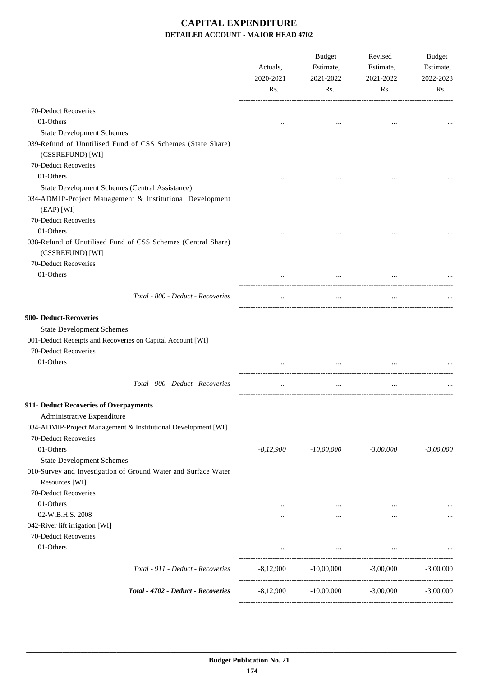|                                                                                                                                                               | Actuals,<br>2020-2021<br>Rs. | Budget<br>Estimate,<br>2021-2022<br>Rs. | Revised<br>Estimate,<br>2021-2022<br>Rs. | Budget<br>Estimate,<br>2022-2023<br>Rs. |
|---------------------------------------------------------------------------------------------------------------------------------------------------------------|------------------------------|-----------------------------------------|------------------------------------------|-----------------------------------------|
| 70-Deduct Recoveries                                                                                                                                          |                              |                                         |                                          |                                         |
| 01-Others                                                                                                                                                     |                              |                                         |                                          |                                         |
| <b>State Development Schemes</b>                                                                                                                              |                              |                                         |                                          |                                         |
| 039-Refund of Unutilised Fund of CSS Schemes (State Share)<br>(CSSREFUND) [WI]                                                                                |                              |                                         |                                          |                                         |
| 70-Deduct Recoveries                                                                                                                                          |                              |                                         |                                          |                                         |
| 01-Others                                                                                                                                                     |                              |                                         |                                          |                                         |
| State Development Schemes (Central Assistance)                                                                                                                |                              |                                         |                                          |                                         |
| 034-ADMIP-Project Management & Institutional Development                                                                                                      |                              |                                         |                                          |                                         |
| (EAP) [WI]                                                                                                                                                    |                              |                                         |                                          |                                         |
| 70-Deduct Recoveries                                                                                                                                          |                              |                                         |                                          |                                         |
| 01-Others                                                                                                                                                     |                              |                                         |                                          |                                         |
| 038-Refund of Unutilised Fund of CSS Schemes (Central Share)<br>(CSSREFUND) [WI]                                                                              |                              |                                         |                                          |                                         |
| 70-Deduct Recoveries                                                                                                                                          |                              |                                         |                                          |                                         |
| 01-Others                                                                                                                                                     |                              |                                         |                                          |                                         |
| Total - 800 - Deduct - Recoveries                                                                                                                             | $\cdots$                     | $\cdots$                                | $\cdots$                                 |                                         |
| 900- Deduct-Recoveries<br><b>State Development Schemes</b><br>001-Deduct Receipts and Recoveries on Capital Account [WI]<br>70-Deduct Recoveries<br>01-Others |                              |                                         |                                          |                                         |
| Total - 900 - Deduct - Recoveries                                                                                                                             |                              | $\ddotsc$                               | $\cdots$                                 |                                         |
| 911- Deduct Recoveries of Overpayments<br>Administrative Expenditure<br>034-ADMIP-Project Management & Institutional Development [WI]<br>70-Deduct Recoveries |                              |                                         |                                          |                                         |
| 01-Others                                                                                                                                                     | $-8,12,900$                  | $-10,00,000$                            | $-3,00,000$                              | $-3,00,000$                             |
| <b>State Development Schemes</b>                                                                                                                              |                              |                                         |                                          |                                         |
| 010-Survey and Investigation of Ground Water and Surface Water<br>Resources [WI]<br>70-Deduct Recoveries                                                      |                              |                                         |                                          |                                         |
| 01-Others                                                                                                                                                     | $\cdots$                     | $\ldots$                                | $\cdots$                                 |                                         |
| 02-W.B.H.S. 2008                                                                                                                                              |                              | $\cdots$                                | $\cdots$                                 |                                         |
| 042-River lift irrigation [WI]                                                                                                                                |                              |                                         |                                          |                                         |
| 70-Deduct Recoveries                                                                                                                                          |                              |                                         |                                          |                                         |
| 01-Others                                                                                                                                                     | $\cdots$                     | $\ldots$                                | $\cdots$                                 |                                         |
| Total - 911 - Deduct - Recoveries                                                                                                                             | -8,12,900                    |                                         | $-10,00,000$ $-3,00,000$                 | $-3,00,000$                             |
| Total - 4702 - Deduct - Recoveries                                                                                                                            | $-8,12,900$                  | $-10,00,000$                            | $-3,00,000$                              | $-3,00,000$                             |
|                                                                                                                                                               |                              |                                         |                                          |                                         |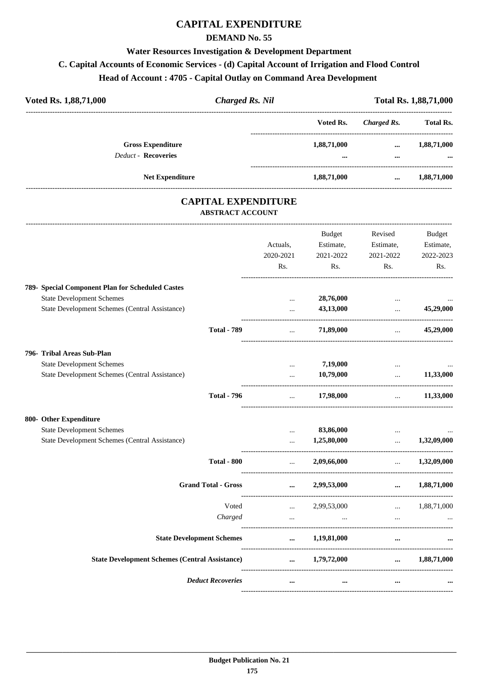## **CAPITAL EXPENDITURE**

#### **DEMAND No. 55**

## **Water Resources Investigation & Development Department C. Capital Accounts of Economic Services - (d) Capital Account of Irrigation and Flood Control Head of Account : 4705 - Capital Outlay on Command Area Development**

| Voted Rs. 1,88,71,000 |                                                        | <b>Charged Rs. Nil</b> |                 |             | <b>Total Rs. 1,88,71,000</b> |
|-----------------------|--------------------------------------------------------|------------------------|-----------------|-------------|------------------------------|
|                       |                                                        |                        | Voted Rs.       | Charged Rs. | <b>Total Rs.</b>             |
|                       | <b>Gross Expenditure</b><br><b>Deduct - Recoveries</b> |                        | 1,88,71,000<br> | <br>        | 1,88,71,000<br>$\cdots$      |
|                       | <b>Net Expenditure</b>                                 |                        | 1,88,71,000     |             | 1,88,71,000                  |

#### **CAPITAL EXPENDITURE ABSTRACT ACCOUNT**

---------------------------------------------------------------------------------------------------------------------------------------------------------------------------------

|                                                       | Actuals,<br>2020-2021<br>Rs.          | <b>Budget</b><br>Estimate,<br>2021-2022<br>Rs. | Revised<br>Estimate,<br>2021-2022<br>Rs. | <b>Budget</b><br>Estimate,<br>2022-2023<br>Rs. |
|-------------------------------------------------------|---------------------------------------|------------------------------------------------|------------------------------------------|------------------------------------------------|
| 789- Special Component Plan for Scheduled Castes      |                                       |                                                |                                          |                                                |
| <b>State Development Schemes</b>                      | $\cdots$                              | 28,76,000                                      | $\cdots$                                 | $\ddots$                                       |
| State Development Schemes (Central Assistance)        | $\cdots$                              | 43,13,000                                      | $\mathbf{r}$ and $\mathbf{r}$            | 45,29,000                                      |
| <b>Total - 789</b>                                    | $\cdots$                              | 71,89,000                                      | $\mathbf{r}$                             | 45,29,000                                      |
| 796- Tribal Areas Sub-Plan                            |                                       |                                                |                                          |                                                |
| <b>State Development Schemes</b>                      | $\cdots$                              | 7,19,000                                       | $\cdots$                                 | $\cdots$                                       |
| State Development Schemes (Central Assistance)        | $\ddotsc$                             | 10,79,000                                      | $\cdots$                                 | 11,33,000                                      |
| <b>Total - 796</b>                                    | <b>Contract Contract</b>              | 17,98,000                                      |                                          | $\ldots$ 11,33,000                             |
| 800- Other Expenditure                                |                                       |                                                |                                          |                                                |
| <b>State Development Schemes</b>                      | $\cdots$                              | 83,86,000                                      | $\cdots$                                 |                                                |
| State Development Schemes (Central Assistance)        | $\ddotsc$                             | 1,25,80,000                                    | $\ddots$                                 | 1,32,09,000                                    |
| <b>Total - 800</b>                                    | $\mathbf{r}$ and $\mathbf{r}$         | 2,09,66,000                                    |                                          | $\dots$ 1,32,09,000                            |
| <b>Grand Total - Gross</b>                            | $\cdots$ . The same of $\mathbb{R}^n$ | 2,99,53,000                                    |                                          | $\dots$ 1,88,71,000                            |
| Voted                                                 | $\mathbf{r}$ and $\mathbf{r}$         | 2,99,53,000                                    |                                          | $\dots$ 1,88,71,000                            |
| Charged                                               | $\cdots$                              | $\ddots$                                       | $\cdots$                                 |                                                |
| <b>State Development Schemes</b>                      |                                       | $\dots$ 1,19,81,000                            | $\cdots$                                 |                                                |
| <b>State Development Schemes (Central Assistance)</b> |                                       | $\dots$ 1,79,72,000                            | $\cdots$                                 | 1,88,71,000                                    |
| <b>Deduct Recoveries</b>                              | $\cdots$                              | $\cdots$                                       | $\cdots$                                 |                                                |
|                                                       |                                       |                                                |                                          |                                                |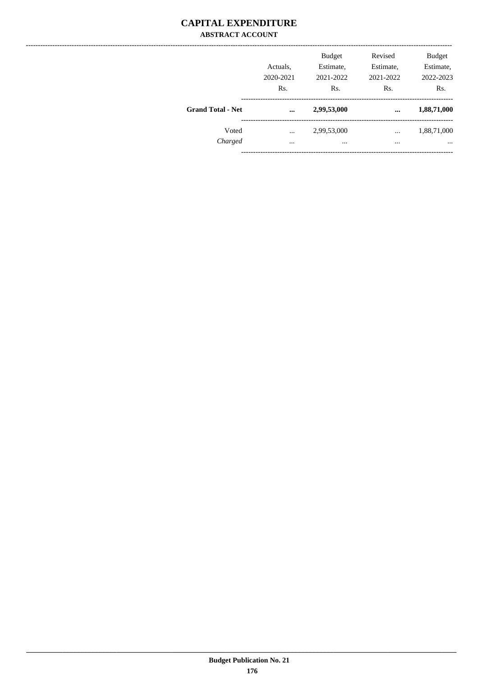#### **CAPITAL EXPENDITURE ABSTRACT ACCOUNT**

|                          | Actuals,<br>2020-2021<br>Rs. | <b>Budget</b><br>Estimate,<br>2021-2022<br>Rs. | Revised<br>Estimate,<br>2021-2022<br>Rs. | <b>Budget</b><br>Estimate,<br>2022-2023<br>Rs. |
|--------------------------|------------------------------|------------------------------------------------|------------------------------------------|------------------------------------------------|
| <b>Grand Total - Net</b> | $\cdots$                     | 2,99,53,000                                    | $\cdots$                                 | 1,88,71,000                                    |
| Voted<br>Charged         | $\cdots$<br>$\cdots$         | 2,99,53,000<br>$\cdots$                        | $\cdots$<br>$\cdots$                     | 1,88,71,000<br>$\cdots$                        |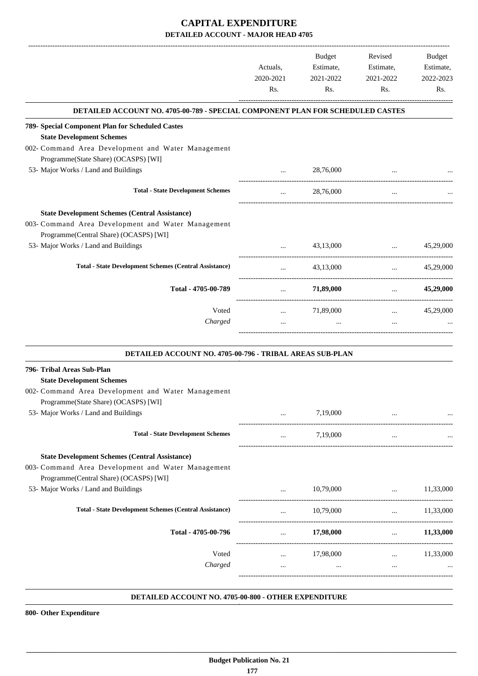|                                                                                |                       | Budget                 | Revised                                                         | Budget                 |
|--------------------------------------------------------------------------------|-----------------------|------------------------|-----------------------------------------------------------------|------------------------|
|                                                                                | Actuals,<br>2020-2021 | Estimate,<br>2021-2022 | Estimate,<br>2021-2022                                          | Estimate,<br>2022-2023 |
|                                                                                | Rs.                   | Rs.                    | Rs.                                                             | Rs.                    |
| DETAILED ACCOUNT NO. 4705-00-789 - SPECIAL COMPONENT PLAN FOR SCHEDULED CASTES |                       |                        |                                                                 |                        |
| 789- Special Component Plan for Scheduled Castes                               |                       |                        |                                                                 |                        |
| <b>State Development Schemes</b>                                               |                       |                        |                                                                 |                        |
| 002- Command Area Development and Water Management                             |                       |                        |                                                                 |                        |
| Programme(State Share) (OCASPS) [WI]                                           |                       |                        |                                                                 |                        |
| 53- Major Works / Land and Buildings                                           | $\cdots$              | 28,76,000              |                                                                 |                        |
| <b>Total - State Development Schemes</b>                                       | $\cdots$              | 28,76,000              | $\cdots$                                                        |                        |
| <b>State Development Schemes (Central Assistance)</b>                          |                       |                        |                                                                 |                        |
| 003- Command Area Development and Water Management                             |                       |                        |                                                                 |                        |
| Programme(Central Share) (OCASPS) [WI]                                         |                       |                        |                                                                 |                        |
| 53- Major Works / Land and Buildings                                           | $\cdots$              | 43,13,000              | $\mathbf{1}$ and $\mathbf{1}$ and $\mathbf{1}$ and $\mathbf{1}$ | 45,29,000              |
| <b>Total - State Development Schemes (Central Assistance)</b>                  | $\cdots$              | 43,13,000              | $\cdots$ . The same of $\cdots$                                 | 45,29,000              |
| Total - 4705-00-789                                                            | $\cdots$              | 71,89,000              | --------------------------------------<br><b>Sales Control</b>  | 45,29,000              |
| Voted                                                                          |                       | 71,89,000              |                                                                 | 45,29,000              |
| Charged                                                                        | $\cdots$<br>$\cdots$  | $\cdots$               | $\mathbf{1}$ and $\mathbf{1}$ and $\mathbf{1}$<br>$\cdots$      |                        |
|                                                                                |                       |                        |                                                                 |                        |
| DETAILED ACCOUNT NO. 4705-00-796 - TRIBAL AREAS SUB-PLAN                       |                       |                        |                                                                 |                        |
| 796- Tribal Areas Sub-Plan                                                     |                       |                        |                                                                 |                        |
| <b>State Development Schemes</b>                                               |                       |                        |                                                                 |                        |
| 002- Command Area Development and Water Management                             |                       |                        |                                                                 |                        |
| Programme(State Share) (OCASPS) [WI]                                           |                       |                        |                                                                 |                        |
| 53- Major Works / Land and Buildings                                           | $\cdots$              | 7,19,000               |                                                                 |                        |
| <b>Total - State Development Schemes</b>                                       | $\ldots$              | 7,19,000               | $\cdots$                                                        |                        |
| <b>State Development Schemes (Central Assistance)</b>                          |                       |                        |                                                                 |                        |
| 003- Command Area Development and Water Management                             |                       |                        |                                                                 |                        |
| Programme(Central Share) (OCASPS) [WI]                                         |                       |                        |                                                                 |                        |
| 53- Major Works / Land and Buildings                                           | $\cdots$              | 10,79,000              | $\cdots$                                                        | 11,33,000              |
| <b>Total - State Development Schemes (Central Assistance)</b>                  | $\cdots$              | 10,79,000              | $\cdots$                                                        | 11,33,000              |
| Total - 4705-00-796                                                            | $\cdots$              | 17,98,000              | $\mathbf{1}$ and $\mathbf{1}$ and $\mathbf{1}$ and $\mathbf{1}$ | 11,33,000              |
|                                                                                |                       |                        |                                                                 |                        |
| Voted                                                                          | $\cdots$              | 17,98,000              |                                                                 | $\ldots$ 11,33,000     |
| Charged                                                                        | $\cdots$              | $\ddots$               | $\cdots$                                                        |                        |
|                                                                                |                       |                        |                                                                 |                        |

#### **DETAILED ACCOUNT NO. 4705-00-800 - OTHER EXPENDITURE .**

**800- Other Expenditure**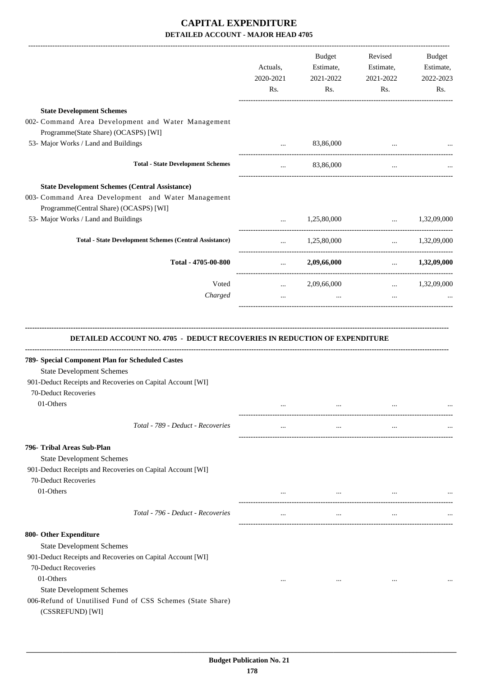|                                                                                                                                                                                                        | Actuals,<br>2020-2021<br>Rs. | Budget<br>Estimate,<br>2021-2022<br>Rs. | Revised<br>Estimate,<br>2021-2022<br>Rs. | Budget<br>Estimate,<br>2022-2023<br>Rs. |
|--------------------------------------------------------------------------------------------------------------------------------------------------------------------------------------------------------|------------------------------|-----------------------------------------|------------------------------------------|-----------------------------------------|
| <b>State Development Schemes</b>                                                                                                                                                                       |                              |                                         |                                          |                                         |
| 002- Command Area Development and Water Management<br>Programme(State Share) (OCASPS) [WI]                                                                                                             |                              |                                         |                                          |                                         |
| 53- Major Works / Land and Buildings                                                                                                                                                                   | $\cdots$                     | 83,86,000                               |                                          |                                         |
| <b>Total - State Development Schemes</b>                                                                                                                                                               | $\cdots$                     | 83,86,000                               | $\cdots$                                 |                                         |
| <b>State Development Schemes (Central Assistance)</b><br>003- Command Area Development and Water Management<br>Programme(Central Share) (OCASPS) [WI]                                                  |                              |                                         |                                          |                                         |
| 53- Major Works / Land and Buildings                                                                                                                                                                   |                              | $1,25,80,000$ $1,32,09,000$             | -------------------------------------    |                                         |
| <b>Total - State Development Schemes (Central Assistance)</b>                                                                                                                                          |                              | 1,25,80,000                             |                                          | $\ldots$ 1,32,09,000                    |
| Total - 4705-00-800                                                                                                                                                                                    |                              | $\ldots$ 2,09,66,000                    |                                          | $\ldots$ 1,32,09,000                    |
| Voted                                                                                                                                                                                                  | $\cdots$                     | 2,09,66,000                             |                                          | $\ldots$ 1,32,09,000                    |
| Charged                                                                                                                                                                                                | $\cdots$                     | $\sim 100$                              | $\cdots$                                 |                                         |
| 789- Special Component Plan for Scheduled Castes<br><b>State Development Schemes</b><br>901-Deduct Receipts and Recoveries on Capital Account [WI]<br>70-Deduct Recoveries<br>01-Others                | $\cdots$                     |                                         |                                          |                                         |
|                                                                                                                                                                                                        |                              |                                         |                                          |                                         |
| Total - 789 - Deduct - Recoveries                                                                                                                                                                      | $\cdots$                     | $\ldots$                                | $\cdots$                                 |                                         |
| 796- Tribal Areas Sub-Plan<br><b>State Development Schemes</b><br>901-Deduct Receipts and Recoveries on Capital Account [WI]<br>70-Deduct Recoveries<br>01-Others<br>Total - 796 - Deduct - Recoveries | $\cdots$<br>$\cdots$         | $\cdots$<br>$\cdots$                    | $\cdots$                                 |                                         |
|                                                                                                                                                                                                        |                              |                                         |                                          |                                         |
| 800- Other Expenditure<br><b>State Development Schemes</b><br>901-Deduct Receipts and Recoveries on Capital Account [WI]<br>70-Deduct Recoveries<br>01-Others<br><b>State Development Schemes</b>      | $\cdots$                     | $\cdots$                                | $\cdots$                                 |                                         |
| 006-Refund of Unutilised Fund of CSS Schemes (State Share)<br>(CSSREFUND) [WI]                                                                                                                         |                              |                                         |                                          |                                         |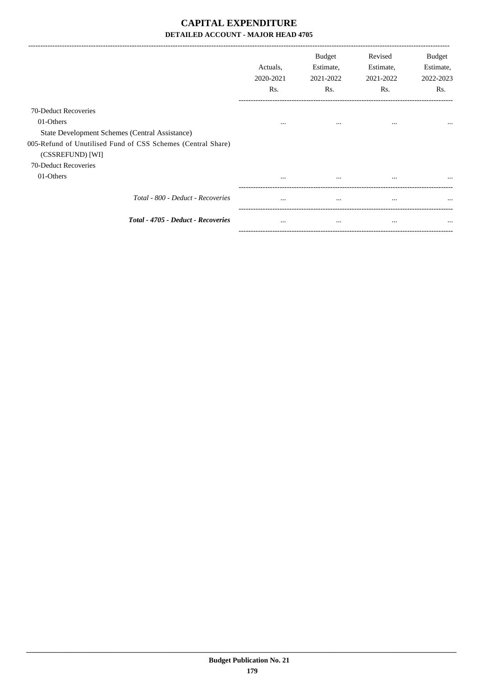|                                                              | Actuals.<br>2020-2021<br>Rs. | <b>Budget</b><br>Estimate,<br>2021-2022<br>Rs. | Revised<br>Estimate,<br>2021-2022<br>Rs. | Budget<br>Estimate,<br>2022-2023<br>Rs. |
|--------------------------------------------------------------|------------------------------|------------------------------------------------|------------------------------------------|-----------------------------------------|
| 70-Deduct Recoveries                                         |                              |                                                |                                          |                                         |
| 01-Others                                                    | $\cdots$                     | $\cdots$                                       | $\cdots$                                 | $\cdots$                                |
| State Development Schemes (Central Assistance)               |                              |                                                |                                          |                                         |
| 005-Refund of Unutilised Fund of CSS Schemes (Central Share) |                              |                                                |                                          |                                         |
| (CSSREFUND) [WI]                                             |                              |                                                |                                          |                                         |
| 70-Deduct Recoveries                                         |                              |                                                |                                          |                                         |
| 01-Others                                                    | $\cdots$                     | $\cdots$                                       | $\cdots$                                 | $\cdots$                                |
| Total - 800 - Deduct - Recoveries                            | $\cdots$                     | $\cdots$                                       | $\cdots$                                 | $\cdots$                                |
| Total - 4705 - Deduct - Recoveries                           | $\cdots$                     | $\cdots$                                       | $\cdots$                                 | $\cdots$                                |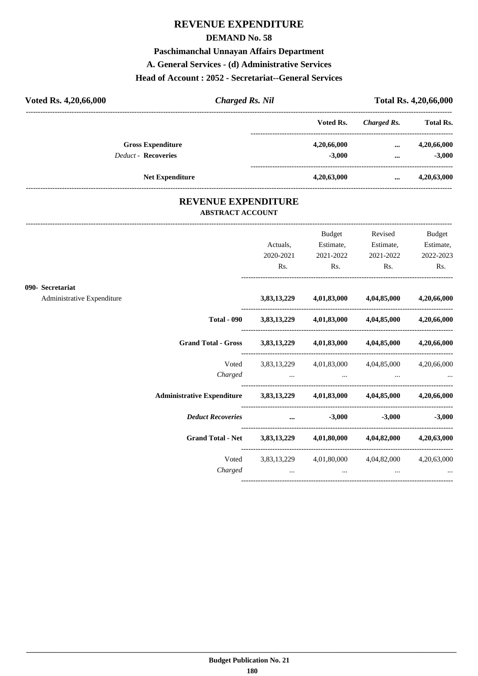## **REVENUE EXPENDITURE**

#### **DEMAND No. 58**

#### **Paschimanchal Unnayan Affairs Department**

#### **A. General Services - (d) Administrative Services**

#### **Head of Account : 2052 - Secretariat--General Services**

| Voted Rs. 4,20,66,000      | <b>Charged Rs. Nil</b> |             |             |                  |
|----------------------------|------------------------|-------------|-------------|------------------|
|                            |                        | Voted Rs.   | Charged Rs. | <b>Total Rs.</b> |
| <b>Gross Expenditure</b>   |                        | 4,20,66,000 | $\cdots$    | 4,20,66,000      |
| <b>Deduct - Recoveries</b> |                        | $-3.000$    | $\cdots$    | $-3,000$         |
|                            | <b>Net Expenditure</b> | 4,20,63,000 | $\cdots$    | 4,20,63,000      |

### **REVENUE EXPENDITURE ABSTRACT ACCOUNT**

---------------------------------------------------------------------------------------------------------------------------------------------------------------------------------

|                                                |                                                                            | Actuals,<br>2020-2021<br>Rs.                                                          | Budget<br>Estimate,<br>2021-2022<br>$\mathbf{Rs.}$ | Revised<br>$\mathbf{Rs.}$ | <b>Budget</b><br>Estimate, Estimate,<br>2021-2022 2022-2023<br>Rs. |
|------------------------------------------------|----------------------------------------------------------------------------|---------------------------------------------------------------------------------------|----------------------------------------------------|---------------------------|--------------------------------------------------------------------|
| 090- Secretariat<br>Administrative Expenditure |                                                                            |                                                                                       | 3,83,13,229 4,01,83,000 4,04,85,000 4,20,66,000    |                           |                                                                    |
|                                                |                                                                            | Total - 090 $3,83,13,229$ $4,01,83,000$ $4,04,85,000$ $4,20,66,000$                   |                                                    |                           |                                                                    |
|                                                | Grand Total - Gross 3,83,13,229 4,01,83,000 4,04,85,000 4,20,66,000        |                                                                                       |                                                    |                           |                                                                    |
|                                                |                                                                            | Voted 3,83,13,229 4,01,83,000 4,04,85,000 4,20,66,000                                 |                                                    |                           |                                                                    |
|                                                | Administrative Expenditure 3,83,13,229 4,01,83,000 4,04,85,000 4,20,66,000 |                                                                                       |                                                    |                           |                                                                    |
|                                                | Deduct Recoveries  3,000                                                   |                                                                                       |                                                    |                           | $-3,000$ $-3,000$                                                  |
|                                                | Grand Total - Net 3,83,13,229 4,01,80,000 4,04,82,000 4,20,63,000          |                                                                                       |                                                    |                           |                                                                    |
|                                                | Charged                                                                    | Voted 3,83,13,229 4,01,80,000 4,04,82,000 4,20,63,000<br>and the contract of the same | $\cdots$                                           | $\cdots$                  |                                                                    |
|                                                |                                                                            |                                                                                       |                                                    |                           |                                                                    |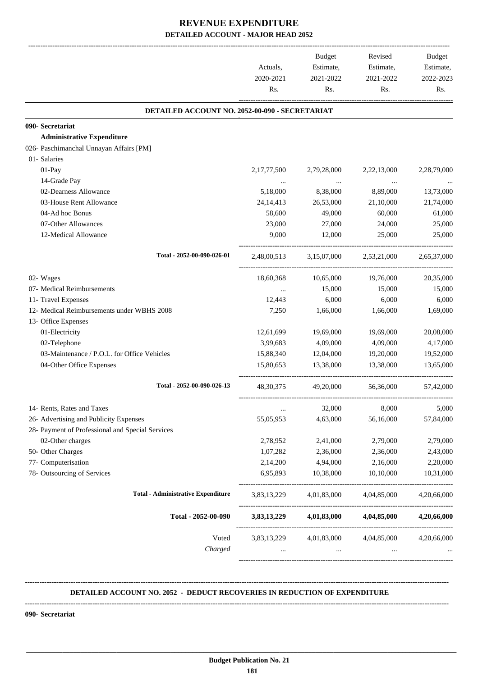|                                                  | Actuals,<br>2020-2021<br>Rs. | <b>Budget</b><br>Estimate,<br>2021-2022<br>Rs. | Revised<br>Estimate,<br>2021-2022<br>Rs. | <b>Budget</b><br>Estimate,<br>2022-2023<br>Rs. |
|--------------------------------------------------|------------------------------|------------------------------------------------|------------------------------------------|------------------------------------------------|
| DETAILED ACCOUNT NO. 2052-00-090 - SECRETARIAT   |                              |                                                |                                          |                                                |
| 090- Secretariat                                 |                              |                                                |                                          |                                                |
| <b>Administrative Expenditure</b>                |                              |                                                |                                          |                                                |
| 026- Paschimanchal Unnayan Affairs [PM]          |                              |                                                |                                          |                                                |
| 01- Salaries                                     |                              |                                                |                                          |                                                |
| 01-Pay                                           | 2, 17, 77, 500               | 2,79,28,000                                    | 2,22,13,000                              | 2,28,79,000                                    |
| 14-Grade Pay                                     |                              | $\cdots$                                       | $\ddots$                                 |                                                |
| 02-Dearness Allowance                            | 5,18,000                     | 8,38,000                                       | 8,89,000                                 | 13,73,000                                      |
| 03-House Rent Allowance                          | 24, 14, 413                  | 26,53,000                                      | 21,10,000                                | 21,74,000                                      |
| 04-Ad hoc Bonus                                  | 58,600                       | 49,000                                         | 60,000                                   | 61,000                                         |
| 07-Other Allowances                              | 23,000                       | 27,000                                         | 24,000                                   | 25,000                                         |
| 12-Medical Allowance                             | 9,000                        | 12,000                                         | 25,000                                   | 25,000                                         |
| Total - 2052-00-090-026-01                       | 2,48,00,513                  | 3,15,07,000                                    | 2,53,21,000                              | 2,65,37,000                                    |
| 02- Wages                                        | 18,60,368                    | 10,65,000                                      | 19,76,000                                | 20,35,000                                      |
| 07- Medical Reimbursements                       | $\cdots$                     | 15,000                                         | 15,000                                   | 15,000                                         |
| 11- Travel Expenses                              | 12,443                       | 6,000                                          | 6,000                                    | 6,000                                          |
| 12- Medical Reimbursements under WBHS 2008       | 7,250                        | 1,66,000                                       | 1,66,000                                 | 1,69,000                                       |
| 13- Office Expenses                              |                              |                                                |                                          |                                                |
| 01-Electricity                                   | 12,61,699                    | 19,69,000                                      | 19,69,000                                | 20,08,000                                      |
| 02-Telephone                                     | 3,99,683                     | 4,09,000                                       | 4,09,000                                 | 4,17,000                                       |
| 03-Maintenance / P.O.L. for Office Vehicles      | 15,88,340                    | 12,04,000                                      | 19,20,000                                | 19,52,000                                      |
| 04-Other Office Expenses                         | 15,80,653                    | 13,38,000                                      | 13,38,000                                | 13,65,000                                      |
| Total - 2052-00-090-026-13                       | 48, 30, 375                  | 49,20,000                                      | 56,36,000                                | 57,42,000                                      |
| 14- Rents, Rates and Taxes                       | $\cdots$                     | 32,000                                         | 8,000                                    | 5,000                                          |
| 26- Advertising and Publicity Expenses           | 55,05,953                    | 4,63,000                                       | 56,16,000                                | 57,84,000                                      |
| 28- Payment of Professional and Special Services |                              |                                                |                                          |                                                |
| 02-Other charges                                 | 2,78,952                     | 2,41,000                                       | 2,79,000                                 | 2,79,000                                       |
| 50- Other Charges                                | 1,07,282                     | 2,36,000                                       | 2,36,000                                 | 2,43,000                                       |
| 77- Computerisation                              | 2,14,200                     | 4,94,000                                       | 2,16,000                                 | 2,20,000                                       |
| 78- Outsourcing of Services                      | 6,95,893                     | 10,38,000                                      | 10,10,000                                | 10,31,000                                      |
| <b>Total - Administrative Expenditure</b>        | 3,83,13,229                  | 4,01,83,000                                    | 4,04,85,000                              | 4,20,66,000                                    |
| Total - 2052-00-090                              |                              | 3,83,13,229 4,01,83,000                        | 4,04,85,000                              | 4,20,66,000                                    |
| Voted<br>Charged                                 | 3,83,13,229<br>$\cdots$      | 4,01,83,000<br>$\cdots$                        | 4,04,85,000<br>$\cdots$                  | 4,20,66,000                                    |

#### **DETAILED ACCOUNT NO. 2052 - DEDUCT RECOVERIES IN REDUCTION OF EXPENDITURE**

**--------------------------------------------------------------------------------------------------------------------------------------------------------------------------------**

 **\_\_\_\_\_\_\_\_\_\_\_\_\_\_\_\_\_\_\_\_\_\_\_\_\_\_\_\_\_\_\_\_\_\_\_\_\_\_\_\_\_\_\_\_\_\_\_\_\_\_\_\_\_\_\_\_\_\_\_\_\_\_\_\_\_\_\_\_\_\_\_\_\_\_\_\_\_\_\_\_\_\_\_\_\_\_\_\_\_\_\_\_\_\_\_\_\_\_\_\_\_\_\_\_\_\_\_\_\_\_\_\_\_\_\_\_\_\_\_**

**--------------------------------------------------------------------------------------------------------------------------------------------------------------------------------**

**090- Secretariat**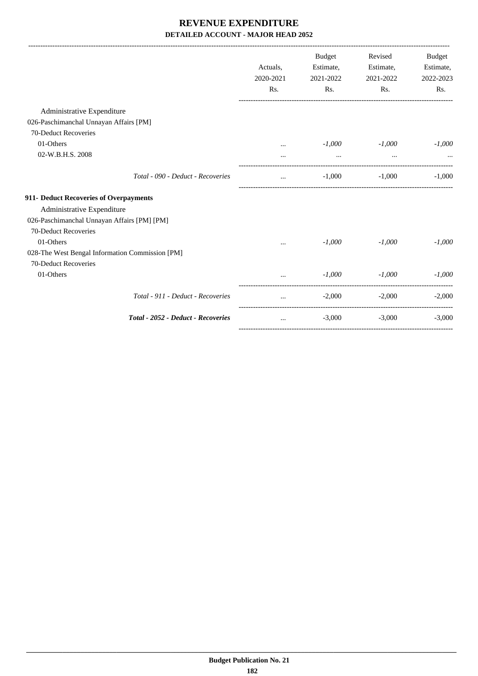|                                                 | Actuals,<br>2020-2021<br>Rs. | <b>Budget</b><br>Estimate,<br>2021-2022<br>Rs. | Revised<br>Estimate,<br>2021-2022<br>Rs. | <b>Budget</b><br>Estimate,<br>2022-2023<br>Rs. |
|-------------------------------------------------|------------------------------|------------------------------------------------|------------------------------------------|------------------------------------------------|
| Administrative Expenditure                      |                              |                                                |                                          |                                                |
| 026-Paschimanchal Unnayan Affairs [PM]          |                              |                                                |                                          |                                                |
| 70-Deduct Recoveries                            |                              |                                                |                                          |                                                |
| 01-Others                                       | $\cdots$                     | $-1,000$                                       | $-1,000$                                 | $-1,000$                                       |
| 02-W.B.H.S. 2008                                |                              | $\cdots$                                       | $\cdots$                                 |                                                |
| Total - 090 - Deduct - Recoveries               | $\cdots$                     | $-1,000$                                       | $-1,000$                                 | $-1,000$                                       |
| 911- Deduct Recoveries of Overpayments          |                              |                                                |                                          |                                                |
| Administrative Expenditure                      |                              |                                                |                                          |                                                |
| 026-Paschimanchal Unnayan Affairs [PM] [PM]     |                              |                                                |                                          |                                                |
| 70-Deduct Recoveries                            |                              |                                                |                                          |                                                |
| 01-Others                                       | $\cdots$                     | $-1,000$                                       | $-1,000$                                 | $-1,000$                                       |
| 028-The West Bengal Information Commission [PM] |                              |                                                |                                          |                                                |
| 70-Deduct Recoveries                            |                              |                                                |                                          |                                                |
| 01-Others                                       |                              | $-1,000$                                       | $-1,000$                                 | $-1,000$                                       |
| Total - 911 - Deduct - Recoveries               | $\cdots$                     | $-2,000$                                       | $-2,000$                                 | $-2,000$                                       |
| Total - 2052 - Deduct - Recoveries              | $\cdots$                     | $-3,000$                                       | $-3,000$                                 | $-3,000$                                       |
|                                                 |                              |                                                |                                          |                                                |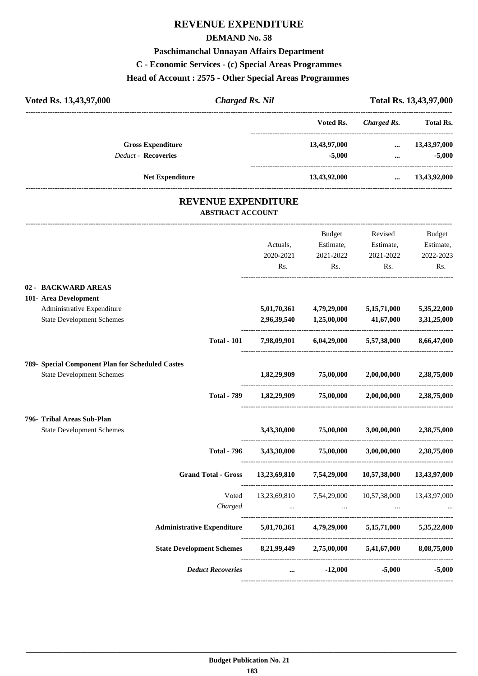# **REVENUE EXPENDITURE**

#### **DEMAND No. 58**

#### **Paschimanchal Unnayan Affairs Department**

## **C - Economic Services - (c) Special Areas Programmes**

#### **Head of Account : 2575 - Other Special Areas Programmes**

| Voted Rs. 13,43,97,000     | <b>Charged Rs. Nil</b> |              |             | Total Rs. 13,43,97,000 |
|----------------------------|------------------------|--------------|-------------|------------------------|
|                            |                        | Voted Rs.    | Charged Rs. | <b>Total Rs.</b>       |
| <b>Gross Expenditure</b>   |                        | 13,43,97,000 | $\cdots$    | 13,43,97,000           |
| <b>Deduct - Recoveries</b> |                        | $-5,000$     | $\cdots$    | $-5,000$               |
| <b>Net Expenditure</b>     |                        | 13,43,92,000 | $\cdots$    | 13,43,92,000           |
|                            |                        |              |             |                        |

### **REVENUE EXPENDITURE ABSTRACT ACCOUNT**

---------------------------------------------------------------------------------------------------------------------------------------------------------------------------------

|                                                                                         | <b>Grand Total - Gross</b> |                              |                                                       | $13,23,69,810$ $7,54,29,000$ $10,57,38,000$ $13,43,97,000$<br>----------------------------------- |                                                |
|-----------------------------------------------------------------------------------------|----------------------------|------------------------------|-------------------------------------------------------|---------------------------------------------------------------------------------------------------|------------------------------------------------|
| 796- Tribal Areas Sub-Plan<br><b>State Development Schemes</b>                          | <b>Total - 796</b>         |                              | 3,43,30,000 75,00,000<br><b>3,43,30,000 75,00,000</b> | 3,00,00,000                                                                                       | 2,38,75,000<br>$3,00,00,000$ $2,38,75,000$     |
| 789- Special Component Plan for Scheduled Castes<br><b>State Development Schemes</b>    | <b>Total - 789</b>         |                              | $1,82,29,909$ $75,00,000$                             | $1,82,29,909$ $75,00,000$ $2,00,00,000$ $2,38,75,000$                                             | 2,00,00,000 2,38,75,000                        |
| 101- Area Development<br>Administrative Expenditure<br><b>State Development Schemes</b> | <b>Total - 101</b>         | 5,01,70,361                  | 2,96,39,540 1,25,00,000 41,67,000                     | 4,79,29,000 5,15,71,000<br>7,98,09,901 6,04,29,000 5,57,38,000                                    | 5,35,22,000<br>3,31,25,000<br>8,66,47,000      |
| 02 - BACKWARD AREAS                                                                     |                            | Actuals,<br>2020-2021<br>Rs. | <b>Budget</b><br>Estimate,<br>2021-2022<br>Rs.        | Revised<br>Estimate,<br>2021-2022<br>Rs.                                                          | <b>Budget</b><br>Estimate,<br>2022-2023<br>Rs. |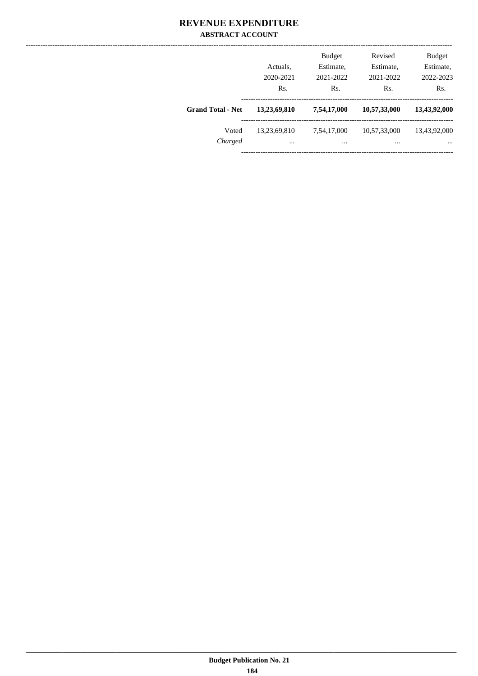### **REVENUE EXPENDITURE ABSTRACT ACCOUNT**

|                          | Actuals,<br>2020-2021<br>Rs. | <b>Budget</b><br>Estimate,<br>2021-2022<br>Rs. | Revised<br>Estimate,<br>2021-2022<br>Rs. | <b>Budget</b><br>Estimate,<br>2022-2023<br>Rs. |
|--------------------------|------------------------------|------------------------------------------------|------------------------------------------|------------------------------------------------|
| <b>Grand Total - Net</b> | 13,23,69,810                 | 7,54,17,000                                    | 10,57,33,000                             | 13,43,92,000                                   |
| Voted<br>Charged         | 13,23,69,810<br>$\cdots$     | 7,54,17,000<br>                                | 10,57,33,000<br>                         | 13,43,92,000<br>$\cdots$                       |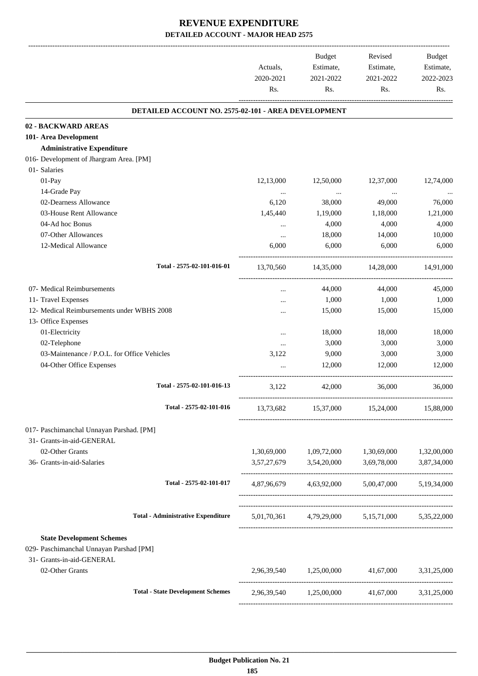|                                                                                                          |                                                     | Actuals,<br>2020-2021<br>Rs. | Budget<br>Estimate,<br>2021-2022<br>Rs. | Revised<br>Estimate,<br>2021-2022<br>Rs.        | Budget<br>Estimate,<br>2022-2023<br>Rs. |
|----------------------------------------------------------------------------------------------------------|-----------------------------------------------------|------------------------------|-----------------------------------------|-------------------------------------------------|-----------------------------------------|
|                                                                                                          | DETAILED ACCOUNT NO. 2575-02-101 - AREA DEVELOPMENT |                              |                                         |                                                 |                                         |
| 02 - BACKWARD AREAS                                                                                      |                                                     |                              |                                         |                                                 |                                         |
| 101- Area Development                                                                                    |                                                     |                              |                                         |                                                 |                                         |
| <b>Administrative Expenditure</b>                                                                        |                                                     |                              |                                         |                                                 |                                         |
| 016- Development of Jhargram Area. [PM]                                                                  |                                                     |                              |                                         |                                                 |                                         |
| 01- Salaries                                                                                             |                                                     |                              |                                         |                                                 |                                         |
| 01-Pay                                                                                                   |                                                     | 12,13,000                    | 12,50,000                               | 12,37,000                                       | 12,74,000                               |
| 14-Grade Pay                                                                                             |                                                     | $\cdots$                     | $\cdots$                                | $\ddotsc$                                       |                                         |
| 02-Dearness Allowance                                                                                    |                                                     | 6,120                        | 38,000                                  | 49,000                                          | 76,000                                  |
| 03-House Rent Allowance                                                                                  |                                                     | 1,45,440                     | 1,19,000                                | 1,18,000                                        | 1,21,000                                |
| 04-Ad hoc Bonus                                                                                          |                                                     | $\cdots$                     | 4,000                                   | 4,000                                           | 4,000                                   |
| 07-Other Allowances                                                                                      |                                                     | $\cdots$                     | 18,000                                  | 14,000                                          | 10,000                                  |
| 12-Medical Allowance                                                                                     |                                                     | 6,000                        | 6,000                                   | 6,000                                           | 6,000                                   |
|                                                                                                          | Total - 2575-02-101-016-01                          | 13.70.560                    | 14,35,000                               | 14,28,000                                       | 14,91,000                               |
| 07- Medical Reimbursements                                                                               |                                                     | $\cdots$                     | 44,000                                  | ----------------------<br>44,000                | 45,000                                  |
| 11- Travel Expenses                                                                                      |                                                     |                              | 1,000                                   | 1,000                                           | 1,000                                   |
| 12- Medical Reimbursements under WBHS 2008                                                               |                                                     |                              | 15,000                                  | 15,000                                          | 15,000                                  |
| 13- Office Expenses                                                                                      |                                                     |                              |                                         |                                                 |                                         |
| 01-Electricity                                                                                           |                                                     | $\cdots$                     | 18,000                                  | 18,000                                          | 18,000                                  |
| 02-Telephone                                                                                             |                                                     | $\cdots$                     | 3,000                                   | 3,000                                           | 3,000                                   |
| 03-Maintenance / P.O.L. for Office Vehicles                                                              |                                                     | 3,122                        | 9,000                                   | 3,000                                           | 3,000                                   |
| 04-Other Office Expenses                                                                                 |                                                     |                              | 12,000                                  | 12,000                                          | 12,000                                  |
|                                                                                                          | Total - 2575-02-101-016-13                          | 3,122                        | 42,000                                  | 36,000                                          | 36,000                                  |
|                                                                                                          | Total - 2575-02-101-016                             |                              |                                         | 13,73,682 15,37,000 15,24,000                   | 15,88,000                               |
| 017- Paschimanchal Unnayan Parshad. [PM]                                                                 |                                                     |                              |                                         |                                                 |                                         |
| 31- Grants-in-aid-GENERAL                                                                                |                                                     |                              |                                         |                                                 |                                         |
| 02-Other Grants                                                                                          |                                                     |                              |                                         | 1,30,69,000 1,09,72,000 1,30,69,000 1,32,00,000 |                                         |
| 36- Grants-in-aid-Salaries                                                                               |                                                     |                              | 3,57,27,679 3,54,20,000 3,69,78,000     |                                                 | 3,87,34,000                             |
|                                                                                                          | Total - 2575-02-101-017                             |                              |                                         | 4,87,96,679 4,63,92,000 5,00,47,000 5,19,34,000 |                                         |
|                                                                                                          | <b>Total - Administrative Expenditure</b>           |                              |                                         | 5,01,70,361 4,79,29,000 5,15,71,000 5,35,22,000 |                                         |
| <b>State Development Schemes</b><br>029- Paschimanchal Unnayan Parshad [PM]<br>31- Grants-in-aid-GENERAL |                                                     |                              |                                         |                                                 |                                         |
| 02-Other Grants                                                                                          |                                                     |                              |                                         | 2,96,39,540 1,25,00,000 41,67,000 3,31,25,000   |                                         |
|                                                                                                          | <b>Total - State Development Schemes</b>            |                              |                                         | 2,96,39,540 1,25,00,000 41,67,000 3,31,25,000   |                                         |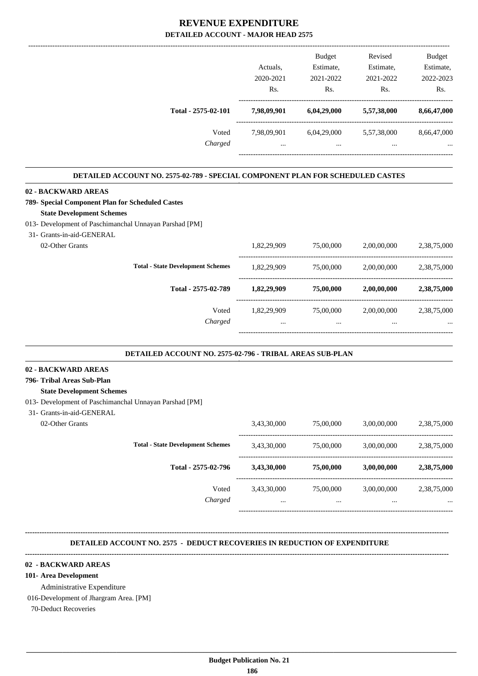|                                                                                       |             | <b>Budget</b> | Revised     | <b>Budget</b> |
|---------------------------------------------------------------------------------------|-------------|---------------|-------------|---------------|
|                                                                                       | Actuals.    | Estimate,     | Estimate,   | Estimate,     |
|                                                                                       | 2020-2021   | 2021-2022     | 2021-2022   | 2022-2023     |
|                                                                                       | Rs.         | Rs.           | Rs.         | Rs.           |
| Total - 2575-02-101                                                                   | 7,98,09,901 | 6,04,29,000   | 5,57,38,000 | 8,66,47,000   |
| Voted                                                                                 | 7,98,09,901 | 6,04,29,000   | 5,57,38,000 | 8,66,47,000   |
| Charged                                                                               | $\cdots$    | $\cdots$      | $\cdots$    |               |
|                                                                                       |             |               |             |               |
| <b>DETAILED ACCOUNT NO. 2575-02-789 - SPECIAL COMPONENT PLAN FOR SCHEDULED CASTES</b> |             |               |             |               |

#### **789- Special Component Plan for Scheduled Castes**

#### **State Development Schemes**

#### 013- Development of Paschimanchal Unnayan Parshad [PM]

#### 31- Grants-in-aid-GENERAL

02-Other Grants

| Charged                                  |             | $\cdots$  |             |             |
|------------------------------------------|-------------|-----------|-------------|-------------|
| Voted                                    | 1,82,29,909 | 75,00,000 | 2,00,00,000 | 2,38,75,000 |
| Total - 2575-02-789                      | 1,82,29,909 | 75,00,000 | 2,00,00,000 | 2,38,75,000 |
| <b>Total - State Development Schemes</b> | 1,82,29,909 | 75,00,000 | 2,00,00,000 | 2,38,75,000 |
|                                          | 1,82,29,909 | 75,00,000 | 2,00,00,000 | 2,38,75,000 |

.

#### **DETAILED ACCOUNT NO. 2575-02-796 - TRIBAL AREAS SUB-PLAN .**

#### **02 - BACKWARD AREAS**

#### **796- Tribal Areas Sub-Plan**

#### **State Development Schemes**

- 013- Development of Paschimanchal Unnayan Parshad [PM]
- 31- Grants-in-aid-GENERAL
	-

| 02-Other Grants |                                          | 3,43,30,000     | 75,00,000             | 3,00,00,000             | 2,38,75,000             |
|-----------------|------------------------------------------|-----------------|-----------------------|-------------------------|-------------------------|
|                 | <b>Total - State Development Schemes</b> | 3,43,30,000     | 75,00,000             | 3,00,00,000             | 2,38,75,000             |
|                 | Total - 2575-02-796                      | 3,43,30,000     | 75,00,000             | 3,00,00,000             | 2,38,75,000             |
|                 | Voted<br>Charged                         | 3,43,30,000<br> | 75,00,000<br>$\cdots$ | 3,00,00,000<br>$\cdots$ | 2,38,75,000<br>$\cdots$ |
|                 |                                          |                 |                       |                         |                         |

#### **DETAILED ACCOUNT NO. 2575 - DEDUCT RECOVERIES IN REDUCTION OF EXPENDITURE**

**--------------------------------------------------------------------------------------------------------------------------------------------------------------------------------**

#### **--------------------------------------------------------------------------------------------------------------------------------------------------------------------------------**

#### **02 - BACKWARD AREAS**

#### **101- Area Development**

Administrative Expenditure

016-Development of Jhargram Area. [PM]

70-Deduct Recoveries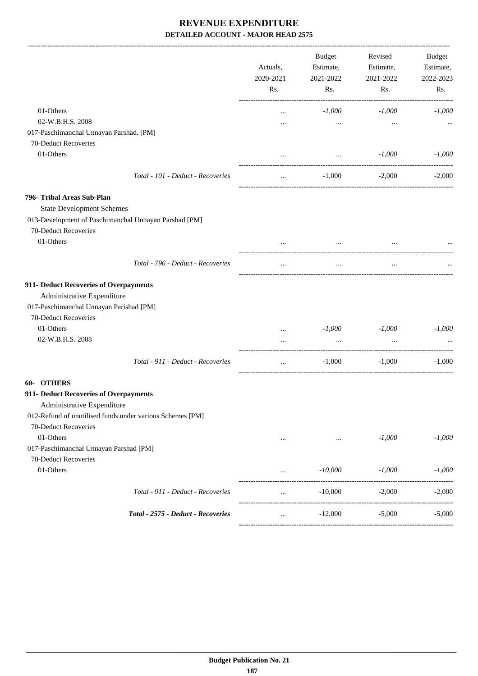|                                                                 |                                                           | Actuals,<br>2020-2021<br>Rs. | <b>Budget</b><br>Estimate,<br>2021-2022<br>Rs.  | Revised<br>Estimate,<br>2021-2022<br>Rs. | <b>Budget</b><br>Estimate,<br>2022-2023<br>Rs. |
|-----------------------------------------------------------------|-----------------------------------------------------------|------------------------------|-------------------------------------------------|------------------------------------------|------------------------------------------------|
|                                                                 |                                                           |                              |                                                 |                                          |                                                |
| 01-Others                                                       |                                                           | $\cdots$                     | $-1,000$                                        | $-1,000$                                 | $-1,000$                                       |
| 02-W.B.H.S. 2008                                                |                                                           |                              | $\cdots$                                        | $\cdots$                                 |                                                |
| 017-Paschimanchal Unnayan Parshad. [PM]<br>70-Deduct Recoveries |                                                           |                              |                                                 |                                          |                                                |
|                                                                 |                                                           |                              |                                                 |                                          |                                                |
| 01-Others                                                       |                                                           | $\cdots$                     | $\cdots$<br>----------------------------------- | $-1,000$                                 | $-1,000$                                       |
|                                                                 | Total - 101 - Deduct - Recoveries                         | $\cdots$                     | $-1,000$                                        | $-2,000$                                 | $-2,000$                                       |
| 796- Tribal Areas Sub-Plan                                      |                                                           |                              |                                                 |                                          |                                                |
| <b>State Development Schemes</b>                                |                                                           |                              |                                                 |                                          |                                                |
|                                                                 | 013-Development of Paschimanchal Unnayan Parshad [PM]     |                              |                                                 |                                          |                                                |
| 70-Deduct Recoveries                                            |                                                           |                              |                                                 |                                          |                                                |
| 01-Others                                                       |                                                           |                              |                                                 |                                          |                                                |
|                                                                 | Total - 796 - Deduct - Recoveries                         | $\cdots$                     | $\cdots$                                        | $\cdots$                                 |                                                |
| 911- Deduct Recoveries of Overpayments                          |                                                           |                              |                                                 |                                          |                                                |
| Administrative Expenditure                                      |                                                           |                              |                                                 |                                          |                                                |
| 017-Paschimanchal Unnayan Parishad [PM]                         |                                                           |                              |                                                 |                                          |                                                |
| 70-Deduct Recoveries                                            |                                                           |                              |                                                 |                                          |                                                |
| 01-Others                                                       |                                                           |                              | $-1,000$                                        | $-1,000$                                 | $-1,000$                                       |
| 02-W.B.H.S. 2008                                                |                                                           | $\cdots$                     | $\ddots$                                        | $\ddots$                                 |                                                |
|                                                                 |                                                           | $\cdots$                     |                                                 |                                          |                                                |
|                                                                 | Total - 911 - Deduct - Recoveries                         | $\cdots$                     | $-1,000$                                        | $-1,000$                                 | $-1,000$                                       |
| 60- OTHERS                                                      |                                                           |                              |                                                 |                                          |                                                |
| 911- Deduct Recoveries of Overpayments                          |                                                           |                              |                                                 |                                          |                                                |
| Administrative Expenditure                                      |                                                           |                              |                                                 |                                          |                                                |
|                                                                 | 012-Refund of unutilised funds under various Schemes [PM] |                              |                                                 |                                          |                                                |
| 70-Deduct Recoveries                                            |                                                           |                              |                                                 |                                          |                                                |
| 01-Others                                                       |                                                           | $\cdots$                     | $\cdots$                                        | $-1,000$                                 | $-1,000$                                       |
| 017-Paschimanchal Unnayan Parshad [PM]                          |                                                           |                              |                                                 |                                          |                                                |
| 70-Deduct Recoveries                                            |                                                           |                              |                                                 |                                          |                                                |
| 01-Others                                                       |                                                           | $\cdots$                     | $-10,000$                                       | $-1,000$                                 | $-1,000$                                       |
|                                                                 | Total - 911 - Deduct - Recoveries                         | $\cdots$                     | -------------------<br>$-10,000$                | $-2,000$                                 | $-2,000$                                       |
|                                                                 | Total - 2575 - Deduct - Recoveries                        | $\cdots$                     | ________________________<br>$-12,000$           | -----------------------<br>$-5,000$      | $-5,000$                                       |
|                                                                 |                                                           |                              |                                                 |                                          |                                                |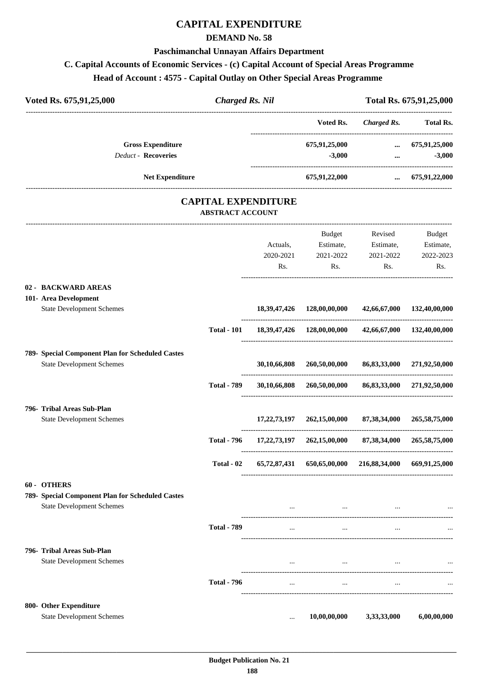# **CAPITAL EXPENDITURE**

### **DEMAND No. 58**

#### **Paschimanchal Unnayan Affairs Department**

## **C. Capital Accounts of Economic Services - (c) Capital Account of Special Areas Programme**

## **Head of Account : 4575 - Capital Outlay on Other Special Areas Programme**

| Voted Rs. 675,91,25,000                          |                            | <b>Charged Rs. Nil</b> |                                                                         | Total Rs. 675,91,25,000 |                            |
|--------------------------------------------------|----------------------------|------------------------|-------------------------------------------------------------------------|-------------------------|----------------------------|
|                                                  |                            |                        | --------------------------------<br>Voted Rs.                           | <b>Charged Rs.</b>      | <b>Total Rs.</b>           |
| <b>Gross Expenditure</b>                         |                            |                        | 675,91,25,000                                                           |                         | $\dots$ 675,91,25,000      |
| <b>Deduct - Recoveries</b>                       |                            |                        | $-3,000$                                                                | $\cdots$                | $-3,000$                   |
| <b>Net Expenditure</b>                           |                            |                        | 675,91,22,000                                                           | $\cdots$                | 675,91,22,000              |
|                                                  | <b>CAPITAL EXPENDITURE</b> |                        |                                                                         |                         |                            |
|                                                  | <b>ABSTRACT ACCOUNT</b>    |                        |                                                                         |                         |                            |
|                                                  |                            |                        | Budget                                                                  | Revised                 | <b>Budget</b>              |
|                                                  |                            | Actuals,               | Estimate,                                                               | Estimate,               | Estimate,                  |
|                                                  |                            | 2020-2021              | 2021-2022                                                               | 2021-2022               | 2022-2023                  |
|                                                  |                            | Rs.                    | Rs.                                                                     | Rs.                     | Rs.                        |
| 02 - BACKWARD AREAS                              |                            |                        |                                                                         |                         |                            |
| 101- Area Development                            |                            |                        |                                                                         |                         |                            |
| <b>State Development Schemes</b>                 |                            |                        | 18, 39, 47, 426   128, 00, 00, 000   42, 66, 67, 000   132, 40, 00, 000 |                         |                            |
|                                                  | <b>Total - 101</b>         |                        |                                                                         |                         | 42,66,67,000 132,40,00,000 |
| 789- Special Component Plan for Scheduled Castes |                            |                        |                                                                         |                         |                            |
| <b>State Development Schemes</b>                 |                            | 30,10,66,808           | 260,50,00,000                                                           | 86,83,33,000            | 271,92,50,000              |
|                                                  |                            |                        |                                                                         |                         |                            |
|                                                  | <b>Total - 789</b>         |                        | 30,10,66,808 260,50,00,000 86,83,33,000 271,92,50,000                   |                         |                            |
| 796- Tribal Areas Sub-Plan                       |                            |                        |                                                                         |                         |                            |
| <b>State Development Schemes</b>                 |                            | 17,22,73,197           | 262,15,00,000                                                           | 87,38,34,000            | 265,58,75,000              |
|                                                  | <b>Total - 796</b>         |                        | 17,22,73,197 262,15,00,000                                              | 87,38,34,000            | 265,58,75,000              |
|                                                  | Total - 02                 |                        | 65,72,87,431 650,65,00,000 216,88,34,000 669,91,25,000                  |                         |                            |
| 60 - OTHERS                                      |                            |                        |                                                                         |                         |                            |
| 789- Special Component Plan for Scheduled Castes |                            |                        |                                                                         |                         |                            |
| <b>State Development Schemes</b>                 |                            |                        |                                                                         |                         |                            |
|                                                  | <b>Total - 789</b>         | $\cdots$               | $\cdots$                                                                | $\ddots$                |                            |
| 796- Tribal Areas Sub-Plan                       |                            |                        |                                                                         |                         |                            |
| <b>State Development Schemes</b>                 |                            | $\cdots$               | $\cdots$                                                                | $\cdots$                |                            |
|                                                  | <b>Total - 796</b>         | $\cdots$               | $\cdots$                                                                |                         |                            |
|                                                  |                            |                        |                                                                         |                         |                            |
| 800- Other Expenditure                           |                            |                        |                                                                         |                         |                            |
| <b>State Development Schemes</b>                 |                            | $\cdots$               | 10,00,00,000                                                            | 3,33,33,000             | 6,00,00,000                |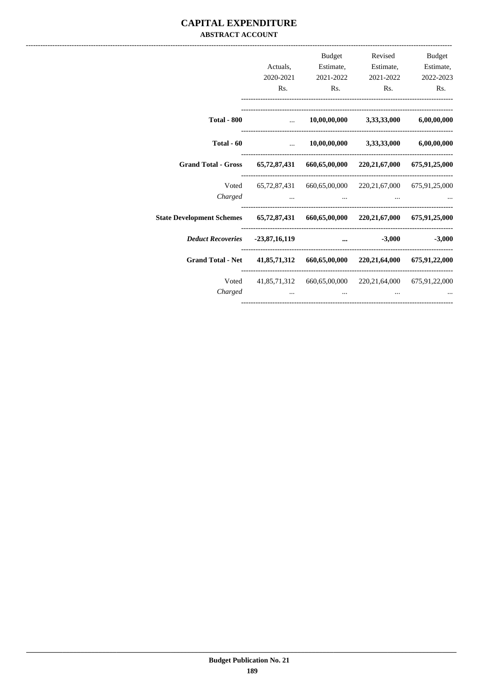### **CAPITAL EXPENDITURE ABSTRACT ACCOUNT**

|                                                                                  | Rs. | <b>Budget</b><br>Actuals, Estimate, Estimate, Estimate,<br>2020-2021 2021-2022 2021-2022 2022-2023<br>Rs. | Revised<br>Rs.             | <b>Budget</b><br>R <sub>s</sub> . |
|----------------------------------------------------------------------------------|-----|-----------------------------------------------------------------------------------------------------------|----------------------------|-----------------------------------|
| <b>Total - 800</b>                                                               |     | $10,00,00,000$ $3,33,33,000$ $6,00,00,000$                                                                |                            |                                   |
| Total $-60$                                                                      |     | $\dots$ 10,00,00,000 3,33,33,000 6,00,00,000                                                              |                            |                                   |
| Grand Total - Gross 65,72,87,431 660,65,00,000 220,21,67,000 675,91,25,000       |     |                                                                                                           |                            |                                   |
| Charged                                                                          |     | Voted 65,72,87,431 660,65,00,000 220,21,67,000 675,91,25,000                                              |                            |                                   |
| State Development Schemes 65,72,87,431 660,65,00,000 220,21,67,000 675,91,25,000 |     |                                                                                                           |                            |                                   |
| Deduct Recoveries -23,87,16,119                                                  |     |                                                                                                           | $\ldots$ $-3,000$ $-3,000$ |                                   |
| Grand Total - Net 41,85,71,312 660,65,00,000 220,21,64,000 675,91,22,000         |     |                                                                                                           |                            |                                   |
| Charged                                                                          |     | Voted 41,85,71,312 660,65,00,000 220,21,64,000 675,91,22,000                                              |                            |                                   |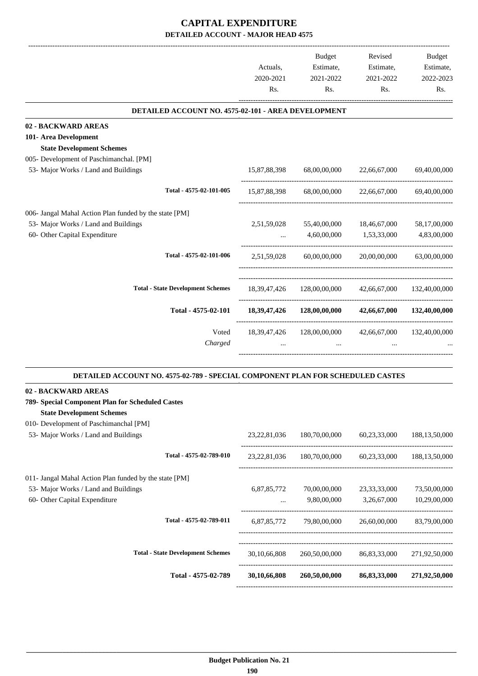|                                                                                | Actuals.<br>2020-2021<br>Rs. | <b>Budget</b><br>Estimate,<br>2021-2022<br>Rs. | Revised<br>Estimate,<br>2021-2022<br>Rs. | <b>Budget</b><br>Estimate,<br>2022-2023<br>Rs. |
|--------------------------------------------------------------------------------|------------------------------|------------------------------------------------|------------------------------------------|------------------------------------------------|
| DETAILED ACCOUNT NO. 4575-02-101 - AREA DEVELOPMENT                            |                              |                                                |                                          |                                                |
| 02 - BACKWARD AREAS                                                            |                              |                                                |                                          |                                                |
| 101- Area Development                                                          |                              |                                                |                                          |                                                |
| <b>State Development Schemes</b>                                               |                              |                                                |                                          |                                                |
| 005- Development of Paschimanchal. [PM]                                        |                              |                                                |                                          |                                                |
| 53- Major Works / Land and Buildings                                           | 15,87,88,398                 | 68,00,00,000                                   | 22,66,67,000                             | 69,40,00,000                                   |
| Total - 4575-02-101-005                                                        | 15,87,88,398                 | 68,00,00,000                                   | 22,66,67,000                             | 69,40,00,000                                   |
| 006- Jangal Mahal Action Plan funded by the state [PM]                         |                              |                                                |                                          |                                                |
| 53- Major Works / Land and Buildings                                           | 2,51,59,028                  | 55,40,00,000                                   | 18,46,67,000                             | 58,17,00,000                                   |
| 60- Other Capital Expenditure                                                  |                              | 4,60,00,000                                    | 1,53,33,000                              | 4,83,00,000                                    |
| Total - 4575-02-101-006                                                        | 2,51,59,028                  | 60,00,00,000                                   | 20,00,00,000                             | 63,00,00,000                                   |
| <b>Total - State Development Schemes</b>                                       | 18, 39, 47, 426              | 128,00,00,000                                  | 42,66,67,000                             | 132,40,00,000                                  |
| Total - 4575-02-101                                                            | 18, 39, 47, 426              | 128,00,00,000                                  | 42,66,67,000                             | 132,40,00,000                                  |
| Voted<br>Charged                                                               | 18,39,47,426                 | 128,00,00,000                                  | 42,66,67,000                             | 132,40,00,000                                  |
| DETAILED ACCOUNT NO. 4575-02-789 - SPECIAL COMPONENT PLAN FOR SCHEDULED CASTES |                              |                                                |                                          |                                                |
| 02 - BACKWARD AREAS                                                            |                              |                                                |                                          |                                                |
| 789- Special Component Plan for Scheduled Castes                               |                              |                                                |                                          |                                                |
| <b>State Development Schemes</b>                                               |                              |                                                |                                          |                                                |
| 010- Development of Paschimanchal [PM]                                         |                              |                                                |                                          |                                                |
| 53- Major Works / Land and Buildings                                           | 23, 22, 81, 036              | 180,70,00,000                                  | 60,23,33,000                             | 188, 13, 50, 000                               |

| Total - 4575-02-789                                                                            | 30,10,66,808    | 260,50,00,000 | 86,83,33,000    | 271,92,50,000    |
|------------------------------------------------------------------------------------------------|-----------------|---------------|-----------------|------------------|
| <b>Total - State Development Schemes</b>                                                       | 30.10.66.808    | 260,50,00,000 | 86.83.33.000    | 271,92,50,000    |
| Total - 4575-02-789-011                                                                        | 6,87,85,772     | 79,80,00,000  | 26,60,00,000    | 83,79,00,000     |
| 60- Other Capital Expenditure                                                                  | $\cdots$        | 9,80,00,000   | 3,26,67,000     | 10.29.00.000     |
| 011- Jangal Mahal Action Plan funded by the state [PM]<br>53- Major Works / Land and Buildings | 6,87,85,772     | 70,00,00,000  | 23, 33, 33, 000 | 73,50,00,000     |
| Total - 4575-02-789-010                                                                        | 23, 22, 81, 036 | 180,70,00,000 | 60.23.33.000    | 188, 13, 50, 000 |
|                                                                                                |                 |               |                 |                  |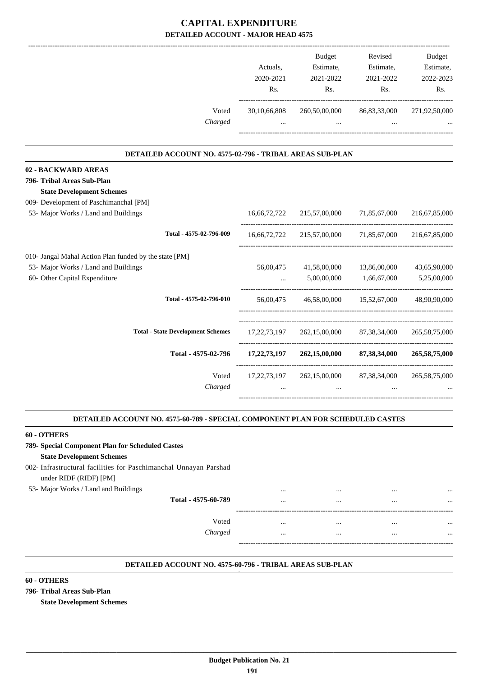|                                                          |                  | <b>Budget</b>              | Revised          | <b>Budget</b>    |
|----------------------------------------------------------|------------------|----------------------------|------------------|------------------|
|                                                          | Actuals.         | Estimate,                  | Estimate,        | Estimate,        |
|                                                          | 2020-2021        | 2021-2022                  | 2021-2022        | 2022-2023        |
|                                                          | R <sub>s</sub> . | Rs.                        | R <sub>s</sub> . | Rs.              |
| Voted                                                    | 30,10,66,808     | 260,50,00,000              | 86, 83, 33, 000  | 271,92,50,000    |
| Charged                                                  | $\cdots$         | $\cdots$                   |                  |                  |
| DETAILED ACCOUNT NO. 4575-02-796 - TRIBAL AREAS SUB-PLAN |                  |                            |                  |                  |
| 02 - BACKWARD AREAS                                      |                  |                            |                  |                  |
| 796- Tribal Areas Sub-Plan                               |                  |                            |                  |                  |
| <b>State Development Schemes</b>                         |                  |                            |                  |                  |
| 009- Development of Paschimanchal [PM]                   |                  |                            |                  |                  |
| 53- Major Works / Land and Buildings                     | 16.66.72.722     | 215,57,00,000              | 71,85,67,000     | 216,67,85,000    |
| Total - 4575-02-796-009                                  |                  | 16,66,72,722 215,57,00,000 | 71,85,67,000     | 216,67,85,000    |
| 010- Jangal Mahal Action Plan funded by the state [PM]   |                  |                            |                  |                  |
| 53- Major Works / Land and Buildings                     | 56,00,475        | 41,58,00,000               | 13,86,00,000     | 43,65,90,000     |
| 60- Other Capital Expenditure                            |                  | 5,00,00,000                | 1,66,67,000      | 5,25,00,000      |
| Total - 4575-02-796-010                                  | 56,00,475        | 46,58,00,000               | 15,52,67,000     | 48,90,90,000     |
| <b>Total - State Development Schemes</b>                 | 17, 22, 73, 197  | 262,15,00,000              | 87, 38, 34, 000  | 265, 58, 75, 000 |
| Total - 4575-02-796                                      | 17, 22, 73, 197  | 262,15,00,000              | 87,38,34,000     | 265,58,75,000    |
| Voted                                                    | 17, 22, 73, 197  | 262,15,00,000              | 87, 38, 34, 000  | 265, 58, 75, 000 |
| Charged                                                  | $\cdots$         | $\cdots$                   |                  |                  |
|                                                          |                  |                            |                  |                  |

#### **DETAILED ACCOUNT NO. 4575-60-789 - SPECIAL COMPONENT PLAN FOR SCHEDULED CASTES .**

#### **60 - OTHERS**

# **789- Special Component Plan for Scheduled Castes**

### **State Development Schemes**

### 002- Infrastructural facilities for Paschimanchal Unnayan Parshad under RIDF (RIDF) [PM]

#### 53- Major Works / Land and Buildings ... ... ... ...

| Total - 4575-60-789 | $\cdots$ | $\cdots$ | $\cdots$ |  |
|---------------------|----------|----------|----------|--|
| Voted               | $\cdots$ | $\cdots$ | $\cdots$ |  |
| Charged             |          |          | $\cdots$ |  |
|                     |          |          |          |  |

.

#### **DETAILED ACCOUNT NO. 4575-60-796 - TRIBAL AREAS SUB-PLAN .**

#### **60 - OTHERS**

#### **796- Tribal Areas Sub-Plan**

**State Development Schemes**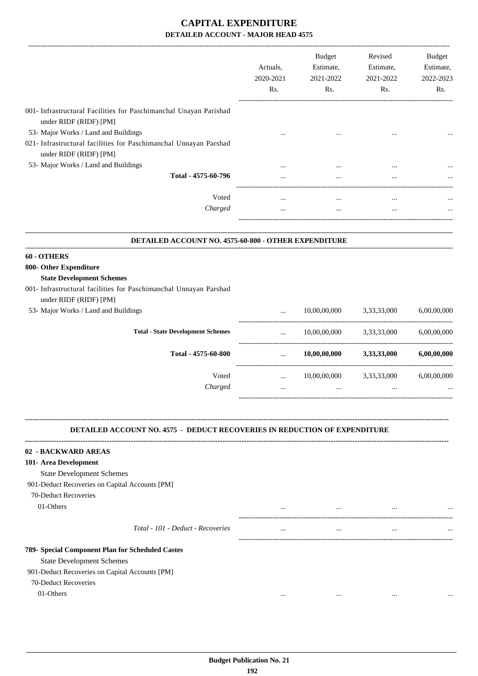|                                                                                             | Actuals,<br>2020-2021<br>Rs. | <b>Budget</b><br>Estimate,<br>2021-2022<br>Rs. | Revised<br>Estimate,<br>2021-2022<br>Rs. | Budget<br>Estimate,<br>2022-2023<br>Rs. |
|---------------------------------------------------------------------------------------------|------------------------------|------------------------------------------------|------------------------------------------|-----------------------------------------|
| 001- Infrastructural Facilities for Paschimanchal Unayan Parishad<br>under RIDF (RIDF) [PM] |                              |                                                |                                          |                                         |
| 53- Major Works / Land and Buildings                                                        |                              |                                                |                                          |                                         |
| 021- Infrastructural facilities for Paschimanchal Unnayan Parshad<br>under RIDF (RIDF) [PM] |                              |                                                |                                          |                                         |
| 53- Major Works / Land and Buildings                                                        |                              |                                                |                                          |                                         |
| Total - 4575-60-796                                                                         |                              | $\cdots$                                       | $\cdots$                                 |                                         |
| Voted                                                                                       | $\cdots$                     | $\cdots$                                       | $\ddotsc$                                |                                         |
| Charged                                                                                     | $\cdots$                     | $\cdots$                                       | $\cdots$                                 |                                         |
|                                                                                             |                              |                                                |                                          |                                         |
| DETAILED ACCOUNT NO. 4575-60-800 - OTHER EXPENDITURE                                        |                              |                                                |                                          |                                         |
| 60 - OTHERS                                                                                 |                              |                                                |                                          |                                         |
| 800- Other Expenditure                                                                      |                              |                                                |                                          |                                         |
| <b>State Development Schemes</b>                                                            |                              |                                                |                                          |                                         |
| 001- Infrastructural facilities for Paschimanchal Unnayan Parshad                           |                              |                                                |                                          |                                         |
| under RIDF (RIDF) [PM]                                                                      |                              |                                                |                                          |                                         |
| 53- Major Works / Land and Buildings                                                        |                              | 10,00,00,000                                   | 3,33,33,000                              | 6,00,00,000                             |
| <b>Total - State Development Schemes</b>                                                    | $\cdots$                     | 10,00,00,000                                   | 3,33,33,000                              | 6,00,00,000                             |
| Total - 4575-60-800                                                                         | $\cdots$                     | 10,00,00,000                                   | 3,33,33,000                              | 6,00,00,000                             |
| Voted                                                                                       | $\cdots$                     | 10,00,00,000 3,33,33,000                       |                                          | 6,00,00,000                             |
| Charged                                                                                     | $\cdots$                     | $\ddots$                                       | $\cdots$                                 |                                         |
| <b>DETAILED ACCOUNT NO. 4575 - DEDUCT RECOVERIES IN REDUCTION OF EXPENDITURE</b>            |                              |                                                |                                          |                                         |
| 02 - BACKWARD AREAS                                                                         |                              |                                                |                                          |                                         |
| 101- Area Development                                                                       |                              |                                                |                                          |                                         |
| <b>State Development Schemes</b>                                                            |                              |                                                |                                          |                                         |
| 901-Deduct Recoveries on Capital Accounts [PM]                                              |                              |                                                |                                          |                                         |
| 70-Deduct Recoveries                                                                        |                              |                                                |                                          |                                         |
| 01-Others                                                                                   |                              | $\cdots$                                       | $\ddots$                                 |                                         |
| Total - 101 - Deduct - Recoveries                                                           | $\cdots$                     | $\cdots$                                       | $\cdots$                                 |                                         |
| 789- Special Component Plan for Scheduled Castes                                            |                              |                                                |                                          |                                         |
| <b>State Development Schemes</b>                                                            |                              |                                                |                                          |                                         |
| 901-Deduct Recoveries on Capital Accounts [PM]                                              |                              |                                                |                                          |                                         |
| 70-Deduct Recoveries                                                                        |                              |                                                |                                          |                                         |
| 01-Others                                                                                   | $\cdots$                     | $\cdots$                                       | $\ddotsc$                                |                                         |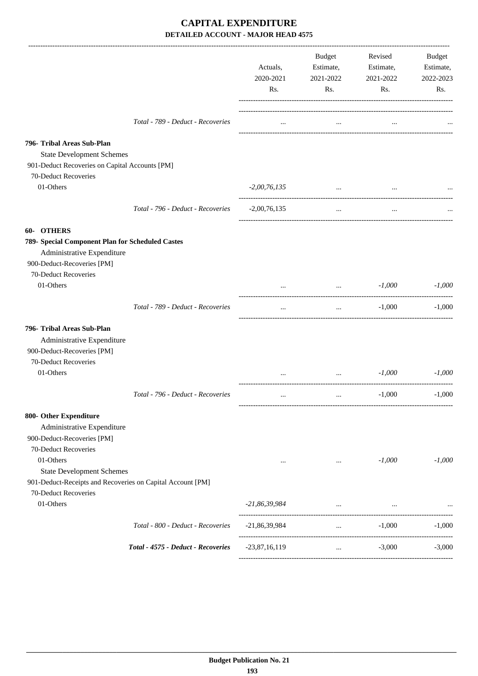|                                                                                                                                                                                                 |                                    | Actuals,<br>2020-2021<br>Rs. | Budget<br>Estimate,<br>2021-2022<br>Rs.             | Revised<br>Estimate,<br>2021-2022<br>Rs.                       | Budget<br>Estimate,<br>2022-2023<br>Rs. |
|-------------------------------------------------------------------------------------------------------------------------------------------------------------------------------------------------|------------------------------------|------------------------------|-----------------------------------------------------|----------------------------------------------------------------|-----------------------------------------|
|                                                                                                                                                                                                 | Total - 789 - Deduct - Recoveries  | $\cdots$                     | $\cdots$                                            | $\cdots$                                                       |                                         |
| 796- Tribal Areas Sub-Plan<br><b>State Development Schemes</b><br>901-Deduct Recoveries on Capital Accounts [PM]<br>70-Deduct Recoveries                                                        |                                    |                              |                                                     |                                                                |                                         |
| 01-Others                                                                                                                                                                                       |                                    | $-2,00,76,135$               | $\cdots$                                            | $\cdots$                                                       |                                         |
|                                                                                                                                                                                                 | Total - 796 - Deduct - Recoveries  | $-2,00,76,135$               | $\cdots$                                            | $\cdots$                                                       |                                         |
| <b>OTHERS</b><br>$60-$<br>789- Special Component Plan for Scheduled Castes<br>Administrative Expenditure<br>900-Deduct-Recoveries [PM]                                                          |                                    |                              |                                                     |                                                                |                                         |
| 70-Deduct Recoveries<br>01-Others                                                                                                                                                               |                                    |                              |                                                     | $-1,000$<br>$\mathbf{r}$ and $\mathbf{r}$ are all $\mathbf{r}$ | $-1,000$                                |
|                                                                                                                                                                                                 | Total - 789 - Deduct - Recoveries  | $\cdots$                     | $\cdots$                                            | $-1,000$                                                       | $-1.000$                                |
| 796- Tribal Areas Sub-Plan<br>Administrative Expenditure<br>900-Deduct-Recoveries [PM]<br>70-Deduct Recoveries                                                                                  |                                    |                              |                                                     |                                                                |                                         |
| 01-Others                                                                                                                                                                                       |                                    |                              | $\cdots$                                            | $-1,000$                                                       | $-1.000$                                |
| 800- Other Expenditure                                                                                                                                                                          | Total - 796 - Deduct - Recoveries  | $\cdots$                     | $\cdots$                                            | $-1,000$                                                       | $-1,000$                                |
| Administrative Expenditure<br>900-Deduct-Recoveries [PM]<br>70-Deduct Recoveries<br>01-Others<br><b>State Development Schemes</b><br>901-Deduct-Receipts and Recoveries on Capital Account [PM] |                                    | $\cdots$                     | $\cdots$                                            | $-1,000$                                                       | $-1,000$                                |
| 70-Deduct Recoveries<br>01-Others                                                                                                                                                               |                                    | $-21,86,39,984$              | the contract of the contract of the contract of the | $\cdots$                                                       |                                         |
|                                                                                                                                                                                                 | Total - 800 - Deduct - Recoveries  | $-21,86,39,984$              | <b>Second Contract Contract</b>                     | $-1,000$                                                       | $-1,000$                                |
|                                                                                                                                                                                                 | Total - 4575 - Deduct - Recoveries | $-23,87,16,119$              | $\cdots$                                            | $-3,000$                                                       | $-3,000$                                |
|                                                                                                                                                                                                 |                                    |                              |                                                     |                                                                |                                         |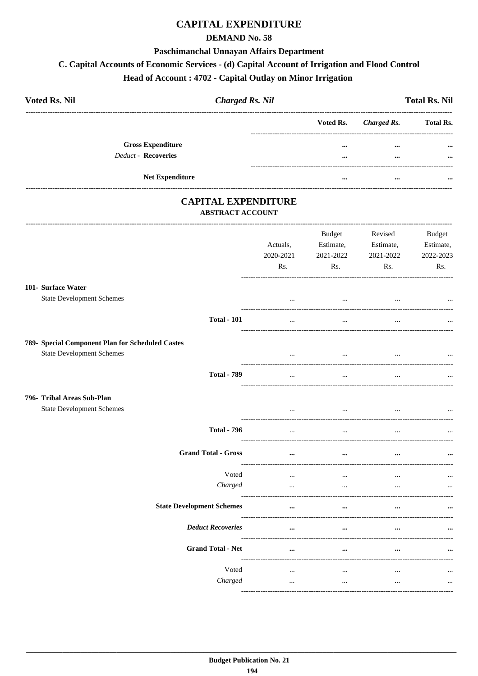## **CAPITAL EXPENDITURE**

### **DEMAND No. 58**

#### Paschimanchal Unnayan Affairs Department

## C. Capital Accounts of Economic Services - (d) Capital Account of Irrigation and Flood Control

## Head of Account: 4702 - Capital Outlay on Minor Irrigation

| <b>Voted Rs. Nil</b>       | <b>Charged Rs. Nil</b> |                         | <b>Total Rs. Nil</b> |                  |  |
|----------------------------|------------------------|-------------------------|----------------------|------------------|--|
|                            |                        | Voted Rs.               | Charged Rs.          | <b>Total Rs.</b> |  |
| <b>Gross Expenditure</b>   |                        | $\bullet\bullet\bullet$ | $\cdots$             | $\cdots$         |  |
| <b>Deduct - Recoveries</b> |                        |                         | $\cdots$             | $\cdots$         |  |
| <b>Net Expenditure</b>     |                        |                         | $\cdots$             | $\cdots$         |  |

### **CAPITAL EXPENDITURE** ABSTRACT ACCOUNT

| Actuals,<br>2020-2021<br>Rs. | Budget<br>Estimate,<br>2021-2022<br>Rs. | Revised<br>Estimate,<br>2021-2022<br>Rs. | <b>Budget</b><br>Estimate,<br>2022-2023<br>Rs. |
|------------------------------|-----------------------------------------|------------------------------------------|------------------------------------------------|
| $\ddotsc$                    | $\cdots$                                |                                          |                                                |
| $\dddotsc$                   | $\cdots$                                | $\ddotsc$                                |                                                |
| $\cdots$                     | $\cdots$                                | $\cdots$                                 | $\cdots$                                       |
| $\cdots$                     | $\cdots$                                |                                          |                                                |
| $\cdots$                     | $\cdots$                                | $\ddotsc$                                |                                                |
| $\cdots$                     | $\ddots$                                | $\cdots$                                 |                                                |
| $\cdots$                     | $\cdots$                                | $\ddotsc$                                |                                                |
| $\cdots$<br>$\cdots$         | $\cdots$<br>$\cdots$                    | $\cdots$<br>$\ddotsc$                    |                                                |
| $\cdots$                     | $\ddotsc$                               |                                          |                                                |
|                              |                                         |                                          |                                                |
| $\cdots$                     |                                         |                                          |                                                |
| $\ldots$<br>$\cdots$         | $\cdots$<br>$\ddots$                    | $\cdots$<br>$\cdots$                     | $\cdots$                                       |
|                              |                                         |                                          |                                                |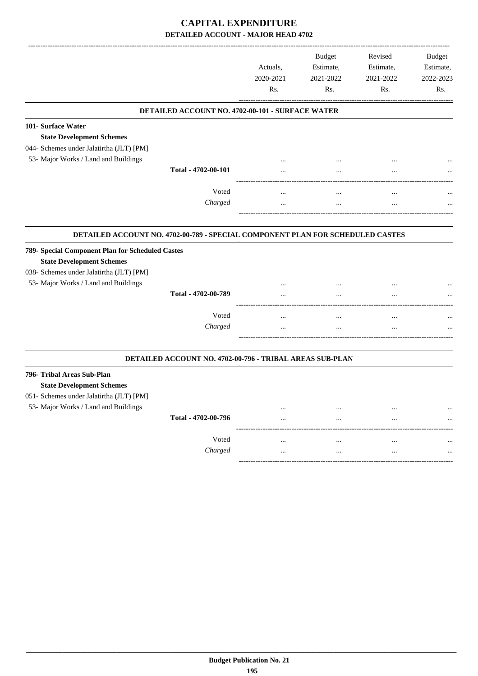|                                                                                                                                  |                                                          | Actuals,<br>2020-2021<br>Rs. | <b>Budget</b><br>Estimate,<br>2021-2022<br>Rs. | Revised<br>Estimate,<br>2021-2022<br>Rs. | <b>Budget</b><br>Estimate,<br>2022-2023<br>Rs. |
|----------------------------------------------------------------------------------------------------------------------------------|----------------------------------------------------------|------------------------------|------------------------------------------------|------------------------------------------|------------------------------------------------|
|                                                                                                                                  | DETAILED ACCOUNT NO. 4702-00-101 - SURFACE WATER         |                              |                                                |                                          |                                                |
| 101- Surface Water<br><b>State Development Schemes</b><br>044- Schemes under Jalatirtha (JLT) [PM]                               |                                                          |                              |                                                |                                          |                                                |
| 53- Major Works / Land and Buildings                                                                                             | Total - 4702-00-101                                      |                              |                                                | <br>                                     |                                                |
|                                                                                                                                  | Voted<br>Charged                                         | $\ddotsc$<br>$\cdots$        | $\ddotsc$<br>                                  | $\ddotsc$<br>$\ddotsc$                   |                                                |
| DETAILED ACCOUNT NO. 4702-00-789 - SPECIAL COMPONENT PLAN FOR SCHEDULED CASTES                                                   |                                                          |                              |                                                |                                          |                                                |
| 789- Special Component Plan for Scheduled Castes<br><b>State Development Schemes</b><br>038- Schemes under Jalatirtha (JLT) [PM] |                                                          |                              |                                                |                                          |                                                |
| 53- Major Works / Land and Buildings                                                                                             | Total - 4702-00-789                                      | $\ddotsc$                    | $\ddotsc$                                      | $\ddotsc$                                |                                                |
|                                                                                                                                  | Voted<br>Charged                                         | .                            | .<br>                                          | <br>                                     |                                                |
|                                                                                                                                  | DETAILED ACCOUNT NO. 4702-00-796 - TRIBAL AREAS SUB-PLAN |                              |                                                |                                          |                                                |
| 796- Tribal Areas Sub-Plan<br><b>State Development Schemes</b><br>051- Schemes under Jalatirtha (JLT) [PM]                       |                                                          |                              |                                                |                                          |                                                |
| 53- Major Works / Land and Buildings                                                                                             | Total - 4702-00-796                                      | $\cdots$                     | $\ddotsc$                                      | <br>$\ddotsc$                            |                                                |
|                                                                                                                                  | Voted<br>Charged                                         | $\cdots$<br>$\cdots$         | $\ddotsc$<br>$\cdots$                          | $\ddotsc$<br>$\cdots$                    |                                                |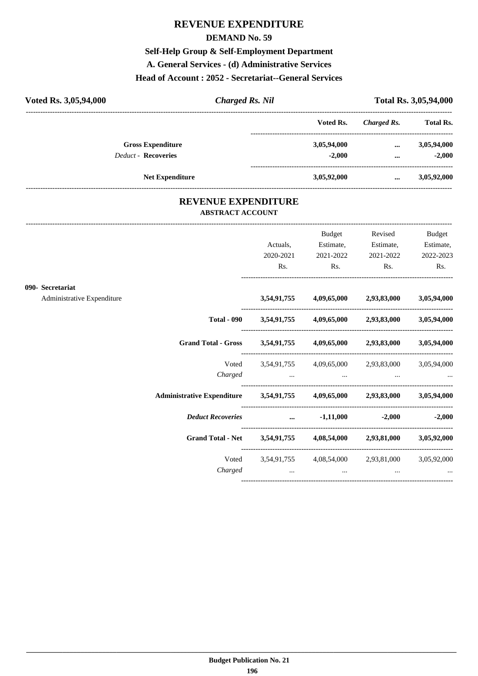## **REVENUE EXPENDITURE**

#### **DEMAND No. 59**

**Self-Help Group & Self-Employment Department**

**A. General Services - (d) Administrative Services**

### **Head of Account : 2052 - Secretariat--General Services**

| Voted Rs. 3,05,94,000      | <b>Charged Rs. Nil</b> |             | Total Rs. 3,05,94,000 |                  |  |
|----------------------------|------------------------|-------------|-----------------------|------------------|--|
|                            |                        | Voted Rs.   | Charged Rs.           | <b>Total Rs.</b> |  |
| <b>Gross Expenditure</b>   |                        | 3,05,94,000 | $\cdots$              | 3,05,94,000      |  |
| <b>Deduct - Recoveries</b> |                        | $-2.000$    | $\cdots$              | $-2.000$         |  |
| <b>Net Expenditure</b>     |                        | 3,05,92,000 | $\cdots$              | 3,05,92,000      |  |

### **REVENUE EXPENDITURE ABSTRACT ACCOUNT**

---------------------------------------------------------------------------------------------------------------------------------------------------------------------------------

|                            |                                                                            | Actuals,  | Budget<br>Estimate,                                         | Revised<br>Estimate, | <b>Budget</b><br>Estimate, |
|----------------------------|----------------------------------------------------------------------------|-----------|-------------------------------------------------------------|----------------------|----------------------------|
|                            |                                                                            | 2020-2021 | 2021-2022                                                   | 2021-2022            | 2022-2023                  |
|                            |                                                                            | Rs.       | Rs.                                                         | $\mathbf{Rs.}$       | Rs.                        |
| 090- Secretariat           |                                                                            |           |                                                             |                      |                            |
| Administrative Expenditure |                                                                            |           | 3,54,91,755 4,09,65,000 2,93,83,000 3,05,94,000             |                      |                            |
|                            |                                                                            |           | Total - 090 3,54,91,755 4,09,65,000 2,93,83,000 3,05,94,000 |                      |                            |
|                            | Grand Total - Gross 3,54,91,755 4,09,65,000 2,93,83,000 3,05,94,000        |           |                                                             |                      |                            |
|                            |                                                                            |           | Voted 3,54,91,755 4,09,65,000 2,93,83,000 3,05,94,000       |                      |                            |
|                            |                                                                            |           | Charged                                                     |                      |                            |
|                            | Administrative Expenditure 3,54,91,755 4,09,65,000 2,93,83,000 3,05,94,000 |           |                                                             |                      |                            |
|                            | <i>Deduct Recoveries</i> 41,11,000 -2,000 -2,000                           |           |                                                             |                      |                            |
|                            | Grand Total - Net 3,54,91,755 4,08,54,000 2,93,81,000 3,05,92,000          |           |                                                             |                      |                            |
|                            |                                                                            |           | Voted 3,54,91,755 4,08,54,000 2,93,81,000 3,05,92,000       |                      |                            |
|                            | Charged                                                                    | $\cdots$  | $\cdots$                                                    | $\cdots$             |                            |
|                            |                                                                            |           |                                                             |                      |                            |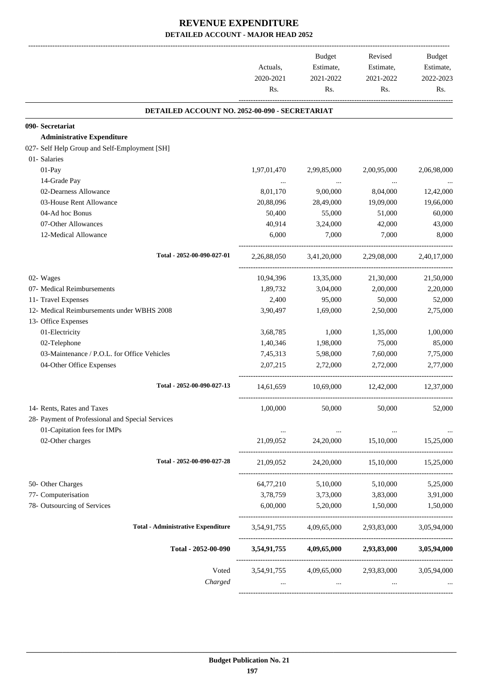|                                                  |             | Budget                  | Revised                 | Budget      |
|--------------------------------------------------|-------------|-------------------------|-------------------------|-------------|
|                                                  | Actuals,    | Estimate,               | Estimate,               | Estimate,   |
|                                                  | 2020-2021   | 2021-2022               | 2021-2022               | 2022-2023   |
|                                                  | Rs.         | Rs.                     | Rs.                     | Rs.         |
| DETAILED ACCOUNT NO. 2052-00-090 - SECRETARIAT   |             |                         |                         |             |
| 090- Secretariat                                 |             |                         |                         |             |
| <b>Administrative Expenditure</b>                |             |                         |                         |             |
| 027- Self Help Group and Self-Employment [SH]    |             |                         |                         |             |
| 01- Salaries                                     |             |                         |                         |             |
| 01-Pay                                           | 1,97,01,470 | 2,99,85,000             | 2,00,95,000             | 2,06,98,000 |
| 14-Grade Pay                                     |             | $\sim$ $\sim$           | $\ddots$                |             |
| 02-Dearness Allowance                            | 8,01,170    | 9,00,000                | 8,04,000                | 12,42,000   |
| 03-House Rent Allowance                          | 20,88,096   | 28,49,000               | 19,09,000               | 19,66,000   |
| 04-Ad hoc Bonus                                  | 50,400      | 55,000                  | 51,000                  | 60,000      |
| 07-Other Allowances                              | 40,914      | 3,24,000                | 42,000                  | 43,000      |
| 12-Medical Allowance                             | 6,000       | 7,000                   | 7,000                   | 8,000       |
| Total - 2052-00-090-027-01                       | 2,26,88,050 | 3,41,20,000             | 2,29,08,000             | 2,40,17,000 |
| 02- Wages                                        | 10,94,396   | 13,35,000               | 21,30,000               | 21,50,000   |
| 07- Medical Reimbursements                       | 1,89,732    | 3,04,000                | 2,00,000                | 2,20,000    |
| 11- Travel Expenses                              | 2,400       | 95,000                  | 50,000                  | 52,000      |
| 12- Medical Reimbursements under WBHS 2008       | 3,90,497    | 1,69,000                | 2,50,000                | 2,75,000    |
| 13- Office Expenses                              |             |                         |                         |             |
| 01-Electricity                                   | 3,68,785    | 1,000                   | 1,35,000                | 1,00,000    |
| 02-Telephone                                     | 1,40,346    | 1,98,000                | 75,000                  | 85,000      |
| 03-Maintenance / P.O.L. for Office Vehicles      | 7,45,313    | 5,98,000                | 7,60,000                | 7,75,000    |
| 04-Other Office Expenses                         | 2.07.215    | 2,72,000                | 2,72,000                | 2.77,000    |
| Total - 2052-00-090-027-13                       | 14,61,659   | 10,69,000               | 12,42,000               | 12,37,000   |
| 14- Rents, Rates and Taxes                       | 1,00,000    | 50,000                  | 50,000                  | 52,000      |
| 28- Payment of Professional and Special Services |             |                         |                         |             |
| 01-Capitation fees for IMPs                      | $\cdots$    | $\ldots$                |                         |             |
| 02-Other charges                                 | 21,09,052   | 24,20,000               | 15,10,000               | 15,25,000   |
| Total - 2052-00-090-027-28                       | 21,09,052   | 24,20,000               | 15,10,000               | 15,25,000   |
| 50- Other Charges                                | 64,77,210   | 5,10,000                | 5,10,000                | 5,25,000    |
| 77- Computerisation                              |             | 3,78,759 3,73,000       | 3,83,000                | 3,91,000    |
| 78- Outsourcing of Services                      | 6,00,000    | 5,20,000                | 1,50,000                | 1,50,000    |
|                                                  |             |                         |                         |             |
| <b>Total - Administrative Expenditure</b>        |             | 3,54,91,755 4,09,65,000 | 2,93,83,000             | 3,05,94,000 |
| Total - 2052-00-090                              | 3,54,91,755 | 4,09,65,000             | 2,93,83,000             | 3,05,94,000 |
| Voted                                            |             | 3,54,91,755 4,09,65,000 | 2,93,83,000             | 3,05,94,000 |
| Charged                                          |             | $\cdots$                |                         |             |
|                                                  |             |                         | ----------------------- |             |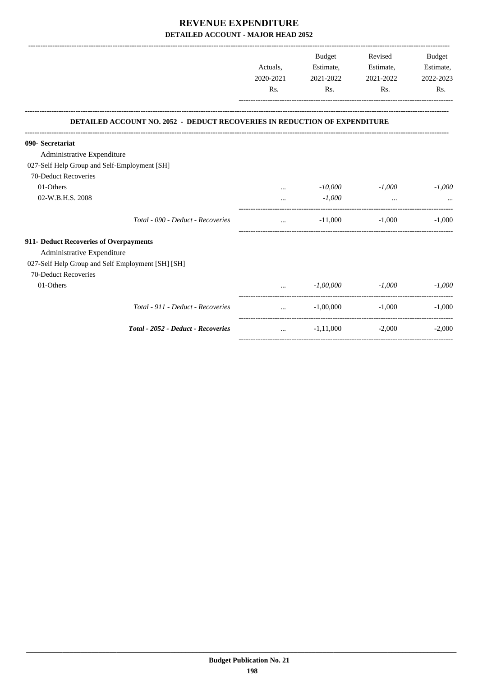|                                                                                  | Actuals,<br>2020-2021 | Budget<br>Estimate,<br>2021-2022 | Revised<br>Estimate,<br>2021-2022 | <b>Budget</b><br>Estimate,<br>2022-2023 |
|----------------------------------------------------------------------------------|-----------------------|----------------------------------|-----------------------------------|-----------------------------------------|
|                                                                                  | R <sub>s</sub> .      | Rs.                              | Rs.                               | Rs.                                     |
| <b>DETAILED ACCOUNT NO. 2052 - DEDUCT RECOVERIES IN REDUCTION OF EXPENDITURE</b> |                       |                                  |                                   |                                         |
| 090- Secretariat                                                                 |                       |                                  |                                   |                                         |
| Administrative Expenditure                                                       |                       |                                  |                                   |                                         |
| 027-Self Help Group and Self-Employment [SH]                                     |                       |                                  |                                   |                                         |
| 70-Deduct Recoveries                                                             |                       |                                  |                                   |                                         |
| 01-Others                                                                        |                       | $-10,000$                        | $-1,000$                          | $-1,000$                                |
| 02-W.B.H.S. 2008                                                                 |                       | $-1,000$                         | $\cdots$                          |                                         |
| Total - 090 - Deduct - Recoveries                                                | $\cdots$              | $-11,000$                        | $-1.000$                          | $-1.000$                                |
| 911- Deduct Recoveries of Overpayments                                           |                       |                                  |                                   |                                         |
| Administrative Expenditure                                                       |                       |                                  |                                   |                                         |
| 027-Self Help Group and Self Employment [SH] [SH]                                |                       |                                  |                                   |                                         |
| 70-Deduct Recoveries                                                             |                       |                                  |                                   |                                         |
| 01-Others                                                                        |                       | $-1,00,000$                      | $-1,000$                          | $-1,000$                                |
| Total - 911 - Deduct - Recoveries                                                |                       | $-1.00,000$                      | $-1,000$                          | $-1.000$                                |
| Total - 2052 - Deduct - Recoveries                                               | $\ddotsc$             | $-1,11,000$                      | $-2,000$                          | $-2,000$                                |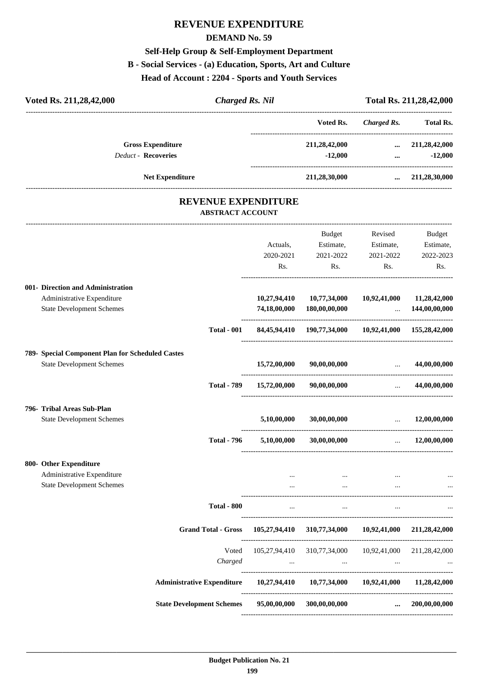# **REVENUE EXPENDITURE**

### **DEMAND No. 59**

## **Self-Help Group & Self-Employment Department**

## **B - Social Services - (a) Education, Sports, Art and Culture**

**Head of Account : 2204 - Sports and Youth Services**

| Voted Rs. 211,28,42,000                          | <b>Charged Rs. Nil</b>                                |              |                                                        |                                   | Total Rs. 211,28,42,000                              |
|--------------------------------------------------|-------------------------------------------------------|--------------|--------------------------------------------------------|-----------------------------------|------------------------------------------------------|
|                                                  |                                                       |              | Voted Rs.                                              | <b>Charged Rs.</b>                | --------------------------------<br><b>Total Rs.</b> |
| <b>Gross Expenditure</b>                         |                                                       |              | 211,28,42,000                                          | $\cdots$                          | 211,28,42,000                                        |
| <b>Deduct - Recoveries</b>                       |                                                       |              | $-12,000$                                              |                                   | $-12,000$<br>$\cdots$                                |
| <b>Net Expenditure</b>                           |                                                       |              | 211,28,30,000                                          |                                   | $\ldots$ 211,28,30,000                               |
|                                                  | <b>REVENUE EXPENDITURE</b><br><b>ABSTRACT ACCOUNT</b> |              |                                                        |                                   |                                                      |
|                                                  |                                                       |              | Budget                                                 | Revised                           | Budget                                               |
|                                                  |                                                       | Actuals,     | Estimate,                                              | Estimate,                         | Estimate,                                            |
|                                                  |                                                       | 2020-2021    | 2021-2022                                              | 2021-2022                         | 2022-2023                                            |
|                                                  |                                                       | Rs.          | Rs.                                                    | Rs.                               | Rs.                                                  |
| 001- Direction and Administration                |                                                       |              |                                                        |                                   |                                                      |
| Administrative Expenditure                       |                                                       |              | 10,27,94,410 10,77,34,000                              | 10,92,41,000                      | 11,28,42,000                                         |
| <b>State Development Schemes</b>                 |                                                       |              | 74,18,00,000 180,00,00,000                             | <b>Contract Contract Contract</b> | 144,00,00,000                                        |
|                                                  | <b>Total - 001</b>                                    |              | 84,45,94,410 190,77,34,000 10,92,41,000 155,28,42,000  |                                   |                                                      |
| 789- Special Component Plan for Scheduled Castes |                                                       |              |                                                        |                                   |                                                      |
| <b>State Development Schemes</b>                 |                                                       | 15,72,00,000 | 90,00,00,000                                           | $\ldots$ 44,00,00,000             |                                                      |
|                                                  | <b>Total - 789</b>                                    | 15,72,00,000 | 90,00,00,000                                           |                                   | $\dots$ 44,00,00,000                                 |
| 796- Tribal Areas Sub-Plan                       |                                                       |              |                                                        |                                   |                                                      |
| <b>State Development Schemes</b>                 |                                                       | 5,10,00,000  | 30,00,00,000                                           | $\ddots$                          | 12,00,00,000                                         |
|                                                  | <b>Total - 796</b>                                    | 5,10,00,000  | 30,00,00,000                                           | $\cdots$                          | 12,00,00,000                                         |
| 800- Other Expenditure                           |                                                       |              |                                                        |                                   |                                                      |
| Administrative Expenditure                       |                                                       |              | and the state of the state of<br>$\sim$ 0.000 $\sim$   | the contract of the contract of   |                                                      |
| <b>State Development Schemes</b>                 |                                                       | $\cdots$     | $\cdots$                                               | $\cdots$                          |                                                      |
|                                                  | <b>Total - 800</b>                                    | $\cdots$     | $\sim$ $\sim$                                          | $\sim$ $\sim$                     |                                                      |
|                                                  | <b>Grand Total - Gross</b>                            |              | 105,27,94,410 310,77,34,000 10,92,41,000 211,28,42,000 |                                   |                                                      |
|                                                  | Voted                                                 |              | 105,27,94,410 310,77,34,000 10,92,41,000 211,28,42,000 |                                   |                                                      |
|                                                  | Charged                                               |              | and the company of the company of the company of the   | $\ldots$                          |                                                      |
|                                                  | <b>Administrative Expenditure</b>                     |              | 10,27,94,410 10,77,34,000 10,92,41,000 11,28,42,000    |                                   |                                                      |
|                                                  | <b>State Development Schemes</b>                      | 95,00,00,000 | 300,00,00,000                                          | $\cdots$                          | 200,00,00,000                                        |

----------------------------------------------------------------------------------------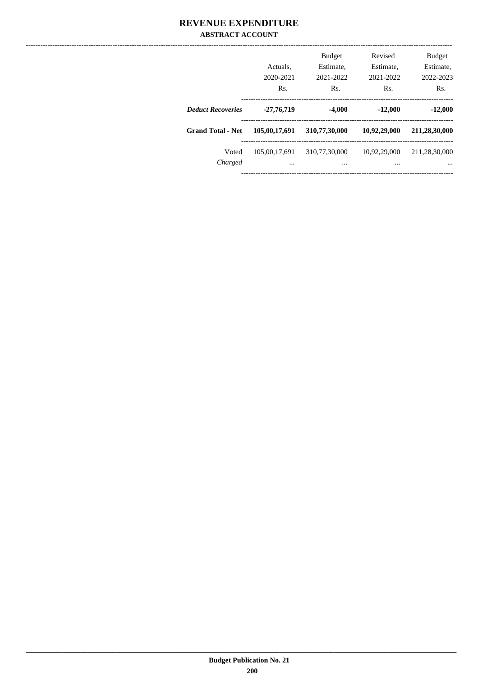### **REVENUE EXPENDITURE ABSTRACT ACCOUNT**

|                          | Actuals.<br>2020-2021<br>Rs. | <b>Budget</b><br>Estimate,<br>2021-2022<br>Rs. | Revised<br>Estimate,<br>2021-2022<br>Rs. | <b>Budget</b><br>Estimate,<br>2022-2023<br>Rs. |
|--------------------------|------------------------------|------------------------------------------------|------------------------------------------|------------------------------------------------|
| <b>Deduct Recoveries</b> | $-27,76,719$                 | $-4,000$                                       | $-12,000$                                | $-12,000$                                      |
| <b>Grand Total - Net</b> | 105,00,17,691                | 310,77,30,000                                  | 10,92,29,000                             | 211,28,30,000                                  |
| Voted<br>Charged         | 105,00,17,691<br>            | 310,77,30,000<br>$\cdots$                      | 10,92,29,000<br>$\cdots$                 | 211,28,30,000<br>                              |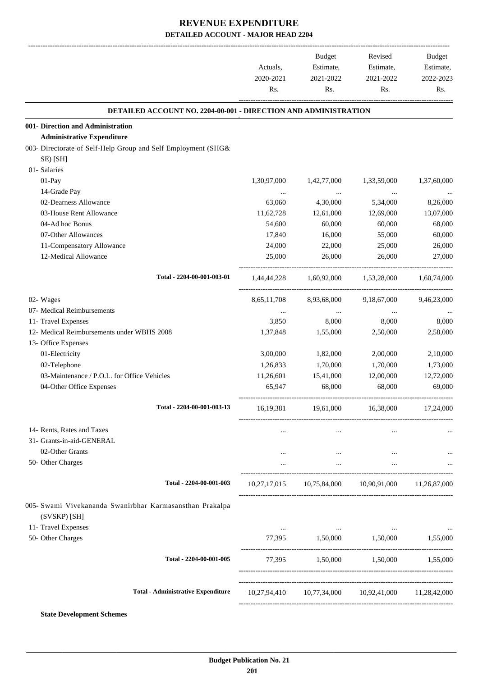-------------------------------------------------------------------------------------------------------------------------------------------------------------------------------

|                                                                          | Actuals,<br>2020-2021<br>Rs. | <b>Budget</b><br>Estimate,<br>2021-2022<br>Rs.                                  | Revised<br>Estimate,<br>2021-2022<br>Rs. | <b>Budget</b><br>Estimate,<br>2022-2023<br>Rs. |
|--------------------------------------------------------------------------|------------------------------|---------------------------------------------------------------------------------|------------------------------------------|------------------------------------------------|
| DETAILED ACCOUNT NO. 2204-00-001 - DIRECTION AND ADMINISTRATION          |                              |                                                                                 |                                          |                                                |
| 001- Direction and Administration                                        |                              |                                                                                 |                                          |                                                |
| <b>Administrative Expenditure</b>                                        |                              |                                                                                 |                                          |                                                |
| 003- Directorate of Self-Help Group and Self Employment (SHG&            |                              |                                                                                 |                                          |                                                |
| SE) [SH]                                                                 |                              |                                                                                 |                                          |                                                |
| 01- Salaries<br>$01-Pay$                                                 | 1,30,97,000                  |                                                                                 |                                          |                                                |
| 14-Grade Pay                                                             |                              | 1,42,77,000                                                                     | 1,33,59,000                              | 1,37,60,000                                    |
| 02-Dearness Allowance                                                    | $\ldots$<br>63,060           | $\ldots$<br>4,30,000                                                            | $\ldots$<br>5,34,000                     | 8,26,000                                       |
| 03-House Rent Allowance                                                  | 11,62,728                    | 12,61,000                                                                       | 12,69,000                                | 13,07,000                                      |
| 04-Ad hoc Bonus                                                          | 54,600                       | 60,000                                                                          | 60,000                                   | 68,000                                         |
| 07-Other Allowances                                                      | 17,840                       | 16,000                                                                          | 55,000                                   | 60,000                                         |
| 11-Compensatory Allowance                                                | 24,000                       | 22,000                                                                          | 25,000                                   | 26,000                                         |
| 12-Medical Allowance                                                     | 25,000                       | 26,000                                                                          | 26,000                                   | 27,000                                         |
| Total - 2204-00-001-003-01                                               | 1,44,44,228                  | 1,60,92,000                                                                     | 1,53,28,000                              | 1,60,74,000                                    |
| 02- Wages                                                                | 8,65,11,708                  | 8,93,68,000                                                                     | 9,18,67,000                              | 9,46,23,000                                    |
| 07- Medical Reimbursements                                               |                              |                                                                                 |                                          |                                                |
| 11- Travel Expenses                                                      | 3,850                        | 8,000                                                                           | 8,000                                    | 8,000                                          |
| 12- Medical Reimbursements under WBHS 2008                               | 1,37,848                     | 1,55,000                                                                        | 2,50,000                                 | 2,58,000                                       |
| 13- Office Expenses                                                      |                              |                                                                                 |                                          |                                                |
| 01-Electricity                                                           | 3,00,000                     | 1,82,000                                                                        | 2,00,000                                 | 2,10,000                                       |
| 02-Telephone                                                             | 1,26,833                     | 1,70,000                                                                        | 1,70,000                                 | 1,73,000                                       |
| 03-Maintenance / P.O.L. for Office Vehicles                              | 11,26,601                    | 15,41,000                                                                       | 12,00,000                                | 12,72,000                                      |
| 04-Other Office Expenses                                                 | 65,947                       | 68,000                                                                          | 68,000                                   | 69,000                                         |
| Total - 2204-00-001-003-13                                               | 16,19,381                    | 19,61,000                                                                       | 16,38,000                                | 17,24,000                                      |
| 14- Rents, Rates and Taxes                                               | $\cdots$                     | $\cdots$                                                                        | $\cdots$                                 |                                                |
| 31- Grants-in-aid-GENERAL                                                |                              |                                                                                 |                                          |                                                |
| 02-Other Grants                                                          | $\cdots$                     | <b>See College</b>                                                              | $\cdots$                                 |                                                |
| 50- Other Charges                                                        | $\cdots$                     | $\mathbf{r}$ , $\mathbf{r}$ , $\mathbf{r}$                                      | $\cdots$                                 |                                                |
| Total - 2204-00-001-003                                                  |                              | 10,27,17,015 10,75,84,000 10,90,91,000 11,26,87,000                             |                                          |                                                |
| 005- Swami Vivekananda Swanirbhar Karmasansthan Prakalpa<br>(SVSKP) [SH] |                              |                                                                                 |                                          |                                                |
| 11- Travel Expenses                                                      |                              | the contract of the contract of the contract of the contract of the contract of |                                          |                                                |
| 50- Other Charges                                                        |                              | 77,395 1,50,000 1,50,000 1,55,000                                               |                                          |                                                |
| Total - 2204-00-001-005                                                  |                              | 77,395 1,50,000 1,50,000 1,55,000                                               |                                          |                                                |
| <b>Total - Administrative Expenditure</b>                                |                              | 10,27,94,410 10,77,34,000 10,92,41,000 11,28,42,000                             |                                          |                                                |
|                                                                          |                              |                                                                                 |                                          |                                                |
| <b>State Development Schemes</b>                                         |                              |                                                                                 |                                          |                                                |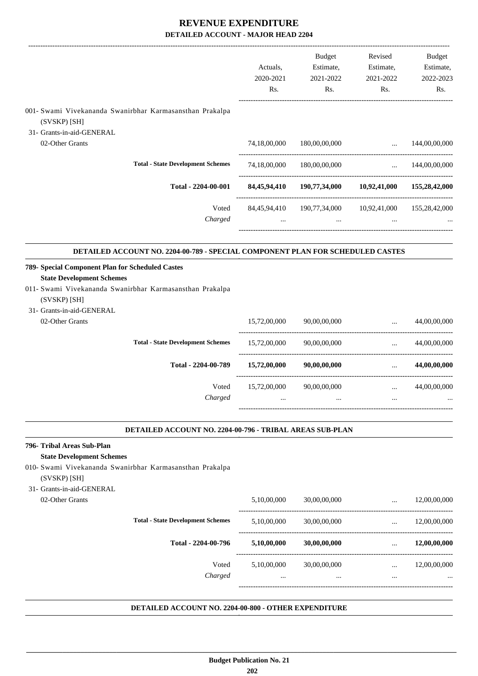|                                                                                                                                   |                                                                                | Actuals,<br>2020-2021<br>Rs. | Budget<br>Estimate,<br>2021-2022<br>Rs.                           | Revised<br>Estimate,<br>2021-2022<br>Rs.       | <b>Budget</b><br>Estimate,<br>2022-2023<br>Rs. |
|-----------------------------------------------------------------------------------------------------------------------------------|--------------------------------------------------------------------------------|------------------------------|-------------------------------------------------------------------|------------------------------------------------|------------------------------------------------|
| (SVSKP) [SH]                                                                                                                      | 001- Swami Vivekananda Swanirbhar Karmasansthan Prakalpa                       |                              |                                                                   |                                                |                                                |
| 31- Grants-in-aid-GENERAL<br>02-Other Grants                                                                                      |                                                                                | 74,18,00,000                 | 180,00,00,000                                                     | $\cdots$                                       | 144,00,00,000                                  |
|                                                                                                                                   |                                                                                |                              |                                                                   |                                                |                                                |
|                                                                                                                                   | <b>Total - State Development Schemes</b>                                       | 74,18,00,000                 | 180,00,00,000                                                     | $\mathbf{r}$ , $\mathbf{r}$ , $\mathbf{r}$     | 144,00,00,000                                  |
|                                                                                                                                   | Total - 2204-00-001                                                            |                              | 84,45,94,410 190,77,34,000 10,92,41,000 155,28,42,000             |                                                |                                                |
|                                                                                                                                   | Voted<br>Charged                                                               |                              | 84,45,94,410 190,77,34,000 10,92,41,000 155,28,42,000<br>$\cdots$ |                                                |                                                |
|                                                                                                                                   | DETAILED ACCOUNT NO. 2204-00-789 - SPECIAL COMPONENT PLAN FOR SCHEDULED CASTES |                              |                                                                   |                                                |                                                |
| 789- Special Component Plan for Scheduled Castes<br><b>State Development Schemes</b><br>(SVSKP) [SH]<br>31- Grants-in-aid-GENERAL | 011- Swami Vivekananda Swanirbhar Karmasansthan Prakalpa                       |                              |                                                                   |                                                |                                                |
| 02-Other Grants                                                                                                                   |                                                                                | 15,72,00,000                 | 90,00,00,000                                                      | $\cdots$                                       | 44,00,00,000                                   |
|                                                                                                                                   | <b>Total - State Development Schemes</b>                                       | 15,72,00,000                 | 90,00,00,000                                                      | ------------------------------<br>$\mathbf{1}$ | 44,00,00,000                                   |
|                                                                                                                                   | Total - 2204-00-789                                                            | 15,72,00,000                 | 90,00,00,000                                                      | $\cdots$                                       | 44,00,00,000                                   |
|                                                                                                                                   | Voted<br>Charged                                                               | 15,72,00,000                 | 90,00,00,000                                                      | $\cdots$                                       | 44,00,00,000                                   |
|                                                                                                                                   | DETAILED ACCOUNT NO. 2204-00-796 - TRIBAL AREAS SUB-PLAN                       |                              |                                                                   |                                                |                                                |
| 796- Tribal Areas Sub-Plan<br><b>State Development Schemes</b>                                                                    |                                                                                |                              |                                                                   |                                                |                                                |
| (SVSKP) [SH]                                                                                                                      | 010- Swami Vivekananda Swanirbhar Karmasansthan Prakalpa                       |                              |                                                                   |                                                |                                                |
| 31- Grants-in-aid-GENERAL<br>02-Other Grants                                                                                      |                                                                                | 5,10,00,000                  | 30,00,00,000                                                      | $\cdots$                                       | 12,00,00,000                                   |
|                                                                                                                                   | <b>Total - State Development Schemes</b>                                       | 5,10,00,000                  | 30,00,00,000                                                      | -----------------------------<br>$\cdots$      | 12,00,00,000                                   |
|                                                                                                                                   | Total - 2204-00-796                                                            | 5,10,00,000                  | 30,00,00,000                                                      | $\cdots$                                       | 12,00,00,000                                   |
|                                                                                                                                   | Voted                                                                          | 5,10,00,000                  | 30,00,00,000                                                      | $\cdots$                                       | 12,00,00,000                                   |
|                                                                                                                                   | Charged                                                                        | $\cdots$                     | $\cdots$                                                          | $\cdots$                                       |                                                |

#### **DETAILED ACCOUNT NO. 2204-00-800 - OTHER EXPENDITURE .**

-----------------------------------------------------------------------------------------

.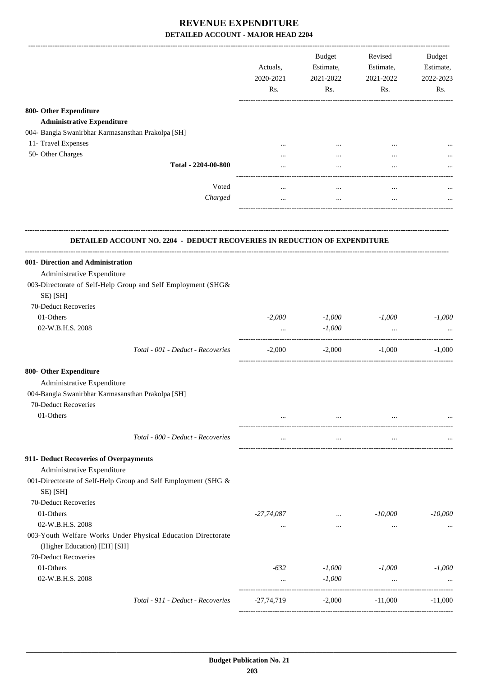|                                                                                              | Actuals,<br>2020-2021<br>Rs. | Budget<br>Estimate,<br>2021-2022<br>Rs. | Revised<br>Estimate,<br>2021-2022<br>Rs. | Budget<br>Estimate,<br>2022-2023<br>Rs. |
|----------------------------------------------------------------------------------------------|------------------------------|-----------------------------------------|------------------------------------------|-----------------------------------------|
| 800- Other Expenditure                                                                       |                              |                                         |                                          |                                         |
| <b>Administrative Expenditure</b>                                                            |                              |                                         |                                          |                                         |
| 004- Bangla Swanirbhar Karmasansthan Prakolpa [SH]                                           |                              |                                         |                                          |                                         |
| 11- Travel Expenses                                                                          | $\cdots$                     | $\cdots$                                |                                          |                                         |
| 50- Other Charges                                                                            |                              |                                         |                                          |                                         |
| Total - 2204-00-800                                                                          |                              |                                         |                                          |                                         |
| Voted                                                                                        | $\cdots$                     | $\cdots$                                | $\cdots$                                 |                                         |
| Charged                                                                                      | $\cdots$                     | $\cdots$                                | $\cdots$                                 |                                         |
| <b>DETAILED ACCOUNT NO. 2204 - DEDUCT RECOVERIES IN REDUCTION OF EXPENDITURE</b>             |                              |                                         |                                          |                                         |
| 001- Direction and Administration                                                            |                              |                                         |                                          |                                         |
| Administrative Expenditure                                                                   |                              |                                         |                                          |                                         |
| 003-Directorate of Self-Help Group and Self Employment (SHG&<br>SE) [SH]                     |                              |                                         |                                          |                                         |
| 70-Deduct Recoveries                                                                         |                              |                                         |                                          |                                         |
| 01-Others                                                                                    | $-2,000$                     | $-1,000$                                | $-1,000$                                 | $-1,000$                                |
| 02-W.B.H.S. 2008                                                                             |                              | $-1,000$                                | $\ddots$                                 |                                         |
| Total - 001 - Deduct - Recoveries                                                            | $-2,000$                     | $-2,000$                                | $-1,000$                                 | $-1,000$                                |
| 800- Other Expenditure                                                                       |                              |                                         |                                          |                                         |
| Administrative Expenditure                                                                   |                              |                                         |                                          |                                         |
| 004-Bangla Swanirbhar Karmasansthan Prakolpa [SH]                                            |                              |                                         |                                          |                                         |
| 70-Deduct Recoveries                                                                         |                              |                                         |                                          |                                         |
| 01-Others                                                                                    |                              |                                         |                                          |                                         |
| Total - 800 - Deduct - Recoveries                                                            |                              | $\cdots$                                |                                          |                                         |
| 911- Deduct Recoveries of Overpayments                                                       |                              |                                         |                                          |                                         |
| Administrative Expenditure                                                                   |                              |                                         |                                          |                                         |
| 001-Directorate of Self-Help Group and Self Employment (SHG &<br>SE) [SH]                    |                              |                                         |                                          |                                         |
| 70-Deduct Recoveries                                                                         |                              |                                         |                                          |                                         |
| 01-Others                                                                                    | $-27,74,087$                 | $\cdots$                                | $-10,000$                                | $-10,000$                               |
| 02-W.B.H.S. 2008                                                                             | $\cdots$                     | $\cdots$                                | $\cdots$                                 |                                         |
| 003-Youth Welfare Works Under Physical Education Directorate<br>(Higher Education) [EH] [SH] |                              |                                         |                                          |                                         |
| 70-Deduct Recoveries                                                                         |                              |                                         |                                          |                                         |
| 01-Others                                                                                    | $-632$                       | $-1,000$                                | $-1,000$                                 | $-1,000$                                |
| 02-W.B.H.S. 2008                                                                             | $\cdots$                     | $-1,000$                                | $\cdots$                                 |                                         |
| Total - 911 - Deduct - Recoveries                                                            | $-27,74,719$                 | $-2,000$                                | $-11,000$                                | $-11,000$                               |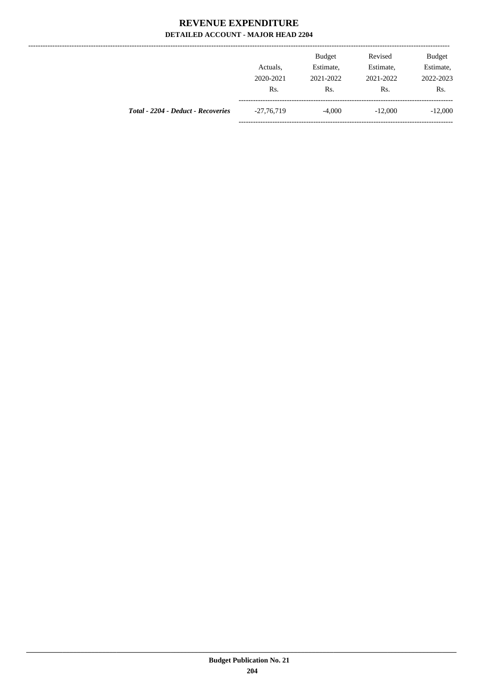...............

|                                    | Actuals.<br>2020-2021<br>Rs. | <b>Budget</b><br>Estimate,<br>2021-2022<br>Rs. | Revised<br>Estimate,<br>2021-2022<br>Rs. | <b>Budget</b><br>Estimate,<br>2022-2023<br>Rs. |
|------------------------------------|------------------------------|------------------------------------------------|------------------------------------------|------------------------------------------------|
| Total - 2204 - Deduct - Recoveries | $-27,76,719$                 | $-4,000$                                       | $-12,000$                                | $-12,000$                                      |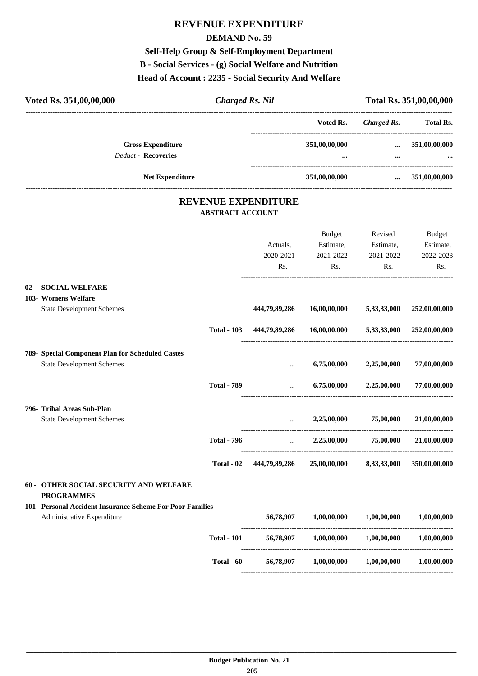# **REVENUE EXPENDITURE**

### **DEMAND No. 59**

# **Self-Help Group & Self-Employment Department**

# **B - Social Services - (g) Social Welfare and Nutrition**

### **Head of Account : 2235 - Social Security And Welfare**

| Voted Rs. 351,00,00,000                                     | <b>Charged Rs. Nil</b>  |                            |                                   |                                        | Total Rs. 351,00,00,000   |
|-------------------------------------------------------------|-------------------------|----------------------------|-----------------------------------|----------------------------------------|---------------------------|
|                                                             |                         |                            | Voted Rs.                         |                                        | Charged Rs. Total Rs.     |
| <b>Gross Expenditure</b>                                    |                         |                            | 351,00,00,000                     | $\cdots$                               | 351,00,00,000             |
| Deduct - Recoveries                                         |                         |                            |                                   |                                        |                           |
| <b>Net Expenditure</b>                                      |                         |                            | 351,00,00,000                     | and the contract of the contract of    | 351,00,00,000             |
|                                                             | <b>ABSTRACT ACCOUNT</b> | <b>REVENUE EXPENDITURE</b> |                                   |                                        |                           |
|                                                             |                         |                            | Budget                            | Revised                                | Budget                    |
|                                                             |                         | Actuals,                   | Estimate,                         | Estimate,                              | Estimate,                 |
|                                                             |                         | 2020-2021                  | 2021-2022                         | 2021-2022                              | 2022-2023                 |
|                                                             |                         | Rs.                        | Rs.                               | Rs.                                    | Rs.                       |
| 02 - SOCIAL WELFARE                                         |                         |                            |                                   |                                        |                           |
| 103- Womens Welfare                                         |                         |                            |                                   |                                        |                           |
| <b>State Development Schemes</b>                            |                         | 444,79,89,286              |                                   | $16,00,00,000$ $5,33,33,000$           | 252,00,00,000             |
|                                                             | <b>Total - 103</b>      |                            | 444,79,89,286 16,00,00,000        |                                        | 5,33,33,000 252,00,00,000 |
| 789- Special Component Plan for Scheduled Castes            |                         |                            |                                   |                                        |                           |
| <b>State Development Schemes</b>                            |                         |                            | 6,75,00,000                       | 2,25,00,000                            | 77,00,00,000              |
|                                                             | <b>Total - 789</b>      | $\cdots$                   |                                   | $6,75,00,000$ $2,25,00,000$            | 77,00,00,000              |
| 796- Tribal Areas Sub-Plan                                  |                         |                            |                                   |                                        |                           |
| <b>State Development Schemes</b>                            |                         |                            | 2,25,00,000                       | 75,00,000                              | 21.00.00.000              |
|                                                             | <b>Total - 796</b>      | $\cdots$                   | 2,25,00,000                       | 75,00,000                              | 21,00,00,000              |
|                                                             |                         | Total - 02 444,79,89,286   |                                   | 25,00,00,000 8,33,33,000 350,00,00,000 |                           |
| 60 - OTHER SOCIAL SECURITY AND WELFARE<br><b>PROGRAMMES</b> |                         |                            |                                   |                                        |                           |
| 101- Personal Accident Insurance Scheme For Poor Families   |                         |                            |                                   |                                        |                           |
| Administrative Expenditure                                  |                         |                            | 56,78,907 1,00,00,000             | 1,00,00,000                            | 1,00,00,000               |
|                                                             | <b>Total - 101</b>      |                            | 56,78,907 1,00,00,000             | $1,\!00,\!00,\!000$                    | 1,00,00,000               |
|                                                             | Total - 60              |                            | 56,78,907 1,00,00,000 1,00,00,000 |                                        | $1,\!00,\!00,\!000$       |
|                                                             |                         |                            |                                   |                                        |                           |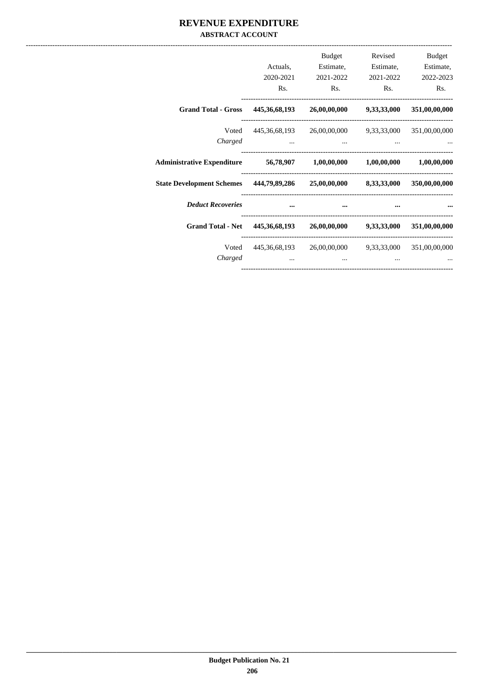### REVENUE EXPENDITURE **ABSTRACT ACCOUNT**

|                                                                                | Actuals,<br>2020-2021<br>R <sub>s</sub> .                  | <b>Budget</b><br>Estimate,<br>2021-2022<br>Rs. | Revised<br>Estimate,<br>2021-2022<br>R <sub>s</sub> . | Budget<br>Estimate,<br>2022-2023<br>R <sub>s</sub> . |
|--------------------------------------------------------------------------------|------------------------------------------------------------|------------------------------------------------|-------------------------------------------------------|------------------------------------------------------|
| Grand Total - Gross 445,36,68,193 26,00,00,000 9,33,33,000 351,00,00,000       |                                                            |                                                |                                                       |                                                      |
| Charged                                                                        | Voted 445,36,68,193 26,00,00,000 9,33,33,000 351,00,00,000 |                                                |                                                       |                                                      |
| Administrative Expenditure 56,78,907 1,00,00,000 1,00,00,000 1,00,00,000       |                                                            |                                                |                                                       |                                                      |
| State Development Schemes 444,79,89,286 25,00,00,000 8,33,33,000 350,00,00,000 |                                                            |                                                |                                                       |                                                      |
| <b>Deduct Recoveries</b>                                                       |                                                            |                                                |                                                       |                                                      |
| Grand Total - Net 445,36,68,193 26,00,00,000 9,33,33,000 351,00,00,000         |                                                            |                                                |                                                       |                                                      |
| Charged                                                                        | Voted 445,36,68,193 26,00,00,000 9,33,33,000 351,00,00,000 |                                                |                                                       |                                                      |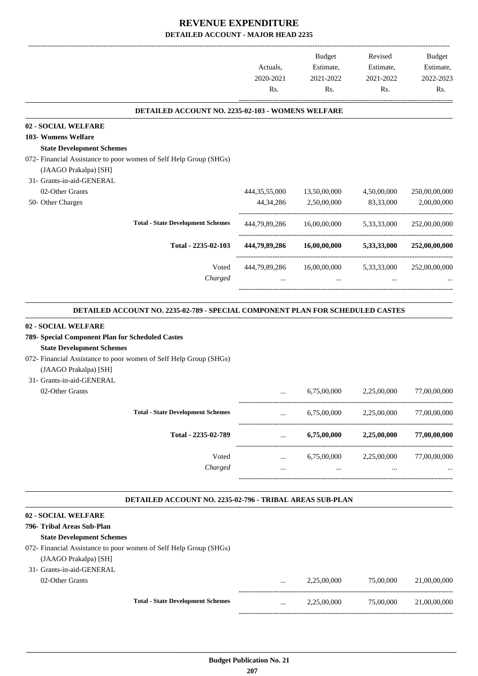|                                                                                                                                                             | Actuals,                                       | Budget<br>Estimate,                                | Revised<br>Estimate,                                                   | Budget<br>Estimate, |
|-------------------------------------------------------------------------------------------------------------------------------------------------------------|------------------------------------------------|----------------------------------------------------|------------------------------------------------------------------------|---------------------|
|                                                                                                                                                             | 2020-2021<br>Rs.                               | 2021-2022<br>Rs.                                   | 2021-2022<br>Rs.                                                       | 2022-2023<br>Rs.    |
|                                                                                                                                                             |                                                |                                                    |                                                                        |                     |
| DETAILED ACCOUNT NO. 2235-02-103 - WOMENS WELFARE                                                                                                           |                                                |                                                    |                                                                        |                     |
| <b>02 - SOCIAL WELFARE</b><br>103- Womens Welfare                                                                                                           |                                                |                                                    |                                                                        |                     |
| <b>State Development Schemes</b>                                                                                                                            |                                                |                                                    |                                                                        |                     |
| 072- Financial Assistance to poor women of Self Help Group (SHGs)                                                                                           |                                                |                                                    |                                                                        |                     |
| (JAAGO Prakalpa) [SH]                                                                                                                                       |                                                |                                                    |                                                                        |                     |
| 31- Grants-in-aid-GENERAL                                                                                                                                   |                                                |                                                    |                                                                        |                     |
| 02-Other Grants                                                                                                                                             | 444, 35, 55, 000                               | 13,50,00,000                                       | 4,50,00,000                                                            | 250,00,00,000       |
| 50- Other Charges                                                                                                                                           | 44, 34, 286                                    | 2,50,00,000                                        | 83,33,000                                                              | 2,00,00,000         |
| <b>Total - State Development Schemes</b>                                                                                                                    |                                                | 444,79,89,286 16,00,00,000                         | 5,33,33,000                                                            | 252,00,00,000       |
|                                                                                                                                                             |                                                |                                                    |                                                                        |                     |
| Total - 2235-02-103                                                                                                                                         |                                                | 444,79,89,286 16,00,00,000                         | 5,33,33,000                                                            | 252,00,00,000       |
| Voted<br>Charged                                                                                                                                            |                                                | 444,79,89,286 16,00,00,000 5,33,33,000<br>$\cdots$ |                                                                        | 252,00,00,000       |
| <b>State Development Schemes</b><br>072- Financial Assistance to poor women of Self Help Group (SHGs)<br>(JAAGO Prakalpa) [SH]<br>31- Grants-in-aid-GENERAL |                                                |                                                    |                                                                        |                     |
| 02-Other Grants                                                                                                                                             | $\ddotsc$                                      | 6,75,00,000                                        | 2,25,00,000                                                            | 77,00,00,000        |
| <b>Total - State Development Schemes</b>                                                                                                                    | $\cdots$                                       | 6,75,00,000                                        | 2,25,00,000                                                            | 77,00,00,000        |
| Total - 2235-02-789                                                                                                                                         | $\mathbf{1.11} \pm 0.000$                      | 6,75,00,000                                        | 2,25,00,000                                                            | 77,00,00,000        |
| Voted                                                                                                                                                       |                                                |                                                    |                                                                        |                     |
| Charged                                                                                                                                                     | $\mathbf{1}$ and $\mathbf{1}$ and $\mathbf{1}$ |                                                    |                                                                        |                     |
|                                                                                                                                                             |                                                | and the state of the state of the                  | 6,75,00,000 2,25,00,000<br><b>Second Contract Contract</b><br>$\cdots$ | 77,00,00,000        |
| DETAILED ACCOUNT NO. 2235-02-796 - TRIBAL AREAS SUB-PLAN                                                                                                    |                                                |                                                    |                                                                        |                     |
|                                                                                                                                                             |                                                |                                                    |                                                                        |                     |
|                                                                                                                                                             |                                                |                                                    |                                                                        |                     |
| <b>State Development Schemes</b>                                                                                                                            |                                                |                                                    |                                                                        |                     |
| <b>02 - SOCIAL WELFARE</b><br>796- Tribal Areas Sub-Plan<br>072- Financial Assistance to poor women of Self Help Group (SHGs)                               |                                                |                                                    |                                                                        |                     |
| (JAAGO Prakalpa) [SH]                                                                                                                                       |                                                |                                                    |                                                                        |                     |
| 31- Grants-in-aid-GENERAL                                                                                                                                   |                                                |                                                    |                                                                        |                     |

|                                          | $\cdots$ | 2.25,00,000 | 75,00,000 | 21,00,00,000 |
|------------------------------------------|----------|-------------|-----------|--------------|
| <b>Total - State Development Schemes</b> | $\cdots$ | 2.25.00.000 | 75,00,000 | 21,00,00,000 |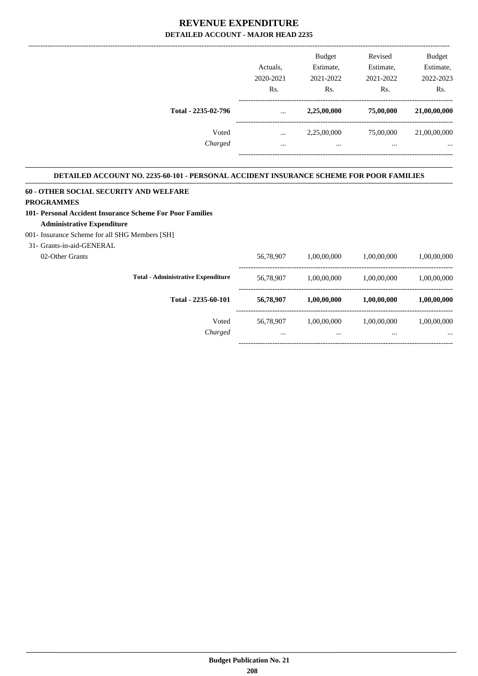|                     |           | <b>Budget</b> | Revised   | <b>Budget</b> |
|---------------------|-----------|---------------|-----------|---------------|
|                     | Actuals.  | Estimate,     | Estimate, | Estimate,     |
|                     | 2020-2021 | 2021-2022     | 2021-2022 | 2022-2023     |
|                     | Rs.       | Rs.           | Rs.       | Rs.           |
| Total - 2235-02-796 | $\cdots$  | 2,25,00,000   | 75,00,000 | 21,00,00,000  |
| Voted               | $\cdots$  | 2,25,00,000   | 75,00,000 | 21,00,00,000  |
| Charged             | $\cdots$  | $\cdots$      |           |               |
|                     |           |               |           |               |

#### **DETAILED ACCOUNT NO. 2235-60-101 - PERSONAL ACCIDENT INSURANCE SCHEME FOR POOR FAMILIES .**

#### **60 - OTHER SOCIAL SECURITY AND WELFARE PROGRAMMES**

#### **101- Personal Accident Insurance Scheme For Poor Families Administrative Expenditure**

#### 001- Insurance Scheme for all SHG Members [SH]

31- Grants-in-aid-GENERAL

| 02-Other Grants |                                           | 56,78,907 | 1,00,00,000 | 1,00,00,000 | 1,00,00,000 |
|-----------------|-------------------------------------------|-----------|-------------|-------------|-------------|
|                 | <b>Total - Administrative Expenditure</b> | 56,78,907 | 1.00.00.000 | 1,00,00,000 | 1,00,00,000 |
|                 | Total - 2235-60-101                       | 56,78,907 | 1,00,00,000 | 1.00.00.000 | 1,00,00,000 |
|                 | Voted                                     | 56,78,907 | 1.00.00.000 | 1.00.00.000 | 1,00,00,000 |
|                 | Charged                                   | $\cdots$  | $\cdots$    |             | $\cdots$    |
|                 |                                           |           |             |             |             |

.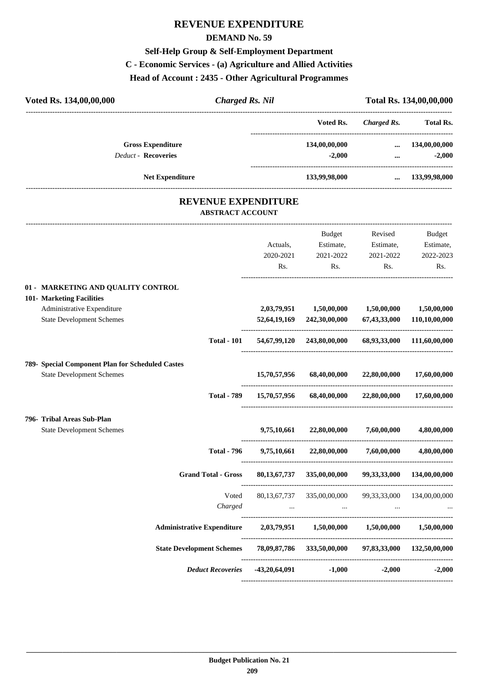# **REVENUE EXPENDITURE**

### **DEMAND No. 59**

## **Self-Help Group & Self-Employment Department**

## **C - Economic Services - (a) Agriculture and Allied Activities**

**Head of Account : 2435 - Other Agricultural Programmes**

| ------------------------------ |
|--------------------------------|
| Total Rs.                      |
| 134,00,00,000                  |
| $-2,000$                       |
| 133,99,98,000                  |
|                                |
| Budget                         |
| Estimate,                      |
| 2022-2023                      |
| Rs.                            |
|                                |
| 1,50,00,000                    |
| 110,10,00,000                  |
| 68,93,33,000 111,60,00,000     |
|                                |
| 17,60,00,000                   |
| 17,60,00,000                   |
|                                |
| 4,80,00,000                    |
| 4,80,00,000                    |
| 134,00,00,000                  |
| 134,00,00,000                  |
|                                |
| 1,50,00,000                    |
| 97,83,33,000 132,50,00,000     |
| $-2,000$                       |
|                                |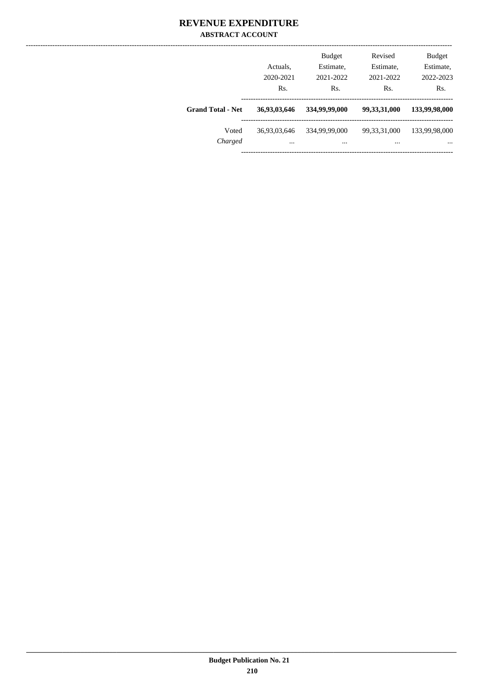### **REVENUE EXPENDITURE ABSTRACT ACCOUNT**

|                          | Actuals,<br>2020-2021<br>Rs. | <b>Budget</b><br>Estimate,<br>2021-2022<br>Rs. | Revised<br>Estimate,<br>2021-2022<br>Rs. | <b>Budget</b><br>Estimate,<br>2022-2023<br>Rs. |
|--------------------------|------------------------------|------------------------------------------------|------------------------------------------|------------------------------------------------|
| <b>Grand Total - Net</b> | 36,93,03,646                 | 334,99,99,000                                  | 99,33,31,000                             | 133,99,98,000                                  |
| Voted<br>Charged         | 36,93,03,646<br>$\cdots$     | 334,99,99,000<br>                              | 99, 33, 31, 000<br>                      | 133,99,98,000<br>$\cdots$                      |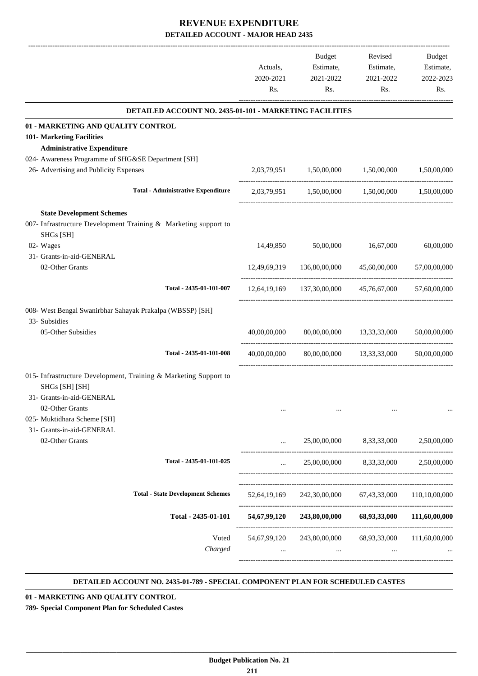|                                                                              | Actuals,<br>2020-2021<br>Rs. | Budget<br>Estimate,<br>2021-2022<br>Rs. | Revised<br>Estimate,<br>2021-2022<br>Rs.              | Budget<br>Estimate,<br>2022-2023<br>Rs. |
|------------------------------------------------------------------------------|------------------------------|-----------------------------------------|-------------------------------------------------------|-----------------------------------------|
| DETAILED ACCOUNT NO. 2435-01-101 - MARKETING FACILITIES                      |                              |                                         |                                                       |                                         |
| 01 - MARKETING AND QUALITY CONTROL                                           |                              |                                         |                                                       |                                         |
| 101- Marketing Facilities                                                    |                              |                                         |                                                       |                                         |
| <b>Administrative Expenditure</b>                                            |                              |                                         |                                                       |                                         |
| 024- Awareness Programme of SHG&SE Department [SH]                           |                              |                                         |                                                       |                                         |
| 26- Advertising and Publicity Expenses                                       |                              | 2,03,79,951 1,50,00,000 1,50,00,000     |                                                       | 1,50,00,000                             |
| <b>Total - Administrative Expenditure</b>                                    |                              |                                         | 2,03,79,951 1,50,00,000 1,50,00,000 1,50,00,000       |                                         |
| <b>State Development Schemes</b>                                             |                              |                                         |                                                       |                                         |
| 007- Infrastructure Development Training & Marketing support to<br>SHGs [SH] |                              |                                         |                                                       |                                         |
| 02- Wages                                                                    | 14,49,850                    | 50,00,000                               | 16,67,000                                             | 60,00,000                               |
| 31- Grants-in-aid-GENERAL                                                    |                              |                                         |                                                       |                                         |
| 02-Other Grants                                                              |                              | 12,49,69,319 136,80,00,000              | 45,60,00,000                                          | 57,00,00,000                            |
| Total - 2435-01-101-007                                                      |                              |                                         | 12,64,19,169 137,30,00,000 45,76,67,000               | 57,60,00,000                            |
| 008- West Bengal Swanirbhar Sahayak Prakalpa (WBSSP) [SH]                    |                              |                                         |                                                       |                                         |
| 33- Subsidies                                                                |                              |                                         |                                                       |                                         |
| 05-Other Subsidies                                                           | 40,00,00,000                 |                                         | 80,00,00,000 13,33,33,000                             | 50,00,00,000                            |
|                                                                              |                              |                                         |                                                       |                                         |
| Total - 2435-01-101-008                                                      | 40,00,00,000                 |                                         | 80,00,00,000 13,33,33,000                             | 50,00,00,000                            |
| 015- Infrastructure Development, Training & Marketing Support to             |                              |                                         |                                                       |                                         |
| SHGs [SH] [SH]                                                               |                              |                                         |                                                       |                                         |
| 31- Grants-in-aid-GENERAL                                                    |                              |                                         |                                                       |                                         |
| 02-Other Grants                                                              |                              |                                         |                                                       |                                         |
| 025- Muktidhara Scheme [SH]                                                  |                              |                                         |                                                       |                                         |
| 31- Grants-in-aid-GENERAL                                                    |                              |                                         |                                                       |                                         |
| 02-Other Grants                                                              |                              |                                         | 25,00,00,000 8,33,33,000                              | 2,50,00,000                             |
| Total - 2435-01-101-025                                                      | $\cdots$                     | 25,00,00,000                            | 8,33,33,000                                           | 2,50,00,000                             |
|                                                                              |                              |                                         |                                                       |                                         |
| <b>Total - State Development Schemes</b>                                     | 52,64,19,169                 |                                         | 242,30,00,000 67,43,33,000 110,10,00,000              |                                         |
| Total - 2435-01-101                                                          |                              |                                         | 54,67,99,120 243,80,00,000 68,93,33,000 111,60,00,000 |                                         |
| Voted                                                                        | 54,67,99,120                 | 243,80,00,000                           | 68,93,33,000                                          | 111,60,00,000                           |
| Charged                                                                      | $\cdots$                     | $\cdots$                                | $\cdots$                                              |                                         |
|                                                                              |                              |                                         |                                                       |                                         |
|                                                                              |                              |                                         |                                                       |                                         |

#### **DETAILED ACCOUNT NO. 2435-01-789 - SPECIAL COMPONENT PLAN FOR SCHEDULED CASTES .**

**01 - MARKETING AND QUALITY CONTROL**

**789- Special Component Plan for Scheduled Castes**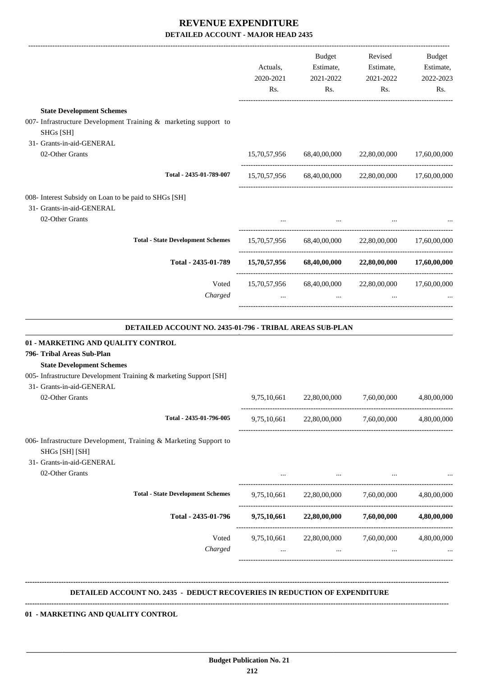|                                                                                                                                                                                                                                                                                       | Actuals,<br>2020-2021<br>Rs. | Budget<br>Estimate,<br>2021-2022<br>Rs. | Revised<br>Estimate,<br>2021-2022<br>Rs.                                                            | Budget<br>Estimate,<br>2022-2023<br>Rs. |
|---------------------------------------------------------------------------------------------------------------------------------------------------------------------------------------------------------------------------------------------------------------------------------------|------------------------------|-----------------------------------------|-----------------------------------------------------------------------------------------------------|-----------------------------------------|
| <b>State Development Schemes</b>                                                                                                                                                                                                                                                      |                              |                                         |                                                                                                     |                                         |
| 007- Infrastructure Development Training & marketing support to<br>SHGs [SH]                                                                                                                                                                                                          |                              |                                         |                                                                                                     |                                         |
| 31- Grants-in-aid-GENERAL<br>02-Other Grants                                                                                                                                                                                                                                          |                              |                                         | 15,70,57,956 68,40,00,000 22,80,00,000 17,60,00,000                                                 |                                         |
| Total - 2435-01-789-007                                                                                                                                                                                                                                                               |                              |                                         | 15,70,57,956 68,40,00,000 22,80,00,000 17,60,00,000                                                 |                                         |
| 008- Interest Subsidy on Loan to be paid to SHGs [SH]<br>31- Grants-in-aid-GENERAL                                                                                                                                                                                                    |                              |                                         |                                                                                                     |                                         |
| 02-Other Grants                                                                                                                                                                                                                                                                       |                              | $\cdots$                                |                                                                                                     |                                         |
| <b>Total - State Development Schemes</b>                                                                                                                                                                                                                                              |                              |                                         | 15,70,57,956 68,40,00,000 22,80,00,000 17,60,00,000                                                 |                                         |
| Total - 2435-01-789                                                                                                                                                                                                                                                                   |                              |                                         | $15,70,57,956$ $68,40,00,000$ $22,80,00,000$ $17,60,00,000$                                         |                                         |
| Voted<br>Charged                                                                                                                                                                                                                                                                      |                              |                                         | 15,70,57,956 68,40,00,000 22,80,00,000<br>$\mathbf{r}$ and $\mathbf{r}$ are the set of $\mathbf{r}$ | 17,60,00,000                            |
| DETAILED ACCOUNT NO. 2435-01-796 - TRIBAL AREAS SUB-PLAN<br>01 - MARKETING AND QUALITY CONTROL<br>796- Tribal Areas Sub-Plan<br><b>State Development Schemes</b><br>005- Infrastructure Development Training & marketing Support [SH]<br>31- Grants-in-aid-GENERAL<br>02-Other Grants | 9,75,10,661                  | 22,80,00,000                            | 7,60,00,000                                                                                         | 4,80,00,000                             |
| Total - 2435-01-796-005                                                                                                                                                                                                                                                               |                              |                                         | 9,75,10,661 22,80,00,000 7,60,00,000                                                                | 4,80,00,000                             |
| 006- Infrastructure Development, Training & Marketing Support to<br>SHGs [SH] [SH]<br>31- Grants-in-aid-GENERAL<br>02-Other Grants                                                                                                                                                    |                              | <b>Contract Contract</b>                |                                                                                                     |                                         |
| <b>Total - State Development Schemes</b>                                                                                                                                                                                                                                              |                              |                                         | 9,75,10,661 22,80,00,000 7,60,00,000                                                                | 4,80,00,000                             |
| Total - 2435-01-796                                                                                                                                                                                                                                                                   |                              |                                         | $9,75,10,661$ $22,80,00,000$ $7,60,00,000$                                                          | 4,80,00,000                             |
| Voted<br>Charged                                                                                                                                                                                                                                                                      | 9,75,10,661<br>$\cdots$      | 22,80,00,000<br>$\cdots$                | 7,60,00,000<br>$\cdots$                                                                             | 4,80,00,000                             |
| DETAILED ACCOUNT NO. 2435 - DEDUCT RECOVERIES IN REDUCTION OF EXPENDITURE                                                                                                                                                                                                             |                              |                                         |                                                                                                     |                                         |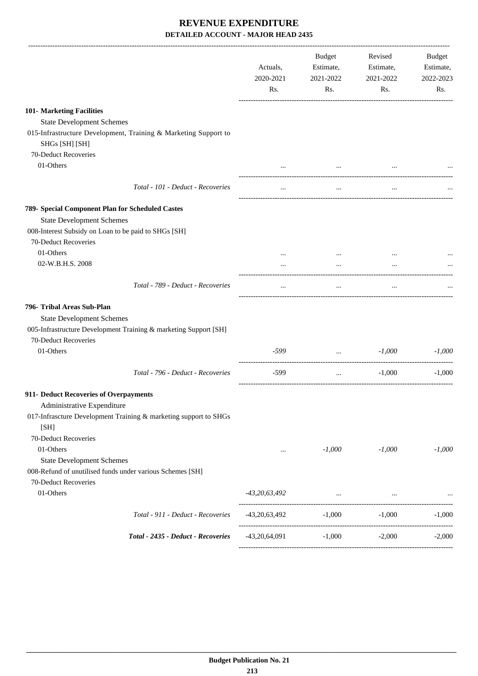|                                                                                                                       | Actuals,<br>2020-2021<br>Rs. | Budget<br>Estimate,<br>2021-2022<br>Rs. | Revised<br>Estimate,<br>2021-2022<br>Rs. | Budget<br>Estimate,<br>2022-2023<br>Rs. |
|-----------------------------------------------------------------------------------------------------------------------|------------------------------|-----------------------------------------|------------------------------------------|-----------------------------------------|
| 101- Marketing Facilities                                                                                             |                              |                                         |                                          |                                         |
| <b>State Development Schemes</b><br>015-Infrastructure Development, Training & Marketing Support to<br>SHGs [SH] [SH] |                              |                                         |                                          |                                         |
| 70-Deduct Recoveries                                                                                                  |                              |                                         |                                          |                                         |
| 01-Others                                                                                                             |                              | $\cdots$                                |                                          |                                         |
|                                                                                                                       |                              |                                         |                                          |                                         |
| Total - 101 - Deduct - Recoveries                                                                                     | $\ldots$                     | $\cdots$                                | $\ldots$                                 |                                         |
| 789- Special Component Plan for Scheduled Castes                                                                      |                              |                                         |                                          |                                         |
| <b>State Development Schemes</b>                                                                                      |                              |                                         |                                          |                                         |
| 008-Interest Subsidy on Loan to be paid to SHGs [SH]                                                                  |                              |                                         |                                          |                                         |
| 70-Deduct Recoveries                                                                                                  |                              |                                         |                                          |                                         |
| 01-Others                                                                                                             |                              | $\cdots$                                | $\cdots$                                 |                                         |
| 02-W.B.H.S. 2008                                                                                                      | $\cdots$                     | $\cdots$                                | $\cdots$                                 |                                         |
| Total - 789 - Deduct - Recoveries                                                                                     | $\cdots$                     | $\cdots$                                | $\cdots$                                 |                                         |
| 796- Tribal Areas Sub-Plan                                                                                            |                              |                                         |                                          |                                         |
| <b>State Development Schemes</b>                                                                                      |                              |                                         |                                          |                                         |
| 005-Infrastructure Development Training & marketing Support [SH]                                                      |                              |                                         |                                          |                                         |
| 70-Deduct Recoveries                                                                                                  |                              |                                         |                                          |                                         |
| 01-Others                                                                                                             | $-599$                       | $\mathbf{r}$ . The state $\mathbf{r}$   | $-1,000$                                 | $-1,000$                                |
| Total - 796 - Deduct - Recoveries                                                                                     | $-599$                       | $\cdots$                                | $-1,000$                                 | $-1,000$                                |
| 911- Deduct Recoveries of Overpayments                                                                                |                              |                                         |                                          |                                         |
| Administrative Expenditure                                                                                            |                              |                                         |                                          |                                         |
| 017-Infrascture Development Training & marketing support to SHGs<br>[SH]                                              |                              |                                         |                                          |                                         |
| 70-Deduct Recoveries                                                                                                  |                              |                                         |                                          |                                         |
| 01-Others                                                                                                             | $\cdots$                     | $-1,000$                                | $-1,000$                                 | $-1,000$                                |
| <b>State Development Schemes</b>                                                                                      |                              |                                         |                                          |                                         |
| 008-Refund of unutilised funds under various Schemes [SH]                                                             |                              |                                         |                                          |                                         |
| 70-Deduct Recoveries                                                                                                  |                              |                                         |                                          |                                         |
| 01-Others                                                                                                             | $-43,20,63,492$              |                                         | and the contract of the contract of the  |                                         |
| Total - 911 - Deduct - Recoveries                                                                                     | $-43,20,63,492$              | $-1,000$                                | $-1,000$                                 | $-1,000$                                |
| Total - 2435 - Deduct - Recoveries                                                                                    | -43,20,64,091                | $-1,000$                                | $-2,000$                                 | $-2,000$                                |
|                                                                                                                       |                              |                                         |                                          |                                         |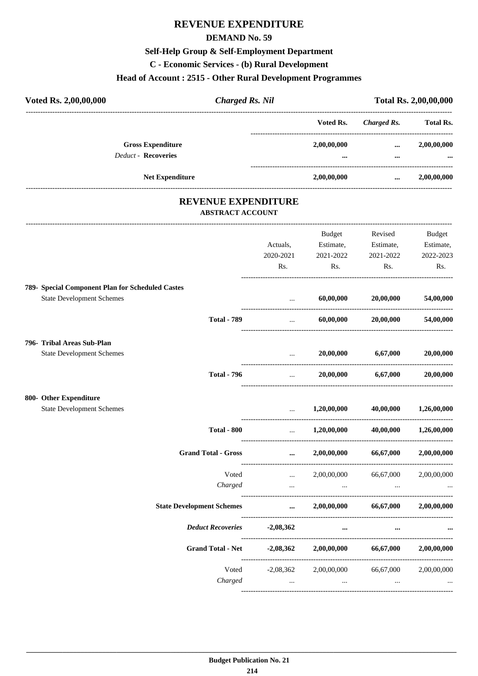## **REVENUE EXPENDITURE**

#### **DEMAND No. 59**

## **Self-Help Group & Self-Employment Department**

**C - Economic Services - (b) Rural Development**

## **Head of Account : 2515 - Other Rural Development Programmes**

| Voted Rs. 2,00,00,000                                                                | <b>Charged Rs. Nil</b>                         |                                                                                                                                   |                           | Total Rs. 2,00,00,000 |
|--------------------------------------------------------------------------------------|------------------------------------------------|-----------------------------------------------------------------------------------------------------------------------------------|---------------------------|-----------------------|
|                                                                                      |                                                | Voted Rs.                                                                                                                         | <b>Charged Rs.</b>        | <b>Total Rs.</b>      |
| <b>Gross Expenditure</b>                                                             |                                                | 2,00,00,000                                                                                                                       | $\cdots$                  | 2,00,00,000           |
| <b>Deduct - Recoveries</b>                                                           |                                                |                                                                                                                                   | $\cdots$                  |                       |
| Net Expenditure                                                                      |                                                | 2,00,00,000                                                                                                                       | $\cdots$                  | 2,00,00,000           |
|                                                                                      | REVENUE EXPENDITURE<br><b>ABSTRACT ACCOUNT</b> |                                                                                                                                   |                           |                       |
|                                                                                      |                                                | Budget                                                                                                                            | Revised                   | <b>Budget</b>         |
|                                                                                      | Actuals,                                       | Estimate,                                                                                                                         | Estimate,                 | Estimate,             |
|                                                                                      | 2020-2021                                      | 2021-2022                                                                                                                         | 2021-2022                 | 2022-2023             |
|                                                                                      | Rs.                                            | Rs.                                                                                                                               | Rs.                       | Rs.                   |
| 789- Special Component Plan for Scheduled Castes<br><b>State Development Schemes</b> | $\cdots$                                       | 60,00,000                                                                                                                         | 20,00,000                 | 54,00,000             |
|                                                                                      | ------------------------------                 |                                                                                                                                   |                           |                       |
| <b>Total - 789</b>                                                                   |                                                | $\mathbf{1}_{\mathbf{1}_{\mathbf{2}}\mathbf{1}_{\mathbf{3}}\mathbf{2}_{\mathbf{4}}\mathbf{3}_{\mathbf{5}}\mathbf{4}_{\mathbf{6}}$ | 60,00,000 20,00,000       | 54,00,000             |
| 796- Tribal Areas Sub-Plan                                                           |                                                |                                                                                                                                   |                           |                       |
| <b>State Development Schemes</b>                                                     |                                                | 20,00,000<br>$\mathbf{1}$ and $\mathbf{1}$ and $\mathbf{1}$                                                                       | 6,67,000                  | 20,00,000             |
| <b>Total - 796</b>                                                                   | $\cdots$                                       | 20,00,000                                                                                                                         | 6,67,000                  | 20,00,000             |
| 800- Other Expenditure                                                               |                                                |                                                                                                                                   |                           |                       |
| <b>State Development Schemes</b>                                                     | $\cdots$                                       |                                                                                                                                   | $1,20,00,000$ $40,00,000$ | 1,26,00,000           |
| <b>Total - 800</b>                                                                   |                                                | $\ldots$ 1,20,00,000 40,00,000                                                                                                    |                           | 1,26,00,000           |
| <b>Grand Total - Gross</b>                                                           |                                                | 2,00,00,000                                                                                                                       | 66,67,000                 | 2,00,00,000           |
| Voted                                                                                | $\cdots$                                       | 2,00,00,000                                                                                                                       | 66,67,000                 | 2,00,00,000           |
| Charged                                                                              | $\mathbf{1}$ and $\mathbf{1}$ and $\mathbf{1}$ | and the contract of the                                                                                                           | $\ldots$                  |                       |
| <b>State Development Schemes</b>                                                     | $\cdots$                                       |                                                                                                                                   | 2,00,00,000 66,67,000     | 2,00,00,000           |
| <b>Deduct Recoveries</b>                                                             | $-2,08,362$                                    | $\cdots$                                                                                                                          | $\cdots$                  |                       |
| <b>Grand Total - Net</b>                                                             | $-2,08,362$                                    | 2,00,00,000                                                                                                                       | 66,67,000                 | 2,00,00,000           |
|                                                                                      | Voted<br>$-2,08,362$                           |                                                                                                                                   | 2,00,00,000 66,67,000     | 2,00,00,000           |
| Charged                                                                              | $\sim 10^{-10}$                                | $\cdots$                                                                                                                          | $\cdots$                  |                       |
|                                                                                      |                                                |                                                                                                                                   |                           |                       |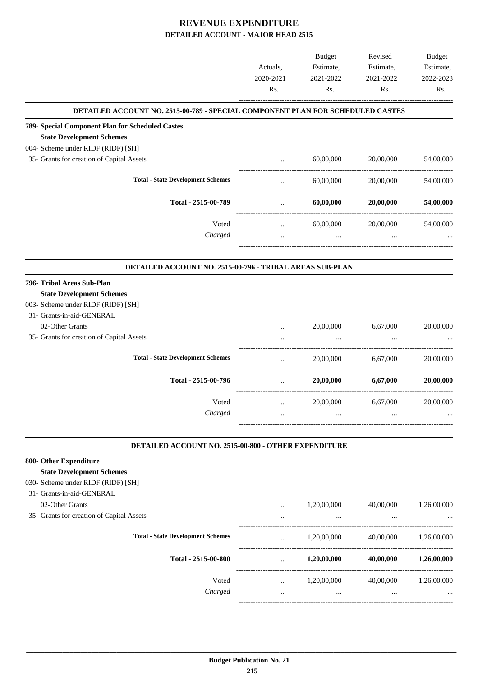|                                                                                |                  | Budget           | Revised          | Budget           |
|--------------------------------------------------------------------------------|------------------|------------------|------------------|------------------|
|                                                                                | Actuals,         | Estimate,        | Estimate,        | Estimate,        |
|                                                                                | 2020-2021<br>Rs. | 2021-2022<br>Rs. | 2021-2022<br>Rs. | 2022-2023<br>Rs. |
| DETAILED ACCOUNT NO. 2515-00-789 - SPECIAL COMPONENT PLAN FOR SCHEDULED CASTES |                  |                  |                  |                  |
| 789- Special Component Plan for Scheduled Castes                               |                  |                  |                  |                  |
| <b>State Development Schemes</b>                                               |                  |                  |                  |                  |
| 004- Scheme under RIDF (RIDF) [SH]                                             |                  |                  |                  |                  |
| 35- Grants for creation of Capital Assets                                      | $\ddots$         | 60,00,000        | 20,00,000        | 54,00,000        |
| <b>Total - State Development Schemes</b>                                       | $\cdots$         | 60,00,000        | 20,00,000        | 54,00,000        |
| Total - 2515-00-789                                                            | $\cdots$         | 60,00,000        | 20,00,000        | 54,00,000        |
|                                                                                |                  |                  |                  |                  |
| Voted                                                                          | $\cdots$         | 60,00,000        | 20,00,000        | 54,00,000        |
| Charged                                                                        | $\cdots$         | $\ddots$         | $\cdots$         |                  |
| DETAILED ACCOUNT NO. 2515-00-796 - TRIBAL AREAS SUB-PLAN                       |                  |                  |                  |                  |
| 796- Tribal Areas Sub-Plan                                                     |                  |                  |                  |                  |
| <b>State Development Schemes</b>                                               |                  |                  |                  |                  |
| 003- Scheme under RIDF (RIDF) [SH]                                             |                  |                  |                  |                  |
| 31- Grants-in-aid-GENERAL                                                      |                  |                  |                  |                  |
| 02-Other Grants                                                                | $\cdots$         | 20,00,000        | 6,67,000         | 20,00,000        |
| 35- Grants for creation of Capital Assets                                      |                  |                  |                  |                  |
| <b>Total - State Development Schemes</b>                                       | $\cdots$         | 20,00,000        | 6,67,000         | 20,00,000        |
| Total - 2515-00-796                                                            | $\cdots$         | 20,00,000        | 6,67,000         | 20,00,000        |
| Voted                                                                          |                  | 20,00,000        | 6,67,000         | 20,00,000        |
| Charged                                                                        |                  | $\cdots$         |                  |                  |
|                                                                                |                  |                  |                  |                  |
| DETAILED ACCOUNT NO. 2515-00-800 - OTHER EXPENDITURE                           |                  |                  |                  |                  |
| 800- Other Expenditure                                                         |                  |                  |                  |                  |
| <b>State Development Schemes</b><br>030- Scheme under RIDF (RIDF) [SH]         |                  |                  |                  |                  |
| 31- Grants-in-aid-GENERAL                                                      |                  |                  |                  |                  |
|                                                                                |                  |                  | 40,00,000        | 1,26,00,000      |
| 02-Other Grants<br>35- Grants for creation of Capital Assets                   | $\cdots$         | 1,20,00,000      |                  |                  |
|                                                                                |                  |                  |                  |                  |
| <b>Total - State Development Schemes</b>                                       | $\cdots$         | 1,20,00,000      | 40,00,000        | 1,26,00,000      |
| Total - 2515-00-800                                                            | $\cdots$         | 1,20,00,000      | 40,00,000        | 1,26,00,000      |
| Voted                                                                          | $\cdots$         | 1,20,00,000      | 40,00,000        | 1,26,00,000      |
| Charged                                                                        | $\ldots$         | $\cdots$         | $\ldots$         |                  |
|                                                                                |                  |                  |                  |                  |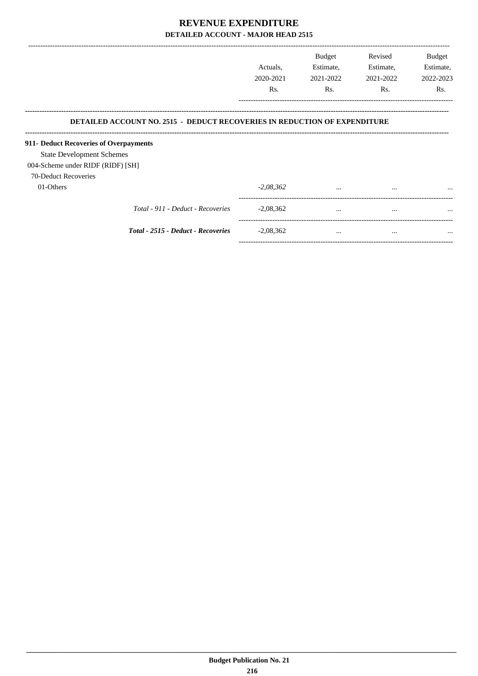|                                                                                                                                                                                                                             | Actuals,<br>2020-2021<br>Rs. | <b>Budget</b><br>Estimate,<br>2021-2022<br>Rs. | Revised<br>Estimate,<br>2021-2022<br>Rs. | Budget<br>Estimate,<br>2022-2023<br>Rs. |
|-----------------------------------------------------------------------------------------------------------------------------------------------------------------------------------------------------------------------------|------------------------------|------------------------------------------------|------------------------------------------|-----------------------------------------|
| <b>DETAILED ACCOUNT NO. 2515 - DEDUCT RECOVERIES IN REDUCTION OF EXPENDITURE</b><br>911- Deduct Recoveries of Overpayments<br><b>State Development Schemes</b><br>004-Scheme under RIDF (RIDF) [SH]<br>70-Deduct Recoveries |                              |                                                |                                          |                                         |
| 01-Others                                                                                                                                                                                                                   | $-2,08,362$                  | $\cdots$                                       | $\cdots$                                 | $\cdots$                                |
| Total - 911 - Deduct - Recoveries                                                                                                                                                                                           | $-2,08,362$                  | $\cdots$                                       | $\cdots$                                 | $\cdots$                                |
| Total - 2515 - Deduct - Recoveries                                                                                                                                                                                          | $-2,08,362$                  | $\cdots$                                       | $\cdots$                                 | $\cdots$                                |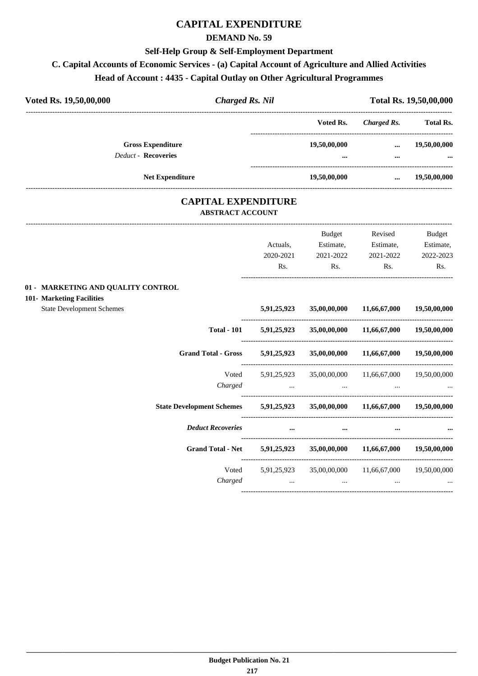## **CAPITAL EXPENDITURE**

#### **DEMAND No. 59**

#### **Self-Help Group & Self-Employment Department**

### **C. Capital Accounts of Economic Services - (a) Capital Account of Agriculture and Allied Activities**

#### **Head of Account : 4435 - Capital Outlay on Other Agricultural Programmes**

| <b>Charged Rs. Nil</b><br>Voted Rs. 19,50,00,000                                                    |                                                                 |                                                    |                           | Total Rs. 19,50,00,000 |
|-----------------------------------------------------------------------------------------------------|-----------------------------------------------------------------|----------------------------------------------------|---------------------------|------------------------|
|                                                                                                     |                                                                 | Voted Rs.                                          | Charged Rs.               | <b>Total Rs.</b>       |
| <b>Gross Expenditure</b>                                                                            |                                                                 | 19,50,00,000                                       |                           | 19,50,00,000           |
| <b>Deduct - Recoveries</b>                                                                          |                                                                 |                                                    | $\cdots$                  |                        |
| <b>Net Expenditure</b>                                                                              |                                                                 | 19,50,00,000                                       | $\cdots$                  | 19,50,00,000           |
| <b>CAPITAL EXPENDITURE</b><br><b>ABSTRACT ACCOUNT</b>                                               |                                                                 |                                                    |                           |                        |
|                                                                                                     |                                                                 | Budget                                             | Revised                   | Budget                 |
|                                                                                                     | Actuals,                                                        | Estimate,                                          | Estimate,                 | Estimate,              |
|                                                                                                     | 2020-2021                                                       | 2021-2022                                          | 2021-2022                 | 2022-2023              |
|                                                                                                     | Rs.                                                             | Rs.                                                | Rs.                       | Rs.                    |
| 01 - MARKETING AND QUALITY CONTROL<br>101- Marketing Facilities<br><b>State Development Schemes</b> | 5,91,25,923                                                     | 35,00,00,000                                       | 11,66,67,000              | 19,50,00,000           |
| <b>Total - 101</b>                                                                                  | 5,91,25,923                                                     |                                                    | 35,00,00,000 11,66,67,000 | 19,50,00,000           |
| Grand Total - Gross 5,91,25,923                                                                     |                                                                 |                                                    | 35,00,00,000 11,66,67,000 | 19,50,00,000           |
| Voted                                                                                               |                                                                 | 5,91,25,923 35,00,00,000 11,66,67,000 19,50,00,000 |                           |                        |
| Charged                                                                                             | $\mathbf{r}$ and $\mathbf{r}$ and $\mathbf{r}$ and $\mathbf{r}$ | and the company of the company                     |                           |                        |
| State Development Schemes 5,91,25,923 35,00,00,000 11,66,67,000 19,50,00,000                        |                                                                 |                                                    |                           |                        |
| <b>Deduct Recoveries</b>                                                                            |                                                                 | $\cdots$                                           | $\cdots$                  |                        |
| Grand Total - Net 5,91,25,923 35,00,00,000 11,66,67,000 19,50,00,000                                |                                                                 |                                                    |                           |                        |

Voted 5,91,25,923 35,00,00,000 11,66,67,000 19,50,00,000 *Charged ... ... ... ...*

----------------------------------------------------------------------------------------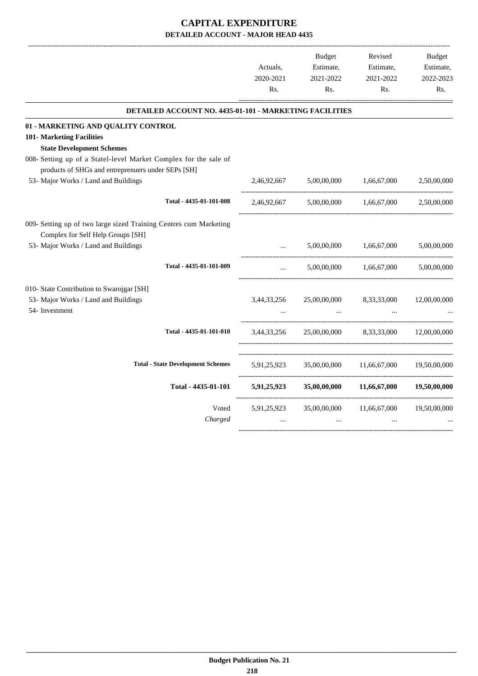|                                                                                                        | Actuals,    | <b>Budget</b><br>Estimate, | Revised<br>Estimate,                  | <b>Budget</b><br>Estimate, |
|--------------------------------------------------------------------------------------------------------|-------------|----------------------------|---------------------------------------|----------------------------|
|                                                                                                        | 2020-2021   | 2021-2022                  | 2021-2022                             | 2022-2023                  |
|                                                                                                        | Rs.         | R <sub>s</sub> .           | Rs.                                   | Rs.                        |
| <b>DETAILED ACCOUNT NO. 4435-01-101 - MARKETING FACILITIES</b>                                         |             |                            |                                       |                            |
| 01 - MARKETING AND QUALITY CONTROL                                                                     |             |                            |                                       |                            |
| 101- Marketing Facilities                                                                              |             |                            |                                       |                            |
| <b>State Development Schemes</b>                                                                       |             |                            |                                       |                            |
| 008- Setting up of a Statel-level Market Complex for the sale of                                       |             |                            |                                       |                            |
| products of SHGs and entreprenuers under SEPs [SH]                                                     |             |                            |                                       |                            |
| 53- Major Works / Land and Buildings                                                                   | 2,46,92,667 | 5,00,00,000                | 1,66,67,000                           | 2,50,00,000                |
| Total - 4435-01-101-008                                                                                | 2,46,92,667 |                            | $5,00,00,000$ $1,66,67,000$           | 2,50,00,000                |
| 009- Setting up of two large sized Training Centres cum Marketing<br>Complex for Self Help Groups [SH] |             |                            |                                       |                            |
| 53- Major Works / Land and Buildings                                                                   |             | 5,00,00,000                | 1,66,67,000                           | 5,00,00,000                |
| Total - 4435-01-101-009                                                                                |             | 5,00,00,000                | 1,66,67,000                           | 5,00,00,000                |
| 010- State Contribution to Swarojgar [SH]                                                              |             |                            |                                       |                            |
| 53- Major Works / Land and Buildings                                                                   | 3,44,33,256 | 25,00,00,000               | 8,33,33,000                           | 12,00,00,000               |
| 54- Investment                                                                                         |             |                            |                                       |                            |
| Total - 4435-01-101-010                                                                                | 3,44,33,256 |                            | 25,00,00,000 8,33,33,000 12,00,00,000 |                            |
| <b>Total - State Development Schemes</b>                                                               | 5,91,25,923 | 35,00,00,000               | 11,66,67,000                          | 19,50,00,000               |
| Total - 4435-01-101                                                                                    | 5,91,25,923 | 35,00,00,000               | 11,66,67,000                          | 19,50,00,000               |
| Voted                                                                                                  | 5,91,25,923 | 35,00,00,000               | 11,66,67,000                          | 19,50,00,000               |
| Charged                                                                                                |             |                            |                                       |                            |
|                                                                                                        |             |                            |                                       |                            |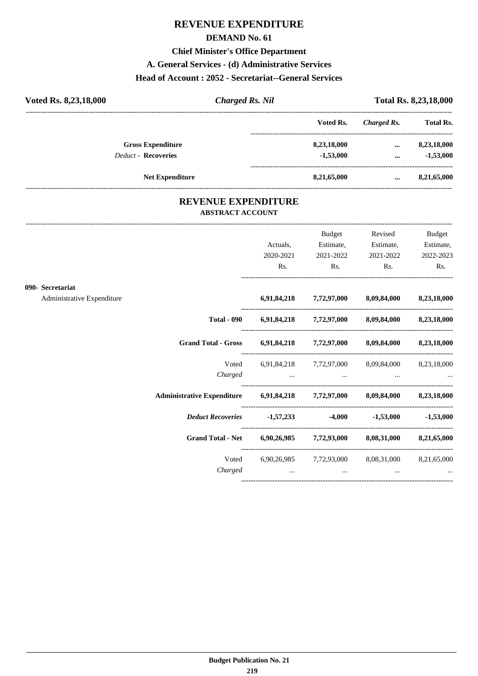## **REVENUE EXPENDITURE**

#### **DEMAND No. 61**

#### **Chief Minister's Office Department**

#### **A. General Services - (d) Administrative Services**

#### **Head of Account : 2052 - Secretariat--General Services**

|                        | Total Rs. 8,23,18,000                                  |  |
|------------------------|--------------------------------------------------------|--|
| Charged Rs.            | <b>Total Rs.</b>                                       |  |
| $\cdots$               | 8,23,18,000                                            |  |
| $\cdots$               | $-1,53,000$                                            |  |
| $\cdots$               | 8,21,65,000                                            |  |
| <b>Charged Rs. Nil</b> | Voted Rs.<br>8,23,18,000<br>$-1,53,000$<br>8,21,65,000 |  |

#### **REVENUE EXPENDITURE ABSTRACT ACCOUNT**

---------------------------------------------------------------------------------------------------------------------------------------------------------------------------------

| Rs. | 2021-2022 | $\mathbf{Rs.}$ | Estimate,<br>Estimate,<br>2021-2022 2022-2023<br>Rs.                                                                                                                                                                                                                                                                                                                                                                                                                                                                                                          |
|-----|-----------|----------------|---------------------------------------------------------------------------------------------------------------------------------------------------------------------------------------------------------------------------------------------------------------------------------------------------------------------------------------------------------------------------------------------------------------------------------------------------------------------------------------------------------------------------------------------------------------|
|     |           |                |                                                                                                                                                                                                                                                                                                                                                                                                                                                                                                                                                               |
|     |           |                |                                                                                                                                                                                                                                                                                                                                                                                                                                                                                                                                                               |
|     |           |                |                                                                                                                                                                                                                                                                                                                                                                                                                                                                                                                                                               |
|     |           |                |                                                                                                                                                                                                                                                                                                                                                                                                                                                                                                                                                               |
|     |           |                |                                                                                                                                                                                                                                                                                                                                                                                                                                                                                                                                                               |
|     |           |                | $-1,53,000$                                                                                                                                                                                                                                                                                                                                                                                                                                                                                                                                                   |
|     |           |                |                                                                                                                                                                                                                                                                                                                                                                                                                                                                                                                                                               |
|     |           |                | <b>Second Contract Contract</b>                                                                                                                                                                                                                                                                                                                                                                                                                                                                                                                               |
|     | 2020-2021 |                | $\mathbf{Rs.}$<br>6,91,84,218 7,72,97,000 8,09,84,000 8,23,18,000<br>Total - 090 6,91,84,218 7,72,97,000 8,09,84,000 8,23,18,000<br>Grand Total - Gross 6,91,84,218 7,72,97,000 8,09,84,000 8,23,18,000<br>6,91,84,218 7,72,97,000 8,09,84,000 8,23,18,000<br>Administrative Expenditure 6,91,84,218 7,72,97,000 8,09,84,000 8,23,18,000<br><i>Deduct Recoveries</i> -1,57,233 -4,000 -1,53,000<br>Grand Total - Net 6,90,26,985 7,72,93,000 8,08,31,000 8,21,65,000<br>Voted 6,90,26,985 7,72,93,000 8,08,31,000 8,21,65,000<br>and the contract of the con- |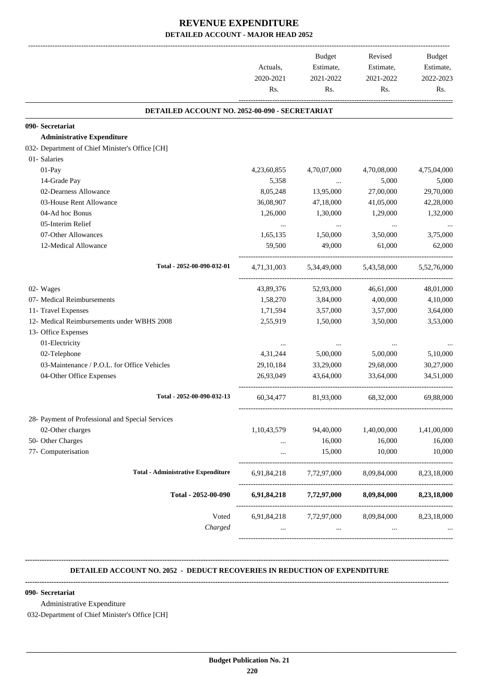|             | <b>Budget</b>                     | Revised                                                                                              | Budget<br>Estimate,<br>2022-2023                                                                                                               |
|-------------|-----------------------------------|------------------------------------------------------------------------------------------------------|------------------------------------------------------------------------------------------------------------------------------------------------|
|             |                                   |                                                                                                      |                                                                                                                                                |
| Rs.         | Rs.                               | Rs.                                                                                                  | Rs.                                                                                                                                            |
|             |                                   |                                                                                                      |                                                                                                                                                |
|             |                                   |                                                                                                      |                                                                                                                                                |
|             |                                   |                                                                                                      |                                                                                                                                                |
|             |                                   |                                                                                                      |                                                                                                                                                |
|             |                                   |                                                                                                      |                                                                                                                                                |
| 4,23,60,855 | 4,70,07,000                       | 4,70,08,000                                                                                          | 4,75,04,000                                                                                                                                    |
| 5,358       | $\cdots$                          | 5,000                                                                                                | 5,000                                                                                                                                          |
| 8,05,248    | 13,95,000                         | 27,00,000                                                                                            | 29,70,000                                                                                                                                      |
| 36,08,907   |                                   | 41,05,000                                                                                            | 42,28,000                                                                                                                                      |
|             | 1,30,000                          | 1,29,000                                                                                             | 1,32,000                                                                                                                                       |
| $\cdots$    | $\cdots$                          | $\cdots$                                                                                             |                                                                                                                                                |
| 1,65,135    | 1,50,000                          | 3,50,000                                                                                             | 3,75,000                                                                                                                                       |
| 59,500      | 49,000                            | 61,000                                                                                               | 62,000                                                                                                                                         |
| 4,71,31,003 | 5,34,49,000                       | 5,43,58,000                                                                                          | 5,52,76,000                                                                                                                                    |
| 43,89,376   | 52,93,000                         | 46,61,000                                                                                            | 48,01,000                                                                                                                                      |
| 1,58,270    | 3,84,000                          | 4,00,000                                                                                             | 4,10,000                                                                                                                                       |
| 1,71,594    | 3,57,000                          | 3,57,000                                                                                             | 3,64,000                                                                                                                                       |
| 2,55,919    | 1,50,000                          | 3,50,000                                                                                             | 3,53,000                                                                                                                                       |
|             |                                   |                                                                                                      |                                                                                                                                                |
|             |                                   |                                                                                                      |                                                                                                                                                |
| 4,31,244    | 5,00,000                          | 5,00,000                                                                                             | 5,10,000                                                                                                                                       |
| 29, 10, 184 | 33,29,000                         | 29,68,000                                                                                            | 30,27,000                                                                                                                                      |
| 26.93.049   | 43,64,000                         | 33,64,000                                                                                            | 34,51,000                                                                                                                                      |
| 60, 34, 477 | 81,93,000                         | 68,32,000                                                                                            | 69,88,000                                                                                                                                      |
|             |                                   |                                                                                                      |                                                                                                                                                |
| 1,10,43,579 | 94,40,000                         |                                                                                                      | 1,41,00,000                                                                                                                                    |
| $\cdots$    | 16,000                            | 16,000                                                                                               | 16,000                                                                                                                                         |
| $\cdots$    | 15,000                            | 10,000                                                                                               | 10,000                                                                                                                                         |
| 6,91,84,218 |                                   |                                                                                                      | 8,23,18,000                                                                                                                                    |
|             |                                   |                                                                                                      | 8,23,18,000                                                                                                                                    |
|             |                                   |                                                                                                      |                                                                                                                                                |
| $\cdots$    | $\cdots$                          | $\cdots$                                                                                             |                                                                                                                                                |
|             | Actuals,<br>2020-2021<br>1,26,000 | Estimate,<br>2021-2022<br>DETAILED ACCOUNT NO. 2052-00-090 - SECRETARIAT<br>47,18,000<br>6,91,84,218 | Estimate,<br>2021-2022<br>1,40,00,000<br>7,72,97,000 8,09,84,000<br>7,72,97,000 8,09,84,000<br>6,91,84,218 7,72,97,000 8,09,84,000 8,23,18,000 |

#### **-------------------------------------------------------------------------------------------------------------------------------------------------------------------------------- DETAILED ACCOUNT NO. 2052 - DEDUCT RECOVERIES IN REDUCTION OF EXPENDITURE**

**--------------------------------------------------------------------------------------------------------------------------------------------------------------------------------**

 **\_\_\_\_\_\_\_\_\_\_\_\_\_\_\_\_\_\_\_\_\_\_\_\_\_\_\_\_\_\_\_\_\_\_\_\_\_\_\_\_\_\_\_\_\_\_\_\_\_\_\_\_\_\_\_\_\_\_\_\_\_\_\_\_\_\_\_\_\_\_\_\_\_\_\_\_\_\_\_\_\_\_\_\_\_\_\_\_\_\_\_\_\_\_\_\_\_\_\_\_\_\_\_\_\_\_\_\_\_\_\_\_\_\_\_\_\_\_\_**

#### **090- Secretariat**

Administrative Expenditure

032-Department of Chief Minister's Office [CH]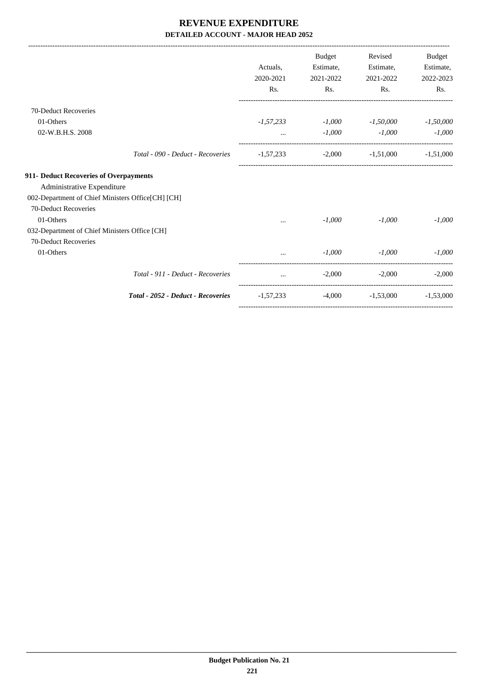|                                                   |                                    |                  | <b>Budget</b> | Revised                          | Budget      |
|---------------------------------------------------|------------------------------------|------------------|---------------|----------------------------------|-------------|
|                                                   |                                    | Actuals,         | Estimate,     | Estimate,                        | Estimate,   |
|                                                   |                                    | 2020-2021        | 2021-2022     | 2021-2022                        | 2022-2023   |
|                                                   |                                    | R <sub>s</sub> . | Rs.           | Rs.                              | Rs.         |
| 70-Deduct Recoveries                              |                                    |                  |               |                                  |             |
| 01-Others                                         |                                    | $-1,57,233$      |               | $-1,000$ $-1,50,000$             | $-1,50,000$ |
| 02-W.B.H.S. 2008                                  |                                    |                  | $-1,000$      | $-1,000$                         | $-1,000$    |
|                                                   | Total - 090 - Deduct - Recoveries  | $-1,57,233$      |               | $-2,000$ $-1,51,000$ $-1,51,000$ |             |
| 911- Deduct Recoveries of Overpayments            |                                    |                  |               |                                  |             |
| Administrative Expenditure                        |                                    |                  |               |                                  |             |
| 002-Department of Chief Ministers Office[CH] [CH] |                                    |                  |               |                                  |             |
| 70-Deduct Recoveries                              |                                    |                  |               |                                  |             |
| 01-Others                                         |                                    | $\cdots$         | $-1,000$      | $-1,000$                         | $-1,000$    |
| 032-Department of Chief Ministers Office [CH]     |                                    |                  |               |                                  |             |
| 70-Deduct Recoveries                              |                                    |                  |               |                                  |             |
| 01-Others                                         |                                    |                  | $-1,000$      | $-1,000$                         | $-1,000$    |
|                                                   | Total - 911 - Deduct - Recoveries  | and the company  | $-2,000$      | $-2,000$                         | $-2,000$    |
|                                                   | Total - 2052 - Deduct - Recoveries | -1,57,233        | $-4,000$      | $-1,53,000$                      | $-1.53,000$ |
|                                                   |                                    |                  |               |                                  |             |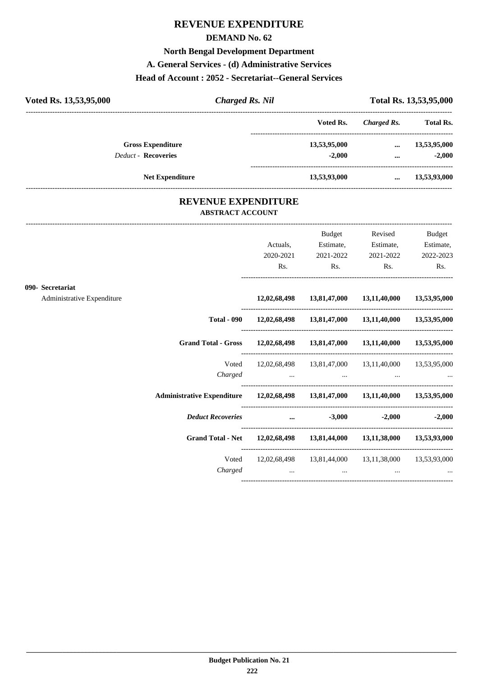## **REVENUE EXPENDITURE**

#### **DEMAND No. 62**

#### **North Bengal Development Department**

#### **A. General Services - (d) Administrative Services**

### **Head of Account : 2052 - Secretariat--General Services**

| Voted Rs. 13,53,95,000     | <b>Charged Rs. Nil</b> |              | Total Rs. 13,53,95,000 |                  |
|----------------------------|------------------------|--------------|------------------------|------------------|
|                            |                        | Voted Rs.    | Charged Rs.            | <b>Total Rs.</b> |
| <b>Gross Expenditure</b>   |                        | 13,53,95,000 | $\cdots$               | 13,53,95,000     |
| <b>Deduct - Recoveries</b> |                        | $-2.000$     | $\cdots$               | $-2.000$         |
| <b>Net Expenditure</b>     |                        | 13,53,93,000 | $\cdots$               | 13,53,93,000     |

#### **REVENUE EXPENDITURE ABSTRACT ACCOUNT**

---------------------------------------------------------------------------------------------------------------------------------------------------------------------------------

|                                                |                                                                                                                                                                                                                                | Actuals,<br>2020-2021                               | Budget<br>Estimate,<br>2021-2022 | Revised<br>Estimate,<br>2021-2022                                                                                                                                      | <b>Budget</b><br>Estimate,<br>2022-2023 |
|------------------------------------------------|--------------------------------------------------------------------------------------------------------------------------------------------------------------------------------------------------------------------------------|-----------------------------------------------------|----------------------------------|------------------------------------------------------------------------------------------------------------------------------------------------------------------------|-----------------------------------------|
|                                                |                                                                                                                                                                                                                                | Rs.                                                 | Rs.                              | $\mathbf{Rs.}$                                                                                                                                                         | Rs.                                     |
| 090- Secretariat<br>Administrative Expenditure |                                                                                                                                                                                                                                |                                                     |                                  | 12,02,68,498 13,81,47,000 13,11,40,000 13,53,95,000                                                                                                                    |                                         |
|                                                |                                                                                                                                                                                                                                |                                                     |                                  | Total - 090 12,02,68,498 13,81,47,000 13,11,40,000 13,53,95,000                                                                                                        |                                         |
|                                                | Grand Total - Gross 12,02,68,498 13,81,47,000 13,11,40,000 13,53,95,000                                                                                                                                                        |                                                     |                                  |                                                                                                                                                                        |                                         |
|                                                | Voted<br>Charged                                                                                                                                                                                                               |                                                     |                                  | 12,02,68,498 13,81,47,000 13,11,40,000 13,53,95,000<br>the contract of the contract of the contract of the contract of the contract of the contract of the contract of |                                         |
|                                                | Administrative Expenditure 12,02,68,498 13,81,47,000 13,11,40,000 13,53,95,000                                                                                                                                                 |                                                     |                                  |                                                                                                                                                                        |                                         |
|                                                | Deduct Recoveries and the set of the set of the set of the set of the set of the set of the set of the set of the set of the set of the set of the set of the set of the set of the set of the set of the set of the set of th |                                                     |                                  |                                                                                                                                                                        | $-2,000$ $-2,000$                       |
|                                                | Grand Total - Net 12,02,68,498 13,81,44,000 13,11,38,000 13,53,93,000                                                                                                                                                          |                                                     |                                  |                                                                                                                                                                        |                                         |
|                                                | Charged                                                                                                                                                                                                                        | the contract of the contract of the contract of the |                                  | Voted 12,02,68,498 13,81,44,000 13,11,38,000 13,53,93,000<br>$\cdots$                                                                                                  |                                         |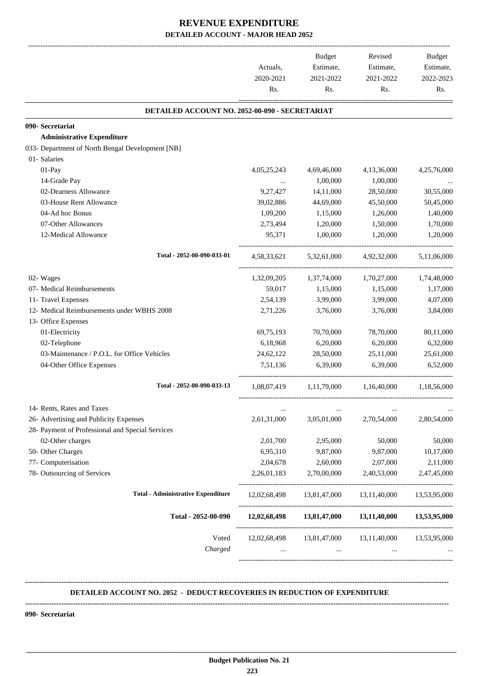|                                                  | Actuals,<br>2020-2021<br>Rs. | Budget<br>Estimate,<br>2021-2022<br>Rs. | Revised<br>Estimate,<br>2021-2022<br>Rs.            | <b>Budget</b><br>Estimate,<br>2022-2023<br>Rs. |
|--------------------------------------------------|------------------------------|-----------------------------------------|-----------------------------------------------------|------------------------------------------------|
| DETAILED ACCOUNT NO. 2052-00-090 - SECRETARIAT   |                              |                                         |                                                     |                                                |
| 090- Secretariat                                 |                              |                                         |                                                     |                                                |
| <b>Administrative Expenditure</b>                |                              |                                         |                                                     |                                                |
| 033- Department of North Bengal Development [NB] |                              |                                         |                                                     |                                                |
| 01- Salaries                                     |                              |                                         |                                                     |                                                |
| 01-Pay                                           | 4,05,25,243                  | 4,69,46,000                             | 4,13,36,000                                         | 4,25,76,000                                    |
| 14-Grade Pay                                     |                              | 1,00,000                                | 1,00,000                                            |                                                |
| 02-Dearness Allowance                            | 9,27,427                     | 14,11,000                               | 28,50,000                                           | 30,55,000                                      |
| 03-House Rent Allowance                          | 39,02,886                    | 44,69,000                               | 45,50,000                                           | 50,45,000                                      |
| 04-Ad hoc Bonus                                  | 1,09,200                     | 1,15,000                                | 1,26,000                                            | 1,40,000                                       |
| 07-Other Allowances                              | 2,73,494                     | 1,20,000                                | 1,50,000                                            | 1,70,000                                       |
| 12-Medical Allowance                             | 95,371                       | 1,00,000                                | 1,20,000                                            | 1,20,000                                       |
| Total - 2052-00-090-033-01                       | 4,58,33,621                  | 5,32,61,000                             | 4,92,32,000                                         | 5,11,06,000                                    |
| 02- Wages                                        |                              | 1,32,09,205 1,37,74,000                 | 1,70,27,000                                         | 1,74,48,000                                    |
| 07- Medical Reimbursements                       | 59,017                       | 1,15,000                                | 1,15,000                                            | 1,17,000                                       |
| 11- Travel Expenses                              | 2,54,139                     | 3,99,000                                | 3,99,000                                            | 4,07,000                                       |
| 12- Medical Reimbursements under WBHS 2008       | 2,71,226                     | 3,76,000                                | 3,76,000                                            | 3,84,000                                       |
| 13- Office Expenses                              |                              |                                         |                                                     |                                                |
| 01-Electricity                                   | 69,75,193                    | 70,70,000                               | 78,70,000                                           | 80,11,000                                      |
| 02-Telephone                                     | 6,18,968                     | 6,20,000                                | 6,20,000                                            | 6,32,000                                       |
| 03-Maintenance / P.O.L. for Office Vehicles      | 24,62,122                    | 28,50,000                               | 25,11,000                                           | 25,61,000                                      |
| 04-Other Office Expenses                         | 7,51,136                     | 6,39,000                                | 6,39,000                                            | 6,52,000                                       |
| Total - 2052-00-090-033-13                       |                              | 1,08,07,419 1,11,79,000 1,16,40,000     |                                                     | 1,18,56,000                                    |
| 14- Rents, Rates and Taxes                       | $\cdots$                     | $\cdots$                                |                                                     |                                                |
| 26- Advertising and Publicity Expenses           | 2,61,31,000                  | 3,05,01,000                             | 2,70,54,000                                         | 2,80,54,000                                    |
| 28- Payment of Professional and Special Services |                              |                                         |                                                     |                                                |
| 02-Other charges                                 | 2,01,700                     | 2,95,000                                | 50,000                                              | 50,000                                         |
| 50- Other Charges                                | 6,95,310                     | 9,87,000                                | 9,87,000                                            | 10,17,000                                      |
| 77- Computerisation                              | 2,04,678                     | 2,60,000                                | 2,07,000                                            | 2,11,000                                       |
| 78- Outsourcing of Services                      | 2,26,01,183                  | 2,70,00,000                             | 2,40,53,000                                         | 2,47,45,000                                    |
| <b>Total - Administrative Expenditure</b>        | 12,02,68,498                 |                                         | 13,81,47,000 13,11,40,000 13,53,95,000              |                                                |
| Total - 2052-00-090                              |                              |                                         | 12,02,68,498 13,81,47,000 13,11,40,000 13,53,95,000 |                                                |
| Voted<br>Charged                                 | 12,02,68,498<br>$\cdots$     | 13,81,47,000<br>$\cdots$                | 13,11,40,000<br>$\cdots$                            | 13,53,95,000                                   |

#### **DETAILED ACCOUNT NO. 2052 - DEDUCT RECOVERIES IN REDUCTION OF EXPENDITURE**

**--------------------------------------------------------------------------------------------------------------------------------------------------------------------------------**

 **\_\_\_\_\_\_\_\_\_\_\_\_\_\_\_\_\_\_\_\_\_\_\_\_\_\_\_\_\_\_\_\_\_\_\_\_\_\_\_\_\_\_\_\_\_\_\_\_\_\_\_\_\_\_\_\_\_\_\_\_\_\_\_\_\_\_\_\_\_\_\_\_\_\_\_\_\_\_\_\_\_\_\_\_\_\_\_\_\_\_\_\_\_\_\_\_\_\_\_\_\_\_\_\_\_\_\_\_\_\_\_\_\_\_\_\_\_\_\_**

**--------------------------------------------------------------------------------------------------------------------------------------------------------------------------------**

**090- Secretariat**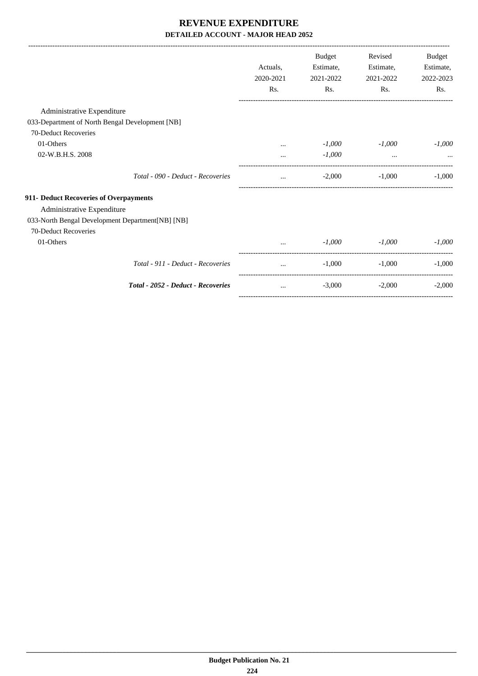|                                                  |           | <b>Budget</b> | Revised   | Budget    |
|--------------------------------------------------|-----------|---------------|-----------|-----------|
|                                                  | Actuals.  | Estimate,     | Estimate, | Estimate, |
|                                                  | 2020-2021 | 2021-2022     | 2021-2022 | 2022-2023 |
|                                                  | Rs.       | Rs.           | Rs.       | Rs.       |
| Administrative Expenditure                       |           |               |           |           |
| 033-Department of North Bengal Development [NB]  |           |               |           |           |
| 70-Deduct Recoveries                             |           |               |           |           |
| 01-Others                                        | $\ddotsc$ | $-1,000$      | $-1,000$  | $-1,000$  |
| 02-W.B.H.S. 2008                                 |           | $-1,000$      | $\cdots$  |           |
| Total - 090 - Deduct - Recoveries                | $\cdots$  | $-2,000$      | $-1,000$  | $-1,000$  |
| 911- Deduct Recoveries of Overpayments           |           |               |           |           |
| Administrative Expenditure                       |           |               |           |           |
| 033-North Bengal Development Department[NB] [NB] |           |               |           |           |
| 70-Deduct Recoveries                             |           |               |           |           |
| 01-Others                                        |           | $-1,000$      | $-1,000$  | $-1,000$  |
| Total - 911 - Deduct - Recoveries                | $\cdots$  | $-1,000$      | $-1,000$  | $-1,000$  |
| Total - 2052 - Deduct - Recoveries               | $\cdots$  | $-3,000$      | $-2,000$  | $-2,000$  |
|                                                  |           |               |           |           |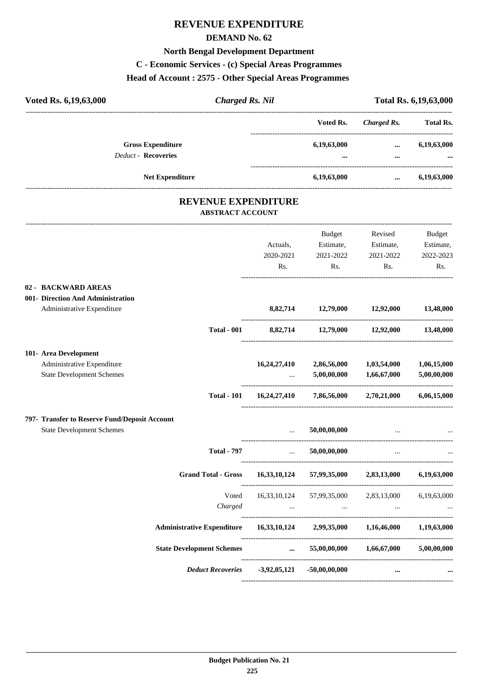# **REVENUE EXPENDITURE**

### **DEMAND No. 62**

## **North Bengal Development Department**

#### **C - Economic Services - (c) Special Areas Programmes**

#### **Head of Account : 2575 - Other Special Areas Programmes**

| Voted Rs. 6,19,63,000<br><b>Charged Rs. Nil</b>                                 |                      |                                                         |                          | Total Rs. 6,19,63,000 |
|---------------------------------------------------------------------------------|----------------------|---------------------------------------------------------|--------------------------|-----------------------|
|                                                                                 |                      | Voted Rs.                                               | <b>Charged Rs.</b>       | <b>Total Rs.</b>      |
| <b>Gross Expenditure</b>                                                        |                      | 6,19,63,000                                             | $\cdots$                 | 6,19,63,000           |
| <b>Deduct - Recoveries</b>                                                      |                      |                                                         | $\cdots$                 |                       |
| Net Expenditure                                                                 |                      | 6,19,63,000                                             | $\cdots$                 | 6,19,63,000           |
| <b>REVENUE EXPENDITURE</b><br><b>ABSTRACT ACCOUNT</b>                           |                      |                                                         |                          |                       |
|                                                                                 |                      | Budget                                                  | Revised                  | <b>Budget</b>         |
|                                                                                 | Actuals,             | Estimate,                                               | Estimate,                | Estimate,             |
|                                                                                 | 2020-2021            | 2021-2022                                               | 2021-2022                | 2022-2023             |
|                                                                                 | Rs.                  | Rs.                                                     | Rs.                      | Rs.                   |
| 02 - BACKWARD AREAS                                                             |                      |                                                         |                          |                       |
| 001- Direction And Administration                                               |                      |                                                         |                          |                       |
| Administrative Expenditure                                                      |                      | 8,82,714 12,79,000                                      | 12,92,000                | 13,48,000             |
| <b>Total - 001</b>                                                              |                      | 8,82,714 12,79,000 12,92,000 13,48,000                  |                          |                       |
| 101- Area Development                                                           |                      |                                                         |                          |                       |
| Administrative Expenditure                                                      | 16,24,27,410         | 2,86,56,000                                             | 1,03,54,000              | 1,06,15,000           |
| <b>State Development Schemes</b>                                                |                      | 5,00,00,000                                             | 1,66,67,000              | 5,00,00,000           |
| <b>Total - 101</b>                                                              |                      | $16,24,27,410$ $7,86,56,000$ $2,70,21,000$              |                          | 6,06,15,000           |
| 797- Transfer to Reserve Fund/Deposit Account                                   |                      |                                                         |                          |                       |
| <b>State Development Schemes</b>                                                |                      | 50,00,00,000                                            |                          |                       |
| <b>Total - 797</b>                                                              | $\mathbf{r}$         | 50,00,00,000                                            | $\cdots$                 |                       |
| Grand Total - Gross 16,33,10,124 57,99,35,000 2,83,13,000 6,19,63,000           |                      |                                                         |                          |                       |
|                                                                                 |                      | Voted 16,33,10,124 57,99,35,000 2,83,13,000 6,19,63,000 |                          |                       |
|                                                                                 |                      |                                                         |                          |                       |
| Administrative Expenditure  16,33,10,124  2,99,35,000  1,16,46,000  1,19,63,000 |                      |                                                         |                          |                       |
| <b>State Development Schemes</b>                                                | $\sim$ $\sim$ $\sim$ |                                                         | 55,00,00,000 1,66,67,000 | 5,00,00,000           |
| Deduct Recoveries -3,92,05,121                                                  |                      | $-50,00,00,000$                                         | $\cdots$                 |                       |

----------------------------------------------------------------------------------------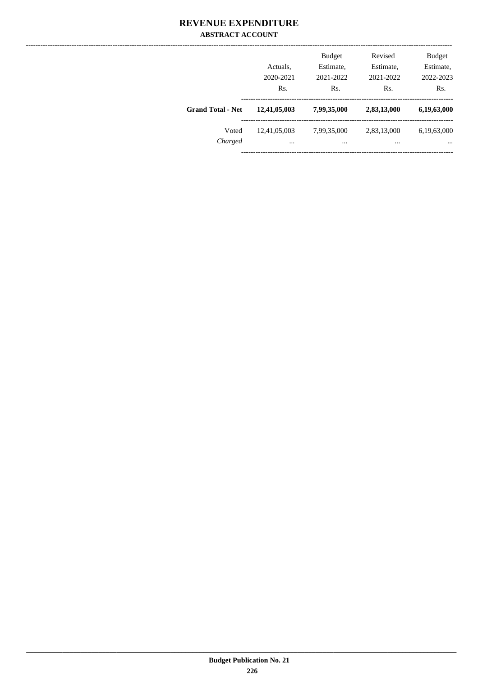### **REVENUE EXPENDITURE ABSTRACT ACCOUNT**

|                          | Actuals,<br>2020-2021<br>Rs. | <b>Budget</b><br>Estimate,<br>2021-2022<br>Rs. | Revised<br>Estimate,<br>2021-2022<br>Rs. | <b>Budget</b><br>Estimate,<br>2022-2023<br>Rs. |
|--------------------------|------------------------------|------------------------------------------------|------------------------------------------|------------------------------------------------|
| <b>Grand Total - Net</b> | 12,41,05,003                 | 7,99,35,000                                    | 2,83,13,000                              | 6,19,63,000                                    |
| Voted<br>Charged         | 12,41,05,003<br>             | 7,99,35,000<br>                                | 2,83,13,000<br>                          | 6,19,63,000<br>$\cdots$                        |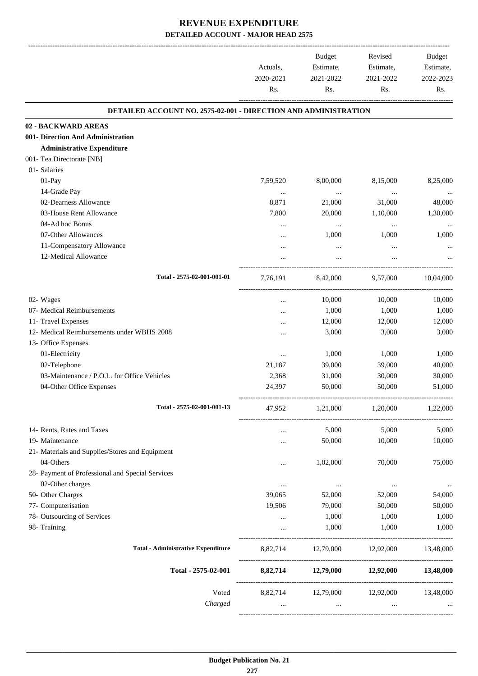| <b>DETAILED ACCOUNT NO. 2575-02-001 - DIRECTION AND ADMINISTRATION</b><br><b>Administrative Expenditure</b><br>01- Salaries<br>01-Pay<br>7,59,520<br>8,00,000<br>8,15,000<br>14-Grade Pay<br>$\ldots$<br>$\cdots$<br><br>02-Dearness Allowance<br>8,871<br>21,000<br>31,000<br>03-House Rent Allowance<br>7,800<br>20,000<br>1,10,000<br>04-Ad hoc Bonus<br>$\cdots$<br>$\cdots$<br><br>07-Other Allowances<br>1,000<br>1,000<br>$\ddotsc$<br>11-Compensatory Allowance<br><br>12-Medical Allowance<br>Total - 2575-02-001-001-01<br>7,76,191<br>8,42,000<br>9,57,000<br>02- Wages<br>10,000<br>10,000<br><br>07- Medical Reimbursements<br>1,000<br>1,000<br><br>11- Travel Expenses<br>12,000<br>12,000<br><br>12- Medical Reimbursements under WBHS 2008<br>3,000<br>3,000<br><br>13- Office Expenses<br>01-Electricity<br>1,000<br>1,000<br><br>02-Telephone<br>21,187<br>39,000<br>39,000<br>03-Maintenance / P.O.L. for Office Vehicles<br>2,368<br>31,000<br>30,000<br>04-Other Office Expenses<br>24,397<br>50,000<br>50,000<br>Total - 2575-02-001-001-13<br>47,952<br>1,21,000<br>1,20,000<br>14- Rents, Rates and Taxes<br>5,000<br>5,000<br>$\cdots$<br>19- Maintenance<br>50,000<br>10,000<br>$\cdots$<br>21- Materials and Supplies/Stores and Equipment<br>04-Others<br>70,000<br>1,02,000<br><br>28- Payment of Professional and Special Services<br>02-Other charges<br>$\cdots$<br>$\ldots$<br>$\ldots$<br>50- Other Charges<br>39,065<br>52,000<br>52,000<br>77- Computerisation<br>19,506<br>79,000<br>50,000<br>78- Outsourcing of Services<br>1,000<br>1,000<br>$\cdots$<br>98- Training<br>1,000<br>1,000<br>$\cdots$<br><b>Total - Administrative Expenditure</b><br>8,82,714 12,79,000 12,92,000<br>13,48,000<br>Total - 2575-02-001<br>8,82,714 12,79,000 12,92,000 13,48,000<br>Voted<br>8,82,714 12,79,000 12,92,000 13,48,000<br>Charged<br>$\mathbf{r}$ and $\mathbf{r}$ are the set of $\mathbf{r}$<br>$\cdots$<br>$\ddotsc$ | Actuals,<br>2020-2021<br>Rs. | Budget<br>Estimate,<br>2021-2022<br>Rs. | Revised<br>Estimate,<br>2021-2022<br>Rs. | Budget<br>Estimate,<br>2022-2023<br>Rs. |
|-------------------------------------------------------------------------------------------------------------------------------------------------------------------------------------------------------------------------------------------------------------------------------------------------------------------------------------------------------------------------------------------------------------------------------------------------------------------------------------------------------------------------------------------------------------------------------------------------------------------------------------------------------------------------------------------------------------------------------------------------------------------------------------------------------------------------------------------------------------------------------------------------------------------------------------------------------------------------------------------------------------------------------------------------------------------------------------------------------------------------------------------------------------------------------------------------------------------------------------------------------------------------------------------------------------------------------------------------------------------------------------------------------------------------------------------------------------------------------------------------------------------------------------------------------------------------------------------------------------------------------------------------------------------------------------------------------------------------------------------------------------------------------------------------------------------------------------------------------------------------------------------------------------------------------------------------------------|------------------------------|-----------------------------------------|------------------------------------------|-----------------------------------------|
| 02 - BACKWARD AREAS                                                                                                                                                                                                                                                                                                                                                                                                                                                                                                                                                                                                                                                                                                                                                                                                                                                                                                                                                                                                                                                                                                                                                                                                                                                                                                                                                                                                                                                                                                                                                                                                                                                                                                                                                                                                                                                                                                                                         |                              |                                         |                                          |                                         |
| 001- Direction And Administration<br>001- Tea Directorate [NB]                                                                                                                                                                                                                                                                                                                                                                                                                                                                                                                                                                                                                                                                                                                                                                                                                                                                                                                                                                                                                                                                                                                                                                                                                                                                                                                                                                                                                                                                                                                                                                                                                                                                                                                                                                                                                                                                                              |                              |                                         |                                          |                                         |
|                                                                                                                                                                                                                                                                                                                                                                                                                                                                                                                                                                                                                                                                                                                                                                                                                                                                                                                                                                                                                                                                                                                                                                                                                                                                                                                                                                                                                                                                                                                                                                                                                                                                                                                                                                                                                                                                                                                                                             |                              |                                         |                                          |                                         |
|                                                                                                                                                                                                                                                                                                                                                                                                                                                                                                                                                                                                                                                                                                                                                                                                                                                                                                                                                                                                                                                                                                                                                                                                                                                                                                                                                                                                                                                                                                                                                                                                                                                                                                                                                                                                                                                                                                                                                             |                              |                                         |                                          |                                         |
|                                                                                                                                                                                                                                                                                                                                                                                                                                                                                                                                                                                                                                                                                                                                                                                                                                                                                                                                                                                                                                                                                                                                                                                                                                                                                                                                                                                                                                                                                                                                                                                                                                                                                                                                                                                                                                                                                                                                                             |                              |                                         |                                          |                                         |
|                                                                                                                                                                                                                                                                                                                                                                                                                                                                                                                                                                                                                                                                                                                                                                                                                                                                                                                                                                                                                                                                                                                                                                                                                                                                                                                                                                                                                                                                                                                                                                                                                                                                                                                                                                                                                                                                                                                                                             |                              |                                         |                                          |                                         |
|                                                                                                                                                                                                                                                                                                                                                                                                                                                                                                                                                                                                                                                                                                                                                                                                                                                                                                                                                                                                                                                                                                                                                                                                                                                                                                                                                                                                                                                                                                                                                                                                                                                                                                                                                                                                                                                                                                                                                             |                              |                                         |                                          | 8,25,000                                |
|                                                                                                                                                                                                                                                                                                                                                                                                                                                                                                                                                                                                                                                                                                                                                                                                                                                                                                                                                                                                                                                                                                                                                                                                                                                                                                                                                                                                                                                                                                                                                                                                                                                                                                                                                                                                                                                                                                                                                             |                              |                                         |                                          |                                         |
|                                                                                                                                                                                                                                                                                                                                                                                                                                                                                                                                                                                                                                                                                                                                                                                                                                                                                                                                                                                                                                                                                                                                                                                                                                                                                                                                                                                                                                                                                                                                                                                                                                                                                                                                                                                                                                                                                                                                                             |                              |                                         |                                          | 48,000                                  |
|                                                                                                                                                                                                                                                                                                                                                                                                                                                                                                                                                                                                                                                                                                                                                                                                                                                                                                                                                                                                                                                                                                                                                                                                                                                                                                                                                                                                                                                                                                                                                                                                                                                                                                                                                                                                                                                                                                                                                             |                              |                                         |                                          | 1,30,000                                |
|                                                                                                                                                                                                                                                                                                                                                                                                                                                                                                                                                                                                                                                                                                                                                                                                                                                                                                                                                                                                                                                                                                                                                                                                                                                                                                                                                                                                                                                                                                                                                                                                                                                                                                                                                                                                                                                                                                                                                             |                              |                                         |                                          |                                         |
|                                                                                                                                                                                                                                                                                                                                                                                                                                                                                                                                                                                                                                                                                                                                                                                                                                                                                                                                                                                                                                                                                                                                                                                                                                                                                                                                                                                                                                                                                                                                                                                                                                                                                                                                                                                                                                                                                                                                                             |                              |                                         |                                          | 1,000                                   |
|                                                                                                                                                                                                                                                                                                                                                                                                                                                                                                                                                                                                                                                                                                                                                                                                                                                                                                                                                                                                                                                                                                                                                                                                                                                                                                                                                                                                                                                                                                                                                                                                                                                                                                                                                                                                                                                                                                                                                             |                              |                                         |                                          |                                         |
|                                                                                                                                                                                                                                                                                                                                                                                                                                                                                                                                                                                                                                                                                                                                                                                                                                                                                                                                                                                                                                                                                                                                                                                                                                                                                                                                                                                                                                                                                                                                                                                                                                                                                                                                                                                                                                                                                                                                                             |                              |                                         |                                          |                                         |
|                                                                                                                                                                                                                                                                                                                                                                                                                                                                                                                                                                                                                                                                                                                                                                                                                                                                                                                                                                                                                                                                                                                                                                                                                                                                                                                                                                                                                                                                                                                                                                                                                                                                                                                                                                                                                                                                                                                                                             |                              |                                         |                                          | 10.04.000                               |
|                                                                                                                                                                                                                                                                                                                                                                                                                                                                                                                                                                                                                                                                                                                                                                                                                                                                                                                                                                                                                                                                                                                                                                                                                                                                                                                                                                                                                                                                                                                                                                                                                                                                                                                                                                                                                                                                                                                                                             |                              |                                         |                                          | 10,000                                  |
|                                                                                                                                                                                                                                                                                                                                                                                                                                                                                                                                                                                                                                                                                                                                                                                                                                                                                                                                                                                                                                                                                                                                                                                                                                                                                                                                                                                                                                                                                                                                                                                                                                                                                                                                                                                                                                                                                                                                                             |                              |                                         |                                          | 1,000                                   |
|                                                                                                                                                                                                                                                                                                                                                                                                                                                                                                                                                                                                                                                                                                                                                                                                                                                                                                                                                                                                                                                                                                                                                                                                                                                                                                                                                                                                                                                                                                                                                                                                                                                                                                                                                                                                                                                                                                                                                             |                              |                                         |                                          | 12,000                                  |
|                                                                                                                                                                                                                                                                                                                                                                                                                                                                                                                                                                                                                                                                                                                                                                                                                                                                                                                                                                                                                                                                                                                                                                                                                                                                                                                                                                                                                                                                                                                                                                                                                                                                                                                                                                                                                                                                                                                                                             |                              |                                         |                                          | 3,000                                   |
|                                                                                                                                                                                                                                                                                                                                                                                                                                                                                                                                                                                                                                                                                                                                                                                                                                                                                                                                                                                                                                                                                                                                                                                                                                                                                                                                                                                                                                                                                                                                                                                                                                                                                                                                                                                                                                                                                                                                                             |                              |                                         |                                          |                                         |
|                                                                                                                                                                                                                                                                                                                                                                                                                                                                                                                                                                                                                                                                                                                                                                                                                                                                                                                                                                                                                                                                                                                                                                                                                                                                                                                                                                                                                                                                                                                                                                                                                                                                                                                                                                                                                                                                                                                                                             |                              |                                         |                                          | 1,000                                   |
|                                                                                                                                                                                                                                                                                                                                                                                                                                                                                                                                                                                                                                                                                                                                                                                                                                                                                                                                                                                                                                                                                                                                                                                                                                                                                                                                                                                                                                                                                                                                                                                                                                                                                                                                                                                                                                                                                                                                                             |                              |                                         |                                          | 40,000                                  |
|                                                                                                                                                                                                                                                                                                                                                                                                                                                                                                                                                                                                                                                                                                                                                                                                                                                                                                                                                                                                                                                                                                                                                                                                                                                                                                                                                                                                                                                                                                                                                                                                                                                                                                                                                                                                                                                                                                                                                             |                              |                                         |                                          | 30,000                                  |
|                                                                                                                                                                                                                                                                                                                                                                                                                                                                                                                                                                                                                                                                                                                                                                                                                                                                                                                                                                                                                                                                                                                                                                                                                                                                                                                                                                                                                                                                                                                                                                                                                                                                                                                                                                                                                                                                                                                                                             |                              |                                         |                                          | 51,000                                  |
|                                                                                                                                                                                                                                                                                                                                                                                                                                                                                                                                                                                                                                                                                                                                                                                                                                                                                                                                                                                                                                                                                                                                                                                                                                                                                                                                                                                                                                                                                                                                                                                                                                                                                                                                                                                                                                                                                                                                                             |                              |                                         |                                          | 1,22,000                                |
|                                                                                                                                                                                                                                                                                                                                                                                                                                                                                                                                                                                                                                                                                                                                                                                                                                                                                                                                                                                                                                                                                                                                                                                                                                                                                                                                                                                                                                                                                                                                                                                                                                                                                                                                                                                                                                                                                                                                                             |                              |                                         |                                          | 5,000                                   |
|                                                                                                                                                                                                                                                                                                                                                                                                                                                                                                                                                                                                                                                                                                                                                                                                                                                                                                                                                                                                                                                                                                                                                                                                                                                                                                                                                                                                                                                                                                                                                                                                                                                                                                                                                                                                                                                                                                                                                             |                              |                                         |                                          | 10,000                                  |
|                                                                                                                                                                                                                                                                                                                                                                                                                                                                                                                                                                                                                                                                                                                                                                                                                                                                                                                                                                                                                                                                                                                                                                                                                                                                                                                                                                                                                                                                                                                                                                                                                                                                                                                                                                                                                                                                                                                                                             |                              |                                         |                                          |                                         |
|                                                                                                                                                                                                                                                                                                                                                                                                                                                                                                                                                                                                                                                                                                                                                                                                                                                                                                                                                                                                                                                                                                                                                                                                                                                                                                                                                                                                                                                                                                                                                                                                                                                                                                                                                                                                                                                                                                                                                             |                              |                                         |                                          | 75,000                                  |
|                                                                                                                                                                                                                                                                                                                                                                                                                                                                                                                                                                                                                                                                                                                                                                                                                                                                                                                                                                                                                                                                                                                                                                                                                                                                                                                                                                                                                                                                                                                                                                                                                                                                                                                                                                                                                                                                                                                                                             |                              |                                         |                                          |                                         |
|                                                                                                                                                                                                                                                                                                                                                                                                                                                                                                                                                                                                                                                                                                                                                                                                                                                                                                                                                                                                                                                                                                                                                                                                                                                                                                                                                                                                                                                                                                                                                                                                                                                                                                                                                                                                                                                                                                                                                             |                              |                                         |                                          | $\cdots$                                |
|                                                                                                                                                                                                                                                                                                                                                                                                                                                                                                                                                                                                                                                                                                                                                                                                                                                                                                                                                                                                                                                                                                                                                                                                                                                                                                                                                                                                                                                                                                                                                                                                                                                                                                                                                                                                                                                                                                                                                             |                              |                                         |                                          | 54,000                                  |
|                                                                                                                                                                                                                                                                                                                                                                                                                                                                                                                                                                                                                                                                                                                                                                                                                                                                                                                                                                                                                                                                                                                                                                                                                                                                                                                                                                                                                                                                                                                                                                                                                                                                                                                                                                                                                                                                                                                                                             |                              |                                         |                                          | 50,000                                  |
|                                                                                                                                                                                                                                                                                                                                                                                                                                                                                                                                                                                                                                                                                                                                                                                                                                                                                                                                                                                                                                                                                                                                                                                                                                                                                                                                                                                                                                                                                                                                                                                                                                                                                                                                                                                                                                                                                                                                                             |                              |                                         |                                          | 1,000                                   |
|                                                                                                                                                                                                                                                                                                                                                                                                                                                                                                                                                                                                                                                                                                                                                                                                                                                                                                                                                                                                                                                                                                                                                                                                                                                                                                                                                                                                                                                                                                                                                                                                                                                                                                                                                                                                                                                                                                                                                             |                              |                                         |                                          | 1,000                                   |
|                                                                                                                                                                                                                                                                                                                                                                                                                                                                                                                                                                                                                                                                                                                                                                                                                                                                                                                                                                                                                                                                                                                                                                                                                                                                                                                                                                                                                                                                                                                                                                                                                                                                                                                                                                                                                                                                                                                                                             |                              |                                         |                                          |                                         |
|                                                                                                                                                                                                                                                                                                                                                                                                                                                                                                                                                                                                                                                                                                                                                                                                                                                                                                                                                                                                                                                                                                                                                                                                                                                                                                                                                                                                                                                                                                                                                                                                                                                                                                                                                                                                                                                                                                                                                             |                              |                                         |                                          |                                         |
|                                                                                                                                                                                                                                                                                                                                                                                                                                                                                                                                                                                                                                                                                                                                                                                                                                                                                                                                                                                                                                                                                                                                                                                                                                                                                                                                                                                                                                                                                                                                                                                                                                                                                                                                                                                                                                                                                                                                                             |                              |                                         |                                          |                                         |
|                                                                                                                                                                                                                                                                                                                                                                                                                                                                                                                                                                                                                                                                                                                                                                                                                                                                                                                                                                                                                                                                                                                                                                                                                                                                                                                                                                                                                                                                                                                                                                                                                                                                                                                                                                                                                                                                                                                                                             |                              |                                         |                                          |                                         |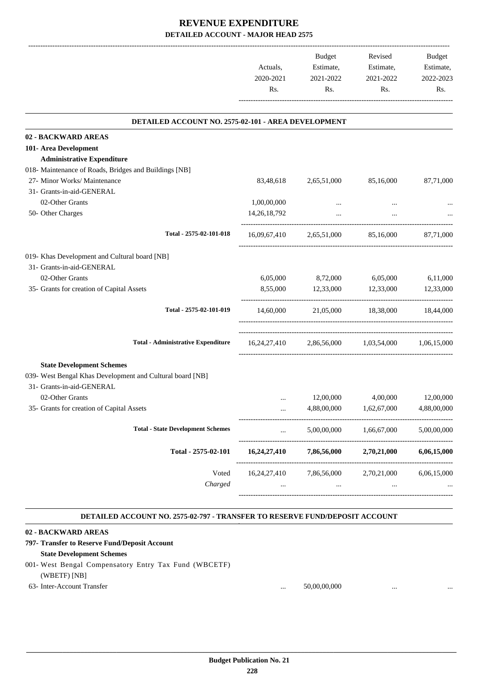|                                                           | Actuals,<br>2020-2021<br>Rs. | Budget<br>Estimate,<br>2021-2022<br>Rs.          | Revised<br>Estimate,<br>2021-2022<br>Rs. | Budget<br>Estimate,<br>2022-2023<br>Rs. |
|-----------------------------------------------------------|------------------------------|--------------------------------------------------|------------------------------------------|-----------------------------------------|
| DETAILED ACCOUNT NO. 2575-02-101 - AREA DEVELOPMENT       |                              |                                                  |                                          |                                         |
| 02 - BACKWARD AREAS                                       |                              |                                                  |                                          |                                         |
| 101- Area Development                                     |                              |                                                  |                                          |                                         |
| <b>Administrative Expenditure</b>                         |                              |                                                  |                                          |                                         |
| 018- Maintenance of Roads, Bridges and Buildings [NB]     |                              |                                                  |                                          |                                         |
| 27- Minor Works/ Maintenance                              | 83,48,618                    | 2,65,51,000                                      | 85,16,000                                | 87,71,000                               |
| 31- Grants-in-aid-GENERAL                                 |                              |                                                  |                                          |                                         |
| 02-Other Grants                                           | 1,00,00,000                  |                                                  |                                          |                                         |
| 50- Other Charges                                         | 14, 26, 18, 792              |                                                  |                                          |                                         |
| Total - 2575-02-101-018                                   | 16,09,67,410                 | 2,65,51,000                                      | 85,16,000                                | 87,71,000                               |
| 019- Khas Development and Cultural board [NB]             |                              |                                                  |                                          |                                         |
| 31- Grants-in-aid-GENERAL                                 |                              |                                                  |                                          |                                         |
| 02-Other Grants                                           | 6,05,000                     | 8,72,000                                         | 6,05,000                                 | 6,11,000                                |
| 35- Grants for creation of Capital Assets                 | 8,55,000                     | 12,33,000                                        | 12,33,000                                | 12,33,000                               |
| Total - 2575-02-101-019                                   |                              | 14,60,000 21,05,000 18,38,000 18,44,000          |                                          |                                         |
| <b>Total - Administrative Expenditure</b>                 |                              | 16,24,27,410 2,86,56,000 1,03,54,000 1,06,15,000 |                                          |                                         |
| <b>State Development Schemes</b>                          |                              |                                                  |                                          |                                         |
| 039- West Bengal Khas Development and Cultural board [NB] |                              |                                                  |                                          |                                         |
| 31- Grants-in-aid-GENERAL                                 |                              |                                                  |                                          |                                         |
| 02-Other Grants                                           |                              | 12,00,000                                        | 4,00,000                                 | 12,00,000                               |
| 35- Grants for creation of Capital Assets                 |                              | 4,88,00,000                                      | 1,62,67,000                              | 4,88,00,000                             |
| <b>Total - State Development Schemes</b>                  |                              | 5,00,00,000                                      | 1,66,67,000                              | 5,00,00,000                             |
| Total - 2575-02-101                                       | 16,24,27,410                 | 7,86,56,000                                      | 2,70,21,000                              | 6,06,15,000                             |
| Voted                                                     | 16,24,27,410                 | 7,86,56,000                                      | 2,70,21,000                              | 6,06,15,000                             |
| Charged                                                   |                              | $\cdots$                                         | $\cdots$                                 |                                         |

#### **DETAILED ACCOUNT NO. 2575-02-797 - TRANSFER TO RESERVE FUND/DEPOSIT ACCOUNT .**

-----------------------------------------------------------------------------------------

.

| 02 - BACKWARD AREAS                                   |          |              |          |  |
|-------------------------------------------------------|----------|--------------|----------|--|
| 797- Transfer to Reserve Fund/Deposit Account         |          |              |          |  |
| <b>State Development Schemes</b>                      |          |              |          |  |
| 001- West Bengal Compensatory Entry Tax Fund (WBCETF) |          |              |          |  |
| (WBETF) [NB]                                          |          |              |          |  |
| 63- Inter-Account Transfer                            | $\cdots$ | 50,00,00,000 | $\cdots$ |  |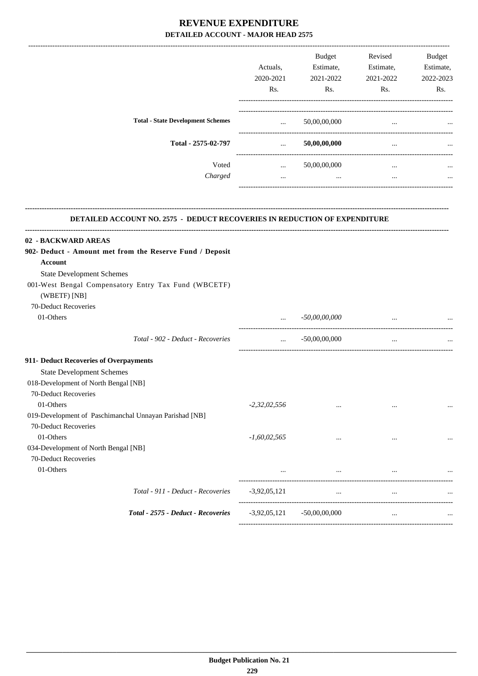|                                                                                                   |                                                | <b>Budget</b>               | Revised   | Budget    |
|---------------------------------------------------------------------------------------------------|------------------------------------------------|-----------------------------|-----------|-----------|
|                                                                                                   | Actuals,                                       | Estimate,                   | Estimate, | Estimate, |
|                                                                                                   | 2020-2021                                      | 2021-2022                   | 2021-2022 | 2022-2023 |
|                                                                                                   | Rs.                                            | Rs.                         | Rs.       | Rs.       |
| <b>Total - State Development Schemes</b>                                                          |                                                | $\ldots$ 50,00,00,000       | $\cdots$  |           |
| Total - 2575-02-797                                                                               | $\mathbf{r}$ and $\mathbf{r}$ and $\mathbf{r}$ | 50,00,00,000                | $\cdots$  |           |
| Voted                                                                                             |                                                | $\ldots$ 50,00,00,000       | $\cdots$  |           |
| Charged                                                                                           | $\ddotsc$                                      | and the control of the same | $\cdots$  |           |
| DETAILED ACCOUNT NO. 2575 - DEDUCT RECOVERIES IN REDUCTION OF EXPENDITURE                         |                                                |                             |           |           |
|                                                                                                   |                                                |                             |           |           |
| 02 - BACKWARD AREAS<br>902- Deduct - Amount met from the Reserve Fund / Deposit<br><b>Account</b> |                                                |                             |           |           |
| <b>State Development Schemes</b>                                                                  |                                                |                             |           |           |
| 001-West Bengal Compensatory Entry Tax Fund (WBCETF)<br>(WBETF) [NB]                              |                                                |                             |           |           |
| 70-Deduct Recoveries                                                                              |                                                |                             |           |           |
| 01-Others                                                                                         | $\cdots$<br>--------------------------         | $-50,00,00,000$             | $\cdots$  |           |
| Total - 902 - Deduct - Recoveries                                                                 | $\cdots$                                       | $-50,00,00,000$             | $\ldots$  |           |
| 911- Deduct Recoveries of Overpayments                                                            |                                                |                             |           |           |
| <b>State Development Schemes</b>                                                                  |                                                |                             |           |           |
| 018-Development of North Bengal [NB]                                                              |                                                |                             |           |           |
| 70-Deduct Recoveries                                                                              |                                                |                             |           |           |
| 01-Others                                                                                         | $-2,32,02,556$                                 | $\cdots$                    | $\cdots$  | $\cdots$  |
| 019-Development of Paschimanchal Unnayan Parishad [NB]                                            |                                                |                             |           |           |
| 70-Deduct Recoveries                                                                              |                                                |                             |           |           |
| 01-Others                                                                                         | $-1,60,02,565$                                 |                             | $\ddotsc$ |           |
| 034-Development of North Bengal [NB]                                                              |                                                |                             |           |           |
| 70-Deduct Recoveries                                                                              |                                                |                             |           |           |
| 01-Others                                                                                         | $\cdots$                                       | $\cdots$                    | $\cdots$  |           |
| Total - 911 - Deduct - Recoveries                                                                 | $-3,92,05,121$                                 | $\cdots$                    | $\ldots$  |           |
|                                                                                                   |                                                |                             |           |           |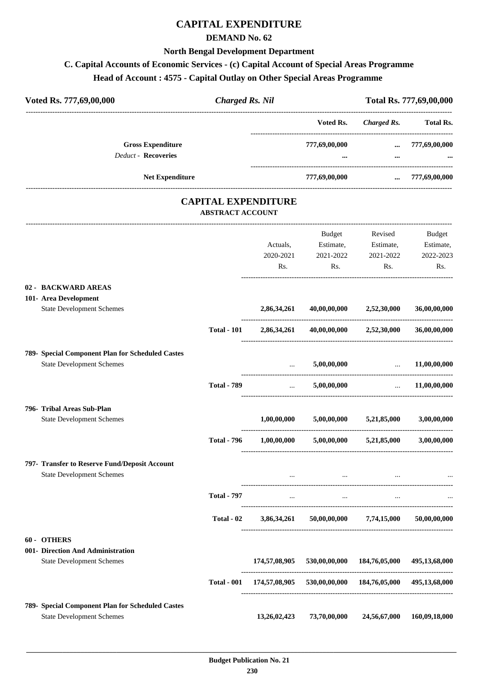# **CAPITAL EXPENDITURE**

#### **DEMAND No. 62**

#### **North Bengal Development Department**

## **C. Capital Accounts of Economic Services - (c) Capital Account of Special Areas Programme**

## **Head of Account : 4575 - Capital Outlay on Other Special Areas Programme**

| Voted Rs. 777,69,00,000                                | <b>Charged Rs. Nil</b>                                |               |                                           |                                                                            | Total Rs. 777,69,00,000 |
|--------------------------------------------------------|-------------------------------------------------------|---------------|-------------------------------------------|----------------------------------------------------------------------------|-------------------------|
|                                                        |                                                       |               |                                           | Voted Rs. Charged Rs. Total Rs.                                            |                         |
| <b>Gross Expenditure</b><br><b>Deduct - Recoveries</b> |                                                       |               | 777,69,00,000                             | $\cdots$                                                                   | 777,69,00,000           |
| Net Expenditure                                        |                                                       |               | 777,69,00,000                             |                                                                            | $\ldots$ 777,69,00,000  |
|                                                        | <b>CAPITAL EXPENDITURE</b><br><b>ABSTRACT ACCOUNT</b> |               |                                           |                                                                            |                         |
|                                                        |                                                       |               | Budget                                    | Revised                                                                    | Budget                  |
|                                                        |                                                       | Actuals,      | Estimate,                                 | Estimate,                                                                  | Estimate,               |
|                                                        |                                                       | 2020-2021     | 2021-2022                                 | 2021-2022                                                                  | 2022-2023               |
|                                                        |                                                       | Rs.           | Rs.                                       | Rs.                                                                        | Rs.                     |
| 02 - BACKWARD AREAS                                    |                                                       |               |                                           |                                                                            |                         |
| 101- Area Development                                  |                                                       |               |                                           |                                                                            |                         |
| <b>State Development Schemes</b>                       |                                                       | 2,86,34,261   |                                           | 40,00,00,000 2,52,30,000                                                   | 36,00,00,000            |
|                                                        | <b>Total - 101</b>                                    | 2,86,34,261   |                                           | $40,00,00,000$ $2,52,30,000$                                               | 36,00,00,000            |
| 789- Special Component Plan for Scheduled Castes       |                                                       |               |                                           |                                                                            |                         |
| <b>State Development Schemes</b>                       |                                                       |               | 5,00,00,000                               | <u>and the second contract of the second second</u>                        | 11,00,00,000            |
|                                                        | <b>Total - 789</b>                                    | $\ddots$      |                                           | 5,00,00,000<br>$\mathcal{L}_{\text{max}}$ . The $\mathcal{L}_{\text{max}}$ | 11,00,00,000            |
| 796- Tribal Areas Sub-Plan                             |                                                       |               |                                           |                                                                            |                         |
| <b>State Development Schemes</b>                       |                                                       | 1,00,00,000   | 5,00,00,000                               | 5,21,85,000                                                                | 3,00,00,000             |
|                                                        | <b>Total - 796</b>                                    | 1,00,00,000   | 5,00,00,000                               | 5,21,85,000                                                                | 3,00,00,000             |
| 797- Transfer to Reserve Fund/Deposit Account          |                                                       |               |                                           |                                                                            |                         |
| <b>State Development Schemes</b>                       |                                                       |               | $\cdots$                                  | $\cdots$                                                                   |                         |
|                                                        | <b>Total - 797</b>                                    | $\cdots$      | $\cdots$                                  | $\cdots$                                                                   |                         |
|                                                        | Total - 02                                            | 3,86,34,261   | 50,00,00,000                              | 7,74,15,000                                                                | 50,00,00,000            |
| 60 - OTHERS                                            |                                                       |               |                                           |                                                                            |                         |
| 001- Direction And Administration                      |                                                       |               |                                           |                                                                            |                         |
| <b>State Development Schemes</b>                       |                                                       | 174,57,08,905 | 530,00,00,000                             | 184,76,05,000                                                              | 495,13,68,000           |
|                                                        | <b>Total - 001</b>                                    |               | 174,57,08,905 530,00,00,000 184,76,05,000 |                                                                            | 495,13,68,000           |
| 789- Special Component Plan for Scheduled Castes       |                                                       |               |                                           |                                                                            |                         |
| <b>State Development Schemes</b>                       |                                                       | 13,26,02,423  | 73,70,00,000                              | 24,56,67,000                                                               | 160,09,18,000           |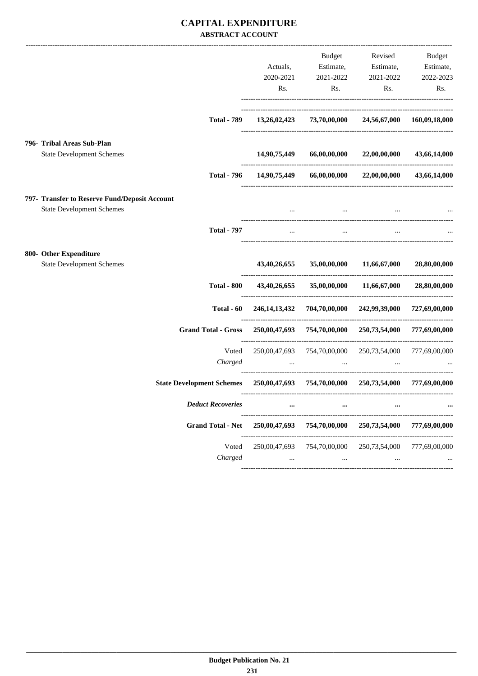### **CAPITAL EXPENDITURE ABSTRACT ACCOUNT**

|                                                                                   | Actuals,<br>2020-2021     | Budget<br>Estimate,<br>2021-2022                                                                                | Revised<br>Estimate,                                               | Budget<br>Estimate,        |
|-----------------------------------------------------------------------------------|---------------------------|-----------------------------------------------------------------------------------------------------------------|--------------------------------------------------------------------|----------------------------|
|                                                                                   | Rs.                       | Rs.                                                                                                             | 2021-2022<br>Rs.                                                   | 2022-2023<br>Rs.           |
| <b>Total - 789</b>                                                                | 13,26,02,423              | 73,70,00,000                                                                                                    |                                                                    | 24,56,67,000 160,09,18,000 |
| 796- Tribal Areas Sub-Plan                                                        |                           |                                                                                                                 |                                                                    |                            |
| <b>State Development Schemes</b>                                                  | 14,90,75,449              | 66,00,00,000                                                                                                    | 22,00,00,000                                                       | 43,66,14,000               |
| <b>Total - 796</b>                                                                | 14,90,75,449              |                                                                                                                 | 66,00,00,000 22,00,00,000                                          | 43,66,14,000               |
| 797- Transfer to Reserve Fund/Deposit Account<br><b>State Development Schemes</b> |                           | the contract of the contract of the contract of the contract of the contract of the contract of the contract of |                                                                    |                            |
| <b>Total - 797</b>                                                                | $\cdots$                  | $\cdots$                                                                                                        |                                                                    |                            |
| 800- Other Expenditure                                                            |                           |                                                                                                                 |                                                                    |                            |
| <b>State Development Schemes</b>                                                  | 43,40,26,655              | 35,00,00,000                                                                                                    | 11,66,67,000                                                       | 28,80,00,000               |
| <b>Total - 800</b>                                                                | 43,40,26,655              | 35,00,00,000                                                                                                    | 11,66,67,000                                                       | 28,80,00,000               |
| Total - 60                                                                        |                           | 246,14,13,432 704,70,00,000 242,99,39,000                                                                       |                                                                    | 727,69,00,000              |
| <b>Grand Total - Gross</b>                                                        |                           | 250,00,47,693 754,70,00,000 250,73,54,000                                                                       |                                                                    | 777,69,00,000              |
| Voted<br>Charged                                                                  | 250,00,47,693<br>$\cdots$ | <b><i>Committee Committee States</i></b>                                                                        | 754,70,00,000 250,73,54,000<br>and the contract of the contract of | 777,69,00,000              |
| State Development Schemes 250,00,47,693 754,70,00,000 250,73,54,000               |                           |                                                                                                                 |                                                                    | 777,69,00,000              |
| <b>Deduct Recoveries</b>                                                          | $\cdots$                  | $\cdots$                                                                                                        | $\cdots$                                                           |                            |
| <b>Grand Total - Net</b>                                                          | 250,00,47,693             | 754,70,00,000                                                                                                   | 250,73,54,000                                                      | 777,69,00,000              |
| Voted<br>Charged                                                                  | 250,00,47,693             | 754,70,00,000<br>$\cdots$                                                                                       | 250,73,54,000<br>$\cdots$                                          | 777,69,00,000              |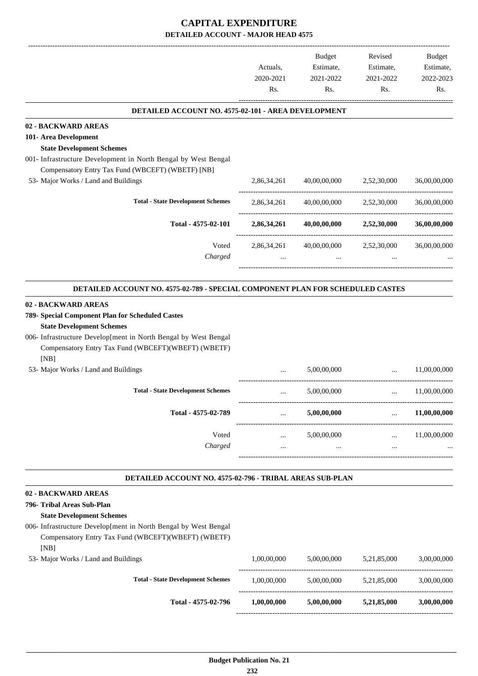|                                                                                                                                | Actuals,<br>2020-2021 | Budget<br>Estimate,<br>2021-2022 | Revised<br>Estimate,<br>2021-2022        | Budget<br>Estimate,<br>2022-2023 |
|--------------------------------------------------------------------------------------------------------------------------------|-----------------------|----------------------------------|------------------------------------------|----------------------------------|
|                                                                                                                                | Rs.                   | Rs.                              | Rs.                                      | Rs.                              |
| DETAILED ACCOUNT NO. 4575-02-101 - AREA DEVELOPMENT                                                                            |                       |                                  |                                          |                                  |
| 02 - BACKWARD AREAS                                                                                                            |                       |                                  |                                          |                                  |
| 101- Area Development                                                                                                          |                       |                                  |                                          |                                  |
| <b>State Development Schemes</b>                                                                                               |                       |                                  |                                          |                                  |
| 001- Infrastructure Development in North Bengal by West Bengal<br>Compensatory Entry Tax Fund (WBCEFT) (WBETF) [NB]            |                       |                                  |                                          |                                  |
| 53- Major Works / Land and Buildings                                                                                           | 2,86,34,261           | 40,00,00,000                     | 2,52,30,000                              | 36,00,00,000                     |
|                                                                                                                                |                       |                                  |                                          |                                  |
| <b>Total - State Development Schemes</b>                                                                                       | 2,86,34,261           | 40,00,00,000                     | 2,52,30,000                              | 36,00,00,000                     |
| Total - 4575-02-101                                                                                                            | 2,86,34,261           | 40,00,00,000                     | 2,52,30,000                              | 36,00,00,000                     |
| Voted                                                                                                                          | 2,86,34,261           | 40,00,00,000                     | 2,52,30,000                              | 36,00,00,000                     |
| Charged                                                                                                                        |                       |                                  |                                          |                                  |
|                                                                                                                                |                       |                                  |                                          |                                  |
| DETAILED ACCOUNT NO. 4575-02-789 - SPECIAL COMPONENT PLAN FOR SCHEDULED CASTES                                                 |                       |                                  |                                          |                                  |
| 02 - BACKWARD AREAS                                                                                                            |                       |                                  |                                          |                                  |
| 789- Special Component Plan for Scheduled Castes                                                                               |                       |                                  |                                          |                                  |
| <b>State Development Schemes</b>                                                                                               |                       |                                  |                                          |                                  |
| 006- Infrastructure Develop[ment in North Bengal by West Bengal<br>Compensatory Entry Tax Fund (WBCEFT)(WBEFT) (WBETF)<br>[NB] |                       |                                  |                                          |                                  |
| 53- Major Works / Land and Buildings                                                                                           | $\cdots$              | 5,00,00,000                      | $\ddotsc$                                | 11,00,00,000                     |
| <b>Total - State Development Schemes</b>                                                                                       | $\cdots$              | 5,00,00,000                      | $\cdots$                                 | 11,00,00,000                     |
| Total - 4575-02-789                                                                                                            | $\cdots$              | 5,00,00,000                      | $\cdots$                                 | 11,00,00,000                     |
| Voted                                                                                                                          | $\cdots$              | 5,00,00,000                      | ----------------------------<br>$\cdots$ | 11,00,00,000                     |
| Charged                                                                                                                        | $\cdots$              | $\cdots$                         | $\cdots$                                 |                                  |
| DETAILED ACCOUNT NO. 4575-02-796 - TRIBAL AREAS SUB-PLAN                                                                       |                       |                                  |                                          |                                  |
| 02 - BACKWARD AREAS                                                                                                            |                       |                                  |                                          |                                  |
| 796- Tribal Areas Sub-Plan                                                                                                     |                       |                                  |                                          |                                  |
| <b>State Development Schemes</b>                                                                                               |                       |                                  |                                          |                                  |
| 006- Infrastructure Develop[ment in North Bengal by West Bengal                                                                |                       |                                  |                                          |                                  |
| Compensatory Entry Tax Fund (WBCEFT)(WBEFT) (WBETF)<br>[NB]                                                                    |                       |                                  |                                          |                                  |
| 53- Major Works / Land and Buildings                                                                                           | 1,00,00,000           | 5,00,00,000                      | 5,21,85,000                              | 3,00,00,000                      |
| <b>Total - State Development Schemes</b>                                                                                       | 1,00,00,000           | 5,00,00,000                      | 5,21,85,000                              | 3,00,00,000                      |
| Total - 4575-02-796                                                                                                            | 1,00,00,000           | 5,00,00,000                      | 5,21,85,000                              | 3,00,00,000                      |

------------------------------------------------------------------------------------------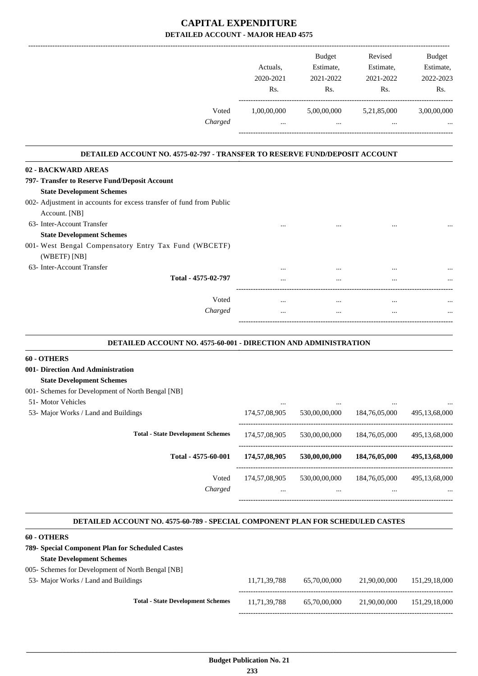|                                                                             |                  | <b>Budget</b> | Revised     | Budget      |
|-----------------------------------------------------------------------------|------------------|---------------|-------------|-------------|
|                                                                             | Actuals.         | Estimate,     | Estimate,   | Estimate,   |
|                                                                             | 2020-2021        | 2021-2022     | 2021-2022   | 2022-2023   |
|                                                                             | R <sub>s</sub> . | Rs.           | Rs.         | Rs.         |
| Voted                                                                       | 1,00,00,000      | 5,00,00,000   | 5,21,85,000 | 3,00,00,000 |
| Charged                                                                     | $\cdots$         | $\cdots$      |             |             |
| DETAILED ACCOUNT NO. 4575-02-797 - TRANSFER TO RESERVE FUND/DEPOSIT ACCOUNT |                  |               |             |             |
| 02 - BACKWARD AREAS                                                         |                  |               |             |             |
| 797- Transfer to Reserve Fund/Deposit Account                               |                  |               |             |             |
| <b>State Development Schemes</b>                                            |                  |               |             |             |
| 002- Adjustment in accounts for excess transfer of fund from Public         |                  |               |             |             |
| Account. [NB]                                                               |                  |               |             |             |
| 63- Inter-Account Transfer                                                  |                  |               |             |             |
| <b>State Development Schemes</b>                                            |                  |               |             |             |
| 001- West Bengal Compensatory Entry Tax Fund (WBCETF)                       |                  |               |             |             |
| (WBETF) [NB]                                                                |                  |               |             |             |
| 63- Inter-Account Transfer                                                  |                  |               |             |             |
| Total - 4575-02-797                                                         |                  |               |             |             |
| Voted                                                                       | $\cdots$         | $\cdots$      | $\cdots$    |             |
| Charged                                                                     |                  | $\cdots$      | $\cdots$    |             |
|                                                                             |                  |               |             |             |

| DETAILED ACCOUNT NO. 4575-60-001 - DIRECTION AND ADMINISTRATION |
|-----------------------------------------------------------------|
|                                                                 |

.

.

#### **60 - OTHERS**

**001- Direction And Administration**

#### **State Development Schemes**

| 001- Schemes for Development of North Bengal [NB] |  |  |  |
|---------------------------------------------------|--|--|--|
|                                                   |  |  |  |

51- Motor Vehicles

| <b>JI-</b> MOUL VEHICLES                 | $\cdots$          | $\cdots$          |                   | $\ddotsc$                  |
|------------------------------------------|-------------------|-------------------|-------------------|----------------------------|
| 53- Major Works / Land and Buildings     | 174,57,08,905     | 530,00,00,000     | 184,76,05,000     | 495,13,68,000              |
| <b>Total - State Development Schemes</b> | 174,57,08,905     | 530,00,00,000     | 184,76,05,000     | 495,13,68,000              |
| Total - 4575-60-001                      | 174,57,08,905     | 530,00,00,000     | 184,76,05,000     | 495,13,68,000              |
| Voted<br>Charged                         | 174,57,08,905<br> | 530,00,00,000<br> | 184,76,05,000<br> | 495,13,68,000<br>$\ddotsc$ |
|                                          |                   |                   |                   |                            |

#### **DETAILED ACCOUNT NO. 4575-60-789 - SPECIAL COMPONENT PLAN FOR SCHEDULED CASTES .**

| <b>60 - OTHERS</b>                                |              |              |              |               |
|---------------------------------------------------|--------------|--------------|--------------|---------------|
| 789- Special Component Plan for Scheduled Castes  |              |              |              |               |
| <b>State Development Schemes</b>                  |              |              |              |               |
| 005- Schemes for Development of North Bengal [NB] |              |              |              |               |
| 53- Major Works / Land and Buildings              | 11.71.39.788 | 65,70,00,000 | 21,90,00,000 | 151.29.18.000 |
|                                                   |              |              |              |               |
| <b>Total - State Development Schemes</b>          | 11.71.39.788 | 65,70,00,000 | 21,90,00,000 | 151.29.18.000 |
|                                                   |              |              |              |               |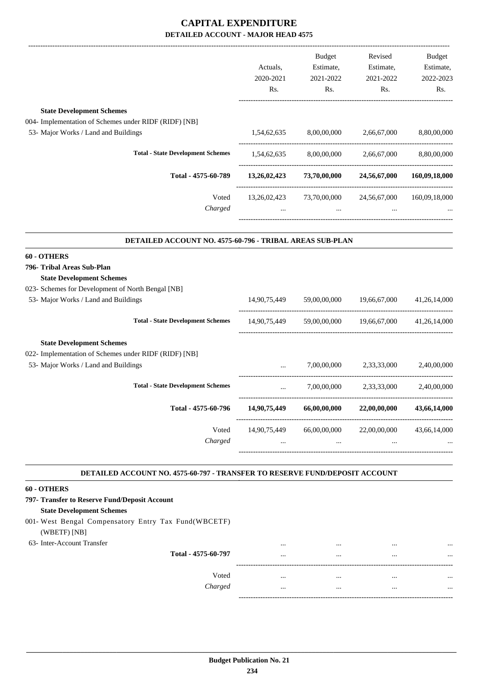|                                                                             | Actuals,<br>2020-2021<br>Rs. | Budget<br>Estimate,<br>2021-2022<br>Rs. | Revised<br>Estimate,<br>2021-2022<br>Rs. | Budget<br>Estimate,<br>2022-2023<br>Rs. |
|-----------------------------------------------------------------------------|------------------------------|-----------------------------------------|------------------------------------------|-----------------------------------------|
| <b>State Development Schemes</b>                                            |                              |                                         |                                          |                                         |
| 004- Implementation of Schemes under RIDF (RIDF) [NB]                       |                              |                                         |                                          |                                         |
| 53- Major Works / Land and Buildings                                        | 1,54,62,635                  | 8,00,00,000                             | 2,66,67,000                              | 8,80,00,000                             |
| <b>Total - State Development Schemes</b>                                    |                              | 1,54,62,635 8,00,00,000                 | 2,66,67,000                              | 8,80,00,000                             |
| Total - 4575-60-789                                                         | 13,26,02,423                 | 73,70,00,000                            | 24,56,67,000                             | 160,09,18,000                           |
| Voted<br>Charged                                                            |                              | 13,26,02,423 73,70,00,000 24,56,67,000  |                                          | 160,09,18,000                           |
| DETAILED ACCOUNT NO. 4575-60-796 - TRIBAL AREAS SUB-PLAN                    |                              |                                         |                                          |                                         |
| 60 - OTHERS                                                                 |                              |                                         |                                          |                                         |
| 796- Tribal Areas Sub-Plan                                                  |                              |                                         |                                          |                                         |
| <b>State Development Schemes</b>                                            |                              |                                         |                                          |                                         |
| 023- Schemes for Development of North Bengal [NB]                           |                              |                                         |                                          |                                         |
| 53- Major Works / Land and Buildings                                        |                              | 14,90,75,449 59,00,00,000 19,66,67,000  |                                          | 41,26,14,000                            |
| <b>Total - State Development Schemes</b>                                    | 14,90,75,449                 |                                         | 59,00,00,000 19,66,67,000                | 41,26,14,000                            |
| <b>State Development Schemes</b>                                            |                              |                                         |                                          |                                         |
| 022- Implementation of Schemes under RIDF (RIDF) [NB]                       |                              |                                         |                                          |                                         |
| 53- Major Works / Land and Buildings                                        |                              | 7,00,00,000                             | 2,33,33,000                              | 2,40,00,000                             |
| <b>Total - State Development Schemes</b>                                    | $\cdots$                     | 7,00,00,000                             | 2,33,33,000                              | 2,40,00,000                             |
| Total - 4575-60-796                                                         | 14,90,75,449                 | 66,00,00,000                            | 22,00,00,000                             | 43,66,14,000                            |
| Voted<br>Charged                                                            | 14,90,75,449                 | 66,00,00,000                            | 22,00,00,000                             | 43,66,14,000                            |
|                                                                             |                              |                                         |                                          |                                         |
| DETAILED ACCOUNT NO. 4575-60-797 - TRANSFER TO RESERVE FUND/DEPOSIT ACCOUNT |                              |                                         |                                          |                                         |
| 60 - OTHERS                                                                 |                              |                                         |                                          |                                         |
| 797- Transfer to Reserve Fund/Deposit Account                               |                              |                                         |                                          |                                         |
| <b>State Development Schemes</b>                                            |                              |                                         |                                          |                                         |
| 001- West Bengal Compensatory Entry Tax Fund(WBCETF)                        |                              |                                         |                                          |                                         |
| (WBETF) [NB]                                                                |                              |                                         |                                          |                                         |
| 63- Inter-Account Transfer                                                  |                              |                                         |                                          |                                         |

**Total - 4575-60-797** ... ... ... ...

------------------------------------------------------------------------------------------

-----------------------------------------------------------------------------------------

Voted ... ... ... ... *Charged* ... ... ... ...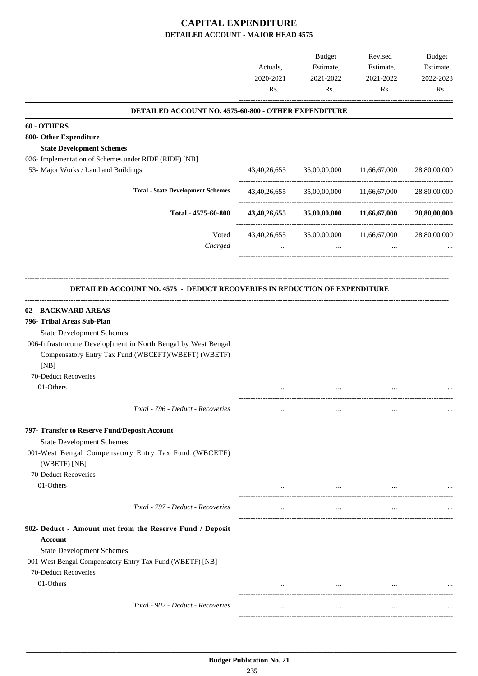|                                                                                                                               | Actuals,<br>2020-2021<br>Rs. | Budget<br>Estimate,<br>2021-2022<br>Rs. | Revised<br>Estimate,<br>2021-2022<br>Rs. | Budget<br>Estimate,<br>2022-2023<br>Rs. |
|-------------------------------------------------------------------------------------------------------------------------------|------------------------------|-----------------------------------------|------------------------------------------|-----------------------------------------|
| DETAILED ACCOUNT NO. 4575-60-800 - OTHER EXPENDITURE                                                                          |                              |                                         |                                          |                                         |
| 60 - OTHERS                                                                                                                   |                              |                                         |                                          |                                         |
| 800- Other Expenditure                                                                                                        |                              |                                         |                                          |                                         |
| <b>State Development Schemes</b>                                                                                              |                              |                                         |                                          |                                         |
| 026- Implementation of Schemes under RIDF (RIDF) [NB]                                                                         |                              |                                         |                                          |                                         |
| 53- Major Works / Land and Buildings                                                                                          | 43,40,26,655                 |                                         | 35,00,00,000 11,66,67,000                | 28,80,00,000                            |
| <b>Total - State Development Schemes</b>                                                                                      | 43,40,26,655                 | 35,00,00,000                            | 11,66,67,000                             | 28,80,00,000                            |
| Total - 4575-60-800                                                                                                           | 43,40,26,655                 |                                         | 35,00,00,000 11,66,67,000                | 28,80,00,000                            |
| Voted<br>Charged                                                                                                              | 43,40,26,655<br>$\cdots$     | 35,00,00,000<br>$\cdots$                | 11,66,67,000<br>$\cdots$                 | 28,80,00,000                            |
| <b>DETAILED ACCOUNT NO. 4575 - DEDUCT RECOVERIES IN REDUCTION OF EXPENDITURE</b>                                              |                              |                                         |                                          |                                         |
| 02 - BACKWARD AREAS                                                                                                           |                              |                                         |                                          |                                         |
| 796- Tribal Areas Sub-Plan                                                                                                    |                              |                                         |                                          |                                         |
| <b>State Development Schemes</b>                                                                                              |                              |                                         |                                          |                                         |
| 006-Infrastructure Develop[ment in North Bengal by West Bengal<br>Compensatory Entry Tax Fund (WBCEFT)(WBEFT) (WBETF)<br>[NB] |                              |                                         |                                          |                                         |
| 70-Deduct Recoveries                                                                                                          |                              |                                         |                                          |                                         |
| 01-Others                                                                                                                     | $\cdots$                     |                                         |                                          |                                         |
| Total - 796 - Deduct - Recoveries                                                                                             |                              |                                         |                                          |                                         |
| 797- Transfer to Reserve Fund/Deposit Account                                                                                 |                              |                                         |                                          |                                         |
| <b>State Development Schemes</b>                                                                                              |                              |                                         |                                          |                                         |
| 001-West Bengal Compensatory Entry Tax Fund (WBCETF)                                                                          |                              |                                         |                                          |                                         |
| (WBETF) [NB]                                                                                                                  |                              |                                         |                                          |                                         |
| 70-Deduct Recoveries<br>01-Others                                                                                             |                              | $\cdots$                                |                                          |                                         |
|                                                                                                                               |                              |                                         |                                          |                                         |
| Total - 797 - Deduct - Recoveries                                                                                             | $\cdots$                     | $\cdots$                                | $\cdots$                                 |                                         |
| 902- Deduct - Amount met from the Reserve Fund / Deposit<br>Account<br><b>State Development Schemes</b>                       |                              |                                         |                                          |                                         |
| 001-West Bengal Compensatory Entry Tax Fund (WBETF) [NB]<br>70-Deduct Recoveries                                              |                              |                                         |                                          |                                         |
| 01-Others                                                                                                                     |                              | $\cdots$                                |                                          |                                         |
| Total - 902 - Deduct - Recoveries                                                                                             | $\cdots$                     | $\cdots$                                | $\cdots$                                 |                                         |
|                                                                                                                               |                              |                                         |                                          |                                         |